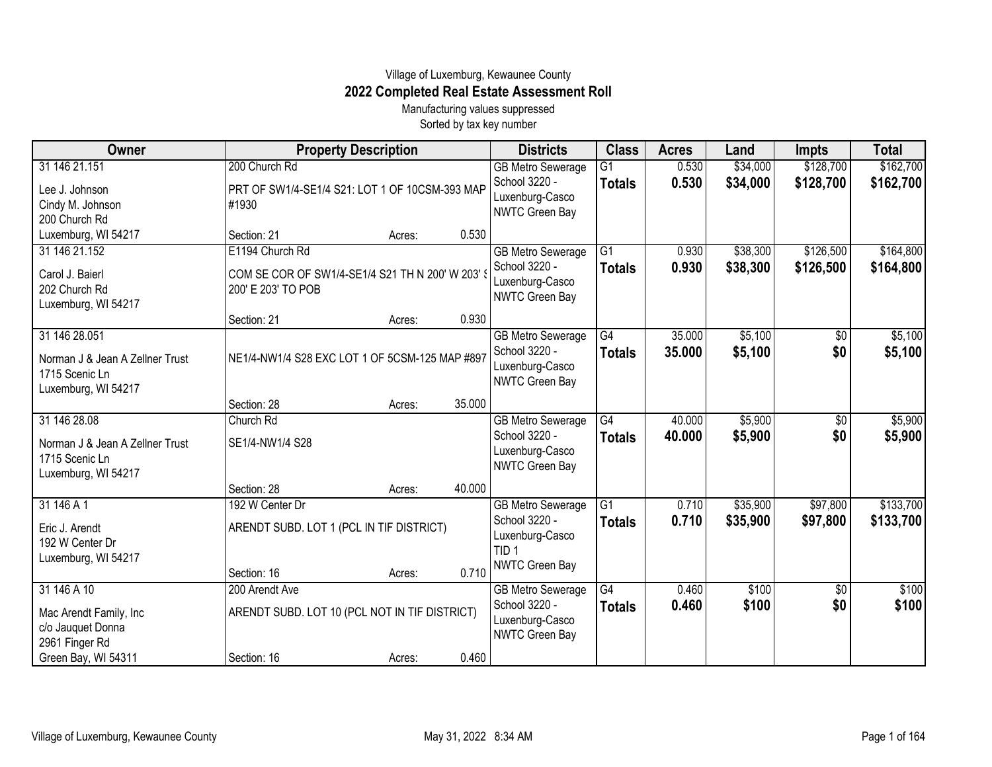## Village of Luxemburg, Kewaunee County **2022 Completed Real Estate Assessment Roll**

Manufacturing values suppressed Sorted by tax key number

| Owner                                                                                     |                                                                      | <b>Property Description</b> |        |                                                                                  | <b>Class</b>        | <b>Acres</b>     | Land                 | <b>Impts</b>         | <b>Total</b>           |
|-------------------------------------------------------------------------------------------|----------------------------------------------------------------------|-----------------------------|--------|----------------------------------------------------------------------------------|---------------------|------------------|----------------------|----------------------|------------------------|
| 31 146 21.151                                                                             | 200 Church Rd                                                        |                             |        | <b>GB Metro Sewerage</b>                                                         | $\overline{G1}$     | 0.530            | \$34,000             | \$128,700            | \$162,700              |
| Lee J. Johnson<br>Cindy M. Johnson<br>200 Church Rd                                       | PRT OF SW1/4-SE1/4 S21: LOT 1 OF 10CSM-393 MAP<br>#1930              |                             |        | School 3220 -<br>Luxenburg-Casco<br>NWTC Green Bay                               | <b>Totals</b>       | 0.530            | \$34,000             | \$128,700            | \$162,700              |
| Luxemburg, WI 54217                                                                       | Section: 21                                                          | Acres:                      | 0.530  |                                                                                  |                     |                  |                      |                      |                        |
| 31 146 21.152                                                                             | E1194 Church Rd                                                      |                             |        | <b>GB Metro Sewerage</b>                                                         | $\overline{G1}$     | 0.930            | \$38,300             | \$126,500            | \$164,800              |
| Carol J. Baierl<br>202 Church Rd<br>Luxemburg, WI 54217                                   | COM SE COR OF SW1/4-SE1/4 S21 TH N 200' W 203'<br>200' E 203' TO POB |                             |        | School 3220 -<br>Luxenburg-Casco<br>NWTC Green Bay                               | <b>Totals</b>       | 0.930            | \$38,300             | \$126,500            | \$164,800              |
|                                                                                           | Section: 21                                                          | Acres:                      | 0.930  |                                                                                  |                     |                  |                      |                      |                        |
| 31 146 28.051<br>Norman J & Jean A Zellner Trust<br>1715 Scenic Ln<br>Luxemburg, WI 54217 | NE1/4-NW1/4 S28 EXC LOT 1 OF 5CSM-125 MAP #897                       |                             |        | <b>GB Metro Sewerage</b><br>School 3220 -<br>Luxenburg-Casco<br>NWTC Green Bay   | G4<br><b>Totals</b> | 35.000<br>35.000 | \$5,100<br>\$5,100   | \$0<br>\$0           | \$5,100<br>\$5,100     |
|                                                                                           | Section: 28                                                          | Acres:                      | 35.000 |                                                                                  |                     |                  |                      |                      |                        |
| 31 146 28.08<br>Norman J & Jean A Zellner Trust<br>1715 Scenic Ln<br>Luxemburg, WI 54217  | Church Rd<br>SE1/4-NW1/4 S28                                         |                             |        | <b>GB Metro Sewerage</b><br>School 3220 -<br>Luxenburg-Casco<br>NWTC Green Bay   | G4<br><b>Totals</b> | 40.000<br>40.000 | \$5,900<br>\$5,900   | \$0<br>\$0           | \$5,900<br>\$5,900     |
|                                                                                           | Section: 28                                                          | Acres:                      | 40.000 |                                                                                  |                     |                  |                      |                      |                        |
| 31 146 A 1<br>Eric J. Arendt<br>192 W Center Dr<br>Luxemburg, WI 54217                    | 192 W Center Dr<br>ARENDT SUBD. LOT 1 (PCL IN TIF DISTRICT)          |                             |        | <b>GB Metro Sewerage</b><br>School 3220 -<br>Luxenburg-Casco<br>TID <sub>1</sub> | G1<br><b>Totals</b> | 0.710<br>0.710   | \$35,900<br>\$35,900 | \$97,800<br>\$97,800 | \$133,700<br>\$133,700 |
|                                                                                           | Section: 16                                                          | Acres:                      | 0.710  | NWTC Green Bay                                                                   |                     |                  |                      |                      |                        |
| 31 146 A 10                                                                               | 200 Arendt Ave                                                       |                             |        | <b>GB Metro Sewerage</b>                                                         | G4                  | 0.460            | \$100                | \$0                  | \$100                  |
| Mac Arendt Family, Inc<br>c/o Jauquet Donna<br>2961 Finger Rd                             | ARENDT SUBD. LOT 10 (PCL NOT IN TIF DISTRICT)                        |                             |        | School 3220 -<br>Luxenburg-Casco<br>NWTC Green Bay                               | <b>Totals</b>       | 0.460            | \$100                | \$0                  | \$100                  |
| Green Bay, WI 54311                                                                       | Section: 16                                                          | Acres:                      | 0.460  |                                                                                  |                     |                  |                      |                      |                        |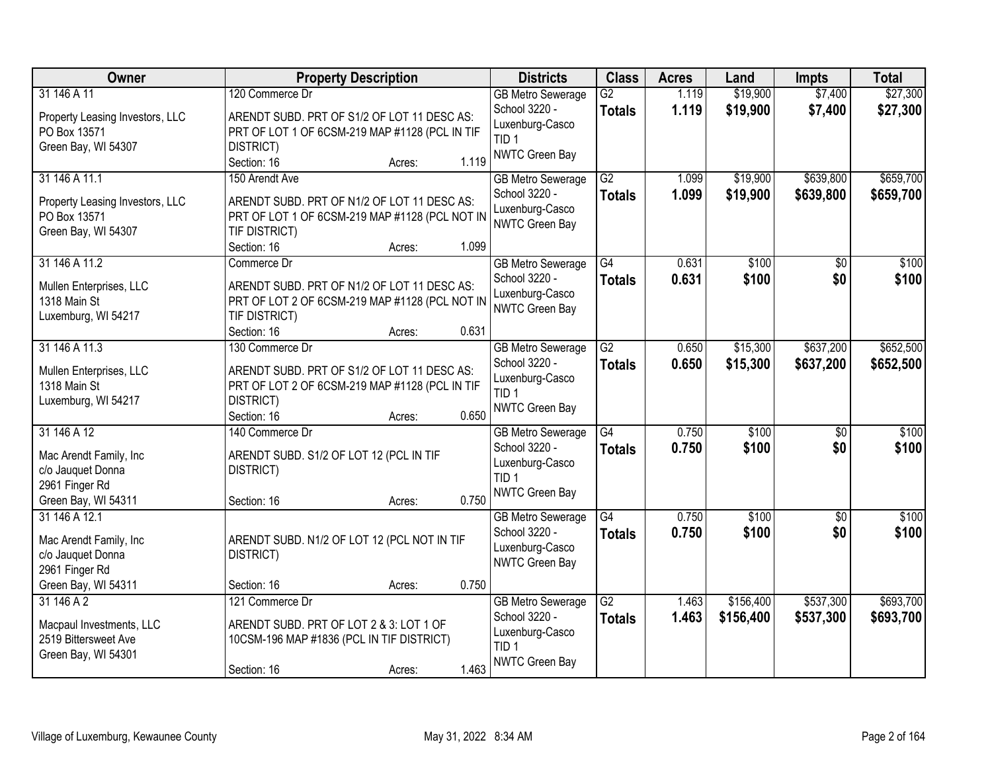| Owner                                           | <b>Property Description</b>                     | <b>Districts</b>         | <b>Class</b>    | <b>Acres</b> | Land      | <b>Impts</b>    | <b>Total</b> |
|-------------------------------------------------|-------------------------------------------------|--------------------------|-----------------|--------------|-----------|-----------------|--------------|
| 31 146 A 11                                     | 120 Commerce Dr                                 | <b>GB Metro Sewerage</b> | $\overline{G2}$ | 1.119        | \$19,900  | \$7,400         | \$27,300     |
| Property Leasing Investors, LLC                 | ARENDT SUBD. PRT OF S1/2 OF LOT 11 DESC AS:     | School 3220 -            | <b>Totals</b>   | 1.119        | \$19,900  | \$7,400         | \$27,300     |
| PO Box 13571                                    | PRT OF LOT 1 OF 6CSM-219 MAP #1128 (PCL IN TIF  | Luxenburg-Casco          |                 |              |           |                 |              |
| Green Bay, WI 54307                             | DISTRICT)                                       | TID <sub>1</sub>         |                 |              |           |                 |              |
|                                                 | 1.119<br>Section: 16<br>Acres:                  | NWTC Green Bay           |                 |              |           |                 |              |
| 31 146 A 11.1                                   | 150 Arendt Ave                                  | <b>GB Metro Sewerage</b> | $\overline{G2}$ | 1.099        | \$19,900  | \$639,800       | \$659,700    |
|                                                 |                                                 | School 3220 -            | <b>Totals</b>   | 1.099        | \$19,900  | \$639,800       | \$659,700    |
| Property Leasing Investors, LLC<br>PO Box 13571 | ARENDT SUBD. PRT OF N1/2 OF LOT 11 DESC AS:     | Luxenburg-Casco          |                 |              |           |                 |              |
|                                                 | PRT OF LOT 1 OF 6CSM-219 MAP #1128 (PCL NOT IN  | NWTC Green Bay           |                 |              |           |                 |              |
| Green Bay, WI 54307                             | TIF DISTRICT)<br>1.099<br>Section: 16<br>Acres: |                          |                 |              |           |                 |              |
| 31 146 A 11.2                                   | Commerce Dr                                     | <b>GB Metro Sewerage</b> | G4              | 0.631        | \$100     | \$0             | \$100        |
|                                                 |                                                 | School 3220 -            |                 |              |           | \$0             |              |
| Mullen Enterprises, LLC                         | ARENDT SUBD. PRT OF N1/2 OF LOT 11 DESC AS:     | Luxenburg-Casco          | <b>Totals</b>   | 0.631        | \$100     |                 | \$100        |
| 1318 Main St                                    | PRT OF LOT 2 OF 6CSM-219 MAP #1128 (PCL NOT IN  | NWTC Green Bay           |                 |              |           |                 |              |
| Luxemburg, WI 54217                             | TIF DISTRICT)                                   |                          |                 |              |           |                 |              |
|                                                 | 0.631<br>Section: 16<br>Acres:                  |                          |                 |              |           |                 |              |
| 31 146 A 11.3                                   | 130 Commerce Dr                                 | <b>GB Metro Sewerage</b> | $\overline{G2}$ | 0.650        | \$15,300  | \$637,200       | \$652,500    |
| Mullen Enterprises, LLC                         | ARENDT SUBD. PRT OF S1/2 OF LOT 11 DESC AS:     | School 3220 -            | <b>Totals</b>   | 0.650        | \$15,300  | \$637,200       | \$652,500    |
| 1318 Main St                                    | PRT OF LOT 2 OF 6CSM-219 MAP #1128 (PCL IN TIF  | Luxenburg-Casco          |                 |              |           |                 |              |
| Luxemburg, WI 54217                             | DISTRICT)                                       | TID <sub>1</sub>         |                 |              |           |                 |              |
|                                                 | 0.650<br>Section: 16<br>Acres:                  | NWTC Green Bay           |                 |              |           |                 |              |
| 31 146 A 12                                     | 140 Commerce Dr                                 | <b>GB Metro Sewerage</b> | $\overline{G4}$ | 0.750        | \$100     | $\overline{50}$ | \$100        |
|                                                 |                                                 | School 3220 -            |                 | 0.750        | \$100     | \$0             | \$100        |
| Mac Arendt Family, Inc                          | ARENDT SUBD. S1/2 OF LOT 12 (PCL IN TIF         | Luxenburg-Casco          | Totals          |              |           |                 |              |
| c/o Jauquet Donna                               | DISTRICT)                                       | TID <sub>1</sub>         |                 |              |           |                 |              |
| 2961 Finger Rd                                  |                                                 | NWTC Green Bay           |                 |              |           |                 |              |
| Green Bay, WI 54311                             | 0.750<br>Section: 16<br>Acres:                  |                          |                 |              |           |                 |              |
| 31 146 A 12.1                                   |                                                 | <b>GB Metro Sewerage</b> | $\overline{G4}$ | 0.750        | \$100     | $\sqrt{6}$      | \$100        |
| Mac Arendt Family, Inc                          | ARENDT SUBD. N1/2 OF LOT 12 (PCL NOT IN TIF     | School 3220 -            | <b>Totals</b>   | 0.750        | \$100     | \$0             | \$100        |
| c/o Jauquet Donna                               | DISTRICT)                                       | Luxenburg-Casco          |                 |              |           |                 |              |
| 2961 Finger Rd                                  |                                                 | NWTC Green Bay           |                 |              |           |                 |              |
| Green Bay, WI 54311                             | 0.750<br>Section: 16<br>Acres:                  |                          |                 |              |           |                 |              |
| 31 146 A 2                                      | 121 Commerce Dr                                 | <b>GB Metro Sewerage</b> | $\overline{G2}$ | 1.463        | \$156,400 | \$537,300       | \$693,700    |
|                                                 |                                                 | School 3220 -            | <b>Totals</b>   | 1.463        | \$156,400 | \$537,300       | \$693,700    |
| Macpaul Investments, LLC                        | ARENDT SUBD. PRT OF LOT 2 & 3: LOT 1 OF         | Luxenburg-Casco          |                 |              |           |                 |              |
| 2519 Bittersweet Ave                            | 10CSM-196 MAP #1836 (PCL IN TIF DISTRICT)       | TID <sub>1</sub>         |                 |              |           |                 |              |
| Green Bay, WI 54301                             |                                                 | NWTC Green Bay           |                 |              |           |                 |              |
|                                                 | 1.463<br>Section: 16<br>Acres:                  |                          |                 |              |           |                 |              |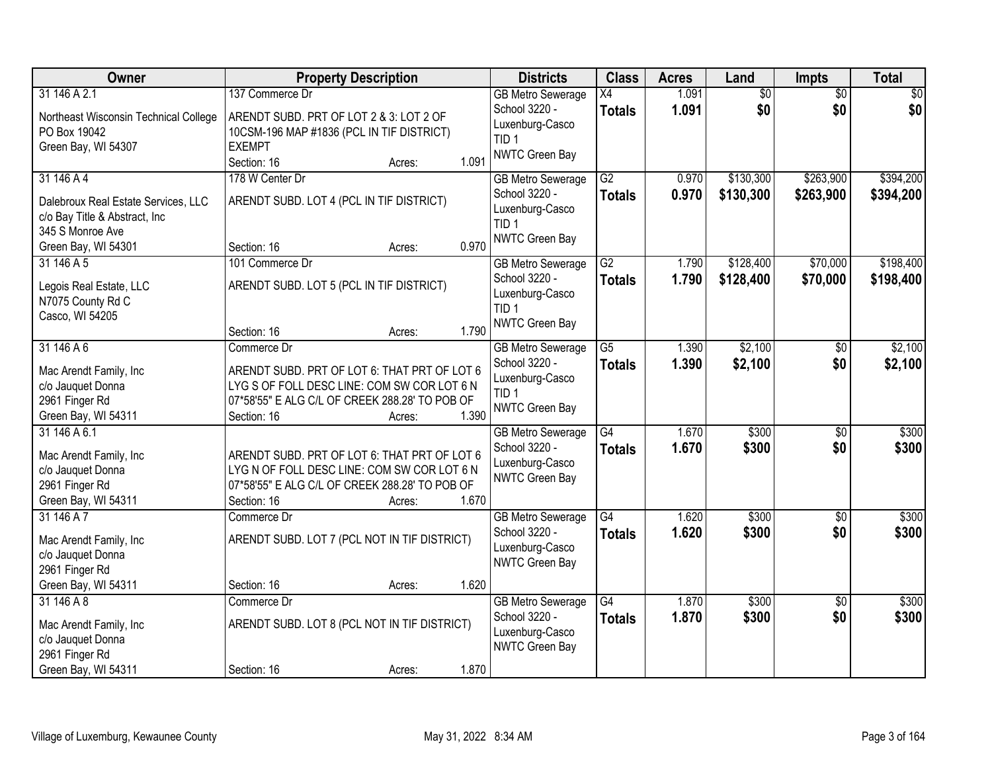| Owner                                 | <b>Property Description</b>                    |       | <b>Districts</b>                          | <b>Class</b>    | <b>Acres</b> | Land      | <b>Impts</b>    | <b>Total</b> |
|---------------------------------------|------------------------------------------------|-------|-------------------------------------------|-----------------|--------------|-----------|-----------------|--------------|
| 31 146 A 2.1                          | 137 Commerce Dr                                |       | <b>GB Metro Sewerage</b>                  | X4              | 1.091        | \$0       | $\overline{50}$ | \$0          |
| Northeast Wisconsin Technical College | ARENDT SUBD. PRT OF LOT 2 & 3: LOT 2 OF        |       | School 3220 -                             | <b>Totals</b>   | 1.091        | \$0       | \$0             | \$0          |
| PO Box 19042                          | 10CSM-196 MAP #1836 (PCL IN TIF DISTRICT)      |       | Luxenburg-Casco                           |                 |              |           |                 |              |
| Green Bay, WI 54307                   | <b>EXEMPT</b>                                  |       | TID <sub>1</sub>                          |                 |              |           |                 |              |
|                                       | Section: 16<br>Acres:                          | 1.091 | NWTC Green Bay                            |                 |              |           |                 |              |
| 31 146 A 4                            | 178 W Center Dr                                |       | <b>GB Metro Sewerage</b>                  | $\overline{G2}$ | 0.970        | \$130,300 | \$263,900       | \$394,200    |
| Dalebroux Real Estate Services, LLC   | ARENDT SUBD. LOT 4 (PCL IN TIF DISTRICT)       |       | School 3220 -                             | <b>Totals</b>   | 0.970        | \$130,300 | \$263,900       | \$394,200    |
| c/o Bay Title & Abstract, Inc         |                                                |       | Luxenburg-Casco                           |                 |              |           |                 |              |
| 345 S Monroe Ave                      |                                                |       | TID <sub>1</sub>                          |                 |              |           |                 |              |
| Green Bay, WI 54301                   | Section: 16<br>Acres:                          | 0.970 | NWTC Green Bay                            |                 |              |           |                 |              |
| 31 146 A 5                            | 101 Commerce Dr                                |       | <b>GB Metro Sewerage</b>                  | $\overline{G2}$ | 1.790        | \$128,400 | \$70,000        | \$198,400    |
|                                       |                                                |       | School 3220 -                             | <b>Totals</b>   | 1.790        | \$128,400 | \$70,000        | \$198,400    |
| Legois Real Estate, LLC               | ARENDT SUBD. LOT 5 (PCL IN TIF DISTRICT)       |       | Luxenburg-Casco                           |                 |              |           |                 |              |
| N7075 County Rd C                     |                                                |       | TID <sub>1</sub>                          |                 |              |           |                 |              |
| Casco, WI 54205                       |                                                | 1.790 | NWTC Green Bay                            |                 |              |           |                 |              |
| 31 146 A 6                            | Section: 16<br>Acres:<br>Commerce Dr           |       |                                           | $\overline{G5}$ |              | \$2,100   |                 | \$2,100      |
|                                       |                                                |       | <b>GB Metro Sewerage</b><br>School 3220 - |                 | 1.390        |           | \$0             |              |
| Mac Arendt Family, Inc                | ARENDT SUBD. PRT OF LOT 6: THAT PRT OF LOT 6   |       | Luxenburg-Casco                           | <b>Totals</b>   | 1.390        | \$2,100   | \$0             | \$2,100      |
| c/o Jauquet Donna                     | LYG S OF FOLL DESC LINE: COM SW COR LOT 6 N    |       | TID <sub>1</sub>                          |                 |              |           |                 |              |
| 2961 Finger Rd                        | 07*58'55" E ALG C/L OF CREEK 288.28' TO POB OF |       | NWTC Green Bay                            |                 |              |           |                 |              |
| Green Bay, WI 54311                   | Section: 16<br>Acres:                          | 1.390 |                                           |                 |              |           |                 |              |
| 31 146 A 6.1                          |                                                |       | <b>GB Metro Sewerage</b>                  | $\overline{G4}$ | 1.670        | \$300     | $\overline{50}$ | \$300        |
| Mac Arendt Family, Inc                | ARENDT SUBD. PRT OF LOT 6: THAT PRT OF LOT 6   |       | School 3220 -                             | <b>Totals</b>   | 1.670        | \$300     | \$0             | \$300        |
| c/o Jauquet Donna                     | LYGN OF FOLL DESC LINE: COM SW COR LOT 6 N     |       | Luxenburg-Casco                           |                 |              |           |                 |              |
| 2961 Finger Rd                        | 07*58'55" E ALG C/L OF CREEK 288.28' TO POB OF |       | NWTC Green Bay                            |                 |              |           |                 |              |
| Green Bay, WI 54311                   | Section: 16<br>Acres:                          | 1.670 |                                           |                 |              |           |                 |              |
| 31 146 A 7                            | Commerce Dr                                    |       | <b>GB Metro Sewerage</b>                  | $\overline{G4}$ | 1.620        | \$300     | $\overline{60}$ | \$300        |
| Mac Arendt Family, Inc                | ARENDT SUBD. LOT 7 (PCL NOT IN TIF DISTRICT)   |       | School 3220 -                             | <b>Totals</b>   | 1.620        | \$300     | \$0             | \$300        |
| c/o Jauquet Donna                     |                                                |       | Luxenburg-Casco                           |                 |              |           |                 |              |
| 2961 Finger Rd                        |                                                |       | NWTC Green Bay                            |                 |              |           |                 |              |
| Green Bay, WI 54311                   | Section: 16<br>Acres:                          | 1.620 |                                           |                 |              |           |                 |              |
| 31 146 A 8                            | Commerce Dr                                    |       | <b>GB Metro Sewerage</b>                  | $\overline{G4}$ | 1.870        | \$300     | $\overline{30}$ | \$300        |
|                                       |                                                |       | School 3220 -                             | <b>Totals</b>   | 1.870        | \$300     | \$0             | \$300        |
| Mac Arendt Family, Inc                | ARENDT SUBD. LOT 8 (PCL NOT IN TIF DISTRICT)   |       | Luxenburg-Casco                           |                 |              |           |                 |              |
| c/o Jauquet Donna                     |                                                |       | NWTC Green Bay                            |                 |              |           |                 |              |
| 2961 Finger Rd                        |                                                |       |                                           |                 |              |           |                 |              |
| Green Bay, WI 54311                   | Section: 16<br>Acres:                          | 1.870 |                                           |                 |              |           |                 |              |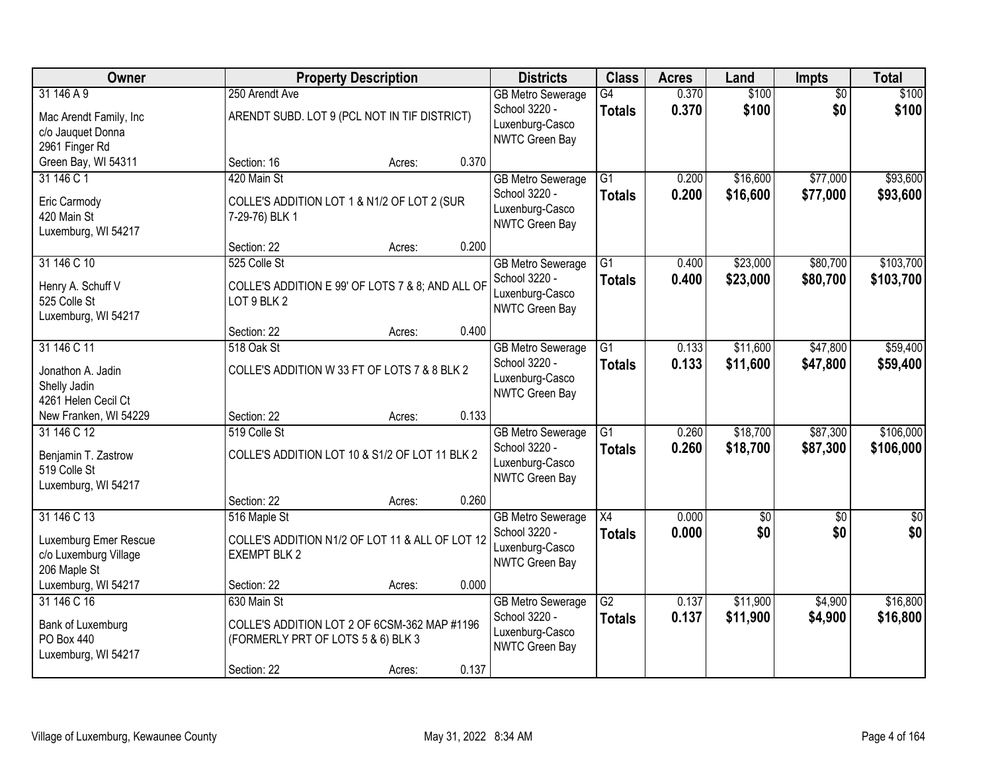| Owner                                                                         |                                                                                                   | <b>Property Description</b> |       | <b>Districts</b>                                                               | <b>Class</b>                     | <b>Acres</b>   | Land                 | <b>Impts</b>           | <b>Total</b>           |
|-------------------------------------------------------------------------------|---------------------------------------------------------------------------------------------------|-----------------------------|-------|--------------------------------------------------------------------------------|----------------------------------|----------------|----------------------|------------------------|------------------------|
| 31 146 A 9<br>Mac Arendt Family, Inc<br>c/o Jauquet Donna<br>2961 Finger Rd   | 250 Arendt Ave<br>ARENDT SUBD. LOT 9 (PCL NOT IN TIF DISTRICT)                                    |                             |       | <b>GB Metro Sewerage</b><br>School 3220 -<br>Luxenburg-Casco<br>NWTC Green Bay | G4<br><b>Totals</b>              | 0.370<br>0.370 | \$100<br>\$100       | $\overline{50}$<br>\$0 | \$100<br>\$100         |
| Green Bay, WI 54311                                                           | Section: 16                                                                                       | Acres:                      | 0.370 |                                                                                |                                  |                |                      |                        |                        |
| 31 146 C 1<br>Eric Carmody<br>420 Main St<br>Luxemburg, WI 54217              | 420 Main St<br>COLLE'S ADDITION LOT 1 & N1/2 OF LOT 2 (SUR<br>7-29-76) BLK 1                      |                             |       | <b>GB Metro Sewerage</b><br>School 3220 -<br>Luxenburg-Casco<br>NWTC Green Bay | $\overline{G1}$<br><b>Totals</b> | 0.200<br>0.200 | \$16,600<br>\$16,600 | \$77,000<br>\$77,000   | \$93,600<br>\$93,600   |
|                                                                               | Section: 22                                                                                       | Acres:                      | 0.200 |                                                                                |                                  |                |                      |                        |                        |
| 31 146 C 10<br>Henry A. Schuff V<br>525 Colle St<br>Luxemburg, WI 54217       | 525 Colle St<br>COLLE'S ADDITION E 99' OF LOTS 7 & 8; AND ALL OF<br>LOT 9 BLK 2                   |                             |       | <b>GB Metro Sewerage</b><br>School 3220 -<br>Luxenburg-Casco<br>NWTC Green Bay | $\overline{G1}$<br><b>Totals</b> | 0.400<br>0.400 | \$23,000<br>\$23,000 | \$80,700<br>\$80,700   | \$103,700<br>\$103,700 |
|                                                                               | Section: 22                                                                                       | Acres:                      | 0.400 |                                                                                |                                  |                |                      |                        |                        |
| 31 146 C 11<br>Jonathon A. Jadin<br>Shelly Jadin<br>4261 Helen Cecil Ct       | 518 Oak St<br>COLLE'S ADDITION W 33 FT OF LOTS 7 & 8 BLK 2                                        |                             |       | <b>GB Metro Sewerage</b><br>School 3220 -<br>Luxenburg-Casco<br>NWTC Green Bay | G1<br><b>Totals</b>              | 0.133<br>0.133 | \$11,600<br>\$11,600 | \$47,800<br>\$47,800   | \$59,400<br>\$59,400   |
| New Franken, WI 54229                                                         | Section: 22                                                                                       | Acres:                      | 0.133 |                                                                                |                                  |                |                      |                        |                        |
| 31 146 C 12<br>Benjamin T. Zastrow<br>519 Colle St<br>Luxemburg, WI 54217     | 519 Colle St<br>COLLE'S ADDITION LOT 10 & S1/2 OF LOT 11 BLK 2                                    |                             |       | <b>GB Metro Sewerage</b><br>School 3220 -<br>Luxenburg-Casco<br>NWTC Green Bay | $\overline{G1}$<br><b>Totals</b> | 0.260<br>0.260 | \$18,700<br>\$18,700 | \$87,300<br>\$87,300   | \$106,000<br>\$106,000 |
|                                                                               | Section: 22                                                                                       | Acres:                      | 0.260 |                                                                                |                                  |                |                      |                        |                        |
| 31 146 C 13<br>Luxemburg Emer Rescue<br>c/o Luxemburg Village<br>206 Maple St | 516 Maple St<br>COLLE'S ADDITION N1/2 OF LOT 11 & ALL OF LOT 12<br><b>EXEMPT BLK 2</b>            |                             |       | <b>GB Metro Sewerage</b><br>School 3220 -<br>Luxenburg-Casco<br>NWTC Green Bay | $\overline{X4}$<br><b>Totals</b> | 0.000<br>0.000 | $\sqrt{6}$<br>\$0    | $\overline{50}$<br>\$0 | $\frac{6}{3}$<br>\$0   |
| Luxemburg, WI 54217                                                           | Section: 22                                                                                       | Acres:                      | 0.000 |                                                                                |                                  |                |                      |                        |                        |
| 31 146 C 16<br>Bank of Luxemburg<br>PO Box 440<br>Luxemburg, WI 54217         | 630 Main St<br>COLLE'S ADDITION LOT 2 OF 6CSM-362 MAP #1196<br>(FORMERLY PRT OF LOTS 5 & 6) BLK 3 |                             |       | <b>GB Metro Sewerage</b><br>School 3220 -<br>Luxenburg-Casco<br>NWTC Green Bay | G2<br><b>Totals</b>              | 0.137<br>0.137 | \$11,900<br>\$11,900 | \$4,900<br>\$4,900     | \$16,800<br>\$16,800   |
|                                                                               | Section: 22                                                                                       | Acres:                      | 0.137 |                                                                                |                                  |                |                      |                        |                        |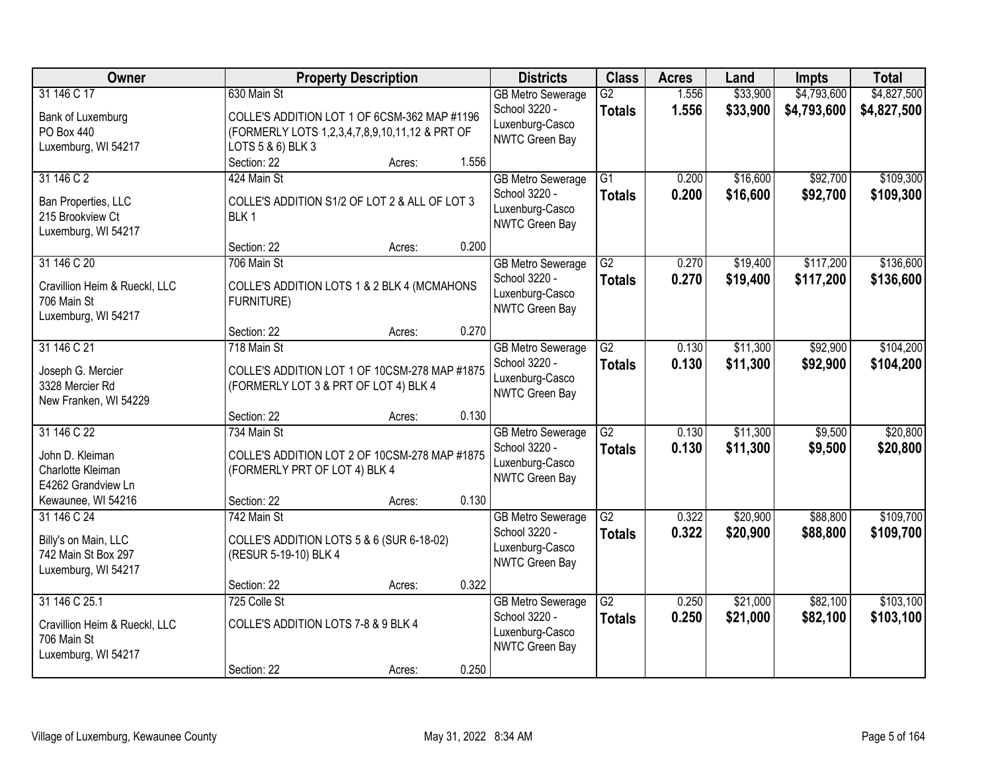| <b>Owner</b>                  | <b>Property Description</b>                    |        |       | <b>Districts</b>         | <b>Class</b>    | <b>Acres</b> | Land     | <b>Impts</b> | <b>Total</b> |
|-------------------------------|------------------------------------------------|--------|-------|--------------------------|-----------------|--------------|----------|--------------|--------------|
| 31 146 C 17                   | 630 Main St                                    |        |       | <b>GB Metro Sewerage</b> | $\overline{G2}$ | 1.556        | \$33,900 | \$4,793,600  | \$4,827,500  |
| Bank of Luxemburg             | COLLE'S ADDITION LOT 1 OF 6CSM-362 MAP #1196   |        |       | School 3220 -            | <b>Totals</b>   | 1.556        | \$33,900 | \$4,793,600  | \$4,827,500  |
| PO Box 440                    | (FORMERLY LOTS 1,2,3,4,7,8,9,10,11,12 & PRT OF |        |       | Luxenburg-Casco          |                 |              |          |              |              |
| Luxemburg, WI 54217           | LOTS 5 & 6) BLK 3                              |        |       | <b>NWTC Green Bay</b>    |                 |              |          |              |              |
|                               | Section: 22                                    | Acres: | 1.556 |                          |                 |              |          |              |              |
| 31 146 C 2                    | 424 Main St                                    |        |       | <b>GB Metro Sewerage</b> | $\overline{G1}$ | 0.200        | \$16,600 | \$92,700     | \$109,300    |
| Ban Properties, LLC           | COLLE'S ADDITION S1/2 OF LOT 2 & ALL OF LOT 3  |        |       | School 3220 -            | <b>Totals</b>   | 0.200        | \$16,600 | \$92,700     | \$109,300    |
| 215 Brookview Ct              | BLK <sub>1</sub>                               |        |       | Luxenburg-Casco          |                 |              |          |              |              |
| Luxemburg, WI 54217           |                                                |        |       | <b>NWTC Green Bay</b>    |                 |              |          |              |              |
|                               | Section: 22                                    | Acres: | 0.200 |                          |                 |              |          |              |              |
| 31 146 C 20                   | 706 Main St                                    |        |       | <b>GB Metro Sewerage</b> | G2              | 0.270        | \$19,400 | \$117,200    | \$136,600    |
| Cravillion Heim & Rueckl, LLC | COLLE'S ADDITION LOTS 1 & 2 BLK 4 (MCMAHONS    |        |       | School 3220 -            | <b>Totals</b>   | 0.270        | \$19,400 | \$117,200    | \$136,600    |
| 706 Main St                   | <b>FURNITURE)</b>                              |        |       | Luxenburg-Casco          |                 |              |          |              |              |
| Luxemburg, WI 54217           |                                                |        |       | NWTC Green Bay           |                 |              |          |              |              |
|                               | Section: 22                                    | Acres: | 0.270 |                          |                 |              |          |              |              |
| 31 146 C 21                   | 718 Main St                                    |        |       | <b>GB Metro Sewerage</b> | $\overline{G2}$ | 0.130        | \$11,300 | \$92,900     | \$104,200    |
| Joseph G. Mercier             | COLLE'S ADDITION LOT 1 OF 10CSM-278 MAP #1875  |        |       | School 3220 -            | <b>Totals</b>   | 0.130        | \$11,300 | \$92,900     | \$104,200    |
| 3328 Mercier Rd               | (FORMERLY LOT 3 & PRT OF LOT 4) BLK 4          |        |       | Luxenburg-Casco          |                 |              |          |              |              |
| New Franken, WI 54229         |                                                |        |       | <b>NWTC Green Bay</b>    |                 |              |          |              |              |
|                               | Section: 22                                    | Acres: | 0.130 |                          |                 |              |          |              |              |
| 31 146 C 22                   | 734 Main St                                    |        |       | <b>GB Metro Sewerage</b> | $\overline{G2}$ | 0.130        | \$11,300 | \$9,500      | \$20,800     |
| John D. Kleiman               | COLLE'S ADDITION LOT 2 OF 10CSM-278 MAP #1875  |        |       | School 3220 -            | <b>Totals</b>   | 0.130        | \$11,300 | \$9,500      | \$20,800     |
| Charlotte Kleiman             | (FORMERLY PRT OF LOT 4) BLK 4                  |        |       | Luxenburg-Casco          |                 |              |          |              |              |
| E4262 Grandview Ln            |                                                |        |       | <b>NWTC Green Bay</b>    |                 |              |          |              |              |
| Kewaunee, WI 54216            | Section: 22                                    | Acres: | 0.130 |                          |                 |              |          |              |              |
| 31 146 C 24                   | 742 Main St                                    |        |       | <b>GB Metro Sewerage</b> | $\overline{G2}$ | 0.322        | \$20,900 | \$88,800     | \$109,700    |
| Billy's on Main, LLC          | COLLE'S ADDITION LOTS 5 & 6 (SUR 6-18-02)      |        |       | School 3220 -            | <b>Totals</b>   | 0.322        | \$20,900 | \$88,800     | \$109,700    |
| 742 Main St Box 297           | (RESUR 5-19-10) BLK 4                          |        |       | Luxenburg-Casco          |                 |              |          |              |              |
| Luxemburg, WI 54217           |                                                |        |       | NWTC Green Bay           |                 |              |          |              |              |
|                               | Section: 22                                    | Acres: | 0.322 |                          |                 |              |          |              |              |
| 31 146 C 25.1                 | 725 Colle St                                   |        |       | <b>GB Metro Sewerage</b> | $\overline{G2}$ | 0.250        | \$21,000 | \$82,100     | \$103,100    |
| Cravillion Heim & Rueckl, LLC | COLLE'S ADDITION LOTS 7-8 & 9 BLK 4            |        |       | School 3220 -            | <b>Totals</b>   | 0.250        | \$21,000 | \$82,100     | \$103,100    |
| 706 Main St                   |                                                |        |       | Luxenburg-Casco          |                 |              |          |              |              |
| Luxemburg, WI 54217           |                                                |        |       | NWTC Green Bay           |                 |              |          |              |              |
|                               | Section: 22                                    | Acres: | 0.250 |                          |                 |              |          |              |              |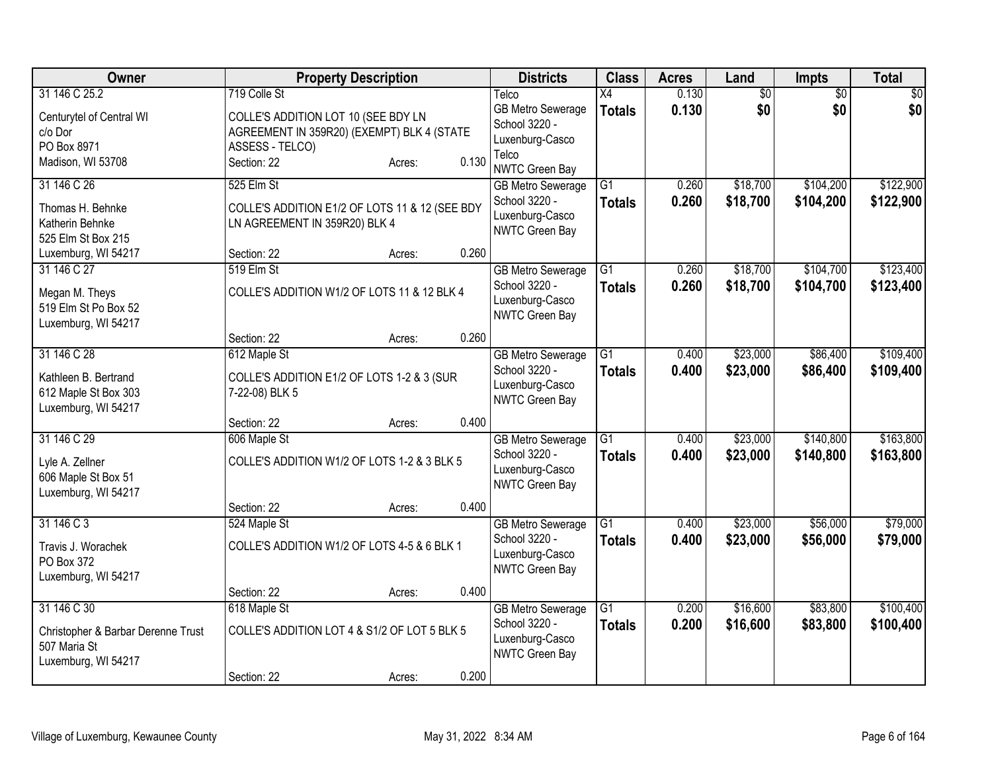| <b>Owner</b>                       |                                                | <b>Property Description</b> |       | <b>Districts</b>                         | <b>Class</b>    | <b>Acres</b> | Land            | <b>Impts</b>    | <b>Total</b> |
|------------------------------------|------------------------------------------------|-----------------------------|-------|------------------------------------------|-----------------|--------------|-----------------|-----------------|--------------|
| 31 146 C 25.2                      | 719 Colle St                                   |                             |       | Telco                                    | X4              | 0.130        | $\overline{50}$ | $\overline{50}$ | \$0          |
| Centurytel of Central WI           | COLLE'S ADDITION LOT 10 (SEE BDY LN            |                             |       | GB Metro Sewerage                        | <b>Totals</b>   | 0.130        | \$0             | \$0             | \$0          |
| c/o Dor                            | AGREEMENT IN 359R20) (EXEMPT) BLK 4 (STATE     |                             |       | School 3220 -<br>Luxenburg-Casco         |                 |              |                 |                 |              |
| PO Box 8971                        | ASSESS - TELCO)                                |                             |       | Telco                                    |                 |              |                 |                 |              |
| Madison, WI 53708                  | Section: 22                                    | Acres:                      | 0.130 | <b>NWTC Green Bay</b>                    |                 |              |                 |                 |              |
| 31 146 C 26                        | 525 Elm St                                     |                             |       | <b>GB Metro Sewerage</b>                 | $\overline{G1}$ | 0.260        | \$18,700        | \$104,200       | \$122,900    |
| Thomas H. Behnke                   | COLLE'S ADDITION E1/2 OF LOTS 11 & 12 (SEE BDY |                             |       | School 3220 -                            | <b>Totals</b>   | 0.260        | \$18,700        | \$104,200       | \$122,900    |
| Katherin Behnke                    | LN AGREEMENT IN 359R20) BLK 4                  |                             |       | Luxenburg-Casco<br><b>NWTC Green Bay</b> |                 |              |                 |                 |              |
| 525 Elm St Box 215                 |                                                |                             |       |                                          |                 |              |                 |                 |              |
| Luxemburg, WI 54217                | Section: 22                                    | Acres:                      | 0.260 |                                          |                 |              |                 |                 |              |
| 31 146 C 27                        | 519 Elm St                                     |                             |       | <b>GB Metro Sewerage</b>                 | $\overline{G1}$ | 0.260        | \$18,700        | \$104,700       | \$123,400    |
| Megan M. Theys                     | COLLE'S ADDITION W1/2 OF LOTS 11 & 12 BLK 4    |                             |       | School 3220 -                            | <b>Totals</b>   | 0.260        | \$18,700        | \$104,700       | \$123,400    |
| 519 Elm St Po Box 52               |                                                |                             |       | Luxenburg-Casco<br>NWTC Green Bay        |                 |              |                 |                 |              |
| Luxemburg, WI 54217                |                                                |                             |       |                                          |                 |              |                 |                 |              |
|                                    | Section: 22                                    | Acres:                      | 0.260 |                                          |                 |              |                 |                 |              |
| 31 146 C 28                        | 612 Maple St                                   |                             |       | <b>GB Metro Sewerage</b>                 | $\overline{G1}$ | 0.400        | \$23,000        | \$86,400        | \$109,400    |
| Kathleen B. Bertrand               | COLLE'S ADDITION E1/2 OF LOTS 1-2 & 3 (SUR     |                             |       | School 3220 -                            | <b>Totals</b>   | 0.400        | \$23,000        | \$86,400        | \$109,400    |
| 612 Maple St Box 303               | 7-22-08) BLK 5                                 |                             |       | Luxenburg-Casco<br><b>NWTC Green Bay</b> |                 |              |                 |                 |              |
| Luxemburg, WI 54217                |                                                |                             |       |                                          |                 |              |                 |                 |              |
|                                    | Section: 22                                    | Acres:                      | 0.400 |                                          |                 |              |                 |                 |              |
| 31 146 C 29                        | 606 Maple St                                   |                             |       | <b>GB Metro Sewerage</b>                 | G1              | 0.400        | \$23,000        | \$140,800       | \$163,800    |
| Lyle A. Zellner                    | COLLE'S ADDITION W1/2 OF LOTS 1-2 & 3 BLK 5    |                             |       | School 3220 -                            | <b>Totals</b>   | 0.400        | \$23,000        | \$140,800       | \$163,800    |
| 606 Maple St Box 51                |                                                |                             |       | Luxenburg-Casco<br>NWTC Green Bay        |                 |              |                 |                 |              |
| Luxemburg, WI 54217                |                                                |                             |       |                                          |                 |              |                 |                 |              |
|                                    | Section: 22                                    | Acres:                      | 0.400 |                                          |                 |              |                 |                 |              |
| 31 146 C 3                         | 524 Maple St                                   |                             |       | <b>GB Metro Sewerage</b>                 | $\overline{G1}$ | 0.400        | \$23,000        | \$56,000        | \$79,000     |
| Travis J. Worachek                 | COLLE'S ADDITION W1/2 OF LOTS 4-5 & 6 BLK 1    |                             |       | School 3220 -                            | <b>Totals</b>   | 0.400        | \$23,000        | \$56,000        | \$79,000     |
| PO Box 372                         |                                                |                             |       | Luxenburg-Casco<br>NWTC Green Bay        |                 |              |                 |                 |              |
| Luxemburg, WI 54217                |                                                |                             |       |                                          |                 |              |                 |                 |              |
|                                    | Section: 22                                    | Acres:                      | 0.400 |                                          |                 |              |                 |                 |              |
| 31 146 C 30                        | 618 Maple St                                   |                             |       | <b>GB Metro Sewerage</b>                 | $\overline{G1}$ | 0.200        | \$16,600        | \$83,800        | \$100,400    |
| Christopher & Barbar Derenne Trust | COLLE'S ADDITION LOT 4 & S1/2 OF LOT 5 BLK 5   |                             |       | School 3220 -<br>Luxenburg-Casco         | <b>Totals</b>   | 0.200        | \$16,600        | \$83,800        | \$100,400    |
| 507 Maria St                       |                                                |                             |       | NWTC Green Bay                           |                 |              |                 |                 |              |
| Luxemburg, WI 54217                |                                                |                             |       |                                          |                 |              |                 |                 |              |
|                                    | Section: 22                                    | Acres:                      | 0.200 |                                          |                 |              |                 |                 |              |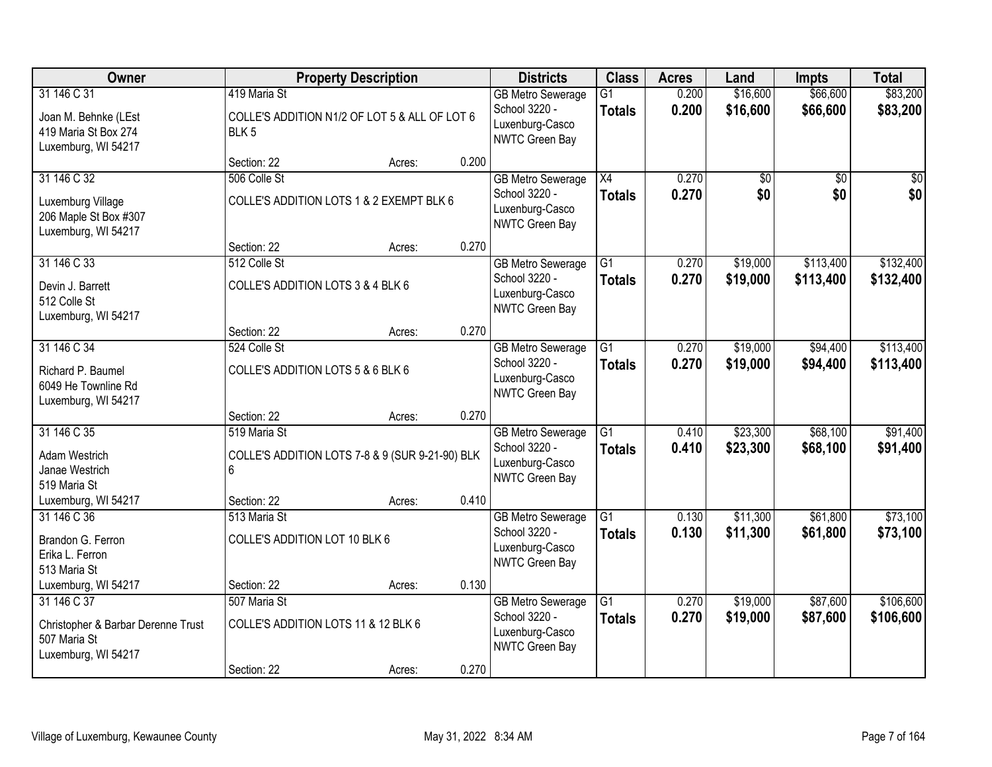| Owner                                                                                    |                                   | <b>Property Description</b>                     |       | <b>Districts</b>                                                               | <b>Class</b>                     | <b>Acres</b>   | Land                 | <b>Impts</b>         | <b>Total</b>           |
|------------------------------------------------------------------------------------------|-----------------------------------|-------------------------------------------------|-------|--------------------------------------------------------------------------------|----------------------------------|----------------|----------------------|----------------------|------------------------|
| 31 146 C 31                                                                              | 419 Maria St                      |                                                 |       | <b>GB Metro Sewerage</b><br>School 3220 -                                      | $\overline{G1}$<br><b>Totals</b> | 0.200<br>0.200 | \$16,600<br>\$16,600 | \$66,600<br>\$66,600 | \$83,200<br>\$83,200   |
| Joan M. Behnke (LEst<br>419 Maria St Box 274<br>Luxemburg, WI 54217                      | BLK <sub>5</sub>                  | COLLE'S ADDITION N1/2 OF LOT 5 & ALL OF LOT 6   |       | Luxenburg-Casco<br>NWTC Green Bay                                              |                                  |                |                      |                      |                        |
|                                                                                          | Section: 22                       | Acres:                                          | 0.200 |                                                                                |                                  |                |                      |                      |                        |
| 31 146 C 32                                                                              | 506 Colle St                      |                                                 |       | <b>GB Metro Sewerage</b>                                                       | $\overline{X4}$                  | 0.270          | \$0                  | \$0                  | \$0                    |
| Luxemburg Village<br>206 Maple St Box #307<br>Luxemburg, WI 54217                        |                                   | COLLE'S ADDITION LOTS 1 & 2 EXEMPT BLK 6        |       | School 3220 -<br>Luxenburg-Casco<br>NWTC Green Bay                             | <b>Totals</b>                    | 0.270          | \$0                  | \$0                  | \$0                    |
|                                                                                          | Section: 22                       | Acres:                                          | 0.270 |                                                                                |                                  |                |                      |                      |                        |
| 31 146 C 33                                                                              | 512 Colle St                      |                                                 |       | <b>GB Metro Sewerage</b>                                                       | G1                               | 0.270          | \$19,000             | \$113,400            | \$132,400              |
| Devin J. Barrett<br>512 Colle St<br>Luxemburg, WI 54217                                  | COLLE'S ADDITION LOTS 3 & 4 BLK 6 |                                                 |       | School 3220 -<br>Luxenburg-Casco<br>NWTC Green Bay                             | <b>Totals</b>                    | 0.270          | \$19,000             | \$113,400            | \$132,400              |
|                                                                                          | Section: 22                       | Acres:                                          | 0.270 |                                                                                |                                  |                |                      |                      |                        |
| 31 146 C 34                                                                              | 524 Colle St                      |                                                 |       | <b>GB Metro Sewerage</b>                                                       | $\overline{G1}$                  | 0.270          | \$19,000             | \$94,400             | \$113,400              |
| Richard P. Baumel<br>6049 He Townline Rd<br>Luxemburg, WI 54217                          | COLLE'S ADDITION LOTS 5 & 6 BLK 6 |                                                 |       | School 3220 -<br>Luxenburg-Casco<br>NWTC Green Bay                             | <b>Totals</b>                    | 0.270          | \$19,000             | \$94,400             | \$113,400              |
|                                                                                          | Section: 22                       | Acres:                                          | 0.270 |                                                                                |                                  |                |                      |                      |                        |
| 31 146 C 35                                                                              | 519 Maria St                      |                                                 |       | <b>GB Metro Sewerage</b>                                                       | $\overline{G1}$                  | 0.410          | \$23,300             | \$68,100             | \$91,400               |
| Adam Westrich<br>Janae Westrich<br>519 Maria St                                          | 6                                 | COLLE'S ADDITION LOTS 7-8 & 9 (SUR 9-21-90) BLK |       | School 3220 -<br>Luxenburg-Casco<br>NWTC Green Bay                             | <b>Totals</b>                    | 0.410          | \$23,300             | \$68,100             | \$91,400               |
| Luxemburg, WI 54217                                                                      | Section: 22                       | Acres:                                          | 0.410 |                                                                                |                                  |                |                      |                      |                        |
| 31 146 C 36                                                                              | 513 Maria St                      |                                                 |       | <b>GB Metro Sewerage</b>                                                       | $\overline{G1}$                  | 0.130          | \$11,300             | \$61,800             | \$73,100               |
| Brandon G. Ferron<br>Erika L. Ferron<br>513 Maria St                                     | COLLE'S ADDITION LOT 10 BLK 6     |                                                 |       | School 3220 -<br>Luxenburg-Casco<br>NWTC Green Bay                             | <b>Totals</b>                    | 0.130          | \$11,300             | \$61,800             | \$73,100               |
| Luxemburg, WI 54217                                                                      | Section: 22                       | Acres:                                          | 0.130 |                                                                                |                                  |                |                      |                      |                        |
| 31 146 C 37<br>Christopher & Barbar Derenne Trust<br>507 Maria St<br>Luxemburg, WI 54217 | 507 Maria St                      | COLLE'S ADDITION LOTS 11 & 12 BLK 6             |       | <b>GB Metro Sewerage</b><br>School 3220 -<br>Luxenburg-Casco<br>NWTC Green Bay | $\overline{G1}$<br><b>Totals</b> | 0.270<br>0.270 | \$19,000<br>\$19,000 | \$87,600<br>\$87,600 | \$106,600<br>\$106,600 |
|                                                                                          | Section: 22                       | Acres:                                          | 0.270 |                                                                                |                                  |                |                      |                      |                        |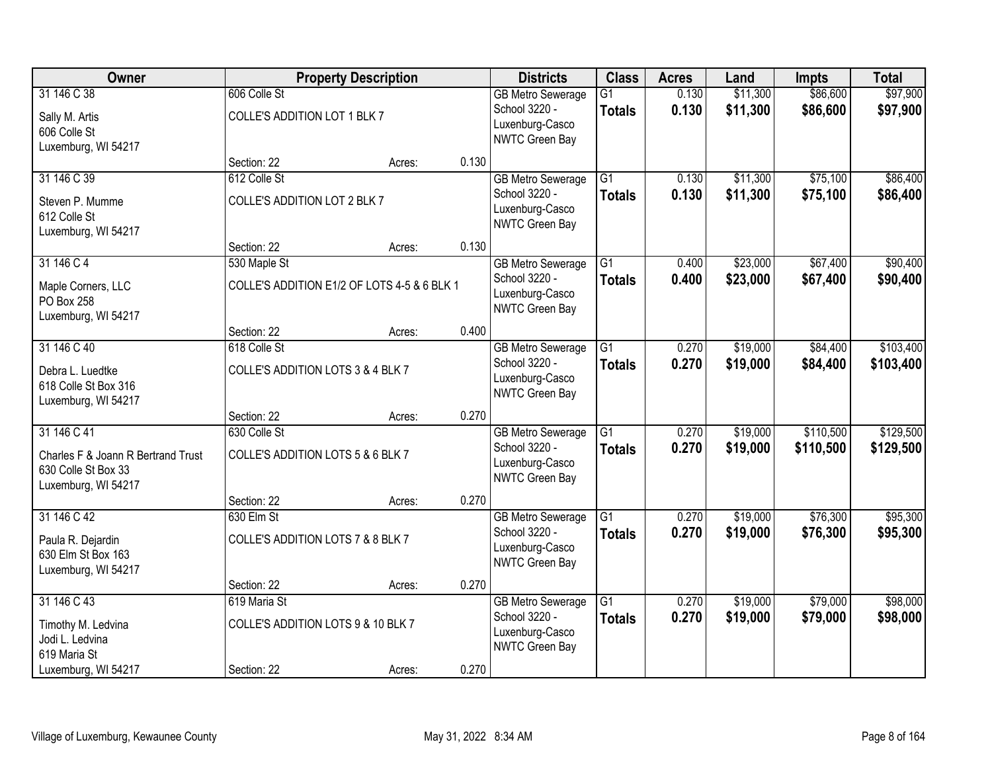| Owner                                                                            |                                              | <b>Property Description</b>                 |       | <b>Districts</b>                                   | <b>Class</b>                     | <b>Acres</b>   | Land                 | <b>Impts</b>         | <b>Total</b>         |
|----------------------------------------------------------------------------------|----------------------------------------------|---------------------------------------------|-------|----------------------------------------------------|----------------------------------|----------------|----------------------|----------------------|----------------------|
| 31 146 C 38                                                                      | 606 Colle St                                 |                                             |       | <b>GB Metro Sewerage</b><br>School 3220 -          | $\overline{G1}$<br><b>Totals</b> | 0.130<br>0.130 | \$11,300<br>\$11,300 | \$86,600<br>\$86,600 | \$97,900<br>\$97,900 |
| Sally M. Artis<br>606 Colle St<br>Luxemburg, WI 54217                            | COLLE'S ADDITION LOT 1 BLK 7                 |                                             |       | Luxenburg-Casco<br>NWTC Green Bay                  |                                  |                |                      |                      |                      |
|                                                                                  | Section: 22                                  | Acres:                                      | 0.130 |                                                    |                                  |                |                      |                      |                      |
| 31 146 C 39<br>Steven P. Mumme                                                   | 612 Colle St<br>COLLE'S ADDITION LOT 2 BLK 7 |                                             |       | <b>GB Metro Sewerage</b><br>School 3220 -          | $\overline{G1}$<br><b>Totals</b> | 0.130<br>0.130 | \$11,300<br>\$11,300 | \$75,100<br>\$75,100 | \$86,400<br>\$86,400 |
| 612 Colle St<br>Luxemburg, WI 54217                                              |                                              |                                             |       | Luxenburg-Casco<br>NWTC Green Bay                  |                                  |                |                      |                      |                      |
|                                                                                  | Section: 22                                  | Acres:                                      | 0.130 |                                                    |                                  |                |                      |                      |                      |
| 31 146 C 4                                                                       | 530 Maple St                                 |                                             |       | <b>GB Metro Sewerage</b>                           | G1                               | 0.400          | \$23,000             | \$67,400             | \$90,400             |
| Maple Corners, LLC<br>PO Box 258<br>Luxemburg, WI 54217                          |                                              | COLLE'S ADDITION E1/2 OF LOTS 4-5 & 6 BLK 1 |       | School 3220 -<br>Luxenburg-Casco<br>NWTC Green Bay | <b>Totals</b>                    | 0.400          | \$23,000             | \$67,400             | \$90,400             |
|                                                                                  | Section: 22                                  | Acres:                                      | 0.400 |                                                    |                                  |                |                      |                      |                      |
| 31 146 C 40                                                                      | 618 Colle St                                 |                                             |       | <b>GB Metro Sewerage</b>                           | G1                               | 0.270          | \$19,000             | \$84,400             | \$103,400            |
| Debra L. Luedtke<br>618 Colle St Box 316<br>Luxemburg, WI 54217                  | COLLE'S ADDITION LOTS 3 & 4 BLK 7            |                                             |       | School 3220 -<br>Luxenburg-Casco<br>NWTC Green Bay | <b>Totals</b>                    | 0.270          | \$19,000             | \$84,400             | \$103,400            |
|                                                                                  | Section: 22                                  | Acres:                                      | 0.270 |                                                    |                                  |                |                      |                      |                      |
| 31 146 C 41                                                                      | 630 Colle St                                 |                                             |       | <b>GB Metro Sewerage</b>                           | $\overline{G1}$                  | 0.270          | \$19,000             | \$110,500            | \$129,500            |
| Charles F & Joann R Bertrand Trust<br>630 Colle St Box 33<br>Luxemburg, WI 54217 | COLLE'S ADDITION LOTS 5 & 6 BLK 7            |                                             |       | School 3220 -<br>Luxenburg-Casco<br>NWTC Green Bay | <b>Totals</b>                    | 0.270          | \$19,000             | \$110,500            | \$129,500            |
|                                                                                  | Section: 22                                  | Acres:                                      | 0.270 |                                                    |                                  |                |                      |                      |                      |
| 31 146 C 42                                                                      | 630 Elm St                                   |                                             |       | <b>GB Metro Sewerage</b>                           | $\overline{G1}$                  | 0.270          | \$19,000             | \$76,300             | \$95,300             |
| Paula R. Dejardin<br>630 Elm St Box 163<br>Luxemburg, WI 54217                   | COLLE'S ADDITION LOTS 7 & 8 BLK 7            |                                             |       | School 3220 -<br>Luxenburg-Casco<br>NWTC Green Bay | <b>Totals</b>                    | 0.270          | \$19,000             | \$76,300             | \$95,300             |
|                                                                                  | Section: 22                                  | Acres:                                      | 0.270 |                                                    |                                  |                |                      |                      |                      |
| 31 146 C 43                                                                      | 619 Maria St                                 |                                             |       | <b>GB Metro Sewerage</b>                           | $\overline{G1}$                  | 0.270          | \$19,000             | \$79,000             | \$98,000             |
| Timothy M. Ledvina<br>Jodi L. Ledvina<br>619 Maria St                            | COLLE'S ADDITION LOTS 9 & 10 BLK 7           |                                             |       | School 3220 -<br>Luxenburg-Casco<br>NWTC Green Bay | <b>Totals</b>                    | 0.270          | \$19,000             | \$79,000             | \$98,000             |
| Luxemburg, WI 54217                                                              | Section: 22                                  | Acres:                                      | 0.270 |                                                    |                                  |                |                      |                      |                      |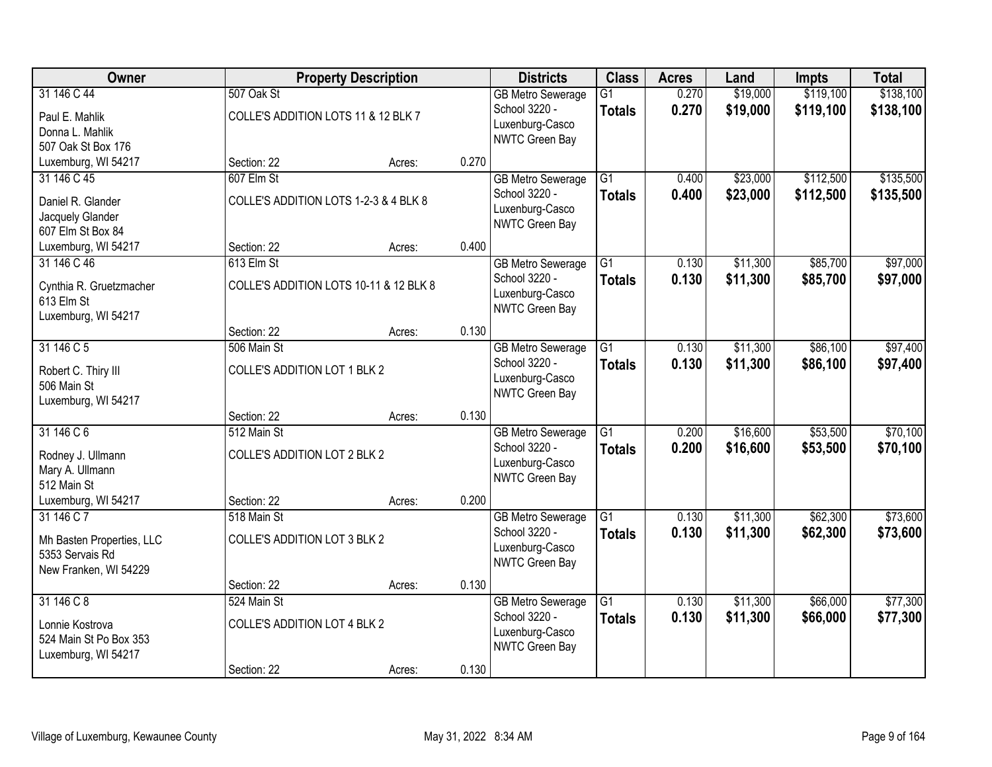| Owner                                                                               |                                                                   | <b>Property Description</b>            |       | <b>Districts</b>                                                                      | <b>Class</b>                     | <b>Acres</b>   | Land                 | <b>Impts</b>           | <b>Total</b>           |
|-------------------------------------------------------------------------------------|-------------------------------------------------------------------|----------------------------------------|-------|---------------------------------------------------------------------------------------|----------------------------------|----------------|----------------------|------------------------|------------------------|
| 31 146 C 44<br>Paul E. Mahlik<br>Donna L. Mahlik<br>507 Oak St Box 176              | 507 Oak St<br>COLLE'S ADDITION LOTS 11 & 12 BLK 7                 |                                        |       | <b>GB Metro Sewerage</b><br>School 3220 -<br>Luxenburg-Casco<br>NWTC Green Bay        | $\overline{G1}$<br><b>Totals</b> | 0.270<br>0.270 | \$19,000<br>\$19,000 | \$119,100<br>\$119,100 | \$138,100<br>\$138,100 |
| Luxemburg, WI 54217                                                                 | Section: 22                                                       | Acres:                                 | 0.270 |                                                                                       |                                  |                |                      |                        |                        |
| 31 146 C 45<br>Daniel R. Glander<br>Jacquely Glander<br>607 Elm St Box 84           | 607 Elm St<br>COLLE'S ADDITION LOTS 1-2-3 & 4 BLK 8               |                                        |       | <b>GB Metro Sewerage</b><br>School 3220 -<br>Luxenburg-Casco<br>NWTC Green Bay        | $\overline{G1}$<br><b>Totals</b> | 0.400<br>0.400 | \$23,000<br>\$23,000 | \$112,500<br>\$112,500 | \$135,500<br>\$135,500 |
| Luxemburg, WI 54217                                                                 | Section: 22                                                       | Acres:                                 | 0.400 |                                                                                       |                                  |                |                      |                        |                        |
| 31 146 C 46<br>Cynthia R. Gruetzmacher<br>613 Elm St<br>Luxemburg, WI 54217         | 613 Elm St                                                        | COLLE'S ADDITION LOTS 10-11 & 12 BLK 8 |       | <b>GB Metro Sewerage</b><br>School 3220 -<br>Luxenburg-Casco<br>NWTC Green Bay        | G1<br><b>Totals</b>              | 0.130<br>0.130 | \$11,300<br>\$11,300 | \$85,700<br>\$85,700   | \$97,000<br>\$97,000   |
|                                                                                     | Section: 22                                                       | Acres:                                 | 0.130 |                                                                                       |                                  |                |                      |                        |                        |
| 31 146 C 5<br>Robert C. Thiry III<br>506 Main St<br>Luxemburg, WI 54217             | 506 Main St<br>COLLE'S ADDITION LOT 1 BLK 2                       |                                        |       | <b>GB</b> Metro Sewerage<br>School 3220 -<br>Luxenburg-Casco<br><b>NWTC Green Bay</b> | $\overline{G1}$<br><b>Totals</b> | 0.130<br>0.130 | \$11,300<br>\$11,300 | \$86,100<br>\$86,100   | \$97,400<br>\$97,400   |
|                                                                                     | Section: 22                                                       | Acres:                                 | 0.130 |                                                                                       |                                  |                |                      |                        |                        |
| 31 146 C 6<br>Rodney J. Ullmann<br>Mary A. Ullmann<br>512 Main St                   | 512 Main St<br>COLLE'S ADDITION LOT 2 BLK 2                       |                                        |       | <b>GB Metro Sewerage</b><br>School 3220 -<br>Luxenburg-Casco<br>NWTC Green Bay        | $\overline{G1}$<br><b>Totals</b> | 0.200<br>0.200 | \$16,600<br>\$16,600 | \$53,500<br>\$53,500   | \$70,100<br>\$70,100   |
| Luxemburg, WI 54217                                                                 | Section: 22                                                       | Acres:                                 | 0.200 |                                                                                       |                                  |                |                      |                        |                        |
| 31 146 C 7<br>Mh Basten Properties, LLC<br>5353 Servais Rd<br>New Franken, WI 54229 | 518 Main St<br>COLLE'S ADDITION LOT 3 BLK 2                       |                                        |       | <b>GB Metro Sewerage</b><br>School 3220 -<br>Luxenburg-Casco<br>NWTC Green Bay        | $\overline{G1}$<br><b>Totals</b> | 0.130<br>0.130 | \$11,300<br>\$11,300 | \$62,300<br>\$62,300   | \$73,600<br>\$73,600   |
|                                                                                     | Section: 22                                                       | Acres:                                 | 0.130 |                                                                                       |                                  |                |                      |                        |                        |
| 31 146 C 8<br>Lonnie Kostrova<br>524 Main St Po Box 353<br>Luxemburg, WI 54217      | 524 Main St<br><b>COLLE'S ADDITION LOT 4 BLK 2</b><br>Section: 22 |                                        | 0.130 | <b>GB Metro Sewerage</b><br>School 3220 -<br>Luxenburg-Casco<br>NWTC Green Bay        | $\overline{G1}$<br><b>Totals</b> | 0.130<br>0.130 | \$11,300<br>\$11,300 | \$66,000<br>\$66,000   | \$77,300<br>\$77,300   |
|                                                                                     |                                                                   | Acres:                                 |       |                                                                                       |                                  |                |                      |                        |                        |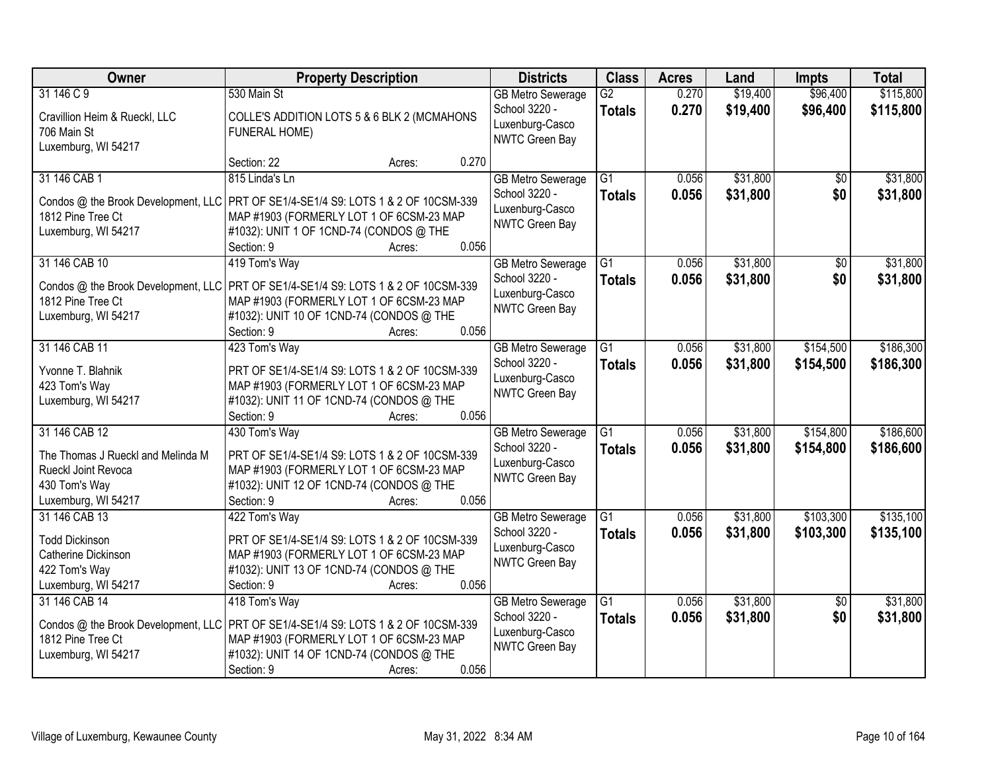| Owner                                                                                            | <b>Property Description</b>                                                                                                                                                                                   | <b>Districts</b>                                                               | <b>Class</b>                     | <b>Acres</b>   | Land                 | <b>Impts</b>         | <b>Total</b>           |
|--------------------------------------------------------------------------------------------------|---------------------------------------------------------------------------------------------------------------------------------------------------------------------------------------------------------------|--------------------------------------------------------------------------------|----------------------------------|----------------|----------------------|----------------------|------------------------|
| 31 146 C 9<br>Cravillion Heim & Rueckl, LLC<br>706 Main St<br>Luxemburg, WI 54217                | 530 Main St<br>COLLE'S ADDITION LOTS 5 & 6 BLK 2 (MCMAHONS<br>FUNERAL HOME)                                                                                                                                   | <b>GB Metro Sewerage</b><br>School 3220 -<br>Luxenburg-Casco<br>NWTC Green Bay | G2<br><b>Totals</b>              | 0.270<br>0.270 | \$19,400<br>\$19,400 | \$96,400<br>\$96,400 | \$115,800<br>\$115,800 |
|                                                                                                  | 0.270<br>Section: 22<br>Acres:                                                                                                                                                                                |                                                                                |                                  |                |                      |                      |                        |
| 31 146 CAB 1<br>Condos @ the Brook Development, LLC<br>1812 Pine Tree Ct<br>Luxemburg, WI 54217  | 815 Linda's Ln<br>PRT OF SE1/4-SE1/4 S9: LOTS 1 & 2 OF 10CSM-339<br>MAP #1903 (FORMERLY LOT 1 OF 6CSM-23 MAP<br>#1032): UNIT 1 OF 1CND-74 (CONDOS @ THE<br>0.056<br>Section: 9<br>Acres:                      | <b>GB Metro Sewerage</b><br>School 3220 -<br>Luxenburg-Casco<br>NWTC Green Bay | $\overline{G1}$<br><b>Totals</b> | 0.056<br>0.056 | \$31,800<br>\$31,800 | \$0<br>\$0           | \$31,800<br>\$31,800   |
| 31 146 CAB 10                                                                                    | 419 Tom's Way                                                                                                                                                                                                 | <b>GB Metro Sewerage</b>                                                       | $\overline{G1}$                  | 0.056          | \$31,800             | $\overline{50}$      | \$31,800               |
| 1812 Pine Tree Ct<br>Luxemburg, WI 54217                                                         | Condos @ the Brook Development, LLC   PRT OF SE1/4-SE1/4 S9: LOTS 1 & 2 OF 10CSM-339<br>MAP #1903 (FORMERLY LOT 1 OF 6CSM-23 MAP<br>#1032): UNIT 10 OF 1CND-74 (CONDOS @ THE<br>0.056<br>Section: 9<br>Acres: | School 3220 -<br>Luxenburg-Casco<br>NWTC Green Bay                             | <b>Totals</b>                    | 0.056          | \$31,800             | \$0                  | \$31,800               |
| 31 146 CAB 11                                                                                    | 423 Tom's Way                                                                                                                                                                                                 | <b>GB Metro Sewerage</b>                                                       | G1                               | 0.056          | \$31,800             | \$154,500            | \$186,300              |
| Yvonne T. Blahnik<br>423 Tom's Way<br>Luxemburg, WI 54217                                        | PRT OF SE1/4-SE1/4 S9: LOTS 1 & 2 OF 10CSM-339<br>MAP #1903 (FORMERLY LOT 1 OF 6CSM-23 MAP<br>#1032): UNIT 11 OF 1CND-74 (CONDOS @ THE<br>0.056<br>Section: 9<br>Acres:                                       | School 3220 -<br>Luxenburg-Casco<br>NWTC Green Bay                             | <b>Totals</b>                    | 0.056          | \$31,800             | \$154,500            | \$186,300              |
| 31 146 CAB 12                                                                                    | 430 Tom's Way                                                                                                                                                                                                 | <b>GB Metro Sewerage</b>                                                       | $\overline{G1}$                  | 0.056          | \$31,800             | \$154,800            | \$186,600              |
| The Thomas J Rueckl and Melinda M<br>Rueckl Joint Revoca<br>430 Tom's Way<br>Luxemburg, WI 54217 | PRT OF SE1/4-SE1/4 S9: LOTS 1 & 2 OF 10CSM-339<br>MAP #1903 (FORMERLY LOT 1 OF 6CSM-23 MAP<br>#1032): UNIT 12 OF 1CND-74 (CONDOS @ THE<br>Section: 9<br>0.056<br>Acres:                                       | School 3220 -<br>Luxenburg-Casco<br>NWTC Green Bay                             | <b>Totals</b>                    | 0.056          | \$31,800             | \$154,800            | \$186,600              |
| 31 146 CAB 13                                                                                    | 422 Tom's Way                                                                                                                                                                                                 | <b>GB Metro Sewerage</b>                                                       | $\overline{G1}$                  | 0.056          | \$31,800             | \$103,300            | \$135,100              |
| <b>Todd Dickinson</b><br>Catherine Dickinson<br>422 Tom's Way<br>Luxemburg, WI 54217             | PRT OF SE1/4-SE1/4 S9: LOTS 1 & 2 OF 10CSM-339<br>MAP #1903 (FORMERLY LOT 1 OF 6CSM-23 MAP<br>#1032): UNIT 13 OF 1CND-74 (CONDOS @ THE<br>Section: 9<br>0.056<br>Acres:                                       | School 3220 -<br>Luxenburg-Casco<br>NWTC Green Bay                             | <b>Totals</b>                    | 0.056          | \$31,800             | \$103,300            | \$135,100              |
| 31 146 CAB 14                                                                                    | 418 Tom's Way                                                                                                                                                                                                 | <b>GB Metro Sewerage</b>                                                       | $\overline{G1}$                  | 0.056          | \$31,800             | $\overline{30}$      | \$31,800               |
| 1812 Pine Tree Ct<br>Luxemburg, WI 54217                                                         | Condos @ the Brook Development, LLC   PRT OF SE1/4-SE1/4 S9: LOTS 1 & 2 OF 10CSM-339<br>MAP #1903 (FORMERLY LOT 1 OF 6CSM-23 MAP<br>#1032): UNIT 14 OF 1CND-74 (CONDOS @ THE<br>0.056<br>Section: 9<br>Acres: | School 3220 -<br>Luxenburg-Casco<br>NWTC Green Bay                             | <b>Totals</b>                    | 0.056          | \$31,800             | \$0                  | \$31,800               |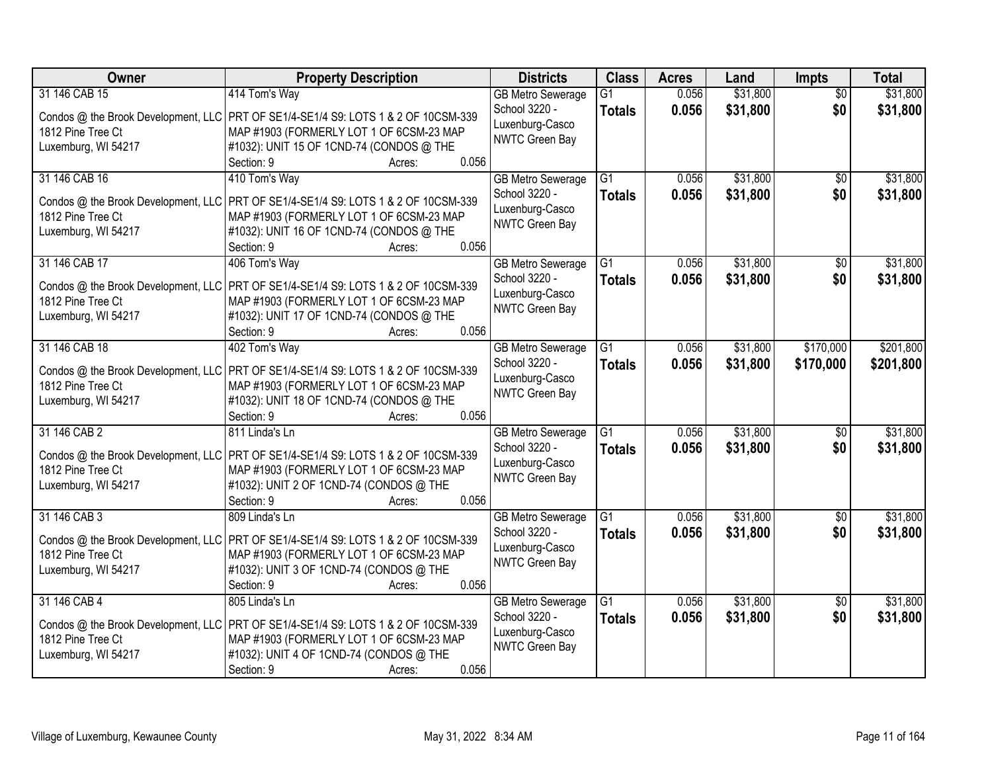| <b>Owner</b>                             | <b>Property Description</b>                                                                                                      | <b>Districts</b>         | <b>Class</b>    | <b>Acres</b> | Land     | Impts           | <b>Total</b> |
|------------------------------------------|----------------------------------------------------------------------------------------------------------------------------------|--------------------------|-----------------|--------------|----------|-----------------|--------------|
| 31 146 CAB 15                            | 414 Tom's Way                                                                                                                    | <b>GB Metro Sewerage</b> | $\overline{G1}$ | 0.056        | \$31,800 | $\overline{50}$ | \$31,800     |
|                                          | Condos @ the Brook Development, LLC PRT OF SE1/4-SE1/4 S9: LOTS 1 & 2 OF 10CSM-339                                               | School 3220 -            | <b>Totals</b>   | 0.056        | \$31,800 | \$0             | \$31,800     |
| 1812 Pine Tree Ct                        | MAP #1903 (FORMERLY LOT 1 OF 6CSM-23 MAP                                                                                         | Luxenburg-Casco          |                 |              |          |                 |              |
| Luxemburg, WI 54217                      | #1032): UNIT 15 OF 1CND-74 (CONDOS @ THE                                                                                         | <b>NWTC Green Bay</b>    |                 |              |          |                 |              |
|                                          | 0.056<br>Section: 9<br>Acres:                                                                                                    |                          |                 |              |          |                 |              |
| 31 146 CAB 16                            | 410 Tom's Way                                                                                                                    | <b>GB Metro Sewerage</b> | $\overline{G1}$ | 0.056        | \$31,800 | \$0             | \$31,800     |
| Condos @ the Brook Development, LLC      | PRT OF SE1/4-SE1/4 S9: LOTS 1 & 2 OF 10CSM-339                                                                                   | School 3220 -            | <b>Totals</b>   | 0.056        | \$31,800 | \$0             | \$31,800     |
| 1812 Pine Tree Ct                        | MAP #1903 (FORMERLY LOT 1 OF 6CSM-23 MAP                                                                                         | Luxenburg-Casco          |                 |              |          |                 |              |
| Luxemburg, WI 54217                      | #1032): UNIT 16 OF 1CND-74 (CONDOS @ THE                                                                                         | <b>NWTC Green Bay</b>    |                 |              |          |                 |              |
|                                          | 0.056<br>Section: 9<br>Acres:                                                                                                    |                          |                 |              |          |                 |              |
| 31 146 CAB 17                            | 406 Tom's Way                                                                                                                    | <b>GB Metro Sewerage</b> | $\overline{G1}$ | 0.056        | \$31,800 | $\overline{50}$ | \$31,800     |
| Condos @ the Brook Development, LLC      | PRT OF SE1/4-SE1/4 S9: LOTS 1 & 2 OF 10CSM-339                                                                                   | School 3220 -            | <b>Totals</b>   | 0.056        | \$31,800 | \$0             | \$31,800     |
| 1812 Pine Tree Ct                        | MAP #1903 (FORMERLY LOT 1 OF 6CSM-23 MAP                                                                                         | Luxenburg-Casco          |                 |              |          |                 |              |
| Luxemburg, WI 54217                      | #1032): UNIT 17 OF 1CND-74 (CONDOS @ THE                                                                                         | <b>NWTC Green Bay</b>    |                 |              |          |                 |              |
|                                          | 0.056<br>Section: 9<br>Acres:                                                                                                    |                          |                 |              |          |                 |              |
| 31 146 CAB 18                            | 402 Tom's Way                                                                                                                    | <b>GB Metro Sewerage</b> | G1              | 0.056        | \$31,800 | \$170,000       | \$201,800    |
|                                          |                                                                                                                                  | School 3220 -            | <b>Totals</b>   | 0.056        | \$31,800 | \$170,000       | \$201,800    |
| 1812 Pine Tree Ct                        | Condos @ the Brook Development, LLC   PRT OF SE1/4-SE1/4 S9: LOTS 1 & 2 OF 10CSM-339<br>MAP #1903 (FORMERLY LOT 1 OF 6CSM-23 MAP | Luxenburg-Casco          |                 |              |          |                 |              |
| Luxemburg, WI 54217                      | #1032): UNIT 18 OF 1CND-74 (CONDOS @ THE                                                                                         | NWTC Green Bay           |                 |              |          |                 |              |
|                                          | 0.056<br>Section: 9<br>Acres:                                                                                                    |                          |                 |              |          |                 |              |
| 31 146 CAB 2                             | 811 Linda's Ln                                                                                                                   | <b>GB Metro Sewerage</b> | $\overline{G1}$ | 0.056        | \$31,800 | \$0             | \$31,800     |
|                                          |                                                                                                                                  | School 3220 -            | <b>Totals</b>   | 0.056        | \$31,800 | \$0             | \$31,800     |
| Condos @ the Brook Development, LLC      | PRT OF SE1/4-SE1/4 S9: LOTS 1 & 2 OF 10CSM-339                                                                                   | Luxenburg-Casco          |                 |              |          |                 |              |
| 1812 Pine Tree Ct<br>Luxemburg, WI 54217 | MAP #1903 (FORMERLY LOT 1 OF 6CSM-23 MAP<br>#1032): UNIT 2 OF 1CND-74 (CONDOS @ THE                                              | <b>NWTC Green Bay</b>    |                 |              |          |                 |              |
|                                          | Section: 9<br>0.056<br>Acres:                                                                                                    |                          |                 |              |          |                 |              |
| 31 146 CAB 3                             | 809 Linda's Ln                                                                                                                   | <b>GB Metro Sewerage</b> | $\overline{G1}$ | 0.056        | \$31,800 | $\overline{60}$ | \$31,800     |
|                                          |                                                                                                                                  | School 3220 -            | <b>Totals</b>   | 0.056        | \$31,800 | \$0             | \$31,800     |
| Condos @ the Brook Development, LLC      | PRT OF SE1/4-SE1/4 S9: LOTS 1 & 2 OF 10CSM-339                                                                                   | Luxenburg-Casco          |                 |              |          |                 |              |
| 1812 Pine Tree Ct                        | MAP #1903 (FORMERLY LOT 1 OF 6CSM-23 MAP                                                                                         | <b>NWTC Green Bay</b>    |                 |              |          |                 |              |
| Luxemburg, WI 54217                      | #1032): UNIT 3 OF 1CND-74 (CONDOS @ THE<br>Section: 9<br>0.056                                                                   |                          |                 |              |          |                 |              |
| 31 146 CAB 4                             | Acres:<br>805 Linda's Ln                                                                                                         | <b>GB Metro Sewerage</b> | $\overline{G1}$ | 0.056        | \$31,800 | $\overline{30}$ | \$31,800     |
|                                          |                                                                                                                                  | School 3220 -            | <b>Totals</b>   | 0.056        | \$31,800 | \$0             | \$31,800     |
|                                          | Condos @ the Brook Development, LLC   PRT OF SE1/4-SE1/4 S9: LOTS 1 & 2 OF 10CSM-339                                             | Luxenburg-Casco          |                 |              |          |                 |              |
| 1812 Pine Tree Ct                        | MAP #1903 (FORMERLY LOT 1 OF 6CSM-23 MAP                                                                                         | <b>NWTC Green Bay</b>    |                 |              |          |                 |              |
| Luxemburg, WI 54217                      | #1032): UNIT 4 OF 1CND-74 (CONDOS @ THE                                                                                          |                          |                 |              |          |                 |              |
|                                          | 0.056<br>Section: 9<br>Acres:                                                                                                    |                          |                 |              |          |                 |              |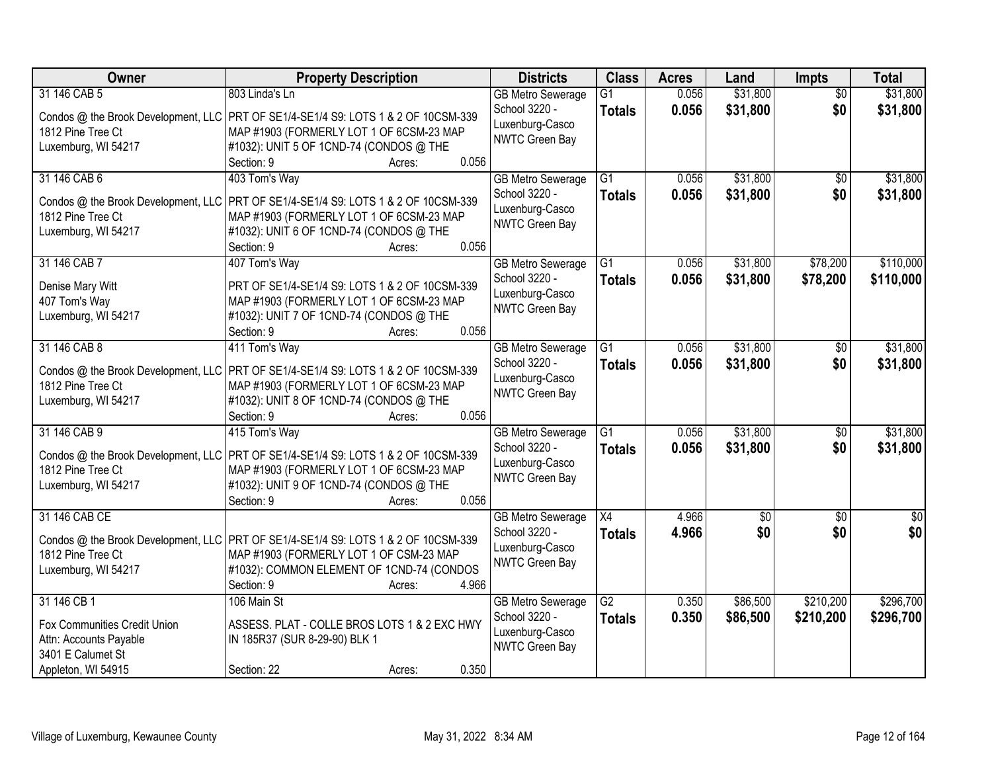| Owner                               | <b>Property Description</b>                                                          | <b>Districts</b>                          | <b>Class</b>        | <b>Acres</b>   | Land                 | <b>Impts</b>           | <b>Total</b>         |
|-------------------------------------|--------------------------------------------------------------------------------------|-------------------------------------------|---------------------|----------------|----------------------|------------------------|----------------------|
| 31 146 CAB 5                        | 803 Linda's Ln                                                                       | <b>GB Metro Sewerage</b><br>School 3220 - | G1<br><b>Totals</b> | 0.056<br>0.056 | \$31,800<br>\$31,800 | $\overline{50}$<br>\$0 | \$31,800<br>\$31,800 |
|                                     | Condos @ the Brook Development, LLC PRT OF SE1/4-SE1/4 S9: LOTS 1 & 2 OF 10CSM-339   | Luxenburg-Casco                           |                     |                |                      |                        |                      |
| 1812 Pine Tree Ct                   | MAP #1903 (FORMERLY LOT 1 OF 6CSM-23 MAP                                             | NWTC Green Bay                            |                     |                |                      |                        |                      |
| Luxemburg, WI 54217                 | #1032): UNIT 5 OF 1CND-74 (CONDOS @ THE                                              |                                           |                     |                |                      |                        |                      |
|                                     | 0.056<br>Section: 9<br>Acres:                                                        |                                           |                     |                |                      |                        |                      |
| 31 146 CAB 6                        | 403 Tom's Way                                                                        | <b>GB Metro Sewerage</b>                  | $\overline{G1}$     | 0.056          | \$31,800             | \$0                    | \$31,800             |
| Condos @ the Brook Development, LLC | PRT OF SE1/4-SE1/4 S9: LOTS 1 & 2 OF 10CSM-339                                       | School 3220 -                             | <b>Totals</b>       | 0.056          | \$31,800             | \$0                    | \$31,800             |
| 1812 Pine Tree Ct                   | MAP #1903 (FORMERLY LOT 1 OF 6CSM-23 MAP                                             | Luxenburg-Casco<br>NWTC Green Bay         |                     |                |                      |                        |                      |
| Luxemburg, WI 54217                 | #1032): UNIT 6 OF 1CND-74 (CONDOS @ THE                                              |                                           |                     |                |                      |                        |                      |
|                                     | 0.056<br>Section: 9<br>Acres:                                                        |                                           |                     |                |                      |                        |                      |
| 31 146 CAB 7                        | 407 Tom's Way                                                                        | <b>GB Metro Sewerage</b>                  | $\overline{G1}$     | 0.056          | \$31,800             | \$78,200               | \$110,000            |
| Denise Mary Witt                    | PRT OF SE1/4-SE1/4 S9: LOTS 1 & 2 OF 10CSM-339                                       | School 3220 -                             | <b>Totals</b>       | 0.056          | \$31,800             | \$78,200               | \$110,000            |
| 407 Tom's Way                       | MAP #1903 (FORMERLY LOT 1 OF 6CSM-23 MAP                                             | Luxenburg-Casco                           |                     |                |                      |                        |                      |
| Luxemburg, WI 54217                 | #1032): UNIT 7 OF 1CND-74 (CONDOS @ THE                                              | NWTC Green Bay                            |                     |                |                      |                        |                      |
|                                     | 0.056<br>Section: 9<br>Acres:                                                        |                                           |                     |                |                      |                        |                      |
| 31 146 CAB 8                        | 411 Tom's Way                                                                        | <b>GB Metro Sewerage</b>                  | G1                  | 0.056          | \$31,800             | $\sqrt[6]{}$           | \$31,800             |
|                                     |                                                                                      | School 3220 -                             | <b>Totals</b>       | 0.056          | \$31,800             | \$0                    | \$31,800             |
| 1812 Pine Tree Ct                   | Condos @ the Brook Development, LLC   PRT OF SE1/4-SE1/4 S9: LOTS 1 & 2 OF 10CSM-339 | Luxenburg-Casco                           |                     |                |                      |                        |                      |
| Luxemburg, WI 54217                 | MAP #1903 (FORMERLY LOT 1 OF 6CSM-23 MAP<br>#1032): UNIT 8 OF 1CND-74 (CONDOS @ THE  | NWTC Green Bay                            |                     |                |                      |                        |                      |
|                                     | 0.056<br>Section: 9<br>Acres:                                                        |                                           |                     |                |                      |                        |                      |
| 31 146 CAB 9                        | 415 Tom's Way                                                                        | <b>GB</b> Metro Sewerage                  | $\overline{G1}$     | 0.056          | \$31,800             | \$0                    | \$31,800             |
|                                     |                                                                                      | School 3220 -                             | <b>Totals</b>       | 0.056          | \$31,800             | \$0                    | \$31,800             |
|                                     | Condos @ the Brook Development, LLC   PRT OF SE1/4-SE1/4 S9: LOTS 1 & 2 OF 10CSM-339 | Luxenburg-Casco                           |                     |                |                      |                        |                      |
| 1812 Pine Tree Ct                   | MAP #1903 (FORMERLY LOT 1 OF 6CSM-23 MAP                                             | NWTC Green Bay                            |                     |                |                      |                        |                      |
| Luxemburg, WI 54217                 | #1032): UNIT 9 OF 1CND-74 (CONDOS @ THE                                              |                                           |                     |                |                      |                        |                      |
|                                     | 0.056<br>Section: 9<br>Acres:                                                        |                                           |                     |                |                      |                        |                      |
| 31 146 CAB CE                       |                                                                                      | <b>GB Metro Sewerage</b>                  | $\overline{X4}$     | 4.966          | $\sqrt{50}$          | $\overline{50}$        | $\overline{50}$      |
|                                     | Condos @ the Brook Development, LLC PRT OF SE1/4-SE1/4 S9: LOTS 1 & 2 OF 10CSM-339   | School 3220 -                             | <b>Totals</b>       | 4.966          | \$0                  | \$0                    | \$0                  |
| 1812 Pine Tree Ct                   | MAP #1903 (FORMERLY LOT 1 OF CSM-23 MAP                                              | Luxenburg-Casco                           |                     |                |                      |                        |                      |
| Luxemburg, WI 54217                 | #1032): COMMON ELEMENT OF 1CND-74 (CONDOS                                            | NWTC Green Bay                            |                     |                |                      |                        |                      |
|                                     | Section: 9<br>4.966<br>Acres:                                                        |                                           |                     |                |                      |                        |                      |
| 31 146 CB 1                         | 106 Main St                                                                          | <b>GB Metro Sewerage</b>                  | $\overline{G2}$     | 0.350          | \$86,500             | \$210,200              | \$296,700            |
| Fox Communities Credit Union        | ASSESS. PLAT - COLLE BROS LOTS 1 & 2 EXC HWY                                         | School 3220 -                             | <b>Totals</b>       | 0.350          | \$86,500             | \$210,200              | \$296,700            |
| Attn: Accounts Payable              | IN 185R37 (SUR 8-29-90) BLK 1                                                        | Luxenburg-Casco                           |                     |                |                      |                        |                      |
| 3401 E Calumet St                   |                                                                                      | NWTC Green Bay                            |                     |                |                      |                        |                      |
| Appleton, WI 54915                  | 0.350<br>Section: 22<br>Acres:                                                       |                                           |                     |                |                      |                        |                      |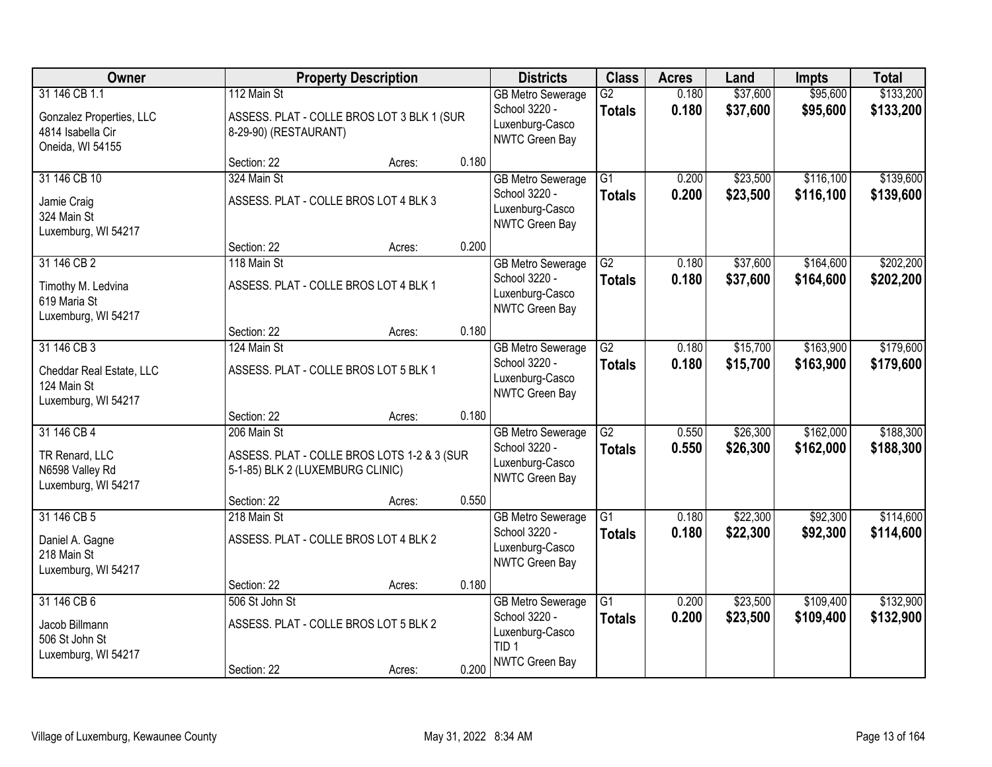| Owner                                                                              |                                                         | <b>Property Description</b>                 |       | <b>Districts</b>                                                                                   | <b>Class</b>                     | <b>Acres</b>   | Land                 | <b>Impts</b>           | <b>Total</b>           |
|------------------------------------------------------------------------------------|---------------------------------------------------------|---------------------------------------------|-------|----------------------------------------------------------------------------------------------------|----------------------------------|----------------|----------------------|------------------------|------------------------|
| 31 146 CB 1.1<br>Gonzalez Properties, LLC<br>4814 Isabella Cir<br>Oneida, WI 54155 | 112 Main St<br>8-29-90) (RESTAURANT)                    | ASSESS. PLAT - COLLE BROS LOT 3 BLK 1 (SUR  |       | <b>GB Metro Sewerage</b><br>School 3220 -<br>Luxenburg-Casco<br>NWTC Green Bay                     | $\overline{G2}$<br><b>Totals</b> | 0.180<br>0.180 | \$37,600<br>\$37,600 | \$95,600<br>\$95,600   | \$133,200<br>\$133,200 |
|                                                                                    | Section: 22                                             | Acres:                                      | 0.180 |                                                                                                    |                                  |                |                      |                        |                        |
| 31 146 CB 10<br>Jamie Craig<br>324 Main St<br>Luxemburg, WI 54217                  | 324 Main St<br>ASSESS. PLAT - COLLE BROS LOT 4 BLK 3    |                                             |       | <b>GB Metro Sewerage</b><br>School 3220 -<br>Luxenburg-Casco<br>NWTC Green Bay                     | $\overline{G1}$<br><b>Totals</b> | 0.200<br>0.200 | \$23,500<br>\$23,500 | \$116,100<br>\$116,100 | \$139,600<br>\$139,600 |
|                                                                                    | Section: 22                                             | Acres:                                      | 0.200 |                                                                                                    |                                  |                |                      |                        |                        |
| 31 146 CB 2<br>Timothy M. Ledvina<br>619 Maria St<br>Luxemburg, WI 54217           | 118 Main St<br>ASSESS. PLAT - COLLE BROS LOT 4 BLK 1    |                                             |       | <b>GB Metro Sewerage</b><br>School 3220 -<br>Luxenburg-Casco<br>NWTC Green Bay                     | $\overline{G2}$<br><b>Totals</b> | 0.180<br>0.180 | \$37,600<br>\$37,600 | \$164,600<br>\$164,600 | \$202,200<br>\$202,200 |
|                                                                                    | Section: 22                                             | Acres:                                      | 0.180 |                                                                                                    |                                  |                |                      |                        |                        |
| 31 146 CB 3<br>Cheddar Real Estate, LLC<br>124 Main St<br>Luxemburg, WI 54217      | 124 Main St<br>ASSESS. PLAT - COLLE BROS LOT 5 BLK 1    |                                             |       | <b>GB Metro Sewerage</b><br>School 3220 -<br>Luxenburg-Casco<br>NWTC Green Bay                     | $\overline{G2}$<br><b>Totals</b> | 0.180<br>0.180 | \$15,700<br>\$15,700 | \$163,900<br>\$163,900 | \$179,600<br>\$179,600 |
|                                                                                    | Section: 22                                             | Acres:                                      | 0.180 |                                                                                                    |                                  |                |                      |                        |                        |
| 31 146 CB 4<br>TR Renard, LLC<br>N6598 Valley Rd<br>Luxemburg, WI 54217            | 206 Main St<br>5-1-85) BLK 2 (LUXEMBURG CLINIC)         | ASSESS. PLAT - COLLE BROS LOTS 1-2 & 3 (SUR |       | <b>GB Metro Sewerage</b><br>School 3220 -<br>Luxenburg-Casco<br>NWTC Green Bay                     | $\overline{G2}$<br><b>Totals</b> | 0.550<br>0.550 | \$26,300<br>\$26,300 | \$162,000<br>\$162,000 | \$188,300<br>\$188,300 |
| 31 146 CB 5                                                                        | Section: 22<br>218 Main St                              | Acres:                                      | 0.550 |                                                                                                    | $\overline{G1}$                  | 0.180          | \$22,300             | \$92,300               | \$114,600              |
| Daniel A. Gagne<br>218 Main St<br>Luxemburg, WI 54217                              | ASSESS. PLAT - COLLE BROS LOT 4 BLK 2                   |                                             |       | <b>GB Metro Sewerage</b><br>School 3220 -<br>Luxenburg-Casco<br>NWTC Green Bay                     | <b>Totals</b>                    | 0.180          | \$22,300             | \$92,300               | \$114,600              |
|                                                                                    | Section: 22                                             | Acres:                                      | 0.180 |                                                                                                    |                                  |                |                      |                        |                        |
| 31 146 CB 6<br>Jacob Billmann<br>506 St John St<br>Luxemburg, WI 54217             | 506 St John St<br>ASSESS. PLAT - COLLE BROS LOT 5 BLK 2 |                                             |       | <b>GB Metro Sewerage</b><br>School 3220 -<br>Luxenburg-Casco<br>TID <sub>1</sub><br>NWTC Green Bay | $\overline{G1}$<br><b>Totals</b> | 0.200<br>0.200 | \$23,500<br>\$23,500 | \$109,400<br>\$109,400 | \$132,900<br>\$132,900 |
|                                                                                    | Section: 22                                             | Acres:                                      | 0.200 |                                                                                                    |                                  |                |                      |                        |                        |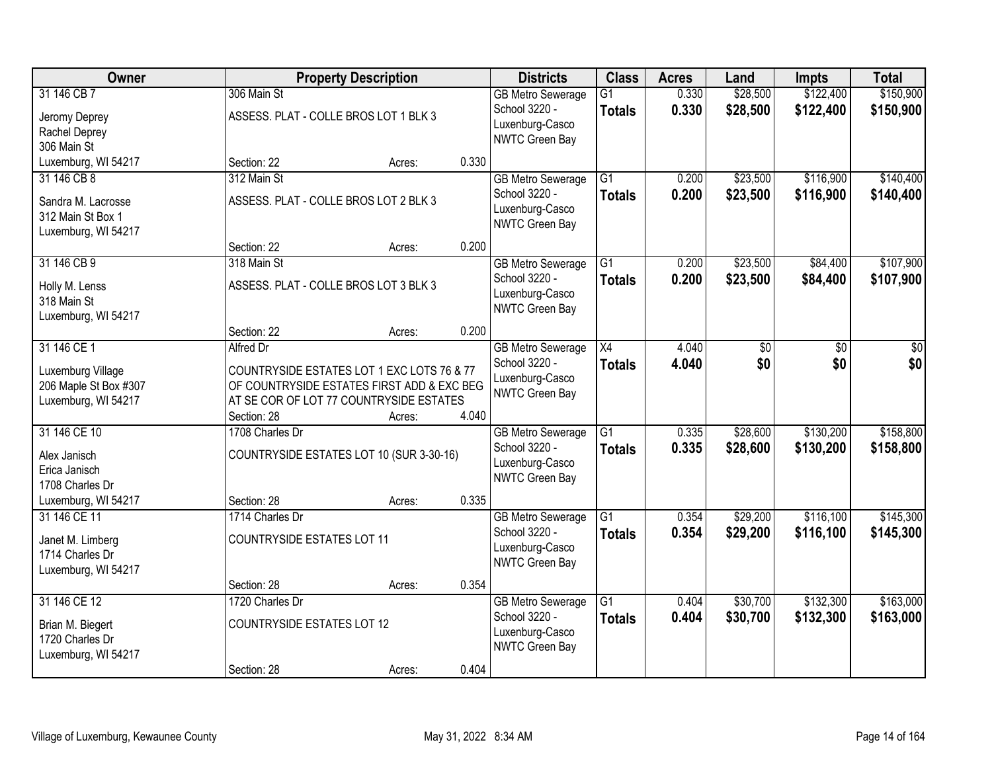| Owner                                                                                   |                                                                     | <b>Property Description</b>                                                                                                                   |       | <b>Districts</b>                                                                      | <b>Class</b>                     | <b>Acres</b>   | Land                 | <b>Impts</b>           | <b>Total</b>           |
|-----------------------------------------------------------------------------------------|---------------------------------------------------------------------|-----------------------------------------------------------------------------------------------------------------------------------------------|-------|---------------------------------------------------------------------------------------|----------------------------------|----------------|----------------------|------------------------|------------------------|
| 31 146 CB 7<br>Jeromy Deprey<br>Rachel Deprey<br>306 Main St                            | 306 Main St                                                         | ASSESS. PLAT - COLLE BROS LOT 1 BLK 3                                                                                                         |       | <b>GB Metro Sewerage</b><br>School 3220 -<br>Luxenburg-Casco<br>NWTC Green Bay        | $\overline{G1}$<br><b>Totals</b> | 0.330<br>0.330 | \$28,500<br>\$28,500 | \$122,400<br>\$122,400 | \$150,900<br>\$150,900 |
| Luxemburg, WI 54217                                                                     | Section: 22                                                         | Acres:                                                                                                                                        | 0.330 |                                                                                       |                                  |                |                      |                        |                        |
| 31 146 CB 8<br>Sandra M. Lacrosse<br>312 Main St Box 1<br>Luxemburg, WI 54217           | 312 Main St                                                         | ASSESS. PLAT - COLLE BROS LOT 2 BLK 3                                                                                                         |       | <b>GB Metro Sewerage</b><br>School 3220 -<br>Luxenburg-Casco<br>NWTC Green Bay        | $\overline{G1}$<br><b>Totals</b> | 0.200<br>0.200 | \$23,500<br>\$23,500 | \$116,900<br>\$116,900 | \$140,400<br>\$140,400 |
|                                                                                         | Section: 22                                                         | Acres:                                                                                                                                        | 0.200 |                                                                                       |                                  |                |                      |                        |                        |
| 31 146 CB 9<br>Holly M. Lenss<br>318 Main St<br>Luxemburg, WI 54217                     | 318 Main St                                                         | ASSESS. PLAT - COLLE BROS LOT 3 BLK 3                                                                                                         |       | <b>GB Metro Sewerage</b><br>School 3220 -<br>Luxenburg-Casco<br>NWTC Green Bay        | G1<br><b>Totals</b>              | 0.200<br>0.200 | \$23,500<br>\$23,500 | \$84,400<br>\$84,400   | \$107,900<br>\$107,900 |
|                                                                                         | Section: 22                                                         | Acres:                                                                                                                                        | 0.200 |                                                                                       |                                  |                |                      |                        |                        |
| 31 146 CE 1<br>Luxemburg Village<br>206 Maple St Box #307<br>Luxemburg, WI 54217        | Alfred Dr<br>Section: 28                                            | COUNTRYSIDE ESTATES LOT 1 EXC LOTS 76 & 77<br>OF COUNTRYSIDE ESTATES FIRST ADD & EXC BEG<br>AT SE COR OF LOT 77 COUNTRYSIDE ESTATES<br>Acres: | 4.040 | <b>GB</b> Metro Sewerage<br>School 3220 -<br>Luxenburg-Casco<br><b>NWTC Green Bay</b> | X4<br><b>Totals</b>              | 4.040<br>4.040 | \$0<br>\$0           | \$0<br>\$0             | \$0<br>\$0             |
| 31 146 CE 10<br>Alex Janisch<br>Erica Janisch<br>1708 Charles Dr<br>Luxemburg, WI 54217 | 1708 Charles Dr<br>Section: 28                                      | COUNTRYSIDE ESTATES LOT 10 (SUR 3-30-16)<br>Acres:                                                                                            | 0.335 | <b>GB Metro Sewerage</b><br>School 3220 -<br>Luxenburg-Casco<br>NWTC Green Bay        | $\overline{G1}$<br><b>Totals</b> | 0.335<br>0.335 | \$28,600<br>\$28,600 | \$130,200<br>\$130,200 | \$158,800<br>\$158,800 |
| 31 146 CE 11<br>Janet M. Limberg<br>1714 Charles Dr<br>Luxemburg, WI 54217              | 1714 Charles Dr<br><b>COUNTRYSIDE ESTATES LOT 11</b><br>Section: 28 | Acres:                                                                                                                                        | 0.354 | <b>GB Metro Sewerage</b><br>School 3220 -<br>Luxenburg-Casco<br>NWTC Green Bay        | $\overline{G1}$<br><b>Totals</b> | 0.354<br>0.354 | \$29,200<br>\$29,200 | \$116,100<br>\$116,100 | \$145,300<br>\$145,300 |
| 31 146 CE 12<br>Brian M. Biegert<br>1720 Charles Dr<br>Luxemburg, WI 54217              | 1720 Charles Dr<br><b>COUNTRYSIDE ESTATES LOT 12</b><br>Section: 28 | Acres:                                                                                                                                        | 0.404 | <b>GB Metro Sewerage</b><br>School 3220 -<br>Luxenburg-Casco<br>NWTC Green Bay        | $\overline{G1}$<br><b>Totals</b> | 0.404<br>0.404 | \$30,700<br>\$30,700 | \$132,300<br>\$132,300 | \$163,000<br>\$163,000 |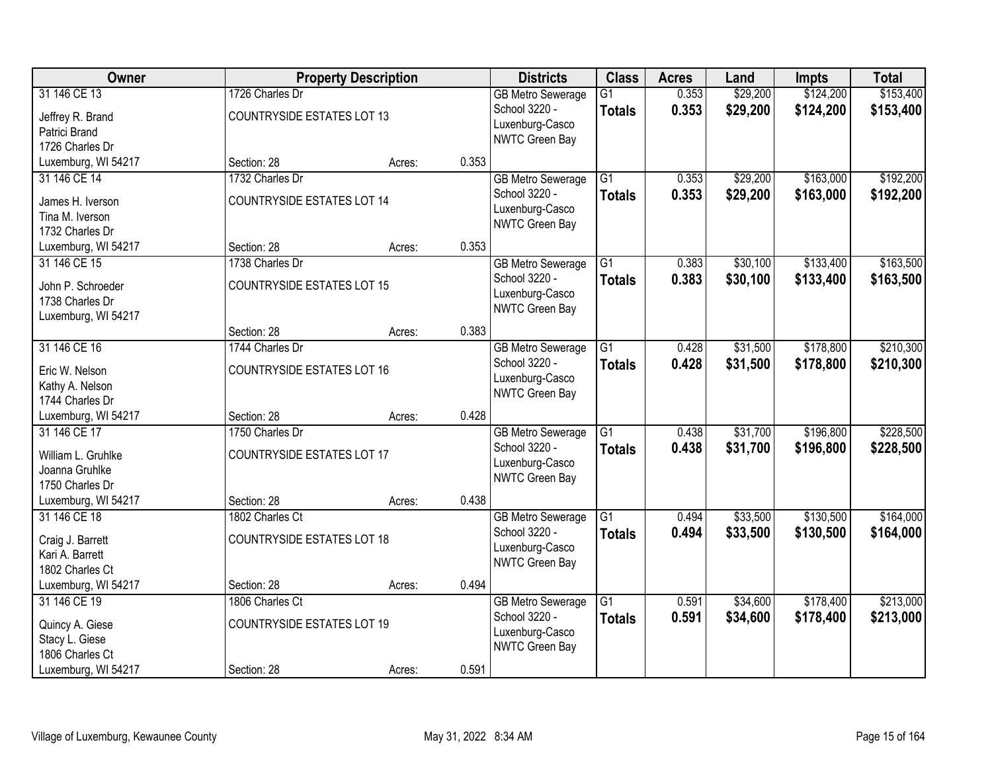| Owner               |                                   | <b>Property Description</b> |       | <b>Districts</b>         | <b>Class</b>    | <b>Acres</b> | Land     | <b>Impts</b> | <b>Total</b> |
|---------------------|-----------------------------------|-----------------------------|-------|--------------------------|-----------------|--------------|----------|--------------|--------------|
| 31 146 CE 13        | 1726 Charles Dr                   |                             |       | <b>GB Metro Sewerage</b> | $\overline{G1}$ | 0.353        | \$29,200 | \$124,200    | \$153,400    |
| Jeffrey R. Brand    | <b>COUNTRYSIDE ESTATES LOT 13</b> |                             |       | School 3220 -            | <b>Totals</b>   | 0.353        | \$29,200 | \$124,200    | \$153,400    |
| Patrici Brand       |                                   |                             |       | Luxenburg-Casco          |                 |              |          |              |              |
| 1726 Charles Dr     |                                   |                             |       | NWTC Green Bay           |                 |              |          |              |              |
| Luxemburg, WI 54217 | Section: 28                       | Acres:                      | 0.353 |                          |                 |              |          |              |              |
| 31 146 CE 14        | 1732 Charles Dr                   |                             |       | <b>GB Metro Sewerage</b> | $\overline{G1}$ | 0.353        | \$29,200 | \$163,000    | \$192,200    |
| James H. Iverson    | <b>COUNTRYSIDE ESTATES LOT 14</b> |                             |       | School 3220 -            | <b>Totals</b>   | 0.353        | \$29,200 | \$163,000    | \$192,200    |
| Tina M. Iverson     |                                   |                             |       | Luxenburg-Casco          |                 |              |          |              |              |
| 1732 Charles Dr     |                                   |                             |       | <b>NWTC Green Bay</b>    |                 |              |          |              |              |
| Luxemburg, WI 54217 | Section: 28                       | Acres:                      | 0.353 |                          |                 |              |          |              |              |
| 31 146 CE 15        | 1738 Charles Dr                   |                             |       | <b>GB Metro Sewerage</b> | $\overline{G1}$ | 0.383        | \$30,100 | \$133,400    | \$163,500    |
|                     |                                   |                             |       | School 3220 -            | <b>Totals</b>   | 0.383        | \$30,100 | \$133,400    | \$163,500    |
| John P. Schroeder   | <b>COUNTRYSIDE ESTATES LOT 15</b> |                             |       | Luxenburg-Casco          |                 |              |          |              |              |
| 1738 Charles Dr     |                                   |                             |       | NWTC Green Bay           |                 |              |          |              |              |
| Luxemburg, WI 54217 | Section: 28                       | Acres:                      | 0.383 |                          |                 |              |          |              |              |
| 31 146 CE 16        | 1744 Charles Dr                   |                             |       | <b>GB Metro Sewerage</b> | G1              | 0.428        | \$31,500 | \$178,800    | \$210,300    |
|                     |                                   |                             |       | School 3220 -            | <b>Totals</b>   | 0.428        | \$31,500 | \$178,800    | \$210,300    |
| Eric W. Nelson      | <b>COUNTRYSIDE ESTATES LOT 16</b> |                             |       | Luxenburg-Casco          |                 |              |          |              |              |
| Kathy A. Nelson     |                                   |                             |       | NWTC Green Bay           |                 |              |          |              |              |
| 1744 Charles Dr     |                                   |                             |       |                          |                 |              |          |              |              |
| Luxemburg, WI 54217 | Section: 28                       | Acres:                      | 0.428 |                          |                 |              |          |              |              |
| 31 146 CE 17        | 1750 Charles Dr                   |                             |       | <b>GB Metro Sewerage</b> | $\overline{G1}$ | 0.438        | \$31,700 | \$196,800    | \$228,500    |
| William L. Gruhlke  | <b>COUNTRYSIDE ESTATES LOT 17</b> |                             |       | School 3220 -            | <b>Totals</b>   | 0.438        | \$31,700 | \$196,800    | \$228,500    |
| Joanna Gruhlke      |                                   |                             |       | Luxenburg-Casco          |                 |              |          |              |              |
| 1750 Charles Dr     |                                   |                             |       | <b>NWTC Green Bay</b>    |                 |              |          |              |              |
| Luxemburg, WI 54217 | Section: 28                       | Acres:                      | 0.438 |                          |                 |              |          |              |              |
| 31 146 CE 18        | 1802 Charles Ct                   |                             |       | <b>GB Metro Sewerage</b> | $\overline{G1}$ | 0.494        | \$33,500 | \$130,500    | \$164,000    |
| Craig J. Barrett    | <b>COUNTRYSIDE ESTATES LOT 18</b> |                             |       | School 3220 -            | <b>Totals</b>   | 0.494        | \$33,500 | \$130,500    | \$164,000    |
| Kari A. Barrett     |                                   |                             |       | Luxenburg-Casco          |                 |              |          |              |              |
| 1802 Charles Ct     |                                   |                             |       | NWTC Green Bay           |                 |              |          |              |              |
| Luxemburg, WI 54217 | Section: 28                       | Acres:                      | 0.494 |                          |                 |              |          |              |              |
| 31 146 CE 19        | 1806 Charles Ct                   |                             |       | <b>GB Metro Sewerage</b> | $\overline{G1}$ | 0.591        | \$34,600 | \$178,400    | \$213,000    |
| Quincy A. Giese     | <b>COUNTRYSIDE ESTATES LOT 19</b> |                             |       | School 3220 -            | <b>Totals</b>   | 0.591        | \$34,600 | \$178,400    | \$213,000    |
| Stacy L. Giese      |                                   |                             |       | Luxenburg-Casco          |                 |              |          |              |              |
| 1806 Charles Ct     |                                   |                             |       | NWTC Green Bay           |                 |              |          |              |              |
| Luxemburg, WI 54217 | Section: 28                       | Acres:                      | 0.591 |                          |                 |              |          |              |              |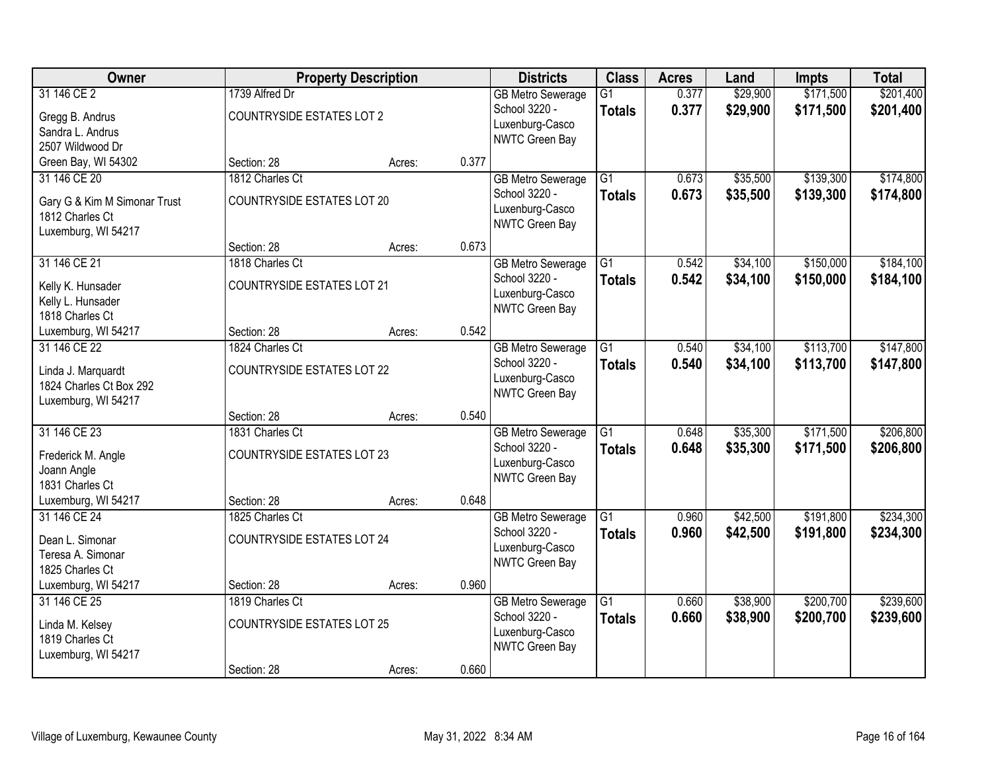| Owner                                                                                  |                                                                     | <b>Property Description</b> |       | <b>Districts</b>                                                               | <b>Class</b>                     | <b>Acres</b>   | Land                 | <b>Impts</b>           | <b>Total</b>           |
|----------------------------------------------------------------------------------------|---------------------------------------------------------------------|-----------------------------|-------|--------------------------------------------------------------------------------|----------------------------------|----------------|----------------------|------------------------|------------------------|
| 31 146 CE 2<br>Gregg B. Andrus<br>Sandra L. Andrus<br>2507 Wildwood Dr                 | 1739 Alfred Dr<br><b>COUNTRYSIDE ESTATES LOT 2</b>                  |                             |       | <b>GB Metro Sewerage</b><br>School 3220 -<br>Luxenburg-Casco<br>NWTC Green Bay | $\overline{G1}$<br><b>Totals</b> | 0.377<br>0.377 | \$29,900<br>\$29,900 | \$171,500<br>\$171,500 | \$201,400<br>\$201,400 |
| Green Bay, WI 54302                                                                    | Section: 28                                                         | Acres:                      | 0.377 |                                                                                |                                  |                |                      |                        |                        |
| 31 146 CE 20<br>Gary G & Kim M Simonar Trust<br>1812 Charles Ct<br>Luxemburg, WI 54217 | 1812 Charles Ct<br><b>COUNTRYSIDE ESTATES LOT 20</b>                |                             |       | <b>GB Metro Sewerage</b><br>School 3220 -<br>Luxenburg-Casco<br>NWTC Green Bay | $\overline{G1}$<br><b>Totals</b> | 0.673<br>0.673 | \$35,500<br>\$35,500 | \$139,300<br>\$139,300 | \$174,800<br>\$174,800 |
|                                                                                        | Section: 28                                                         | Acres:                      | 0.673 |                                                                                |                                  |                |                      |                        |                        |
| 31 146 CE 21<br>Kelly K. Hunsader<br>Kelly L. Hunsader<br>1818 Charles Ct              | 1818 Charles Ct<br><b>COUNTRYSIDE ESTATES LOT 21</b>                |                             |       | <b>GB Metro Sewerage</b><br>School 3220 -<br>Luxenburg-Casco<br>NWTC Green Bay | G1<br><b>Totals</b>              | 0.542<br>0.542 | \$34,100<br>\$34,100 | \$150,000<br>\$150,000 | \$184,100<br>\$184,100 |
| Luxemburg, WI 54217                                                                    | Section: 28                                                         | Acres:                      | 0.542 |                                                                                |                                  |                |                      |                        |                        |
| 31 146 CE 22<br>Linda J. Marquardt<br>1824 Charles Ct Box 292<br>Luxemburg, WI 54217   | 1824 Charles Ct<br><b>COUNTRYSIDE ESTATES LOT 22</b>                |                             |       | <b>GB Metro Sewerage</b><br>School 3220 -<br>Luxenburg-Casco<br>NWTC Green Bay | G1<br><b>Totals</b>              | 0.540<br>0.540 | \$34,100<br>\$34,100 | \$113,700<br>\$113,700 | \$147,800<br>\$147,800 |
|                                                                                        | Section: 28                                                         | Acres:                      | 0.540 |                                                                                |                                  |                |                      |                        |                        |
| 31 146 CE 23<br>Frederick M. Angle<br>Joann Angle<br>1831 Charles Ct                   | 1831 Charles Ct<br><b>COUNTRYSIDE ESTATES LOT 23</b>                |                             |       | <b>GB Metro Sewerage</b><br>School 3220 -<br>Luxenburg-Casco<br>NWTC Green Bay | $\overline{G1}$<br><b>Totals</b> | 0.648<br>0.648 | \$35,300<br>\$35,300 | \$171,500<br>\$171,500 | \$206,800<br>\$206,800 |
| Luxemburg, WI 54217                                                                    | Section: 28                                                         | Acres:                      | 0.648 |                                                                                |                                  |                |                      |                        |                        |
| 31 146 CE 24<br>Dean L. Simonar<br>Teresa A. Simonar<br>1825 Charles Ct                | 1825 Charles Ct<br><b>COUNTRYSIDE ESTATES LOT 24</b>                |                             |       | <b>GB Metro Sewerage</b><br>School 3220 -<br>Luxenburg-Casco<br>NWTC Green Bay | $\overline{G1}$<br><b>Totals</b> | 0.960<br>0.960 | \$42,500<br>\$42,500 | \$191,800<br>\$191,800 | \$234,300<br>\$234,300 |
| Luxemburg, WI 54217                                                                    | Section: 28                                                         | Acres:                      | 0.960 |                                                                                |                                  |                |                      |                        |                        |
| 31 146 CE 25<br>Linda M. Kelsey<br>1819 Charles Ct<br>Luxemburg, WI 54217              | 1819 Charles Ct<br><b>COUNTRYSIDE ESTATES LOT 25</b><br>Section: 28 |                             | 0.660 | <b>GB Metro Sewerage</b><br>School 3220 -<br>Luxenburg-Casco<br>NWTC Green Bay | $\overline{G1}$<br><b>Totals</b> | 0.660<br>0.660 | \$38,900<br>\$38,900 | \$200,700<br>\$200,700 | \$239,600<br>\$239,600 |
|                                                                                        |                                                                     | Acres:                      |       |                                                                                |                                  |                |                      |                        |                        |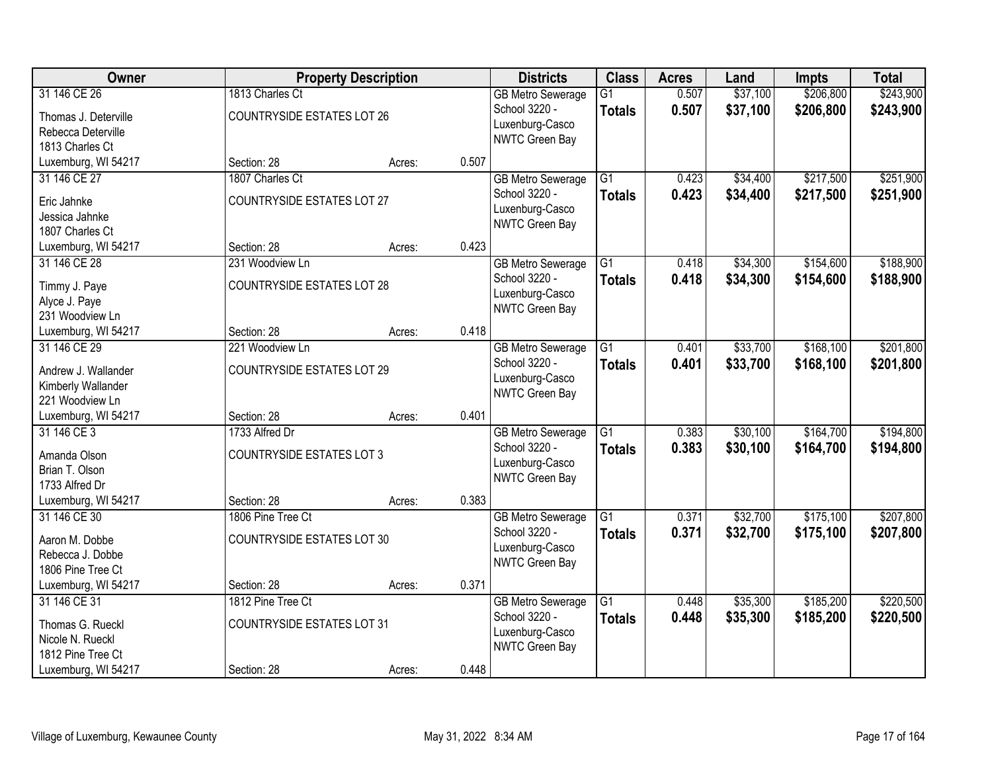| <b>Owner</b>                         |                                   | <b>Property Description</b> |       | <b>Districts</b>                  | <b>Class</b>    | <b>Acres</b> | Land     | <b>Impts</b> | <b>Total</b> |
|--------------------------------------|-----------------------------------|-----------------------------|-------|-----------------------------------|-----------------|--------------|----------|--------------|--------------|
| 31 146 CE 26                         | 1813 Charles Ct                   |                             |       | <b>GB Metro Sewerage</b>          | $\overline{G1}$ | 0.507        | \$37,100 | \$206,800    | \$243,900    |
| Thomas J. Deterville                 | <b>COUNTRYSIDE ESTATES LOT 26</b> |                             |       | School 3220 -                     | <b>Totals</b>   | 0.507        | \$37,100 | \$206,800    | \$243,900    |
| Rebecca Deterville                   |                                   |                             |       | Luxenburg-Casco<br>NWTC Green Bay |                 |              |          |              |              |
| 1813 Charles Ct                      |                                   |                             |       |                                   |                 |              |          |              |              |
| Luxemburg, WI 54217                  | Section: 28                       | Acres:                      | 0.507 |                                   |                 |              |          |              |              |
| 31 146 CE 27                         | 1807 Charles Ct                   |                             |       | <b>GB Metro Sewerage</b>          | $\overline{G1}$ | 0.423        | \$34,400 | \$217,500    | \$251,900    |
| Eric Jahnke                          | <b>COUNTRYSIDE ESTATES LOT 27</b> |                             |       | School 3220 -                     | <b>Totals</b>   | 0.423        | \$34,400 | \$217,500    | \$251,900    |
| Jessica Jahnke                       |                                   |                             |       | Luxenburg-Casco                   |                 |              |          |              |              |
| 1807 Charles Ct                      |                                   |                             |       | NWTC Green Bay                    |                 |              |          |              |              |
| Luxemburg, WI 54217                  | Section: 28                       | Acres:                      | 0.423 |                                   |                 |              |          |              |              |
| 31 146 CE 28                         | 231 Woodview Ln                   |                             |       | <b>GB Metro Sewerage</b>          | $\overline{G1}$ | 0.418        | \$34,300 | \$154,600    | \$188,900    |
| Timmy J. Paye                        | <b>COUNTRYSIDE ESTATES LOT 28</b> |                             |       | School 3220 -                     | <b>Totals</b>   | 0.418        | \$34,300 | \$154,600    | \$188,900    |
| Alyce J. Paye                        |                                   |                             |       | Luxenburg-Casco                   |                 |              |          |              |              |
| 231 Woodview Ln                      |                                   |                             |       | NWTC Green Bay                    |                 |              |          |              |              |
| Luxemburg, WI 54217                  | Section: 28                       | Acres:                      | 0.418 |                                   |                 |              |          |              |              |
| 31 146 CE 29                         | 221 Woodview Ln                   |                             |       | <b>GB Metro Sewerage</b>          | G1              | 0.401        | \$33,700 | \$168,100    | \$201,800    |
| Andrew J. Wallander                  | <b>COUNTRYSIDE ESTATES LOT 29</b> |                             |       | School 3220 -                     | <b>Totals</b>   | 0.401        | \$33,700 | \$168,100    | \$201,800    |
| Kimberly Wallander                   |                                   |                             |       | Luxenburg-Casco                   |                 |              |          |              |              |
| 221 Woodview Ln                      |                                   |                             |       | NWTC Green Bay                    |                 |              |          |              |              |
| Luxemburg, WI 54217                  | Section: 28                       | Acres:                      | 0.401 |                                   |                 |              |          |              |              |
| 31 146 CE 3                          | 1733 Alfred Dr                    |                             |       | <b>GB Metro Sewerage</b>          | $\overline{G1}$ | 0.383        | \$30,100 | \$164,700    | \$194,800    |
| Amanda Olson                         | <b>COUNTRYSIDE ESTATES LOT 3</b>  |                             |       | School 3220 -                     | <b>Totals</b>   | 0.383        | \$30,100 | \$164,700    | \$194,800    |
| Brian T. Olson                       |                                   |                             |       | Luxenburg-Casco                   |                 |              |          |              |              |
| 1733 Alfred Dr                       |                                   |                             |       | NWTC Green Bay                    |                 |              |          |              |              |
| Luxemburg, WI 54217                  | Section: 28                       | Acres:                      | 0.383 |                                   |                 |              |          |              |              |
| 31 146 CE 30                         | 1806 Pine Tree Ct                 |                             |       | <b>GB Metro Sewerage</b>          | $\overline{G1}$ | 0.371        | \$32,700 | \$175,100    | \$207,800    |
| Aaron M. Dobbe                       | <b>COUNTRYSIDE ESTATES LOT 30</b> |                             |       | School 3220 -                     | <b>Totals</b>   | 0.371        | \$32,700 | \$175,100    | \$207,800    |
| Rebecca J. Dobbe                     |                                   |                             |       | Luxenburg-Casco                   |                 |              |          |              |              |
| 1806 Pine Tree Ct                    |                                   |                             |       | NWTC Green Bay                    |                 |              |          |              |              |
| Luxemburg, WI 54217                  | Section: 28                       | Acres:                      | 0.371 |                                   |                 |              |          |              |              |
| 31 146 CE 31                         | 1812 Pine Tree Ct                 |                             |       | <b>GB Metro Sewerage</b>          | $\overline{G1}$ | 0.448        | \$35,300 | \$185,200    | \$220,500    |
|                                      | <b>COUNTRYSIDE ESTATES LOT 31</b> |                             |       | School 3220 -                     | <b>Totals</b>   | 0.448        | \$35,300 | \$185,200    | \$220,500    |
| Thomas G. Rueckl<br>Nicole N. Rueckl |                                   |                             |       | Luxenburg-Casco                   |                 |              |          |              |              |
| 1812 Pine Tree Ct                    |                                   |                             |       | NWTC Green Bay                    |                 |              |          |              |              |
| Luxemburg, WI 54217                  | Section: 28                       | Acres:                      | 0.448 |                                   |                 |              |          |              |              |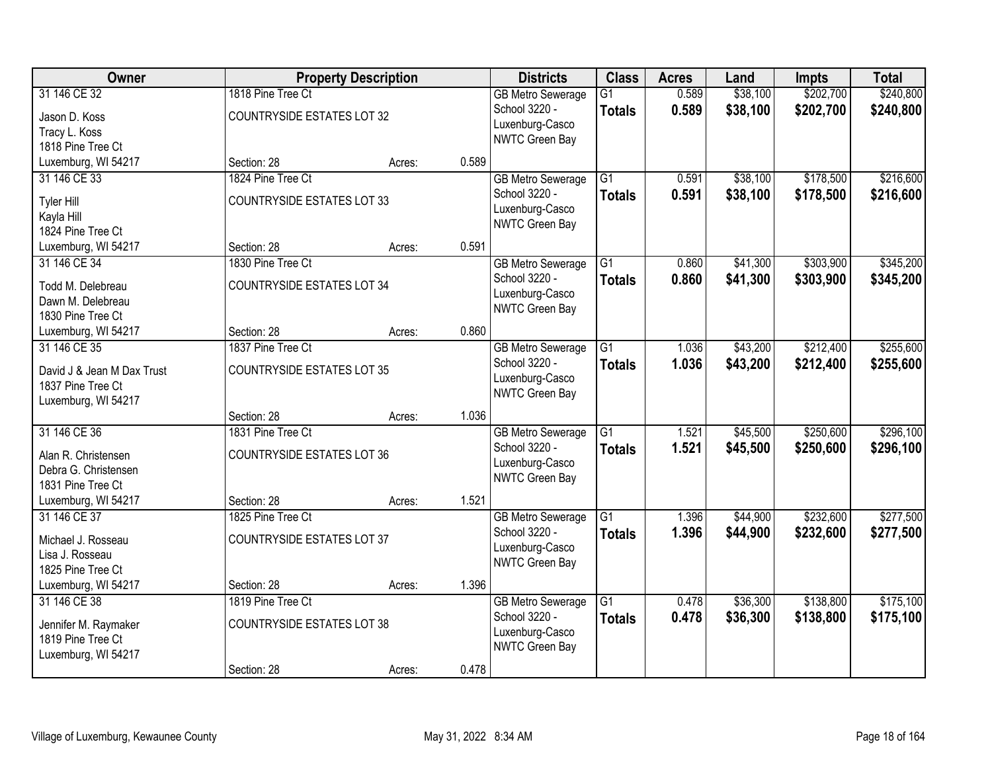| Owner                                                                                  |                                                                       | <b>Property Description</b> |       | <b>Districts</b>                                                                      | <b>Class</b>                     | <b>Acres</b>   | Land                 | <b>Impts</b>           | <b>Total</b>           |
|----------------------------------------------------------------------------------------|-----------------------------------------------------------------------|-----------------------------|-------|---------------------------------------------------------------------------------------|----------------------------------|----------------|----------------------|------------------------|------------------------|
| 31 146 CE 32<br>Jason D. Koss<br>Tracy L. Koss<br>1818 Pine Tree Ct                    | 1818 Pine Tree Ct<br><b>COUNTRYSIDE ESTATES LOT 32</b>                |                             |       | <b>GB Metro Sewerage</b><br>School 3220 -<br>Luxenburg-Casco<br>NWTC Green Bay        | G1<br><b>Totals</b>              | 0.589<br>0.589 | \$38,100<br>\$38,100 | \$202,700<br>\$202,700 | \$240,800<br>\$240,800 |
| Luxemburg, WI 54217                                                                    | Section: 28                                                           | Acres:                      | 0.589 |                                                                                       |                                  |                |                      |                        |                        |
| 31 146 CE 33<br>Tyler Hill<br>Kayla Hill<br>1824 Pine Tree Ct                          | 1824 Pine Tree Ct<br><b>COUNTRYSIDE ESTATES LOT 33</b>                |                             |       | <b>GB Metro Sewerage</b><br>School 3220 -<br>Luxenburg-Casco<br>NWTC Green Bay        | $\overline{G1}$<br><b>Totals</b> | 0.591<br>0.591 | \$38,100<br>\$38,100 | \$178,500<br>\$178,500 | \$216,600<br>\$216,600 |
| Luxemburg, WI 54217                                                                    | Section: 28                                                           | Acres:                      | 0.591 |                                                                                       |                                  |                |                      |                        |                        |
| 31 146 CE 34<br>Todd M. Delebreau<br>Dawn M. Delebreau<br>1830 Pine Tree Ct            | 1830 Pine Tree Ct<br><b>COUNTRYSIDE ESTATES LOT 34</b>                |                             |       | <b>GB Metro Sewerage</b><br>School 3220 -<br>Luxenburg-Casco<br><b>NWTC Green Bay</b> | G <sub>1</sub><br><b>Totals</b>  | 0.860<br>0.860 | \$41,300<br>\$41,300 | \$303,900<br>\$303,900 | \$345,200<br>\$345,200 |
| Luxemburg, WI 54217                                                                    | Section: 28                                                           | Acres:                      | 0.860 |                                                                                       |                                  |                |                      |                        |                        |
| 31 146 CE 35<br>David J & Jean M Dax Trust<br>1837 Pine Tree Ct<br>Luxemburg, WI 54217 | 1837 Pine Tree Ct<br><b>COUNTRYSIDE ESTATES LOT 35</b>                |                             |       | <b>GB Metro Sewerage</b><br>School 3220 -<br>Luxenburg-Casco<br>NWTC Green Bay        | G1<br><b>Totals</b>              | 1.036<br>1.036 | \$43,200<br>\$43,200 | \$212,400<br>\$212,400 | \$255,600<br>\$255,600 |
|                                                                                        | Section: 28                                                           | Acres:                      | 1.036 |                                                                                       |                                  |                |                      |                        |                        |
| 31 146 CE 36<br>Alan R. Christensen<br>Debra G. Christensen<br>1831 Pine Tree Ct       | 1831 Pine Tree Ct<br><b>COUNTRYSIDE ESTATES LOT 36</b>                |                             |       | <b>GB Metro Sewerage</b><br>School 3220 -<br>Luxenburg-Casco<br>NWTC Green Bay        | $\overline{G1}$<br><b>Totals</b> | 1.521<br>1.521 | \$45,500<br>\$45,500 | \$250,600<br>\$250,600 | \$296,100<br>\$296,100 |
| Luxemburg, WI 54217                                                                    | Section: 28                                                           | Acres:                      | 1.521 |                                                                                       |                                  |                |                      |                        |                        |
| 31 146 CE 37<br>Michael J. Rosseau<br>Lisa J. Rosseau<br>1825 Pine Tree Ct             | 1825 Pine Tree Ct<br><b>COUNTRYSIDE ESTATES LOT 37</b>                |                             |       | <b>GB Metro Sewerage</b><br>School 3220 -<br>Luxenburg-Casco<br>NWTC Green Bay        | $\overline{G1}$<br><b>Totals</b> | 1.396<br>1.396 | \$44,900<br>\$44,900 | \$232,600<br>\$232,600 | \$277,500<br>\$277,500 |
| Luxemburg, WI 54217                                                                    | Section: 28                                                           | Acres:                      | 1.396 |                                                                                       |                                  |                |                      |                        |                        |
| 31 146 CE 38<br>Jennifer M. Raymaker<br>1819 Pine Tree Ct<br>Luxemburg, WI 54217       | 1819 Pine Tree Ct<br><b>COUNTRYSIDE ESTATES LOT 38</b><br>Section: 28 | Acres:                      | 0.478 | <b>GB Metro Sewerage</b><br>School 3220 -<br>Luxenburg-Casco<br>NWTC Green Bay        | $\overline{G1}$<br>Totals        | 0.478<br>0.478 | \$36,300<br>\$36,300 | \$138,800<br>\$138,800 | \$175,100<br>\$175,100 |
|                                                                                        |                                                                       |                             |       |                                                                                       |                                  |                |                      |                        |                        |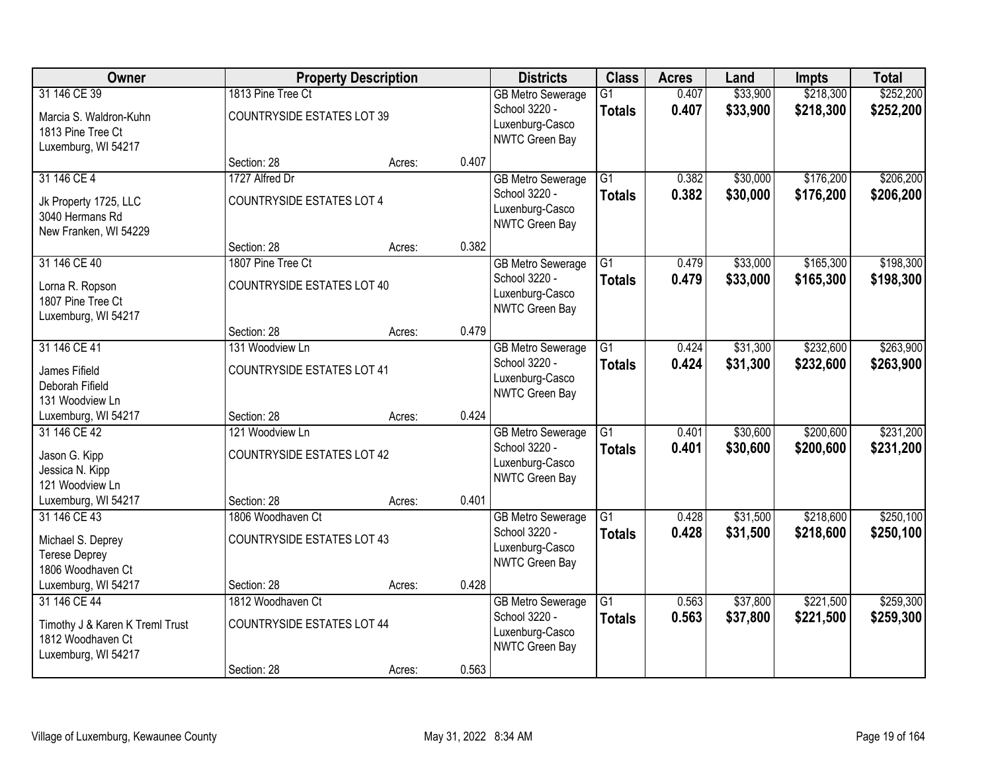| Owner                                                |                                   | <b>Property Description</b> |       | <b>Districts</b>                          | <b>Class</b>    | <b>Acres</b> | Land     | <b>Impts</b> | <b>Total</b> |
|------------------------------------------------------|-----------------------------------|-----------------------------|-------|-------------------------------------------|-----------------|--------------|----------|--------------|--------------|
| 31 146 CE 39                                         | 1813 Pine Tree Ct                 |                             |       | <b>GB Metro Sewerage</b>                  | $\overline{G1}$ | 0.407        | \$33,900 | \$218,300    | \$252,200    |
| Marcia S. Waldron-Kuhn<br>1813 Pine Tree Ct          | <b>COUNTRYSIDE ESTATES LOT 39</b> |                             |       | School 3220 -<br>Luxenburg-Casco          | <b>Totals</b>   | 0.407        | \$33,900 | \$218,300    | \$252,200    |
| Luxemburg, WI 54217                                  |                                   |                             |       | NWTC Green Bay                            |                 |              |          |              |              |
|                                                      | Section: 28                       | Acres:                      | 0.407 |                                           |                 |              |          |              |              |
| 31 146 CE 4                                          | 1727 Alfred Dr                    |                             |       | <b>GB Metro Sewerage</b>                  | $\overline{G1}$ | 0.382        | \$30,000 | \$176,200    | \$206,200    |
| Jk Property 1725, LLC                                | <b>COUNTRYSIDE ESTATES LOT 4</b>  |                             |       | School 3220 -                             | <b>Totals</b>   | 0.382        | \$30,000 | \$176,200    | \$206,200    |
| 3040 Hermans Rd                                      |                                   |                             |       | Luxenburg-Casco                           |                 |              |          |              |              |
| New Franken, WI 54229                                |                                   |                             |       | NWTC Green Bay                            |                 |              |          |              |              |
|                                                      | Section: 28                       | Acres:                      | 0.382 |                                           |                 |              |          |              |              |
| 31 146 CE 40                                         | 1807 Pine Tree Ct                 |                             |       | <b>GB Metro Sewerage</b>                  | $\overline{G1}$ | 0.479        | \$33,000 | \$165,300    | \$198,300    |
| Lorna R. Ropson                                      | <b>COUNTRYSIDE ESTATES LOT 40</b> |                             |       | School 3220 -<br>Luxenburg-Casco          | <b>Totals</b>   | 0.479        | \$33,000 | \$165,300    | \$198,300    |
| 1807 Pine Tree Ct                                    |                                   |                             |       | NWTC Green Bay                            |                 |              |          |              |              |
| Luxemburg, WI 54217                                  |                                   |                             |       |                                           |                 |              |          |              |              |
|                                                      | Section: 28                       | Acres:                      | 0.479 |                                           |                 |              |          |              |              |
| 31 146 CE 41                                         | 131 Woodview Ln                   |                             |       | <b>GB</b> Metro Sewerage<br>School 3220 - | G1              | 0.424        | \$31,300 | \$232,600    | \$263,900    |
| James Fifield                                        | <b>COUNTRYSIDE ESTATES LOT 41</b> |                             |       | Luxenburg-Casco                           | <b>Totals</b>   | 0.424        | \$31,300 | \$232,600    | \$263,900    |
| Deborah Fifield                                      |                                   |                             |       | NWTC Green Bay                            |                 |              |          |              |              |
| 131 Woodview Ln                                      |                                   |                             |       |                                           |                 |              |          |              |              |
| Luxemburg, WI 54217<br>31 146 CE 42                  | Section: 28<br>121 Woodview Ln    | Acres:                      | 0.424 |                                           | $\overline{G1}$ | 0.401        | \$30,600 | \$200,600    | \$231,200    |
|                                                      |                                   |                             |       | <b>GB Metro Sewerage</b><br>School 3220 - | <b>Totals</b>   | 0.401        | \$30,600 | \$200,600    | \$231,200    |
| Jason G. Kipp                                        | <b>COUNTRYSIDE ESTATES LOT 42</b> |                             |       | Luxenburg-Casco                           |                 |              |          |              |              |
| Jessica N. Kipp                                      |                                   |                             |       | NWTC Green Bay                            |                 |              |          |              |              |
| 121 Woodview Ln<br>Luxemburg, WI 54217               | Section: 28                       |                             | 0.401 |                                           |                 |              |          |              |              |
| 31 146 CE 43                                         | 1806 Woodhaven Ct                 | Acres:                      |       | <b>GB Metro Sewerage</b>                  | $\overline{G1}$ | 0.428        | \$31,500 | \$218,600    | \$250,100    |
|                                                      |                                   |                             |       | School 3220 -                             | <b>Totals</b>   | 0.428        | \$31,500 | \$218,600    | \$250,100    |
| Michael S. Deprey                                    | <b>COUNTRYSIDE ESTATES LOT 43</b> |                             |       | Luxenburg-Casco                           |                 |              |          |              |              |
| <b>Terese Deprey</b><br>1806 Woodhaven Ct            |                                   |                             |       | NWTC Green Bay                            |                 |              |          |              |              |
| Luxemburg, WI 54217                                  | Section: 28                       | Acres:                      | 0.428 |                                           |                 |              |          |              |              |
| 31 146 CE 44                                         | 1812 Woodhaven Ct                 |                             |       | <b>GB Metro Sewerage</b>                  | $\overline{G1}$ | 0.563        | \$37,800 | \$221,500    | \$259,300    |
|                                                      |                                   |                             |       | School 3220 -                             | <b>Totals</b>   | 0.563        | \$37,800 | \$221,500    | \$259,300    |
| Timothy J & Karen K Treml Trust<br>1812 Woodhaven Ct | <b>COUNTRYSIDE ESTATES LOT 44</b> |                             |       | Luxenburg-Casco                           |                 |              |          |              |              |
| Luxemburg, WI 54217                                  |                                   |                             |       | NWTC Green Bay                            |                 |              |          |              |              |
|                                                      | Section: 28                       | Acres:                      | 0.563 |                                           |                 |              |          |              |              |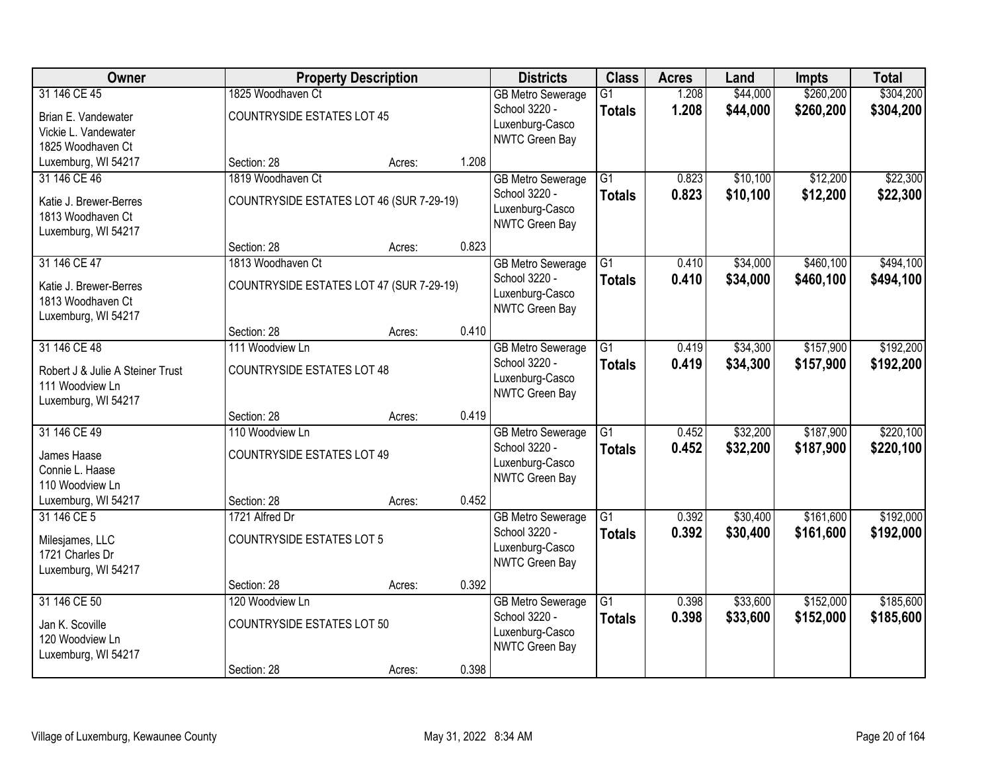| Owner                            |                                          | <b>Property Description</b> |       | <b>Districts</b>                  | <b>Class</b>    | <b>Acres</b> | Land     | <b>Impts</b> | <b>Total</b> |
|----------------------------------|------------------------------------------|-----------------------------|-------|-----------------------------------|-----------------|--------------|----------|--------------|--------------|
| 31 146 CE 45                     | 1825 Woodhaven Ct                        |                             |       | <b>GB Metro Sewerage</b>          | $\overline{G1}$ | 1.208        | \$44,000 | \$260,200    | \$304,200    |
| Brian E. Vandewater              | <b>COUNTRYSIDE ESTATES LOT 45</b>        |                             |       | School 3220 -                     | <b>Totals</b>   | 1.208        | \$44,000 | \$260,200    | \$304,200    |
| Vickie L. Vandewater             |                                          |                             |       | Luxenburg-Casco                   |                 |              |          |              |              |
| 1825 Woodhaven Ct                |                                          |                             |       | NWTC Green Bay                    |                 |              |          |              |              |
| Luxemburg, WI 54217              | Section: 28                              | Acres:                      | 1.208 |                                   |                 |              |          |              |              |
| 31 146 CE 46                     | 1819 Woodhaven Ct                        |                             |       | <b>GB Metro Sewerage</b>          | $\overline{G1}$ | 0.823        | \$10,100 | \$12,200     | \$22,300     |
| Katie J. Brewer-Berres           | COUNTRYSIDE ESTATES LOT 46 (SUR 7-29-19) |                             |       | School 3220 -                     | <b>Totals</b>   | 0.823        | \$10,100 | \$12,200     | \$22,300     |
| 1813 Woodhaven Ct                |                                          |                             |       | Luxenburg-Casco                   |                 |              |          |              |              |
| Luxemburg, WI 54217              |                                          |                             |       | NWTC Green Bay                    |                 |              |          |              |              |
|                                  | Section: 28                              | Acres:                      | 0.823 |                                   |                 |              |          |              |              |
| 31 146 CE 47                     | 1813 Woodhaven Ct                        |                             |       | <b>GB Metro Sewerage</b>          | $\overline{G1}$ | 0.410        | \$34,000 | \$460,100    | \$494,100    |
| Katie J. Brewer-Berres           | COUNTRYSIDE ESTATES LOT 47 (SUR 7-29-19) |                             |       | School 3220 -                     | <b>Totals</b>   | 0.410        | \$34,000 | \$460,100    | \$494,100    |
| 1813 Woodhaven Ct                |                                          |                             |       | Luxenburg-Casco                   |                 |              |          |              |              |
| Luxemburg, WI 54217              |                                          |                             |       | NWTC Green Bay                    |                 |              |          |              |              |
|                                  | Section: 28                              | Acres:                      | 0.410 |                                   |                 |              |          |              |              |
| 31 146 CE 48                     | 111 Woodview Ln                          |                             |       | <b>GB Metro Sewerage</b>          | $\overline{G1}$ | 0.419        | \$34,300 | \$157,900    | \$192,200    |
| Robert J & Julie A Steiner Trust | <b>COUNTRYSIDE ESTATES LOT 48</b>        |                             |       | School 3220 -                     | <b>Totals</b>   | 0.419        | \$34,300 | \$157,900    | \$192,200    |
| 111 Woodview Ln                  |                                          |                             |       | Luxenburg-Casco<br>NWTC Green Bay |                 |              |          |              |              |
| Luxemburg, WI 54217              |                                          |                             |       |                                   |                 |              |          |              |              |
|                                  | Section: 28                              | Acres:                      | 0.419 |                                   |                 |              |          |              |              |
| 31 146 CE 49                     | 110 Woodview Ln                          |                             |       | <b>GB Metro Sewerage</b>          | $\overline{G1}$ | 0.452        | \$32,200 | \$187,900    | \$220,100    |
| James Haase                      | <b>COUNTRYSIDE ESTATES LOT 49</b>        |                             |       | School 3220 -                     | <b>Totals</b>   | 0.452        | \$32,200 | \$187,900    | \$220,100    |
| Connie L. Haase                  |                                          |                             |       | Luxenburg-Casco<br>NWTC Green Bay |                 |              |          |              |              |
| 110 Woodview Ln                  |                                          |                             |       |                                   |                 |              |          |              |              |
| Luxemburg, WI 54217              | Section: 28                              | Acres:                      | 0.452 |                                   |                 |              |          |              |              |
| 31 146 CE 5                      | 1721 Alfred Dr                           |                             |       | <b>GB Metro Sewerage</b>          | $\overline{G1}$ | 0.392        | \$30,400 | \$161,600    | \$192,000    |
| Milesjames, LLC                  | <b>COUNTRYSIDE ESTATES LOT 5</b>         |                             |       | School 3220 -                     | <b>Totals</b>   | 0.392        | \$30,400 | \$161,600    | \$192,000    |
| 1721 Charles Dr                  |                                          |                             |       | Luxenburg-Casco<br>NWTC Green Bay |                 |              |          |              |              |
| Luxemburg, WI 54217              |                                          |                             |       |                                   |                 |              |          |              |              |
|                                  | Section: 28                              | Acres:                      | 0.392 |                                   |                 |              |          |              |              |
| 31 146 CE 50                     | 120 Woodview Ln                          |                             |       | <b>GB Metro Sewerage</b>          | $\overline{G1}$ | 0.398        | \$33,600 | \$152,000    | \$185,600    |
| Jan K. Scoville                  | <b>COUNTRYSIDE ESTATES LOT 50</b>        |                             |       | School 3220 -                     | <b>Totals</b>   | 0.398        | \$33,600 | \$152,000    | \$185,600    |
| 120 Woodview Ln                  |                                          |                             |       | Luxenburg-Casco<br>NWTC Green Bay |                 |              |          |              |              |
| Luxemburg, WI 54217              |                                          |                             |       |                                   |                 |              |          |              |              |
|                                  | Section: 28                              | Acres:                      | 0.398 |                                   |                 |              |          |              |              |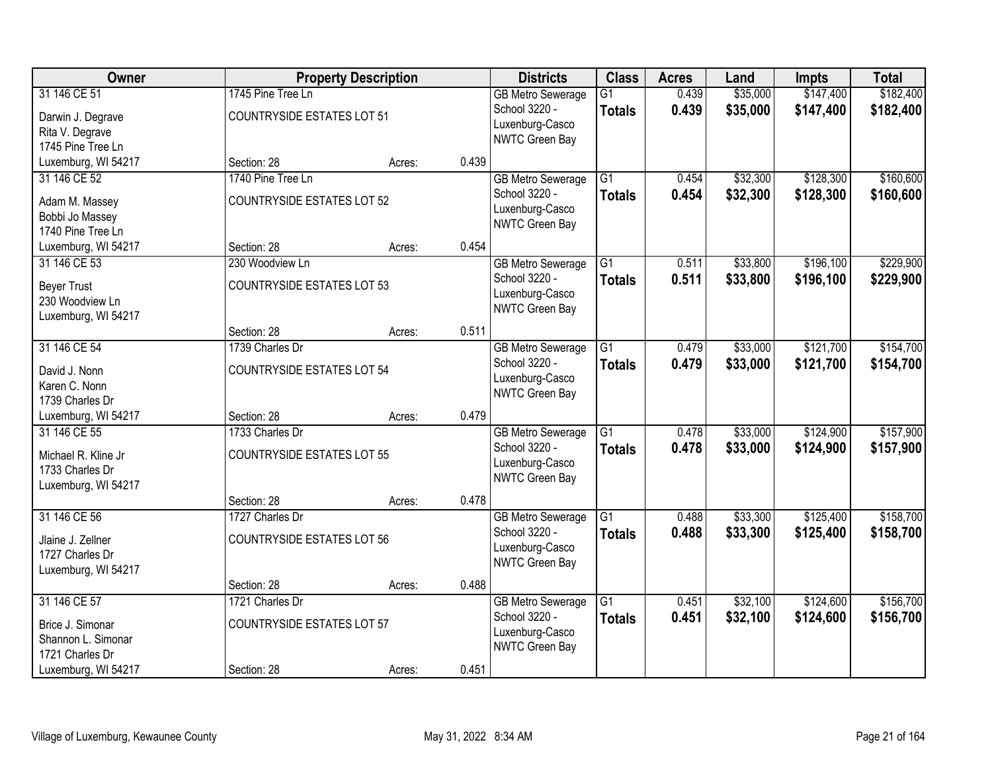| <b>Owner</b>        |                                   | <b>Property Description</b> |       | <b>Districts</b>         | <b>Class</b>    | <b>Acres</b> | Land     | <b>Impts</b> | <b>Total</b> |
|---------------------|-----------------------------------|-----------------------------|-------|--------------------------|-----------------|--------------|----------|--------------|--------------|
| 31 146 CE 51        | 1745 Pine Tree Ln                 |                             |       | <b>GB Metro Sewerage</b> | $\overline{G1}$ | 0.439        | \$35,000 | \$147,400    | \$182,400    |
| Darwin J. Degrave   | <b>COUNTRYSIDE ESTATES LOT 51</b> |                             |       | School 3220 -            | <b>Totals</b>   | 0.439        | \$35,000 | \$147,400    | \$182,400    |
| Rita V. Degrave     |                                   |                             |       | Luxenburg-Casco          |                 |              |          |              |              |
| 1745 Pine Tree Ln   |                                   |                             |       | NWTC Green Bay           |                 |              |          |              |              |
| Luxemburg, WI 54217 | Section: 28                       | Acres:                      | 0.439 |                          |                 |              |          |              |              |
| 31 146 CE 52        | 1740 Pine Tree Ln                 |                             |       | <b>GB Metro Sewerage</b> | $\overline{G1}$ | 0.454        | \$32,300 | \$128,300    | \$160,600    |
| Adam M. Massey      | <b>COUNTRYSIDE ESTATES LOT 52</b> |                             |       | School 3220 -            | <b>Totals</b>   | 0.454        | \$32,300 | \$128,300    | \$160,600    |
| Bobbi Jo Massey     |                                   |                             |       | Luxenburg-Casco          |                 |              |          |              |              |
| 1740 Pine Tree Ln   |                                   |                             |       | NWTC Green Bay           |                 |              |          |              |              |
| Luxemburg, WI 54217 | Section: 28                       | Acres:                      | 0.454 |                          |                 |              |          |              |              |
| 31 146 CE 53        | 230 Woodview Ln                   |                             |       | <b>GB Metro Sewerage</b> | $\overline{G1}$ | 0.511        | \$33,800 | \$196,100    | \$229,900    |
| <b>Beyer Trust</b>  | <b>COUNTRYSIDE ESTATES LOT 53</b> |                             |       | School 3220 -            | <b>Totals</b>   | 0.511        | \$33,800 | \$196,100    | \$229,900    |
| 230 Woodview Ln     |                                   |                             |       | Luxenburg-Casco          |                 |              |          |              |              |
| Luxemburg, WI 54217 |                                   |                             |       | NWTC Green Bay           |                 |              |          |              |              |
|                     | Section: 28                       | Acres:                      | 0.511 |                          |                 |              |          |              |              |
| 31 146 CE 54        | 1739 Charles Dr                   |                             |       | <b>GB Metro Sewerage</b> | G1              | 0.479        | \$33,000 | \$121,700    | \$154,700    |
| David J. Nonn       | <b>COUNTRYSIDE ESTATES LOT 54</b> |                             |       | School 3220 -            | <b>Totals</b>   | 0.479        | \$33,000 | \$121,700    | \$154,700    |
| Karen C. Nonn       |                                   |                             |       | Luxenburg-Casco          |                 |              |          |              |              |
| 1739 Charles Dr     |                                   |                             |       | NWTC Green Bay           |                 |              |          |              |              |
| Luxemburg, WI 54217 | Section: 28                       | Acres:                      | 0.479 |                          |                 |              |          |              |              |
| 31 146 CE 55        | 1733 Charles Dr                   |                             |       | <b>GB Metro Sewerage</b> | $\overline{G1}$ | 0.478        | \$33,000 | \$124,900    | \$157,900    |
| Michael R. Kline Jr | <b>COUNTRYSIDE ESTATES LOT 55</b> |                             |       | School 3220 -            | <b>Totals</b>   | 0.478        | \$33,000 | \$124,900    | \$157,900    |
| 1733 Charles Dr     |                                   |                             |       | Luxenburg-Casco          |                 |              |          |              |              |
| Luxemburg, WI 54217 |                                   |                             |       | NWTC Green Bay           |                 |              |          |              |              |
|                     | Section: 28                       | Acres:                      | 0.478 |                          |                 |              |          |              |              |
| 31 146 CE 56        | 1727 Charles Dr                   |                             |       | <b>GB Metro Sewerage</b> | $\overline{G1}$ | 0.488        | \$33,300 | \$125,400    | \$158,700    |
| Jlaine J. Zellner   | <b>COUNTRYSIDE ESTATES LOT 56</b> |                             |       | School 3220 -            | <b>Totals</b>   | 0.488        | \$33,300 | \$125,400    | \$158,700    |
| 1727 Charles Dr     |                                   |                             |       | Luxenburg-Casco          |                 |              |          |              |              |
| Luxemburg, WI 54217 |                                   |                             |       | NWTC Green Bay           |                 |              |          |              |              |
|                     | Section: 28                       | Acres:                      | 0.488 |                          |                 |              |          |              |              |
| 31 146 CE 57        | 1721 Charles Dr                   |                             |       | <b>GB Metro Sewerage</b> | $\overline{G1}$ | 0.451        | \$32,100 | \$124,600    | \$156,700    |
| Brice J. Simonar    | <b>COUNTRYSIDE ESTATES LOT 57</b> |                             |       | School 3220 -            | <b>Totals</b>   | 0.451        | \$32,100 | \$124,600    | \$156,700    |
| Shannon L. Simonar  |                                   |                             |       | Luxenburg-Casco          |                 |              |          |              |              |
| 1721 Charles Dr     |                                   |                             |       | NWTC Green Bay           |                 |              |          |              |              |
| Luxemburg, WI 54217 | Section: 28                       | Acres:                      | 0.451 |                          |                 |              |          |              |              |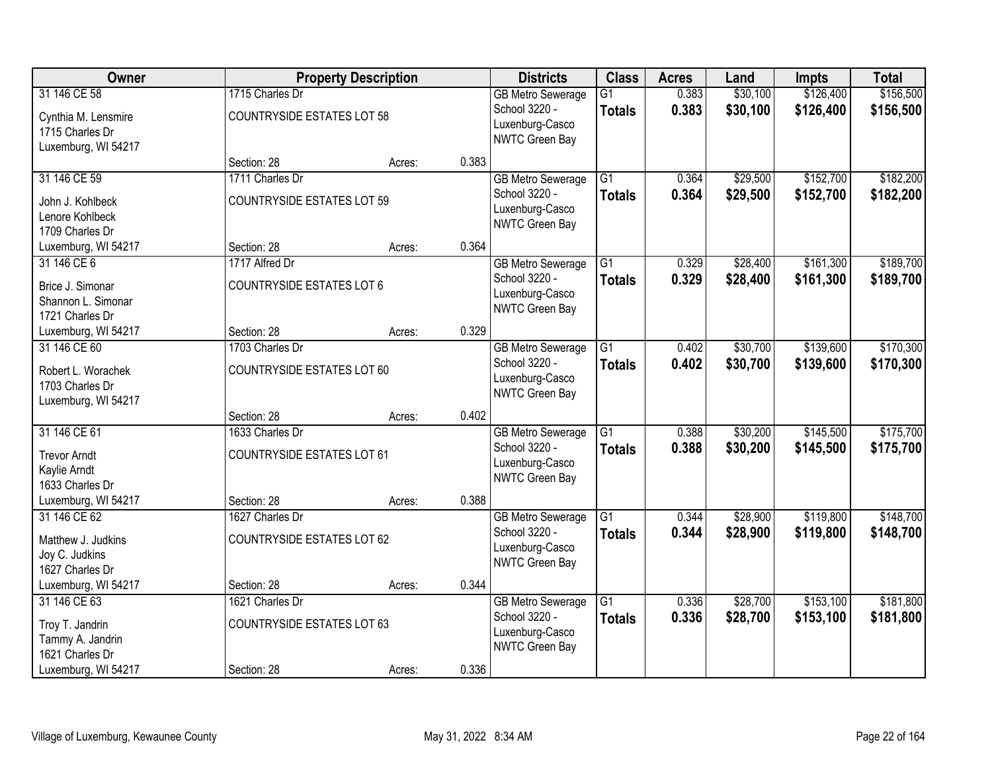| Owner               |                                   | <b>Property Description</b> |       | <b>Districts</b>                  | <b>Class</b>    | <b>Acres</b> | Land     | <b>Impts</b> | <b>Total</b> |
|---------------------|-----------------------------------|-----------------------------|-------|-----------------------------------|-----------------|--------------|----------|--------------|--------------|
| 31 146 CE 58        | 1715 Charles Dr                   |                             |       | <b>GB Metro Sewerage</b>          | $\overline{G1}$ | 0.383        | \$30,100 | \$126,400    | \$156,500    |
| Cynthia M. Lensmire | <b>COUNTRYSIDE ESTATES LOT 58</b> |                             |       | School 3220 -                     | <b>Totals</b>   | 0.383        | \$30,100 | \$126,400    | \$156,500    |
| 1715 Charles Dr     |                                   |                             |       | Luxenburg-Casco                   |                 |              |          |              |              |
| Luxemburg, WI 54217 |                                   |                             |       | NWTC Green Bay                    |                 |              |          |              |              |
|                     | Section: 28                       | Acres:                      | 0.383 |                                   |                 |              |          |              |              |
| 31 146 CE 59        | 1711 Charles Dr                   |                             |       | <b>GB Metro Sewerage</b>          | $\overline{G1}$ | 0.364        | \$29,500 | \$152,700    | \$182,200    |
| John J. Kohlbeck    | <b>COUNTRYSIDE ESTATES LOT 59</b> |                             |       | School 3220 -                     | <b>Totals</b>   | 0.364        | \$29,500 | \$152,700    | \$182,200    |
| Lenore Kohlbeck     |                                   |                             |       | Luxenburg-Casco<br>NWTC Green Bay |                 |              |          |              |              |
| 1709 Charles Dr     |                                   |                             |       |                                   |                 |              |          |              |              |
| Luxemburg, WI 54217 | Section: 28                       | Acres:                      | 0.364 |                                   |                 |              |          |              |              |
| 31 146 CE 6         | 1717 Alfred Dr                    |                             |       | <b>GB Metro Sewerage</b>          | $\overline{G1}$ | 0.329        | \$28,400 | \$161,300    | \$189,700    |
| Brice J. Simonar    | <b>COUNTRYSIDE ESTATES LOT 6</b>  |                             |       | School 3220 -                     | <b>Totals</b>   | 0.329        | \$28,400 | \$161,300    | \$189,700    |
| Shannon L. Simonar  |                                   |                             |       | Luxenburg-Casco<br>NWTC Green Bay |                 |              |          |              |              |
| 1721 Charles Dr     |                                   |                             |       |                                   |                 |              |          |              |              |
| Luxemburg, WI 54217 | Section: 28                       | Acres:                      | 0.329 |                                   |                 |              |          |              |              |
| 31 146 CE 60        | 1703 Charles Dr                   |                             |       | <b>GB Metro Sewerage</b>          | G1              | 0.402        | \$30,700 | \$139,600    | \$170,300    |
| Robert L. Worachek  | <b>COUNTRYSIDE ESTATES LOT 60</b> |                             |       | School 3220 -                     | <b>Totals</b>   | 0.402        | \$30,700 | \$139,600    | \$170,300    |
| 1703 Charles Dr     |                                   |                             |       | Luxenburg-Casco<br>NWTC Green Bay |                 |              |          |              |              |
| Luxemburg, WI 54217 |                                   |                             |       |                                   |                 |              |          |              |              |
|                     | Section: 28                       | Acres:                      | 0.402 |                                   |                 |              |          |              |              |
| 31 146 CE 61        | 1633 Charles Dr                   |                             |       | <b>GB Metro Sewerage</b>          | $\overline{G1}$ | 0.388        | \$30,200 | \$145,500    | \$175,700    |
| <b>Trevor Arndt</b> | <b>COUNTRYSIDE ESTATES LOT 61</b> |                             |       | School 3220 -                     | <b>Totals</b>   | 0.388        | \$30,200 | \$145,500    | \$175,700    |
| Kaylie Arndt        |                                   |                             |       | Luxenburg-Casco<br>NWTC Green Bay |                 |              |          |              |              |
| 1633 Charles Dr     |                                   |                             |       |                                   |                 |              |          |              |              |
| Luxemburg, WI 54217 | Section: 28                       | Acres:                      | 0.388 |                                   |                 |              |          |              |              |
| 31 146 CE 62        | 1627 Charles Dr                   |                             |       | <b>GB Metro Sewerage</b>          | $\overline{G1}$ | 0.344        | \$28,900 | \$119,800    | \$148,700    |
| Matthew J. Judkins  | <b>COUNTRYSIDE ESTATES LOT 62</b> |                             |       | School 3220 -<br>Luxenburg-Casco  | <b>Totals</b>   | 0.344        | \$28,900 | \$119,800    | \$148,700    |
| Joy C. Judkins      |                                   |                             |       | NWTC Green Bay                    |                 |              |          |              |              |
| 1627 Charles Dr     |                                   |                             |       |                                   |                 |              |          |              |              |
| Luxemburg, WI 54217 | Section: 28                       | Acres:                      | 0.344 |                                   |                 |              |          |              |              |
| 31 146 CE 63        | 1621 Charles Dr                   |                             |       | <b>GB Metro Sewerage</b>          | $\overline{G1}$ | 0.336        | \$28,700 | \$153,100    | \$181,800    |
| Troy T. Jandrin     | <b>COUNTRYSIDE ESTATES LOT 63</b> |                             |       | School 3220 -<br>Luxenburg-Casco  | <b>Totals</b>   | 0.336        | \$28,700 | \$153,100    | \$181,800    |
| Tammy A. Jandrin    |                                   |                             |       | NWTC Green Bay                    |                 |              |          |              |              |
| 1621 Charles Dr     |                                   |                             |       |                                   |                 |              |          |              |              |
| Luxemburg, WI 54217 | Section: 28                       | Acres:                      | 0.336 |                                   |                 |              |          |              |              |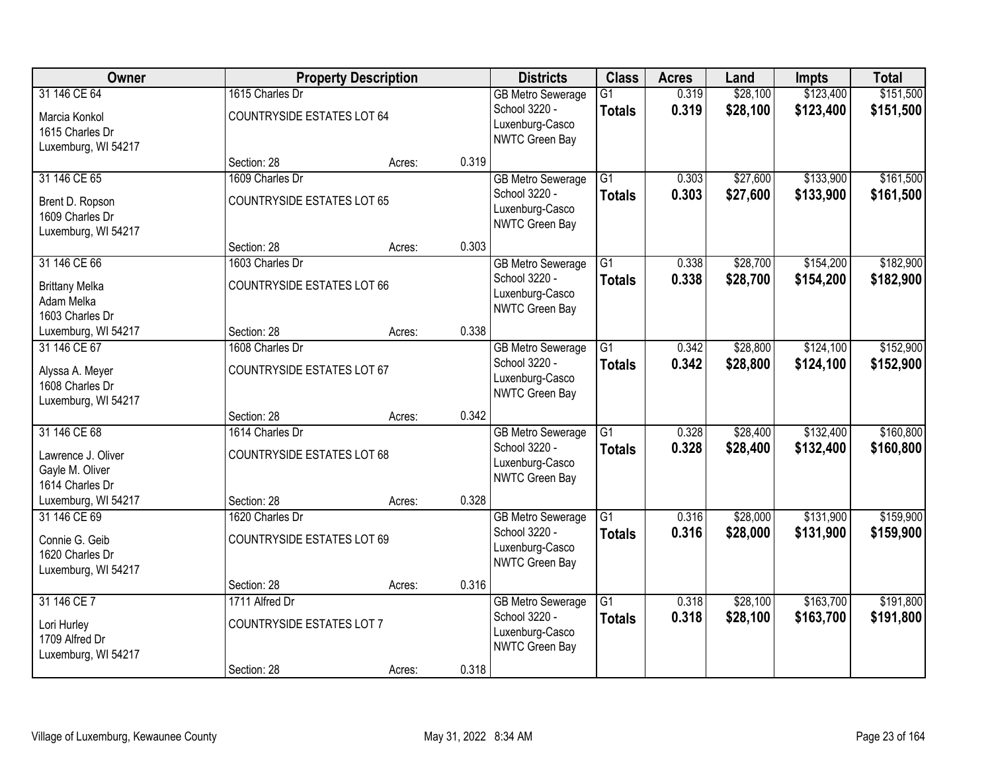| Owner                 |                                   | <b>Property Description</b> |       | <b>Districts</b>                  | <b>Class</b>    | <b>Acres</b> | Land     | <b>Impts</b> | <b>Total</b> |
|-----------------------|-----------------------------------|-----------------------------|-------|-----------------------------------|-----------------|--------------|----------|--------------|--------------|
| 31 146 CE 64          | 1615 Charles Dr                   |                             |       | <b>GB Metro Sewerage</b>          | $\overline{G1}$ | 0.319        | \$28,100 | \$123,400    | \$151,500    |
| Marcia Konkol         | <b>COUNTRYSIDE ESTATES LOT 64</b> |                             |       | School 3220 -                     | <b>Totals</b>   | 0.319        | \$28,100 | \$123,400    | \$151,500    |
| 1615 Charles Dr       |                                   |                             |       | Luxenburg-Casco<br>NWTC Green Bay |                 |              |          |              |              |
| Luxemburg, WI 54217   |                                   |                             |       |                                   |                 |              |          |              |              |
|                       | Section: 28                       | Acres:                      | 0.319 |                                   |                 |              |          |              |              |
| 31 146 CE 65          | 1609 Charles Dr                   |                             |       | <b>GB Metro Sewerage</b>          | $\overline{G1}$ | 0.303        | \$27,600 | \$133,900    | \$161,500    |
| Brent D. Ropson       | <b>COUNTRYSIDE ESTATES LOT 65</b> |                             |       | School 3220 -                     | <b>Totals</b>   | 0.303        | \$27,600 | \$133,900    | \$161,500    |
| 1609 Charles Dr       |                                   |                             |       | Luxenburg-Casco<br>NWTC Green Bay |                 |              |          |              |              |
| Luxemburg, WI 54217   |                                   |                             |       |                                   |                 |              |          |              |              |
|                       | Section: 28                       | Acres:                      | 0.303 |                                   |                 |              |          |              |              |
| 31 146 CE 66          | 1603 Charles Dr                   |                             |       | <b>GB Metro Sewerage</b>          | G1              | 0.338        | \$28,700 | \$154,200    | \$182,900    |
| <b>Brittany Melka</b> | <b>COUNTRYSIDE ESTATES LOT 66</b> |                             |       | School 3220 -                     | <b>Totals</b>   | 0.338        | \$28,700 | \$154,200    | \$182,900    |
| Adam Melka            |                                   |                             |       | Luxenburg-Casco<br>NWTC Green Bay |                 |              |          |              |              |
| 1603 Charles Dr       |                                   |                             |       |                                   |                 |              |          |              |              |
| Luxemburg, WI 54217   | Section: 28                       | Acres:                      | 0.338 |                                   |                 |              |          |              |              |
| 31 146 CE 67          | 1608 Charles Dr                   |                             |       | <b>GB Metro Sewerage</b>          | $\overline{G1}$ | 0.342        | \$28,800 | \$124,100    | \$152,900    |
| Alyssa A. Meyer       | <b>COUNTRYSIDE ESTATES LOT 67</b> |                             |       | School 3220 -                     | <b>Totals</b>   | 0.342        | \$28,800 | \$124,100    | \$152,900    |
| 1608 Charles Dr       |                                   |                             |       | Luxenburg-Casco<br>NWTC Green Bay |                 |              |          |              |              |
| Luxemburg, WI 54217   |                                   |                             |       |                                   |                 |              |          |              |              |
|                       | Section: 28                       | Acres:                      | 0.342 |                                   |                 |              |          |              |              |
| 31 146 CE 68          | 1614 Charles Dr                   |                             |       | <b>GB Metro Sewerage</b>          | $\overline{G1}$ | 0.328        | \$28,400 | \$132,400    | \$160,800    |
| Lawrence J. Oliver    | <b>COUNTRYSIDE ESTATES LOT 68</b> |                             |       | School 3220 -                     | <b>Totals</b>   | 0.328        | \$28,400 | \$132,400    | \$160,800    |
| Gayle M. Oliver       |                                   |                             |       | Luxenburg-Casco                   |                 |              |          |              |              |
| 1614 Charles Dr       |                                   |                             |       | NWTC Green Bay                    |                 |              |          |              |              |
| Luxemburg, WI 54217   | Section: 28                       | Acres:                      | 0.328 |                                   |                 |              |          |              |              |
| 31 146 CE 69          | 1620 Charles Dr                   |                             |       | <b>GB Metro Sewerage</b>          | $\overline{G1}$ | 0.316        | \$28,000 | \$131,900    | \$159,900    |
| Connie G. Geib        | <b>COUNTRYSIDE ESTATES LOT 69</b> |                             |       | School 3220 -                     | <b>Totals</b>   | 0.316        | \$28,000 | \$131,900    | \$159,900    |
| 1620 Charles Dr       |                                   |                             |       | Luxenburg-Casco                   |                 |              |          |              |              |
| Luxemburg, WI 54217   |                                   |                             |       | NWTC Green Bay                    |                 |              |          |              |              |
|                       | Section: 28                       | Acres:                      | 0.316 |                                   |                 |              |          |              |              |
| 31 146 CE 7           | 1711 Alfred Dr                    |                             |       | <b>GB Metro Sewerage</b>          | $\overline{G1}$ | 0.318        | \$28,100 | \$163,700    | \$191,800    |
| Lori Hurley           | <b>COUNTRYSIDE ESTATES LOT 7</b>  |                             |       | School 3220 -                     | <b>Totals</b>   | 0.318        | \$28,100 | \$163,700    | \$191,800    |
| 1709 Alfred Dr        |                                   |                             |       | Luxenburg-Casco                   |                 |              |          |              |              |
| Luxemburg, WI 54217   |                                   |                             |       | NWTC Green Bay                    |                 |              |          |              |              |
|                       | Section: 28                       | Acres:                      | 0.318 |                                   |                 |              |          |              |              |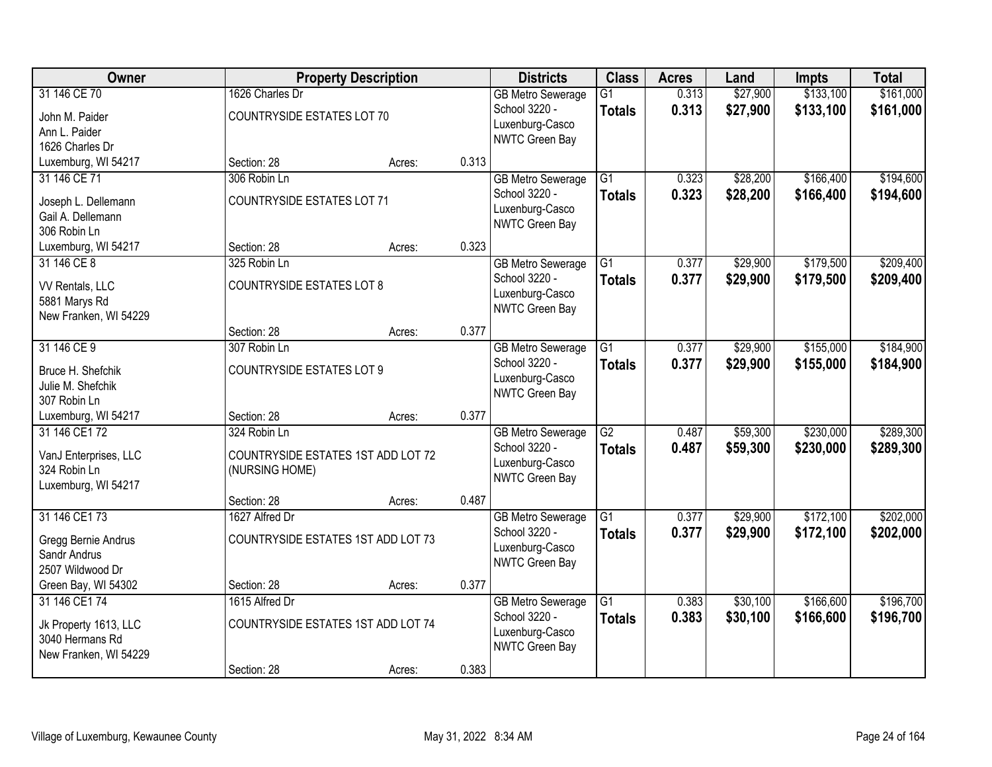| Owner                                                                              |                                                                      | <b>Property Description</b> |       | <b>Districts</b>                                                               | <b>Class</b>                     | <b>Acres</b>   | Land                 | <b>Impts</b>           | <b>Total</b>           |
|------------------------------------------------------------------------------------|----------------------------------------------------------------------|-----------------------------|-------|--------------------------------------------------------------------------------|----------------------------------|----------------|----------------------|------------------------|------------------------|
| 31 146 CE 70<br>John M. Paider<br>Ann L. Paider<br>1626 Charles Dr                 | 1626 Charles Dr<br><b>COUNTRYSIDE ESTATES LOT 70</b>                 |                             |       | <b>GB Metro Sewerage</b><br>School 3220 -<br>Luxenburg-Casco<br>NWTC Green Bay | $\overline{G1}$<br><b>Totals</b> | 0.313<br>0.313 | \$27,900<br>\$27,900 | \$133,100<br>\$133,100 | \$161,000<br>\$161,000 |
| Luxemburg, WI 54217                                                                | Section: 28                                                          | Acres:                      | 0.313 |                                                                                |                                  |                |                      |                        |                        |
| 31 146 CE 71<br>Joseph L. Dellemann<br>Gail A. Dellemann<br>306 Robin Ln           | 306 Robin Ln<br><b>COUNTRYSIDE ESTATES LOT 71</b>                    |                             |       | <b>GB Metro Sewerage</b><br>School 3220 -<br>Luxenburg-Casco<br>NWTC Green Bay | $\overline{G1}$<br><b>Totals</b> | 0.323<br>0.323 | \$28,200<br>\$28,200 | \$166,400<br>\$166,400 | \$194,600<br>\$194,600 |
| Luxemburg, WI 54217                                                                | Section: 28                                                          | Acres:                      | 0.323 |                                                                                |                                  |                |                      |                        |                        |
| 31 146 CE 8<br>VV Rentals, LLC<br>5881 Marys Rd<br>New Franken, WI 54229           | 325 Robin Ln<br><b>COUNTRYSIDE ESTATES LOT 8</b>                     |                             |       | <b>GB Metro Sewerage</b><br>School 3220 -<br>Luxenburg-Casco<br>NWTC Green Bay | G1<br><b>Totals</b>              | 0.377<br>0.377 | \$29,900<br>\$29,900 | \$179,500<br>\$179,500 | \$209,400<br>\$209,400 |
|                                                                                    | Section: 28                                                          | Acres:                      | 0.377 |                                                                                |                                  |                |                      |                        |                        |
| 31 146 CE 9<br>Bruce H. Shefchik<br>Julie M. Shefchik<br>307 Robin Ln              | 307 Robin Ln<br><b>COUNTRYSIDE ESTATES LOT 9</b>                     |                             |       | <b>GB Metro Sewerage</b><br>School 3220 -<br>Luxenburg-Casco<br>NWTC Green Bay | G1<br><b>Totals</b>              | 0.377<br>0.377 | \$29,900<br>\$29,900 | \$155,000<br>\$155,000 | \$184,900<br>\$184,900 |
| Luxemburg, WI 54217                                                                | Section: 28                                                          | Acres:                      | 0.377 |                                                                                |                                  |                |                      |                        |                        |
| 31 146 CE1 72<br>VanJ Enterprises, LLC<br>324 Robin Ln<br>Luxemburg, WI 54217      | 324 Robin Ln<br>COUNTRYSIDE ESTATES 1ST ADD LOT 72<br>(NURSING HOME) |                             |       | <b>GB Metro Sewerage</b><br>School 3220 -<br>Luxenburg-Casco<br>NWTC Green Bay | $\overline{G2}$<br><b>Totals</b> | 0.487<br>0.487 | \$59,300<br>\$59,300 | \$230,000<br>\$230,000 | \$289,300<br>\$289,300 |
| 31 146 CE1 73                                                                      | Section: 28<br>1627 Alfred Dr                                        | Acres:                      | 0.487 |                                                                                | $\overline{G1}$                  | 0.377          | \$29,900             | \$172,100              | \$202,000              |
| Gregg Bernie Andrus<br>Sandr Andrus<br>2507 Wildwood Dr                            | COUNTRYSIDE ESTATES 1ST ADD LOT 73                                   |                             |       | <b>GB Metro Sewerage</b><br>School 3220 -<br>Luxenburg-Casco<br>NWTC Green Bay | <b>Totals</b>                    | 0.377          | \$29,900             | \$172,100              | \$202,000              |
| Green Bay, WI 54302                                                                | Section: 28                                                          | Acres:                      | 0.377 |                                                                                |                                  |                |                      |                        |                        |
| 31 146 CE1 74<br>Jk Property 1613, LLC<br>3040 Hermans Rd<br>New Franken, WI 54229 | 1615 Alfred Dr<br>COUNTRYSIDE ESTATES 1ST ADD LOT 74                 |                             |       | <b>GB Metro Sewerage</b><br>School 3220 -<br>Luxenburg-Casco<br>NWTC Green Bay | $\overline{G1}$<br><b>Totals</b> | 0.383<br>0.383 | \$30,100<br>\$30,100 | \$166,600<br>\$166,600 | \$196,700<br>\$196,700 |
|                                                                                    | Section: 28                                                          | Acres:                      | 0.383 |                                                                                |                                  |                |                      |                        |                        |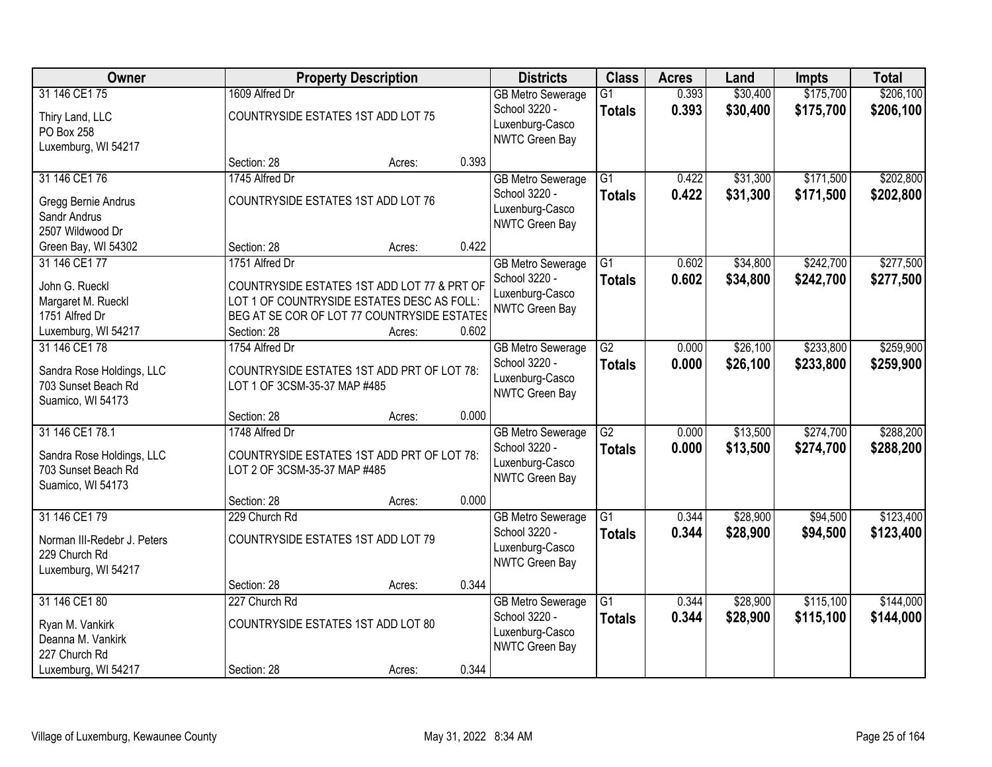| Owner                                                                                          |                                                | <b>Property Description</b>                                                                                                                        |       | <b>Districts</b>                                                                      | <b>Class</b>                     | <b>Acres</b>   | Land                 | <b>Impts</b>           | <b>Total</b>           |
|------------------------------------------------------------------------------------------------|------------------------------------------------|----------------------------------------------------------------------------------------------------------------------------------------------------|-------|---------------------------------------------------------------------------------------|----------------------------------|----------------|----------------------|------------------------|------------------------|
| 31 146 CE1 75<br>Thiry Land, LLC<br>PO Box 258<br>Luxemburg, WI 54217                          | 1609 Alfred Dr                                 | COUNTRYSIDE ESTATES 1ST ADD LOT 75                                                                                                                 |       | <b>GB Metro Sewerage</b><br>School 3220 -<br>Luxenburg-Casco<br>NWTC Green Bay        | $\overline{G1}$<br><b>Totals</b> | 0.393<br>0.393 | \$30,400<br>\$30,400 | \$175,700<br>\$175,700 | \$206,100<br>\$206,100 |
|                                                                                                | Section: 28                                    | Acres:                                                                                                                                             | 0.393 |                                                                                       |                                  |                |                      |                        |                        |
| 31 146 CE1 76<br>Gregg Bernie Andrus<br>Sandr Andrus<br>2507 Wildwood Dr                       | 1745 Alfred Dr                                 | COUNTRYSIDE ESTATES 1ST ADD LOT 76                                                                                                                 |       | <b>GB Metro Sewerage</b><br>School 3220 -<br>Luxenburg-Casco<br><b>NWTC Green Bay</b> | $\overline{G1}$<br><b>Totals</b> | 0.422<br>0.422 | \$31,300<br>\$31,300 | \$171,500<br>\$171,500 | \$202,800<br>\$202,800 |
| Green Bay, WI 54302                                                                            | Section: 28                                    | Acres:                                                                                                                                             | 0.422 |                                                                                       |                                  |                |                      |                        |                        |
| 31 146 CE1 77<br>John G. Rueckl<br>Margaret M. Rueckl<br>1751 Alfred Dr<br>Luxemburg, WI 54217 | 1751 Alfred Dr<br>Section: 28                  | COUNTRYSIDE ESTATES 1ST ADD LOT 77 & PRT OF<br>LOT 1 OF COUNTRYSIDE ESTATES DESC AS FOLL:<br>BEG AT SE COR OF LOT 77 COUNTRYSIDE ESTATES<br>Acres: | 0.602 | <b>GB Metro Sewerage</b><br>School 3220 -<br>Luxenburg-Casco<br><b>NWTC Green Bay</b> | $\overline{G1}$<br><b>Totals</b> | 0.602<br>0.602 | \$34,800<br>\$34,800 | \$242,700<br>\$242,700 | \$277,500<br>\$277,500 |
| 31 146 CE1 78<br>Sandra Rose Holdings, LLC<br>703 Sunset Beach Rd                              | 1754 Alfred Dr<br>LOT 1 OF 3CSM-35-37 MAP #485 | COUNTRYSIDE ESTATES 1ST ADD PRT OF LOT 78:                                                                                                         |       | <b>GB Metro Sewerage</b><br>School 3220 -<br>Luxenburg-Casco                          | G2<br><b>Totals</b>              | 0.000<br>0.000 | \$26,100<br>\$26,100 | \$233,800<br>\$233,800 | \$259,900<br>\$259,900 |
| Suamico, WI 54173                                                                              | Section: 28                                    | Acres:                                                                                                                                             | 0.000 | NWTC Green Bay                                                                        |                                  |                |                      |                        |                        |
| 31 146 CE1 78.1<br>Sandra Rose Holdings, LLC<br>703 Sunset Beach Rd<br>Suamico, WI 54173       | 1748 Alfred Dr<br>LOT 2 OF 3CSM-35-37 MAP #485 | COUNTRYSIDE ESTATES 1ST ADD PRT OF LOT 78:                                                                                                         |       | <b>GB Metro Sewerage</b><br>School 3220 -<br>Luxenburg-Casco<br>NWTC Green Bay        | $\overline{G2}$<br>Totals        | 0.000<br>0.000 | \$13,500<br>\$13,500 | \$274,700<br>\$274,700 | \$288,200<br>\$288,200 |
|                                                                                                | Section: 28                                    | Acres:                                                                                                                                             | 0.000 |                                                                                       |                                  |                |                      |                        |                        |
| 31 146 CE1 79<br>Norman III-Redebr J. Peters<br>229 Church Rd<br>Luxemburg, WI 54217           | 229 Church Rd                                  | COUNTRYSIDE ESTATES 1ST ADD LOT 79                                                                                                                 |       | <b>GB Metro Sewerage</b><br>School 3220 -<br>Luxenburg-Casco<br>NWTC Green Bay        | G1<br><b>Totals</b>              | 0.344<br>0.344 | \$28,900<br>\$28,900 | \$94,500<br>\$94,500   | \$123,400<br>\$123,400 |
|                                                                                                | Section: 28                                    | Acres:                                                                                                                                             | 0.344 |                                                                                       |                                  |                |                      |                        |                        |
| 31 146 CE1 80<br>Ryan M. Vankirk<br>Deanna M. Vankirk<br>227 Church Rd                         | 227 Church Rd                                  | COUNTRYSIDE ESTATES 1ST ADD LOT 80                                                                                                                 |       | <b>GB Metro Sewerage</b><br>School 3220 -<br>Luxenburg-Casco<br>NWTC Green Bay        | G1<br><b>Totals</b>              | 0.344<br>0.344 | \$28,900<br>\$28,900 | \$115,100<br>\$115,100 | \$144,000<br>\$144,000 |
| Luxemburg, WI 54217                                                                            | Section: 28                                    | Acres:                                                                                                                                             | 0.344 |                                                                                       |                                  |                |                      |                        |                        |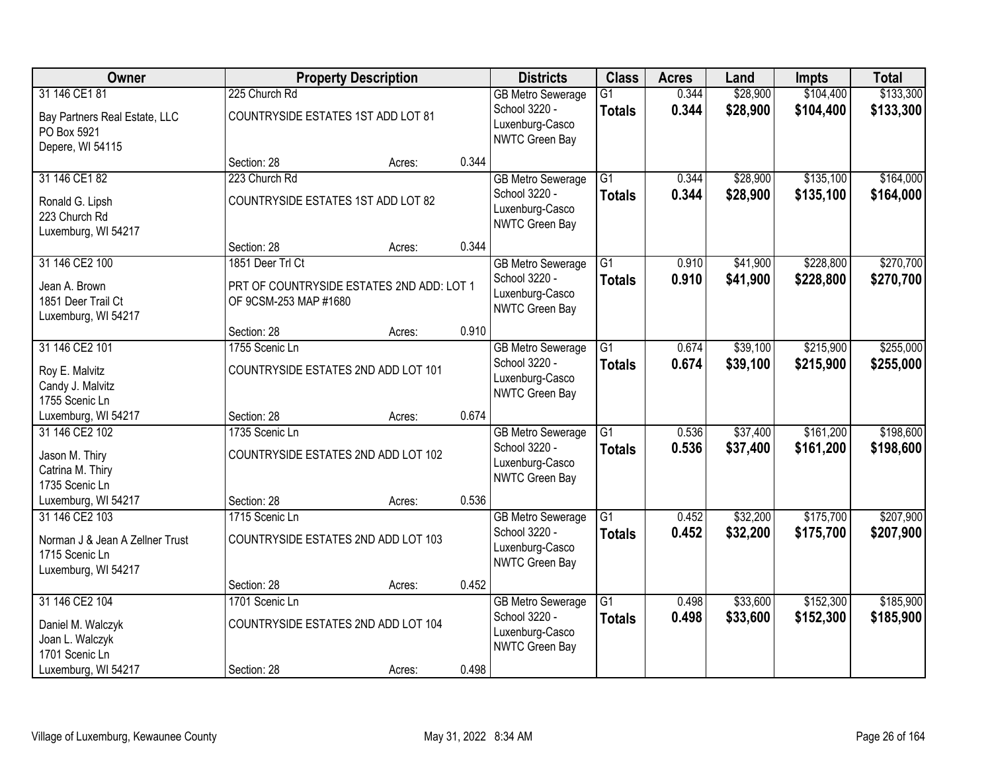| Owner                                                                                      |                                                     | <b>Property Description</b>               |       | <b>Districts</b>                                                               | <b>Class</b>                     | <b>Acres</b>   | Land                 | <b>Impts</b>           | <b>Total</b>           |
|--------------------------------------------------------------------------------------------|-----------------------------------------------------|-------------------------------------------|-------|--------------------------------------------------------------------------------|----------------------------------|----------------|----------------------|------------------------|------------------------|
| 31 146 CE1 81<br>Bay Partners Real Estate, LLC<br>PO Box 5921<br>Depere, WI 54115          | 225 Church Rd<br>COUNTRYSIDE ESTATES 1ST ADD LOT 81 |                                           |       | <b>GB Metro Sewerage</b><br>School 3220 -<br>Luxenburg-Casco<br>NWTC Green Bay | $\overline{G1}$<br><b>Totals</b> | 0.344<br>0.344 | \$28,900<br>\$28,900 | \$104,400<br>\$104,400 | \$133,300<br>\$133,300 |
|                                                                                            | Section: 28                                         | Acres:                                    | 0.344 |                                                                                |                                  |                |                      |                        |                        |
| 31 146 CE1 82<br>Ronald G. Lipsh<br>223 Church Rd<br>Luxemburg, WI 54217                   | 223 Church Rd<br>COUNTRYSIDE ESTATES 1ST ADD LOT 82 |                                           |       | <b>GB Metro Sewerage</b><br>School 3220 -<br>Luxenburg-Casco<br>NWTC Green Bay | $\overline{G1}$<br><b>Totals</b> | 0.344<br>0.344 | \$28,900<br>\$28,900 | \$135,100<br>\$135,100 | \$164,000<br>\$164,000 |
|                                                                                            | Section: 28                                         | Acres:                                    | 0.344 |                                                                                |                                  |                |                      |                        |                        |
| 31 146 CE2 100<br>Jean A. Brown<br>1851 Deer Trail Ct<br>Luxemburg, WI 54217               | 1851 Deer Trl Ct<br>OF 9CSM-253 MAP #1680           | PRT OF COUNTRYSIDE ESTATES 2ND ADD: LOT 1 |       | <b>GB Metro Sewerage</b><br>School 3220 -<br>Luxenburg-Casco<br>NWTC Green Bay | G1<br><b>Totals</b>              | 0.910<br>0.910 | \$41,900<br>\$41,900 | \$228,800<br>\$228,800 | \$270,700<br>\$270,700 |
|                                                                                            | Section: 28                                         | Acres:                                    | 0.910 |                                                                                |                                  |                |                      |                        |                        |
| 31 146 CE2 101<br>Roy E. Malvitz<br>Candy J. Malvitz<br>1755 Scenic Ln                     | 1755 Scenic Ln                                      | COUNTRYSIDE ESTATES 2ND ADD LOT 101       |       | <b>GB Metro Sewerage</b><br>School 3220 -<br>Luxenburg-Casco<br>NWTC Green Bay | G1<br><b>Totals</b>              | 0.674<br>0.674 | \$39,100<br>\$39,100 | \$215,900<br>\$215,900 | \$255,000<br>\$255,000 |
| Luxemburg, WI 54217                                                                        | Section: 28                                         | Acres:                                    | 0.674 |                                                                                |                                  |                |                      |                        |                        |
| 31 146 CE2 102<br>Jason M. Thiry<br>Catrina M. Thiry<br>1735 Scenic Ln                     | 1735 Scenic Ln                                      | COUNTRYSIDE ESTATES 2ND ADD LOT 102       |       | <b>GB Metro Sewerage</b><br>School 3220 -<br>Luxenburg-Casco<br>NWTC Green Bay | $\overline{G1}$<br><b>Totals</b> | 0.536<br>0.536 | \$37,400<br>\$37,400 | \$161,200<br>\$161,200 | \$198,600<br>\$198,600 |
| Luxemburg, WI 54217                                                                        | Section: 28                                         | Acres:                                    | 0.536 |                                                                                |                                  |                |                      |                        |                        |
| 31 146 CE2 103<br>Norman J & Jean A Zellner Trust<br>1715 Scenic Ln<br>Luxemburg, WI 54217 | 1715 Scenic Ln                                      | COUNTRYSIDE ESTATES 2ND ADD LOT 103       |       | <b>GB Metro Sewerage</b><br>School 3220 -<br>Luxenburg-Casco<br>NWTC Green Bay | $\overline{G1}$<br><b>Totals</b> | 0.452<br>0.452 | \$32,200<br>\$32,200 | \$175,700<br>\$175,700 | \$207,900<br>\$207,900 |
|                                                                                            | Section: 28                                         | Acres:                                    | 0.452 |                                                                                |                                  |                |                      |                        |                        |
| 31 146 CE2 104<br>Daniel M. Walczyk<br>Joan L. Walczyk<br>1701 Scenic Ln                   | 1701 Scenic Ln                                      | COUNTRYSIDE ESTATES 2ND ADD LOT 104       |       | <b>GB Metro Sewerage</b><br>School 3220 -<br>Luxenburg-Casco<br>NWTC Green Bay | $\overline{G1}$<br><b>Totals</b> | 0.498<br>0.498 | \$33,600<br>\$33,600 | \$152,300<br>\$152,300 | \$185,900<br>\$185,900 |
| Luxemburg, WI 54217                                                                        | Section: 28                                         | Acres:                                    | 0.498 |                                                                                |                                  |                |                      |                        |                        |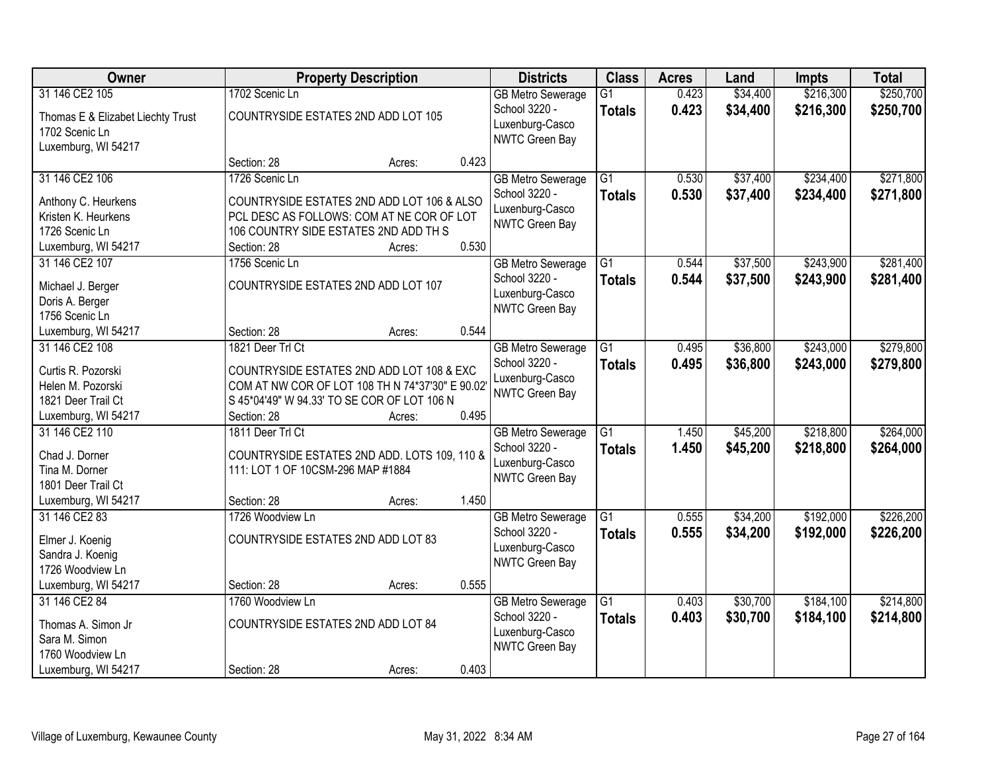| Owner                                      |                                                                                                | <b>Property Description</b> |       | <b>Districts</b>                          | <b>Class</b>                     | <b>Acres</b>   | Land                 | <b>Impts</b>           | <b>Total</b>           |
|--------------------------------------------|------------------------------------------------------------------------------------------------|-----------------------------|-------|-------------------------------------------|----------------------------------|----------------|----------------------|------------------------|------------------------|
| 31 146 CE2 105                             | 1702 Scenic Ln                                                                                 |                             |       | <b>GB Metro Sewerage</b><br>School 3220 - | $\overline{G1}$<br><b>Totals</b> | 0.423<br>0.423 | \$34,400<br>\$34,400 | \$216,300<br>\$216,300 | \$250,700<br>\$250,700 |
| Thomas E & Elizabet Liechty Trust          | COUNTRYSIDE ESTATES 2ND ADD LOT 105                                                            |                             |       | Luxenburg-Casco                           |                                  |                |                      |                        |                        |
| 1702 Scenic Ln<br>Luxemburg, WI 54217      |                                                                                                |                             |       | NWTC Green Bay                            |                                  |                |                      |                        |                        |
|                                            | Section: 28                                                                                    | Acres:                      | 0.423 |                                           |                                  |                |                      |                        |                        |
| 31 146 CE2 106                             | 1726 Scenic Ln                                                                                 |                             |       | <b>GB</b> Metro Sewerage                  | $\overline{G1}$                  | 0.530          | \$37,400             | \$234,400              | \$271,800              |
|                                            | COUNTRYSIDE ESTATES 2ND ADD LOT 106 & ALSO                                                     |                             |       | School 3220 -                             | <b>Totals</b>                    | 0.530          | \$37,400             | \$234,400              | \$271,800              |
| Anthony C. Heurkens<br>Kristen K. Heurkens | PCL DESC AS FOLLOWS: COM AT NE COR OF LOT                                                      |                             |       | Luxenburg-Casco                           |                                  |                |                      |                        |                        |
| 1726 Scenic Ln                             | 106 COUNTRY SIDE ESTATES 2ND ADD TH S                                                          |                             |       | <b>NWTC Green Bay</b>                     |                                  |                |                      |                        |                        |
| Luxemburg, WI 54217                        | Section: 28                                                                                    | Acres:                      | 0.530 |                                           |                                  |                |                      |                        |                        |
| 31 146 CE2 107                             | 1756 Scenic Ln                                                                                 |                             |       | <b>GB Metro Sewerage</b>                  | $\overline{G1}$                  | 0.544          | \$37,500             | \$243,900              | \$281,400              |
|                                            |                                                                                                |                             |       | School 3220 -                             | <b>Totals</b>                    | 0.544          | \$37,500             | \$243,900              | \$281,400              |
| Michael J. Berger                          | COUNTRYSIDE ESTATES 2ND ADD LOT 107                                                            |                             |       | Luxenburg-Casco                           |                                  |                |                      |                        |                        |
| Doris A. Berger<br>1756 Scenic Ln          |                                                                                                |                             |       | NWTC Green Bay                            |                                  |                |                      |                        |                        |
| Luxemburg, WI 54217                        | Section: 28                                                                                    | Acres:                      | 0.544 |                                           |                                  |                |                      |                        |                        |
| 31 146 CE2 108                             | 1821 Deer Trl Ct                                                                               |                             |       | <b>GB Metro Sewerage</b>                  | G1                               | 0.495          | \$36,800             | \$243,000              | \$279,800              |
|                                            |                                                                                                |                             |       | School 3220 -                             | <b>Totals</b>                    | 0.495          | \$36,800             | \$243,000              | \$279,800              |
| Curtis R. Pozorski                         | COUNTRYSIDE ESTATES 2ND ADD LOT 108 & EXC                                                      |                             |       | Luxenburg-Casco                           |                                  |                |                      |                        |                        |
| Helen M. Pozorski<br>1821 Deer Trail Ct    | COM AT NW COR OF LOT 108 TH N 74*37'30" E 90.02<br>S 45*04'49" W 94.33' TO SE COR OF LOT 106 N |                             |       | NWTC Green Bay                            |                                  |                |                      |                        |                        |
| Luxemburg, WI 54217                        | Section: 28                                                                                    | Acres:                      | 0.495 |                                           |                                  |                |                      |                        |                        |
| 31 146 CE2 110                             | 1811 Deer Trl Ct                                                                               |                             |       | <b>GB Metro Sewerage</b>                  | $\overline{G1}$                  | 1.450          | \$45,200             | \$218,800              | \$264,000              |
|                                            |                                                                                                |                             |       | School 3220 -                             | <b>Totals</b>                    | 1.450          | \$45,200             | \$218,800              | \$264,000              |
| Chad J. Dorner                             | COUNTRYSIDE ESTATES 2ND ADD. LOTS 109, 110 &                                                   |                             |       | Luxenburg-Casco                           |                                  |                |                      |                        |                        |
| Tina M. Dorner                             | 111: LOT 1 OF 10CSM-296 MAP #1884                                                              |                             |       | NWTC Green Bay                            |                                  |                |                      |                        |                        |
| 1801 Deer Trail Ct                         |                                                                                                |                             |       |                                           |                                  |                |                      |                        |                        |
| Luxemburg, WI 54217                        | Section: 28                                                                                    | Acres:                      | 1.450 |                                           |                                  |                |                      |                        |                        |
| 31 146 CE2 83                              | 1726 Woodview Ln                                                                               |                             |       | <b>GB Metro Sewerage</b><br>School 3220 - | $\overline{G1}$                  | 0.555          | \$34,200             | \$192,000              | \$226,200              |
| Elmer J. Koenig                            | COUNTRYSIDE ESTATES 2ND ADD LOT 83                                                             |                             |       | Luxenburg-Casco                           | <b>Totals</b>                    | 0.555          | \$34,200             | \$192,000              | \$226,200              |
| Sandra J. Koenig                           |                                                                                                |                             |       | NWTC Green Bay                            |                                  |                |                      |                        |                        |
| 1726 Woodview Ln                           |                                                                                                |                             |       |                                           |                                  |                |                      |                        |                        |
| Luxemburg, WI 54217                        | Section: 28                                                                                    | Acres:                      | 0.555 |                                           |                                  |                |                      |                        |                        |
| 31 146 CE2 84                              | 1760 Woodview Ln                                                                               |                             |       | <b>GB Metro Sewerage</b>                  | $\overline{G1}$                  | 0.403          | \$30,700             | \$184,100              | \$214,800              |
| Thomas A. Simon Jr                         | COUNTRYSIDE ESTATES 2ND ADD LOT 84                                                             |                             |       | School 3220 -                             | <b>Totals</b>                    | 0.403          | \$30,700             | \$184,100              | \$214,800              |
| Sara M. Simon                              |                                                                                                |                             |       | Luxenburg-Casco                           |                                  |                |                      |                        |                        |
| 1760 Woodview Ln                           |                                                                                                |                             |       | NWTC Green Bay                            |                                  |                |                      |                        |                        |
| Luxemburg, WI 54217                        | Section: 28                                                                                    | Acres:                      | 0.403 |                                           |                                  |                |                      |                        |                        |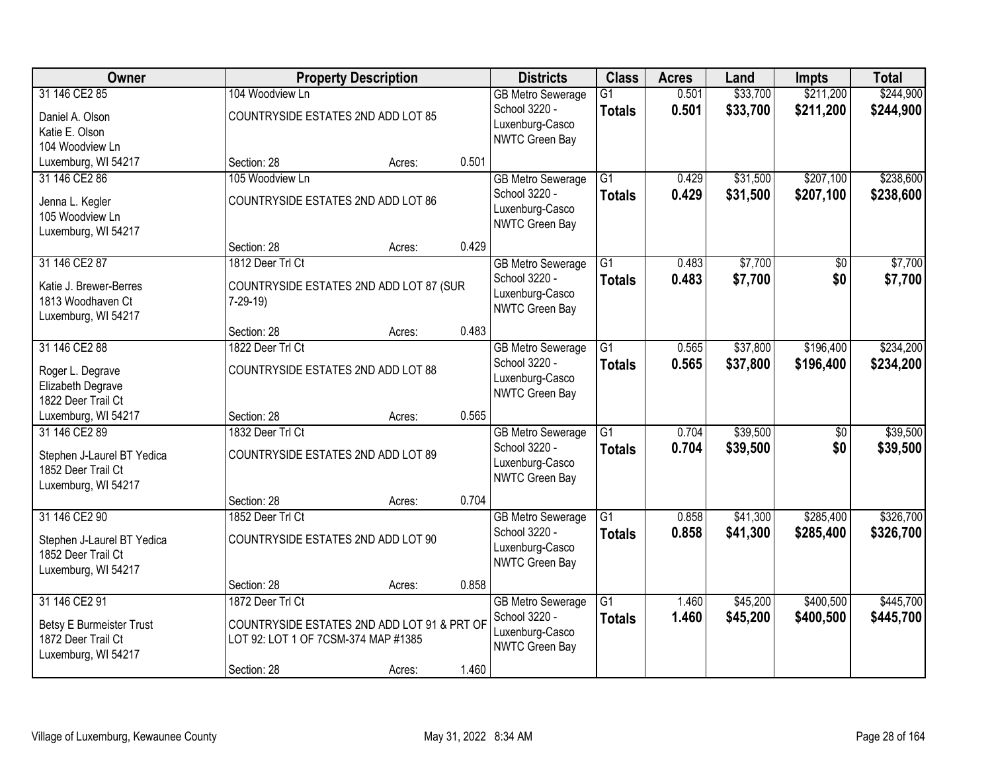| Owner                                                                                         |                                                                                                                       | <b>Property Description</b> |       | <b>Districts</b>                                                                      | <b>Class</b>                     | <b>Acres</b>   | Land                 | <b>Impts</b>           | <b>Total</b>           |
|-----------------------------------------------------------------------------------------------|-----------------------------------------------------------------------------------------------------------------------|-----------------------------|-------|---------------------------------------------------------------------------------------|----------------------------------|----------------|----------------------|------------------------|------------------------|
| 31 146 CE2 85<br>Daniel A. Olson<br>Katie E. Olson<br>104 Woodview Ln                         | 104 Woodview Ln<br>COUNTRYSIDE ESTATES 2ND ADD LOT 85                                                                 |                             |       | <b>GB Metro Sewerage</b><br>School 3220 -<br>Luxenburg-Casco<br>NWTC Green Bay        | $\overline{G1}$<br><b>Totals</b> | 0.501<br>0.501 | \$33,700<br>\$33,700 | \$211,200<br>\$211,200 | \$244,900<br>\$244,900 |
| Luxemburg, WI 54217                                                                           | Section: 28                                                                                                           | Acres:                      | 0.501 |                                                                                       |                                  |                |                      |                        |                        |
| 31 146 CE2 86<br>Jenna L. Kegler<br>105 Woodview Ln<br>Luxemburg, WI 54217                    | 105 Woodview Ln<br>COUNTRYSIDE ESTATES 2ND ADD LOT 86                                                                 |                             |       | <b>GB Metro Sewerage</b><br>School 3220 -<br>Luxenburg-Casco<br><b>NWTC Green Bay</b> | $\overline{G1}$<br><b>Totals</b> | 0.429<br>0.429 | \$31,500<br>\$31,500 | \$207,100<br>\$207,100 | \$238,600<br>\$238,600 |
|                                                                                               | Section: 28                                                                                                           | Acres:                      | 0.429 |                                                                                       |                                  |                |                      |                        |                        |
| 31 146 CE2 87<br>Katie J. Brewer-Berres<br>1813 Woodhaven Ct<br>Luxemburg, WI 54217           | 1812 Deer Trl Ct<br>COUNTRYSIDE ESTATES 2ND ADD LOT 87 (SUR<br>$7-29-19$                                              |                             |       | <b>GB Metro Sewerage</b><br>School 3220 -<br>Luxenburg-Casco<br>NWTC Green Bay        | $\overline{G1}$<br><b>Totals</b> | 0.483<br>0.483 | \$7,700<br>\$7,700   | \$0<br>\$0             | \$7,700<br>\$7,700     |
|                                                                                               | Section: 28                                                                                                           | Acres:                      | 0.483 |                                                                                       |                                  |                |                      |                        |                        |
| 31 146 CE2 88<br>Roger L. Degrave<br>Elizabeth Degrave<br>1822 Deer Trail Ct                  | 1822 Deer Trl Ct<br>COUNTRYSIDE ESTATES 2ND ADD LOT 88                                                                |                             |       | <b>GB Metro Sewerage</b><br>School 3220 -<br>Luxenburg-Casco<br>NWTC Green Bay        | $\overline{G1}$<br><b>Totals</b> | 0.565<br>0.565 | \$37,800<br>\$37,800 | \$196,400<br>\$196,400 | \$234,200<br>\$234,200 |
| Luxemburg, WI 54217                                                                           | Section: 28                                                                                                           | Acres:                      | 0.565 |                                                                                       |                                  |                |                      |                        |                        |
| 31 146 CE2 89<br>Stephen J-Laurel BT Yedica<br>1852 Deer Trail Ct<br>Luxemburg, WI 54217      | 1832 Deer Trl Ct<br>COUNTRYSIDE ESTATES 2ND ADD LOT 89                                                                |                             |       | <b>GB Metro Sewerage</b><br>School 3220 -<br>Luxenburg-Casco<br><b>NWTC Green Bay</b> | $\overline{G1}$<br><b>Totals</b> | 0.704<br>0.704 | \$39,500<br>\$39,500 | $\overline{50}$<br>\$0 | \$39,500<br>\$39,500   |
|                                                                                               | Section: 28                                                                                                           | Acres:                      | 0.704 |                                                                                       |                                  |                |                      |                        |                        |
| 31 146 CE2 90<br>Stephen J-Laurel BT Yedica<br>1852 Deer Trail Ct<br>Luxemburg, WI 54217      | 1852 Deer Trl Ct<br>COUNTRYSIDE ESTATES 2ND ADD LOT 90                                                                |                             |       | <b>GB Metro Sewerage</b><br>School 3220 -<br>Luxenburg-Casco<br>NWTC Green Bay        | $\overline{G1}$<br><b>Totals</b> | 0.858<br>0.858 | \$41,300<br>\$41,300 | \$285,400<br>\$285,400 | \$326,700<br>\$326,700 |
|                                                                                               | Section: 28                                                                                                           | Acres:                      | 0.858 |                                                                                       |                                  |                |                      |                        |                        |
| 31 146 CE2 91<br><b>Betsy E Burmeister Trust</b><br>1872 Deer Trail Ct<br>Luxemburg, WI 54217 | 1872 Deer Trl Ct<br>COUNTRYSIDE ESTATES 2ND ADD LOT 91 & PRT OF<br>LOT 92: LOT 1 OF 7CSM-374 MAP #1385<br>Section: 28 | Acres:                      | 1.460 | <b>GB Metro Sewerage</b><br>School 3220 -<br>Luxenburg-Casco<br>NWTC Green Bay        | $\overline{G1}$<br><b>Totals</b> | 1.460<br>1.460 | \$45,200<br>\$45,200 | \$400,500<br>\$400,500 | \$445,700<br>\$445,700 |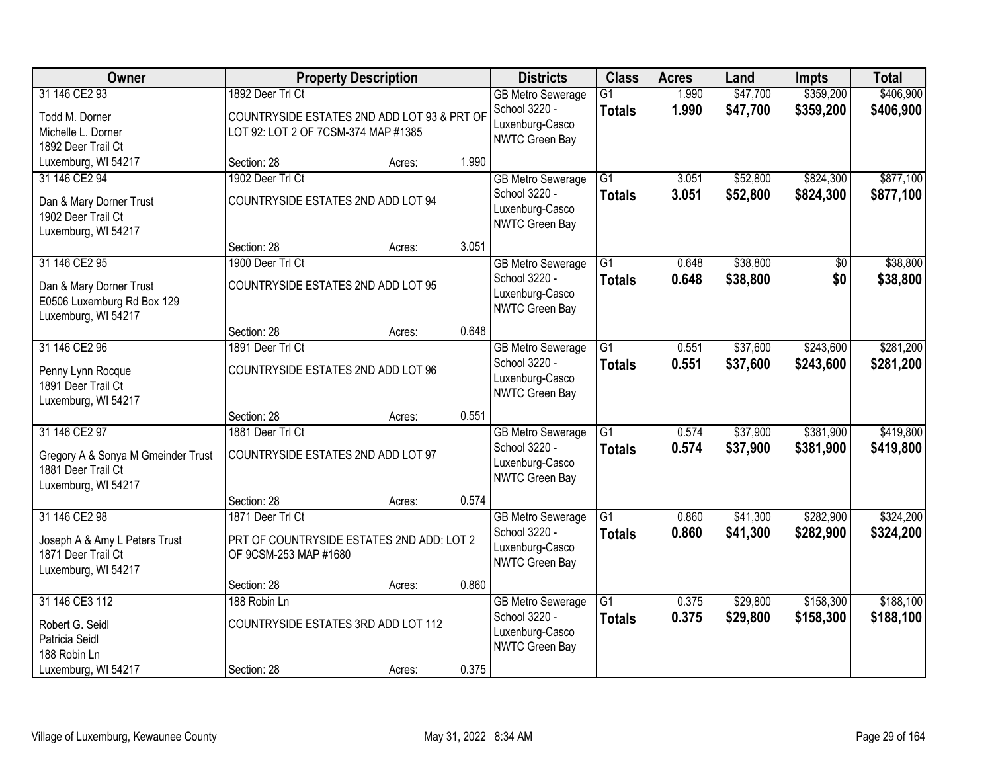| Owner                                             |                                             | <b>Property Description</b> |       | <b>Districts</b>                          | <b>Class</b>    | <b>Acres</b>   | Land                 | <b>Impts</b> | <b>Total</b> |
|---------------------------------------------------|---------------------------------------------|-----------------------------|-------|-------------------------------------------|-----------------|----------------|----------------------|--------------|--------------|
| 31 146 CE2 93                                     | 1892 Deer Trl Ct                            |                             |       | <b>GB Metro Sewerage</b>                  | $\overline{G1}$ | 1.990          | \$47,700             | \$359,200    | \$406,900    |
| Todd M. Dorner                                    | COUNTRYSIDE ESTATES 2ND ADD LOT 93 & PRT OF |                             |       | School 3220 -<br>Luxenburg-Casco          | <b>Totals</b>   | 1.990          | \$47,700             | \$359,200    | \$406,900    |
| Michelle L. Dorner                                | LOT 92: LOT 2 OF 7CSM-374 MAP #1385         |                             |       | <b>NWTC Green Bay</b>                     |                 |                |                      |              |              |
| 1892 Deer Trail Ct                                |                                             |                             |       |                                           |                 |                |                      |              |              |
| Luxemburg, WI 54217<br>31 146 CE2 94              | Section: 28<br>1902 Deer Trl Ct             | Acres:                      | 1.990 |                                           | $\overline{G1}$ |                |                      | \$824,300    | \$877,100    |
|                                                   |                                             |                             |       | <b>GB Metro Sewerage</b><br>School 3220 - |                 | 3.051<br>3.051 | \$52,800<br>\$52,800 | \$824,300    | \$877,100    |
| Dan & Mary Dorner Trust                           | COUNTRYSIDE ESTATES 2ND ADD LOT 94          |                             |       | Luxenburg-Casco                           | <b>Totals</b>   |                |                      |              |              |
| 1902 Deer Trail Ct                                |                                             |                             |       | NWTC Green Bay                            |                 |                |                      |              |              |
| Luxemburg, WI 54217                               | Section: 28                                 | Acres:                      | 3.051 |                                           |                 |                |                      |              |              |
| 31 146 CE2 95                                     | 1900 Deer Trl Ct                            |                             |       | <b>GB Metro Sewerage</b>                  | $\overline{G1}$ | 0.648          | \$38,800             | \$0          | \$38,800     |
|                                                   |                                             |                             |       | School 3220 -                             | <b>Totals</b>   | 0.648          | \$38,800             | \$0          | \$38,800     |
| Dan & Mary Dorner Trust                           | COUNTRYSIDE ESTATES 2ND ADD LOT 95          |                             |       | Luxenburg-Casco                           |                 |                |                      |              |              |
| E0506 Luxemburg Rd Box 129<br>Luxemburg, WI 54217 |                                             |                             |       | NWTC Green Bay                            |                 |                |                      |              |              |
|                                                   | Section: 28                                 | Acres:                      | 0.648 |                                           |                 |                |                      |              |              |
| 31 146 CE2 96                                     | 1891 Deer Trl Ct                            |                             |       | <b>GB Metro Sewerage</b>                  | G1              | 0.551          | \$37,600             | \$243,600    | \$281,200    |
|                                                   |                                             |                             |       | School 3220 -                             | <b>Totals</b>   | 0.551          | \$37,600             | \$243,600    | \$281,200    |
| Penny Lynn Rocque<br>1891 Deer Trail Ct           | COUNTRYSIDE ESTATES 2ND ADD LOT 96          |                             |       | Luxenburg-Casco                           |                 |                |                      |              |              |
| Luxemburg, WI 54217                               |                                             |                             |       | NWTC Green Bay                            |                 |                |                      |              |              |
|                                                   | Section: 28                                 | Acres:                      | 0.551 |                                           |                 |                |                      |              |              |
| 31 146 CE2 97                                     | 1881 Deer Trl Ct                            |                             |       | <b>GB Metro Sewerage</b>                  | $\overline{G1}$ | 0.574          | \$37,900             | \$381,900    | \$419,800    |
| Gregory A & Sonya M Gmeinder Trust                | COUNTRYSIDE ESTATES 2ND ADD LOT 97          |                             |       | School 3220 -                             | <b>Totals</b>   | 0.574          | \$37,900             | \$381,900    | \$419,800    |
| 1881 Deer Trail Ct                                |                                             |                             |       | Luxenburg-Casco                           |                 |                |                      |              |              |
| Luxemburg, WI 54217                               |                                             |                             |       | NWTC Green Bay                            |                 |                |                      |              |              |
|                                                   | Section: 28                                 | Acres:                      | 0.574 |                                           |                 |                |                      |              |              |
| 31 146 CE2 98                                     | 1871 Deer Trl Ct                            |                             |       | <b>GB Metro Sewerage</b>                  | $\overline{G1}$ | 0.860          | \$41,300             | \$282,900    | \$324,200    |
| Joseph A & Amy L Peters Trust                     | PRT OF COUNTRYSIDE ESTATES 2ND ADD: LOT 2   |                             |       | School 3220 -                             | <b>Totals</b>   | 0.860          | \$41,300             | \$282,900    | \$324,200    |
| 1871 Deer Trail Ct                                | OF 9CSM-253 MAP #1680                       |                             |       | Luxenburg-Casco<br>NWTC Green Bay         |                 |                |                      |              |              |
| Luxemburg, WI 54217                               |                                             |                             |       |                                           |                 |                |                      |              |              |
|                                                   | Section: 28                                 | Acres:                      | 0.860 |                                           |                 |                |                      |              |              |
| 31 146 CE3 112                                    | 188 Robin Ln                                |                             |       | <b>GB Metro Sewerage</b>                  | $\overline{G1}$ | 0.375          | \$29,800             | \$158,300    | \$188,100    |
| Robert G. Seidl                                   | COUNTRYSIDE ESTATES 3RD ADD LOT 112         |                             |       | School 3220 -<br>Luxenburg-Casco          | <b>Totals</b>   | 0.375          | \$29,800             | \$158,300    | \$188,100    |
| Patricia Seidl                                    |                                             |                             |       | NWTC Green Bay                            |                 |                |                      |              |              |
| 188 Robin Ln                                      |                                             |                             |       |                                           |                 |                |                      |              |              |
| Luxemburg, WI 54217                               | Section: 28                                 | Acres:                      | 0.375 |                                           |                 |                |                      |              |              |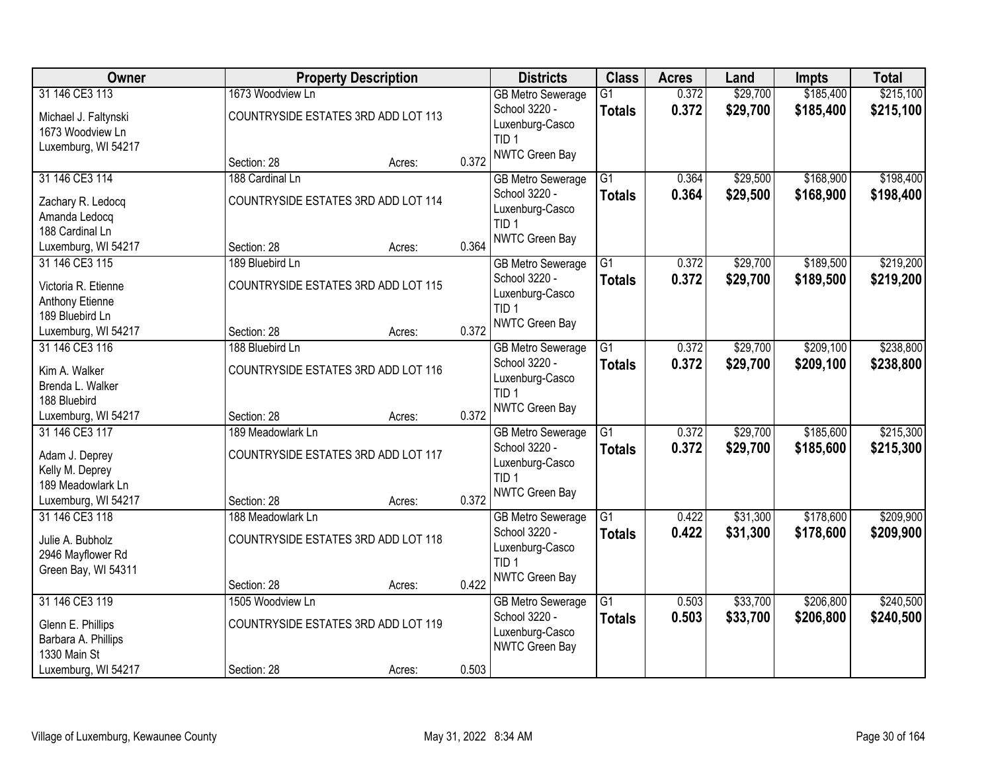| <b>Owner</b>                                                                  |                                                         | <b>Property Description</b> |       | <b>Districts</b>                                                       | <b>Class</b>                     | <b>Acres</b>   | Land                 | <b>Impts</b>           | <b>Total</b>           |
|-------------------------------------------------------------------------------|---------------------------------------------------------|-----------------------------|-------|------------------------------------------------------------------------|----------------------------------|----------------|----------------------|------------------------|------------------------|
| 31 146 CE3 113<br>Michael J. Faltynski                                        | 1673 Woodview Ln<br>COUNTRYSIDE ESTATES 3RD ADD LOT 113 |                             |       | <b>GB Metro Sewerage</b><br>School 3220 -<br>Luxenburg-Casco           | $\overline{G1}$<br><b>Totals</b> | 0.372<br>0.372 | \$29,700<br>\$29,700 | \$185,400<br>\$185,400 | \$215,100<br>\$215,100 |
| 1673 Woodview Ln<br>Luxemburg, WI 54217                                       | Section: 28                                             | Acres:                      | 0.372 | TID <sub>1</sub><br>NWTC Green Bay                                     |                                  |                |                      |                        |                        |
| 31 146 CE3 114                                                                | 188 Cardinal Ln                                         |                             |       | <b>GB Metro Sewerage</b>                                               | $\overline{G1}$                  | 0.364          | \$29,500             | \$168,900              | \$198,400              |
| Zachary R. Ledocq<br>Amanda Ledocq<br>188 Cardinal Ln                         | COUNTRYSIDE ESTATES 3RD ADD LOT 114                     |                             |       | School 3220 -<br>Luxenburg-Casco<br>TID <sub>1</sub>                   | <b>Totals</b>                    | 0.364          | \$29,500             | \$168,900              | \$198,400              |
| Luxemburg, WI 54217                                                           | Section: 28                                             | Acres:                      | 0.364 | NWTC Green Bay                                                         |                                  |                |                      |                        |                        |
| 31 146 CE3 115                                                                | 189 Bluebird Ln                                         |                             |       | <b>GB Metro Sewerage</b>                                               | G1                               | 0.372          | \$29,700             | \$189,500              | \$219,200              |
| Victoria R. Etienne<br>Anthony Etienne<br>189 Bluebird Ln                     | COUNTRYSIDE ESTATES 3RD ADD LOT 115                     |                             |       | School 3220 -<br>Luxenburg-Casco<br>TID <sub>1</sub>                   | <b>Totals</b>                    | 0.372          | \$29,700             | \$189,500              | \$219,200              |
| Luxemburg, WI 54217                                                           | Section: 28                                             | Acres:                      | 0.372 | NWTC Green Bay                                                         |                                  |                |                      |                        |                        |
| 31 146 CE3 116                                                                | 188 Bluebird Ln                                         |                             |       | <b>GB Metro Sewerage</b>                                               | $\overline{G1}$                  | 0.372          | \$29,700             | \$209,100              | \$238,800              |
| Kim A. Walker<br>Brenda L. Walker                                             | COUNTRYSIDE ESTATES 3RD ADD LOT 116                     |                             |       | School 3220 -<br>Luxenburg-Casco<br>TID <sub>1</sub>                   | <b>Totals</b>                    | 0.372          | \$29,700             | \$209,100              | \$238,800              |
| 188 Bluebird<br>Luxemburg, WI 54217                                           | Section: 28                                             | Acres:                      | 0.372 | NWTC Green Bay                                                         |                                  |                |                      |                        |                        |
| 31 146 CE3 117                                                                | 189 Meadowlark Ln                                       |                             |       | <b>GB Metro Sewerage</b>                                               | $\overline{G1}$                  | 0.372          | \$29,700             | \$185,600              | \$215,300              |
| Adam J. Deprey<br>Kelly M. Deprey<br>189 Meadowlark Ln<br>Luxemburg, WI 54217 | COUNTRYSIDE ESTATES 3RD ADD LOT 117<br>Section: 28      |                             | 0.372 | School 3220 -<br>Luxenburg-Casco<br>TID <sub>1</sub><br>NWTC Green Bay | Totals                           | 0.372          | \$29,700             | \$185,600              | \$215,300              |
| 31 146 CE3 118                                                                | 188 Meadowlark Ln                                       | Acres:                      |       | <b>GB Metro Sewerage</b>                                               | G1                               | 0.422          | \$31,300             | \$178,600              | \$209,900              |
| Julie A. Bubholz<br>2946 Mayflower Rd<br>Green Bay, WI 54311                  | COUNTRYSIDE ESTATES 3RD ADD LOT 118                     |                             |       | School 3220 -<br>Luxenburg-Casco<br>TID <sub>1</sub>                   | <b>Totals</b>                    | 0.422          | \$31,300             | \$178,600              | \$209,900              |
|                                                                               | Section: 28                                             | Acres:                      | 0.422 | NWTC Green Bay                                                         |                                  |                |                      |                        |                        |
| 31 146 CE3 119                                                                | 1505 Woodview Ln                                        |                             |       | <b>GB Metro Sewerage</b>                                               | $\overline{G1}$                  | 0.503          | \$33,700             | \$206,800              | \$240,500              |
| Glenn E. Phillips<br>Barbara A. Phillips<br>1330 Main St                      | COUNTRYSIDE ESTATES 3RD ADD LOT 119                     |                             |       | School 3220 -<br>Luxenburg-Casco<br>NWTC Green Bay                     | <b>Totals</b>                    | 0.503          | \$33,700             | \$206,800              | \$240,500              |
| Luxemburg, WI 54217                                                           | Section: 28                                             | Acres:                      | 0.503 |                                                                        |                                  |                |                      |                        |                        |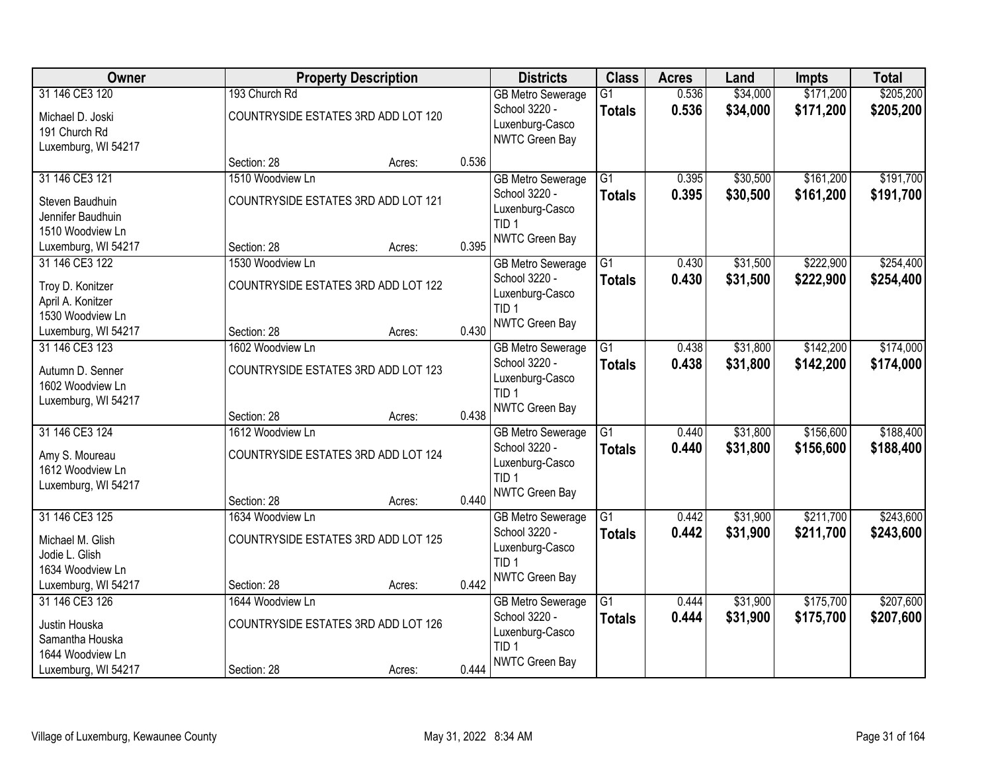| \$205,200<br>193 Church Rd<br>$\overline{G1}$<br>0.536<br>\$34,000<br><b>GB Metro Sewerage</b><br>0.536<br>School 3220 -<br>\$34,000<br>\$171,200<br>\$205,200<br><b>Totals</b><br>COUNTRYSIDE ESTATES 3RD ADD LOT 120<br>Michael D. Joski<br>Luxenburg-Casco<br>191 Church Rd<br>NWTC Green Bay<br>Luxemburg, WI 54217<br>0.536<br>Section: 28<br>Acres:<br>\$161,200<br>\$191,700<br>31 146 CE3 121<br>1510 Woodview Ln<br>$\overline{G1}$<br>\$30,500<br><b>GB Metro Sewerage</b><br>0.395<br>School 3220 -<br>0.395<br>\$30,500<br>\$161,200<br>\$191,700<br><b>Totals</b><br>COUNTRYSIDE ESTATES 3RD ADD LOT 121<br>Steven Baudhuin<br>Luxenburg-Casco<br>Jennifer Baudhuin<br>TID <sub>1</sub><br>1510 Woodview Ln<br><b>NWTC Green Bay</b><br>0.395<br>Luxemburg, WI 54217<br>Section: 28<br>Acres:<br>\$222,900<br>\$254,400<br>31 146 CE3 122<br>$\overline{G1}$<br>\$31,500<br>1530 Woodview Ln<br>0.430<br><b>GB Metro Sewerage</b><br>School 3220 -<br>0.430<br>\$31,500<br>\$222,900<br>\$254,400<br><b>Totals</b><br>COUNTRYSIDE ESTATES 3RD ADD LOT 122<br>Troy D. Konitzer<br>Luxenburg-Casco<br>April A. Konitzer<br>TID <sub>1</sub><br>1530 Woodview Ln<br>NWTC Green Bay<br>0.430<br>Section: 28<br>Luxemburg, WI 54217<br>Acres:<br>31 146 CE3 123<br>\$31,800<br>\$142,200<br>\$174,000<br>1602 Woodview Ln<br>G1<br>0.438<br><b>GB Metro Sewerage</b><br>School 3220 -<br>0.438<br>\$31,800<br>\$142,200<br>\$174,000<br><b>Totals</b><br>COUNTRYSIDE ESTATES 3RD ADD LOT 123<br>Autumn D. Senner<br>Luxenburg-Casco<br>1602 Woodview Ln<br>TID <sub>1</sub><br>Luxemburg, WI 54217<br><b>NWTC Green Bay</b><br>0.438<br>Section: 28<br>Acres:<br>31 146 CE3 124<br>$\overline{G1}$<br>\$31,800<br>\$156,600<br>1612 Woodview Ln<br>0.440<br><b>GB Metro Sewerage</b><br>0.440<br>School 3220 -<br>\$31,800<br>\$156,600<br><b>Totals</b><br>Amy S. Moureau<br>COUNTRYSIDE ESTATES 3RD ADD LOT 124<br>Luxenburg-Casco<br>1612 Woodview Ln<br>TID <sub>1</sub><br>Luxemburg, WI 54217<br><b>NWTC Green Bay</b><br>0.440<br>Section: 28<br>Acres:<br>31 146 CE3 125<br>$\overline{G1}$<br>\$211,700<br>\$31,900<br>1634 Woodview Ln<br>0.442<br><b>GB Metro Sewerage</b><br>School 3220 -<br>0.442<br>\$31,900<br>\$211,700<br><b>Totals</b><br>COUNTRYSIDE ESTATES 3RD ADD LOT 125<br>Michael M. Glish<br>Luxenburg-Casco<br>Jodie L. Glish<br>TID <sub>1</sub><br>1634 Woodview Ln<br>NWTC Green Bay<br>0.442<br>Luxemburg, WI 54217<br>Section: 28<br>Acres:<br>\$175,700<br>\$207,600<br>31 146 CE3 126<br>$\overline{G1}$<br>0.444<br>\$31,900<br>1644 Woodview Ln<br><b>GB Metro Sewerage</b><br>School 3220 -<br>0.444<br>\$31,900<br>\$175,700<br>\$207,600<br><b>Totals</b><br>COUNTRYSIDE ESTATES 3RD ADD LOT 126<br>Justin Houska<br>Luxenburg-Casco<br>Samantha Houska<br>TID <sub>1</sub><br>1644 Woodview Ln | Owner               |             | <b>Property Description</b> |       | <b>Districts</b>      | <b>Class</b> | <b>Acres</b> | Land | <b>Impts</b> | <b>Total</b> |
|-------------------------------------------------------------------------------------------------------------------------------------------------------------------------------------------------------------------------------------------------------------------------------------------------------------------------------------------------------------------------------------------------------------------------------------------------------------------------------------------------------------------------------------------------------------------------------------------------------------------------------------------------------------------------------------------------------------------------------------------------------------------------------------------------------------------------------------------------------------------------------------------------------------------------------------------------------------------------------------------------------------------------------------------------------------------------------------------------------------------------------------------------------------------------------------------------------------------------------------------------------------------------------------------------------------------------------------------------------------------------------------------------------------------------------------------------------------------------------------------------------------------------------------------------------------------------------------------------------------------------------------------------------------------------------------------------------------------------------------------------------------------------------------------------------------------------------------------------------------------------------------------------------------------------------------------------------------------------------------------------------------------------------------------------------------------------------------------------------------------------------------------------------------------------------------------------------------------------------------------------------------------------------------------------------------------------------------------------------------------------------------------------------------------------------------------------------------------------------------------------------------------------------------------------------------------------------------------------------------------------------------------------------------------------------------------------------------------------------------------------------------------------------------------------------------------------------------------------|---------------------|-------------|-----------------------------|-------|-----------------------|--------------|--------------|------|--------------|--------------|
|                                                                                                                                                                                                                                                                                                                                                                                                                                                                                                                                                                                                                                                                                                                                                                                                                                                                                                                                                                                                                                                                                                                                                                                                                                                                                                                                                                                                                                                                                                                                                                                                                                                                                                                                                                                                                                                                                                                                                                                                                                                                                                                                                                                                                                                                                                                                                                                                                                                                                                                                                                                                                                                                                                                                                                                                                                                 | 31 146 CE3 120      |             |                             |       |                       |              |              |      | \$171,200    |              |
|                                                                                                                                                                                                                                                                                                                                                                                                                                                                                                                                                                                                                                                                                                                                                                                                                                                                                                                                                                                                                                                                                                                                                                                                                                                                                                                                                                                                                                                                                                                                                                                                                                                                                                                                                                                                                                                                                                                                                                                                                                                                                                                                                                                                                                                                                                                                                                                                                                                                                                                                                                                                                                                                                                                                                                                                                                                 |                     |             |                             |       |                       |              |              |      |              |              |
|                                                                                                                                                                                                                                                                                                                                                                                                                                                                                                                                                                                                                                                                                                                                                                                                                                                                                                                                                                                                                                                                                                                                                                                                                                                                                                                                                                                                                                                                                                                                                                                                                                                                                                                                                                                                                                                                                                                                                                                                                                                                                                                                                                                                                                                                                                                                                                                                                                                                                                                                                                                                                                                                                                                                                                                                                                                 |                     |             |                             |       |                       |              |              |      |              |              |
|                                                                                                                                                                                                                                                                                                                                                                                                                                                                                                                                                                                                                                                                                                                                                                                                                                                                                                                                                                                                                                                                                                                                                                                                                                                                                                                                                                                                                                                                                                                                                                                                                                                                                                                                                                                                                                                                                                                                                                                                                                                                                                                                                                                                                                                                                                                                                                                                                                                                                                                                                                                                                                                                                                                                                                                                                                                 |                     |             |                             |       |                       |              |              |      |              |              |
|                                                                                                                                                                                                                                                                                                                                                                                                                                                                                                                                                                                                                                                                                                                                                                                                                                                                                                                                                                                                                                                                                                                                                                                                                                                                                                                                                                                                                                                                                                                                                                                                                                                                                                                                                                                                                                                                                                                                                                                                                                                                                                                                                                                                                                                                                                                                                                                                                                                                                                                                                                                                                                                                                                                                                                                                                                                 |                     |             |                             |       |                       |              |              |      |              |              |
|                                                                                                                                                                                                                                                                                                                                                                                                                                                                                                                                                                                                                                                                                                                                                                                                                                                                                                                                                                                                                                                                                                                                                                                                                                                                                                                                                                                                                                                                                                                                                                                                                                                                                                                                                                                                                                                                                                                                                                                                                                                                                                                                                                                                                                                                                                                                                                                                                                                                                                                                                                                                                                                                                                                                                                                                                                                 |                     |             |                             |       |                       |              |              |      |              |              |
|                                                                                                                                                                                                                                                                                                                                                                                                                                                                                                                                                                                                                                                                                                                                                                                                                                                                                                                                                                                                                                                                                                                                                                                                                                                                                                                                                                                                                                                                                                                                                                                                                                                                                                                                                                                                                                                                                                                                                                                                                                                                                                                                                                                                                                                                                                                                                                                                                                                                                                                                                                                                                                                                                                                                                                                                                                                 |                     |             |                             |       |                       |              |              |      |              |              |
|                                                                                                                                                                                                                                                                                                                                                                                                                                                                                                                                                                                                                                                                                                                                                                                                                                                                                                                                                                                                                                                                                                                                                                                                                                                                                                                                                                                                                                                                                                                                                                                                                                                                                                                                                                                                                                                                                                                                                                                                                                                                                                                                                                                                                                                                                                                                                                                                                                                                                                                                                                                                                                                                                                                                                                                                                                                 |                     |             |                             |       |                       |              |              |      |              |              |
|                                                                                                                                                                                                                                                                                                                                                                                                                                                                                                                                                                                                                                                                                                                                                                                                                                                                                                                                                                                                                                                                                                                                                                                                                                                                                                                                                                                                                                                                                                                                                                                                                                                                                                                                                                                                                                                                                                                                                                                                                                                                                                                                                                                                                                                                                                                                                                                                                                                                                                                                                                                                                                                                                                                                                                                                                                                 |                     |             |                             |       |                       |              |              |      |              |              |
|                                                                                                                                                                                                                                                                                                                                                                                                                                                                                                                                                                                                                                                                                                                                                                                                                                                                                                                                                                                                                                                                                                                                                                                                                                                                                                                                                                                                                                                                                                                                                                                                                                                                                                                                                                                                                                                                                                                                                                                                                                                                                                                                                                                                                                                                                                                                                                                                                                                                                                                                                                                                                                                                                                                                                                                                                                                 |                     |             |                             |       |                       |              |              |      |              |              |
|                                                                                                                                                                                                                                                                                                                                                                                                                                                                                                                                                                                                                                                                                                                                                                                                                                                                                                                                                                                                                                                                                                                                                                                                                                                                                                                                                                                                                                                                                                                                                                                                                                                                                                                                                                                                                                                                                                                                                                                                                                                                                                                                                                                                                                                                                                                                                                                                                                                                                                                                                                                                                                                                                                                                                                                                                                                 |                     |             |                             |       |                       |              |              |      |              |              |
|                                                                                                                                                                                                                                                                                                                                                                                                                                                                                                                                                                                                                                                                                                                                                                                                                                                                                                                                                                                                                                                                                                                                                                                                                                                                                                                                                                                                                                                                                                                                                                                                                                                                                                                                                                                                                                                                                                                                                                                                                                                                                                                                                                                                                                                                                                                                                                                                                                                                                                                                                                                                                                                                                                                                                                                                                                                 |                     |             |                             |       |                       |              |              |      |              |              |
|                                                                                                                                                                                                                                                                                                                                                                                                                                                                                                                                                                                                                                                                                                                                                                                                                                                                                                                                                                                                                                                                                                                                                                                                                                                                                                                                                                                                                                                                                                                                                                                                                                                                                                                                                                                                                                                                                                                                                                                                                                                                                                                                                                                                                                                                                                                                                                                                                                                                                                                                                                                                                                                                                                                                                                                                                                                 |                     |             |                             |       |                       |              |              |      |              |              |
|                                                                                                                                                                                                                                                                                                                                                                                                                                                                                                                                                                                                                                                                                                                                                                                                                                                                                                                                                                                                                                                                                                                                                                                                                                                                                                                                                                                                                                                                                                                                                                                                                                                                                                                                                                                                                                                                                                                                                                                                                                                                                                                                                                                                                                                                                                                                                                                                                                                                                                                                                                                                                                                                                                                                                                                                                                                 |                     |             |                             |       |                       |              |              |      |              |              |
|                                                                                                                                                                                                                                                                                                                                                                                                                                                                                                                                                                                                                                                                                                                                                                                                                                                                                                                                                                                                                                                                                                                                                                                                                                                                                                                                                                                                                                                                                                                                                                                                                                                                                                                                                                                                                                                                                                                                                                                                                                                                                                                                                                                                                                                                                                                                                                                                                                                                                                                                                                                                                                                                                                                                                                                                                                                 |                     |             |                             |       |                       |              |              |      |              |              |
|                                                                                                                                                                                                                                                                                                                                                                                                                                                                                                                                                                                                                                                                                                                                                                                                                                                                                                                                                                                                                                                                                                                                                                                                                                                                                                                                                                                                                                                                                                                                                                                                                                                                                                                                                                                                                                                                                                                                                                                                                                                                                                                                                                                                                                                                                                                                                                                                                                                                                                                                                                                                                                                                                                                                                                                                                                                 |                     |             |                             |       |                       |              |              |      |              |              |
|                                                                                                                                                                                                                                                                                                                                                                                                                                                                                                                                                                                                                                                                                                                                                                                                                                                                                                                                                                                                                                                                                                                                                                                                                                                                                                                                                                                                                                                                                                                                                                                                                                                                                                                                                                                                                                                                                                                                                                                                                                                                                                                                                                                                                                                                                                                                                                                                                                                                                                                                                                                                                                                                                                                                                                                                                                                 |                     |             |                             |       |                       |              |              |      |              |              |
|                                                                                                                                                                                                                                                                                                                                                                                                                                                                                                                                                                                                                                                                                                                                                                                                                                                                                                                                                                                                                                                                                                                                                                                                                                                                                                                                                                                                                                                                                                                                                                                                                                                                                                                                                                                                                                                                                                                                                                                                                                                                                                                                                                                                                                                                                                                                                                                                                                                                                                                                                                                                                                                                                                                                                                                                                                                 |                     |             |                             |       |                       |              |              |      |              |              |
| \$188,400<br>\$188,400<br>\$243,600<br>\$243,600                                                                                                                                                                                                                                                                                                                                                                                                                                                                                                                                                                                                                                                                                                                                                                                                                                                                                                                                                                                                                                                                                                                                                                                                                                                                                                                                                                                                                                                                                                                                                                                                                                                                                                                                                                                                                                                                                                                                                                                                                                                                                                                                                                                                                                                                                                                                                                                                                                                                                                                                                                                                                                                                                                                                                                                                |                     |             |                             |       |                       |              |              |      |              |              |
|                                                                                                                                                                                                                                                                                                                                                                                                                                                                                                                                                                                                                                                                                                                                                                                                                                                                                                                                                                                                                                                                                                                                                                                                                                                                                                                                                                                                                                                                                                                                                                                                                                                                                                                                                                                                                                                                                                                                                                                                                                                                                                                                                                                                                                                                                                                                                                                                                                                                                                                                                                                                                                                                                                                                                                                                                                                 |                     |             |                             |       |                       |              |              |      |              |              |
|                                                                                                                                                                                                                                                                                                                                                                                                                                                                                                                                                                                                                                                                                                                                                                                                                                                                                                                                                                                                                                                                                                                                                                                                                                                                                                                                                                                                                                                                                                                                                                                                                                                                                                                                                                                                                                                                                                                                                                                                                                                                                                                                                                                                                                                                                                                                                                                                                                                                                                                                                                                                                                                                                                                                                                                                                                                 |                     |             |                             |       |                       |              |              |      |              |              |
|                                                                                                                                                                                                                                                                                                                                                                                                                                                                                                                                                                                                                                                                                                                                                                                                                                                                                                                                                                                                                                                                                                                                                                                                                                                                                                                                                                                                                                                                                                                                                                                                                                                                                                                                                                                                                                                                                                                                                                                                                                                                                                                                                                                                                                                                                                                                                                                                                                                                                                                                                                                                                                                                                                                                                                                                                                                 |                     |             |                             |       |                       |              |              |      |              |              |
|                                                                                                                                                                                                                                                                                                                                                                                                                                                                                                                                                                                                                                                                                                                                                                                                                                                                                                                                                                                                                                                                                                                                                                                                                                                                                                                                                                                                                                                                                                                                                                                                                                                                                                                                                                                                                                                                                                                                                                                                                                                                                                                                                                                                                                                                                                                                                                                                                                                                                                                                                                                                                                                                                                                                                                                                                                                 |                     |             |                             |       |                       |              |              |      |              |              |
|                                                                                                                                                                                                                                                                                                                                                                                                                                                                                                                                                                                                                                                                                                                                                                                                                                                                                                                                                                                                                                                                                                                                                                                                                                                                                                                                                                                                                                                                                                                                                                                                                                                                                                                                                                                                                                                                                                                                                                                                                                                                                                                                                                                                                                                                                                                                                                                                                                                                                                                                                                                                                                                                                                                                                                                                                                                 |                     |             |                             |       |                       |              |              |      |              |              |
|                                                                                                                                                                                                                                                                                                                                                                                                                                                                                                                                                                                                                                                                                                                                                                                                                                                                                                                                                                                                                                                                                                                                                                                                                                                                                                                                                                                                                                                                                                                                                                                                                                                                                                                                                                                                                                                                                                                                                                                                                                                                                                                                                                                                                                                                                                                                                                                                                                                                                                                                                                                                                                                                                                                                                                                                                                                 |                     |             |                             |       |                       |              |              |      |              |              |
|                                                                                                                                                                                                                                                                                                                                                                                                                                                                                                                                                                                                                                                                                                                                                                                                                                                                                                                                                                                                                                                                                                                                                                                                                                                                                                                                                                                                                                                                                                                                                                                                                                                                                                                                                                                                                                                                                                                                                                                                                                                                                                                                                                                                                                                                                                                                                                                                                                                                                                                                                                                                                                                                                                                                                                                                                                                 |                     |             |                             |       |                       |              |              |      |              |              |
|                                                                                                                                                                                                                                                                                                                                                                                                                                                                                                                                                                                                                                                                                                                                                                                                                                                                                                                                                                                                                                                                                                                                                                                                                                                                                                                                                                                                                                                                                                                                                                                                                                                                                                                                                                                                                                                                                                                                                                                                                                                                                                                                                                                                                                                                                                                                                                                                                                                                                                                                                                                                                                                                                                                                                                                                                                                 |                     |             |                             |       |                       |              |              |      |              |              |
|                                                                                                                                                                                                                                                                                                                                                                                                                                                                                                                                                                                                                                                                                                                                                                                                                                                                                                                                                                                                                                                                                                                                                                                                                                                                                                                                                                                                                                                                                                                                                                                                                                                                                                                                                                                                                                                                                                                                                                                                                                                                                                                                                                                                                                                                                                                                                                                                                                                                                                                                                                                                                                                                                                                                                                                                                                                 |                     |             |                             |       |                       |              |              |      |              |              |
|                                                                                                                                                                                                                                                                                                                                                                                                                                                                                                                                                                                                                                                                                                                                                                                                                                                                                                                                                                                                                                                                                                                                                                                                                                                                                                                                                                                                                                                                                                                                                                                                                                                                                                                                                                                                                                                                                                                                                                                                                                                                                                                                                                                                                                                                                                                                                                                                                                                                                                                                                                                                                                                                                                                                                                                                                                                 |                     |             |                             |       |                       |              |              |      |              |              |
|                                                                                                                                                                                                                                                                                                                                                                                                                                                                                                                                                                                                                                                                                                                                                                                                                                                                                                                                                                                                                                                                                                                                                                                                                                                                                                                                                                                                                                                                                                                                                                                                                                                                                                                                                                                                                                                                                                                                                                                                                                                                                                                                                                                                                                                                                                                                                                                                                                                                                                                                                                                                                                                                                                                                                                                                                                                 |                     |             |                             |       |                       |              |              |      |              |              |
|                                                                                                                                                                                                                                                                                                                                                                                                                                                                                                                                                                                                                                                                                                                                                                                                                                                                                                                                                                                                                                                                                                                                                                                                                                                                                                                                                                                                                                                                                                                                                                                                                                                                                                                                                                                                                                                                                                                                                                                                                                                                                                                                                                                                                                                                                                                                                                                                                                                                                                                                                                                                                                                                                                                                                                                                                                                 |                     |             |                             |       |                       |              |              |      |              |              |
|                                                                                                                                                                                                                                                                                                                                                                                                                                                                                                                                                                                                                                                                                                                                                                                                                                                                                                                                                                                                                                                                                                                                                                                                                                                                                                                                                                                                                                                                                                                                                                                                                                                                                                                                                                                                                                                                                                                                                                                                                                                                                                                                                                                                                                                                                                                                                                                                                                                                                                                                                                                                                                                                                                                                                                                                                                                 |                     |             |                             |       |                       |              |              |      |              |              |
|                                                                                                                                                                                                                                                                                                                                                                                                                                                                                                                                                                                                                                                                                                                                                                                                                                                                                                                                                                                                                                                                                                                                                                                                                                                                                                                                                                                                                                                                                                                                                                                                                                                                                                                                                                                                                                                                                                                                                                                                                                                                                                                                                                                                                                                                                                                                                                                                                                                                                                                                                                                                                                                                                                                                                                                                                                                 |                     |             |                             |       |                       |              |              |      |              |              |
| Acres:                                                                                                                                                                                                                                                                                                                                                                                                                                                                                                                                                                                                                                                                                                                                                                                                                                                                                                                                                                                                                                                                                                                                                                                                                                                                                                                                                                                                                                                                                                                                                                                                                                                                                                                                                                                                                                                                                                                                                                                                                                                                                                                                                                                                                                                                                                                                                                                                                                                                                                                                                                                                                                                                                                                                                                                                                                          | Luxemburg, WI 54217 | Section: 28 |                             | 0.444 | <b>NWTC Green Bay</b> |              |              |      |              |              |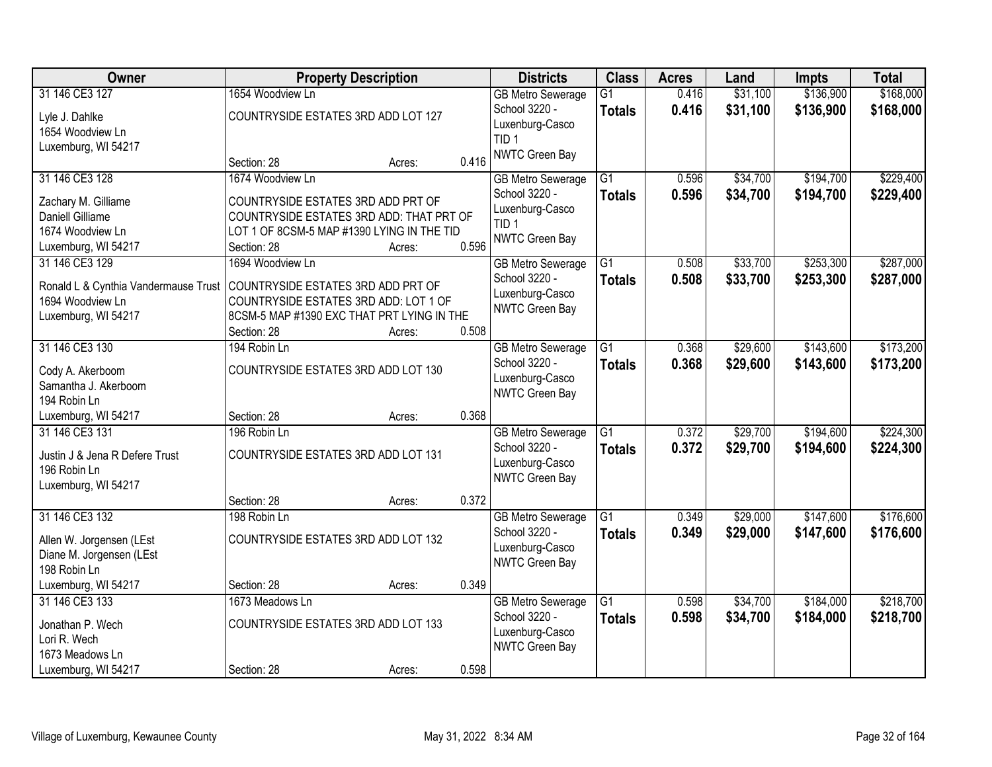| Owner                                |                                            | <b>Property Description</b> |       | <b>Districts</b>                    | <b>Class</b>    | <b>Acres</b> | Land     | <b>Impts</b> | <b>Total</b> |
|--------------------------------------|--------------------------------------------|-----------------------------|-------|-------------------------------------|-----------------|--------------|----------|--------------|--------------|
| 31 146 CE3 127                       | 1654 Woodview Ln                           |                             |       | <b>GB Metro Sewerage</b>            | G1              | 0.416        | \$31,100 | \$136,900    | \$168,000    |
| Lyle J. Dahlke                       | COUNTRYSIDE ESTATES 3RD ADD LOT 127        |                             |       | School 3220 -                       | <b>Totals</b>   | 0.416        | \$31,100 | \$136,900    | \$168,000    |
| 1654 Woodview Ln                     |                                            |                             |       | Luxenburg-Casco<br>TID <sub>1</sub> |                 |              |          |              |              |
| Luxemburg, WI 54217                  |                                            |                             |       | NWTC Green Bay                      |                 |              |          |              |              |
|                                      | Section: 28                                | Acres:                      | 0.416 |                                     |                 |              |          |              |              |
| 31 146 CE3 128                       | 1674 Woodview Ln                           |                             |       | <b>GB Metro Sewerage</b>            | $\overline{G1}$ | 0.596        | \$34,700 | \$194,700    | \$229,400    |
| Zachary M. Gilliame                  | COUNTRYSIDE ESTATES 3RD ADD PRT OF         |                             |       | School 3220 -                       | <b>Totals</b>   | 0.596        | \$34,700 | \$194,700    | \$229,400    |
| <b>Daniell Gilliame</b>              | COUNTRYSIDE ESTATES 3RD ADD: THAT PRT OF   |                             |       | Luxenburg-Casco                     |                 |              |          |              |              |
| 1674 Woodview Ln                     | LOT 1 OF 8CSM-5 MAP #1390 LYING IN THE TID |                             |       | TID <sub>1</sub>                    |                 |              |          |              |              |
| Luxemburg, WI 54217                  | Section: 28                                | Acres:                      | 0.596 | NWTC Green Bay                      |                 |              |          |              |              |
| 31 146 CE3 129                       | 1694 Woodview Ln                           |                             |       | <b>GB Metro Sewerage</b>            | G1              | 0.508        | \$33,700 | \$253,300    | \$287,000    |
| Ronald L & Cynthia Vandermause Trust | COUNTRYSIDE ESTATES 3RD ADD PRT OF         |                             |       | School 3220 -                       | <b>Totals</b>   | 0.508        | \$33,700 | \$253,300    | \$287,000    |
| 1694 Woodview Ln                     | COUNTRYSIDE ESTATES 3RD ADD: LOT 1 OF      |                             |       | Luxenburg-Casco                     |                 |              |          |              |              |
| Luxemburg, WI 54217                  | 8CSM-5 MAP #1390 EXC THAT PRT LYING IN THE |                             |       | NWTC Green Bay                      |                 |              |          |              |              |
|                                      | Section: 28                                | Acres:                      | 0.508 |                                     |                 |              |          |              |              |
| 31 146 CE3 130                       | 194 Robin Ln                               |                             |       | <b>GB Metro Sewerage</b>            | $\overline{G1}$ | 0.368        | \$29,600 | \$143,600    | \$173,200    |
| Cody A. Akerboom                     | COUNTRYSIDE ESTATES 3RD ADD LOT 130        |                             |       | School 3220 -                       | <b>Totals</b>   | 0.368        | \$29,600 | \$143,600    | \$173,200    |
| Samantha J. Akerboom                 |                                            |                             |       | Luxenburg-Casco                     |                 |              |          |              |              |
| 194 Robin Ln                         |                                            |                             |       | NWTC Green Bay                      |                 |              |          |              |              |
| Luxemburg, WI 54217                  | Section: 28                                | Acres:                      | 0.368 |                                     |                 |              |          |              |              |
| 31 146 CE3 131                       | 196 Robin Ln                               |                             |       | <b>GB Metro Sewerage</b>            | $\overline{G1}$ | 0.372        | \$29,700 | \$194,600    | \$224,300    |
| Justin J & Jena R Defere Trust       | COUNTRYSIDE ESTATES 3RD ADD LOT 131        |                             |       | School 3220 -                       | Totals          | 0.372        | \$29,700 | \$194,600    | \$224,300    |
| 196 Robin Ln                         |                                            |                             |       | Luxenburg-Casco                     |                 |              |          |              |              |
| Luxemburg, WI 54217                  |                                            |                             |       | NWTC Green Bay                      |                 |              |          |              |              |
|                                      | Section: 28                                | Acres:                      | 0.372 |                                     |                 |              |          |              |              |
| 31 146 CE3 132                       | 198 Robin Ln                               |                             |       | <b>GB Metro Sewerage</b>            | G1              | 0.349        | \$29,000 | \$147,600    | \$176,600    |
| Allen W. Jorgensen (LEst             | COUNTRYSIDE ESTATES 3RD ADD LOT 132        |                             |       | School 3220 -                       | <b>Totals</b>   | 0.349        | \$29,000 | \$147,600    | \$176,600    |
| Diane M. Jorgensen (LEst             |                                            |                             |       | Luxenburg-Casco                     |                 |              |          |              |              |
| 198 Robin Ln                         |                                            |                             |       | NWTC Green Bay                      |                 |              |          |              |              |
| Luxemburg, WI 54217                  | Section: 28                                | Acres:                      | 0.349 |                                     |                 |              |          |              |              |
| 31 146 CE3 133                       | 1673 Meadows Ln                            |                             |       | <b>GB Metro Sewerage</b>            | G1              | 0.598        | \$34,700 | \$184,000    | \$218,700    |
| Jonathan P. Wech                     | COUNTRYSIDE ESTATES 3RD ADD LOT 133        |                             |       | School 3220 -                       | <b>Totals</b>   | 0.598        | \$34,700 | \$184,000    | \$218,700    |
| Lori R. Wech                         |                                            |                             |       | Luxenburg-Casco                     |                 |              |          |              |              |
| 1673 Meadows Ln                      |                                            |                             |       | NWTC Green Bay                      |                 |              |          |              |              |
| Luxemburg, WI 54217                  | Section: 28                                | Acres:                      | 0.598 |                                     |                 |              |          |              |              |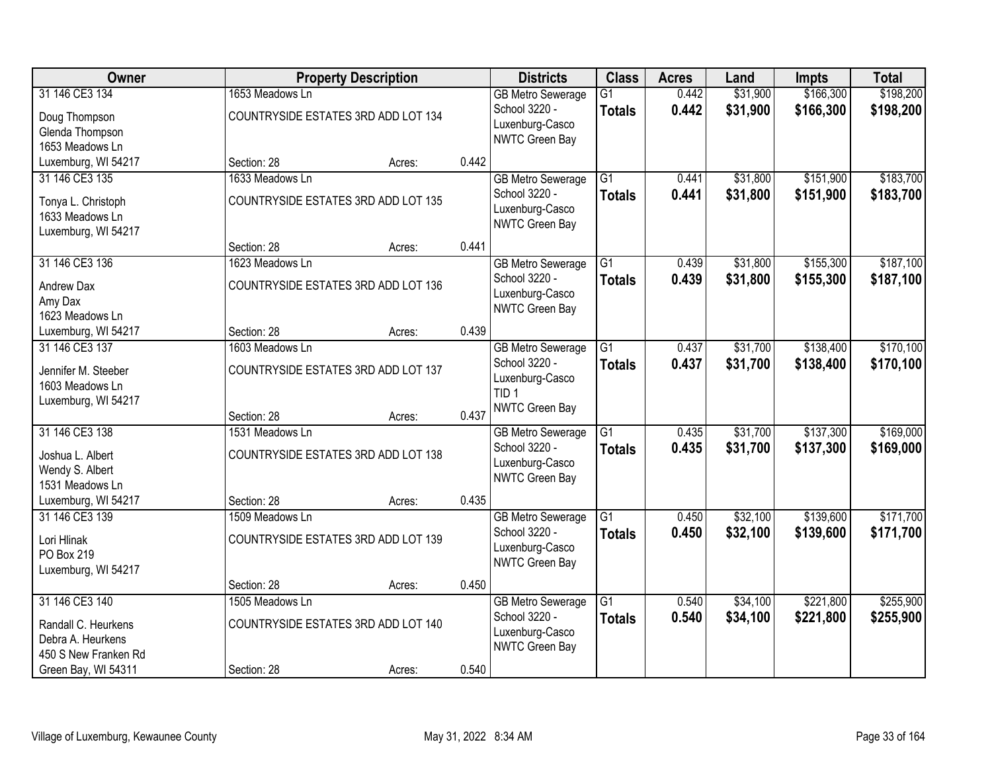| <b>Owner</b>         |                                     | <b>Property Description</b> |       | <b>Districts</b>         | <b>Class</b>    | <b>Acres</b> | Land     | <b>Impts</b> | <b>Total</b> |
|----------------------|-------------------------------------|-----------------------------|-------|--------------------------|-----------------|--------------|----------|--------------|--------------|
| 31 146 CE3 134       | 1653 Meadows Ln                     |                             |       | <b>GB Metro Sewerage</b> | $\overline{G1}$ | 0.442        | \$31,900 | \$166,300    | \$198,200    |
| Doug Thompson        | COUNTRYSIDE ESTATES 3RD ADD LOT 134 |                             |       | School 3220 -            | <b>Totals</b>   | 0.442        | \$31,900 | \$166,300    | \$198,200    |
| Glenda Thompson      |                                     |                             |       | Luxenburg-Casco          |                 |              |          |              |              |
| 1653 Meadows Ln      |                                     |                             |       | NWTC Green Bay           |                 |              |          |              |              |
| Luxemburg, WI 54217  | Section: 28                         | Acres:                      | 0.442 |                          |                 |              |          |              |              |
| 31 146 CE3 135       | 1633 Meadows Ln                     |                             |       | <b>GB Metro Sewerage</b> | $\overline{G1}$ | 0.441        | \$31,800 | \$151,900    | \$183,700    |
| Tonya L. Christoph   | COUNTRYSIDE ESTATES 3RD ADD LOT 135 |                             |       | School 3220 -            | <b>Totals</b>   | 0.441        | \$31,800 | \$151,900    | \$183,700    |
| 1633 Meadows Ln      |                                     |                             |       | Luxenburg-Casco          |                 |              |          |              |              |
| Luxemburg, WI 54217  |                                     |                             |       | NWTC Green Bay           |                 |              |          |              |              |
|                      | Section: 28                         | Acres:                      | 0.441 |                          |                 |              |          |              |              |
| 31 146 CE3 136       | 1623 Meadows Ln                     |                             |       | <b>GB Metro Sewerage</b> | $\overline{G1}$ | 0.439        | \$31,800 | \$155,300    | \$187,100    |
| Andrew Dax           | COUNTRYSIDE ESTATES 3RD ADD LOT 136 |                             |       | School 3220 -            | <b>Totals</b>   | 0.439        | \$31,800 | \$155,300    | \$187,100    |
| Amy Dax              |                                     |                             |       | Luxenburg-Casco          |                 |              |          |              |              |
| 1623 Meadows Ln      |                                     |                             |       | NWTC Green Bay           |                 |              |          |              |              |
| Luxemburg, WI 54217  | Section: 28                         | Acres:                      | 0.439 |                          |                 |              |          |              |              |
| 31 146 CE3 137       | 1603 Meadows Ln                     |                             |       | <b>GB Metro Sewerage</b> | G1              | 0.437        | \$31,700 | \$138,400    | \$170,100    |
| Jennifer M. Steeber  | COUNTRYSIDE ESTATES 3RD ADD LOT 137 |                             |       | School 3220 -            | <b>Totals</b>   | 0.437        | \$31,700 | \$138,400    | \$170,100    |
| 1603 Meadows Ln      |                                     |                             |       | Luxenburg-Casco          |                 |              |          |              |              |
| Luxemburg, WI 54217  |                                     |                             |       | TID <sub>1</sub>         |                 |              |          |              |              |
|                      | Section: 28                         | Acres:                      | 0.437 | NWTC Green Bay           |                 |              |          |              |              |
| 31 146 CE3 138       | 1531 Meadows Ln                     |                             |       | <b>GB Metro Sewerage</b> | $\overline{G1}$ | 0.435        | \$31,700 | \$137,300    | \$169,000    |
| Joshua L. Albert     | COUNTRYSIDE ESTATES 3RD ADD LOT 138 |                             |       | School 3220 -            | <b>Totals</b>   | 0.435        | \$31,700 | \$137,300    | \$169,000    |
| Wendy S. Albert      |                                     |                             |       | Luxenburg-Casco          |                 |              |          |              |              |
| 1531 Meadows Ln      |                                     |                             |       | NWTC Green Bay           |                 |              |          |              |              |
| Luxemburg, WI 54217  | Section: 28                         | Acres:                      | 0.435 |                          |                 |              |          |              |              |
| 31 146 CE3 139       | 1509 Meadows Ln                     |                             |       | <b>GB Metro Sewerage</b> | $\overline{G1}$ | 0.450        | \$32,100 | \$139,600    | \$171,700    |
| Lori Hlinak          | COUNTRYSIDE ESTATES 3RD ADD LOT 139 |                             |       | School 3220 -            | <b>Totals</b>   | 0.450        | \$32,100 | \$139,600    | \$171,700    |
| PO Box 219           |                                     |                             |       | Luxenburg-Casco          |                 |              |          |              |              |
| Luxemburg, WI 54217  |                                     |                             |       | NWTC Green Bay           |                 |              |          |              |              |
|                      | Section: 28                         | Acres:                      | 0.450 |                          |                 |              |          |              |              |
| 31 146 CE3 140       | 1505 Meadows Ln                     |                             |       | <b>GB Metro Sewerage</b> | $\overline{G1}$ | 0.540        | \$34,100 | \$221,800    | \$255,900    |
| Randall C. Heurkens  | COUNTRYSIDE ESTATES 3RD ADD LOT 140 |                             |       | School 3220 -            | <b>Totals</b>   | 0.540        | \$34,100 | \$221,800    | \$255,900    |
| Debra A. Heurkens    |                                     |                             |       | Luxenburg-Casco          |                 |              |          |              |              |
| 450 S New Franken Rd |                                     |                             |       | NWTC Green Bay           |                 |              |          |              |              |
| Green Bay, WI 54311  | Section: 28                         | Acres:                      | 0.540 |                          |                 |              |          |              |              |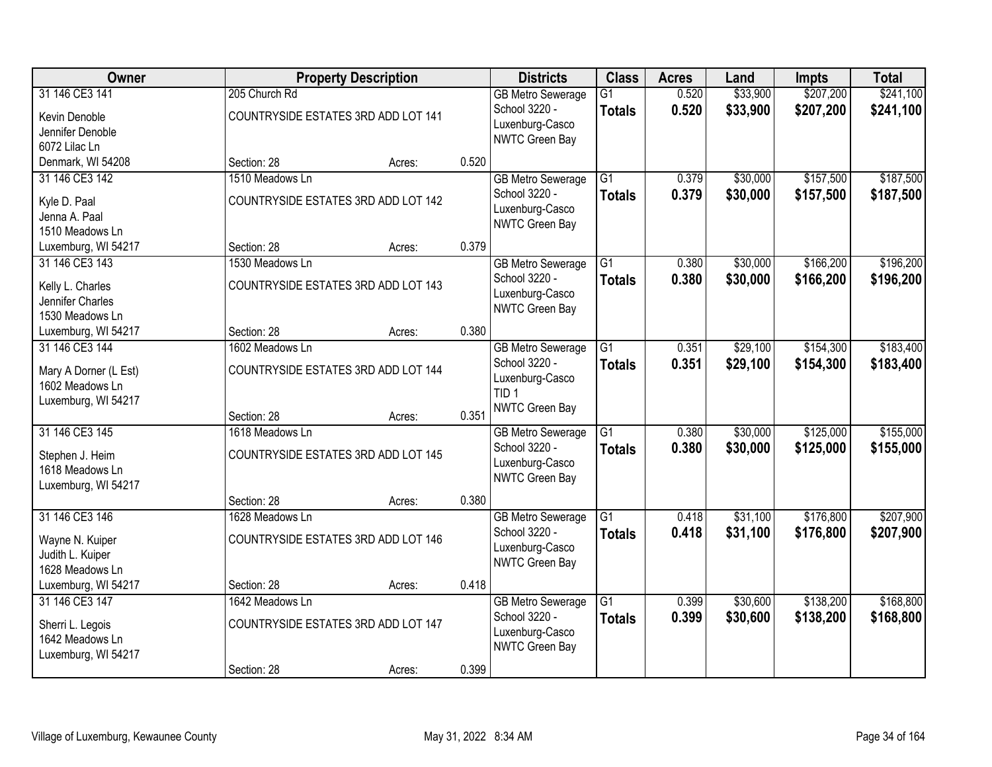| Owner                                    |                                     | <b>Property Description</b> |       | <b>Districts</b>                         | <b>Class</b>    | <b>Acres</b> | Land     | <b>Impts</b> | <b>Total</b> |
|------------------------------------------|-------------------------------------|-----------------------------|-------|------------------------------------------|-----------------|--------------|----------|--------------|--------------|
| 31 146 CE3 141                           | 205 Church Rd                       |                             |       | <b>GB Metro Sewerage</b>                 | $\overline{G1}$ | 0.520        | \$33,900 | \$207,200    | \$241,100    |
| Kevin Denoble                            | COUNTRYSIDE ESTATES 3RD ADD LOT 141 |                             |       | School 3220 -<br>Luxenburg-Casco         | <b>Totals</b>   | 0.520        | \$33,900 | \$207,200    | \$241,100    |
| Jennifer Denoble                         |                                     |                             |       | NWTC Green Bay                           |                 |              |          |              |              |
| 6072 Lilac Ln                            |                                     |                             |       |                                          |                 |              |          |              |              |
| Denmark, WI 54208                        | Section: 28                         | Acres:                      | 0.520 |                                          |                 |              |          |              |              |
| 31 146 CE3 142                           | 1510 Meadows Ln                     |                             |       | <b>GB Metro Sewerage</b>                 | $\overline{G1}$ | 0.379        | \$30,000 | \$157,500    | \$187,500    |
| Kyle D. Paal                             | COUNTRYSIDE ESTATES 3RD ADD LOT 142 |                             |       | School 3220 -                            | <b>Totals</b>   | 0.379        | \$30,000 | \$157,500    | \$187,500    |
| Jenna A. Paal                            |                                     |                             |       | Luxenburg-Casco<br><b>NWTC Green Bay</b> |                 |              |          |              |              |
| 1510 Meadows Ln                          |                                     |                             |       |                                          |                 |              |          |              |              |
| Luxemburg, WI 54217                      | Section: 28                         | Acres:                      | 0.379 |                                          |                 |              |          |              |              |
| 31 146 CE3 143                           | 1530 Meadows Ln                     |                             |       | <b>GB Metro Sewerage</b>                 | G1              | 0.380        | \$30,000 | \$166,200    | \$196,200    |
| Kelly L. Charles                         | COUNTRYSIDE ESTATES 3RD ADD LOT 143 |                             |       | School 3220 -                            | <b>Totals</b>   | 0.380        | \$30,000 | \$166,200    | \$196,200    |
| Jennifer Charles                         |                                     |                             |       | Luxenburg-Casco                          |                 |              |          |              |              |
| 1530 Meadows Ln                          |                                     |                             |       | NWTC Green Bay                           |                 |              |          |              |              |
| Luxemburg, WI 54217                      | Section: 28                         | Acres:                      | 0.380 |                                          |                 |              |          |              |              |
| 31 146 CE3 144                           | 1602 Meadows Ln                     |                             |       | <b>GB Metro Sewerage</b>                 | G1              | 0.351        | \$29,100 | \$154,300    | \$183,400    |
|                                          |                                     |                             |       | School 3220 -                            | <b>Totals</b>   | 0.351        | \$29,100 | \$154,300    | \$183,400    |
| Mary A Dorner (L Est)<br>1602 Meadows Ln | COUNTRYSIDE ESTATES 3RD ADD LOT 144 |                             |       | Luxenburg-Casco                          |                 |              |          |              |              |
| Luxemburg, WI 54217                      |                                     |                             |       | TID <sub>1</sub>                         |                 |              |          |              |              |
|                                          | Section: 28                         | Acres:                      | 0.351 | NWTC Green Bay                           |                 |              |          |              |              |
| 31 146 CE3 145                           | 1618 Meadows Ln                     |                             |       | <b>GB Metro Sewerage</b>                 | $\overline{G1}$ | 0.380        | \$30,000 | \$125,000    | \$155,000    |
|                                          |                                     |                             |       | School 3220 -                            | <b>Totals</b>   | 0.380        | \$30,000 | \$125,000    | \$155,000    |
| Stephen J. Heim                          | COUNTRYSIDE ESTATES 3RD ADD LOT 145 |                             |       | Luxenburg-Casco                          |                 |              |          |              |              |
| 1618 Meadows Ln                          |                                     |                             |       | NWTC Green Bay                           |                 |              |          |              |              |
| Luxemburg, WI 54217                      |                                     |                             |       |                                          |                 |              |          |              |              |
|                                          | Section: 28                         | Acres:                      | 0.380 |                                          |                 |              |          |              |              |
| 31 146 CE3 146                           | 1628 Meadows Ln                     |                             |       | <b>GB Metro Sewerage</b>                 | $\overline{G1}$ | 0.418        | \$31,100 | \$176,800    | \$207,900    |
| Wayne N. Kuiper                          | COUNTRYSIDE ESTATES 3RD ADD LOT 146 |                             |       | School 3220 -                            | <b>Totals</b>   | 0.418        | \$31,100 | \$176,800    | \$207,900    |
| Judith L. Kuiper                         |                                     |                             |       | Luxenburg-Casco                          |                 |              |          |              |              |
| 1628 Meadows Ln                          |                                     |                             |       | NWTC Green Bay                           |                 |              |          |              |              |
| Luxemburg, WI 54217                      | Section: 28                         | Acres:                      | 0.418 |                                          |                 |              |          |              |              |
| 31 146 CE3 147                           | 1642 Meadows Ln                     |                             |       | <b>GB Metro Sewerage</b>                 | $\overline{G1}$ | 0.399        | \$30,600 | \$138,200    | \$168,800    |
| Sherri L. Legois                         | COUNTRYSIDE ESTATES 3RD ADD LOT 147 |                             |       | School 3220 -                            | <b>Totals</b>   | 0.399        | \$30,600 | \$138,200    | \$168,800    |
| 1642 Meadows Ln                          |                                     |                             |       | Luxenburg-Casco                          |                 |              |          |              |              |
| Luxemburg, WI 54217                      |                                     |                             |       | NWTC Green Bay                           |                 |              |          |              |              |
|                                          | Section: 28                         | Acres:                      | 0.399 |                                          |                 |              |          |              |              |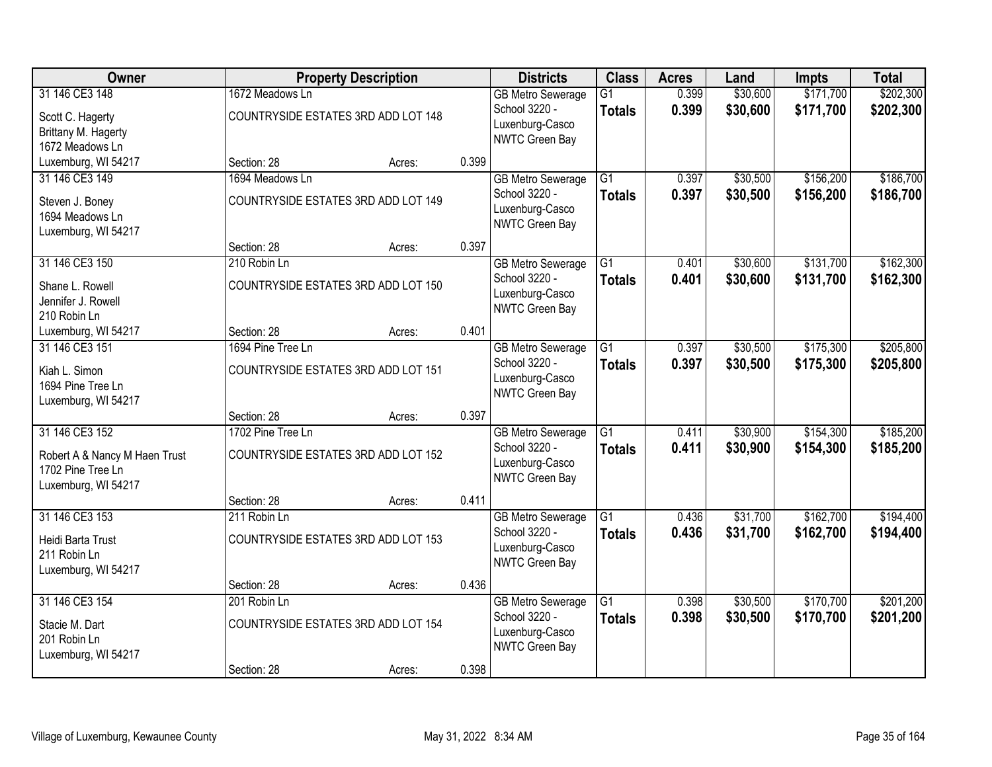| Owner                                                                                       |                                                          | <b>Property Description</b> |       | <b>Districts</b>                                                               | <b>Class</b>                     | <b>Acres</b>   | Land                 | <b>Impts</b>           | <b>Total</b>           |
|---------------------------------------------------------------------------------------------|----------------------------------------------------------|-----------------------------|-------|--------------------------------------------------------------------------------|----------------------------------|----------------|----------------------|------------------------|------------------------|
| 31 146 CE3 148<br>Scott C. Hagerty<br>Brittany M. Hagerty<br>1672 Meadows Ln                | 1672 Meadows Ln<br>COUNTRYSIDE ESTATES 3RD ADD LOT 148   |                             |       | <b>GB Metro Sewerage</b><br>School 3220 -<br>Luxenburg-Casco<br>NWTC Green Bay | $\overline{G1}$<br><b>Totals</b> | 0.399<br>0.399 | \$30,600<br>\$30,600 | \$171,700<br>\$171,700 | \$202,300<br>\$202,300 |
| Luxemburg, WI 54217                                                                         | Section: 28                                              | Acres:                      | 0.399 |                                                                                |                                  |                |                      |                        |                        |
| 31 146 CE3 149<br>Steven J. Boney<br>1694 Meadows Ln<br>Luxemburg, WI 54217                 | 1694 Meadows Ln<br>COUNTRYSIDE ESTATES 3RD ADD LOT 149   |                             |       | <b>GB Metro Sewerage</b><br>School 3220 -<br>Luxenburg-Casco<br>NWTC Green Bay | $\overline{G1}$<br><b>Totals</b> | 0.397<br>0.397 | \$30,500<br>\$30,500 | \$156,200<br>\$156,200 | \$186,700<br>\$186,700 |
|                                                                                             | Section: 28                                              | Acres:                      | 0.397 |                                                                                |                                  |                |                      |                        |                        |
| 31 146 CE3 150<br>Shane L. Rowell<br>Jennifer J. Rowell<br>210 Robin Ln                     | 210 Robin Ln<br>COUNTRYSIDE ESTATES 3RD ADD LOT 150      |                             |       | <b>GB Metro Sewerage</b><br>School 3220 -<br>Luxenburg-Casco<br>NWTC Green Bay | G1<br><b>Totals</b>              | 0.401<br>0.401 | \$30,600<br>\$30,600 | \$131,700<br>\$131,700 | \$162,300<br>\$162,300 |
| Luxemburg, WI 54217                                                                         | Section: 28                                              | Acres:                      | 0.401 |                                                                                |                                  |                |                      |                        |                        |
| 31 146 CE3 151<br>Kiah L. Simon<br>1694 Pine Tree Ln<br>Luxemburg, WI 54217                 | 1694 Pine Tree Ln<br>COUNTRYSIDE ESTATES 3RD ADD LOT 151 |                             |       | <b>GB</b> Metro Sewerage<br>School 3220 -<br>Luxenburg-Casco<br>NWTC Green Bay | G1<br><b>Totals</b>              | 0.397<br>0.397 | \$30,500<br>\$30,500 | \$175,300<br>\$175,300 | \$205,800<br>\$205,800 |
|                                                                                             | Section: 28                                              | Acres:                      | 0.397 |                                                                                |                                  |                |                      |                        |                        |
| 31 146 CE3 152<br>Robert A & Nancy M Haen Trust<br>1702 Pine Tree Ln<br>Luxemburg, WI 54217 | 1702 Pine Tree Ln<br>COUNTRYSIDE ESTATES 3RD ADD LOT 152 |                             |       | <b>GB Metro Sewerage</b><br>School 3220 -<br>Luxenburg-Casco<br>NWTC Green Bay | $\overline{G1}$<br><b>Totals</b> | 0.411<br>0.411 | \$30,900<br>\$30,900 | \$154,300<br>\$154,300 | \$185,200<br>\$185,200 |
|                                                                                             | Section: 28                                              | Acres:                      | 0.411 |                                                                                |                                  |                |                      |                        |                        |
| 31 146 CE3 153<br>Heidi Barta Trust<br>211 Robin Ln<br>Luxemburg, WI 54217                  | 211 Robin Ln<br>COUNTRYSIDE ESTATES 3RD ADD LOT 153      |                             |       | <b>GB Metro Sewerage</b><br>School 3220 -<br>Luxenburg-Casco<br>NWTC Green Bay | $\overline{G1}$<br><b>Totals</b> | 0.436<br>0.436 | \$31,700<br>\$31,700 | \$162,700<br>\$162,700 | \$194,400<br>\$194,400 |
|                                                                                             | Section: 28                                              | Acres:                      | 0.436 |                                                                                |                                  |                |                      |                        |                        |
| 31 146 CE3 154<br>Stacie M. Dart<br>201 Robin Ln<br>Luxemburg, WI 54217                     | 201 Robin Ln<br>COUNTRYSIDE ESTATES 3RD ADD LOT 154      |                             |       | <b>GB Metro Sewerage</b><br>School 3220 -<br>Luxenburg-Casco<br>NWTC Green Bay | $\overline{G1}$<br><b>Totals</b> | 0.398<br>0.398 | \$30,500<br>\$30,500 | \$170,700<br>\$170,700 | \$201,200<br>\$201,200 |
|                                                                                             | Section: 28                                              | Acres:                      | 0.398 |                                                                                |                                  |                |                      |                        |                        |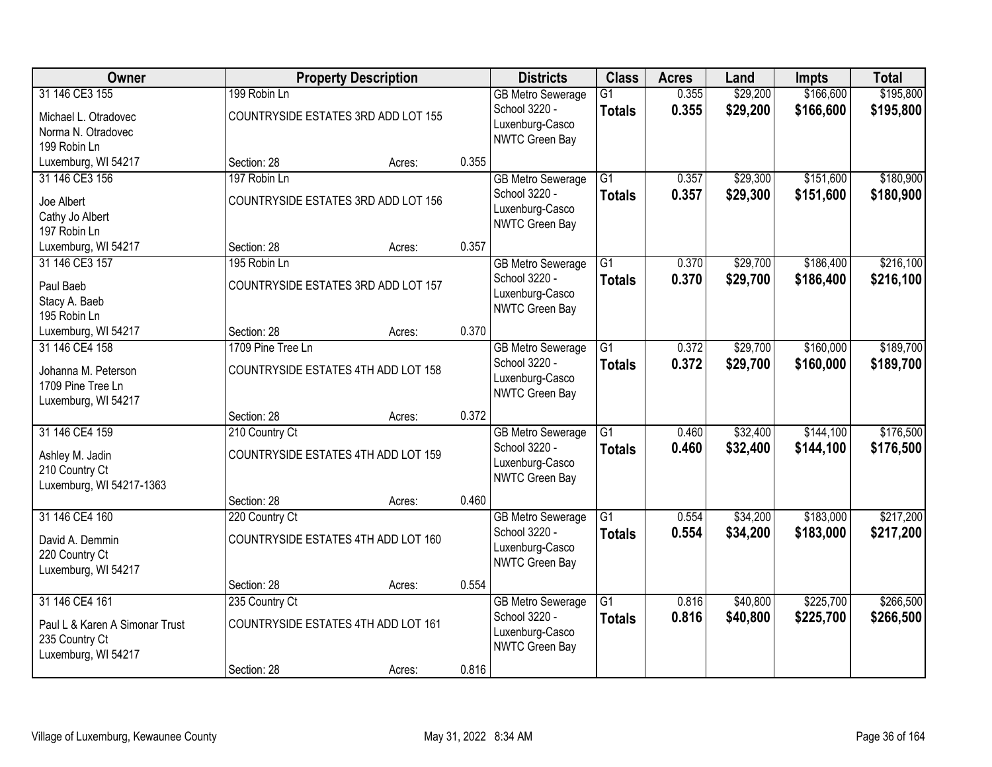| Owner                                                                                     |                   | <b>Property Description</b>         |       | <b>Districts</b>                                                               | <b>Class</b>                     | <b>Acres</b>   | Land                 | <b>Impts</b>           | <b>Total</b>           |
|-------------------------------------------------------------------------------------------|-------------------|-------------------------------------|-------|--------------------------------------------------------------------------------|----------------------------------|----------------|----------------------|------------------------|------------------------|
| 31 146 CE3 155<br>Michael L. Otradovec<br>Norma N. Otradovec<br>199 Robin Ln              | 199 Robin Ln      | COUNTRYSIDE ESTATES 3RD ADD LOT 155 |       | <b>GB Metro Sewerage</b><br>School 3220 -<br>Luxenburg-Casco<br>NWTC Green Bay | $\overline{G1}$<br><b>Totals</b> | 0.355<br>0.355 | \$29,200<br>\$29,200 | \$166,600<br>\$166,600 | \$195,800<br>\$195,800 |
| Luxemburg, WI 54217                                                                       | Section: 28       | Acres:                              | 0.355 |                                                                                |                                  |                |                      |                        |                        |
| 31 146 CE3 156<br>Joe Albert<br>Cathy Jo Albert<br>197 Robin Ln                           | 197 Robin Ln      | COUNTRYSIDE ESTATES 3RD ADD LOT 156 |       | <b>GB Metro Sewerage</b><br>School 3220 -<br>Luxenburg-Casco<br>NWTC Green Bay | $\overline{G1}$<br><b>Totals</b> | 0.357<br>0.357 | \$29,300<br>\$29,300 | \$151,600<br>\$151,600 | \$180,900<br>\$180,900 |
| Luxemburg, WI 54217                                                                       | Section: 28       | Acres:                              | 0.357 |                                                                                |                                  |                |                      |                        |                        |
| 31 146 CE3 157<br>Paul Baeb<br>Stacy A. Baeb<br>195 Robin Ln                              | 195 Robin Ln      | COUNTRYSIDE ESTATES 3RD ADD LOT 157 |       | <b>GB Metro Sewerage</b><br>School 3220 -<br>Luxenburg-Casco<br>NWTC Green Bay | $\overline{G1}$<br><b>Totals</b> | 0.370<br>0.370 | \$29,700<br>\$29,700 | \$186,400<br>\$186,400 | \$216,100<br>\$216,100 |
| Luxemburg, WI 54217                                                                       | Section: 28       | Acres:                              | 0.370 |                                                                                |                                  |                |                      |                        |                        |
| 31 146 CE4 158<br>Johanna M. Peterson<br>1709 Pine Tree Ln<br>Luxemburg, WI 54217         | 1709 Pine Tree Ln | COUNTRYSIDE ESTATES 4TH ADD LOT 158 |       | <b>GB Metro Sewerage</b><br>School 3220 -<br>Luxenburg-Casco<br>NWTC Green Bay | G1<br><b>Totals</b>              | 0.372<br>0.372 | \$29,700<br>\$29,700 | \$160,000<br>\$160,000 | \$189,700<br>\$189,700 |
|                                                                                           | Section: 28       | Acres:                              | 0.372 |                                                                                |                                  |                |                      |                        |                        |
| 31 146 CE4 159<br>Ashley M. Jadin<br>210 Country Ct<br>Luxemburg, WI 54217-1363           | 210 Country Ct    | COUNTRYSIDE ESTATES 4TH ADD LOT 159 |       | <b>GB Metro Sewerage</b><br>School 3220 -<br>Luxenburg-Casco<br>NWTC Green Bay | $\overline{G1}$<br><b>Totals</b> | 0.460<br>0.460 | \$32,400<br>\$32,400 | \$144,100<br>\$144,100 | \$176,500<br>\$176,500 |
|                                                                                           | Section: 28       | Acres:                              | 0.460 |                                                                                |                                  |                |                      |                        |                        |
| 31 146 CE4 160<br>David A. Demmin<br>220 Country Ct<br>Luxemburg, WI 54217                | 220 Country Ct    | COUNTRYSIDE ESTATES 4TH ADD LOT 160 |       | <b>GB Metro Sewerage</b><br>School 3220 -<br>Luxenburg-Casco<br>NWTC Green Bay | G1<br><b>Totals</b>              | 0.554<br>0.554 | \$34,200<br>\$34,200 | \$183,000<br>\$183,000 | \$217,200<br>\$217,200 |
|                                                                                           | Section: 28       | Acres:                              | 0.554 |                                                                                |                                  |                |                      |                        |                        |
| 31 146 CE4 161<br>Paul L & Karen A Simonar Trust<br>235 Country Ct<br>Luxemburg, WI 54217 | 235 Country Ct    | COUNTRYSIDE ESTATES 4TH ADD LOT 161 |       | <b>GB Metro Sewerage</b><br>School 3220 -<br>Luxenburg-Casco<br>NWTC Green Bay | $\overline{G1}$<br><b>Totals</b> | 0.816<br>0.816 | \$40,800<br>\$40,800 | \$225,700<br>\$225,700 | \$266,500<br>\$266,500 |
|                                                                                           | Section: 28       | Acres:                              | 0.816 |                                                                                |                                  |                |                      |                        |                        |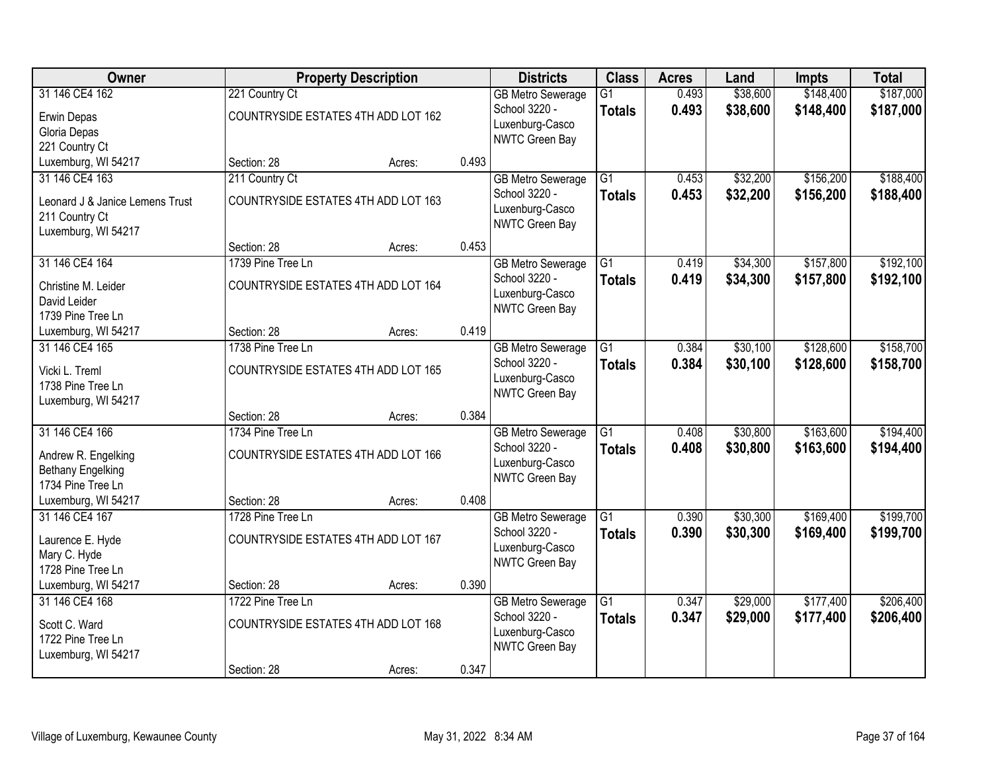| Owner                                                                                      |                                                          | <b>Property Description</b> |       | <b>Districts</b>                                                               | <b>Class</b>                     | <b>Acres</b>   | Land                 | Impts                  | <b>Total</b>           |
|--------------------------------------------------------------------------------------------|----------------------------------------------------------|-----------------------------|-------|--------------------------------------------------------------------------------|----------------------------------|----------------|----------------------|------------------------|------------------------|
| 31 146 CE4 162<br>Erwin Depas<br>Gloria Depas<br>221 Country Ct                            | 221 Country Ct<br>COUNTRYSIDE ESTATES 4TH ADD LOT 162    |                             |       | <b>GB Metro Sewerage</b><br>School 3220 -<br>Luxenburg-Casco<br>NWTC Green Bay | $\overline{G1}$<br><b>Totals</b> | 0.493<br>0.493 | \$38,600<br>\$38,600 | \$148,400<br>\$148,400 | \$187,000<br>\$187,000 |
| Luxemburg, WI 54217                                                                        | Section: 28                                              | Acres:                      | 0.493 |                                                                                |                                  |                |                      |                        |                        |
| 31 146 CE4 163<br>Leonard J & Janice Lemens Trust<br>211 Country Ct<br>Luxemburg, WI 54217 | 211 Country Ct<br>COUNTRYSIDE ESTATES 4TH ADD LOT 163    |                             |       | <b>GB Metro Sewerage</b><br>School 3220 -<br>Luxenburg-Casco<br>NWTC Green Bay | $\overline{G1}$<br><b>Totals</b> | 0.453<br>0.453 | \$32,200<br>\$32,200 | \$156,200<br>\$156,200 | \$188,400<br>\$188,400 |
|                                                                                            | Section: 28                                              | Acres:                      | 0.453 |                                                                                |                                  |                |                      |                        |                        |
| 31 146 CE4 164<br>Christine M. Leider<br>David Leider<br>1739 Pine Tree Ln                 | 1739 Pine Tree Ln<br>COUNTRYSIDE ESTATES 4TH ADD LOT 164 |                             |       | <b>GB Metro Sewerage</b><br>School 3220 -<br>Luxenburg-Casco<br>NWTC Green Bay | G1<br><b>Totals</b>              | 0.419<br>0.419 | \$34,300<br>\$34,300 | \$157,800<br>\$157,800 | \$192,100<br>\$192,100 |
| Luxemburg, WI 54217                                                                        | Section: 28                                              | Acres:                      | 0.419 |                                                                                |                                  |                |                      |                        |                        |
| 31 146 CE4 165<br>Vicki L. Treml<br>1738 Pine Tree Ln<br>Luxemburg, WI 54217               | 1738 Pine Tree Ln<br>COUNTRYSIDE ESTATES 4TH ADD LOT 165 |                             |       | <b>GB Metro Sewerage</b><br>School 3220 -<br>Luxenburg-Casco<br>NWTC Green Bay | G1<br><b>Totals</b>              | 0.384<br>0.384 | \$30,100<br>\$30,100 | \$128,600<br>\$128,600 | \$158,700<br>\$158,700 |
|                                                                                            | Section: 28                                              | Acres:                      | 0.384 |                                                                                |                                  |                |                      |                        |                        |
| 31 146 CE4 166<br>Andrew R. Engelking<br><b>Bethany Engelking</b><br>1734 Pine Tree Ln     | 1734 Pine Tree Ln<br>COUNTRYSIDE ESTATES 4TH ADD LOT 166 |                             |       | <b>GB Metro Sewerage</b><br>School 3220 -<br>Luxenburg-Casco<br>NWTC Green Bay | $\overline{G1}$<br><b>Totals</b> | 0.408<br>0.408 | \$30,800<br>\$30,800 | \$163,600<br>\$163,600 | \$194,400<br>\$194,400 |
| Luxemburg, WI 54217                                                                        | Section: 28                                              | Acres:                      | 0.408 |                                                                                |                                  |                |                      |                        |                        |
| 31 146 CE4 167<br>Laurence E. Hyde<br>Mary C. Hyde<br>1728 Pine Tree Ln                    | 1728 Pine Tree Ln<br>COUNTRYSIDE ESTATES 4TH ADD LOT 167 |                             |       | <b>GB Metro Sewerage</b><br>School 3220 -<br>Luxenburg-Casco<br>NWTC Green Bay | $\overline{G1}$<br><b>Totals</b> | 0.390<br>0.390 | \$30,300<br>\$30,300 | \$169,400<br>\$169,400 | \$199,700<br>\$199,700 |
| Luxemburg, WI 54217                                                                        | Section: 28                                              | Acres:                      | 0.390 |                                                                                |                                  |                |                      |                        |                        |
| 31 146 CE4 168<br>Scott C. Ward<br>1722 Pine Tree Ln<br>Luxemburg, WI 54217                | 1722 Pine Tree Ln<br>COUNTRYSIDE ESTATES 4TH ADD LOT 168 |                             |       | <b>GB Metro Sewerage</b><br>School 3220 -<br>Luxenburg-Casco<br>NWTC Green Bay | $\overline{G1}$<br><b>Totals</b> | 0.347<br>0.347 | \$29,000<br>\$29,000 | \$177,400<br>\$177,400 | \$206,400<br>\$206,400 |
|                                                                                            | Section: 28                                              | Acres:                      | 0.347 |                                                                                |                                  |                |                      |                        |                        |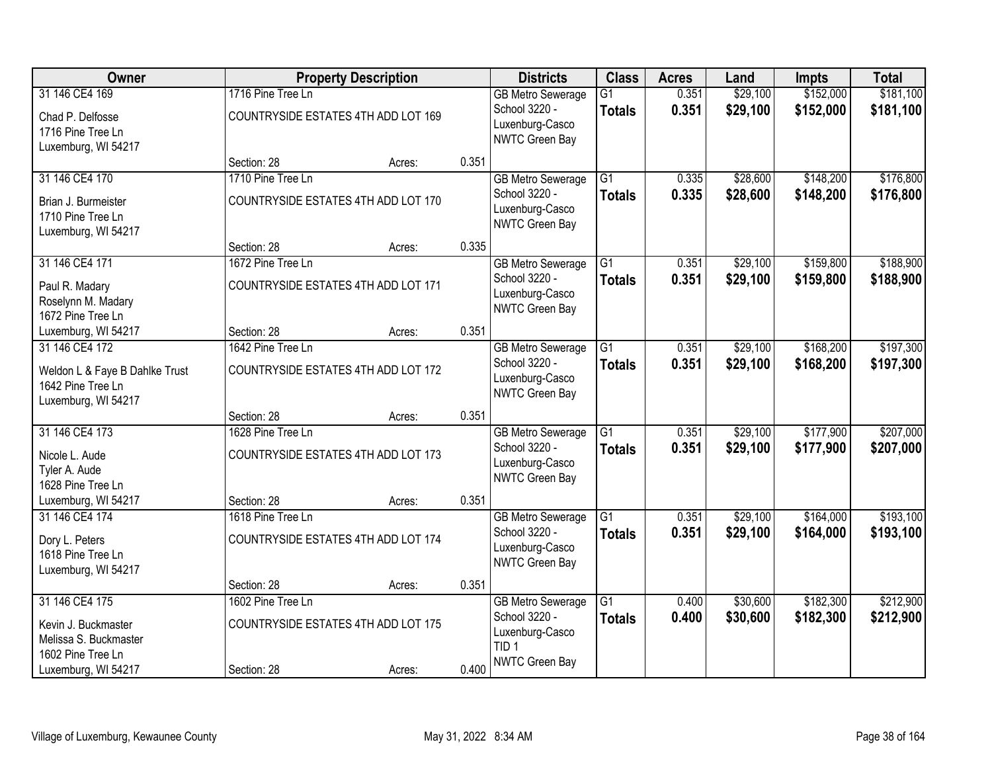| Owner                          |                                     | <b>Property Description</b>         |       | <b>Districts</b>                         | <b>Class</b>    | <b>Acres</b> | Land     | <b>Impts</b> | <b>Total</b> |
|--------------------------------|-------------------------------------|-------------------------------------|-------|------------------------------------------|-----------------|--------------|----------|--------------|--------------|
| 31 146 CE4 169                 | 1716 Pine Tree Ln                   |                                     |       | <b>GB Metro Sewerage</b>                 | $\overline{G1}$ | 0.351        | \$29,100 | \$152,000    | \$181,100    |
| Chad P. Delfosse               |                                     | COUNTRYSIDE ESTATES 4TH ADD LOT 169 |       | School 3220 -                            | <b>Totals</b>   | 0.351        | \$29,100 | \$152,000    | \$181,100    |
| 1716 Pine Tree Ln              |                                     |                                     |       | Luxenburg-Casco<br>NWTC Green Bay        |                 |              |          |              |              |
| Luxemburg, WI 54217            |                                     |                                     |       |                                          |                 |              |          |              |              |
|                                | Section: 28                         | Acres:                              | 0.351 |                                          |                 |              |          |              |              |
| 31 146 CE4 170                 | 1710 Pine Tree Ln                   |                                     |       | <b>GB Metro Sewerage</b>                 | $\overline{G1}$ | 0.335        | \$28,600 | \$148,200    | \$176,800    |
| Brian J. Burmeister            |                                     | COUNTRYSIDE ESTATES 4TH ADD LOT 170 |       | School 3220 -                            | <b>Totals</b>   | 0.335        | \$28,600 | \$148,200    | \$176,800    |
| 1710 Pine Tree Ln              |                                     |                                     |       | Luxenburg-Casco<br><b>NWTC Green Bay</b> |                 |              |          |              |              |
| Luxemburg, WI 54217            |                                     |                                     |       |                                          |                 |              |          |              |              |
|                                | Section: 28                         | Acres:                              | 0.335 |                                          |                 |              |          |              |              |
| 31 146 CE4 171                 | 1672 Pine Tree Ln                   |                                     |       | <b>GB Metro Sewerage</b>                 | $\overline{G1}$ | 0.351        | \$29,100 | \$159,800    | \$188,900    |
| Paul R. Madary                 |                                     | COUNTRYSIDE ESTATES 4TH ADD LOT 171 |       | School 3220 -                            | <b>Totals</b>   | 0.351        | \$29,100 | \$159,800    | \$188,900    |
| Roselynn M. Madary             |                                     |                                     |       | Luxenburg-Casco<br>NWTC Green Bay        |                 |              |          |              |              |
| 1672 Pine Tree Ln              |                                     |                                     |       |                                          |                 |              |          |              |              |
| Luxemburg, WI 54217            | Section: 28                         | Acres:                              | 0.351 |                                          |                 |              |          |              |              |
| 31 146 CE4 172                 | 1642 Pine Tree Ln                   |                                     |       | <b>GB Metro Sewerage</b>                 | $\overline{G1}$ | 0.351        | \$29,100 | \$168,200    | \$197,300    |
| Weldon L & Faye B Dahlke Trust |                                     | COUNTRYSIDE ESTATES 4TH ADD LOT 172 |       | School 3220 -                            | <b>Totals</b>   | 0.351        | \$29,100 | \$168,200    | \$197,300    |
| 1642 Pine Tree Ln              |                                     |                                     |       | Luxenburg-Casco<br>NWTC Green Bay        |                 |              |          |              |              |
| Luxemburg, WI 54217            |                                     |                                     |       |                                          |                 |              |          |              |              |
|                                | Section: 28                         | Acres:                              | 0.351 |                                          |                 |              |          |              |              |
| 31 146 CE4 173                 | 1628 Pine Tree Ln                   |                                     |       | <b>GB Metro Sewerage</b>                 | $\overline{G1}$ | 0.351        | \$29,100 | \$177,900    | \$207,000    |
| Nicole L. Aude                 | COUNTRYSIDE ESTATES 4TH ADD LOT 173 |                                     |       | School 3220 -                            | <b>Totals</b>   | 0.351        | \$29,100 | \$177,900    | \$207,000    |
| Tyler A. Aude                  |                                     |                                     |       | Luxenburg-Casco<br><b>NWTC Green Bay</b> |                 |              |          |              |              |
| 1628 Pine Tree Ln              |                                     |                                     |       |                                          |                 |              |          |              |              |
| Luxemburg, WI 54217            | Section: 28                         | Acres:                              | 0.351 |                                          |                 |              |          |              |              |
| 31 146 CE4 174                 | 1618 Pine Tree Ln                   |                                     |       | <b>GB Metro Sewerage</b>                 | $\overline{G1}$ | 0.351        | \$29,100 | \$164,000    | \$193,100    |
| Dory L. Peters                 |                                     | COUNTRYSIDE ESTATES 4TH ADD LOT 174 |       | School 3220 -                            | <b>Totals</b>   | 0.351        | \$29,100 | \$164,000    | \$193,100    |
| 1618 Pine Tree Ln              |                                     |                                     |       | Luxenburg-Casco<br><b>NWTC Green Bay</b> |                 |              |          |              |              |
| Luxemburg, WI 54217            |                                     |                                     |       |                                          |                 |              |          |              |              |
|                                | Section: 28                         | Acres:                              | 0.351 |                                          |                 |              |          |              |              |
| 31 146 CE4 175                 | 1602 Pine Tree Ln                   |                                     |       | <b>GB Metro Sewerage</b>                 | $\overline{G1}$ | 0.400        | \$30,600 | \$182,300    | \$212,900    |
| Kevin J. Buckmaster            |                                     | COUNTRYSIDE ESTATES 4TH ADD LOT 175 |       | School 3220 -                            | <b>Totals</b>   | 0.400        | \$30,600 | \$182,300    | \$212,900    |
| Melissa S. Buckmaster          |                                     |                                     |       | Luxenburg-Casco<br>TID <sub>1</sub>      |                 |              |          |              |              |
| 1602 Pine Tree Ln              |                                     |                                     |       | <b>NWTC Green Bay</b>                    |                 |              |          |              |              |
| Luxemburg, WI 54217            | Section: 28                         | Acres:                              | 0.400 |                                          |                 |              |          |              |              |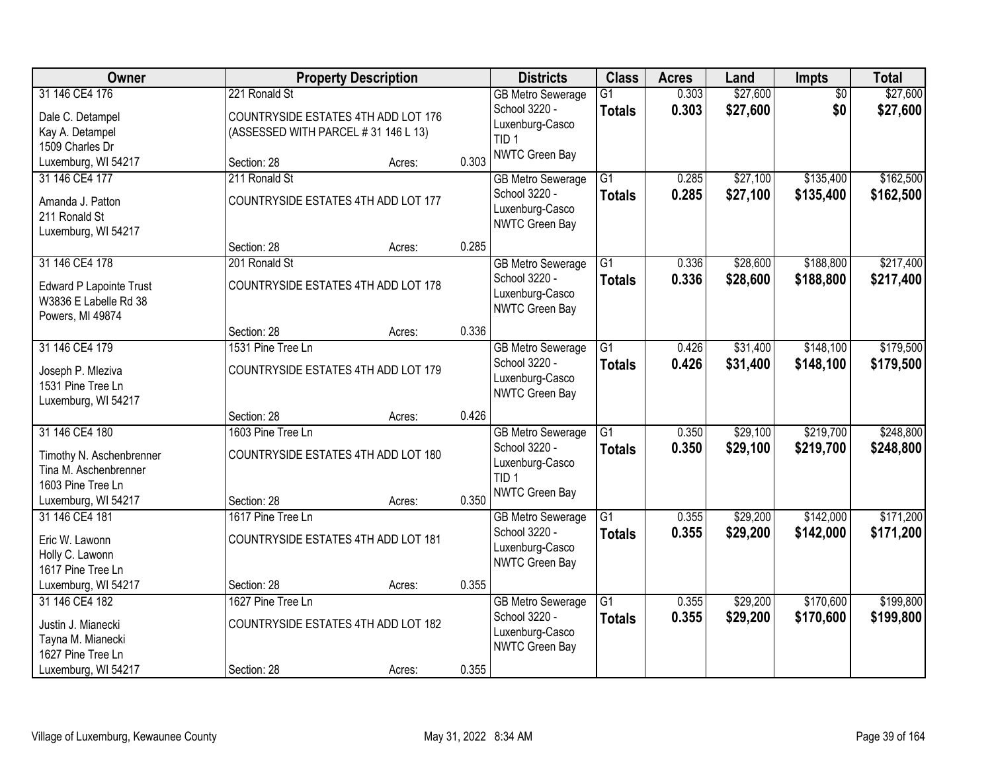| Owner                    |                                     | <b>Property Description</b>         |       | <b>Districts</b>         | <b>Class</b>    | <b>Acres</b> | Land     | Impts           | <b>Total</b> |
|--------------------------|-------------------------------------|-------------------------------------|-------|--------------------------|-----------------|--------------|----------|-----------------|--------------|
| 31 146 CE4 176           | 221 Ronald St                       |                                     |       | <b>GB Metro Sewerage</b> | $\overline{G1}$ | 0.303        | \$27,600 | $\overline{50}$ | \$27,600     |
| Dale C. Detampel         |                                     | COUNTRYSIDE ESTATES 4TH ADD LOT 176 |       | School 3220 -            | <b>Totals</b>   | 0.303        | \$27,600 | \$0             | \$27,600     |
| Kay A. Detampel          | (ASSESSED WITH PARCEL #31 146 L 13) |                                     |       | Luxenburg-Casco          |                 |              |          |                 |              |
| 1509 Charles Dr          |                                     |                                     |       | TID <sub>1</sub>         |                 |              |          |                 |              |
| Luxemburg, WI 54217      | Section: 28                         | Acres:                              | 0.303 | NWTC Green Bay           |                 |              |          |                 |              |
| 31 146 CE4 177           | 211 Ronald St                       |                                     |       | <b>GB Metro Sewerage</b> | $\overline{G1}$ | 0.285        | \$27,100 | \$135,400       | \$162,500    |
| Amanda J. Patton         |                                     | COUNTRYSIDE ESTATES 4TH ADD LOT 177 |       | School 3220 -            | <b>Totals</b>   | 0.285        | \$27,100 | \$135,400       | \$162,500    |
| 211 Ronald St            |                                     |                                     |       | Luxenburg-Casco          |                 |              |          |                 |              |
| Luxemburg, WI 54217      |                                     |                                     |       | NWTC Green Bay           |                 |              |          |                 |              |
|                          | Section: 28                         | Acres:                              | 0.285 |                          |                 |              |          |                 |              |
| 31 146 CE4 178           | 201 Ronald St                       |                                     |       | <b>GB Metro Sewerage</b> | $\overline{G1}$ | 0.336        | \$28,600 | \$188,800       | \$217,400    |
| Edward P Lapointe Trust  |                                     | COUNTRYSIDE ESTATES 4TH ADD LOT 178 |       | School 3220 -            | <b>Totals</b>   | 0.336        | \$28,600 | \$188,800       | \$217,400    |
| W3836 E Labelle Rd 38    |                                     |                                     |       | Luxenburg-Casco          |                 |              |          |                 |              |
| Powers, MI 49874         |                                     |                                     |       | NWTC Green Bay           |                 |              |          |                 |              |
|                          | Section: 28                         | Acres:                              | 0.336 |                          |                 |              |          |                 |              |
| 31 146 CE4 179           | 1531 Pine Tree Ln                   |                                     |       | <b>GB Metro Sewerage</b> | G1              | 0.426        | \$31,400 | \$148,100       | \$179,500    |
| Joseph P. Mleziva        |                                     | COUNTRYSIDE ESTATES 4TH ADD LOT 179 |       | School 3220 -            | <b>Totals</b>   | 0.426        | \$31,400 | \$148,100       | \$179,500    |
| 1531 Pine Tree Ln        |                                     |                                     |       | Luxenburg-Casco          |                 |              |          |                 |              |
| Luxemburg, WI 54217      |                                     |                                     |       | NWTC Green Bay           |                 |              |          |                 |              |
|                          | Section: 28                         | Acres:                              | 0.426 |                          |                 |              |          |                 |              |
| 31 146 CE4 180           | 1603 Pine Tree Ln                   |                                     |       | <b>GB Metro Sewerage</b> | $\overline{G1}$ | 0.350        | \$29,100 | \$219,700       | \$248,800    |
| Timothy N. Aschenbrenner |                                     | COUNTRYSIDE ESTATES 4TH ADD LOT 180 |       | School 3220 -            | <b>Totals</b>   | 0.350        | \$29,100 | \$219,700       | \$248,800    |
| Tina M. Aschenbrenner    |                                     |                                     |       | Luxenburg-Casco          |                 |              |          |                 |              |
| 1603 Pine Tree Ln        |                                     |                                     |       | TID <sub>1</sub>         |                 |              |          |                 |              |
| Luxemburg, WI 54217      | Section: 28                         | Acres:                              | 0.350 | NWTC Green Bay           |                 |              |          |                 |              |
| 31 146 CE4 181           | 1617 Pine Tree Ln                   |                                     |       | <b>GB</b> Metro Sewerage | $\overline{G1}$ | 0.355        | \$29,200 | \$142,000       | \$171,200    |
| Eric W. Lawonn           | COUNTRYSIDE ESTATES 4TH ADD LOT 181 |                                     |       | School 3220 -            | <b>Totals</b>   | 0.355        | \$29,200 | \$142,000       | \$171,200    |
| Holly C. Lawonn          |                                     |                                     |       | Luxenburg-Casco          |                 |              |          |                 |              |
| 1617 Pine Tree Ln        |                                     |                                     |       | NWTC Green Bay           |                 |              |          |                 |              |
| Luxemburg, WI 54217      | Section: 28                         | Acres:                              | 0.355 |                          |                 |              |          |                 |              |
| 31 146 CE4 182           | 1627 Pine Tree Ln                   |                                     |       | <b>GB Metro Sewerage</b> | $\overline{G1}$ | 0.355        | \$29,200 | \$170,600       | \$199,800    |
| Justin J. Mianecki       |                                     | COUNTRYSIDE ESTATES 4TH ADD LOT 182 |       | School 3220 -            | <b>Totals</b>   | 0.355        | \$29,200 | \$170,600       | \$199,800    |
| Tayna M. Mianecki        |                                     |                                     |       | Luxenburg-Casco          |                 |              |          |                 |              |
| 1627 Pine Tree Ln        |                                     |                                     |       | NWTC Green Bay           |                 |              |          |                 |              |
| Luxemburg, WI 54217      | Section: 28                         | Acres:                              | 0.355 |                          |                 |              |          |                 |              |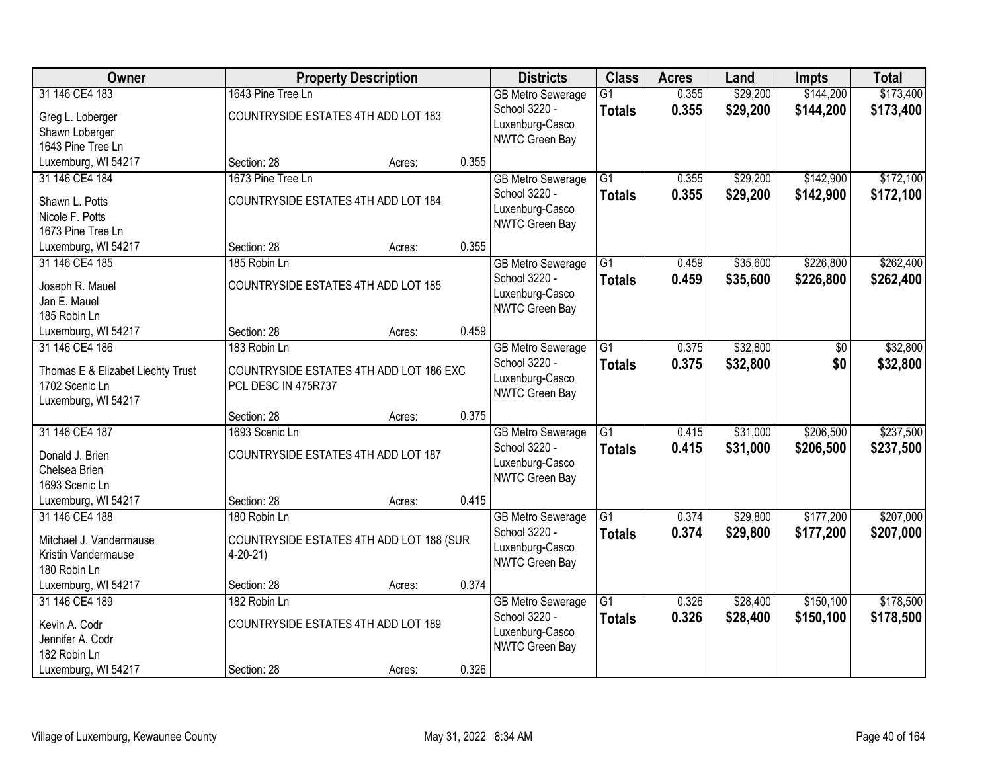| \$144,200<br>\$173,400<br>31 146 CE4 183<br>1643 Pine Tree Ln<br>0.355<br>\$29,200<br>$\overline{G1}$<br><b>GB Metro Sewerage</b><br>School 3220 -<br>0.355<br>\$29,200<br>\$144,200<br>\$173,400<br><b>Totals</b><br>COUNTRYSIDE ESTATES 4TH ADD LOT 183<br>Greg L. Loberger<br>Luxenburg-Casco<br>Shawn Loberger<br>NWTC Green Bay<br>1643 Pine Tree Ln<br>Luxemburg, WI 54217<br>0.355<br>Section: 28<br>Acres:<br>\$29,200<br>\$142,900<br>\$172,100<br>31 146 CE4 184<br>1673 Pine Tree Ln<br>$\overline{G1}$<br>0.355<br><b>GB Metro Sewerage</b><br>School 3220 -<br>0.355<br>\$29,200<br>\$142,900<br>\$172,100<br><b>Totals</b><br>COUNTRYSIDE ESTATES 4TH ADD LOT 184<br>Shawn L. Potts<br>Luxenburg-Casco<br>Nicole F. Potts<br>NWTC Green Bay<br>1673 Pine Tree Ln<br>0.355<br>Luxemburg, WI 54217<br>Section: 28<br>Acres:<br>31 146 CE4 185<br>\$226,800<br>\$262,400<br>185 Robin Ln<br>$\overline{G1}$<br>0.459<br>\$35,600<br><b>GB Metro Sewerage</b><br>School 3220 -<br>\$35,600<br>0.459<br>\$226,800<br>\$262,400<br><b>Totals</b><br>COUNTRYSIDE ESTATES 4TH ADD LOT 185<br>Joseph R. Mauel<br>Luxenburg-Casco<br>Jan E. Mauel<br>NWTC Green Bay<br>185 Robin Ln<br>0.459<br>Section: 28<br>Luxemburg, WI 54217<br>Acres:<br>\$32,800<br>31 146 CE4 186<br>183 Robin Ln<br><b>GB Metro Sewerage</b><br>G1<br>0.375<br>\$0<br>School 3220 -<br>0.375<br>\$0<br>\$32,800<br><b>Totals</b><br>Thomas E & Elizabet Liechty Trust<br>COUNTRYSIDE ESTATES 4TH ADD LOT 186 EXC<br>Luxenburg-Casco<br>1702 Scenic Ln<br>PCL DESC IN 475R737<br>NWTC Green Bay<br>Luxemburg, WI 54217<br>0.375<br>Section: 28<br>Acres:<br>31 146 CE4 187<br>$\overline{G1}$<br>\$31,000<br>\$206,500<br>1693 Scenic Ln<br>0.415<br><b>GB Metro Sewerage</b><br>School 3220 -<br>0.415<br>\$31,000<br>\$206,500<br>\$237,500<br><b>Totals</b><br>Donald J. Brien<br>COUNTRYSIDE ESTATES 4TH ADD LOT 187<br>Luxenburg-Casco<br>Chelsea Brien<br>NWTC Green Bay<br>1693 Scenic Ln<br>0.415<br>Luxemburg, WI 54217<br>Section: 28<br>Acres: | Owner          |              | <b>Property Description</b> | <b>Districts</b>         | <b>Class</b>    | <b>Acres</b> | Land     | Impts     | <b>Total</b> |
|----------------------------------------------------------------------------------------------------------------------------------------------------------------------------------------------------------------------------------------------------------------------------------------------------------------------------------------------------------------------------------------------------------------------------------------------------------------------------------------------------------------------------------------------------------------------------------------------------------------------------------------------------------------------------------------------------------------------------------------------------------------------------------------------------------------------------------------------------------------------------------------------------------------------------------------------------------------------------------------------------------------------------------------------------------------------------------------------------------------------------------------------------------------------------------------------------------------------------------------------------------------------------------------------------------------------------------------------------------------------------------------------------------------------------------------------------------------------------------------------------------------------------------------------------------------------------------------------------------------------------------------------------------------------------------------------------------------------------------------------------------------------------------------------------------------------------------------------------------------------------------------------------------------------------------------------------------------------------------------------------------------------------------------|----------------|--------------|-----------------------------|--------------------------|-----------------|--------------|----------|-----------|--------------|
|                                                                                                                                                                                                                                                                                                                                                                                                                                                                                                                                                                                                                                                                                                                                                                                                                                                                                                                                                                                                                                                                                                                                                                                                                                                                                                                                                                                                                                                                                                                                                                                                                                                                                                                                                                                                                                                                                                                                                                                                                                        |                |              |                             |                          |                 |              |          |           |              |
|                                                                                                                                                                                                                                                                                                                                                                                                                                                                                                                                                                                                                                                                                                                                                                                                                                                                                                                                                                                                                                                                                                                                                                                                                                                                                                                                                                                                                                                                                                                                                                                                                                                                                                                                                                                                                                                                                                                                                                                                                                        |                |              |                             |                          |                 |              |          |           |              |
|                                                                                                                                                                                                                                                                                                                                                                                                                                                                                                                                                                                                                                                                                                                                                                                                                                                                                                                                                                                                                                                                                                                                                                                                                                                                                                                                                                                                                                                                                                                                                                                                                                                                                                                                                                                                                                                                                                                                                                                                                                        |                |              |                             |                          |                 |              |          |           |              |
|                                                                                                                                                                                                                                                                                                                                                                                                                                                                                                                                                                                                                                                                                                                                                                                                                                                                                                                                                                                                                                                                                                                                                                                                                                                                                                                                                                                                                                                                                                                                                                                                                                                                                                                                                                                                                                                                                                                                                                                                                                        |                |              |                             |                          |                 |              |          |           |              |
|                                                                                                                                                                                                                                                                                                                                                                                                                                                                                                                                                                                                                                                                                                                                                                                                                                                                                                                                                                                                                                                                                                                                                                                                                                                                                                                                                                                                                                                                                                                                                                                                                                                                                                                                                                                                                                                                                                                                                                                                                                        |                |              |                             |                          |                 |              |          |           |              |
|                                                                                                                                                                                                                                                                                                                                                                                                                                                                                                                                                                                                                                                                                                                                                                                                                                                                                                                                                                                                                                                                                                                                                                                                                                                                                                                                                                                                                                                                                                                                                                                                                                                                                                                                                                                                                                                                                                                                                                                                                                        |                |              |                             |                          |                 |              |          |           |              |
|                                                                                                                                                                                                                                                                                                                                                                                                                                                                                                                                                                                                                                                                                                                                                                                                                                                                                                                                                                                                                                                                                                                                                                                                                                                                                                                                                                                                                                                                                                                                                                                                                                                                                                                                                                                                                                                                                                                                                                                                                                        |                |              |                             |                          |                 |              |          |           |              |
|                                                                                                                                                                                                                                                                                                                                                                                                                                                                                                                                                                                                                                                                                                                                                                                                                                                                                                                                                                                                                                                                                                                                                                                                                                                                                                                                                                                                                                                                                                                                                                                                                                                                                                                                                                                                                                                                                                                                                                                                                                        |                |              |                             |                          |                 |              |          |           |              |
|                                                                                                                                                                                                                                                                                                                                                                                                                                                                                                                                                                                                                                                                                                                                                                                                                                                                                                                                                                                                                                                                                                                                                                                                                                                                                                                                                                                                                                                                                                                                                                                                                                                                                                                                                                                                                                                                                                                                                                                                                                        |                |              |                             |                          |                 |              |          |           |              |
|                                                                                                                                                                                                                                                                                                                                                                                                                                                                                                                                                                                                                                                                                                                                                                                                                                                                                                                                                                                                                                                                                                                                                                                                                                                                                                                                                                                                                                                                                                                                                                                                                                                                                                                                                                                                                                                                                                                                                                                                                                        |                |              |                             |                          |                 |              |          |           |              |
|                                                                                                                                                                                                                                                                                                                                                                                                                                                                                                                                                                                                                                                                                                                                                                                                                                                                                                                                                                                                                                                                                                                                                                                                                                                                                                                                                                                                                                                                                                                                                                                                                                                                                                                                                                                                                                                                                                                                                                                                                                        |                |              |                             |                          |                 |              |          |           |              |
|                                                                                                                                                                                                                                                                                                                                                                                                                                                                                                                                                                                                                                                                                                                                                                                                                                                                                                                                                                                                                                                                                                                                                                                                                                                                                                                                                                                                                                                                                                                                                                                                                                                                                                                                                                                                                                                                                                                                                                                                                                        |                |              |                             |                          |                 |              |          |           |              |
| \$32,800<br>\$32,800<br>\$237,500<br>\$207,000                                                                                                                                                                                                                                                                                                                                                                                                                                                                                                                                                                                                                                                                                                                                                                                                                                                                                                                                                                                                                                                                                                                                                                                                                                                                                                                                                                                                                                                                                                                                                                                                                                                                                                                                                                                                                                                                                                                                                                                         |                |              |                             |                          |                 |              |          |           |              |
|                                                                                                                                                                                                                                                                                                                                                                                                                                                                                                                                                                                                                                                                                                                                                                                                                                                                                                                                                                                                                                                                                                                                                                                                                                                                                                                                                                                                                                                                                                                                                                                                                                                                                                                                                                                                                                                                                                                                                                                                                                        |                |              |                             |                          |                 |              |          |           |              |
|                                                                                                                                                                                                                                                                                                                                                                                                                                                                                                                                                                                                                                                                                                                                                                                                                                                                                                                                                                                                                                                                                                                                                                                                                                                                                                                                                                                                                                                                                                                                                                                                                                                                                                                                                                                                                                                                                                                                                                                                                                        |                |              |                             |                          |                 |              |          |           |              |
|                                                                                                                                                                                                                                                                                                                                                                                                                                                                                                                                                                                                                                                                                                                                                                                                                                                                                                                                                                                                                                                                                                                                                                                                                                                                                                                                                                                                                                                                                                                                                                                                                                                                                                                                                                                                                                                                                                                                                                                                                                        |                |              |                             |                          |                 |              |          |           |              |
|                                                                                                                                                                                                                                                                                                                                                                                                                                                                                                                                                                                                                                                                                                                                                                                                                                                                                                                                                                                                                                                                                                                                                                                                                                                                                                                                                                                                                                                                                                                                                                                                                                                                                                                                                                                                                                                                                                                                                                                                                                        |                |              |                             |                          |                 |              |          |           |              |
|                                                                                                                                                                                                                                                                                                                                                                                                                                                                                                                                                                                                                                                                                                                                                                                                                                                                                                                                                                                                                                                                                                                                                                                                                                                                                                                                                                                                                                                                                                                                                                                                                                                                                                                                                                                                                                                                                                                                                                                                                                        |                |              |                             |                          |                 |              |          |           |              |
|                                                                                                                                                                                                                                                                                                                                                                                                                                                                                                                                                                                                                                                                                                                                                                                                                                                                                                                                                                                                                                                                                                                                                                                                                                                                                                                                                                                                                                                                                                                                                                                                                                                                                                                                                                                                                                                                                                                                                                                                                                        |                |              |                             |                          |                 |              |          |           |              |
|                                                                                                                                                                                                                                                                                                                                                                                                                                                                                                                                                                                                                                                                                                                                                                                                                                                                                                                                                                                                                                                                                                                                                                                                                                                                                                                                                                                                                                                                                                                                                                                                                                                                                                                                                                                                                                                                                                                                                                                                                                        |                |              |                             |                          |                 |              |          |           |              |
|                                                                                                                                                                                                                                                                                                                                                                                                                                                                                                                                                                                                                                                                                                                                                                                                                                                                                                                                                                                                                                                                                                                                                                                                                                                                                                                                                                                                                                                                                                                                                                                                                                                                                                                                                                                                                                                                                                                                                                                                                                        |                |              |                             |                          |                 |              |          |           |              |
|                                                                                                                                                                                                                                                                                                                                                                                                                                                                                                                                                                                                                                                                                                                                                                                                                                                                                                                                                                                                                                                                                                                                                                                                                                                                                                                                                                                                                                                                                                                                                                                                                                                                                                                                                                                                                                                                                                                                                                                                                                        |                |              |                             |                          |                 |              |          |           |              |
|                                                                                                                                                                                                                                                                                                                                                                                                                                                                                                                                                                                                                                                                                                                                                                                                                                                                                                                                                                                                                                                                                                                                                                                                                                                                                                                                                                                                                                                                                                                                                                                                                                                                                                                                                                                                                                                                                                                                                                                                                                        |                |              |                             |                          |                 |              |          |           |              |
|                                                                                                                                                                                                                                                                                                                                                                                                                                                                                                                                                                                                                                                                                                                                                                                                                                                                                                                                                                                                                                                                                                                                                                                                                                                                                                                                                                                                                                                                                                                                                                                                                                                                                                                                                                                                                                                                                                                                                                                                                                        |                |              |                             |                          |                 |              |          |           |              |
|                                                                                                                                                                                                                                                                                                                                                                                                                                                                                                                                                                                                                                                                                                                                                                                                                                                                                                                                                                                                                                                                                                                                                                                                                                                                                                                                                                                                                                                                                                                                                                                                                                                                                                                                                                                                                                                                                                                                                                                                                                        |                |              |                             |                          |                 |              |          |           |              |
|                                                                                                                                                                                                                                                                                                                                                                                                                                                                                                                                                                                                                                                                                                                                                                                                                                                                                                                                                                                                                                                                                                                                                                                                                                                                                                                                                                                                                                                                                                                                                                                                                                                                                                                                                                                                                                                                                                                                                                                                                                        |                |              |                             |                          |                 |              |          |           |              |
|                                                                                                                                                                                                                                                                                                                                                                                                                                                                                                                                                                                                                                                                                                                                                                                                                                                                                                                                                                                                                                                                                                                                                                                                                                                                                                                                                                                                                                                                                                                                                                                                                                                                                                                                                                                                                                                                                                                                                                                                                                        | 31 146 CE4 188 | 180 Robin Ln |                             | <b>GB Metro Sewerage</b> | $\overline{G1}$ | 0.374        | \$29,800 | \$177,200 |              |
| 0.374<br>\$29,800<br>School 3220 -<br>\$177,200<br>\$207,000<br><b>Totals</b><br>Mitchael J. Vandermause<br>COUNTRYSIDE ESTATES 4TH ADD LOT 188 (SUR                                                                                                                                                                                                                                                                                                                                                                                                                                                                                                                                                                                                                                                                                                                                                                                                                                                                                                                                                                                                                                                                                                                                                                                                                                                                                                                                                                                                                                                                                                                                                                                                                                                                                                                                                                                                                                                                                   |                |              |                             |                          |                 |              |          |           |              |
| Luxenburg-Casco<br>Kristin Vandermause<br>$4-20-21$                                                                                                                                                                                                                                                                                                                                                                                                                                                                                                                                                                                                                                                                                                                                                                                                                                                                                                                                                                                                                                                                                                                                                                                                                                                                                                                                                                                                                                                                                                                                                                                                                                                                                                                                                                                                                                                                                                                                                                                    |                |              |                             |                          |                 |              |          |           |              |
| NWTC Green Bay<br>180 Robin Ln                                                                                                                                                                                                                                                                                                                                                                                                                                                                                                                                                                                                                                                                                                                                                                                                                                                                                                                                                                                                                                                                                                                                                                                                                                                                                                                                                                                                                                                                                                                                                                                                                                                                                                                                                                                                                                                                                                                                                                                                         |                |              |                             |                          |                 |              |          |           |              |
| Luxemburg, WI 54217<br>0.374<br>Section: 28<br>Acres:                                                                                                                                                                                                                                                                                                                                                                                                                                                                                                                                                                                                                                                                                                                                                                                                                                                                                                                                                                                                                                                                                                                                                                                                                                                                                                                                                                                                                                                                                                                                                                                                                                                                                                                                                                                                                                                                                                                                                                                  |                |              |                             |                          |                 |              |          |           |              |
| \$150,100<br>\$178,500<br>31 146 CE4 189<br>$\overline{G1}$<br>\$28,400<br>182 Robin Ln<br><b>GB Metro Sewerage</b><br>0.326                                                                                                                                                                                                                                                                                                                                                                                                                                                                                                                                                                                                                                                                                                                                                                                                                                                                                                                                                                                                                                                                                                                                                                                                                                                                                                                                                                                                                                                                                                                                                                                                                                                                                                                                                                                                                                                                                                           |                |              |                             |                          |                 |              |          |           |              |
| 0.326<br>School 3220 -<br>\$28,400<br>\$150,100<br>\$178,500<br><b>Totals</b>                                                                                                                                                                                                                                                                                                                                                                                                                                                                                                                                                                                                                                                                                                                                                                                                                                                                                                                                                                                                                                                                                                                                                                                                                                                                                                                                                                                                                                                                                                                                                                                                                                                                                                                                                                                                                                                                                                                                                          |                |              |                             |                          |                 |              |          |           |              |
| COUNTRYSIDE ESTATES 4TH ADD LOT 189<br>Kevin A. Codr<br>Luxenburg-Casco<br>Jennifer A. Codr                                                                                                                                                                                                                                                                                                                                                                                                                                                                                                                                                                                                                                                                                                                                                                                                                                                                                                                                                                                                                                                                                                                                                                                                                                                                                                                                                                                                                                                                                                                                                                                                                                                                                                                                                                                                                                                                                                                                            |                |              |                             |                          |                 |              |          |           |              |
| NWTC Green Bay<br>182 Robin Ln                                                                                                                                                                                                                                                                                                                                                                                                                                                                                                                                                                                                                                                                                                                                                                                                                                                                                                                                                                                                                                                                                                                                                                                                                                                                                                                                                                                                                                                                                                                                                                                                                                                                                                                                                                                                                                                                                                                                                                                                         |                |              |                             |                          |                 |              |          |           |              |
| 0.326<br>Luxemburg, WI 54217<br>Section: 28<br>Acres:                                                                                                                                                                                                                                                                                                                                                                                                                                                                                                                                                                                                                                                                                                                                                                                                                                                                                                                                                                                                                                                                                                                                                                                                                                                                                                                                                                                                                                                                                                                                                                                                                                                                                                                                                                                                                                                                                                                                                                                  |                |              |                             |                          |                 |              |          |           |              |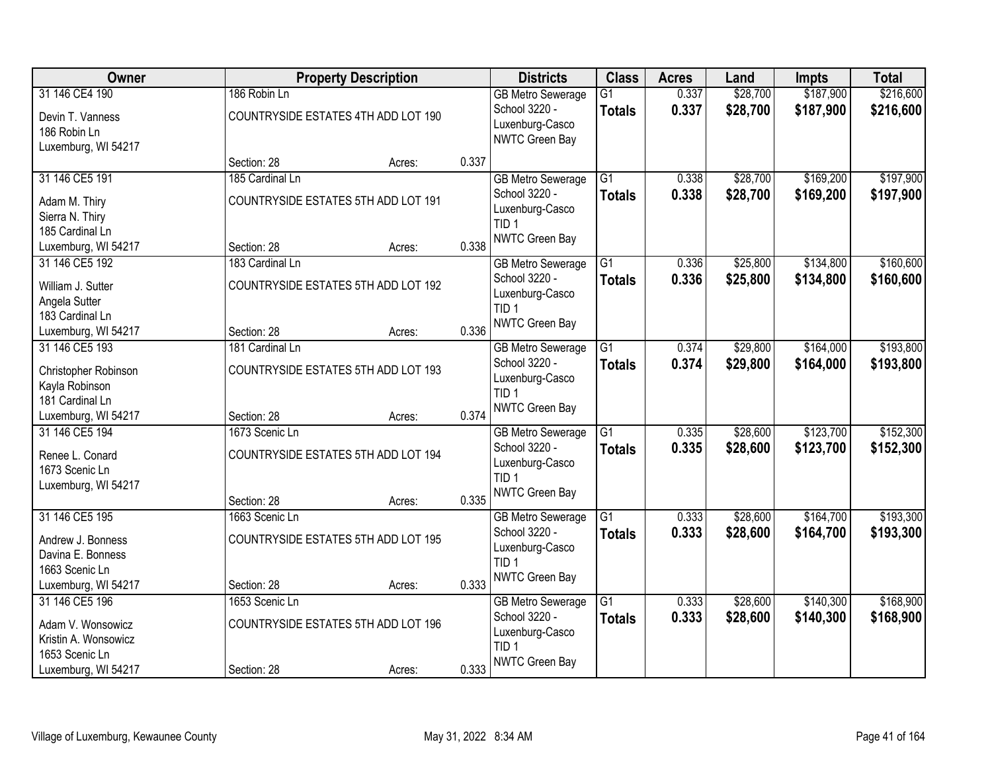| Owner                |                                     | <b>Property Description</b> |       | <b>Districts</b>         | <b>Class</b>    | <b>Acres</b> | Land     | <b>Impts</b> | <b>Total</b> |
|----------------------|-------------------------------------|-----------------------------|-------|--------------------------|-----------------|--------------|----------|--------------|--------------|
| 31 146 CE4 190       | 186 Robin Ln                        |                             |       | <b>GB Metro Sewerage</b> | $\overline{G1}$ | 0.337        | \$28,700 | \$187,900    | \$216,600    |
| Devin T. Vanness     | COUNTRYSIDE ESTATES 4TH ADD LOT 190 |                             |       | School 3220 -            | <b>Totals</b>   | 0.337        | \$28,700 | \$187,900    | \$216,600    |
| 186 Robin Ln         |                                     |                             |       | Luxenburg-Casco          |                 |              |          |              |              |
| Luxemburg, WI 54217  |                                     |                             |       | NWTC Green Bay           |                 |              |          |              |              |
|                      | Section: 28                         | Acres:                      | 0.337 |                          |                 |              |          |              |              |
| 31 146 CE5 191       | 185 Cardinal Ln                     |                             |       | <b>GB Metro Sewerage</b> | $\overline{G1}$ | 0.338        | \$28,700 | \$169,200    | \$197,900    |
| Adam M. Thiry        | COUNTRYSIDE ESTATES 5TH ADD LOT 191 |                             |       | School 3220 -            | <b>Totals</b>   | 0.338        | \$28,700 | \$169,200    | \$197,900    |
| Sierra N. Thiry      |                                     |                             |       | Luxenburg-Casco          |                 |              |          |              |              |
| 185 Cardinal Ln      |                                     |                             |       | TID <sub>1</sub>         |                 |              |          |              |              |
| Luxemburg, WI 54217  | Section: 28                         | Acres:                      | 0.338 | <b>NWTC Green Bay</b>    |                 |              |          |              |              |
| 31 146 CE5 192       | 183 Cardinal Ln                     |                             |       | <b>GB Metro Sewerage</b> | $\overline{G1}$ | 0.336        | \$25,800 | \$134,800    | \$160,600    |
| William J. Sutter    | COUNTRYSIDE ESTATES 5TH ADD LOT 192 |                             |       | School 3220 -            | <b>Totals</b>   | 0.336        | \$25,800 | \$134,800    | \$160,600    |
| Angela Sutter        |                                     |                             |       | Luxenburg-Casco          |                 |              |          |              |              |
| 183 Cardinal Ln      |                                     |                             |       | TID <sub>1</sub>         |                 |              |          |              |              |
| Luxemburg, WI 54217  | Section: 28                         | Acres:                      | 0.336 | NWTC Green Bay           |                 |              |          |              |              |
| 31 146 CE5 193       | 181 Cardinal Ln                     |                             |       | <b>GB Metro Sewerage</b> | G1              | 0.374        | \$29,800 | \$164,000    | \$193,800    |
| Christopher Robinson | COUNTRYSIDE ESTATES 5TH ADD LOT 193 |                             |       | School 3220 -            | <b>Totals</b>   | 0.374        | \$29,800 | \$164,000    | \$193,800    |
| Kayla Robinson       |                                     |                             |       | Luxenburg-Casco          |                 |              |          |              |              |
| 181 Cardinal Ln      |                                     |                             |       | TID <sub>1</sub>         |                 |              |          |              |              |
| Luxemburg, WI 54217  | Section: 28                         | Acres:                      | 0.374 | <b>NWTC Green Bay</b>    |                 |              |          |              |              |
| 31 146 CE5 194       | 1673 Scenic Ln                      |                             |       | <b>GB Metro Sewerage</b> | $\overline{G1}$ | 0.335        | \$28,600 | \$123,700    | \$152,300    |
| Renee L. Conard      | COUNTRYSIDE ESTATES 5TH ADD LOT 194 |                             |       | School 3220 -            | <b>Totals</b>   | 0.335        | \$28,600 | \$123,700    | \$152,300    |
| 1673 Scenic Ln       |                                     |                             |       | Luxenburg-Casco          |                 |              |          |              |              |
| Luxemburg, WI 54217  |                                     |                             |       | TID <sub>1</sub>         |                 |              |          |              |              |
|                      | Section: 28                         | Acres:                      | 0.335 | <b>NWTC Green Bay</b>    |                 |              |          |              |              |
| 31 146 CE5 195       | 1663 Scenic Ln                      |                             |       | <b>GB Metro Sewerage</b> | $\overline{G1}$ | 0.333        | \$28,600 | \$164,700    | \$193,300    |
| Andrew J. Bonness    | COUNTRYSIDE ESTATES 5TH ADD LOT 195 |                             |       | School 3220 -            | <b>Totals</b>   | 0.333        | \$28,600 | \$164,700    | \$193,300    |
| Davina E. Bonness    |                                     |                             |       | Luxenburg-Casco          |                 |              |          |              |              |
| 1663 Scenic Ln       |                                     |                             |       | TID <sub>1</sub>         |                 |              |          |              |              |
| Luxemburg, WI 54217  | Section: 28                         | Acres:                      | 0.333 | NWTC Green Bay           |                 |              |          |              |              |
| 31 146 CE5 196       | 1653 Scenic Ln                      |                             |       | <b>GB Metro Sewerage</b> | $\overline{G1}$ | 0.333        | \$28,600 | \$140,300    | \$168,900    |
| Adam V. Wonsowicz    | COUNTRYSIDE ESTATES 5TH ADD LOT 196 |                             |       | School 3220 -            | <b>Totals</b>   | 0.333        | \$28,600 | \$140,300    | \$168,900    |
| Kristin A. Wonsowicz |                                     |                             |       | Luxenburg-Casco          |                 |              |          |              |              |
| 1653 Scenic Ln       |                                     |                             |       | TID <sub>1</sub>         |                 |              |          |              |              |
| Luxemburg, WI 54217  | Section: 28                         | Acres:                      | 0.333 | <b>NWTC Green Bay</b>    |                 |              |          |              |              |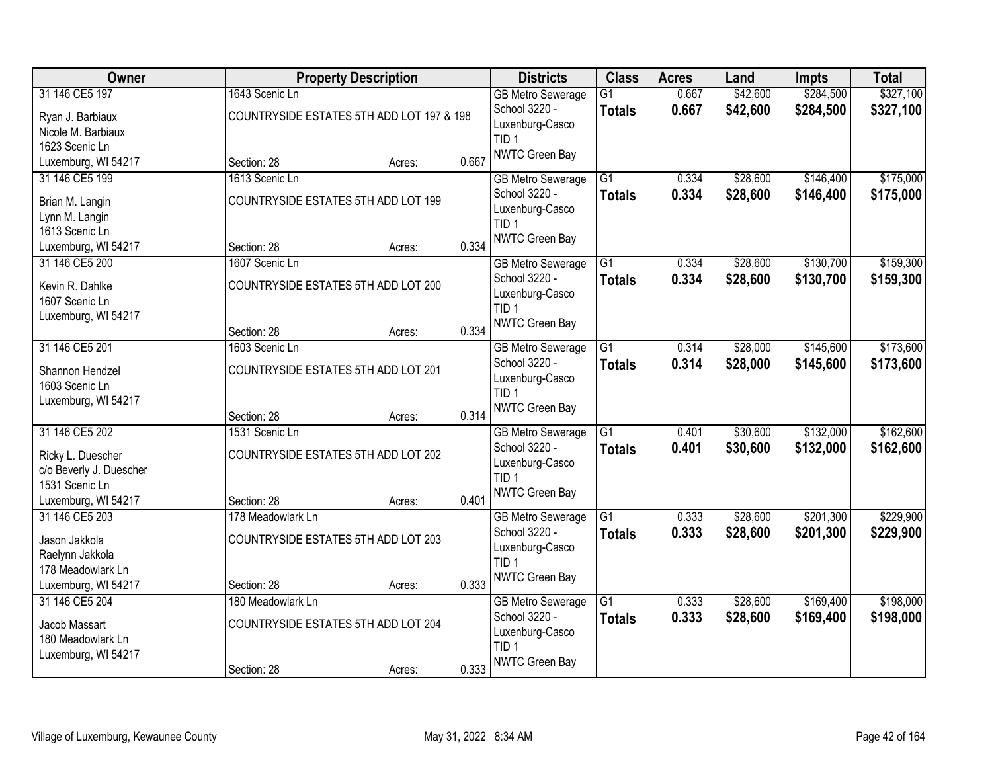| Owner                                                                                                   |                                                                                     | <b>Property Description</b> |                | <b>Districts</b>                                                                                          | <b>Class</b>                     | <b>Acres</b>   | Land                 | Impts                  | <b>Total</b>           |
|---------------------------------------------------------------------------------------------------------|-------------------------------------------------------------------------------------|-----------------------------|----------------|-----------------------------------------------------------------------------------------------------------|----------------------------------|----------------|----------------------|------------------------|------------------------|
| 31 146 CE5 197<br>Ryan J. Barbiaux<br>Nicole M. Barbiaux<br>1623 Scenic Ln                              | 1643 Scenic Ln<br>COUNTRYSIDE ESTATES 5TH ADD LOT 197 & 198                         |                             |                | <b>GB Metro Sewerage</b><br>School 3220 -<br>Luxenburg-Casco<br>TID <sub>1</sub>                          | $\overline{G1}$<br><b>Totals</b> | 0.667<br>0.667 | \$42,600<br>\$42,600 | \$284,500<br>\$284,500 | \$327,100<br>\$327,100 |
| Luxemburg, WI 54217                                                                                     | Section: 28                                                                         | Acres:                      | 0.667          | NWTC Green Bay                                                                                            |                                  |                |                      |                        |                        |
| 31 146 CE5 199<br>Brian M. Langin<br>Lynn M. Langin<br>1613 Scenic Ln<br>Luxemburg, WI 54217            | 1613 Scenic Ln<br>COUNTRYSIDE ESTATES 5TH ADD LOT 199<br>Section: 28                | Acres:                      | 0.334          | <b>GB Metro Sewerage</b><br>School 3220 -<br>Luxenburg-Casco<br>TID <sub>1</sub><br>NWTC Green Bay        | $\overline{G1}$<br><b>Totals</b> | 0.334<br>0.334 | \$28,600<br>\$28,600 | \$146,400<br>\$146,400 | \$175,000<br>\$175,000 |
| 31 146 CE5 200<br>Kevin R. Dahlke<br>1607 Scenic Ln<br>Luxemburg, WI 54217                              | 1607 Scenic Ln<br>COUNTRYSIDE ESTATES 5TH ADD LOT 200<br>Section: 28                | Acres:                      | 0.334          | <b>GB Metro Sewerage</b><br>School 3220 -<br>Luxenburg-Casco<br>TID <sub>1</sub><br>NWTC Green Bay        | G1<br><b>Totals</b>              | 0.334<br>0.334 | \$28,600<br>\$28,600 | \$130,700<br>\$130,700 | \$159,300<br>\$159,300 |
| 31 146 CE5 201<br>Shannon Hendzel<br>1603 Scenic Ln<br>Luxemburg, WI 54217                              | 1603 Scenic Ln<br>COUNTRYSIDE ESTATES 5TH ADD LOT 201                               |                             |                | <b>GB Metro Sewerage</b><br>School 3220 -<br>Luxenburg-Casco<br>TID <sub>1</sub><br><b>NWTC Green Bay</b> | G1<br><b>Totals</b>              | 0.314<br>0.314 | \$28,000<br>\$28,000 | \$145,600<br>\$145,600 | \$173,600<br>\$173,600 |
| 31 146 CE5 202<br>Ricky L. Duescher<br>c/o Beverly J. Duescher<br>1531 Scenic Ln<br>Luxemburg, WI 54217 | Section: 28<br>1531 Scenic Ln<br>COUNTRYSIDE ESTATES 5TH ADD LOT 202<br>Section: 28 | Acres:<br>Acres:            | 0.314<br>0.401 | <b>GB Metro Sewerage</b><br>School 3220 -<br>Luxenburg-Casco<br>TID <sub>1</sub><br><b>NWTC Green Bay</b> | $\overline{G1}$<br><b>Totals</b> | 0.401<br>0.401 | \$30,600<br>\$30,600 | \$132,000<br>\$132,000 | \$162,600<br>\$162,600 |
| 31 146 CE5 203<br>Jason Jakkola<br>Raelynn Jakkola<br>178 Meadowlark Ln<br>Luxemburg, WI 54217          | 178 Meadowlark Ln<br>COUNTRYSIDE ESTATES 5TH ADD LOT 203<br>Section: 28             | Acres:                      | 0.333          | <b>GB Metro Sewerage</b><br>School 3220 -<br>Luxenburg-Casco<br>TID <sub>1</sub><br>NWTC Green Bay        | $\overline{G1}$<br><b>Totals</b> | 0.333<br>0.333 | \$28,600<br>\$28,600 | \$201,300<br>\$201,300 | \$229,900<br>\$229,900 |
| 31 146 CE5 204<br>Jacob Massart<br>180 Meadowlark Ln<br>Luxemburg, WI 54217                             | 180 Meadowlark Ln<br>COUNTRYSIDE ESTATES 5TH ADD LOT 204<br>Section: 28             | Acres:                      | 0.333          | <b>GB Metro Sewerage</b><br>School 3220 -<br>Luxenburg-Casco<br>TID <sub>1</sub><br>NWTC Green Bay        | $\overline{G1}$<br><b>Totals</b> | 0.333<br>0.333 | \$28,600<br>\$28,600 | \$169,400<br>\$169,400 | \$198,000<br>\$198,000 |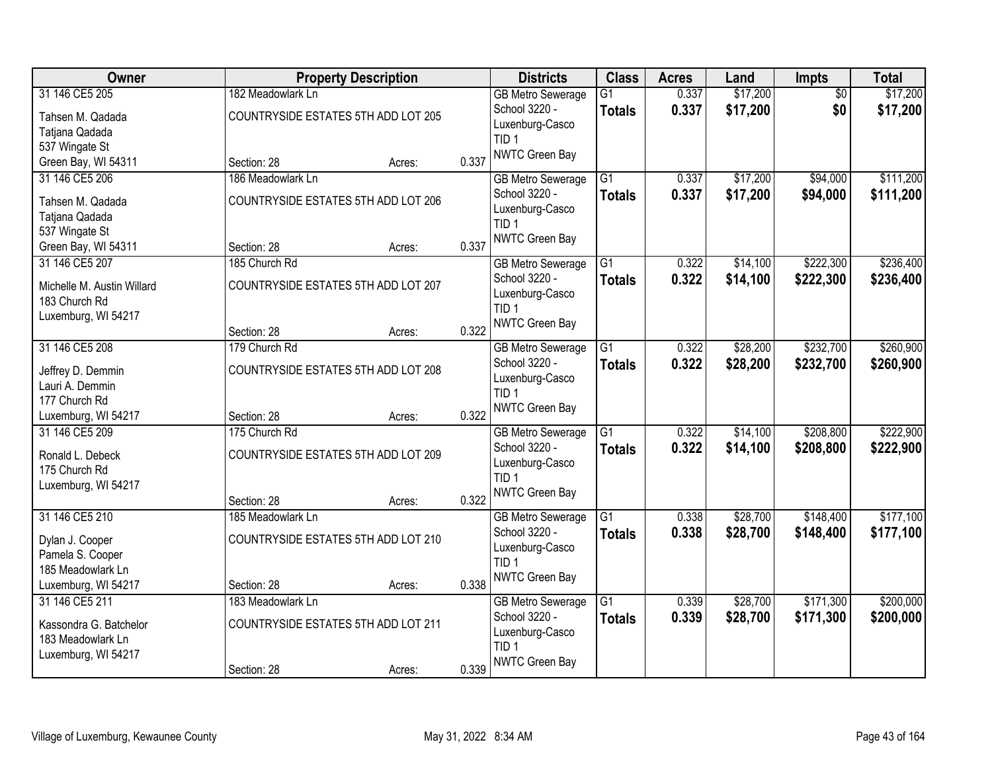| Owner                                 |                                     | <b>Property Description</b> |       | <b>Districts</b>                          | <b>Class</b>    | <b>Acres</b>   | Land     | Impts           | <b>Total</b> |
|---------------------------------------|-------------------------------------|-----------------------------|-------|-------------------------------------------|-----------------|----------------|----------|-----------------|--------------|
| 31 146 CE5 205                        | 182 Meadowlark Ln                   |                             |       | <b>GB Metro Sewerage</b>                  | $\overline{G1}$ | 0.337          | \$17,200 | $\overline{50}$ | \$17,200     |
| Tahsen M. Qadada                      | COUNTRYSIDE ESTATES 5TH ADD LOT 205 |                             |       | School 3220 -                             | <b>Totals</b>   | 0.337          | \$17,200 | \$0             | \$17,200     |
| Tatjana Qadada                        |                                     |                             |       | Luxenburg-Casco<br>TID <sub>1</sub>       |                 |                |          |                 |              |
| 537 Wingate St                        |                                     |                             |       | NWTC Green Bay                            |                 |                |          |                 |              |
| Green Bay, WI 54311                   | Section: 28                         | Acres:                      | 0.337 |                                           |                 |                |          |                 |              |
| 31 146 CE5 206                        | 186 Meadowlark Ln                   |                             |       | <b>GB Metro Sewerage</b>                  | $\overline{G1}$ | 0.337          | \$17,200 | \$94,000        | \$111,200    |
| Tahsen M. Qadada                      | COUNTRYSIDE ESTATES 5TH ADD LOT 206 |                             |       | School 3220 -                             | <b>Totals</b>   | 0.337          | \$17,200 | \$94,000        | \$111,200    |
| Tatjana Qadada                        |                                     |                             |       | Luxenburg-Casco<br>TID <sub>1</sub>       |                 |                |          |                 |              |
| 537 Wingate St                        |                                     |                             |       | <b>NWTC Green Bay</b>                     |                 |                |          |                 |              |
| Green Bay, WI 54311                   | Section: 28                         | Acres:                      | 0.337 |                                           |                 |                |          |                 |              |
| 31 146 CE5 207                        | 185 Church Rd                       |                             |       | <b>GB Metro Sewerage</b>                  | $\overline{G1}$ | 0.322          | \$14,100 | \$222,300       | \$236,400    |
| Michelle M. Austin Willard            | COUNTRYSIDE ESTATES 5TH ADD LOT 207 |                             |       | School 3220 -<br>Luxenburg-Casco          | <b>Totals</b>   | 0.322          | \$14,100 | \$222,300       | \$236,400    |
| 183 Church Rd                         |                                     |                             |       | TID <sub>1</sub>                          |                 |                |          |                 |              |
| Luxemburg, WI 54217                   |                                     |                             |       | NWTC Green Bay                            |                 |                |          |                 |              |
| 31 146 CE5 208                        | Section: 28<br>179 Church Rd        | Acres:                      | 0.322 |                                           | G1              |                | \$28,200 | \$232,700       | \$260,900    |
|                                       |                                     |                             |       | <b>GB Metro Sewerage</b><br>School 3220 - |                 | 0.322<br>0.322 | \$28,200 | \$232,700       |              |
| Jeffrey D. Demmin                     | COUNTRYSIDE ESTATES 5TH ADD LOT 208 |                             |       | Luxenburg-Casco                           | <b>Totals</b>   |                |          |                 | \$260,900    |
| Lauri A. Demmin                       |                                     |                             |       | TID <sub>1</sub>                          |                 |                |          |                 |              |
| 177 Church Rd                         |                                     |                             | 0.322 | <b>NWTC Green Bay</b>                     |                 |                |          |                 |              |
| Luxemburg, WI 54217<br>31 146 CE5 209 | Section: 28<br>175 Church Rd        | Acres:                      |       | <b>GB Metro Sewerage</b>                  | $\overline{G1}$ | 0.322          | \$14,100 | \$208,800       | \$222,900    |
|                                       |                                     |                             |       | School 3220 -                             | <b>Totals</b>   | 0.322          | \$14,100 | \$208,800       | \$222,900    |
| Ronald L. Debeck                      | COUNTRYSIDE ESTATES 5TH ADD LOT 209 |                             |       | Luxenburg-Casco                           |                 |                |          |                 |              |
| 175 Church Rd                         |                                     |                             |       | TID <sub>1</sub>                          |                 |                |          |                 |              |
| Luxemburg, WI 54217                   | Section: 28                         | Acres:                      | 0.322 | <b>NWTC Green Bay</b>                     |                 |                |          |                 |              |
| 31 146 CE5 210                        | 185 Meadowlark Ln                   |                             |       | <b>GB Metro Sewerage</b>                  | $\overline{G1}$ | 0.338          | \$28,700 | \$148,400       | \$177,100    |
|                                       |                                     |                             |       | School 3220 -                             | <b>Totals</b>   | 0.338          | \$28,700 | \$148,400       | \$177,100    |
| Dylan J. Cooper<br>Pamela S. Cooper   | COUNTRYSIDE ESTATES 5TH ADD LOT 210 |                             |       | Luxenburg-Casco                           |                 |                |          |                 |              |
| 185 Meadowlark Ln                     |                                     |                             |       | TID <sub>1</sub>                          |                 |                |          |                 |              |
| Luxemburg, WI 54217                   | Section: 28                         | Acres:                      | 0.338 | <b>NWTC Green Bay</b>                     |                 |                |          |                 |              |
| 31 146 CE5 211                        | 183 Meadowlark Ln                   |                             |       | <b>GB Metro Sewerage</b>                  | $\overline{G1}$ | 0.339          | \$28,700 | \$171,300       | \$200,000    |
| Kassondra G. Batchelor                | COUNTRYSIDE ESTATES 5TH ADD LOT 211 |                             |       | School 3220 -                             | <b>Totals</b>   | 0.339          | \$28,700 | \$171,300       | \$200,000    |
| 183 Meadowlark Ln                     |                                     |                             |       | Luxenburg-Casco                           |                 |                |          |                 |              |
| Luxemburg, WI 54217                   |                                     |                             |       | TID <sub>1</sub>                          |                 |                |          |                 |              |
|                                       | Section: 28                         | Acres:                      | 0.339 | <b>NWTC Green Bay</b>                     |                 |                |          |                 |              |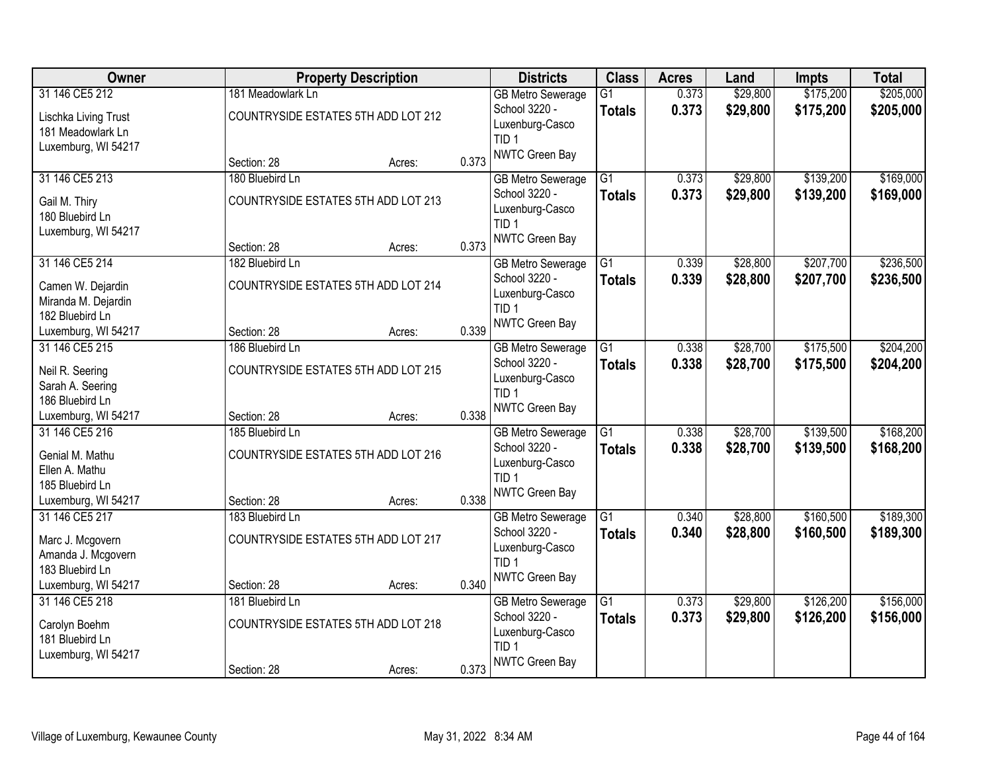| Owner                                                                     |                                                        | <b>Property Description</b> |       | <b>Districts</b>                                                                                   | <b>Class</b>                     | <b>Acres</b>   | Land                 | <b>Impts</b>           | <b>Total</b>           |
|---------------------------------------------------------------------------|--------------------------------------------------------|-----------------------------|-------|----------------------------------------------------------------------------------------------------|----------------------------------|----------------|----------------------|------------------------|------------------------|
| 31 146 CE5 212                                                            | 181 Meadowlark Ln                                      |                             |       | <b>GB Metro Sewerage</b>                                                                           | $\overline{G1}$                  | 0.373          | \$29,800             | \$175,200              | \$205,000              |
| Lischka Living Trust<br>181 Meadowlark Ln<br>Luxemburg, WI 54217          | COUNTRYSIDE ESTATES 5TH ADD LOT 212                    |                             |       | School 3220 -<br>Luxenburg-Casco<br>TID <sub>1</sub>                                               | <b>Totals</b>                    | 0.373          | \$29,800             | \$175,200              | \$205,000              |
|                                                                           | Section: 28                                            | Acres:                      | 0.373 | <b>NWTC Green Bay</b>                                                                              |                                  |                |                      |                        |                        |
| 31 146 CE5 213                                                            | 180 Bluebird Ln                                        |                             |       | <b>GB Metro Sewerage</b>                                                                           | $\overline{G1}$                  | 0.373          | \$29,800             | \$139,200              | \$169,000              |
| Gail M. Thiry<br>180 Bluebird Ln<br>Luxemburg, WI 54217                   | COUNTRYSIDE ESTATES 5TH ADD LOT 213                    |                             |       | School 3220 -<br>Luxenburg-Casco<br>TID <sub>1</sub>                                               | <b>Totals</b>                    | 0.373          | \$29,800             | \$139,200              | \$169,000              |
|                                                                           | Section: 28                                            | Acres:                      | 0.373 | <b>NWTC Green Bay</b>                                                                              |                                  |                |                      |                        |                        |
| 31 146 CE5 214                                                            | 182 Bluebird Ln                                        |                             |       | <b>GB Metro Sewerage</b>                                                                           | $\overline{G1}$                  | 0.339          | \$28,800             | \$207,700              | \$236,500              |
| Camen W. Dejardin<br>Miranda M. Dejardin<br>182 Bluebird Ln               | COUNTRYSIDE ESTATES 5TH ADD LOT 214                    |                             |       | School 3220 -<br>Luxenburg-Casco<br>TID <sub>1</sub>                                               | <b>Totals</b>                    | 0.339          | \$28,800             | \$207,700              | \$236,500              |
| Luxemburg, WI 54217                                                       | Section: 28                                            | Acres:                      | 0.339 | NWTC Green Bay                                                                                     |                                  |                |                      |                        |                        |
| 31 146 CE5 215                                                            | 186 Bluebird Ln                                        |                             |       | <b>GB Metro Sewerage</b>                                                                           | G1                               | 0.338          | \$28,700             | \$175,500              | \$204,200              |
| Neil R. Seering<br>Sarah A. Seering                                       | COUNTRYSIDE ESTATES 5TH ADD LOT 215                    |                             |       | School 3220 -<br>Luxenburg-Casco<br>TID <sub>1</sub>                                               | <b>Totals</b>                    | 0.338          | \$28,700             | \$175,500              | \$204,200              |
| 186 Bluebird Ln<br>Luxemburg, WI 54217                                    | Section: 28                                            | Acres:                      | 0.338 | <b>NWTC Green Bay</b>                                                                              |                                  |                |                      |                        |                        |
| 31 146 CE5 216                                                            | 185 Bluebird Ln                                        |                             |       | <b>GB Metro Sewerage</b>                                                                           | $\overline{G1}$                  | 0.338          | \$28,700             | \$139,500              | \$168,200              |
| Genial M. Mathu<br>Ellen A. Mathu<br>185 Bluebird Ln                      | COUNTRYSIDE ESTATES 5TH ADD LOT 216                    |                             |       | School 3220 -<br>Luxenburg-Casco<br>TID <sub>1</sub><br><b>NWTC Green Bay</b>                      | <b>Totals</b>                    | 0.338          | \$28,700             | \$139,500              | \$168,200              |
| Luxemburg, WI 54217<br>31 146 CE5 217                                     | Section: 28<br>183 Bluebird Ln                         | Acres:                      | 0.338 |                                                                                                    | $\overline{G1}$                  | 0.340          | \$28,800             | \$160,500              | \$189,300              |
| Marc J. Mcgovern<br>Amanda J. Mcgovern<br>183 Bluebird Ln                 | COUNTRYSIDE ESTATES 5TH ADD LOT 217                    |                             |       | <b>GB Metro Sewerage</b><br>School 3220 -<br>Luxenburg-Casco<br>TID <sub>1</sub><br>NWTC Green Bay | <b>Totals</b>                    | 0.340          | \$28,800             | \$160,500              | \$189,300              |
| Luxemburg, WI 54217                                                       | Section: 28                                            | Acres:                      | 0.340 |                                                                                                    |                                  |                |                      |                        |                        |
| 31 146 CE5 218<br>Carolyn Boehm<br>181 Bluebird Ln<br>Luxemburg, WI 54217 | 181 Bluebird Ln<br>COUNTRYSIDE ESTATES 5TH ADD LOT 218 |                             |       | <b>GB Metro Sewerage</b><br>School 3220 -<br>Luxenburg-Casco<br>TID <sub>1</sub><br>NWTC Green Bay | $\overline{G1}$<br><b>Totals</b> | 0.373<br>0.373 | \$29,800<br>\$29,800 | \$126,200<br>\$126,200 | \$156,000<br>\$156,000 |
|                                                                           | Section: 28                                            | Acres:                      | 0.373 |                                                                                                    |                                  |                |                      |                        |                        |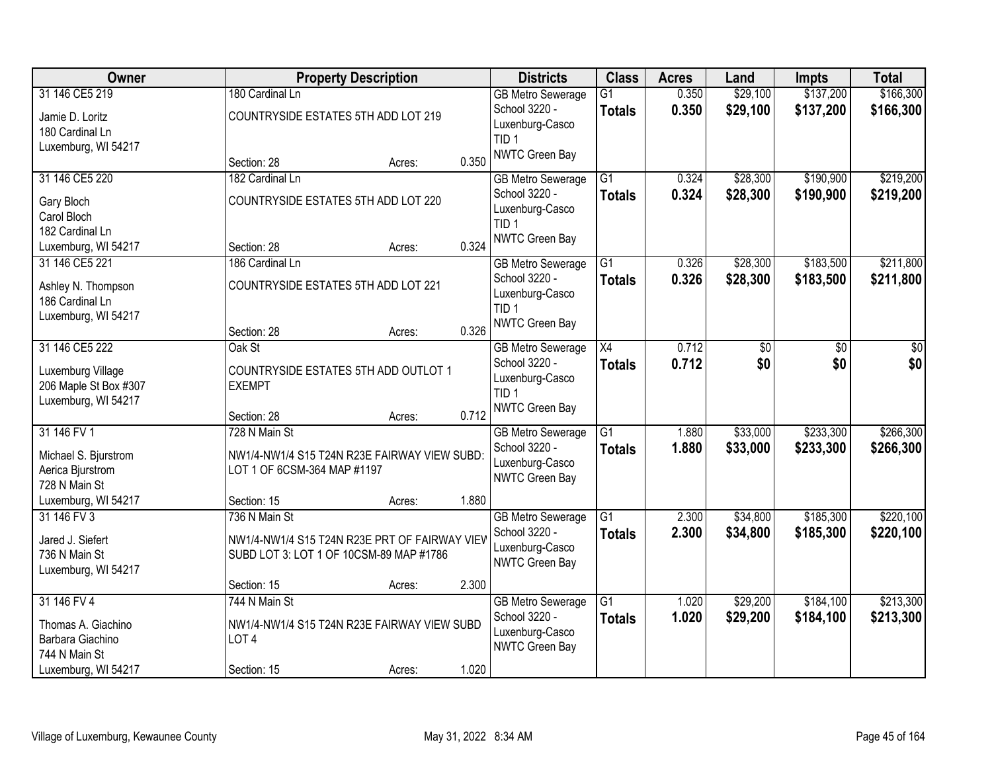| Owner                 |                                               | <b>Property Description</b> |       | <b>Districts</b>                          | <b>Class</b>    | <b>Acres</b> | Land     | <b>Impts</b> | <b>Total</b> |
|-----------------------|-----------------------------------------------|-----------------------------|-------|-------------------------------------------|-----------------|--------------|----------|--------------|--------------|
| 31 146 CE5 219        | 180 Cardinal Ln                               |                             |       | <b>GB Metro Sewerage</b>                  | $\overline{G1}$ | 0.350        | \$29,100 | \$137,200    | \$166,300    |
| Jamie D. Loritz       | COUNTRYSIDE ESTATES 5TH ADD LOT 219           |                             |       | School 3220 -                             | <b>Totals</b>   | 0.350        | \$29,100 | \$137,200    | \$166,300    |
| 180 Cardinal Ln       |                                               |                             |       | Luxenburg-Casco                           |                 |              |          |              |              |
| Luxemburg, WI 54217   |                                               |                             |       | TID <sub>1</sub><br>NWTC Green Bay        |                 |              |          |              |              |
|                       | Section: 28                                   | Acres:                      | 0.350 |                                           |                 |              |          |              |              |
| 31 146 CE5 220        | 182 Cardinal Ln                               |                             |       | <b>GB Metro Sewerage</b>                  | $\overline{G1}$ | 0.324        | \$28,300 | \$190,900    | \$219,200    |
| Gary Bloch            | COUNTRYSIDE ESTATES 5TH ADD LOT 220           |                             |       | School 3220 -                             | <b>Totals</b>   | 0.324        | \$28,300 | \$190,900    | \$219,200    |
| Carol Bloch           |                                               |                             |       | Luxenburg-Casco                           |                 |              |          |              |              |
| 182 Cardinal Ln       |                                               |                             |       | TID <sub>1</sub><br><b>NWTC Green Bay</b> |                 |              |          |              |              |
| Luxemburg, WI 54217   | Section: 28                                   | Acres:                      | 0.324 |                                           |                 |              |          |              |              |
| 31 146 CE5 221        | 186 Cardinal Ln                               |                             |       | <b>GB Metro Sewerage</b>                  | G1              | 0.326        | \$28,300 | \$183,500    | \$211,800    |
| Ashley N. Thompson    | COUNTRYSIDE ESTATES 5TH ADD LOT 221           |                             |       | School 3220 -                             | <b>Totals</b>   | 0.326        | \$28,300 | \$183,500    | \$211,800    |
| 186 Cardinal Ln       |                                               |                             |       | Luxenburg-Casco                           |                 |              |          |              |              |
| Luxemburg, WI 54217   |                                               |                             |       | TID <sub>1</sub><br><b>NWTC Green Bay</b> |                 |              |          |              |              |
|                       | Section: 28                                   | Acres:                      | 0.326 |                                           |                 |              |          |              |              |
| 31 146 CE5 222        | Oak St                                        |                             |       | <b>GB Metro Sewerage</b>                  | X4              | 0.712        | \$0      | \$0          | \$0          |
| Luxemburg Village     | COUNTRYSIDE ESTATES 5TH ADD OUTLOT 1          |                             |       | School 3220 -                             | <b>Totals</b>   | 0.712        | \$0      | \$0          | \$0          |
| 206 Maple St Box #307 | <b>EXEMPT</b>                                 |                             |       | Luxenburg-Casco                           |                 |              |          |              |              |
| Luxemburg, WI 54217   |                                               |                             |       | TID <sub>1</sub>                          |                 |              |          |              |              |
|                       | Section: 28                                   | Acres:                      | 0.712 | <b>NWTC Green Bay</b>                     |                 |              |          |              |              |
| 31 146 FV 1           | 728 N Main St                                 |                             |       | <b>GB Metro Sewerage</b>                  | $\overline{G1}$ | 1.880        | \$33,000 | \$233,300    | \$266,300    |
| Michael S. Bjurstrom  | NW1/4-NW1/4 S15 T24N R23E FAIRWAY VIEW SUBD:  |                             |       | School 3220 -                             | <b>Totals</b>   | 1.880        | \$33,000 | \$233,300    | \$266,300    |
| Aerica Bjurstrom      | LOT 1 OF 6CSM-364 MAP #1197                   |                             |       | Luxenburg-Casco                           |                 |              |          |              |              |
| 728 N Main St         |                                               |                             |       | <b>NWTC Green Bay</b>                     |                 |              |          |              |              |
| Luxemburg, WI 54217   | Section: 15                                   | Acres:                      | 1.880 |                                           |                 |              |          |              |              |
| 31 146 FV 3           | 736 N Main St                                 |                             |       | <b>GB Metro Sewerage</b>                  | $\overline{G1}$ | 2.300        | \$34,800 | \$185,300    | \$220,100    |
| Jared J. Siefert      | NW1/4-NW1/4 S15 T24N R23E PRT OF FAIRWAY VIEV |                             |       | School 3220 -                             | <b>Totals</b>   | 2.300        | \$34,800 | \$185,300    | \$220,100    |
| 736 N Main St         | SUBD LOT 3: LOT 1 OF 10CSM-89 MAP #1786       |                             |       | Luxenburg-Casco                           |                 |              |          |              |              |
| Luxemburg, WI 54217   |                                               |                             |       | NWTC Green Bay                            |                 |              |          |              |              |
|                       | Section: 15                                   | Acres:                      | 2.300 |                                           |                 |              |          |              |              |
| 31 146 FV 4           | 744 N Main St                                 |                             |       | <b>GB Metro Sewerage</b>                  | $\overline{G1}$ | 1.020        | \$29,200 | \$184,100    | \$213,300    |
| Thomas A. Giachino    | NW1/4-NW1/4 S15 T24N R23E FAIRWAY VIEW SUBD   |                             |       | School 3220 -                             | <b>Totals</b>   | 1.020        | \$29,200 | \$184,100    | \$213,300    |
| Barbara Giachino      | LOT <sub>4</sub>                              |                             |       | Luxenburg-Casco                           |                 |              |          |              |              |
| 744 N Main St         |                                               |                             |       | NWTC Green Bay                            |                 |              |          |              |              |
| Luxemburg, WI 54217   | Section: 15                                   | Acres:                      | 1.020 |                                           |                 |              |          |              |              |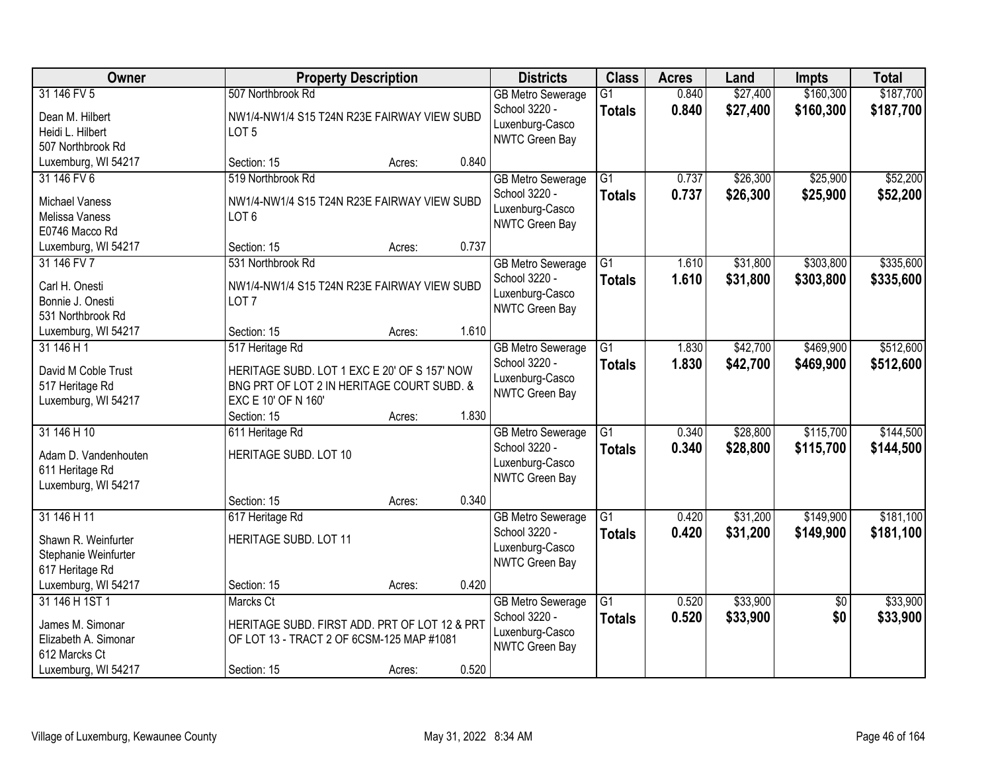| Owner                                                                                              | <b>Property Description</b>                                                                                                          |       | <b>Districts</b>                                                               | <b>Class</b>                     | <b>Acres</b>   | Land                 | <b>Impts</b>           | <b>Total</b>           |
|----------------------------------------------------------------------------------------------------|--------------------------------------------------------------------------------------------------------------------------------------|-------|--------------------------------------------------------------------------------|----------------------------------|----------------|----------------------|------------------------|------------------------|
| 31 146 FV 5<br>Dean M. Hilbert<br>Heidi L. Hilbert<br>507 Northbrook Rd                            | 507 Northbrook Rd<br>NW1/4-NW1/4 S15 T24N R23E FAIRWAY VIEW SUBD<br>LOT <sub>5</sub>                                                 |       | <b>GB Metro Sewerage</b><br>School 3220 -<br>Luxenburg-Casco<br>NWTC Green Bay | $\overline{G1}$<br><b>Totals</b> | 0.840<br>0.840 | \$27,400<br>\$27,400 | \$160,300<br>\$160,300 | \$187,700<br>\$187,700 |
| Luxemburg, WI 54217                                                                                | Section: 15<br>Acres:                                                                                                                | 0.840 |                                                                                |                                  |                |                      |                        |                        |
| 31 146 FV 6<br><b>Michael Vaness</b><br>Melissa Vaness<br>E0746 Macco Rd                           | 519 Northbrook Rd<br>NW1/4-NW1/4 S15 T24N R23E FAIRWAY VIEW SUBD<br>LOT <sub>6</sub>                                                 |       | <b>GB Metro Sewerage</b><br>School 3220 -<br>Luxenburg-Casco<br>NWTC Green Bay | $\overline{G1}$<br><b>Totals</b> | 0.737<br>0.737 | \$26,300<br>\$26,300 | \$25,900<br>\$25,900   | \$52,200<br>\$52,200   |
| Luxemburg, WI 54217                                                                                | Section: 15<br>Acres:                                                                                                                | 0.737 |                                                                                |                                  |                |                      |                        |                        |
| 31 146 FV 7<br>Carl H. Onesti<br>Bonnie J. Onesti<br>531 Northbrook Rd                             | 531 Northbrook Rd<br>NW1/4-NW1/4 S15 T24N R23E FAIRWAY VIEW SUBD<br>LOT <sub>7</sub>                                                 |       | <b>GB Metro Sewerage</b><br>School 3220 -<br>Luxenburg-Casco<br>NWTC Green Bay | $\overline{G1}$<br><b>Totals</b> | 1.610<br>1.610 | \$31,800<br>\$31,800 | \$303,800<br>\$303,800 | \$335,600<br>\$335,600 |
| Luxemburg, WI 54217                                                                                | Section: 15<br>Acres:                                                                                                                | 1.610 |                                                                                |                                  |                |                      |                        |                        |
| 31 146 H 1<br>David M Coble Trust<br>517 Heritage Rd<br>Luxemburg, WI 54217                        | 517 Heritage Rd<br>HERITAGE SUBD. LOT 1 EXC E 20' OF S 157' NOW<br>BNG PRT OF LOT 2 IN HERITAGE COURT SUBD. &<br>EXC E 10' OF N 160' |       | <b>GB Metro Sewerage</b><br>School 3220 -<br>Luxenburg-Casco<br>NWTC Green Bay | G1<br><b>Totals</b>              | 1.830<br>1.830 | \$42,700<br>\$42,700 | \$469,900<br>\$469,900 | \$512,600<br>\$512,600 |
|                                                                                                    | Section: 15<br>Acres:                                                                                                                | 1.830 |                                                                                |                                  |                |                      |                        |                        |
| 31 146 H 10<br>Adam D. Vandenhouten<br>611 Heritage Rd<br>Luxemburg, WI 54217                      | 611 Heritage Rd<br>HERITAGE SUBD. LOT 10                                                                                             |       | <b>GB</b> Metro Sewerage<br>School 3220 -<br>Luxenburg-Casco<br>NWTC Green Bay | $\overline{G1}$<br><b>Totals</b> | 0.340<br>0.340 | \$28,800<br>\$28,800 | \$115,700<br>\$115,700 | \$144,500<br>\$144,500 |
|                                                                                                    | Section: 15<br>Acres:                                                                                                                | 0.340 |                                                                                |                                  |                |                      |                        |                        |
| 31 146 H 11<br>Shawn R. Weinfurter<br>Stephanie Weinfurter<br>617 Heritage Rd                      | 617 Heritage Rd<br>HERITAGE SUBD. LOT 11                                                                                             |       | <b>GB Metro Sewerage</b><br>School 3220 -<br>Luxenburg-Casco<br>NWTC Green Bay | $\overline{G1}$<br><b>Totals</b> | 0.420<br>0.420 | \$31,200<br>\$31,200 | \$149,900<br>\$149,900 | \$181,100<br>\$181,100 |
| Luxemburg, WI 54217                                                                                | Section: 15<br>Acres:                                                                                                                | 0.420 |                                                                                |                                  |                |                      |                        |                        |
| 31 146 H 1ST 1<br>James M. Simonar<br>Elizabeth A. Simonar<br>612 Marcks Ct<br>Luxemburg, WI 54217 | Marcks Ct<br>HERITAGE SUBD. FIRST ADD. PRT OF LOT 12 & PRT<br>OF LOT 13 - TRACT 2 OF 6CSM-125 MAP #1081<br>Section: 15<br>Acres:     | 0.520 | <b>GB</b> Metro Sewerage<br>School 3220 -<br>Luxenburg-Casco<br>NWTC Green Bay | $\overline{G1}$<br><b>Totals</b> | 0.520<br>0.520 | \$33,900<br>\$33,900 | $\overline{50}$<br>\$0 | \$33,900<br>\$33,900   |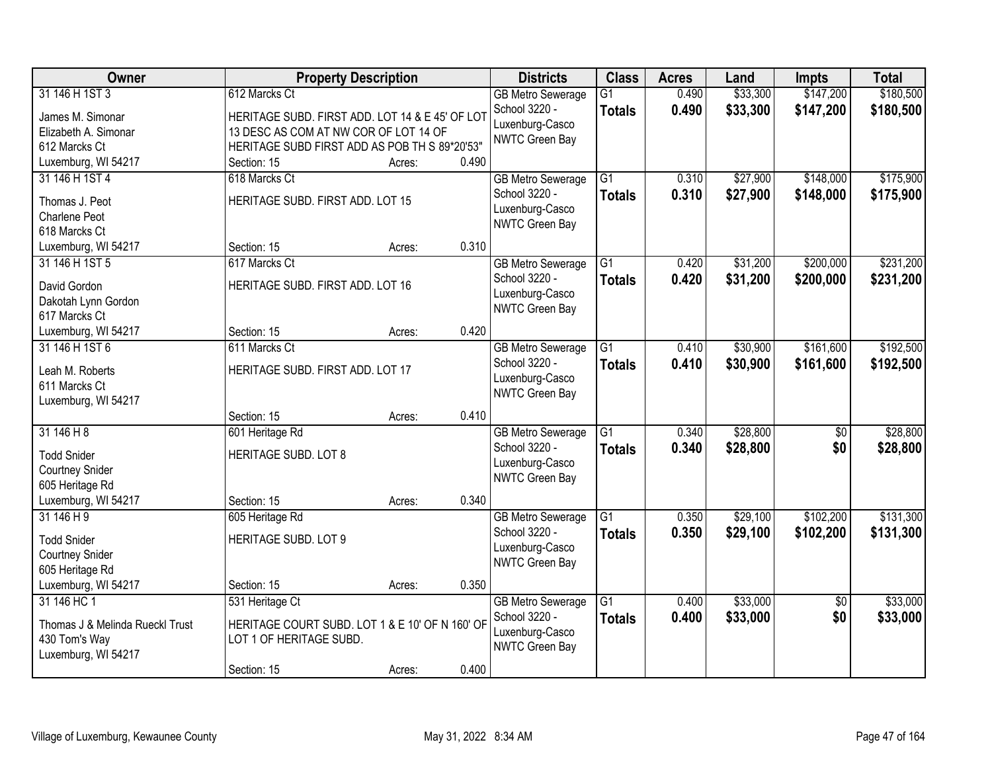| Owner                                | <b>Property Description</b>                     |        |       | <b>Districts</b>                          | <b>Class</b>    | <b>Acres</b> | Land     | <b>Impts</b>    | <b>Total</b> |
|--------------------------------------|-------------------------------------------------|--------|-------|-------------------------------------------|-----------------|--------------|----------|-----------------|--------------|
| 31 146 H 1ST 3                       | 612 Marcks Ct                                   |        |       | <b>GB Metro Sewerage</b>                  | $\overline{G1}$ | 0.490        | \$33,300 | \$147,200       | \$180,500    |
| James M. Simonar                     | HERITAGE SUBD. FIRST ADD. LOT 14 & E 45' OF LOT |        |       | School 3220 -                             | <b>Totals</b>   | 0.490        | \$33,300 | \$147,200       | \$180,500    |
| Elizabeth A. Simonar                 | 13 DESC AS COM AT NW COR OF LOT 14 OF           |        |       | Luxenburg-Casco                           |                 |              |          |                 |              |
| 612 Marcks Ct                        | HERITAGE SUBD FIRST ADD AS POB TH S 89*20'53"   |        |       | <b>NWTC Green Bay</b>                     |                 |              |          |                 |              |
| Luxemburg, WI 54217                  | Section: 15                                     | Acres: | 0.490 |                                           |                 |              |          |                 |              |
| 31 146 H 1ST 4                       | 618 Marcks Ct                                   |        |       | <b>GB Metro Sewerage</b>                  | $\overline{G1}$ | 0.310        | \$27,900 | \$148,000       | \$175,900    |
| Thomas J. Peot                       | HERITAGE SUBD. FIRST ADD. LOT 15                |        |       | School 3220 -                             | <b>Totals</b>   | 0.310        | \$27,900 | \$148,000       | \$175,900    |
| <b>Charlene Peot</b>                 |                                                 |        |       | Luxenburg-Casco                           |                 |              |          |                 |              |
| 618 Marcks Ct                        |                                                 |        |       | NWTC Green Bay                            |                 |              |          |                 |              |
| Luxemburg, WI 54217                  | Section: 15                                     | Acres: | 0.310 |                                           |                 |              |          |                 |              |
| 31 146 H 1ST 5                       | 617 Marcks Ct                                   |        |       | <b>GB</b> Metro Sewerage                  | $\overline{G1}$ | 0.420        | \$31,200 | \$200,000       | \$231,200    |
|                                      |                                                 |        |       | School 3220 -                             | <b>Totals</b>   | 0.420        | \$31,200 | \$200,000       | \$231,200    |
| David Gordon                         | HERITAGE SUBD. FIRST ADD. LOT 16                |        |       | Luxenburg-Casco                           |                 |              |          |                 |              |
| Dakotah Lynn Gordon<br>617 Marcks Ct |                                                 |        |       | NWTC Green Bay                            |                 |              |          |                 |              |
| Luxemburg, WI 54217                  | Section: 15                                     | Acres: | 0.420 |                                           |                 |              |          |                 |              |
| 31 146 H 1ST 6                       | 611 Marcks Ct                                   |        |       | <b>GB Metro Sewerage</b>                  | G1              | 0.410        | \$30,900 | \$161,600       | \$192,500    |
|                                      |                                                 |        |       | School 3220 -                             | <b>Totals</b>   | 0.410        | \$30,900 | \$161,600       | \$192,500    |
| Leah M. Roberts                      | HERITAGE SUBD. FIRST ADD. LOT 17                |        |       | Luxenburg-Casco                           |                 |              |          |                 |              |
| 611 Marcks Ct                        |                                                 |        |       | NWTC Green Bay                            |                 |              |          |                 |              |
| Luxemburg, WI 54217                  |                                                 |        |       |                                           |                 |              |          |                 |              |
| 31146H8                              | Section: 15                                     | Acres: | 0.410 |                                           | $\overline{G1}$ | 0.340        | \$28,800 |                 | \$28,800     |
|                                      | 601 Heritage Rd                                 |        |       | <b>GB</b> Metro Sewerage<br>School 3220 - |                 | 0.340        |          | $\overline{50}$ |              |
| <b>Todd Snider</b>                   | HERITAGE SUBD. LOT 8                            |        |       | Luxenburg-Casco                           | <b>Totals</b>   |              | \$28,800 | \$0             | \$28,800     |
| <b>Courtney Snider</b>               |                                                 |        |       | NWTC Green Bay                            |                 |              |          |                 |              |
| 605 Heritage Rd                      |                                                 |        |       |                                           |                 |              |          |                 |              |
| Luxemburg, WI 54217                  | Section: 15                                     | Acres: | 0.340 |                                           |                 |              |          |                 |              |
| 31 146 H 9                           | 605 Heritage Rd                                 |        |       | <b>GB</b> Metro Sewerage                  | $\overline{G1}$ | 0.350        | \$29,100 | \$102,200       | \$131,300    |
| <b>Todd Snider</b>                   | <b>HERITAGE SUBD. LOT 9</b>                     |        |       | School 3220 -                             | <b>Totals</b>   | 0.350        | \$29,100 | \$102,200       | \$131,300    |
| <b>Courtney Snider</b>               |                                                 |        |       | Luxenburg-Casco                           |                 |              |          |                 |              |
| 605 Heritage Rd                      |                                                 |        |       | NWTC Green Bay                            |                 |              |          |                 |              |
| Luxemburg, WI 54217                  | Section: 15                                     | Acres: | 0.350 |                                           |                 |              |          |                 |              |
| 31 146 HC 1                          | 531 Heritage Ct                                 |        |       | <b>GB Metro Sewerage</b>                  | $\overline{G1}$ | 0.400        | \$33,000 | $\overline{50}$ | \$33,000     |
| Thomas J & Melinda Rueckl Trust      | HERITAGE COURT SUBD. LOT 1 & E 10' OF N 160' OF |        |       | School 3220 -                             | <b>Totals</b>   | 0.400        | \$33,000 | \$0             | \$33,000     |
| 430 Tom's Way                        | LOT 1 OF HERITAGE SUBD.                         |        |       | Luxenburg-Casco                           |                 |              |          |                 |              |
| Luxemburg, WI 54217                  |                                                 |        |       | NWTC Green Bay                            |                 |              |          |                 |              |
|                                      | Section: 15                                     | Acres: | 0.400 |                                           |                 |              |          |                 |              |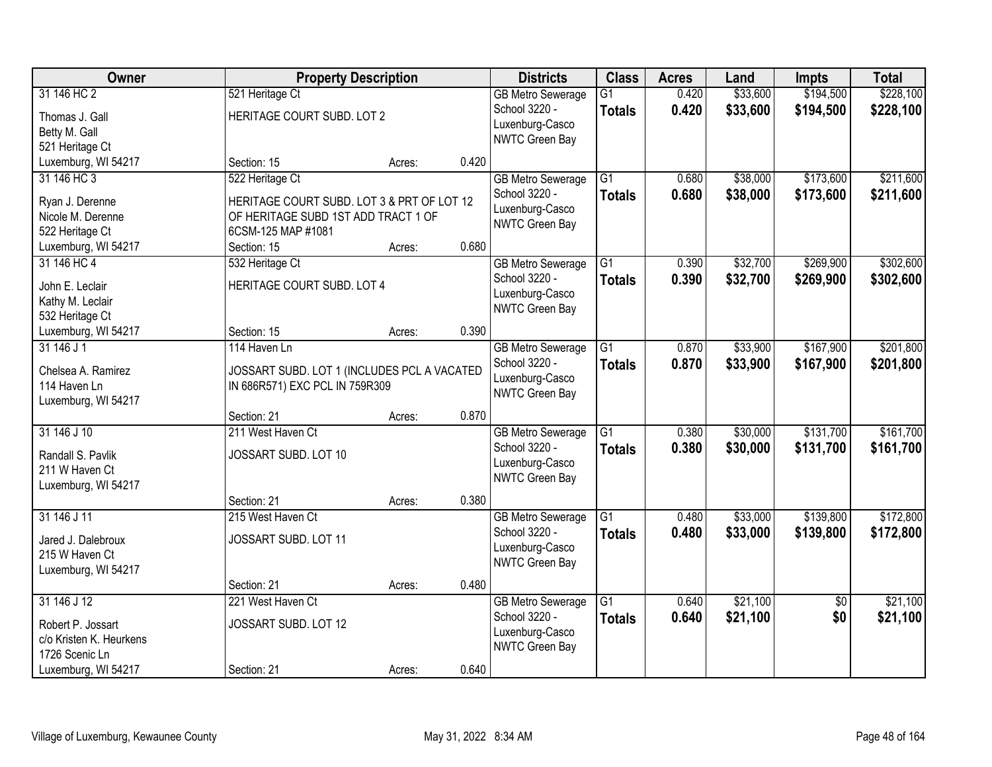| Owner                                                                                                |                                                                                                                                           | <b>Property Description</b> |       | <b>Districts</b>                                                               | <b>Class</b>                     | <b>Acres</b>   | Land                 | <b>Impts</b>           | <b>Total</b>           |
|------------------------------------------------------------------------------------------------------|-------------------------------------------------------------------------------------------------------------------------------------------|-----------------------------|-------|--------------------------------------------------------------------------------|----------------------------------|----------------|----------------------|------------------------|------------------------|
| 31 146 HC 2<br>Thomas J. Gall<br>Betty M. Gall<br>521 Heritage Ct                                    | 521 Heritage Ct<br>HERITAGE COURT SUBD. LOT 2                                                                                             |                             |       | <b>GB Metro Sewerage</b><br>School 3220 -<br>Luxenburg-Casco<br>NWTC Green Bay | $\overline{G1}$<br><b>Totals</b> | 0.420<br>0.420 | \$33,600<br>\$33,600 | \$194,500<br>\$194,500 | \$228,100<br>\$228,100 |
| Luxemburg, WI 54217                                                                                  | Section: 15                                                                                                                               | Acres:                      | 0.420 |                                                                                |                                  |                |                      |                        |                        |
| 31 146 HC 3<br>Ryan J. Derenne<br>Nicole M. Derenne<br>522 Heritage Ct<br>Luxemburg, WI 54217        | 522 Heritage Ct<br>HERITAGE COURT SUBD. LOT 3 & PRT OF LOT 12<br>OF HERITAGE SUBD 1ST ADD TRACT 1 OF<br>6CSM-125 MAP #1081<br>Section: 15 | Acres:                      | 0.680 | <b>GB Metro Sewerage</b><br>School 3220 -<br>Luxenburg-Casco<br>NWTC Green Bay | $\overline{G1}$<br><b>Totals</b> | 0.680<br>0.680 | \$38,000<br>\$38,000 | \$173,600<br>\$173,600 | \$211,600<br>\$211,600 |
| 31 146 HC 4                                                                                          | 532 Heritage Ct                                                                                                                           |                             |       | <b>GB Metro Sewerage</b>                                                       | $\overline{G1}$                  | 0.390          | \$32,700             | \$269,900              | \$302,600              |
| John E. Leclair<br>Kathy M. Leclair<br>532 Heritage Ct                                               | HERITAGE COURT SUBD. LOT 4                                                                                                                |                             |       | School 3220 -<br>Luxenburg-Casco<br>NWTC Green Bay                             | <b>Totals</b>                    | 0.390          | \$32,700             | \$269,900              | \$302,600              |
| Luxemburg, WI 54217                                                                                  | Section: 15                                                                                                                               | Acres:                      | 0.390 |                                                                                |                                  |                |                      |                        |                        |
| 31 146 J 1<br>Chelsea A. Ramirez<br>114 Haven Ln<br>Luxemburg, WI 54217                              | 114 Haven Ln<br>JOSSART SUBD. LOT 1 (INCLUDES PCL A VACATED<br>IN 686R571) EXC PCL IN 759R309                                             |                             |       | <b>GB Metro Sewerage</b><br>School 3220 -<br>Luxenburg-Casco<br>NWTC Green Bay | $\overline{G1}$<br><b>Totals</b> | 0.870<br>0.870 | \$33,900<br>\$33,900 | \$167,900<br>\$167,900 | \$201,800<br>\$201,800 |
|                                                                                                      | Section: 21                                                                                                                               | Acres:                      | 0.870 |                                                                                |                                  |                |                      |                        |                        |
| 31 146 J 10<br>Randall S. Pavlik<br>211 W Haven Ct<br>Luxemburg, WI 54217                            | 211 West Haven Ct<br>JOSSART SUBD. LOT 10                                                                                                 |                             |       | <b>GB Metro Sewerage</b><br>School 3220 -<br>Luxenburg-Casco<br>NWTC Green Bay | $\overline{G1}$<br><b>Totals</b> | 0.380<br>0.380 | \$30,000<br>\$30,000 | \$131,700<br>\$131,700 | \$161,700<br>\$161,700 |
|                                                                                                      | Section: 21                                                                                                                               | Acres:                      | 0.380 |                                                                                |                                  |                |                      |                        |                        |
| 31 146 J 11<br>Jared J. Dalebroux<br>215 W Haven Ct<br>Luxemburg, WI 54217                           | 215 West Haven Ct<br>JOSSART SUBD. LOT 11                                                                                                 |                             |       | <b>GB Metro Sewerage</b><br>School 3220 -<br>Luxenburg-Casco<br>NWTC Green Bay | $\overline{G1}$<br><b>Totals</b> | 0.480<br>0.480 | \$33,000<br>\$33,000 | \$139,800<br>\$139,800 | \$172,800<br>\$172,800 |
|                                                                                                      | Section: 21                                                                                                                               | Acres:                      | 0.480 |                                                                                |                                  |                |                      |                        |                        |
| 31 146 J 12<br>Robert P. Jossart<br>c/o Kristen K. Heurkens<br>1726 Scenic Ln<br>Luxemburg, WI 54217 | 221 West Haven Ct<br>JOSSART SUBD. LOT 12<br>Section: 21                                                                                  |                             | 0.640 | <b>GB Metro Sewerage</b><br>School 3220 -<br>Luxenburg-Casco<br>NWTC Green Bay | $\overline{G1}$<br><b>Totals</b> | 0.640<br>0.640 | \$21,100<br>\$21,100 | $\overline{50}$<br>\$0 | \$21,100<br>\$21,100   |
|                                                                                                      |                                                                                                                                           | Acres:                      |       |                                                                                |                                  |                |                      |                        |                        |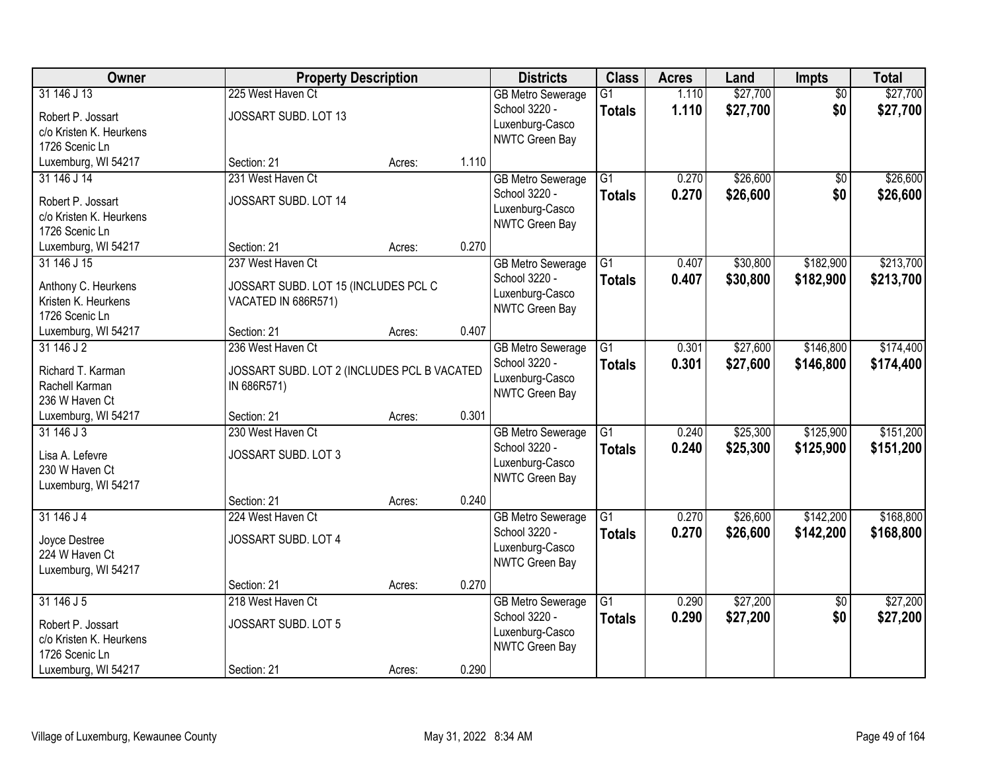| Owner                               | <b>Property Description</b>                 |        |       | <b>Districts</b>                          | <b>Class</b>    | <b>Acres</b> | Land     | Impts           | <b>Total</b> |
|-------------------------------------|---------------------------------------------|--------|-------|-------------------------------------------|-----------------|--------------|----------|-----------------|--------------|
| 31 146 J 13                         | 225 West Haven Ct                           |        |       | <b>GB Metro Sewerage</b>                  | $\overline{G1}$ | 1.110        | \$27,700 | $\overline{50}$ | \$27,700     |
| Robert P. Jossart                   | JOSSART SUBD. LOT 13                        |        |       | School 3220 -                             | <b>Totals</b>   | 1.110        | \$27,700 | \$0             | \$27,700     |
| c/o Kristen K. Heurkens             |                                             |        |       | Luxenburg-Casco                           |                 |              |          |                 |              |
| 1726 Scenic Ln                      |                                             |        |       | NWTC Green Bay                            |                 |              |          |                 |              |
| Luxemburg, WI 54217                 | Section: 21                                 | Acres: | 1.110 |                                           |                 |              |          |                 |              |
| 31 146 J 14                         | 231 West Haven Ct                           |        |       | <b>GB Metro Sewerage</b>                  | $\overline{G1}$ | 0.270        | \$26,600 | \$0             | \$26,600     |
| Robert P. Jossart                   | JOSSART SUBD. LOT 14                        |        |       | School 3220 -                             | <b>Totals</b>   | 0.270        | \$26,600 | \$0             | \$26,600     |
| c/o Kristen K. Heurkens             |                                             |        |       | Luxenburg-Casco                           |                 |              |          |                 |              |
| 1726 Scenic Ln                      |                                             |        |       | NWTC Green Bay                            |                 |              |          |                 |              |
| Luxemburg, WI 54217                 | Section: 21                                 | Acres: | 0.270 |                                           |                 |              |          |                 |              |
| 31 146 J 15                         | 237 West Haven Ct                           |        |       | <b>GB Metro Sewerage</b>                  | $\overline{G1}$ | 0.407        | \$30,800 | \$182,900       | \$213,700    |
| Anthony C. Heurkens                 | JOSSART SUBD. LOT 15 (INCLUDES PCL C        |        |       | School 3220 -                             | <b>Totals</b>   | 0.407        | \$30,800 | \$182,900       | \$213,700    |
| Kristen K. Heurkens                 | VACATED IN 686R571)                         |        |       | Luxenburg-Casco                           |                 |              |          |                 |              |
| 1726 Scenic Ln                      |                                             |        |       | NWTC Green Bay                            |                 |              |          |                 |              |
| Luxemburg, WI 54217                 | Section: 21                                 | Acres: | 0.407 |                                           |                 |              |          |                 |              |
| 31 146 J 2                          | 236 West Haven Ct                           |        |       | <b>GB Metro Sewerage</b>                  | $\overline{G1}$ | 0.301        | \$27,600 | \$146,800       | \$174,400    |
|                                     |                                             |        |       | School 3220 -                             | <b>Totals</b>   | 0.301        | \$27,600 | \$146,800       | \$174,400    |
| Richard T. Karman<br>Rachell Karman | JOSSART SUBD. LOT 2 (INCLUDES PCL B VACATED |        |       | Luxenburg-Casco                           |                 |              |          |                 |              |
| 236 W Haven Ct                      | IN 686R571)                                 |        |       | NWTC Green Bay                            |                 |              |          |                 |              |
| Luxemburg, WI 54217                 | Section: 21                                 | Acres: | 0.301 |                                           |                 |              |          |                 |              |
| 31 146 J 3                          | 230 West Haven Ct                           |        |       | <b>GB Metro Sewerage</b>                  | $\overline{G1}$ | 0.240        | \$25,300 | \$125,900       | \$151,200    |
|                                     |                                             |        |       | School 3220 -                             | <b>Totals</b>   | 0.240        | \$25,300 | \$125,900       | \$151,200    |
| Lisa A. Lefevre                     | JOSSART SUBD. LOT 3                         |        |       | Luxenburg-Casco                           |                 |              |          |                 |              |
| 230 W Haven Ct                      |                                             |        |       | NWTC Green Bay                            |                 |              |          |                 |              |
| Luxemburg, WI 54217                 |                                             |        |       |                                           |                 |              |          |                 |              |
| 31 146 J 4                          | Section: 21<br>224 West Haven Ct            | Acres: | 0.240 |                                           | $\overline{G1}$ | 0.270        | \$26,600 | \$142,200       | \$168,800    |
|                                     |                                             |        |       | <b>GB Metro Sewerage</b><br>School 3220 - |                 |              |          |                 |              |
| Joyce Destree                       | JOSSART SUBD. LOT 4                         |        |       | Luxenburg-Casco                           | <b>Totals</b>   | 0.270        | \$26,600 | \$142,200       | \$168,800    |
| 224 W Haven Ct                      |                                             |        |       | NWTC Green Bay                            |                 |              |          |                 |              |
| Luxemburg, WI 54217                 |                                             |        |       |                                           |                 |              |          |                 |              |
|                                     | Section: 21                                 | Acres: | 0.270 |                                           |                 |              |          |                 |              |
| 31 146 J 5                          | 218 West Haven Ct                           |        |       | <b>GB Metro Sewerage</b>                  | $\overline{G1}$ | 0.290        | \$27,200 | $\overline{50}$ | \$27,200     |
| Robert P. Jossart                   | JOSSART SUBD. LOT 5                         |        |       | School 3220 -                             | <b>Totals</b>   | 0.290        | \$27,200 | \$0             | \$27,200     |
| c/o Kristen K. Heurkens             |                                             |        |       | Luxenburg-Casco                           |                 |              |          |                 |              |
| 1726 Scenic Ln                      |                                             |        |       | NWTC Green Bay                            |                 |              |          |                 |              |
| Luxemburg, WI 54217                 | Section: 21                                 | Acres: | 0.290 |                                           |                 |              |          |                 |              |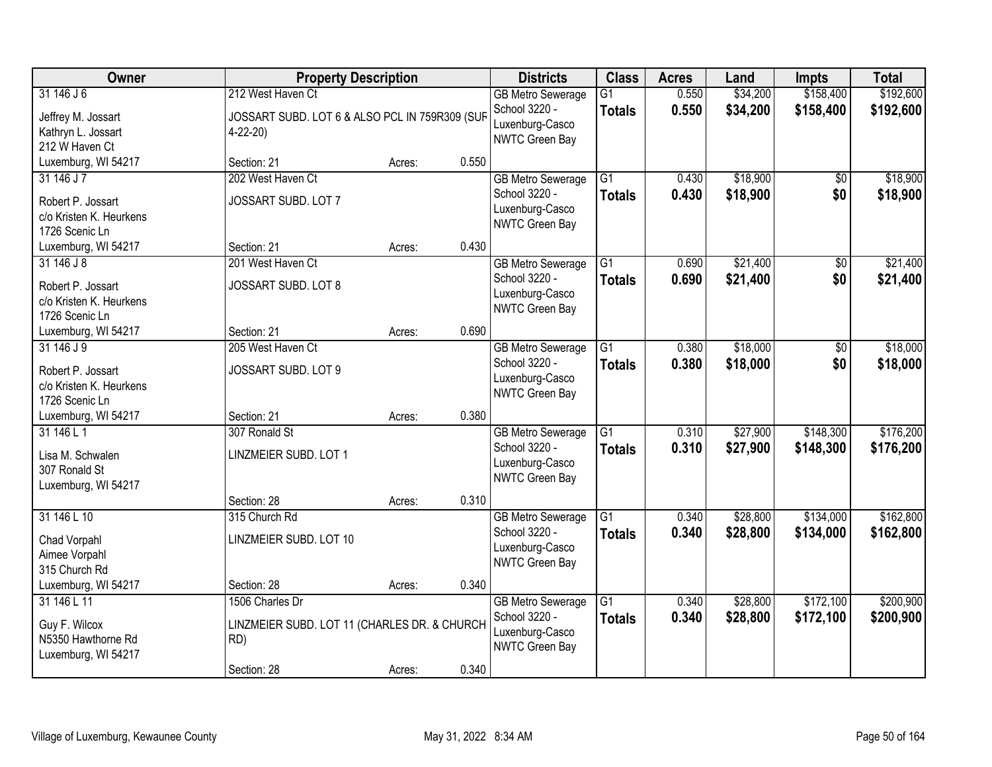| Owner                                                                        | <b>Property Description</b>                                                           |        |       | <b>Districts</b>                                                               | <b>Class</b>                     | <b>Acres</b>   | Land                 | <b>Impts</b>           | <b>Total</b>           |
|------------------------------------------------------------------------------|---------------------------------------------------------------------------------------|--------|-------|--------------------------------------------------------------------------------|----------------------------------|----------------|----------------------|------------------------|------------------------|
| 31 146 J 6<br>Jeffrey M. Jossart<br>Kathryn L. Jossart<br>212 W Haven Ct     | 212 West Haven Ct<br>JOSSART SUBD. LOT 6 & ALSO PCL IN 759R309 (SUF<br>$4 - 22 - 20$  |        |       | <b>GB Metro Sewerage</b><br>School 3220 -<br>Luxenburg-Casco<br>NWTC Green Bay | $\overline{G1}$<br><b>Totals</b> | 0.550<br>0.550 | \$34,200<br>\$34,200 | \$158,400<br>\$158,400 | \$192,600<br>\$192,600 |
| Luxemburg, WI 54217                                                          | Section: 21                                                                           | Acres: | 0.550 |                                                                                |                                  |                |                      |                        |                        |
| 31 146 J 7<br>Robert P. Jossart<br>c/o Kristen K. Heurkens<br>1726 Scenic Ln | 202 West Haven Ct<br>JOSSART SUBD. LOT 7                                              |        |       | <b>GB Metro Sewerage</b><br>School 3220 -<br>Luxenburg-Casco<br>NWTC Green Bay | $\overline{G1}$<br><b>Totals</b> | 0.430<br>0.430 | \$18,900<br>\$18,900 | \$0<br>\$0             | \$18,900<br>\$18,900   |
| Luxemburg, WI 54217                                                          | Section: 21                                                                           | Acres: | 0.430 |                                                                                |                                  |                |                      |                        |                        |
| 31 146 J 8<br>Robert P. Jossart<br>c/o Kristen K. Heurkens<br>1726 Scenic Ln | 201 West Haven Ct<br>JOSSART SUBD. LOT 8                                              |        |       | <b>GB Metro Sewerage</b><br>School 3220 -<br>Luxenburg-Casco<br>NWTC Green Bay | $\overline{G1}$<br><b>Totals</b> | 0.690<br>0.690 | \$21,400<br>\$21,400 | $\overline{50}$<br>\$0 | \$21,400<br>\$21,400   |
| Luxemburg, WI 54217                                                          | Section: 21                                                                           | Acres: | 0.690 |                                                                                |                                  |                |                      |                        |                        |
| 31 146 J 9<br>Robert P. Jossart<br>c/o Kristen K. Heurkens<br>1726 Scenic Ln | 205 West Haven Ct<br>JOSSART SUBD. LOT 9                                              |        |       | <b>GB Metro Sewerage</b><br>School 3220 -<br>Luxenburg-Casco<br>NWTC Green Bay | G1<br><b>Totals</b>              | 0.380<br>0.380 | \$18,000<br>\$18,000 | \$0<br>\$0             | \$18,000<br>\$18,000   |
| Luxemburg, WI 54217                                                          | Section: 21                                                                           | Acres: | 0.380 |                                                                                |                                  |                |                      |                        |                        |
| 31 146 L 1<br>Lisa M. Schwalen<br>307 Ronald St<br>Luxemburg, WI 54217       | 307 Ronald St<br>LINZMEIER SUBD. LOT 1                                                |        |       | <b>GB Metro Sewerage</b><br>School 3220 -<br>Luxenburg-Casco<br>NWTC Green Bay | $\overline{G1}$<br><b>Totals</b> | 0.310<br>0.310 | \$27,900<br>\$27,900 | \$148,300<br>\$148,300 | \$176,200<br>\$176,200 |
|                                                                              | Section: 28                                                                           | Acres: | 0.310 |                                                                                |                                  |                |                      |                        |                        |
| 31 146 L 10<br>Chad Vorpahl<br>Aimee Vorpahl<br>315 Church Rd                | 315 Church Rd<br>LINZMEIER SUBD. LOT 10                                               |        |       | <b>GB Metro Sewerage</b><br>School 3220 -<br>Luxenburg-Casco<br>NWTC Green Bay | $\overline{G1}$<br><b>Totals</b> | 0.340<br>0.340 | \$28,800<br>\$28,800 | \$134,000<br>\$134,000 | \$162,800<br>\$162,800 |
| Luxemburg, WI 54217                                                          | Section: 28                                                                           | Acres: | 0.340 |                                                                                |                                  |                |                      |                        |                        |
| 31 146 L 11<br>Guy F. Wilcox<br>N5350 Hawthorne Rd<br>Luxemburg, WI 54217    | 1506 Charles Dr<br>LINZMEIER SUBD. LOT 11 (CHARLES DR. & CHURCH<br>RD)<br>Section: 28 | Acres: | 0.340 | <b>GB Metro Sewerage</b><br>School 3220 -<br>Luxenburg-Casco<br>NWTC Green Bay | $\overline{G1}$<br><b>Totals</b> | 0.340<br>0.340 | \$28,800<br>\$28,800 | \$172,100<br>\$172,100 | \$200,900<br>\$200,900 |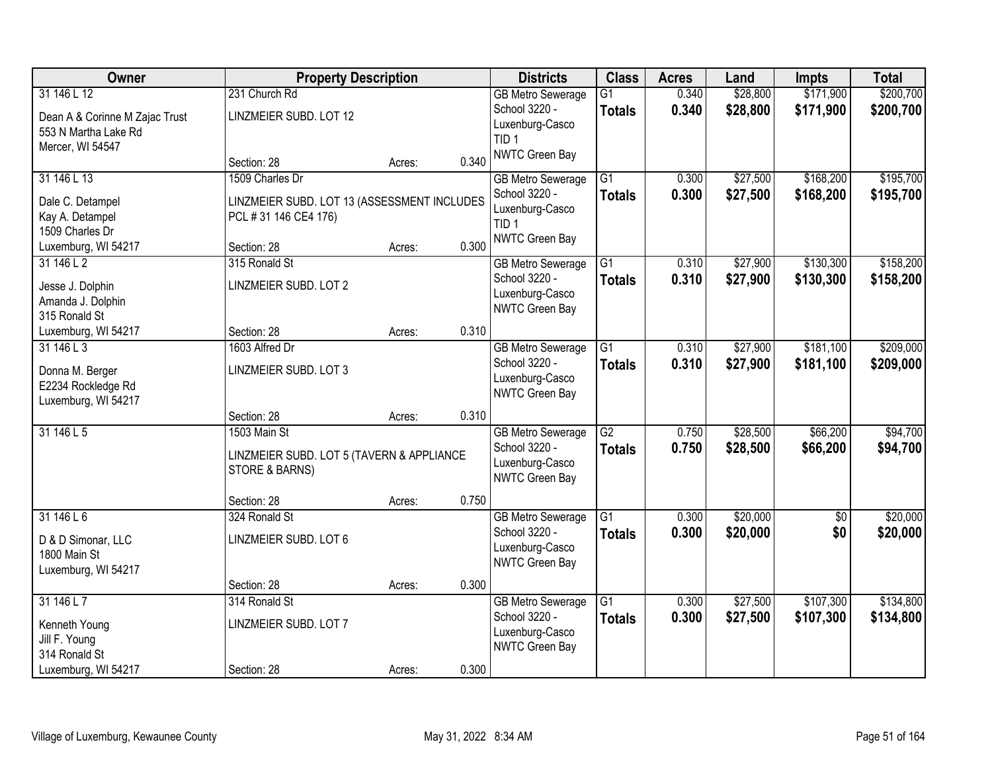| Owner                          | <b>Property Description</b>                 |        |       | <b>Districts</b>                    | <b>Class</b>    | <b>Acres</b> | Land     | <b>Impts</b>    | <b>Total</b> |
|--------------------------------|---------------------------------------------|--------|-------|-------------------------------------|-----------------|--------------|----------|-----------------|--------------|
| 31 146 L 12                    | 231 Church Rd                               |        |       | <b>GB Metro Sewerage</b>            | $\overline{G1}$ | 0.340        | \$28,800 | \$171,900       | \$200,700    |
| Dean A & Corinne M Zajac Trust | LINZMEIER SUBD. LOT 12                      |        |       | School 3220 -                       | <b>Totals</b>   | 0.340        | \$28,800 | \$171,900       | \$200,700    |
| 553 N Martha Lake Rd           |                                             |        |       | Luxenburg-Casco<br>TID <sub>1</sub> |                 |              |          |                 |              |
| Mercer, WI 54547               |                                             |        |       | NWTC Green Bay                      |                 |              |          |                 |              |
|                                | Section: 28                                 | Acres: | 0.340 |                                     |                 |              |          |                 |              |
| 31 146 L 13                    | 1509 Charles Dr                             |        |       | <b>GB Metro Sewerage</b>            | $\overline{G1}$ | 0.300        | \$27,500 | \$168,200       | \$195,700    |
| Dale C. Detampel               | LINZMEIER SUBD. LOT 13 (ASSESSMENT INCLUDES |        |       | School 3220 -                       | <b>Totals</b>   | 0.300        | \$27,500 | \$168,200       | \$195,700    |
| Kay A. Detampel                | PCL #31 146 CE4 176)                        |        |       | Luxenburg-Casco<br>TID <sub>1</sub> |                 |              |          |                 |              |
| 1509 Charles Dr                |                                             |        |       | NWTC Green Bay                      |                 |              |          |                 |              |
| Luxemburg, WI 54217            | Section: 28                                 | Acres: | 0.300 |                                     |                 |              |          |                 |              |
| 31 146 L 2                     | 315 Ronald St                               |        |       | <b>GB</b> Metro Sewerage            | G1              | 0.310        | \$27,900 | \$130,300       | \$158,200    |
| Jesse J. Dolphin               | LINZMEIER SUBD. LOT 2                       |        |       | School 3220 -                       | <b>Totals</b>   | 0.310        | \$27,900 | \$130,300       | \$158,200    |
| Amanda J. Dolphin              |                                             |        |       | Luxenburg-Casco                     |                 |              |          |                 |              |
| 315 Ronald St                  |                                             |        |       | NWTC Green Bay                      |                 |              |          |                 |              |
| Luxemburg, WI 54217            | Section: 28                                 | Acres: | 0.310 |                                     |                 |              |          |                 |              |
| 31 146 L 3                     | 1603 Alfred Dr                              |        |       | <b>GB Metro Sewerage</b>            | G1              | 0.310        | \$27,900 | \$181,100       | \$209,000    |
| Donna M. Berger                | LINZMEIER SUBD. LOT 3                       |        |       | School 3220 -                       | <b>Totals</b>   | 0.310        | \$27,900 | \$181,100       | \$209,000    |
| E2234 Rockledge Rd             |                                             |        |       | Luxenburg-Casco<br>NWTC Green Bay   |                 |              |          |                 |              |
| Luxemburg, WI 54217            |                                             |        |       |                                     |                 |              |          |                 |              |
|                                | Section: 28                                 | Acres: | 0.310 |                                     |                 |              |          |                 |              |
| 31 146 L 5                     | 1503 Main St                                |        |       | <b>GB Metro Sewerage</b>            | $\overline{G2}$ | 0.750        | \$28,500 | \$66,200        | \$94,700     |
|                                | LINZMEIER SUBD. LOT 5 (TAVERN & APPLIANCE   |        |       | School 3220 -                       | <b>Totals</b>   | 0.750        | \$28,500 | \$66,200        | \$94,700     |
|                                | STORE & BARNS)                              |        |       | Luxenburg-Casco<br>NWTC Green Bay   |                 |              |          |                 |              |
|                                |                                             |        |       |                                     |                 |              |          |                 |              |
|                                | Section: 28                                 | Acres: | 0.750 |                                     |                 |              |          |                 |              |
| 31146L6                        | 324 Ronald St                               |        |       | <b>GB Metro Sewerage</b>            | $\overline{G1}$ | 0.300        | \$20,000 | $\overline{60}$ | \$20,000     |
| D & D Simonar, LLC             | LINZMEIER SUBD. LOT 6                       |        |       | School 3220 -                       | <b>Totals</b>   | 0.300        | \$20,000 | \$0             | \$20,000     |
| 1800 Main St                   |                                             |        |       | Luxenburg-Casco<br>NWTC Green Bay   |                 |              |          |                 |              |
| Luxemburg, WI 54217            |                                             |        |       |                                     |                 |              |          |                 |              |
|                                | Section: 28                                 | Acres: | 0.300 |                                     |                 |              |          |                 |              |
| 31 146 L 7                     | 314 Ronald St                               |        |       | <b>GB Metro Sewerage</b>            | $\overline{G1}$ | 0.300        | \$27,500 | \$107,300       | \$134,800    |
| Kenneth Young                  | LINZMEIER SUBD. LOT 7                       |        |       | School 3220 -                       | <b>Totals</b>   | 0.300        | \$27,500 | \$107,300       | \$134,800    |
| Jill F. Young                  |                                             |        |       | Luxenburg-Casco<br>NWTC Green Bay   |                 |              |          |                 |              |
| 314 Ronald St                  |                                             |        |       |                                     |                 |              |          |                 |              |
| Luxemburg, WI 54217            | Section: 28                                 | Acres: | 0.300 |                                     |                 |              |          |                 |              |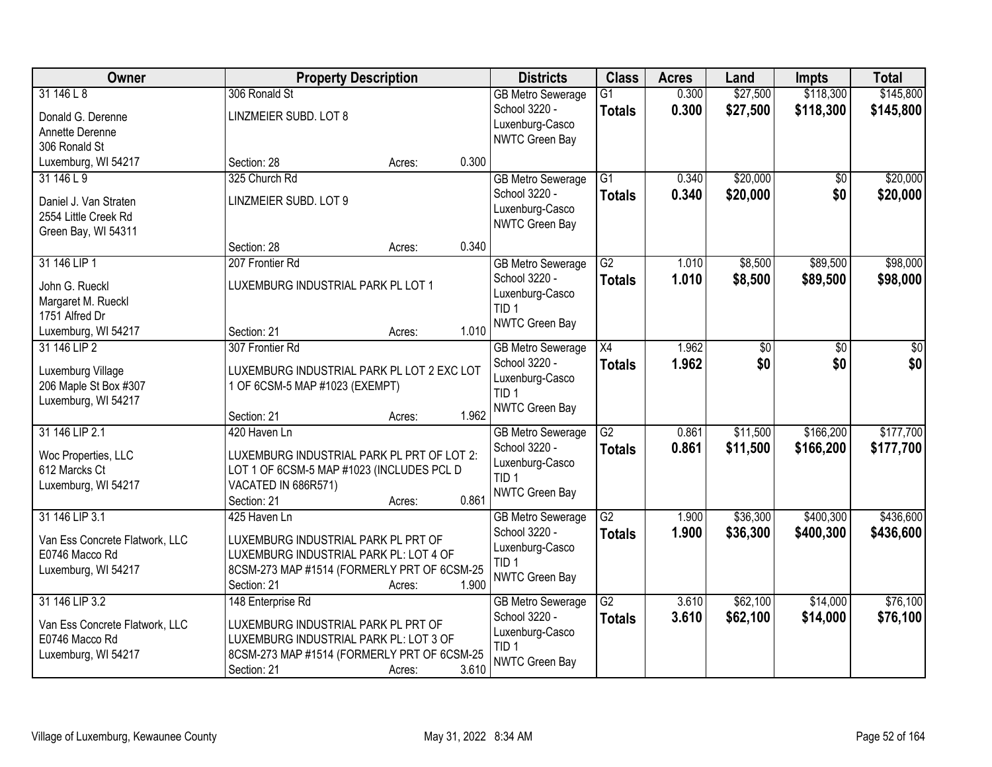| Owner                          |                                             | <b>Property Description</b> |       | <b>Districts</b>         | <b>Class</b>    | <b>Acres</b> | Land     | <b>Impts</b> | <b>Total</b> |
|--------------------------------|---------------------------------------------|-----------------------------|-------|--------------------------|-----------------|--------------|----------|--------------|--------------|
| 31146L8                        | 306 Ronald St                               |                             |       | <b>GB Metro Sewerage</b> | $\overline{G1}$ | 0.300        | \$27,500 | \$118,300    | \$145,800    |
| Donald G. Derenne              | LINZMEIER SUBD. LOT 8                       |                             |       | School 3220 -            | <b>Totals</b>   | 0.300        | \$27,500 | \$118,300    | \$145,800    |
| Annette Derenne                |                                             |                             |       | Luxenburg-Casco          |                 |              |          |              |              |
| 306 Ronald St                  |                                             |                             |       | NWTC Green Bay           |                 |              |          |              |              |
| Luxemburg, WI 54217            | Section: 28                                 | Acres:                      | 0.300 |                          |                 |              |          |              |              |
| 31 146 L 9                     | 325 Church Rd                               |                             |       | <b>GB Metro Sewerage</b> | $\overline{G1}$ | 0.340        | \$20,000 | \$0          | \$20,000     |
| Daniel J. Van Straten          | LINZMEIER SUBD. LOT 9                       |                             |       | School 3220 -            | <b>Totals</b>   | 0.340        | \$20,000 | \$0          | \$20,000     |
| 2554 Little Creek Rd           |                                             |                             |       | Luxenburg-Casco          |                 |              |          |              |              |
| Green Bay, WI 54311            |                                             |                             |       | NWTC Green Bay           |                 |              |          |              |              |
|                                | Section: 28                                 | Acres:                      | 0.340 |                          |                 |              |          |              |              |
| 31 146 LIP 1                   | 207 Frontier Rd                             |                             |       | <b>GB Metro Sewerage</b> | $\overline{G2}$ | 1.010        | \$8,500  | \$89,500     | \$98,000     |
| John G. Rueckl                 | LUXEMBURG INDUSTRIAL PARK PL LOT 1          |                             |       | School 3220 -            | <b>Totals</b>   | 1.010        | \$8,500  | \$89,500     | \$98,000     |
| Margaret M. Rueckl             |                                             |                             |       | Luxenburg-Casco          |                 |              |          |              |              |
| 1751 Alfred Dr                 |                                             |                             |       | TID <sub>1</sub>         |                 |              |          |              |              |
| Luxemburg, WI 54217            | Section: 21                                 | Acres:                      | 1.010 | NWTC Green Bay           |                 |              |          |              |              |
| 31 146 LIP 2                   | 307 Frontier Rd                             |                             |       | <b>GB Metro Sewerage</b> | X4              | 1.962        | \$0      | \$0          | \$0          |
| Luxemburg Village              | LUXEMBURG INDUSTRIAL PARK PL LOT 2 EXC LOT  |                             |       | School 3220 -            | <b>Totals</b>   | 1.962        | \$0      | \$0          | \$0          |
| 206 Maple St Box #307          | 1 OF 6CSM-5 MAP #1023 (EXEMPT)              |                             |       | Luxenburg-Casco          |                 |              |          |              |              |
| Luxemburg, WI 54217            |                                             |                             |       | TID <sub>1</sub>         |                 |              |          |              |              |
|                                | Section: 21                                 | Acres:                      | 1.962 | NWTC Green Bay           |                 |              |          |              |              |
| 31 146 LIP 2.1                 | 420 Haven Ln                                |                             |       | <b>GB Metro Sewerage</b> | $\overline{G2}$ | 0.861        | \$11,500 | \$166,200    | \$177,700    |
| Woc Properties, LLC            | LUXEMBURG INDUSTRIAL PARK PL PRT OF LOT 2:  |                             |       | School 3220 -            | <b>Totals</b>   | 0.861        | \$11,500 | \$166,200    | \$177,700    |
| 612 Marcks Ct                  | LOT 1 OF 6CSM-5 MAP #1023 (INCLUDES PCL D   |                             |       | Luxenburg-Casco          |                 |              |          |              |              |
| Luxemburg, WI 54217            | VACATED IN 686R571)                         |                             |       | TID <sub>1</sub>         |                 |              |          |              |              |
|                                | Section: 21                                 | Acres:                      | 0.861 | NWTC Green Bay           |                 |              |          |              |              |
| 31 146 LIP 3.1                 | 425 Haven Ln                                |                             |       | <b>GB</b> Metro Sewerage | $\overline{G2}$ | 1.900        | \$36,300 | \$400,300    | \$436,600    |
| Van Ess Concrete Flatwork, LLC | LUXEMBURG INDUSTRIAL PARK PL PRT OF         |                             |       | School 3220 -            | <b>Totals</b>   | 1.900        | \$36,300 | \$400,300    | \$436,600    |
| E0746 Macco Rd                 | LUXEMBURG INDUSTRIAL PARK PL: LOT 4 OF      |                             |       | Luxenburg-Casco          |                 |              |          |              |              |
| Luxemburg, WI 54217            | 8CSM-273 MAP #1514 (FORMERLY PRT OF 6CSM-25 |                             |       | TID <sub>1</sub>         |                 |              |          |              |              |
|                                | Section: 21                                 | Acres:                      | 1.900 | NWTC Green Bay           |                 |              |          |              |              |
| 31 146 LIP 3.2                 | 148 Enterprise Rd                           |                             |       | <b>GB Metro Sewerage</b> | $\overline{G2}$ | 3.610        | \$62,100 | \$14,000     | \$76,100     |
| Van Ess Concrete Flatwork, LLC | LUXEMBURG INDUSTRIAL PARK PL PRT OF         |                             |       | School 3220 -            | <b>Totals</b>   | 3.610        | \$62,100 | \$14,000     | \$76,100     |
| E0746 Macco Rd                 | LUXEMBURG INDUSTRIAL PARK PL: LOT 3 OF      |                             |       | Luxenburg-Casco          |                 |              |          |              |              |
| Luxemburg, WI 54217            | 8CSM-273 MAP #1514 (FORMERLY PRT OF 6CSM-25 |                             |       | TID <sub>1</sub>         |                 |              |          |              |              |
|                                | Section: 21                                 | Acres:                      | 3.610 | NWTC Green Bay           |                 |              |          |              |              |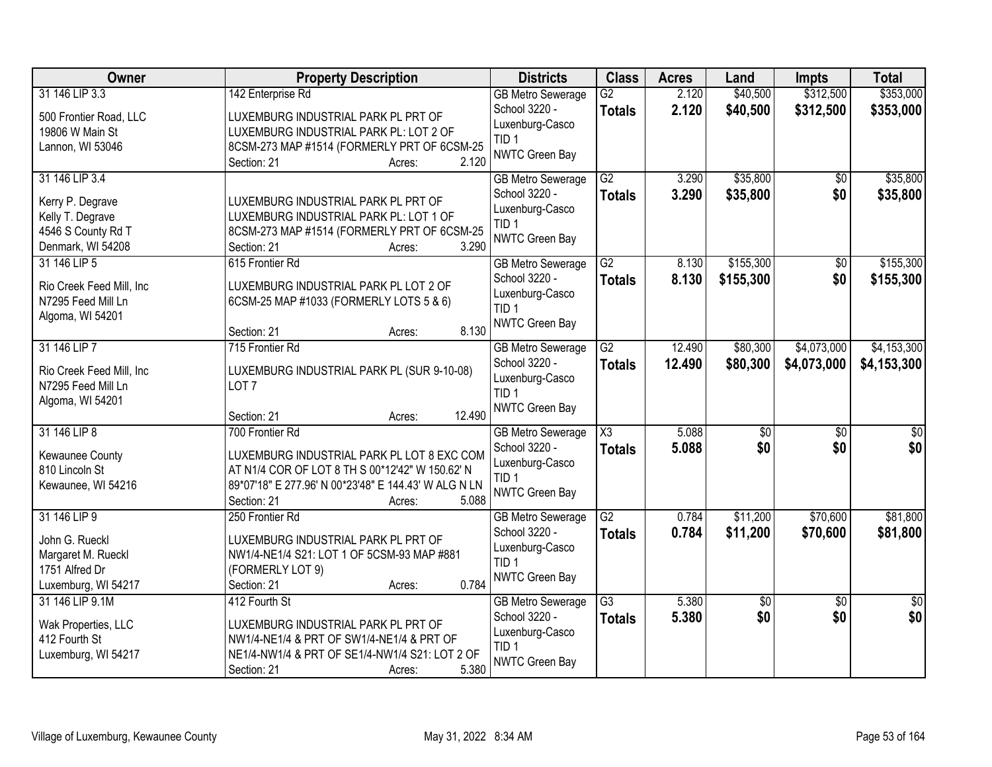| Owner                                                                                             | <b>Property Description</b>                                                                                                                                                                                | <b>Districts</b>                                                                                          | <b>Class</b>                            | <b>Acres</b>     | Land                   | <b>Impts</b>               | <b>Total</b>               |
|---------------------------------------------------------------------------------------------------|------------------------------------------------------------------------------------------------------------------------------------------------------------------------------------------------------------|-----------------------------------------------------------------------------------------------------------|-----------------------------------------|------------------|------------------------|----------------------------|----------------------------|
| 31 146 LIP 3.3<br>500 Frontier Road, LLC<br>19806 W Main St<br>Lannon, WI 53046                   | 142 Enterprise Rd<br>LUXEMBURG INDUSTRIAL PARK PL PRT OF<br>LUXEMBURG INDUSTRIAL PARK PL: LOT 2 OF<br>8CSM-273 MAP #1514 (FORMERLY PRT OF 6CSM-25                                                          | <b>GB Metro Sewerage</b><br>School 3220 -<br>Luxenburg-Casco<br>TID <sub>1</sub><br>NWTC Green Bay        | $\overline{G2}$<br><b>Totals</b>        | 2.120<br>2.120   | \$40,500<br>\$40,500   | \$312,500<br>\$312,500     | \$353,000<br>\$353,000     |
| 31 146 LIP 3.4<br>Kerry P. Degrave<br>Kelly T. Degrave<br>4546 S County Rd T<br>Denmark, WI 54208 | 2.120<br>Section: 21<br>Acres:<br>LUXEMBURG INDUSTRIAL PARK PL PRT OF<br>LUXEMBURG INDUSTRIAL PARK PL: LOT 1 OF<br>8CSM-273 MAP #1514 (FORMERLY PRT OF 6CSM-25<br>3.290<br>Section: 21<br>Acres:           | <b>GB Metro Sewerage</b><br>School 3220 -<br>Luxenburg-Casco<br>TID <sub>1</sub><br>NWTC Green Bay        | G2<br><b>Totals</b>                     | 3.290<br>3.290   | \$35,800<br>\$35,800   | \$0<br>\$0                 | \$35,800<br>\$35,800       |
| 31 146 LIP 5<br>Rio Creek Feed Mill, Inc<br>N7295 Feed Mill Ln<br>Algoma, WI 54201                | 615 Frontier Rd<br>LUXEMBURG INDUSTRIAL PARK PL LOT 2 OF<br>6CSM-25 MAP #1033 (FORMERLY LOTS 5 & 6)<br>8.130<br>Section: 21<br>Acres:                                                                      | <b>GB Metro Sewerage</b><br>School 3220 -<br>Luxenburg-Casco<br>TID <sub>1</sub><br>NWTC Green Bay        | $\overline{G2}$<br><b>Totals</b>        | 8.130<br>8.130   | \$155,300<br>\$155,300 | $\overline{50}$<br>\$0     | \$155,300<br>\$155,300     |
| 31 146 LIP 7<br>Rio Creek Feed Mill, Inc<br>N7295 Feed Mill Ln<br>Algoma, WI 54201                | 715 Frontier Rd<br>LUXEMBURG INDUSTRIAL PARK PL (SUR 9-10-08)<br>LOT <sub>7</sub><br>12.490<br>Section: 21<br>Acres:                                                                                       | <b>GB Metro Sewerage</b><br>School 3220 -<br>Luxenburg-Casco<br>TID <sub>1</sub><br><b>NWTC Green Bay</b> | $\overline{G2}$<br><b>Totals</b>        | 12.490<br>12.490 | \$80,300<br>\$80,300   | \$4,073,000<br>\$4,073,000 | \$4,153,300<br>\$4,153,300 |
| 31 146 LIP 8<br>Kewaunee County<br>810 Lincoln St<br>Kewaunee, WI 54216                           | 700 Frontier Rd<br>LUXEMBURG INDUSTRIAL PARK PL LOT 8 EXC COM<br>AT N1/4 COR OF LOT 8 TH S 00*12'42" W 150.62' N<br>89*07'18" E 277.96' N 00*23'48" E 144.43' W ALG N LN<br>5.088<br>Section: 21<br>Acres: | <b>GB</b> Metro Sewerage<br>School 3220 -<br>Luxenburg-Casco<br>TID <sub>1</sub><br><b>NWTC Green Bay</b> | $\overline{\text{X3}}$<br><b>Totals</b> | 5.088<br>5.088   | $\overline{50}$<br>\$0 | $\overline{50}$<br>\$0     | $\overline{\$0}$<br>\$0    |
| 31 146 LIP 9<br>John G. Rueckl<br>Margaret M. Rueckl<br>1751 Alfred Dr<br>Luxemburg, WI 54217     | 250 Frontier Rd<br>LUXEMBURG INDUSTRIAL PARK PL PRT OF<br>NW1/4-NE1/4 S21: LOT 1 OF 5CSM-93 MAP #881<br>(FORMERLY LOT 9)<br>0.784<br>Section: 21<br>Acres:                                                 | <b>GB Metro Sewerage</b><br>School 3220 -<br>Luxenburg-Casco<br>TID <sub>1</sub><br>NWTC Green Bay        | $\overline{G2}$<br><b>Totals</b>        | 0.784<br>0.784   | \$11,200<br>\$11,200   | \$70,600<br>\$70,600       | \$81,800<br>\$81,800       |
| 31 146 LIP 9.1M<br>Wak Properties, LLC<br>412 Fourth St<br>Luxemburg, WI 54217                    | 412 Fourth St<br>LUXEMBURG INDUSTRIAL PARK PL PRT OF<br>NW1/4-NE1/4 & PRT OF SW1/4-NE1/4 & PRT OF<br>NE1/4-NW1/4 & PRT OF SE1/4-NW1/4 S21: LOT 2 OF<br>5.380<br>Section: 21<br>Acres:                      | <b>GB Metro Sewerage</b><br>School 3220 -<br>Luxenburg-Casco<br>TID <sub>1</sub><br>NWTC Green Bay        | $\overline{G3}$<br><b>Totals</b>        | 5.380<br>5.380   | \$0<br>\$0             | $\overline{50}$<br>\$0     | $\overline{50}$<br>\$0     |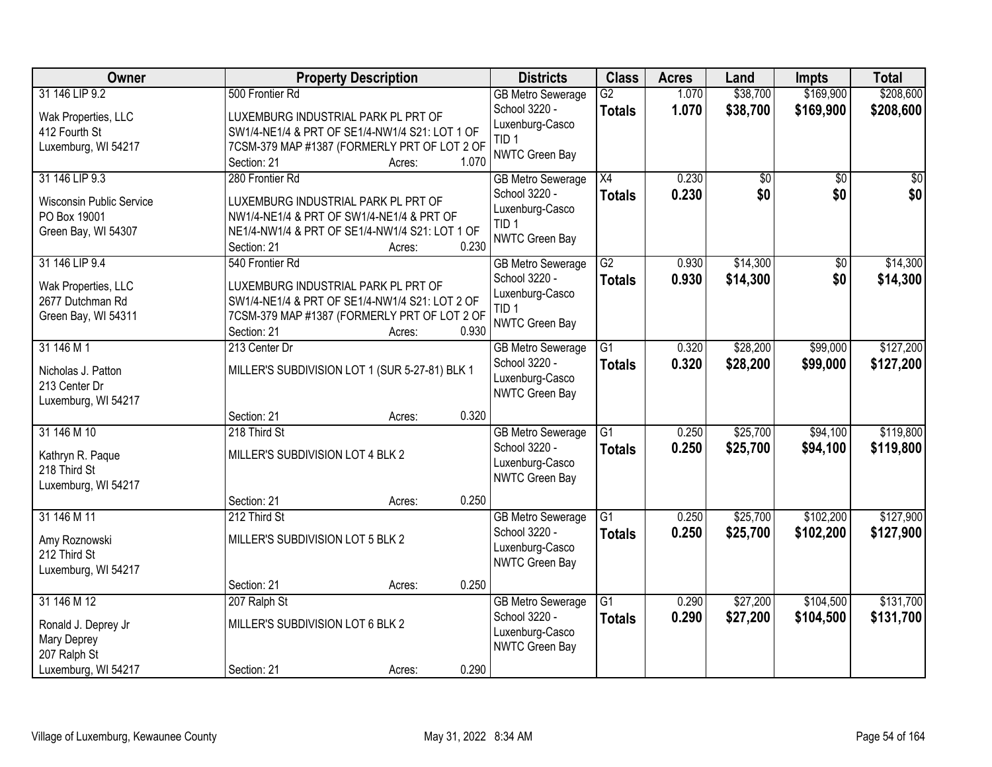| Owner                           | <b>Property Description</b>                    | <b>Districts</b>                          | <b>Class</b>    | <b>Acres</b> | Land     | <b>Impts</b>    | <b>Total</b> |
|---------------------------------|------------------------------------------------|-------------------------------------------|-----------------|--------------|----------|-----------------|--------------|
| 31 146 LIP 9.2                  | 500 Frontier Rd                                | <b>GB Metro Sewerage</b>                  | $\overline{G2}$ | 1.070        | \$38,700 | \$169,900       | \$208,600    |
| Wak Properties, LLC             | LUXEMBURG INDUSTRIAL PARK PL PRT OF            | School 3220 -                             | <b>Totals</b>   | 1.070        | \$38,700 | \$169,900       | \$208,600    |
| 412 Fourth St                   | SW1/4-NE1/4 & PRT OF SE1/4-NW1/4 S21: LOT 1 OF | Luxenburg-Casco                           |                 |              |          |                 |              |
| Luxemburg, WI 54217             | 7CSM-379 MAP #1387 (FORMERLY PRT OF LOT 2 OF   | TID <sub>1</sub>                          |                 |              |          |                 |              |
|                                 | 1.070<br>Section: 21<br>Acres:                 | NWTC Green Bay                            |                 |              |          |                 |              |
| 31 146 LIP 9.3                  | 280 Frontier Rd                                | <b>GB Metro Sewerage</b>                  | $\overline{X4}$ | 0.230        | \$0      | $\overline{50}$ | \$0          |
| <b>Wisconsin Public Service</b> | LUXEMBURG INDUSTRIAL PARK PL PRT OF            | School 3220 -                             | <b>Totals</b>   | 0.230        | \$0      | \$0             | \$0          |
| PO Box 19001                    | NW1/4-NE1/4 & PRT OF SW1/4-NE1/4 & PRT OF      | Luxenburg-Casco                           |                 |              |          |                 |              |
| Green Bay, WI 54307             | NE1/4-NW1/4 & PRT OF SE1/4-NW1/4 S21: LOT 1 OF | TID <sub>1</sub><br><b>NWTC Green Bay</b> |                 |              |          |                 |              |
|                                 | 0.230<br>Section: 21<br>Acres:                 |                                           |                 |              |          |                 |              |
| 31 146 LIP 9.4                  | 540 Frontier Rd                                | <b>GB Metro Sewerage</b>                  | $\overline{G2}$ | 0.930        | \$14,300 | $\overline{50}$ | \$14,300     |
| Wak Properties, LLC             | LUXEMBURG INDUSTRIAL PARK PL PRT OF            | School 3220 -                             | <b>Totals</b>   | 0.930        | \$14,300 | \$0             | \$14,300     |
| 2677 Dutchman Rd                | SW1/4-NE1/4 & PRT OF SE1/4-NW1/4 S21: LOT 2 OF | Luxenburg-Casco                           |                 |              |          |                 |              |
| Green Bay, WI 54311             | 7CSM-379 MAP #1387 (FORMERLY PRT OF LOT 2 OF   | TID <sub>1</sub>                          |                 |              |          |                 |              |
|                                 | Section: 21<br>0.930<br>Acres:                 | <b>NWTC Green Bay</b>                     |                 |              |          |                 |              |
| 31 146 M 1                      | 213 Center Dr                                  | <b>GB Metro Sewerage</b>                  | G1              | 0.320        | \$28,200 | \$99,000        | \$127,200    |
| Nicholas J. Patton              | MILLER'S SUBDIVISION LOT 1 (SUR 5-27-81) BLK 1 | School 3220 -                             | <b>Totals</b>   | 0.320        | \$28,200 | \$99,000        | \$127,200    |
| 213 Center Dr                   |                                                | Luxenburg-Casco                           |                 |              |          |                 |              |
| Luxemburg, WI 54217             |                                                | NWTC Green Bay                            |                 |              |          |                 |              |
|                                 | 0.320<br>Section: 21<br>Acres:                 |                                           |                 |              |          |                 |              |
| 31 146 M 10                     | 218 Third St                                   | <b>GB Metro Sewerage</b>                  | $\overline{G1}$ | 0.250        | \$25,700 | \$94,100        | \$119,800    |
| Kathryn R. Paque                | MILLER'S SUBDIVISION LOT 4 BLK 2               | School 3220 -                             | <b>Totals</b>   | 0.250        | \$25,700 | \$94,100        | \$119,800    |
| 218 Third St                    |                                                | Luxenburg-Casco                           |                 |              |          |                 |              |
| Luxemburg, WI 54217             |                                                | <b>NWTC Green Bay</b>                     |                 |              |          |                 |              |
|                                 | 0.250<br>Section: 21<br>Acres:                 |                                           |                 |              |          |                 |              |
| 31 146 M 11                     | 212 Third St                                   | <b>GB Metro Sewerage</b>                  | G1              | 0.250        | \$25,700 | \$102,200       | \$127,900    |
| Amy Roznowski                   | MILLER'S SUBDIVISION LOT 5 BLK 2               | School 3220 -                             | <b>Totals</b>   | 0.250        | \$25,700 | \$102,200       | \$127,900    |
| 212 Third St                    |                                                | Luxenburg-Casco                           |                 |              |          |                 |              |
| Luxemburg, WI 54217             |                                                | NWTC Green Bay                            |                 |              |          |                 |              |
|                                 | 0.250<br>Section: 21<br>Acres:                 |                                           |                 |              |          |                 |              |
| 31 146 M 12                     | 207 Ralph St                                   | <b>GB Metro Sewerage</b>                  | $\overline{G1}$ | 0.290        | \$27,200 | \$104,500       | \$131,700    |
| Ronald J. Deprey Jr             | MILLER'S SUBDIVISION LOT 6 BLK 2               | School 3220 -                             | <b>Totals</b>   | 0.290        | \$27,200 | \$104,500       | \$131,700    |
| Mary Deprey                     |                                                | Luxenburg-Casco                           |                 |              |          |                 |              |
| 207 Ralph St                    |                                                | NWTC Green Bay                            |                 |              |          |                 |              |
| Luxemburg, WI 54217             | 0.290<br>Section: 21<br>Acres:                 |                                           |                 |              |          |                 |              |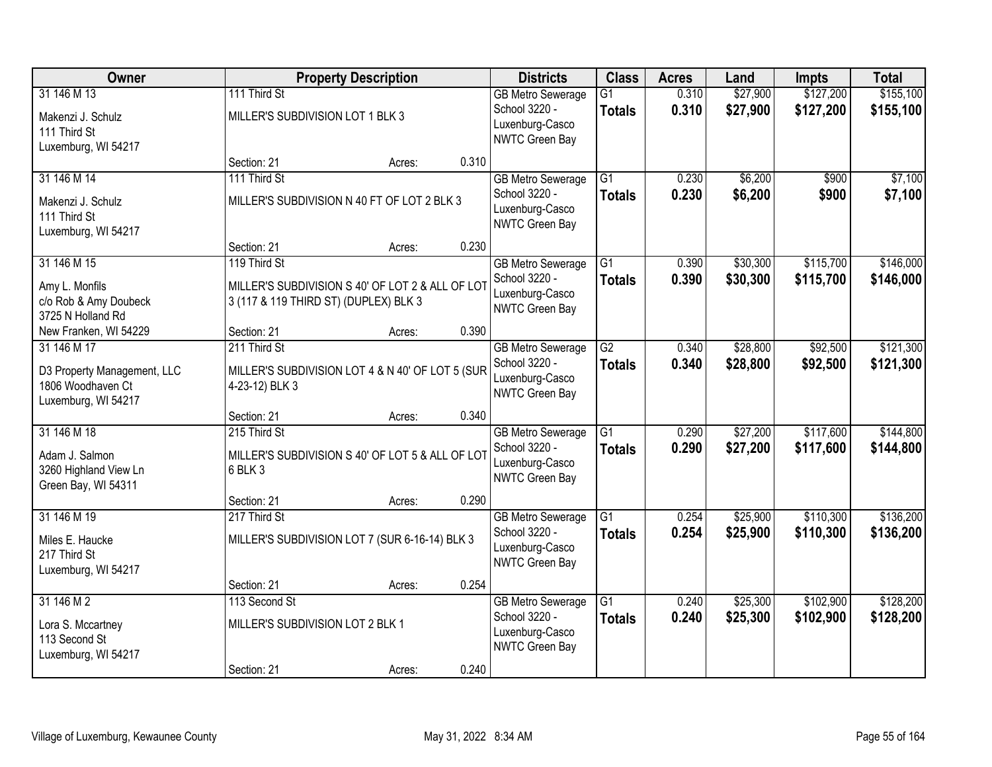| Owner                                                                                  |                                                       | <b>Property Description</b>                      |       | <b>Districts</b>                                                               | <b>Class</b>                     | <b>Acres</b>   | Land                 | <b>Impts</b>           | <b>Total</b>           |
|----------------------------------------------------------------------------------------|-------------------------------------------------------|--------------------------------------------------|-------|--------------------------------------------------------------------------------|----------------------------------|----------------|----------------------|------------------------|------------------------|
| 31 146 M 13<br>Makenzi J. Schulz<br>111 Third St<br>Luxemburg, WI 54217                | 111 Third St<br>MILLER'S SUBDIVISION LOT 1 BLK 3      |                                                  |       | <b>GB Metro Sewerage</b><br>School 3220 -<br>Luxenburg-Casco<br>NWTC Green Bay | $\overline{G1}$<br><b>Totals</b> | 0.310<br>0.310 | \$27,900<br>\$27,900 | \$127,200<br>\$127,200 | \$155,100<br>\$155,100 |
|                                                                                        | Section: 21                                           | Acres:                                           | 0.310 |                                                                                |                                  |                |                      |                        |                        |
| 31 146 M 14<br>Makenzi J. Schulz<br>111 Third St<br>Luxemburg, WI 54217                | 111 Third St                                          | MILLER'S SUBDIVISION N 40 FT OF LOT 2 BLK 3      |       | <b>GB Metro Sewerage</b><br>School 3220 -<br>Luxenburg-Casco<br>NWTC Green Bay | $\overline{G1}$<br><b>Totals</b> | 0.230<br>0.230 | \$6,200<br>\$6,200   | \$900<br>\$900         | \$7,100<br>\$7,100     |
|                                                                                        | Section: 21                                           | Acres:                                           | 0.230 |                                                                                |                                  |                |                      |                        |                        |
| 31 146 M 15<br>Amy L. Monfils<br>c/o Rob & Amy Doubeck<br>3725 N Holland Rd            | 119 Third St<br>3 (117 & 119 THIRD ST) (DUPLEX) BLK 3 | MILLER'S SUBDIVISION S 40' OF LOT 2 & ALL OF LOT |       | <b>GB Metro Sewerage</b><br>School 3220 -<br>Luxenburg-Casco<br>NWTC Green Bay | G1<br><b>Totals</b>              | 0.390<br>0.390 | \$30,300<br>\$30,300 | \$115,700<br>\$115,700 | \$146,000<br>\$146,000 |
| New Franken, WI 54229                                                                  | Section: 21                                           | Acres:                                           | 0.390 |                                                                                |                                  |                |                      |                        |                        |
| 31 146 M 17<br>D3 Property Management, LLC<br>1806 Woodhaven Ct<br>Luxemburg, WI 54217 | 211 Third St<br>4-23-12) BLK 3                        | MILLER'S SUBDIVISION LOT 4 & N 40' OF LOT 5 (SUR |       | <b>GB Metro Sewerage</b><br>School 3220 -<br>Luxenburg-Casco<br>NWTC Green Bay | $\overline{G2}$<br><b>Totals</b> | 0.340<br>0.340 | \$28,800<br>\$28,800 | \$92,500<br>\$92,500   | \$121,300<br>\$121,300 |
|                                                                                        | Section: 21                                           | Acres:                                           | 0.340 |                                                                                |                                  |                |                      |                        |                        |
| 31 146 M 18<br>Adam J. Salmon<br>3260 Highland View Ln<br>Green Bay, WI 54311          | 215 Third St<br>6 BLK 3                               | MILLER'S SUBDIVISION S 40' OF LOT 5 & ALL OF LOT |       | <b>GB Metro Sewerage</b><br>School 3220 -<br>Luxenburg-Casco<br>NWTC Green Bay | $\overline{G1}$<br><b>Totals</b> | 0.290<br>0.290 | \$27,200<br>\$27,200 | \$117,600<br>\$117,600 | \$144,800<br>\$144,800 |
|                                                                                        | Section: 21                                           | Acres:                                           | 0.290 |                                                                                |                                  |                |                      |                        |                        |
| 31 146 M 19<br>Miles E. Haucke<br>217 Third St<br>Luxemburg, WI 54217                  | 217 Third St                                          | MILLER'S SUBDIVISION LOT 7 (SUR 6-16-14) BLK 3   |       | <b>GB Metro Sewerage</b><br>School 3220 -<br>Luxenburg-Casco<br>NWTC Green Bay | $\overline{G1}$<br><b>Totals</b> | 0.254<br>0.254 | \$25,900<br>\$25,900 | \$110,300<br>\$110,300 | \$136,200<br>\$136,200 |
|                                                                                        | Section: 21                                           | Acres:                                           | 0.254 |                                                                                |                                  |                |                      |                        |                        |
| 31 146 M 2<br>Lora S. Mccartney<br>113 Second St<br>Luxemburg, WI 54217                | 113 Second St<br>MILLER'S SUBDIVISION LOT 2 BLK 1     |                                                  |       | <b>GB Metro Sewerage</b><br>School 3220 -<br>Luxenburg-Casco<br>NWTC Green Bay | $\overline{G1}$<br><b>Totals</b> | 0.240<br>0.240 | \$25,300<br>\$25,300 | \$102,900<br>\$102,900 | \$128,200<br>\$128,200 |
|                                                                                        | Section: 21                                           | Acres:                                           | 0.240 |                                                                                |                                  |                |                      |                        |                        |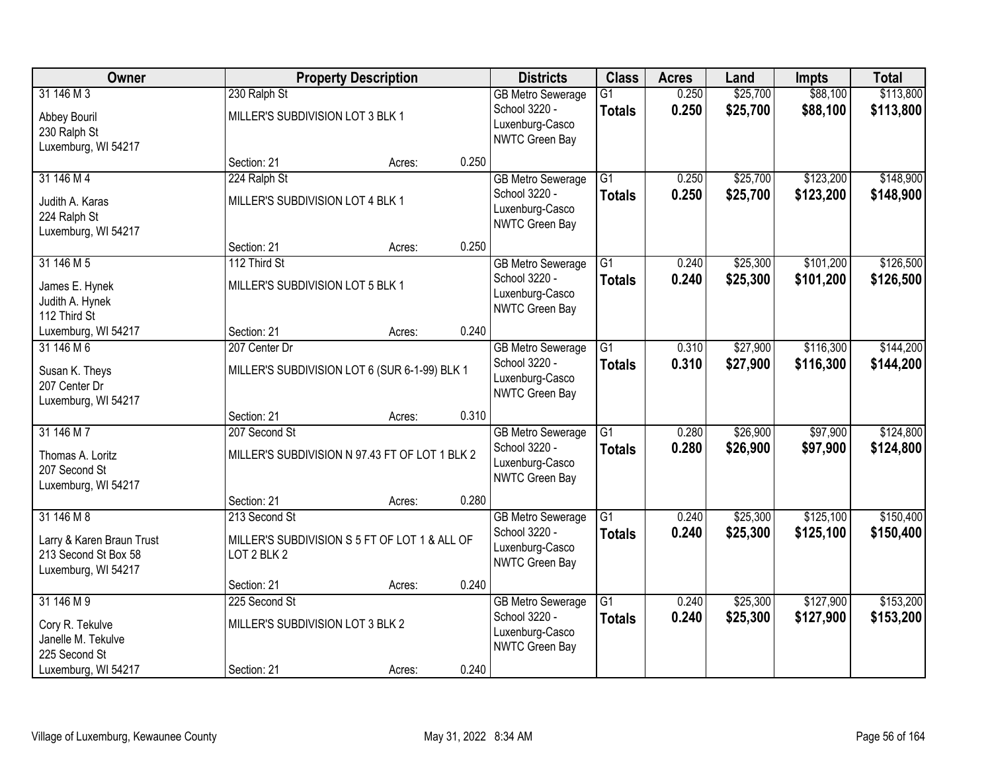| Owner                                                                                  |                                                   | <b>Property Description</b>                    |       | <b>Districts</b>                                                               | <b>Class</b>                     | <b>Acres</b>   | Land                 | <b>Impts</b>           | <b>Total</b>           |
|----------------------------------------------------------------------------------------|---------------------------------------------------|------------------------------------------------|-------|--------------------------------------------------------------------------------|----------------------------------|----------------|----------------------|------------------------|------------------------|
| 31 146 M 3<br>Abbey Bouril<br>230 Ralph St<br>Luxemburg, WI 54217                      | 230 Ralph St<br>MILLER'S SUBDIVISION LOT 3 BLK 1  |                                                |       | <b>GB Metro Sewerage</b><br>School 3220 -<br>Luxenburg-Casco<br>NWTC Green Bay | $\overline{G1}$<br><b>Totals</b> | 0.250<br>0.250 | \$25,700<br>\$25,700 | \$88,100<br>\$88,100   | \$113,800<br>\$113,800 |
|                                                                                        | Section: 21                                       | Acres:                                         | 0.250 |                                                                                |                                  |                |                      |                        |                        |
| 31 146 M 4<br>Judith A. Karas<br>224 Ralph St<br>Luxemburg, WI 54217                   | 224 Ralph St<br>MILLER'S SUBDIVISION LOT 4 BLK 1  |                                                |       | <b>GB Metro Sewerage</b><br>School 3220 -<br>Luxenburg-Casco<br>NWTC Green Bay | $\overline{G1}$<br><b>Totals</b> | 0.250<br>0.250 | \$25,700<br>\$25,700 | \$123,200<br>\$123,200 | \$148,900<br>\$148,900 |
|                                                                                        | Section: 21                                       | Acres:                                         | 0.250 |                                                                                |                                  |                |                      |                        |                        |
| 31 146 M 5<br>James E. Hynek<br>Judith A. Hynek<br>112 Third St                        | 112 Third St<br>MILLER'S SUBDIVISION LOT 5 BLK 1  |                                                |       | <b>GB Metro Sewerage</b><br>School 3220 -<br>Luxenburg-Casco<br>NWTC Green Bay | G1<br><b>Totals</b>              | 0.240<br>0.240 | \$25,300<br>\$25,300 | \$101,200<br>\$101,200 | \$126,500<br>\$126,500 |
| Luxemburg, WI 54217                                                                    | Section: 21                                       | Acres:                                         | 0.240 |                                                                                |                                  |                |                      |                        |                        |
| 31 146 M 6<br>Susan K. Theys<br>207 Center Dr<br>Luxemburg, WI 54217                   | 207 Center Dr                                     | MILLER'S SUBDIVISION LOT 6 (SUR 6-1-99) BLK 1  |       | <b>GB Metro Sewerage</b><br>School 3220 -<br>Luxenburg-Casco<br>NWTC Green Bay | $\overline{G1}$<br><b>Totals</b> | 0.310<br>0.310 | \$27,900<br>\$27,900 | \$116,300<br>\$116,300 | \$144,200<br>\$144,200 |
|                                                                                        | Section: 21                                       | Acres:                                         | 0.310 |                                                                                |                                  |                |                      |                        |                        |
| 31 146 M 7<br>Thomas A. Loritz<br>207 Second St<br>Luxemburg, WI 54217                 | 207 Second St                                     | MILLER'S SUBDIVISION N 97.43 FT OF LOT 1 BLK 2 |       | <b>GB</b> Metro Sewerage<br>School 3220 -<br>Luxenburg-Casco<br>NWTC Green Bay | $\overline{G1}$<br><b>Totals</b> | 0.280<br>0.280 | \$26,900<br>\$26,900 | \$97,900<br>\$97,900   | \$124,800<br>\$124,800 |
|                                                                                        | Section: 21                                       | Acres:                                         | 0.280 |                                                                                |                                  |                |                      |                        |                        |
| 31 146 M 8<br>Larry & Karen Braun Trust<br>213 Second St Box 58<br>Luxemburg, WI 54217 | 213 Second St<br>LOT 2 BLK 2                      | MILLER'S SUBDIVISION S 5 FT OF LOT 1 & ALL OF  |       | <b>GB Metro Sewerage</b><br>School 3220 -<br>Luxenburg-Casco<br>NWTC Green Bay | $\overline{G1}$<br><b>Totals</b> | 0.240<br>0.240 | \$25,300<br>\$25,300 | \$125,100<br>\$125,100 | \$150,400<br>\$150,400 |
|                                                                                        | Section: 21                                       | Acres:                                         | 0.240 |                                                                                |                                  |                |                      |                        |                        |
| 31 146 M 9<br>Cory R. Tekulve<br>Janelle M. Tekulve<br>225 Second St                   | 225 Second St<br>MILLER'S SUBDIVISION LOT 3 BLK 2 |                                                |       | <b>GB Metro Sewerage</b><br>School 3220 -<br>Luxenburg-Casco<br>NWTC Green Bay | $\overline{G1}$<br><b>Totals</b> | 0.240<br>0.240 | \$25,300<br>\$25,300 | \$127,900<br>\$127,900 | \$153,200<br>\$153,200 |
| Luxemburg, WI 54217                                                                    | Section: 21                                       | Acres:                                         | 0.240 |                                                                                |                                  |                |                      |                        |                        |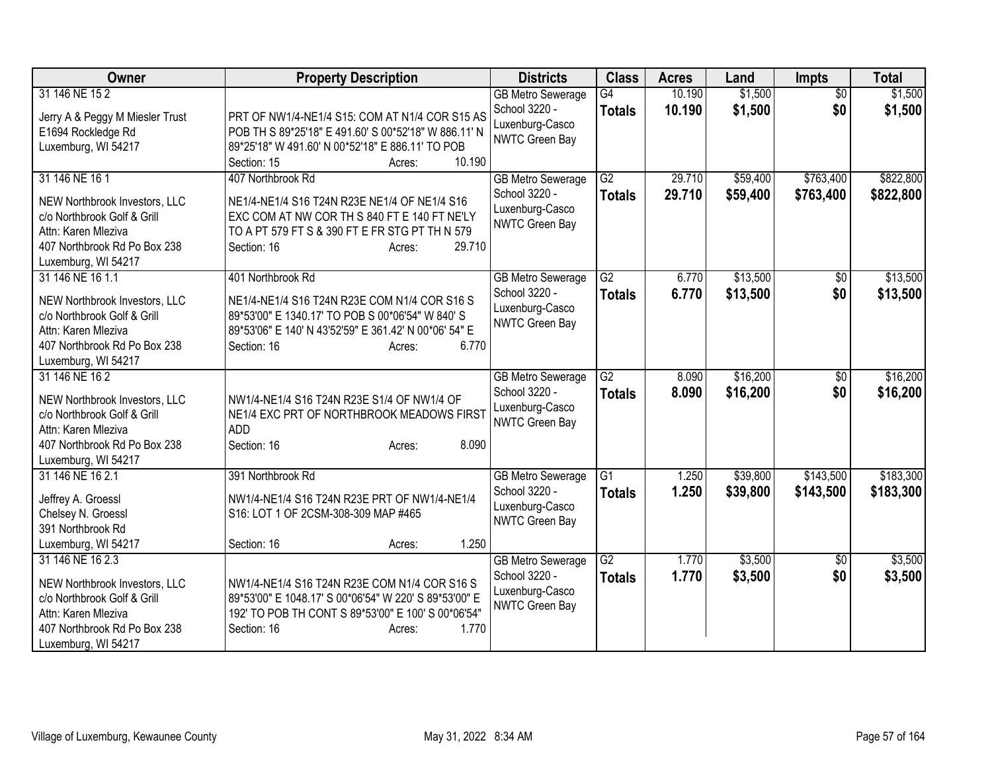| <b>Owner</b>                                                                                                                                                   | <b>Property Description</b>                                                                                                                                                                                      | <b>Districts</b>                                                                      | <b>Class</b>                     | <b>Acres</b>     | Land                 | <b>Impts</b>           | <b>Total</b>           |
|----------------------------------------------------------------------------------------------------------------------------------------------------------------|------------------------------------------------------------------------------------------------------------------------------------------------------------------------------------------------------------------|---------------------------------------------------------------------------------------|----------------------------------|------------------|----------------------|------------------------|------------------------|
| 31 146 NE 15 2<br>Jerry A & Peggy M Miesler Trust<br>E1694 Rockledge Rd<br>Luxemburg, WI 54217                                                                 | PRT OF NW1/4-NE1/4 S15: COM AT N1/4 COR S15 AS<br>POB TH S 89*25'18" E 491.60' S 00*52'18" W 886.11' N<br>89*25'18" W 491.60' N 00*52'18" E 886.11' TO POB<br>10.190<br>Section: 15<br>Acres:                    | <b>GB</b> Metro Sewerage<br>School 3220 -<br>Luxenburg-Casco<br>NWTC Green Bay        | $\overline{G4}$<br><b>Totals</b> | 10.190<br>10.190 | \$1,500<br>\$1,500   | $\overline{50}$<br>\$0 | \$1,500<br>\$1,500     |
| 31 146 NE 16 1<br>NEW Northbrook Investors, LLC<br>c/o Northbrook Golf & Grill<br>Attn: Karen Mleziva<br>407 Northbrook Rd Po Box 238<br>Luxemburg, WI 54217   | 407 Northbrook Rd<br>NE1/4-NE1/4 S16 T24N R23E NE1/4 OF NE1/4 S16<br>EXC COM AT NW COR TH S 840 FT E 140 FT NE'LY<br>TO A PT 579 FT S & 390 FT E FR STG PT TH N 579<br>29.710<br>Section: 16<br>Acres:           | <b>GB Metro Sewerage</b><br>School 3220 -<br>Luxenburg-Casco<br>NWTC Green Bay        | $\overline{G2}$<br><b>Totals</b> | 29.710<br>29.710 | \$59,400<br>\$59,400 | \$763,400<br>\$763,400 | \$822,800<br>\$822,800 |
| 31 146 NE 16 1.1<br>NEW Northbrook Investors, LLC<br>c/o Northbrook Golf & Grill<br>Attn: Karen Mleziva<br>407 Northbrook Rd Po Box 238<br>Luxemburg, WI 54217 | 401 Northbrook Rd<br>NE1/4-NE1/4 S16 T24N R23E COM N1/4 COR S16 S<br>89*53'00" E 1340.17' TO POB S 00*06'54" W 840' S<br>89*53'06" E 140' N 43'52'59" E 361.42' N 00*06' 54" E<br>6.770<br>Section: 16<br>Acres: | <b>GB Metro Sewerage</b><br>School 3220 -<br>Luxenburg-Casco<br>NWTC Green Bay        | $\overline{G2}$<br><b>Totals</b> | 6.770<br>6.770   | \$13,500<br>\$13,500 | \$0<br>\$0             | \$13,500<br>\$13,500   |
| 31 146 NE 16 2<br>NEW Northbrook Investors, LLC<br>c/o Northbrook Golf & Grill<br>Attn: Karen Mleziva<br>407 Northbrook Rd Po Box 238<br>Luxemburg, WI 54217   | NW1/4-NE1/4 S16 T24N R23E S1/4 OF NW1/4 OF<br>NE1/4 EXC PRT OF NORTHBROOK MEADOWS FIRST<br><b>ADD</b><br>8.090<br>Section: 16<br>Acres:                                                                          | <b>GB Metro Sewerage</b><br>School 3220 -<br>Luxenburg-Casco<br>NWTC Green Bay        | $\overline{G2}$<br><b>Totals</b> | 8.090<br>8.090   | \$16,200<br>\$16,200 | \$0<br>\$0             | \$16,200<br>\$16,200   |
| 31 146 NE 16 2.1<br>Jeffrey A. Groessl<br>Chelsey N. Groessl<br>391 Northbrook Rd<br>Luxemburg, WI 54217                                                       | 391 Northbrook Rd<br>NW1/4-NE1/4 S16 T24N R23E PRT OF NW1/4-NE1/4<br>S16: LOT 1 OF 2CSM-308-309 MAP #465<br>1.250<br>Section: 16<br>Acres:                                                                       | <b>GB Metro Sewerage</b><br>School 3220 -<br>Luxenburg-Casco<br>NWTC Green Bay        | $\overline{G1}$<br><b>Totals</b> | 1.250<br>1.250   | \$39,800<br>\$39,800 | \$143,500<br>\$143,500 | \$183,300<br>\$183,300 |
| 31 146 NE 16 2.3<br>NEW Northbrook Investors, LLC<br>c/o Northbrook Golf & Grill<br>Attn: Karen Mleziva<br>407 Northbrook Rd Po Box 238<br>Luxemburg, WI 54217 | NW1/4-NE1/4 S16 T24N R23E COM N1/4 COR S16 S<br>89*53'00" E 1048.17' S 00*06'54" W 220' S 89*53'00" E<br>192' TO POB TH CONT S 89*53'00" E 100' S 00*06'54"<br>1.770<br>Section: 16<br>Acres:                    | <b>GB Metro Sewerage</b><br>School 3220 -<br>Luxenburg-Casco<br><b>NWTC Green Bay</b> | $\overline{G2}$<br><b>Totals</b> | 1.770<br>1.770   | \$3,500<br>\$3,500   | \$0<br>\$0             | \$3,500<br>\$3,500     |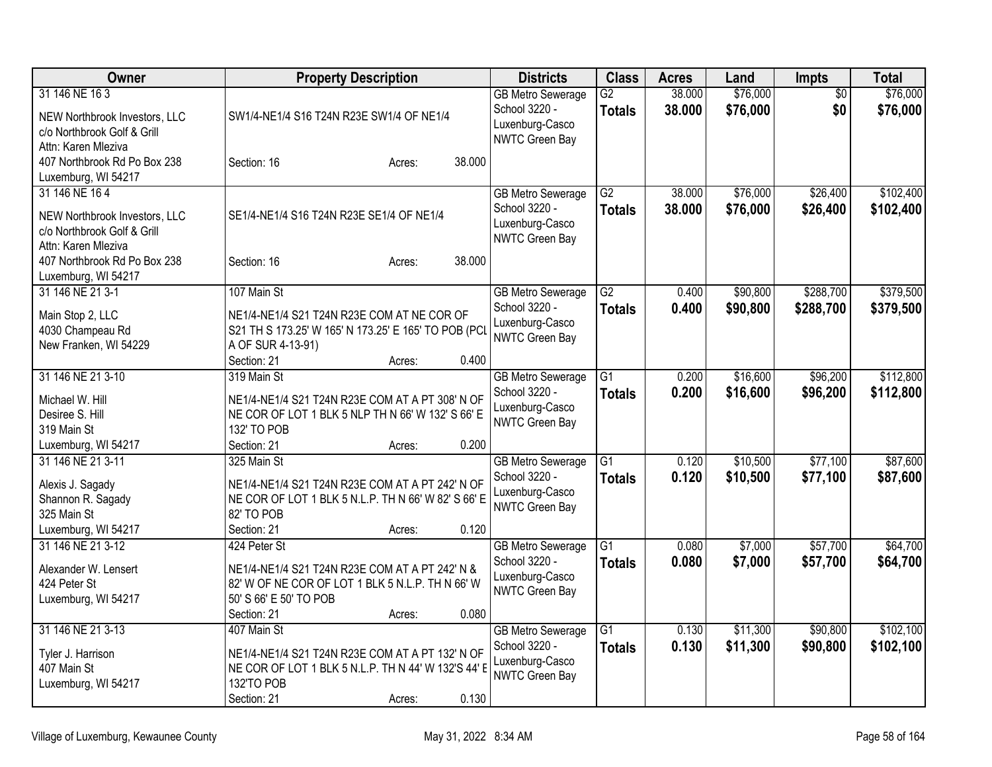| Owner                                                                                                                                | <b>Property Description</b>                                                                                                                                                    | <b>Districts</b>                                                                      | <b>Class</b>                     | <b>Acres</b>     | Land                 | <b>Impts</b>           | <b>Total</b>           |
|--------------------------------------------------------------------------------------------------------------------------------------|--------------------------------------------------------------------------------------------------------------------------------------------------------------------------------|---------------------------------------------------------------------------------------|----------------------------------|------------------|----------------------|------------------------|------------------------|
| 31 146 NE 16 3<br>NEW Northbrook Investors, LLC<br>c/o Northbrook Golf & Grill                                                       | SW1/4-NE1/4 S16 T24N R23E SW1/4 OF NE1/4                                                                                                                                       | <b>GB Metro Sewerage</b><br>School 3220 -<br>Luxenburg-Casco                          | $\overline{G2}$<br><b>Totals</b> | 38.000<br>38.000 | \$76,000<br>\$76,000 | \$0<br>\$0             | \$76,000<br>\$76,000   |
| Attn: Karen Mleziva<br>407 Northbrook Rd Po Box 238<br>Luxemburg, WI 54217                                                           | 38.000<br>Section: 16<br>Acres:                                                                                                                                                | NWTC Green Bay                                                                        |                                  |                  |                      |                        |                        |
| 31 146 NE 164<br>NEW Northbrook Investors, LLC<br>c/o Northbrook Golf & Grill<br>Attn: Karen Mleziva<br>407 Northbrook Rd Po Box 238 | SE1/4-NE1/4 S16 T24N R23E SE1/4 OF NE1/4<br>38.000<br>Section: 16<br>Acres:                                                                                                    | <b>GB Metro Sewerage</b><br>School 3220 -<br>Luxenburg-Casco<br>NWTC Green Bay        | $\overline{G2}$<br>Totals        | 38.000<br>38.000 | \$76,000<br>\$76,000 | \$26,400<br>\$26,400   | \$102,400<br>\$102,400 |
| Luxemburg, WI 54217<br>31 146 NE 21 3-1<br>Main Stop 2, LLC<br>4030 Champeau Rd<br>New Franken, WI 54229                             | 107 Main St<br>NE1/4-NE1/4 S21 T24N R23E COM AT NE COR OF<br>S21 TH S 173.25' W 165' N 173.25' E 165' TO POB (PCL<br>A OF SUR 4-13-91)<br>0.400<br>Section: 21<br>Acres:       | <b>GB Metro Sewerage</b><br>School 3220 -<br>Luxenburg-Casco<br><b>NWTC Green Bay</b> | $\overline{G2}$<br><b>Totals</b> | 0.400<br>0.400   | \$90,800<br>\$90,800 | \$288,700<br>\$288,700 | \$379,500<br>\$379,500 |
| 31 146 NE 21 3-10<br>Michael W. Hill<br>Desiree S. Hill<br>319 Main St<br>Luxemburg, WI 54217                                        | 319 Main St<br>NE1/4-NE1/4 S21 T24N R23E COM AT A PT 308' N OF<br>NE COR OF LOT 1 BLK 5 NLP TH N 66' W 132' S 66' E<br>132' TO POB<br>Section: 21<br>0.200<br>Acres:           | <b>GB Metro Sewerage</b><br>School 3220 -<br>Luxenburg-Casco<br>NWTC Green Bay        | $\overline{G1}$<br><b>Totals</b> | 0.200<br>0.200   | \$16,600<br>\$16,600 | \$96,200<br>\$96,200   | \$112,800<br>\$112,800 |
| 31 146 NE 21 3-11<br>Alexis J. Sagady<br>Shannon R. Sagady<br>325 Main St<br>Luxemburg, WI 54217                                     | 325 Main St<br>NE1/4-NE1/4 S21 T24N R23E COM AT A PT 242' N OF<br>NE COR OF LOT 1 BLK 5 N.L.P. TH N 66' W 82' S 66' E<br>82' TO POB<br>0.120<br>Section: 21<br>Acres:          | <b>GB Metro Sewerage</b><br>School 3220 -<br>Luxenburg-Casco<br>NWTC Green Bay        | $\overline{G1}$<br>Totals        | 0.120<br>0.120   | \$10,500<br>\$10,500 | \$77,100<br>\$77,100   | \$87,600<br>\$87,600   |
| 31 146 NE 21 3-12<br>Alexander W. Lensert<br>424 Peter St<br>Luxemburg, WI 54217                                                     | 424 Peter St<br>NE1/4-NE1/4 S21 T24N R23E COM AT A PT 242' N &<br>82' W OF NE COR OF LOT 1 BLK 5 N.L.P. TH N 66' W<br>50' S 66' E 50' TO POB<br>0.080<br>Section: 21<br>Acres: | <b>GB Metro Sewerage</b><br>School 3220 -<br>Luxenburg-Casco<br>NWTC Green Bay        | $\overline{G1}$<br><b>Totals</b> | 0.080<br>0.080   | \$7,000<br>\$7,000   | \$57,700<br>\$57,700   | \$64,700<br>\$64,700   |
| 31 146 NE 21 3-13<br>Tyler J. Harrison<br>407 Main St<br>Luxemburg, WI 54217                                                         | 407 Main St<br>NE1/4-NE1/4 S21 T24N R23E COM AT A PT 132' N OF<br>NE COR OF LOT 1 BLK 5 N.L.P. TH N 44' W 132'S 44' E<br>132'TO POB<br>0.130<br>Section: 21<br>Acres:          | <b>GB Metro Sewerage</b><br>School 3220 -<br>Luxenburg-Casco<br>NWTC Green Bay        | $\overline{G1}$<br>Totals        | 0.130<br>0.130   | \$11,300<br>\$11,300 | \$90,800<br>\$90,800   | \$102,100<br>\$102,100 |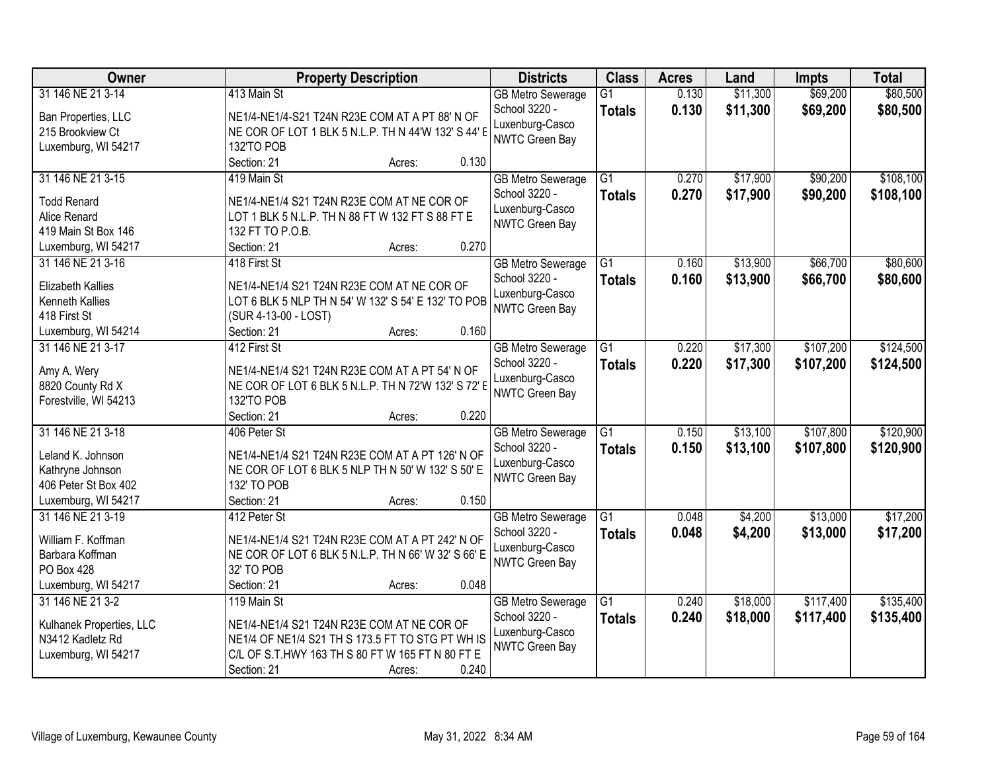| Owner                    | <b>Property Description</b>                         | <b>Districts</b>         | <b>Class</b>    | <b>Acres</b> | Land     | <b>Impts</b> | <b>Total</b> |
|--------------------------|-----------------------------------------------------|--------------------------|-----------------|--------------|----------|--------------|--------------|
| 31 146 NE 21 3-14        | 413 Main St                                         | <b>GB Metro Sewerage</b> | $\overline{G1}$ | 0.130        | \$11,300 | \$69,200     | \$80,500     |
| Ban Properties, LLC      | NE1/4-NE1/4-S21 T24N R23E COM AT A PT 88' N OF      | School 3220 -            | <b>Totals</b>   | 0.130        | \$11,300 | \$69,200     | \$80,500     |
| 215 Brookview Ct         | NE COR OF LOT 1 BLK 5 N.L.P. TH N 44'W 132' S 44' E | Luxenburg-Casco          |                 |              |          |              |              |
| Luxemburg, WI 54217      | 132'TO POB                                          | NWTC Green Bay           |                 |              |          |              |              |
|                          | 0.130<br>Section: 21<br>Acres:                      |                          |                 |              |          |              |              |
| 31 146 NE 21 3-15        | 419 Main St                                         | <b>GB Metro Sewerage</b> | $\overline{G1}$ | 0.270        | \$17,900 | \$90,200     | \$108,100    |
|                          |                                                     | School 3220 -            | <b>Totals</b>   | 0.270        | \$17,900 | \$90,200     | \$108,100    |
| <b>Todd Renard</b>       | NE1/4-NE1/4 S21 T24N R23E COM AT NE COR OF          | Luxenburg-Casco          |                 |              |          |              |              |
| Alice Renard             | LOT 1 BLK 5 N.L.P. TH N 88 FT W 132 FT S 88 FT E    | NWTC Green Bay           |                 |              |          |              |              |
| 419 Main St Box 146      | 132 FT TO P.O.B.                                    |                          |                 |              |          |              |              |
| Luxemburg, WI 54217      | 0.270<br>Section: 21<br>Acres:                      |                          |                 |              |          |              |              |
| 31 146 NE 21 3-16        | 418 First St                                        | <b>GB Metro Sewerage</b> | $\overline{G1}$ | 0.160        | \$13,900 | \$66,700     | \$80,600     |
| <b>Elizabeth Kallies</b> | NE1/4-NE1/4 S21 T24N R23E COM AT NE COR OF          | School 3220 -            | <b>Totals</b>   | 0.160        | \$13,900 | \$66,700     | \$80,600     |
| Kenneth Kallies          | LOT 6 BLK 5 NLP TH N 54' W 132' S 54' E 132' TO POB | Luxenburg-Casco          |                 |              |          |              |              |
| 418 First St             | (SUR 4-13-00 - LOST)                                | NWTC Green Bay           |                 |              |          |              |              |
| Luxemburg, WI 54214      | 0.160<br>Section: 21<br>Acres:                      |                          |                 |              |          |              |              |
| 31 146 NE 21 3-17        | 412 First St                                        | <b>GB Metro Sewerage</b> | G1              | 0.220        | \$17,300 | \$107,200    | \$124,500    |
|                          |                                                     | School 3220 -            | <b>Totals</b>   | 0.220        | \$17,300 | \$107,200    | \$124,500    |
| Amy A. Wery              | NE1/4-NE1/4 S21 T24N R23E COM AT A PT 54' N OF      | Luxenburg-Casco          |                 |              |          |              |              |
| 8820 County Rd X         | NE COR OF LOT 6 BLK 5 N.L.P. TH N 72'W 132' S 72' E | NWTC Green Bay           |                 |              |          |              |              |
| Forestville, WI 54213    | 132'TO POB                                          |                          |                 |              |          |              |              |
|                          | 0.220<br>Section: 21<br>Acres:                      |                          |                 |              |          |              |              |
| 31 146 NE 21 3-18        | 406 Peter St                                        | <b>GB Metro Sewerage</b> | $\overline{G1}$ | 0.150        | \$13,100 | \$107,800    | \$120,900    |
| Leland K. Johnson        | NE1/4-NE1/4 S21 T24N R23E COM AT A PT 126' N OF     | School 3220 -            | <b>Totals</b>   | 0.150        | \$13,100 | \$107,800    | \$120,900    |
| Kathryne Johnson         | NE COR OF LOT 6 BLK 5 NLP TH N 50' W 132' S 50' E   | Luxenburg-Casco          |                 |              |          |              |              |
| 406 Peter St Box 402     | 132' TO POB                                         | NWTC Green Bay           |                 |              |          |              |              |
| Luxemburg, WI 54217      | Section: 21<br>0.150<br>Acres:                      |                          |                 |              |          |              |              |
| 31 146 NE 21 3-19        | 412 Peter St                                        | <b>GB Metro Sewerage</b> | $\overline{G1}$ | 0.048        | \$4,200  | \$13,000     | \$17,200     |
| William F. Koffman       | NE1/4-NE1/4 S21 T24N R23E COM AT A PT 242' N OF     | School 3220 -            | <b>Totals</b>   | 0.048        | \$4,200  | \$13,000     | \$17,200     |
| Barbara Koffman          | NE COR OF LOT 6 BLK 5 N.L.P. TH N 66' W 32' S 66' E | Luxenburg-Casco          |                 |              |          |              |              |
| PO Box 428               | 32' TO POB                                          | <b>NWTC Green Bay</b>    |                 |              |          |              |              |
| Luxemburg, WI 54217      | 0.048<br>Section: 21<br>Acres:                      |                          |                 |              |          |              |              |
| 31 146 NE 21 3-2         | 119 Main St                                         | <b>GB Metro Sewerage</b> | $\overline{G1}$ | 0.240        | \$18,000 | \$117,400    | \$135,400    |
|                          |                                                     | School 3220 -            |                 | 0.240        |          |              |              |
| Kulhanek Properties, LLC | NE1/4-NE1/4 S21 T24N R23E COM AT NE COR OF          | Luxenburg-Casco          | <b>Totals</b>   |              | \$18,000 | \$117,400    | \$135,400    |
| N3412 Kadletz Rd         | NE1/4 OF NE1/4 S21 TH S 173.5 FT TO STG PT WH IS    | <b>NWTC Green Bay</b>    |                 |              |          |              |              |
| Luxemburg, WI 54217      | C/L OF S.T.HWY 163 TH S 80 FT W 165 FT N 80 FT E    |                          |                 |              |          |              |              |
|                          | 0.240<br>Section: 21<br>Acres:                      |                          |                 |              |          |              |              |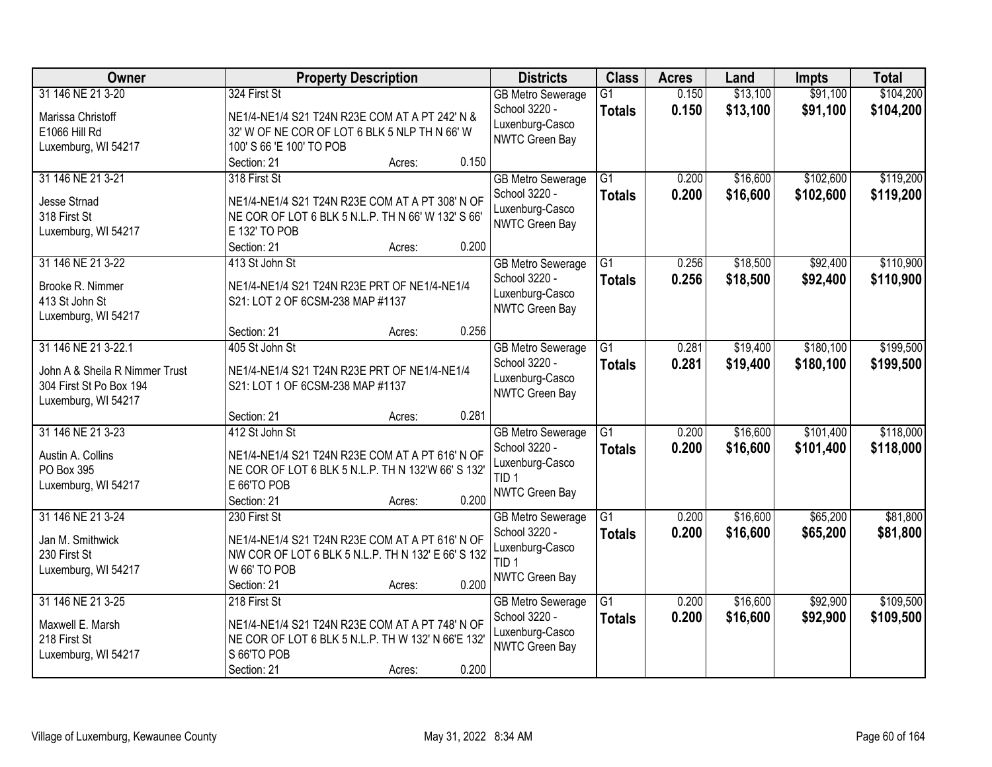| Owner                              | <b>Property Description</b>                        | <b>Districts</b>                          | <b>Class</b>    | <b>Acres</b> | Land     | <b>Impts</b> | <b>Total</b> |
|------------------------------------|----------------------------------------------------|-------------------------------------------|-----------------|--------------|----------|--------------|--------------|
| 31 146 NE 21 3-20                  | 324 First St                                       | <b>GB Metro Sewerage</b>                  | $\overline{G1}$ | 0.150        | \$13,100 | \$91,100     | \$104,200    |
| Marissa Christoff                  | NE1/4-NE1/4 S21 T24N R23E COM AT A PT 242' N &     | School 3220 -                             | <b>Totals</b>   | 0.150        | \$13,100 | \$91,100     | \$104,200    |
| E1066 Hill Rd                      | 32' W OF NE COR OF LOT 6 BLK 5 NLP TH N 66' W      | Luxenburg-Casco                           |                 |              |          |              |              |
| Luxemburg, WI 54217                | 100' S 66 'E 100' TO POB                           | NWTC Green Bay                            |                 |              |          |              |              |
|                                    | 0.150<br>Section: 21<br>Acres:                     |                                           |                 |              |          |              |              |
| 31 146 NE 21 3-21                  | 318 First St                                       | <b>GB Metro Sewerage</b>                  | $\overline{G1}$ | 0.200        | \$16,600 | \$102,600    | \$119,200    |
| <b>Jesse Strnad</b>                | NE1/4-NE1/4 S21 T24N R23E COM AT A PT 308' N OF    | School 3220 -                             | <b>Totals</b>   | 0.200        | \$16,600 | \$102,600    | \$119,200    |
| 318 First St                       | NE COR OF LOT 6 BLK 5 N.L.P. TH N 66' W 132' S 66' | Luxenburg-Casco                           |                 |              |          |              |              |
| Luxemburg, WI 54217                | E 132' TO POB                                      | <b>NWTC Green Bay</b>                     |                 |              |          |              |              |
|                                    | 0.200<br>Section: 21<br>Acres:                     |                                           |                 |              |          |              |              |
| 31 146 NE 21 3-22                  | 413 St John St                                     | <b>GB Metro Sewerage</b>                  | $\overline{G1}$ | 0.256        | \$18,500 | \$92,400     | \$110,900    |
|                                    | NE1/4-NE1/4 S21 T24N R23E PRT OF NE1/4-NE1/4       | School 3220 -                             | <b>Totals</b>   | 0.256        | \$18,500 | \$92,400     | \$110,900    |
| Brooke R. Nimmer<br>413 St John St | S21: LOT 2 OF 6CSM-238 MAP #1137                   | Luxenburg-Casco                           |                 |              |          |              |              |
| Luxemburg, WI 54217                |                                                    | NWTC Green Bay                            |                 |              |          |              |              |
|                                    | 0.256<br>Section: 21<br>Acres:                     |                                           |                 |              |          |              |              |
| 31 146 NE 21 3-22.1                | 405 St John St                                     | <b>GB Metro Sewerage</b>                  | G1              | 0.281        | \$19,400 | \$180,100    | \$199,500    |
|                                    |                                                    | School 3220 -                             | <b>Totals</b>   | 0.281        | \$19,400 | \$180,100    | \$199,500    |
| John A & Sheila R Nimmer Trust     | NE1/4-NE1/4 S21 T24N R23E PRT OF NE1/4-NE1/4       | Luxenburg-Casco                           |                 |              |          |              |              |
| 304 First St Po Box 194            | S21: LOT 1 OF 6CSM-238 MAP #1137                   | NWTC Green Bay                            |                 |              |          |              |              |
| Luxemburg, WI 54217                | 0.281                                              |                                           |                 |              |          |              |              |
| 31 146 NE 21 3-23                  | Section: 21<br>Acres:<br>412 St John St            |                                           | $\overline{G1}$ | 0.200        | \$16,600 | \$101,400    | \$118,000    |
|                                    |                                                    | <b>GB Metro Sewerage</b><br>School 3220 - |                 |              |          |              |              |
| Austin A. Collins                  | NE1/4-NE1/4 S21 T24N R23E COM AT A PT 616' N OF    | Luxenburg-Casco                           | <b>Totals</b>   | 0.200        | \$16,600 | \$101,400    | \$118,000    |
| PO Box 395                         | NE COR OF LOT 6 BLK 5 N.L.P. TH N 132'W 66' S 132' | TID <sub>1</sub>                          |                 |              |          |              |              |
| Luxemburg, WI 54217                | E 66'TO POB                                        | <b>NWTC Green Bay</b>                     |                 |              |          |              |              |
|                                    | 0.200<br>Section: 21<br>Acres:                     |                                           |                 |              |          |              |              |
| 31 146 NE 21 3-24                  | 230 First St                                       | <b>GB Metro Sewerage</b>                  | $\overline{G1}$ | 0.200        | \$16,600 | \$65,200     | \$81,800     |
| Jan M. Smithwick                   | NE1/4-NE1/4 S21 T24N R23E COM AT A PT 616' N OF    | School 3220 -                             | <b>Totals</b>   | 0.200        | \$16,600 | \$65,200     | \$81,800     |
| 230 First St                       | NW COR OF LOT 6 BLK 5 N.L.P. TH N 132' E 66' S 132 | Luxenburg-Casco                           |                 |              |          |              |              |
| Luxemburg, WI 54217                | W 66' TO POB                                       | TID <sub>1</sub>                          |                 |              |          |              |              |
|                                    | 0.200<br>Section: 21<br>Acres:                     | NWTC Green Bay                            |                 |              |          |              |              |
| 31 146 NE 21 3-25                  | 218 First St                                       | <b>GB Metro Sewerage</b>                  | $\overline{G1}$ | 0.200        | \$16,600 | \$92,900     | \$109,500    |
| Maxwell E. Marsh                   | NE1/4-NE1/4 S21 T24N R23E COM AT A PT 748' N OF    | School 3220 -                             | <b>Totals</b>   | 0.200        | \$16,600 | \$92,900     | \$109,500    |
| 218 First St                       | NE COR OF LOT 6 BLK 5 N.L.P. TH W 132' N 66'E 132' | Luxenburg-Casco                           |                 |              |          |              |              |
| Luxemburg, WI 54217                | S 66'TO POB                                        | NWTC Green Bay                            |                 |              |          |              |              |
|                                    | 0.200<br>Section: 21<br>Acres:                     |                                           |                 |              |          |              |              |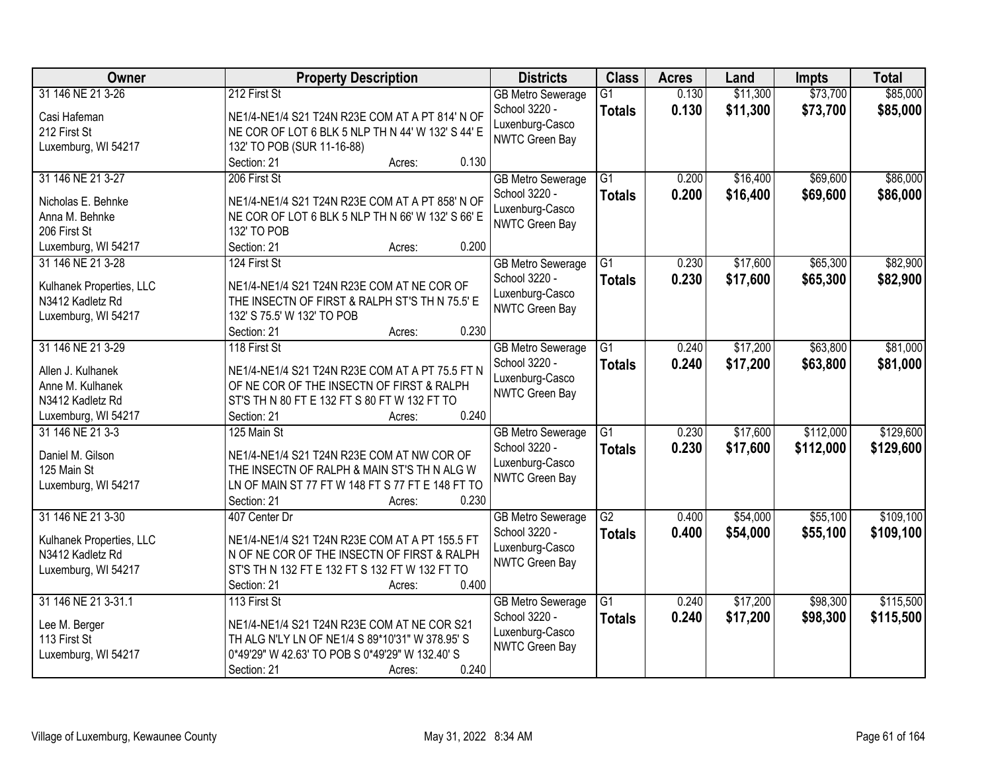| <b>Owner</b>                         | <b>Property Description</b>                                                                          | <b>Districts</b>         | <b>Class</b>    | <b>Acres</b> | Land     | <b>Impts</b> | <b>Total</b> |
|--------------------------------------|------------------------------------------------------------------------------------------------------|--------------------------|-----------------|--------------|----------|--------------|--------------|
| 31 146 NE 21 3-26                    | 212 First St                                                                                         | <b>GB Metro Sewerage</b> | $\overline{G1}$ | 0.130        | \$11,300 | \$73,700     | \$85,000     |
| Casi Hafeman                         | NE1/4-NE1/4 S21 T24N R23E COM AT A PT 814' N OF                                                      | School 3220 -            | <b>Totals</b>   | 0.130        | \$11,300 | \$73,700     | \$85,000     |
| 212 First St                         | NE COR OF LOT 6 BLK 5 NLP TH N 44' W 132' S 44' E                                                    | Luxenburg-Casco          |                 |              |          |              |              |
| Luxemburg, WI 54217                  | 132' TO POB (SUR 11-16-88)                                                                           | <b>NWTC Green Bay</b>    |                 |              |          |              |              |
|                                      | 0.130<br>Section: 21<br>Acres:                                                                       |                          |                 |              |          |              |              |
| 31 146 NE 21 3-27                    | 206 First St                                                                                         | <b>GB Metro Sewerage</b> | $\overline{G1}$ | 0.200        | \$16,400 | \$69,600     | \$86,000     |
|                                      |                                                                                                      | School 3220 -            | <b>Totals</b>   | 0.200        | \$16,400 | \$69,600     | \$86,000     |
| Nicholas E. Behnke<br>Anna M. Behnke | NE1/4-NE1/4 S21 T24N R23E COM AT A PT 858' N OF<br>NE COR OF LOT 6 BLK 5 NLP TH N 66' W 132' S 66' E | Luxenburg-Casco          |                 |              |          |              |              |
| 206 First St                         | 132' TO POB                                                                                          | <b>NWTC Green Bay</b>    |                 |              |          |              |              |
| Luxemburg, WI 54217                  | 0.200<br>Section: 21<br>Acres:                                                                       |                          |                 |              |          |              |              |
| 31 146 NE 21 3-28                    | 124 First St                                                                                         | <b>GB Metro Sewerage</b> | $\overline{G1}$ | 0.230        | \$17,600 | \$65,300     | \$82,900     |
|                                      |                                                                                                      | School 3220 -            | <b>Totals</b>   | 0.230        | \$17,600 | \$65,300     | \$82,900     |
| Kulhanek Properties, LLC             | NE1/4-NE1/4 S21 T24N R23E COM AT NE COR OF                                                           | Luxenburg-Casco          |                 |              |          |              |              |
| N3412 Kadletz Rd                     | THE INSECTN OF FIRST & RALPH ST'S TH N 75.5' E                                                       | NWTC Green Bay           |                 |              |          |              |              |
| Luxemburg, WI 54217                  | 132' S 75.5' W 132' TO POB                                                                           |                          |                 |              |          |              |              |
|                                      | 0.230<br>Section: 21<br>Acres:                                                                       |                          |                 |              |          |              |              |
| 31 146 NE 21 3-29                    | 118 First St                                                                                         | <b>GB Metro Sewerage</b> | G1              | 0.240        | \$17,200 | \$63,800     | \$81,000     |
| Allen J. Kulhanek                    | NE1/4-NE1/4 S21 T24N R23E COM AT A PT 75.5 FT N                                                      | School 3220 -            | <b>Totals</b>   | 0.240        | \$17,200 | \$63,800     | \$81,000     |
| Anne M. Kulhanek                     | OF NE COR OF THE INSECTN OF FIRST & RALPH                                                            | Luxenburg-Casco          |                 |              |          |              |              |
| N3412 Kadletz Rd                     | ST'S TH N 80 FT E 132 FT S 80 FT W 132 FT TO                                                         | NWTC Green Bay           |                 |              |          |              |              |
| Luxemburg, WI 54217                  | 0.240<br>Section: 21<br>Acres:                                                                       |                          |                 |              |          |              |              |
| 31 146 NE 21 3-3                     | 125 Main St                                                                                          | <b>GB Metro Sewerage</b> | $\overline{G1}$ | 0.230        | \$17,600 | \$112,000    | \$129,600    |
|                                      |                                                                                                      | School 3220 -            | <b>Totals</b>   | 0.230        | \$17,600 | \$112,000    | \$129,600    |
| Daniel M. Gilson<br>125 Main St      | NE1/4-NE1/4 S21 T24N R23E COM AT NW COR OF                                                           | Luxenburg-Casco          |                 |              |          |              |              |
| Luxemburg, WI 54217                  | THE INSECTN OF RALPH & MAIN ST'S TH N ALG W<br>LN OF MAIN ST 77 FT W 148 FT S 77 FT E 148 FT TO      | <b>NWTC Green Bay</b>    |                 |              |          |              |              |
|                                      | 0.230<br>Section: 21<br>Acres:                                                                       |                          |                 |              |          |              |              |
| 31 146 NE 21 3-30                    | 407 Center Dr                                                                                        | <b>GB Metro Sewerage</b> | $\overline{G2}$ | 0.400        | \$54,000 | \$55,100     | \$109,100    |
|                                      |                                                                                                      | School 3220 -            | <b>Totals</b>   | 0.400        | \$54,000 | \$55,100     | \$109,100    |
| Kulhanek Properties, LLC             | NE1/4-NE1/4 S21 T24N R23E COM AT A PT 155.5 FT                                                       | Luxenburg-Casco          |                 |              |          |              |              |
| N3412 Kadletz Rd                     | N OF NE COR OF THE INSECTN OF FIRST & RALPH                                                          | NWTC Green Bay           |                 |              |          |              |              |
| Luxemburg, WI 54217                  | ST'S TH N 132 FT E 132 FT S 132 FT W 132 FT TO                                                       |                          |                 |              |          |              |              |
|                                      | 0.400<br>Section: 21<br>Acres:                                                                       |                          |                 |              |          |              |              |
| 31 146 NE 21 3-31.1                  | 113 First St                                                                                         | <b>GB Metro Sewerage</b> | $\overline{G1}$ | 0.240        | \$17,200 | \$98,300     | \$115,500    |
| Lee M. Berger                        | NE1/4-NE1/4 S21 T24N R23E COM AT NE COR S21                                                          | School 3220 -            | <b>Totals</b>   | 0.240        | \$17,200 | \$98,300     | \$115,500    |
| 113 First St                         | TH ALG N'LY LN OF NE1/4 S 89*10'31" W 378.95' S                                                      | Luxenburg-Casco          |                 |              |          |              |              |
| Luxemburg, WI 54217                  | 0*49'29" W 42.63' TO POB S 0*49'29" W 132.40' S                                                      | NWTC Green Bay           |                 |              |          |              |              |
|                                      | 0.240<br>Section: 21<br>Acres:                                                                       |                          |                 |              |          |              |              |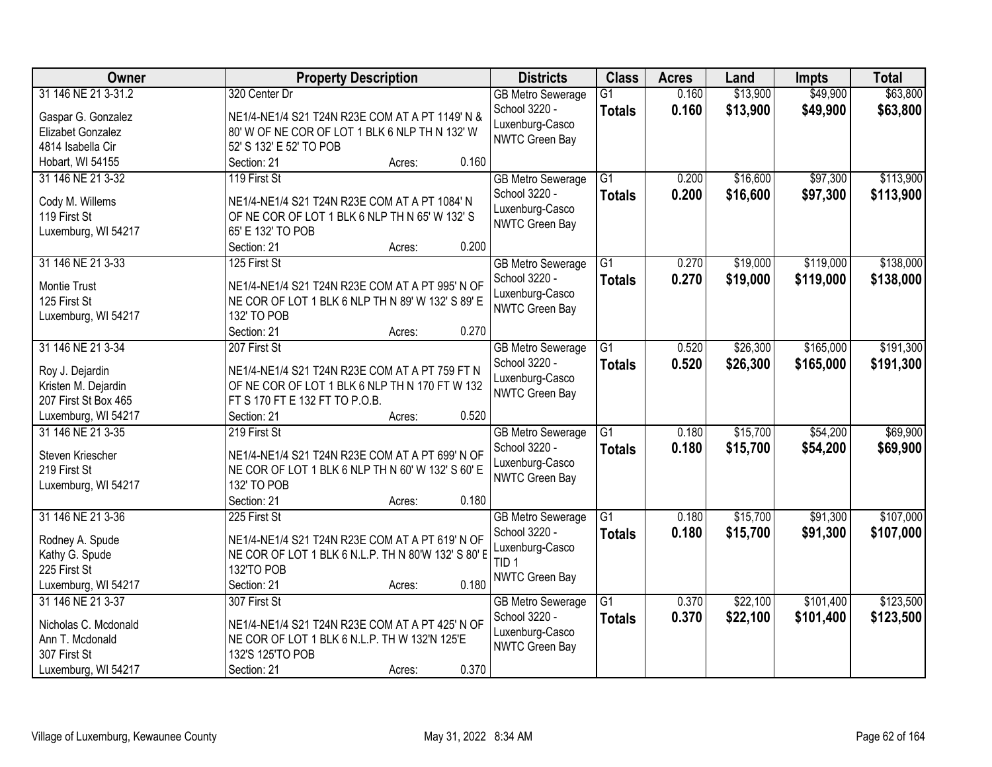| Owner                | <b>Property Description</b>                         | <b>Districts</b>         | <b>Class</b>    | <b>Acres</b> | Land     | <b>Impts</b> | <b>Total</b> |
|----------------------|-----------------------------------------------------|--------------------------|-----------------|--------------|----------|--------------|--------------|
| 31 146 NE 21 3-31.2  | 320 Center Dr                                       | <b>GB Metro Sewerage</b> | $\overline{G1}$ | 0.160        | \$13,900 | \$49,900     | \$63,800     |
| Gaspar G. Gonzalez   | NE1/4-NE1/4 S21 T24N R23E COM AT A PT 1149' N &     | School 3220 -            | <b>Totals</b>   | 0.160        | \$13,900 | \$49,900     | \$63,800     |
| Elizabet Gonzalez    | 80' W OF NE COR OF LOT 1 BLK 6 NLP TH N 132' W      | Luxenburg-Casco          |                 |              |          |              |              |
| 4814 Isabella Cir    | 52' S 132' E 52' TO POB                             | NWTC Green Bay           |                 |              |          |              |              |
| Hobart, WI 54155     | 0.160<br>Section: 21<br>Acres:                      |                          |                 |              |          |              |              |
| 31 146 NE 21 3-32    | 119 First St                                        | <b>GB Metro Sewerage</b> | $\overline{G1}$ | 0.200        | \$16,600 | \$97,300     | \$113,900    |
|                      |                                                     | School 3220 -            | <b>Totals</b>   | 0.200        | \$16,600 | \$97,300     | \$113,900    |
| Cody M. Willems      | NE1/4-NE1/4 S21 T24N R23E COM AT A PT 1084' N       | Luxenburg-Casco          |                 |              |          |              |              |
| 119 First St         | OF NE COR OF LOT 1 BLK 6 NLP TH N 65' W 132' S      | NWTC Green Bay           |                 |              |          |              |              |
| Luxemburg, WI 54217  | 65' E 132' TO POB                                   |                          |                 |              |          |              |              |
|                      | 0.200<br>Section: 21<br>Acres:                      |                          |                 |              |          |              |              |
| 31 146 NE 21 3-33    | 125 First St                                        | <b>GB Metro Sewerage</b> | $\overline{G1}$ | 0.270        | \$19,000 | \$119,000    | \$138,000    |
| <b>Montie Trust</b>  | NE1/4-NE1/4 S21 T24N R23E COM AT A PT 995' N OF     | School 3220 -            | <b>Totals</b>   | 0.270        | \$19,000 | \$119,000    | \$138,000    |
| 125 First St         | NE COR OF LOT 1 BLK 6 NLP TH N 89' W 132' S 89' E   | Luxenburg-Casco          |                 |              |          |              |              |
| Luxemburg, WI 54217  | 132' TO POB                                         | NWTC Green Bay           |                 |              |          |              |              |
|                      | Section: 21<br>0.270<br>Acres:                      |                          |                 |              |          |              |              |
| 31 146 NE 21 3-34    | 207 First St                                        | <b>GB Metro Sewerage</b> | $\overline{G1}$ | 0.520        | \$26,300 | \$165,000    | \$191,300    |
|                      |                                                     | School 3220 -            | <b>Totals</b>   | 0.520        | \$26,300 | \$165,000    | \$191,300    |
| Roy J. Dejardin      | NE1/4-NE1/4 S21 T24N R23E COM AT A PT 759 FT N      | Luxenburg-Casco          |                 |              |          |              |              |
| Kristen M. Dejardin  | OF NE COR OF LOT 1 BLK 6 NLP TH N 170 FT W 132      | NWTC Green Bay           |                 |              |          |              |              |
| 207 First St Box 465 | FT S 170 FT E 132 FT TO P.O.B.                      |                          |                 |              |          |              |              |
| Luxemburg, WI 54217  | 0.520<br>Section: 21<br>Acres:                      |                          |                 |              |          |              |              |
| 31 146 NE 21 3-35    | 219 First St                                        | <b>GB Metro Sewerage</b> | $\overline{G1}$ | 0.180        | \$15,700 | \$54,200     | \$69,900     |
| Steven Kriescher     | NE1/4-NE1/4 S21 T24N R23E COM AT A PT 699' N OF     | School 3220 -            | <b>Totals</b>   | 0.180        | \$15,700 | \$54,200     | \$69,900     |
| 219 First St         | NE COR OF LOT 1 BLK 6 NLP TH N 60' W 132' S 60' E   | Luxenburg-Casco          |                 |              |          |              |              |
| Luxemburg, WI 54217  | 132' TO POB                                         | NWTC Green Bay           |                 |              |          |              |              |
|                      | Section: 21<br>0.180<br>Acres:                      |                          |                 |              |          |              |              |
| 31 146 NE 21 3-36    | 225 First St                                        | <b>GB Metro Sewerage</b> | $\overline{G1}$ | 0.180        | \$15,700 | \$91,300     | \$107,000    |
| Rodney A. Spude      | NE1/4-NE1/4 S21 T24N R23E COM AT A PT 619' N OF     | School 3220 -            | <b>Totals</b>   | 0.180        | \$15,700 | \$91,300     | \$107,000    |
| Kathy G. Spude       | NE COR OF LOT 1 BLK 6 N.L.P. TH N 80'W 132' S 80' E | Luxenburg-Casco          |                 |              |          |              |              |
| 225 First St         | 132'TO POB                                          | TID <sub>1</sub>         |                 |              |          |              |              |
| Luxemburg, WI 54217  | 0.180<br>Section: 21<br>Acres:                      | NWTC Green Bay           |                 |              |          |              |              |
| 31 146 NE 21 3-37    | 307 First St                                        | <b>GB Metro Sewerage</b> | $\overline{G1}$ | 0.370        | \$22,100 | \$101,400    | \$123,500    |
|                      |                                                     | School 3220 -            |                 |              |          |              |              |
| Nicholas C. Mcdonald | NE1/4-NE1/4 S21 T24N R23E COM AT A PT 425' N OF     | Luxenburg-Casco          | <b>Totals</b>   | 0.370        | \$22,100 | \$101,400    | \$123,500    |
| Ann T. Mcdonald      | NE COR OF LOT 1 BLK 6 N.L.P. TH W 132'N 125'E       | NWTC Green Bay           |                 |              |          |              |              |
| 307 First St         | 132'S 125'TO POB                                    |                          |                 |              |          |              |              |
| Luxemburg, WI 54217  | 0.370<br>Section: 21<br>Acres:                      |                          |                 |              |          |              |              |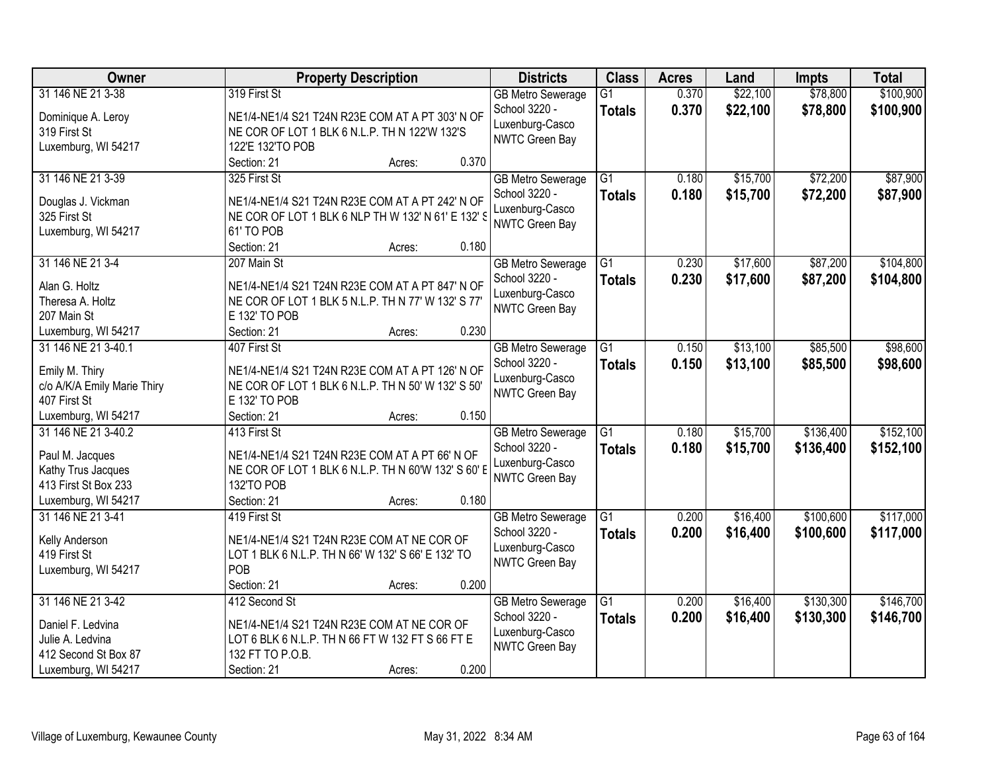| Owner                                       | <b>Property Description</b>                                         | <b>Districts</b>                  | <b>Class</b>    | <b>Acres</b> | Land     | <b>Impts</b> | <b>Total</b> |
|---------------------------------------------|---------------------------------------------------------------------|-----------------------------------|-----------------|--------------|----------|--------------|--------------|
| 31 146 NE 21 3-38                           | 319 First St                                                        | <b>GB Metro Sewerage</b>          | $\overline{G1}$ | 0.370        | \$22,100 | \$78,800     | \$100,900    |
| Dominique A. Leroy                          | NE1/4-NE1/4 S21 T24N R23E COM AT A PT 303' N OF                     | School 3220 -                     | <b>Totals</b>   | 0.370        | \$22,100 | \$78,800     | \$100,900    |
| 319 First St                                | NE COR OF LOT 1 BLK 6 N.L.P. TH N 122'W 132'S                       | Luxenburg-Casco                   |                 |              |          |              |              |
| Luxemburg, WI 54217                         | 122'E 132'TO POB                                                    | NWTC Green Bay                    |                 |              |          |              |              |
|                                             | 0.370<br>Section: 21<br>Acres:                                      |                                   |                 |              |          |              |              |
| 31 146 NE 21 3-39                           | 325 First St                                                        | <b>GB Metro Sewerage</b>          | $\overline{G1}$ | 0.180        | \$15,700 | \$72,200     | \$87,900     |
| Douglas J. Vickman                          | NE1/4-NE1/4 S21 T24N R23E COM AT A PT 242' N OF                     | School 3220 -                     | <b>Totals</b>   | 0.180        | \$15,700 | \$72,200     | \$87,900     |
| 325 First St                                | NE COR OF LOT 1 BLK 6 NLP TH W 132' N 61' E 132' S                  | Luxenburg-Casco                   |                 |              |          |              |              |
| Luxemburg, WI 54217                         | 61' TO POB                                                          | NWTC Green Bay                    |                 |              |          |              |              |
|                                             | 0.180<br>Section: 21<br>Acres:                                      |                                   |                 |              |          |              |              |
| 31 146 NE 21 3-4                            | 207 Main St                                                         | <b>GB Metro Sewerage</b>          | $\overline{G1}$ | 0.230        | \$17,600 | \$87,200     | \$104,800    |
| Alan G. Holtz                               | NE1/4-NE1/4 S21 T24N R23E COM AT A PT 847' N OF                     | School 3220 -                     | <b>Totals</b>   | 0.230        | \$17,600 | \$87,200     | \$104,800    |
| Theresa A. Holtz                            | NE COR OF LOT 1 BLK 5 N.L.P. TH N 77' W 132' S 77'                  | Luxenburg-Casco                   |                 |              |          |              |              |
| 207 Main St                                 | E 132' TO POB                                                       | NWTC Green Bay                    |                 |              |          |              |              |
| Luxemburg, WI 54217                         | 0.230<br>Section: 21<br>Acres:                                      |                                   |                 |              |          |              |              |
| 31 146 NE 21 3-40.1                         | 407 First St                                                        | <b>GB Metro Sewerage</b>          | G1              | 0.150        | \$13,100 | \$85,500     | \$98,600     |
|                                             |                                                                     | School 3220 -                     | <b>Totals</b>   | 0.150        | \$13,100 | \$85,500     | \$98,600     |
| Emily M. Thiry                              | NE1/4-NE1/4 S21 T24N R23E COM AT A PT 126' N OF                     | Luxenburg-Casco                   |                 |              |          |              |              |
| c/o A/K/A Emily Marie Thiry<br>407 First St | NE COR OF LOT 1 BLK 6 N.L.P. TH N 50' W 132' S 50'<br>E 132' TO POB | NWTC Green Bay                    |                 |              |          |              |              |
| Luxemburg, WI 54217                         | 0.150<br>Section: 21<br>Acres:                                      |                                   |                 |              |          |              |              |
| 31 146 NE 21 3-40.2                         | 413 First St                                                        | <b>GB</b> Metro Sewerage          | $\overline{G1}$ | 0.180        | \$15,700 | \$136,400    | \$152,100    |
|                                             |                                                                     | School 3220 -                     | <b>Totals</b>   | 0.180        | \$15,700 | \$136,400    | \$152,100    |
| Paul M. Jacques                             | NE1/4-NE1/4 S21 T24N R23E COM AT A PT 66' N OF                      | Luxenburg-Casco                   |                 |              |          |              |              |
| Kathy Trus Jacques                          | NE COR OF LOT 1 BLK 6 N.L.P. TH N 60'W 132' S 60' E                 | <b>NWTC Green Bay</b>             |                 |              |          |              |              |
| 413 First St Box 233                        | 132'TO POB                                                          |                                   |                 |              |          |              |              |
| Luxemburg, WI 54217                         | 0.180<br>Section: 21<br>Acres:                                      |                                   |                 |              |          |              |              |
| 31 146 NE 21 3-41                           | 419 First St                                                        | <b>GB Metro Sewerage</b>          | $\overline{G1}$ | 0.200        | \$16,400 | \$100,600    | \$117,000    |
| Kelly Anderson                              | NE1/4-NE1/4 S21 T24N R23E COM AT NE COR OF                          | School 3220 -                     | <b>Totals</b>   | 0.200        | \$16,400 | \$100,600    | \$117,000    |
| 419 First St                                | LOT 1 BLK 6 N.L.P. TH N 66' W 132' S 66' E 132' TO                  | Luxenburg-Casco<br>NWTC Green Bay |                 |              |          |              |              |
| Luxemburg, WI 54217                         | POB                                                                 |                                   |                 |              |          |              |              |
|                                             | 0.200<br>Section: 21<br>Acres:                                      |                                   |                 |              |          |              |              |
| 31 146 NE 21 3-42                           | 412 Second St                                                       | <b>GB Metro Sewerage</b>          | $\overline{G1}$ | 0.200        | \$16,400 | \$130,300    | \$146,700    |
| Daniel F. Ledvina                           | NE1/4-NE1/4 S21 T24N R23E COM AT NE COR OF                          | School 3220 -                     | <b>Totals</b>   | 0.200        | \$16,400 | \$130,300    | \$146,700    |
| Julie A. Ledvina                            | LOT 6 BLK 6 N.L.P. TH N 66 FT W 132 FT S 66 FT E                    | Luxenburg-Casco                   |                 |              |          |              |              |
| 412 Second St Box 87                        | 132 FT TO P.O.B.                                                    | NWTC Green Bay                    |                 |              |          |              |              |
| Luxemburg, WI 54217                         | 0.200<br>Section: 21<br>Acres:                                      |                                   |                 |              |          |              |              |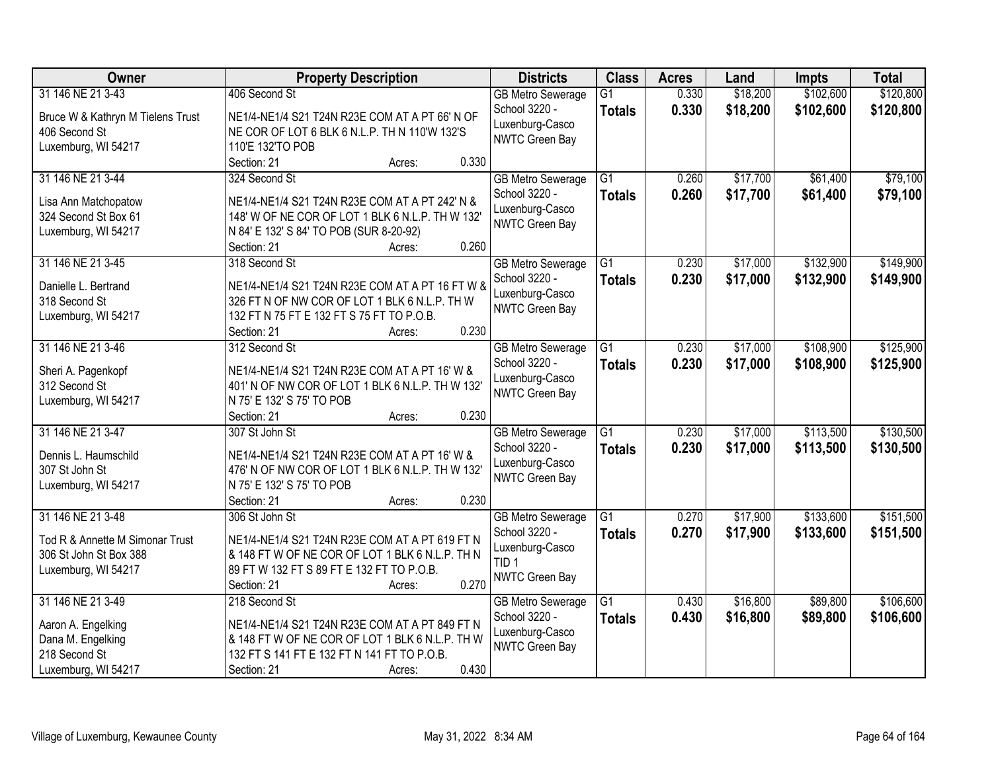| Owner                                        | <b>Property Description</b>                                                                 | <b>Districts</b>         | <b>Class</b>    | <b>Acres</b> | Land     | <b>Impts</b> | <b>Total</b> |
|----------------------------------------------|---------------------------------------------------------------------------------------------|--------------------------|-----------------|--------------|----------|--------------|--------------|
| 31 146 NE 21 3-43                            | 406 Second St                                                                               | <b>GB Metro Sewerage</b> | $\overline{G1}$ | 0.330        | \$18,200 | \$102,600    | \$120,800    |
| Bruce W & Kathryn M Tielens Trust            | NE1/4-NE1/4 S21 T24N R23E COM AT A PT 66' N OF                                              | School 3220 -            | <b>Totals</b>   | 0.330        | \$18,200 | \$102,600    | \$120,800    |
| 406 Second St                                | NE COR OF LOT 6 BLK 6 N.L.P. TH N 110'W 132'S                                               | Luxenburg-Casco          |                 |              |          |              |              |
| Luxemburg, WI 54217                          | 110'E 132'TO POB                                                                            | NWTC Green Bay           |                 |              |          |              |              |
|                                              | 0.330<br>Section: 21<br>Acres:                                                              |                          |                 |              |          |              |              |
| 31 146 NE 21 3-44                            | 324 Second St                                                                               | <b>GB Metro Sewerage</b> | $\overline{G1}$ | 0.260        | \$17,700 | \$61,400     | \$79,100     |
|                                              |                                                                                             | School 3220 -            | <b>Totals</b>   | 0.260        | \$17,700 | \$61,400     | \$79,100     |
| Lisa Ann Matchopatow<br>324 Second St Box 61 | NE1/4-NE1/4 S21 T24N R23E COM AT A PT 242' N &                                              | Luxenburg-Casco          |                 |              |          |              |              |
|                                              | 148' W OF NE COR OF LOT 1 BLK 6 N.L.P. TH W 132'<br>N 84' E 132' S 84' TO POB (SUR 8-20-92) | NWTC Green Bay           |                 |              |          |              |              |
| Luxemburg, WI 54217                          | 0.260<br>Section: 21<br>Acres:                                                              |                          |                 |              |          |              |              |
| 31 146 NE 21 3-45                            | 318 Second St                                                                               | <b>GB Metro Sewerage</b> | $\overline{G1}$ | 0.230        | \$17,000 | \$132,900    | \$149,900    |
|                                              |                                                                                             | School 3220 -            | <b>Totals</b>   | 0.230        | \$17,000 | \$132,900    | \$149,900    |
| Danielle L. Bertrand                         | NE1/4-NE1/4 S21 T24N R23E COM AT A PT 16 FT W &                                             | Luxenburg-Casco          |                 |              |          |              |              |
| 318 Second St                                | 326 FT N OF NW COR OF LOT 1 BLK 6 N.L.P. TH W                                               | NWTC Green Bay           |                 |              |          |              |              |
| Luxemburg, WI 54217                          | 132 FT N 75 FT E 132 FT S 75 FT TO P.O.B.                                                   |                          |                 |              |          |              |              |
|                                              | 0.230<br>Section: 21<br>Acres:                                                              |                          |                 |              |          |              |              |
| 31 146 NE 21 3-46                            | 312 Second St                                                                               | <b>GB Metro Sewerage</b> | G1              | 0.230        | \$17,000 | \$108,900    | \$125,900    |
| Sheri A. Pagenkopf                           | NE1/4-NE1/4 S21 T24N R23E COM AT A PT 16' W &                                               | School 3220 -            | <b>Totals</b>   | 0.230        | \$17,000 | \$108,900    | \$125,900    |
| 312 Second St                                | 401' N OF NW COR OF LOT 1 BLK 6 N.L.P. TH W 132'                                            | Luxenburg-Casco          |                 |              |          |              |              |
| Luxemburg, WI 54217                          | N 75' E 132' S 75' TO POB                                                                   | NWTC Green Bay           |                 |              |          |              |              |
|                                              | 0.230<br>Section: 21<br>Acres:                                                              |                          |                 |              |          |              |              |
| 31 146 NE 21 3-47                            | 307 St John St                                                                              | <b>GB</b> Metro Sewerage | $\overline{G1}$ | 0.230        | \$17,000 | \$113,500    | \$130,500    |
|                                              |                                                                                             | School 3220 -            | <b>Totals</b>   | 0.230        | \$17,000 | \$113,500    | \$130,500    |
| Dennis L. Haumschild                         | NE1/4-NE1/4 S21 T24N R23E COM AT A PT 16' W &                                               | Luxenburg-Casco          |                 |              |          |              |              |
| 307 St John St                               | 476' N OF NW COR OF LOT 1 BLK 6 N.L.P. TH W 132'                                            | NWTC Green Bay           |                 |              |          |              |              |
| Luxemburg, WI 54217                          | N 75' E 132' S 75' TO POB                                                                   |                          |                 |              |          |              |              |
|                                              | 0.230<br>Section: 21<br>Acres:                                                              |                          |                 |              |          |              |              |
| 31 146 NE 21 3-48                            | 306 St John St                                                                              | <b>GB Metro Sewerage</b> | $\overline{G1}$ | 0.270        | \$17,900 | \$133,600    | \$151,500    |
| Tod R & Annette M Simonar Trust              | NE1/4-NE1/4 S21 T24N R23E COM AT A PT 619 FT N                                              | School 3220 -            | <b>Totals</b>   | 0.270        | \$17,900 | \$133,600    | \$151,500    |
| 306 St John St Box 388                       | & 148 FT W OF NE COR OF LOT 1 BLK 6 N.L.P. TH N                                             | Luxenburg-Casco          |                 |              |          |              |              |
| Luxemburg, WI 54217                          | 89 FT W 132 FT S 89 FT E 132 FT TO P.O.B.                                                   | TID <sub>1</sub>         |                 |              |          |              |              |
|                                              | 0.270<br>Section: 21<br>Acres:                                                              | NWTC Green Bay           |                 |              |          |              |              |
| 31 146 NE 21 3-49                            | 218 Second St                                                                               | <b>GB Metro Sewerage</b> | $\overline{G1}$ | 0.430        | \$16,800 | \$89,800     | \$106,600    |
|                                              |                                                                                             | School 3220 -            | <b>Totals</b>   | 0.430        | \$16,800 | \$89,800     | \$106,600    |
| Aaron A. Engelking                           | NE1/4-NE1/4 S21 T24N R23E COM AT A PT 849 FT N                                              | Luxenburg-Casco          |                 |              |          |              |              |
| Dana M. Engelking                            | & 148 FT W OF NE COR OF LOT 1 BLK 6 N.L.P. TH W                                             | NWTC Green Bay           |                 |              |          |              |              |
| 218 Second St                                | 132 FT S 141 FT E 132 FT N 141 FT TO P.O.B.                                                 |                          |                 |              |          |              |              |
| Luxemburg, WI 54217                          | 0.430<br>Section: 21<br>Acres:                                                              |                          |                 |              |          |              |              |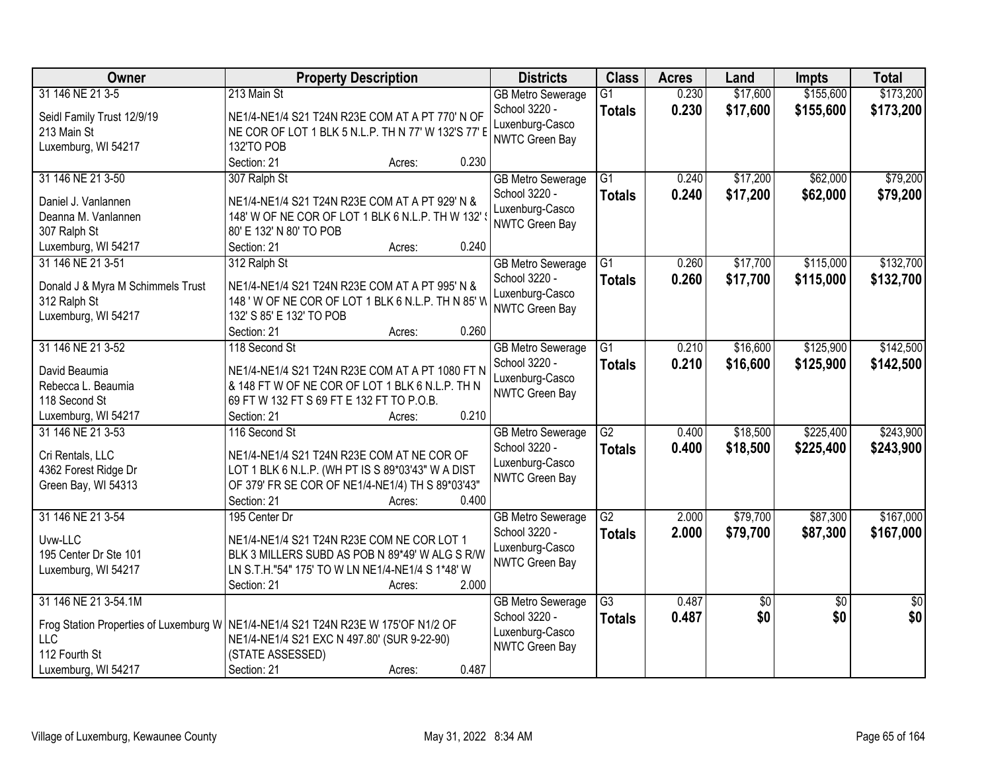| Owner                                  | <b>Property Description</b>                         | <b>Districts</b>         | <b>Class</b>    | <b>Acres</b> | Land       | <b>Impts</b>    | <b>Total</b>    |
|----------------------------------------|-----------------------------------------------------|--------------------------|-----------------|--------------|------------|-----------------|-----------------|
| 31 146 NE 21 3-5                       | 213 Main St                                         | <b>GB Metro Sewerage</b> | $\overline{G1}$ | 0.230        | \$17,600   | \$155,600       | \$173,200       |
| Seidl Family Trust 12/9/19             | NE1/4-NE1/4 S21 T24N R23E COM AT A PT 770' N OF     | School 3220 -            | <b>Totals</b>   | 0.230        | \$17,600   | \$155,600       | \$173,200       |
| 213 Main St                            | NE COR OF LOT 1 BLK 5 N.L.P. TH N 77' W 132'S 77' E | Luxenburg-Casco          |                 |              |            |                 |                 |
| Luxemburg, WI 54217                    | 132'TO POB                                          | <b>NWTC Green Bay</b>    |                 |              |            |                 |                 |
|                                        | 0.230<br>Section: 21<br>Acres:                      |                          |                 |              |            |                 |                 |
| 31 146 NE 21 3-50                      | 307 Ralph St                                        | <b>GB Metro Sewerage</b> | $\overline{G1}$ | 0.240        | \$17,200   | \$62,000        | \$79,200        |
|                                        |                                                     | School 3220 -            | <b>Totals</b>   | 0.240        | \$17,200   | \$62,000        | \$79,200        |
| Daniel J. Vanlannen                    | NE1/4-NE1/4 S21 T24N R23E COM AT A PT 929' N &      | Luxenburg-Casco          |                 |              |            |                 |                 |
| Deanna M. Vanlannen                    | 148' W OF NE COR OF LOT 1 BLK 6 N.L.P. TH W 132'    | <b>NWTC Green Bay</b>    |                 |              |            |                 |                 |
| 307 Ralph St                           | 80' E 132' N 80' TO POB                             |                          |                 |              |            |                 |                 |
| Luxemburg, WI 54217                    | 0.240<br>Section: 21<br>Acres:                      |                          |                 |              |            |                 |                 |
| 31 146 NE 21 3-51                      | 312 Ralph St                                        | <b>GB Metro Sewerage</b> | $\overline{G1}$ | 0.260        | \$17,700   | \$115,000       | \$132,700       |
| Donald J & Myra M Schimmels Trust      | NE1/4-NE1/4 S21 T24N R23E COM AT A PT 995' N &      | School 3220 -            | <b>Totals</b>   | 0.260        | \$17,700   | \$115,000       | \$132,700       |
| 312 Ralph St                           | 148 ' W OF NE COR OF LOT 1 BLK 6 N.L.P. TH N 85' W  | Luxenburg-Casco          |                 |              |            |                 |                 |
| Luxemburg, WI 54217                    | 132' S 85' E 132' TO POB                            | NWTC Green Bay           |                 |              |            |                 |                 |
|                                        | 0.260<br>Section: 21<br>Acres:                      |                          |                 |              |            |                 |                 |
| 31 146 NE 21 3-52                      | 118 Second St                                       | <b>GB Metro Sewerage</b> | G1              | 0.210        | \$16,600   | \$125,900       | \$142,500       |
|                                        |                                                     | School 3220 -            | <b>Totals</b>   | 0.210        | \$16,600   | \$125,900       | \$142,500       |
| David Beaumia                          | NE1/4-NE1/4 S21 T24N R23E COM AT A PT 1080 FT N     | Luxenburg-Casco          |                 |              |            |                 |                 |
| Rebecca L. Beaumia                     | & 148 FT W OF NE COR OF LOT 1 BLK 6 N.L.P. TH N     | <b>NWTC Green Bay</b>    |                 |              |            |                 |                 |
| 118 Second St                          | 69 FT W 132 FT S 69 FT E 132 FT TO P.O.B.           |                          |                 |              |            |                 |                 |
| Luxemburg, WI 54217                    | 0.210<br>Section: 21<br>Acres:                      |                          |                 |              |            |                 |                 |
| 31 146 NE 21 3-53                      | 116 Second St                                       | <b>GB Metro Sewerage</b> | $\overline{G2}$ | 0.400        | \$18,500   | \$225,400       | \$243,900       |
| Cri Rentals, LLC                       | NE1/4-NE1/4 S21 T24N R23E COM AT NE COR OF          | School 3220 -            | <b>Totals</b>   | 0.400        | \$18,500   | \$225,400       | \$243,900       |
| 4362 Forest Ridge Dr                   | LOT 1 BLK 6 N.L.P. (WH PT IS S 89*03'43" W A DIST   | Luxenburg-Casco          |                 |              |            |                 |                 |
| Green Bay, WI 54313                    | OF 379' FR SE COR OF NE1/4-NE1/4) TH S 89*03'43"    | <b>NWTC Green Bay</b>    |                 |              |            |                 |                 |
|                                        | Section: 21<br>0.400<br>Acres:                      |                          |                 |              |            |                 |                 |
| 31 146 NE 21 3-54                      | 195 Center Dr                                       | <b>GB Metro Sewerage</b> | $\overline{G2}$ | 2.000        | \$79,700   | \$87,300        | \$167,000       |
|                                        |                                                     | School 3220 -            | <b>Totals</b>   | 2.000        | \$79,700   | \$87,300        | \$167,000       |
| Uvw-LLC                                | NE1/4-NE1/4 S21 T24N R23E COM NE COR LOT 1          | Luxenburg-Casco          |                 |              |            |                 |                 |
| 195 Center Dr Ste 101                  | BLK 3 MILLERS SUBD AS POB N 89*49' W ALG S R/W      | NWTC Green Bay           |                 |              |            |                 |                 |
| Luxemburg, WI 54217                    | LN S.T.H."54" 175' TO W LN NE1/4-NE1/4 S 1*48' W    |                          |                 |              |            |                 |                 |
|                                        | 2.000<br>Section: 21<br>Acres:                      |                          |                 |              |            |                 |                 |
| 31 146 NE 21 3-54.1M                   |                                                     | <b>GB Metro Sewerage</b> | G3              | 0.487        | $\sqrt{6}$ | $\overline{50}$ | $\overline{50}$ |
| Frog Station Properties of Luxemburg W | NE1/4-NE1/4 S21 T24N R23E W 175'OF N1/2 OF          | School 3220 -            | <b>Totals</b>   | 0.487        | \$0        | \$0             | \$0             |
| <b>LLC</b>                             | NE1/4-NE1/4 S21 EXC N 497.80' (SUR 9-22-90)         | Luxenburg-Casco          |                 |              |            |                 |                 |
| 112 Fourth St                          | (STATE ASSESSED)                                    | NWTC Green Bay           |                 |              |            |                 |                 |
| Luxemburg, WI 54217                    | 0.487<br>Section: 21<br>Acres:                      |                          |                 |              |            |                 |                 |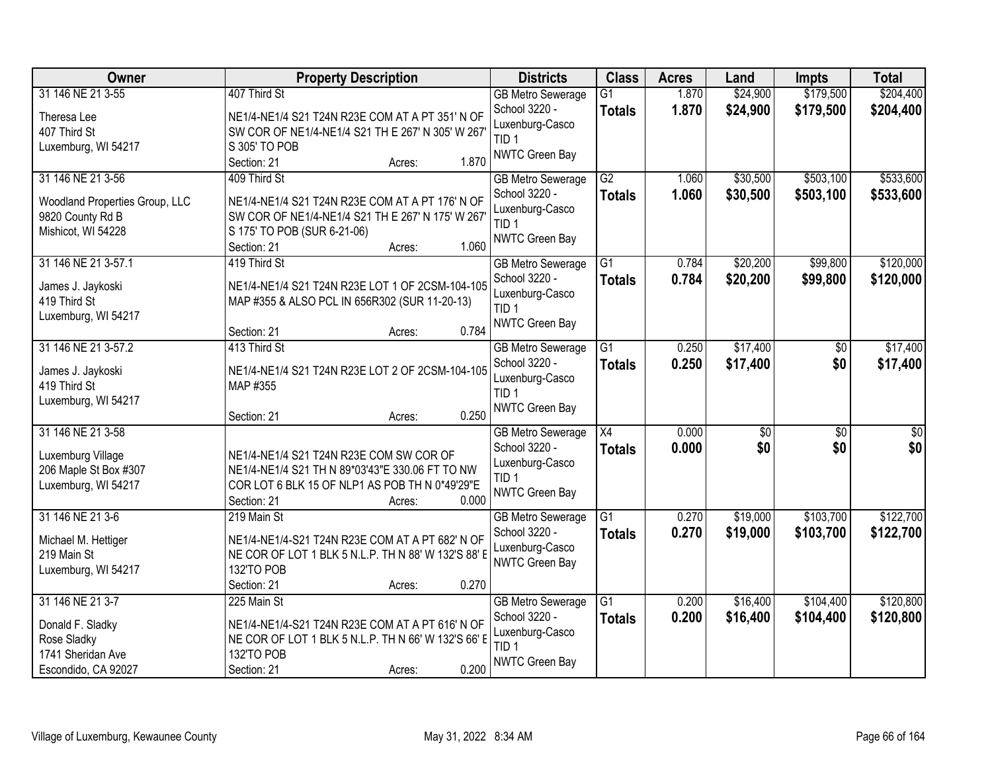| Owner                          | <b>Property Description</b>                         | <b>Districts</b>                          | <b>Class</b>                     | <b>Acres</b>   | Land                 | <b>Impts</b>           | <b>Total</b>           |
|--------------------------------|-----------------------------------------------------|-------------------------------------------|----------------------------------|----------------|----------------------|------------------------|------------------------|
| 31 146 NE 21 3-55              | 407 Third St                                        | <b>GB Metro Sewerage</b><br>School 3220 - | $\overline{G1}$<br><b>Totals</b> | 1.870<br>1.870 | \$24,900<br>\$24,900 | \$179,500<br>\$179,500 | \$204,400<br>\$204,400 |
| Theresa Lee                    | NE1/4-NE1/4 S21 T24N R23E COM AT A PT 351' N OF     | Luxenburg-Casco                           |                                  |                |                      |                        |                        |
| 407 Third St                   | SW COR OF NE1/4-NE1/4 S21 TH E 267' N 305' W 267    | TID <sub>1</sub>                          |                                  |                |                      |                        |                        |
| Luxemburg, WI 54217            | S 305' TO POB                                       | NWTC Green Bay                            |                                  |                |                      |                        |                        |
|                                | 1.870<br>Section: 21<br>Acres:                      |                                           |                                  |                |                      |                        |                        |
| 31 146 NE 21 3-56              | 409 Third St                                        | <b>GB Metro Sewerage</b>                  | G2                               | 1.060          | \$30,500             | \$503,100              | \$533,600              |
| Woodland Properties Group, LLC | NE1/4-NE1/4 S21 T24N R23E COM AT A PT 176' N OF     | School 3220 -                             | <b>Totals</b>                    | 1.060          | \$30,500             | \$503,100              | \$533,600              |
| 9820 County Rd B               | SW COR OF NE1/4-NE1/4 S21 TH E 267' N 175' W 267'   | Luxenburg-Casco                           |                                  |                |                      |                        |                        |
| Mishicot, WI 54228             | S 175' TO POB (SUR 6-21-06)                         | TID <sub>1</sub>                          |                                  |                |                      |                        |                        |
|                                | 1.060<br>Section: 21<br>Acres:                      | NWTC Green Bay                            |                                  |                |                      |                        |                        |
| 31 146 NE 21 3-57.1            | 419 Third St                                        | <b>GB Metro Sewerage</b>                  | $\overline{G1}$                  | 0.784          | \$20,200             | \$99,800               | \$120,000              |
| James J. Jaykoski              | NE1/4-NE1/4 S21 T24N R23E LOT 1 OF 2CSM-104-105     | School 3220 -                             | <b>Totals</b>                    | 0.784          | \$20,200             | \$99,800               | \$120,000              |
| 419 Third St                   | MAP #355 & ALSO PCL IN 656R302 (SUR 11-20-13)       | Luxenburg-Casco                           |                                  |                |                      |                        |                        |
| Luxemburg, WI 54217            |                                                     | TID <sub>1</sub>                          |                                  |                |                      |                        |                        |
|                                | 0.784<br>Section: 21<br>Acres:                      | <b>NWTC Green Bay</b>                     |                                  |                |                      |                        |                        |
| 31 146 NE 21 3-57.2            | 413 Third St                                        | <b>GB Metro Sewerage</b>                  | $\overline{G1}$                  | 0.250          | \$17,400             | \$0                    | \$17,400               |
|                                |                                                     | School 3220 -                             | <b>Totals</b>                    | 0.250          | \$17,400             | \$0                    | \$17,400               |
| James J. Jaykoski              | NE1/4-NE1/4 S21 T24N R23E LOT 2 OF 2CSM-104-105     | Luxenburg-Casco                           |                                  |                |                      |                        |                        |
| 419 Third St                   | MAP #355                                            | TID <sub>1</sub>                          |                                  |                |                      |                        |                        |
| Luxemburg, WI 54217            | 0.250<br>Section: 21                                | <b>NWTC Green Bay</b>                     |                                  |                |                      |                        |                        |
| 31 146 NE 21 3-58              | Acres:                                              |                                           | $\overline{X4}$                  | 0.000          |                      | $\overline{50}$        | $\overline{50}$        |
|                                |                                                     | <b>GB Metro Sewerage</b>                  |                                  |                | \$0                  |                        |                        |
| Luxemburg Village              | NE1/4-NE1/4 S21 T24N R23E COM SW COR OF             | School 3220 -                             | <b>Totals</b>                    | 0.000          | \$0                  | \$0                    | \$0                    |
| 206 Maple St Box #307          | NE1/4-NE1/4 S21 TH N 89*03'43"E 330.06 FT TO NW     | Luxenburg-Casco<br>TID <sub>1</sub>       |                                  |                |                      |                        |                        |
| Luxemburg, WI 54217            | COR LOT 6 BLK 15 OF NLP1 AS POB TH N 0*49'29"E      |                                           |                                  |                |                      |                        |                        |
|                                | Section: 21<br>0.000<br>Acres:                      | <b>NWTC Green Bay</b>                     |                                  |                |                      |                        |                        |
| 31 146 NE 21 3-6               | 219 Main St                                         | <b>GB Metro Sewerage</b>                  | $\overline{G1}$                  | 0.270          | \$19,000             | \$103,700              | \$122,700              |
| Michael M. Hettiger            | NE1/4-NE1/4-S21 T24N R23E COM AT A PT 682' N OF     | School 3220 -                             | <b>Totals</b>                    | 0.270          | \$19,000             | \$103,700              | \$122,700              |
| 219 Main St                    | NE COR OF LOT 1 BLK 5 N.L.P. TH N 88' W 132'S 88' E | Luxenburg-Casco                           |                                  |                |                      |                        |                        |
| Luxemburg, WI 54217            | 132'TO POB                                          | NWTC Green Bay                            |                                  |                |                      |                        |                        |
|                                | 0.270<br>Section: 21<br>Acres:                      |                                           |                                  |                |                      |                        |                        |
| 31 146 NE 21 3-7               | 225 Main St                                         | <b>GB Metro Sewerage</b>                  | $\overline{G1}$                  | 0.200          | \$16,400             | \$104,400              | \$120,800              |
|                                |                                                     | School 3220 -                             | <b>Totals</b>                    | 0.200          | \$16,400             | \$104,400              | \$120,800              |
| Donald F. Sladky               | NE1/4-NE1/4-S21 T24N R23E COM AT A PT 616' N OF     | Luxenburg-Casco                           |                                  |                |                      |                        |                        |
| Rose Sladky                    | NE COR OF LOT 1 BLK 5 N.L.P. TH N 66' W 132'S 66' E | TID <sub>1</sub>                          |                                  |                |                      |                        |                        |
| 1741 Sheridan Ave              | 132'TO POB                                          | NWTC Green Bay                            |                                  |                |                      |                        |                        |
| Escondido, CA 92027            | 0.200<br>Section: 21<br>Acres:                      |                                           |                                  |                |                      |                        |                        |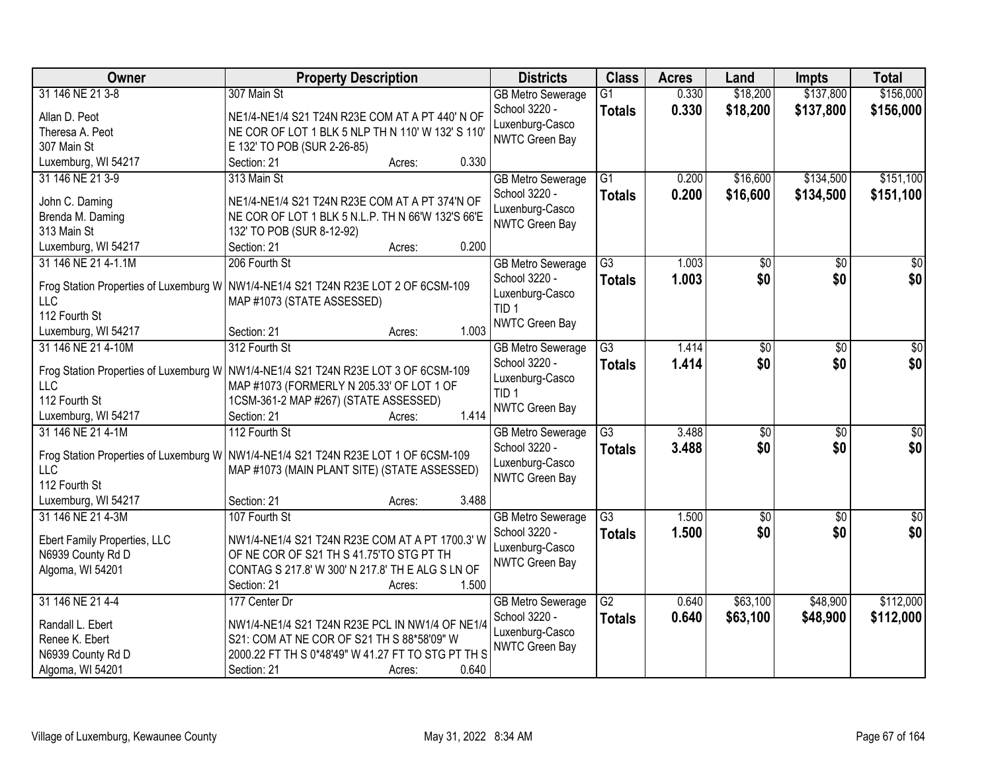| Owner                        | <b>Property Description</b>                                                          | <b>Districts</b>                    | <b>Class</b>    | <b>Acres</b> | Land            | <b>Impts</b>    | <b>Total</b>     |
|------------------------------|--------------------------------------------------------------------------------------|-------------------------------------|-----------------|--------------|-----------------|-----------------|------------------|
| 31 146 NE 21 3-8             | 307 Main St                                                                          | <b>GB Metro Sewerage</b>            | $\overline{G1}$ | 0.330        | \$18,200        | \$137,800       | \$156,000        |
| Allan D. Peot                | NE1/4-NE1/4 S21 T24N R23E COM AT A PT 440' N OF                                      | School 3220 -                       | <b>Totals</b>   | 0.330        | \$18,200        | \$137,800       | \$156,000        |
| Theresa A. Peot              | NE COR OF LOT 1 BLK 5 NLP TH N 110' W 132' S 110'                                    | Luxenburg-Casco                     |                 |              |                 |                 |                  |
| 307 Main St                  | E 132' TO POB (SUR 2-26-85)                                                          | NWTC Green Bay                      |                 |              |                 |                 |                  |
| Luxemburg, WI 54217          | 0.330<br>Section: 21<br>Acres:                                                       |                                     |                 |              |                 |                 |                  |
| 31 146 NE 21 3-9             | 313 Main St                                                                          | <b>GB Metro Sewerage</b>            | $\overline{G1}$ | 0.200        | \$16,600        | \$134,500       | \$151,100        |
|                              |                                                                                      | School 3220 -                       | <b>Totals</b>   | 0.200        | \$16,600        | \$134,500       | \$151,100        |
| John C. Daming               | NE1/4-NE1/4 S21 T24N R23E COM AT A PT 374'N OF                                       | Luxenburg-Casco                     |                 |              |                 |                 |                  |
| Brenda M. Daming             | NE COR OF LOT 1 BLK 5 N.L.P. TH N 66'W 132'S 66'E                                    | NWTC Green Bay                      |                 |              |                 |                 |                  |
| 313 Main St                  | 132' TO POB (SUR 8-12-92)<br>0.200                                                   |                                     |                 |              |                 |                 |                  |
| Luxemburg, WI 54217          | Section: 21<br>Acres:                                                                |                                     |                 |              |                 |                 |                  |
| 31 146 NE 21 4-1.1M          | 206 Fourth St                                                                        | <b>GB Metro Sewerage</b>            | $\overline{G3}$ | 1.003        | $\overline{50}$ | \$0             | $\overline{50}$  |
|                              | Frog Station Properties of Luxemburg W   NW1/4-NE1/4 S21 T24N R23E LOT 2 OF 6CSM-109 | School 3220 -                       | <b>Totals</b>   | 1.003        | \$0             | \$0             | \$0              |
| LLC                          | MAP #1073 (STATE ASSESSED)                                                           | Luxenburg-Casco<br>TID <sub>1</sub> |                 |              |                 |                 |                  |
| 112 Fourth St                |                                                                                      | NWTC Green Bay                      |                 |              |                 |                 |                  |
| Luxemburg, WI 54217          | 1.003<br>Section: 21<br>Acres:                                                       |                                     |                 |              |                 |                 |                  |
| 31 146 NE 21 4-10M           | 312 Fourth St                                                                        | <b>GB Metro Sewerage</b>            | $\overline{G3}$ | 1.414        | \$0             | \$0             | \$0              |
|                              | Frog Station Properties of Luxemburg W   NW1/4-NE1/4 S21 T24N R23E LOT 3 OF 6CSM-109 | School 3220 -                       | <b>Totals</b>   | 1.414        | \$0             | \$0             | \$0              |
| <b>LLC</b>                   | MAP #1073 (FORMERLY N 205.33' OF LOT 1 OF                                            | Luxenburg-Casco                     |                 |              |                 |                 |                  |
| 112 Fourth St                | 1CSM-361-2 MAP #267) (STATE ASSESSED)                                                | TID <sub>1</sub>                    |                 |              |                 |                 |                  |
| Luxemburg, WI 54217          | 1.414<br>Section: 21<br>Acres:                                                       | NWTC Green Bay                      |                 |              |                 |                 |                  |
| 31 146 NE 21 4-1M            | 112 Fourth St                                                                        | <b>GB Metro Sewerage</b>            | $\overline{G3}$ | 3.488        | $\overline{30}$ | $\overline{30}$ | $\overline{\$0}$ |
|                              |                                                                                      | School 3220 -                       | Totals          | 3.488        | \$0             | \$0             | \$0              |
|                              | Frog Station Properties of Luxemburg W   NW1/4-NE1/4 S21 T24N R23E LOT 1 OF 6CSM-109 | Luxenburg-Casco                     |                 |              |                 |                 |                  |
| <b>LLC</b>                   | MAP #1073 (MAIN PLANT SITE) (STATE ASSESSED)                                         | NWTC Green Bay                      |                 |              |                 |                 |                  |
| 112 Fourth St                |                                                                                      |                                     |                 |              |                 |                 |                  |
| Luxemburg, WI 54217          | 3.488<br>Section: 21<br>Acres:                                                       |                                     |                 |              |                 |                 |                  |
| 31 146 NE 21 4-3M            | 107 Fourth St                                                                        | <b>GB Metro Sewerage</b>            | $\overline{G3}$ | 1.500        | $\sqrt{$0}$     | $\sqrt{6}$      | $\sqrt{50}$      |
| Ebert Family Properties, LLC | NW1/4-NE1/4 S21 T24N R23E COM AT A PT 1700.3' W                                      | School 3220 -                       | <b>Totals</b>   | 1.500        | \$0             | \$0             | \$0              |
| N6939 County Rd D            | OF NE COR OF S21 TH S 41.75'TO STG PT TH                                             | Luxenburg-Casco                     |                 |              |                 |                 |                  |
| Algoma, WI 54201             | CONTAG S 217.8' W 300' N 217.8' TH E ALG S LN OF                                     | NWTC Green Bay                      |                 |              |                 |                 |                  |
|                              | 1.500<br>Section: 21<br>Acres:                                                       |                                     |                 |              |                 |                 |                  |
| 31 146 NE 21 4-4             | 177 Center Dr                                                                        | <b>GB Metro Sewerage</b>            | $\overline{G2}$ | 0.640        | \$63,100        | \$48,900        | \$112,000        |
|                              |                                                                                      | School 3220 -                       | <b>Totals</b>   | 0.640        | \$63,100        | \$48,900        | \$112,000        |
| Randall L. Ebert             | NW1/4-NE1/4 S21 T24N R23E PCL IN NW1/4 OF NE1/4                                      | Luxenburg-Casco                     |                 |              |                 |                 |                  |
| Renee K. Ebert               | S21: COM AT NE COR OF S21 TH S 88*58'09" W                                           | NWTC Green Bay                      |                 |              |                 |                 |                  |
| N6939 County Rd D            | 2000.22 FT TH S 0*48'49" W 41.27 FT TO STG PT TH S                                   |                                     |                 |              |                 |                 |                  |
| Algoma, WI 54201             | 0.640<br>Section: 21<br>Acres:                                                       |                                     |                 |              |                 |                 |                  |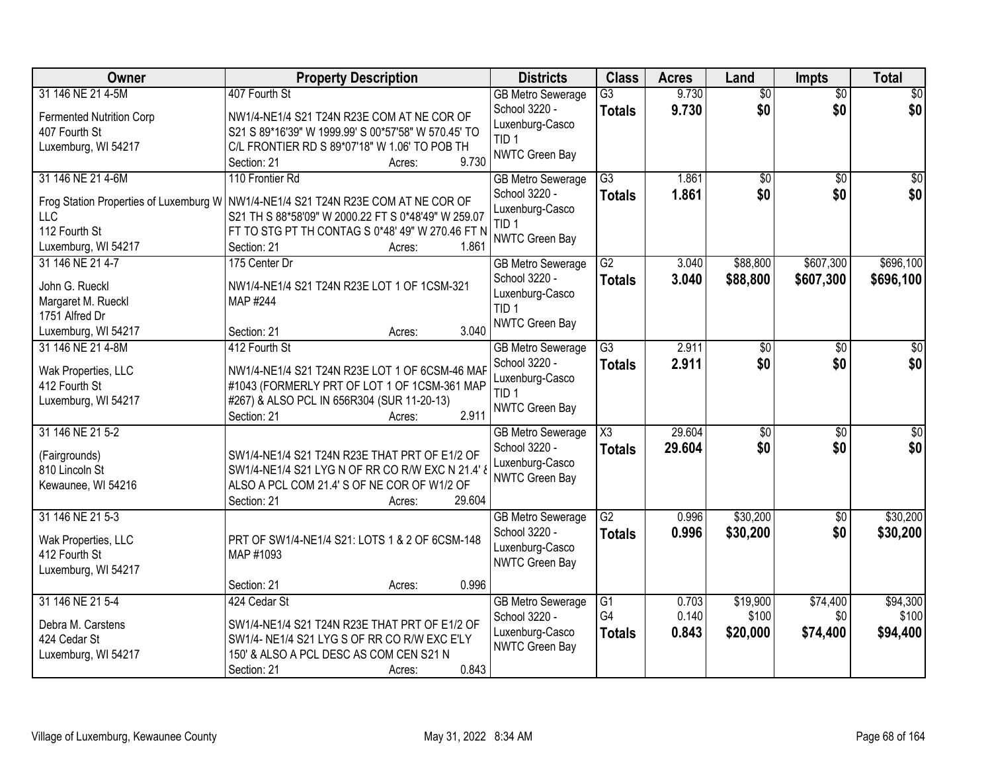| Owner                                | <b>Property Description</b>                                                                | <b>Districts</b>                          | <b>Class</b>        | <b>Acres</b> | Land            | <b>Impts</b>    | <b>Total</b>    |
|--------------------------------------|--------------------------------------------------------------------------------------------|-------------------------------------------|---------------------|--------------|-----------------|-----------------|-----------------|
| 31 146 NE 21 4-5M                    | 407 Fourth St                                                                              | <b>GB Metro Sewerage</b>                  | $\overline{G3}$     | 9.730        | $\overline{50}$ | $\overline{50}$ | $\sqrt{30}$     |
| <b>Fermented Nutrition Corp</b>      | NW1/4-NE1/4 S21 T24N R23E COM AT NE COR OF                                                 | School 3220 -                             | <b>Totals</b>       | 9.730        | \$0             | \$0             | \$0             |
| 407 Fourth St                        | S21 S 89*16'39" W 1999.99' S 00*57'58" W 570.45' TO                                        | Luxenburg-Casco                           |                     |              |                 |                 |                 |
| Luxemburg, WI 54217                  | C/L FRONTIER RD S 89*07'18" W 1.06' TO POB TH                                              | TID <sub>1</sub>                          |                     |              |                 |                 |                 |
|                                      | 9.730<br>Section: 21<br>Acres:                                                             | NWTC Green Bay                            |                     |              |                 |                 |                 |
| 31 146 NE 21 4-6M                    | 110 Frontier Rd                                                                            | <b>GB Metro Sewerage</b>                  | $\overline{G3}$     | 1.861        | $\overline{50}$ | $\overline{30}$ | $\overline{50}$ |
|                                      | Frog Station Properties of Luxemburg W   NW1/4-NE1/4 S21 T24N R23E COM AT NE COR OF        | School 3220 -                             | <b>Totals</b>       | 1.861        | \$0             | \$0             | \$0             |
| LLC                                  | S21 TH S 88*58'09" W 2000.22 FT S 0*48'49" W 259.07                                        | Luxenburg-Casco                           |                     |              |                 |                 |                 |
| 112 Fourth St                        | FT TO STG PT TH CONTAG S 0*48' 49" W 270.46 FT N                                           | TID <sub>1</sub>                          |                     |              |                 |                 |                 |
| Luxemburg, WI 54217                  | 1.861<br>Section: 21<br>Acres:                                                             | NWTC Green Bay                            |                     |              |                 |                 |                 |
| 31 146 NE 21 4-7                     | 175 Center Dr                                                                              | <b>GB Metro Sewerage</b>                  | $\overline{G2}$     | 3.040        | \$88,800        | \$607,300       | \$696,100       |
| John G. Rueckl                       | NW1/4-NE1/4 S21 T24N R23E LOT 1 OF 1CSM-321                                                | School 3220 -                             | <b>Totals</b>       | 3.040        | \$88,800        | \$607,300       | \$696,100       |
| Margaret M. Rueckl                   | MAP #244                                                                                   | Luxenburg-Casco                           |                     |              |                 |                 |                 |
| 1751 Alfred Dr                       |                                                                                            | TID <sub>1</sub>                          |                     |              |                 |                 |                 |
| Luxemburg, WI 54217                  | 3.040<br>Section: 21<br>Acres:                                                             | NWTC Green Bay                            |                     |              |                 |                 |                 |
| 31 146 NE 21 4-8M                    | 412 Fourth St                                                                              | <b>GB</b> Metro Sewerage                  | $\overline{G3}$     | 2.911        | \$0             | \$0             | \$0             |
|                                      |                                                                                            | School 3220 -                             | <b>Totals</b>       | 2.911        | \$0             | \$0             | \$0             |
| Wak Properties, LLC                  | NW1/4-NE1/4 S21 T24N R23E LOT 1 OF 6CSM-46 MAF                                             | Luxenburg-Casco                           |                     |              |                 |                 |                 |
| 412 Fourth St<br>Luxemburg, WI 54217 | #1043 (FORMERLY PRT OF LOT 1 OF 1CSM-361 MAP<br>#267) & ALSO PCL IN 656R304 (SUR 11-20-13) | TID 1                                     |                     |              |                 |                 |                 |
|                                      | 2.911<br>Section: 21<br>Acres:                                                             | NWTC Green Bay                            |                     |              |                 |                 |                 |
| 31 146 NE 21 5-2                     |                                                                                            | <b>GB</b> Metro Sewerage                  | $\overline{\chi_3}$ | 29.604       | $\overline{30}$ | $\overline{30}$ | \$0             |
|                                      |                                                                                            | School 3220 -                             | Totals              | 29.604       | \$0             | \$0             | \$0             |
| (Fairgrounds)                        | SW1/4-NE1/4 S21 T24N R23E THAT PRT OF E1/2 OF                                              | Luxenburg-Casco                           |                     |              |                 |                 |                 |
| 810 Lincoln St                       | SW1/4-NE1/4 S21 LYG N OF RR CO R/W EXC N 21.4' &                                           | NWTC Green Bay                            |                     |              |                 |                 |                 |
| Kewaunee, WI 54216                   | ALSO A PCL COM 21.4' S OF NE COR OF W1/2 OF                                                |                                           |                     |              |                 |                 |                 |
|                                      | 29.604<br>Section: 21<br>Acres:                                                            |                                           | $\overline{G2}$     |              |                 |                 |                 |
| 31 146 NE 21 5-3                     |                                                                                            | <b>GB Metro Sewerage</b><br>School 3220 - |                     | 0.996        | \$30,200        | $\overline{60}$ | \$30,200        |
| Wak Properties, LLC                  | PRT OF SW1/4-NE1/4 S21: LOTS 1 & 2 OF 6CSM-148                                             | Luxenburg-Casco                           | <b>Totals</b>       | 0.996        | \$30,200        | \$0             | \$30,200        |
| 412 Fourth St                        | MAP #1093                                                                                  | NWTC Green Bay                            |                     |              |                 |                 |                 |
| Luxemburg, WI 54217                  |                                                                                            |                                           |                     |              |                 |                 |                 |
|                                      | 0.996<br>Section: 21<br>Acres:                                                             |                                           |                     |              |                 |                 |                 |
| 31 146 NE 21 5-4                     | 424 Cedar St                                                                               | <b>GB Metro Sewerage</b>                  | $\overline{G1}$     | 0.703        | \$19,900        | \$74,400        | \$94,300        |
| Debra M. Carstens                    | SW1/4-NE1/4 S21 T24N R23E THAT PRT OF E1/2 OF                                              | School 3220 -                             | G4                  | 0.140        | \$100           | \$0             | \$100           |
| 424 Cedar St                         | SW1/4- NE1/4 S21 LYG S OF RR CO R/W EXC E'LY                                               | Luxenburg-Casco                           | <b>Totals</b>       | 0.843        | \$20,000        | \$74,400        | \$94,400        |
| Luxemburg, WI 54217                  | 150' & ALSO A PCL DESC AS COM CEN S21 N                                                    | NWTC Green Bay                            |                     |              |                 |                 |                 |
|                                      | 0.843<br>Section: 21<br>Acres:                                                             |                                           |                     |              |                 |                 |                 |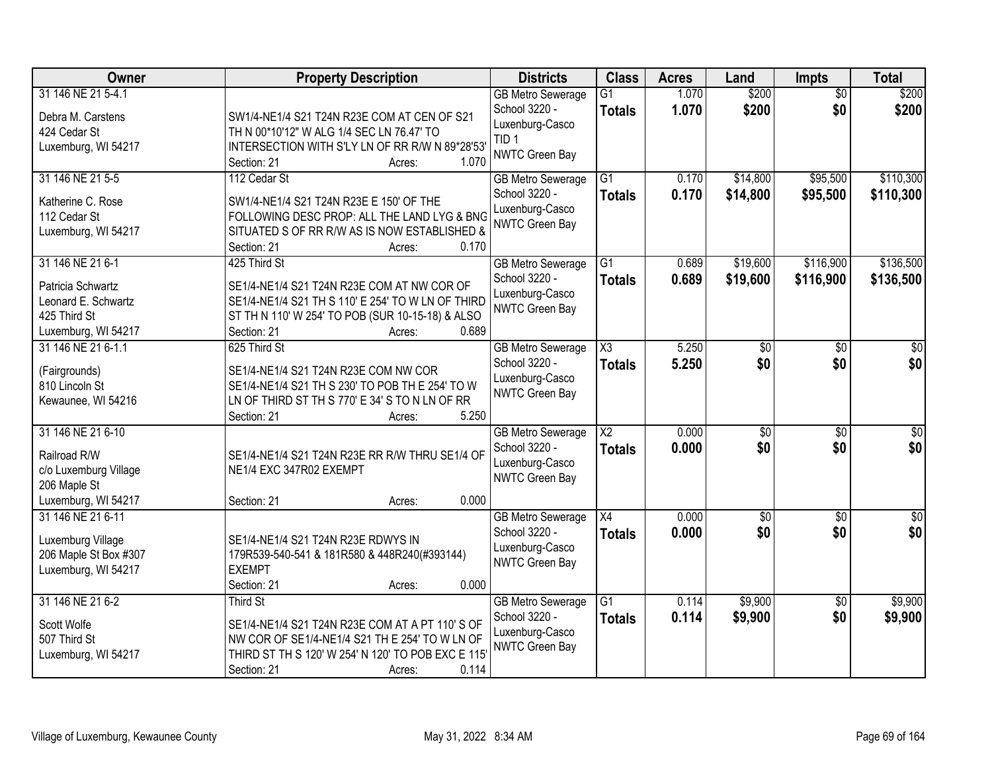| Owner                                                                                               | <b>Property Description</b>                                                                                                                                                                           | <b>Districts</b>                                                                                   | <b>Class</b>                     | <b>Acres</b>   | Land                   | <b>Impts</b>           | <b>Total</b>            |
|-----------------------------------------------------------------------------------------------------|-------------------------------------------------------------------------------------------------------------------------------------------------------------------------------------------------------|----------------------------------------------------------------------------------------------------|----------------------------------|----------------|------------------------|------------------------|-------------------------|
| 31 146 NE 21 5-4.1<br>Debra M. Carstens<br>424 Cedar St<br>Luxemburg, WI 54217                      | SW1/4-NE1/4 S21 T24N R23E COM AT CEN OF S21<br>TH N 00*10'12" W ALG 1/4 SEC LN 76.47' TO<br>INTERSECTION WITH S'LY LN OF RR R/W N 89*28'53'<br>1.070<br>Section: 21<br>Acres:                         | <b>GB Metro Sewerage</b><br>School 3220 -<br>Luxenburg-Casco<br>TID <sub>1</sub><br>NWTC Green Bay | $\overline{G1}$<br><b>Totals</b> | 1.070<br>1.070 | \$200<br>\$200         | $\overline{50}$<br>\$0 | \$200<br>\$200          |
| 31 146 NE 21 5-5<br>Katherine C. Rose<br>112 Cedar St<br>Luxemburg, WI 54217                        | 112 Cedar St<br>SW1/4-NE1/4 S21 T24N R23E E 150' OF THE<br>FOLLOWING DESC PROP: ALL THE LAND LYG & BNG<br>SITUATED S OF RR R/W AS IS NOW ESTABLISHED &<br>0.170<br>Section: 21<br>Acres:              | <b>GB Metro Sewerage</b><br>School 3220 -<br>Luxenburg-Casco<br>NWTC Green Bay                     | $\overline{G1}$<br><b>Totals</b> | 0.170<br>0.170 | \$14,800<br>\$14,800   | \$95,500<br>\$95,500   | \$110,300<br>\$110,300  |
| 31 146 NE 21 6-1<br>Patricia Schwartz<br>Leonard E. Schwartz<br>425 Third St<br>Luxemburg, WI 54217 | 425 Third St<br>SE1/4-NE1/4 S21 T24N R23E COM AT NW COR OF<br>SE1/4-NE1/4 S21 TH S 110' E 254' TO W LN OF THIRD<br>ST TH N 110' W 254' TO POB (SUR 10-15-18) & ALSO<br>0.689<br>Section: 21<br>Acres: | <b>GB Metro Sewerage</b><br>School 3220 -<br>Luxenburg-Casco<br>NWTC Green Bay                     | $\overline{G1}$<br>Totals        | 0.689<br>0.689 | \$19,600<br>\$19,600   | \$116,900<br>\$116,900 | \$136,500<br>\$136,500  |
| 31 146 NE 21 6-1.1<br>(Fairgrounds)<br>810 Lincoln St<br>Kewaunee, WI 54216                         | 625 Third St<br>SE1/4-NE1/4 S21 T24N R23E COM NW COR<br>SE1/4-NE1/4 S21 TH S 230' TO POB TH E 254' TO W<br>LN OF THIRD ST TH S 770' E 34' S TO N LN OF RR<br>5.250<br>Section: 21<br>Acres:           | <b>GB Metro Sewerage</b><br>School 3220 -<br>Luxenburg-Casco<br>NWTC Green Bay                     | X3<br><b>Totals</b>              | 5.250<br>5.250 | \$0<br>\$0             | \$0<br>\$0             | \$0<br>\$0              |
| 31 146 NE 21 6-10<br>Railroad R/W<br>c/o Luxemburg Village<br>206 Maple St<br>Luxemburg, WI 54217   | SE1/4-NE1/4 S21 T24N R23E RR R/W THRU SE1/4 OF<br>NE1/4 EXC 347R02 EXEMPT<br>0.000<br>Section: 21<br>Acres:                                                                                           | <b>GB Metro Sewerage</b><br>School 3220 -<br>Luxenburg-Casco<br>NWTC Green Bay                     | $\overline{\text{X2}}$<br>Totals | 0.000<br>0.000 | $\overline{30}$<br>\$0 | $\overline{30}$<br>\$0 | $\overline{\$0}$<br>\$0 |
| 31 146 NE 21 6-11<br>Luxemburg Village<br>206 Maple St Box #307<br>Luxemburg, WI 54217              | SE1/4-NE1/4 S21 T24N R23E RDWYS IN<br>179R539-540-541 & 181R580 & 448R240(#393144)<br><b>EXEMPT</b><br>Section: 21<br>0.000<br>Acres:                                                                 | <b>GB Metro Sewerage</b><br>School 3220 -<br>Luxenburg-Casco<br>NWTC Green Bay                     | $\overline{X4}$<br><b>Totals</b> | 0.000<br>0.000 | $\sqrt{$0}$<br>\$0     | $\sqrt{6}$<br>\$0      | $\sqrt{50}$<br>\$0      |
| 31 146 NE 21 6-2<br>Scott Wolfe<br>507 Third St<br>Luxemburg, WI 54217                              | Third St<br>SE1/4-NE1/4 S21 T24N R23E COM AT A PT 110'S OF<br>NW COR OF SE1/4-NE1/4 S21 TH E 254' TO W LN OF<br>THIRD ST TH S 120' W 254' N 120' TO POB EXC E 115<br>0.114<br>Section: 21<br>Acres:   | <b>GB Metro Sewerage</b><br>School 3220 -<br>Luxenburg-Casco<br>NWTC Green Bay                     | $\overline{G1}$<br><b>Totals</b> | 0.114<br>0.114 | \$9,900<br>\$9,900     | $\overline{30}$<br>\$0 | \$9,900<br>\$9,900      |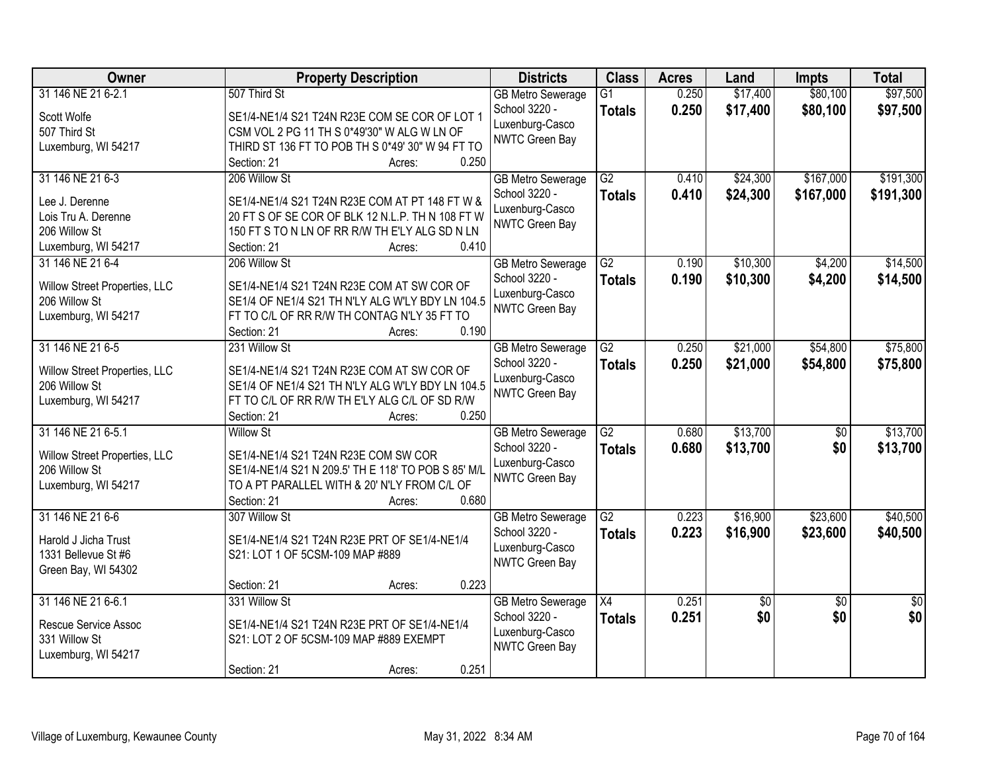| <b>Owner</b>                  | <b>Property Description</b>                                                                        | <b>Districts</b>                  | <b>Class</b>    | <b>Acres</b> | Land        | <b>Impts</b>    | <b>Total</b>    |
|-------------------------------|----------------------------------------------------------------------------------------------------|-----------------------------------|-----------------|--------------|-------------|-----------------|-----------------|
| 31 146 NE 21 6-2.1            | 507 Third St                                                                                       | <b>GB Metro Sewerage</b>          | G1              | 0.250        | \$17,400    | \$80,100        | \$97,500        |
| Scott Wolfe                   | SE1/4-NE1/4 S21 T24N R23E COM SE COR OF LOT 1                                                      | School 3220 -                     | <b>Totals</b>   | 0.250        | \$17,400    | \$80,100        | \$97,500        |
| 507 Third St                  | CSM VOL 2 PG 11 TH S 0*49'30" W ALG W LN OF                                                        | Luxenburg-Casco                   |                 |              |             |                 |                 |
| Luxemburg, WI 54217           | THIRD ST 136 FT TO POB TH S 0*49' 30" W 94 FT TO                                                   | <b>NWTC Green Bay</b>             |                 |              |             |                 |                 |
|                               | 0.250<br>Section: 21<br>Acres:                                                                     |                                   |                 |              |             |                 |                 |
| 31 146 NE 21 6-3              | 206 Willow St                                                                                      | <b>GB Metro Sewerage</b>          | $\overline{G2}$ | 0.410        | \$24,300    | \$167,000       | \$191,300       |
| Lee J. Derenne                |                                                                                                    | School 3220 -                     | <b>Totals</b>   | 0.410        | \$24,300    | \$167,000       | \$191,300       |
| Lois Tru A. Derenne           | SE1/4-NE1/4 S21 T24N R23E COM AT PT 148 FT W &<br>20 FT S OF SE COR OF BLK 12 N.L.P. TH N 108 FT W | Luxenburg-Casco                   |                 |              |             |                 |                 |
| 206 Willow St                 | 150 FT S TO N LN OF RR R/W TH E'LY ALG SD N LN                                                     | <b>NWTC Green Bay</b>             |                 |              |             |                 |                 |
| Luxemburg, WI 54217           | 0.410<br>Section: 21<br>Acres:                                                                     |                                   |                 |              |             |                 |                 |
| 31 146 NE 21 6-4              | 206 Willow St                                                                                      | <b>GB Metro Sewerage</b>          | G2              | 0.190        | \$10,300    | \$4,200         | \$14,500        |
|                               |                                                                                                    | School 3220 -                     | <b>Totals</b>   | 0.190        | \$10,300    | \$4,200         | \$14,500        |
| Willow Street Properties, LLC | SE1/4-NE1/4 S21 T24N R23E COM AT SW COR OF                                                         | Luxenburg-Casco                   |                 |              |             |                 |                 |
| 206 Willow St                 | SE1/4 OF NE1/4 S21 TH N'LY ALG W'LY BDY LN 104.5                                                   | NWTC Green Bay                    |                 |              |             |                 |                 |
| Luxemburg, WI 54217           | FT TO C/L OF RR R/W TH CONTAG N'LY 35 FT TO                                                        |                                   |                 |              |             |                 |                 |
|                               | 0.190<br>Section: 21<br>Acres:                                                                     |                                   |                 |              |             |                 |                 |
| 31 146 NE 21 6-5              | 231 Willow St                                                                                      | <b>GB Metro Sewerage</b>          | G2              | 0.250        | \$21,000    | \$54,800        | \$75,800        |
| Willow Street Properties, LLC | SE1/4-NE1/4 S21 T24N R23E COM AT SW COR OF                                                         | School 3220 -                     | <b>Totals</b>   | 0.250        | \$21,000    | \$54,800        | \$75,800        |
| 206 Willow St                 | SE1/4 OF NE1/4 S21 TH N'LY ALG W'LY BDY LN 104.5                                                   | Luxenburg-Casco<br>NWTC Green Bay |                 |              |             |                 |                 |
| Luxemburg, WI 54217           | FT TO C/L OF RR R/W TH E'LY ALG C/L OF SD R/W                                                      |                                   |                 |              |             |                 |                 |
|                               | 0.250<br>Section: 21<br>Acres:                                                                     |                                   |                 |              |             |                 |                 |
| 31 146 NE 21 6-5.1            | <b>Willow St</b>                                                                                   | <b>GB Metro Sewerage</b>          | $\overline{G2}$ | 0.680        | \$13,700    | $\overline{50}$ | \$13,700        |
| Willow Street Properties, LLC | SE1/4-NE1/4 S21 T24N R23E COM SW COR                                                               | School 3220 -                     | <b>Totals</b>   | 0.680        | \$13,700    | \$0             | \$13,700        |
| 206 Willow St                 | SE1/4-NE1/4 S21 N 209.5' TH E 118' TO POB S 85' M/L                                                | Luxenburg-Casco                   |                 |              |             |                 |                 |
| Luxemburg, WI 54217           | TO A PT PARALLEL WITH & 20' N'LY FROM C/L OF                                                       | NWTC Green Bay                    |                 |              |             |                 |                 |
|                               | 0.680<br>Section: 21<br>Acres:                                                                     |                                   |                 |              |             |                 |                 |
| 31 146 NE 21 6-6              | 307 Willow St                                                                                      | <b>GB Metro Sewerage</b>          | G2              | 0.223        | \$16,900    | \$23,600        | \$40,500        |
| Harold J Jicha Trust          | SE1/4-NE1/4 S21 T24N R23E PRT OF SE1/4-NE1/4                                                       | School 3220 -                     | <b>Totals</b>   | 0.223        | \$16,900    | \$23,600        | \$40,500        |
| 1331 Bellevue St #6           | S21: LOT 1 OF 5CSM-109 MAP #889                                                                    | Luxenburg-Casco                   |                 |              |             |                 |                 |
| Green Bay, WI 54302           |                                                                                                    | NWTC Green Bay                    |                 |              |             |                 |                 |
|                               | 0.223<br>Section: 21<br>Acres:                                                                     |                                   |                 |              |             |                 |                 |
| 31 146 NE 21 6-6.1            | 331 Willow St                                                                                      | <b>GB Metro Sewerage</b>          | X4              | 0.251        | $\sqrt{$0}$ | $\overline{50}$ | $\overline{50}$ |
|                               |                                                                                                    | School 3220 -                     | <b>Totals</b>   | 0.251        | \$0         | \$0             | \$0             |
| Rescue Service Assoc          | SE1/4-NE1/4 S21 T24N R23E PRT OF SE1/4-NE1/4                                                       | Luxenburg-Casco                   |                 |              |             |                 |                 |
| 331 Willow St                 | S21: LOT 2 OF 5CSM-109 MAP #889 EXEMPT                                                             | NWTC Green Bay                    |                 |              |             |                 |                 |
| Luxemburg, WI 54217           | 0.251<br>Section: 21                                                                               |                                   |                 |              |             |                 |                 |
|                               | Acres:                                                                                             |                                   |                 |              |             |                 |                 |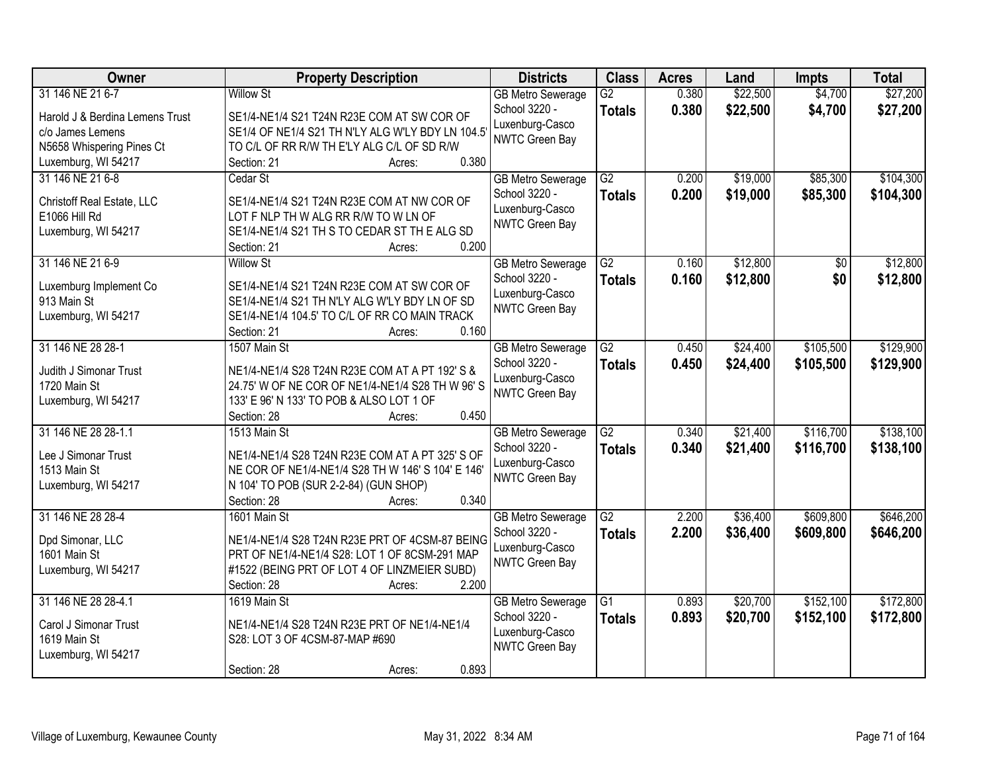| Owner                           | <b>Property Description</b>                       | <b>Districts</b>                          | <b>Class</b>    | <b>Acres</b> | Land     | <b>Impts</b>    | <b>Total</b> |
|---------------------------------|---------------------------------------------------|-------------------------------------------|-----------------|--------------|----------|-----------------|--------------|
| 31 146 NE 21 6-7                | <b>Willow St</b>                                  | <b>GB Metro Sewerage</b>                  | $\overline{G2}$ | 0.380        | \$22,500 | \$4,700         | \$27,200     |
| Harold J & Berdina Lemens Trust | SE1/4-NE1/4 S21 T24N R23E COM AT SW COR OF        | School 3220 -                             | <b>Totals</b>   | 0.380        | \$22,500 | \$4,700         | \$27,200     |
| c/o James Lemens                | SE1/4 OF NE1/4 S21 TH N'LY ALG W'LY BDY LN 104.5  | Luxenburg-Casco                           |                 |              |          |                 |              |
| N5658 Whispering Pines Ct       | TO C/L OF RR R/W TH E'LY ALG C/L OF SD R/W        | <b>NWTC Green Bay</b>                     |                 |              |          |                 |              |
| Luxemburg, WI 54217             | 0.380<br>Section: 21<br>Acres:                    |                                           |                 |              |          |                 |              |
| 31 146 NE 21 6-8                | Cedar St                                          | <b>GB</b> Metro Sewerage                  | $\overline{G2}$ | 0.200        | \$19,000 | \$85,300        | \$104,300    |
| Christoff Real Estate, LLC      | SE1/4-NE1/4 S21 T24N R23E COM AT NW COR OF        | School 3220 -                             | <b>Totals</b>   | 0.200        | \$19,000 | \$85,300        | \$104,300    |
| E1066 Hill Rd                   | LOT F NLP TH W ALG RR R/W TO W LN OF              | Luxenburg-Casco                           |                 |              |          |                 |              |
| Luxemburg, WI 54217             | SE1/4-NE1/4 S21 TH S TO CEDAR ST THE ALG SD       | NWTC Green Bay                            |                 |              |          |                 |              |
|                                 | 0.200<br>Section: 21<br>Acres:                    |                                           |                 |              |          |                 |              |
| 31 146 NE 21 6-9                | <b>Willow St</b>                                  | <b>GB Metro Sewerage</b>                  | $\overline{G2}$ | 0.160        | \$12,800 | $\overline{50}$ | \$12,800     |
|                                 |                                                   | School 3220 -                             | <b>Totals</b>   | 0.160        | \$12,800 | \$0             | \$12,800     |
| Luxemburg Implement Co          | SE1/4-NE1/4 S21 T24N R23E COM AT SW COR OF        | Luxenburg-Casco                           |                 |              |          |                 |              |
| 913 Main St                     | SE1/4-NE1/4 S21 TH N'LY ALG W'LY BDY LN OF SD     | NWTC Green Bay                            |                 |              |          |                 |              |
| Luxemburg, WI 54217             | SE1/4-NE1/4 104.5' TO C/L OF RR CO MAIN TRACK     |                                           |                 |              |          |                 |              |
| 31 146 NE 28 28-1               | 0.160<br>Section: 21<br>Acres:<br>1507 Main St    |                                           | $\overline{G2}$ |              |          | \$105,500       |              |
|                                 |                                                   | <b>GB Metro Sewerage</b><br>School 3220 - |                 | 0.450        | \$24,400 |                 | \$129,900    |
| Judith J Simonar Trust          | NE1/4-NE1/4 S28 T24N R23E COM AT A PT 192' S &    | Luxenburg-Casco                           | <b>Totals</b>   | 0.450        | \$24,400 | \$105,500       | \$129,900    |
| 1720 Main St                    | 24.75' W OF NE COR OF NE1/4-NE1/4 S28 TH W 96' S  | <b>NWTC Green Bay</b>                     |                 |              |          |                 |              |
| Luxemburg, WI 54217             | 133' E 96' N 133' TO POB & ALSO LOT 1 OF          |                                           |                 |              |          |                 |              |
|                                 | 0.450<br>Section: 28<br>Acres:                    |                                           |                 |              |          |                 |              |
| 31 146 NE 28 28-1.1             | 1513 Main St                                      | <b>GB Metro Sewerage</b>                  | $\overline{G2}$ | 0.340        | \$21,400 | \$116,700       | \$138,100    |
| Lee J Simonar Trust             | NE1/4-NE1/4 S28 T24N R23E COM AT A PT 325' S OF   | School 3220 -                             | <b>Totals</b>   | 0.340        | \$21,400 | \$116,700       | \$138,100    |
| 1513 Main St                    | NE COR OF NE1/4-NE1/4 S28 TH W 146' S 104' E 146' | Luxenburg-Casco                           |                 |              |          |                 |              |
| Luxemburg, WI 54217             | N 104' TO POB (SUR 2-2-84) (GUN SHOP)             | <b>NWTC Green Bay</b>                     |                 |              |          |                 |              |
|                                 | Section: 28<br>0.340<br>Acres:                    |                                           |                 |              |          |                 |              |
| 31 146 NE 28 28-4               | 1601 Main St                                      | <b>GB Metro Sewerage</b>                  | $\overline{G2}$ | 2.200        | \$36,400 | \$609,800       | \$646,200    |
| Dpd Simonar, LLC                | NE1/4-NE1/4 S28 T24N R23E PRT OF 4CSM-87 BEING    | School 3220 -                             | <b>Totals</b>   | 2.200        | \$36,400 | \$609,800       | \$646,200    |
| 1601 Main St                    | PRT OF NE1/4-NE1/4 S28: LOT 1 OF 8CSM-291 MAP     | Luxenburg-Casco                           |                 |              |          |                 |              |
| Luxemburg, WI 54217             | #1522 (BEING PRT OF LOT 4 OF LINZMEIER SUBD)      | NWTC Green Bay                            |                 |              |          |                 |              |
|                                 | 2.200<br>Section: 28<br>Acres:                    |                                           |                 |              |          |                 |              |
| 31 146 NE 28 28-4.1             | 1619 Main St                                      | <b>GB Metro Sewerage</b>                  | $\overline{G1}$ | 0.893        | \$20,700 | \$152,100       | \$172,800    |
|                                 |                                                   | School 3220 -                             | <b>Totals</b>   | 0.893        | \$20,700 | \$152,100       | \$172,800    |
| Carol J Simonar Trust           | NE1/4-NE1/4 S28 T24N R23E PRT OF NE1/4-NE1/4      | Luxenburg-Casco                           |                 |              |          |                 |              |
| 1619 Main St                    | S28: LOT 3 OF 4CSM-87-MAP #690                    | NWTC Green Bay                            |                 |              |          |                 |              |
| Luxemburg, WI 54217             |                                                   |                                           |                 |              |          |                 |              |
|                                 | 0.893<br>Section: 28<br>Acres:                    |                                           |                 |              |          |                 |              |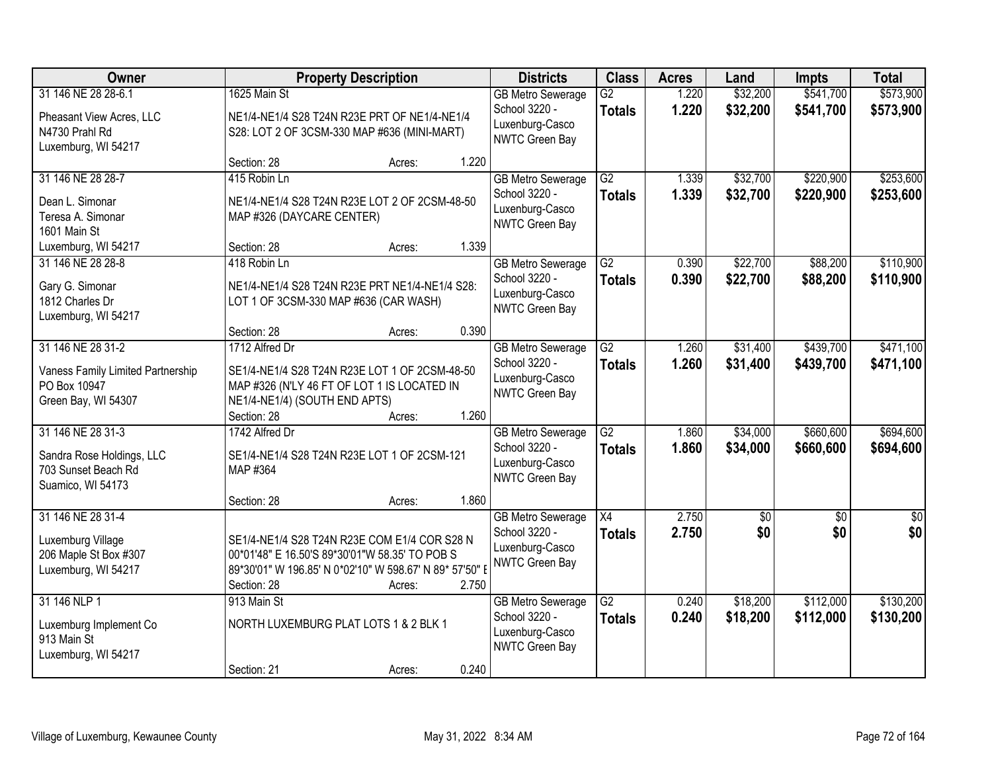| Owner                                                                                         |                                                                                                                                                                          | <b>Property Description</b> |       | <b>Districts</b>                                                                      | <b>Class</b>                     | <b>Acres</b>   | Land                   | Impts                  | <b>Total</b>           |
|-----------------------------------------------------------------------------------------------|--------------------------------------------------------------------------------------------------------------------------------------------------------------------------|-----------------------------|-------|---------------------------------------------------------------------------------------|----------------------------------|----------------|------------------------|------------------------|------------------------|
| 31 146 NE 28 28-6.1                                                                           | 1625 Main St                                                                                                                                                             |                             |       | <b>GB Metro Sewerage</b><br>School 3220 -                                             | G2<br><b>Totals</b>              | 1.220<br>1.220 | \$32,200<br>\$32,200   | \$541,700<br>\$541,700 | \$573,900<br>\$573,900 |
| Pheasant View Acres, LLC<br>N4730 Prahl Rd<br>Luxemburg, WI 54217                             | NE1/4-NE1/4 S28 T24N R23E PRT OF NE1/4-NE1/4<br>S28: LOT 2 OF 3CSM-330 MAP #636 (MINI-MART)                                                                              |                             |       | Luxenburg-Casco<br>NWTC Green Bay                                                     |                                  |                |                        |                        |                        |
|                                                                                               | Section: 28                                                                                                                                                              | Acres:                      | 1.220 |                                                                                       |                                  |                |                        |                        |                        |
| 31 146 NE 28 28-7<br>Dean L. Simonar<br>Teresa A. Simonar<br>1601 Main St                     | 415 Robin Ln<br>NE1/4-NE1/4 S28 T24N R23E LOT 2 OF 2CSM-48-50<br>MAP #326 (DAYCARE CENTER)                                                                               |                             |       | <b>GB Metro Sewerage</b><br>School 3220 -<br>Luxenburg-Casco<br><b>NWTC Green Bay</b> | G2<br><b>Totals</b>              | 1.339<br>1.339 | \$32,700<br>\$32,700   | \$220,900<br>\$220,900 | \$253,600<br>\$253,600 |
| Luxemburg, WI 54217                                                                           | Section: 28                                                                                                                                                              | Acres:                      | 1.339 |                                                                                       |                                  |                |                        |                        |                        |
| 31 146 NE 28 28-8<br>Gary G. Simonar<br>1812 Charles Dr<br>Luxemburg, WI 54217                | 418 Robin Ln<br>NE1/4-NE1/4 S28 T24N R23E PRT NE1/4-NE1/4 S28:<br>LOT 1 OF 3CSM-330 MAP #636 (CAR WASH)                                                                  |                             |       | <b>GB Metro Sewerage</b><br>School 3220 -<br>Luxenburg-Casco<br>NWTC Green Bay        | $\overline{G2}$<br><b>Totals</b> | 0.390<br>0.390 | \$22,700<br>\$22,700   | \$88,200<br>\$88,200   | \$110,900<br>\$110,900 |
|                                                                                               | Section: 28                                                                                                                                                              | Acres:                      | 0.390 |                                                                                       |                                  |                |                        |                        |                        |
| 31 146 NE 28 31-2<br>Vaness Family Limited Partnership<br>PO Box 10947<br>Green Bay, WI 54307 | 1712 Alfred Dr<br>SE1/4-NE1/4 S28 T24N R23E LOT 1 OF 2CSM-48-50<br>MAP #326 (N'LY 46 FT OF LOT 1 IS LOCATED IN<br>NE1/4-NE1/4) (SOUTH END APTS)                          |                             |       | <b>GB Metro Sewerage</b><br>School 3220 -<br>Luxenburg-Casco<br>NWTC Green Bay        | $\overline{G2}$<br><b>Totals</b> | 1.260<br>1.260 | \$31,400<br>\$31,400   | \$439,700<br>\$439,700 | \$471,100<br>\$471,100 |
|                                                                                               | Section: 28                                                                                                                                                              | Acres:                      | 1.260 |                                                                                       |                                  |                |                        |                        |                        |
| 31 146 NE 28 31-3<br>Sandra Rose Holdings, LLC<br>703 Sunset Beach Rd<br>Suamico, WI 54173    | 1742 Alfred Dr<br>SE1/4-NE1/4 S28 T24N R23E LOT 1 OF 2CSM-121<br>MAP #364                                                                                                |                             |       | <b>GB Metro Sewerage</b><br>School 3220 -<br>Luxenburg-Casco<br>NWTC Green Bay        | $\overline{G2}$<br><b>Totals</b> | 1.860<br>1.860 | \$34,000<br>\$34,000   | \$660,600<br>\$660,600 | \$694,600<br>\$694,600 |
|                                                                                               | Section: 28                                                                                                                                                              | Acres:                      | 1.860 |                                                                                       |                                  |                |                        |                        |                        |
| 31 146 NE 28 31-4<br>Luxemburg Village<br>206 Maple St Box #307<br>Luxemburg, WI 54217        | SE1/4-NE1/4 S28 T24N R23E COM E1/4 COR S28 N<br>00*01'48" E 16.50'S 89*30'01"W 58.35' TO POB S<br>89*30'01" W 196.85' N 0*02'10" W 598.67' N 89* 57'50" I<br>Section: 28 | Acres:                      | 2.750 | <b>GB Metro Sewerage</b><br>School 3220 -<br>Luxenburg-Casco<br><b>NWTC Green Bay</b> | $\overline{X4}$<br><b>Totals</b> | 2.750<br>2.750 | $\overline{50}$<br>\$0 | $\overline{50}$<br>\$0 | $\overline{50}$<br>\$0 |
| 31 146 NLP 1<br>Luxemburg Implement Co<br>913 Main St<br>Luxemburg, WI 54217                  | 913 Main St<br>NORTH LUXEMBURG PLAT LOTS 1 & 2 BLK 1<br>Section: 21                                                                                                      | Acres:                      | 0.240 | <b>GB Metro Sewerage</b><br>School 3220 -<br>Luxenburg-Casco<br>NWTC Green Bay        | $\overline{G2}$<br><b>Totals</b> | 0.240<br>0.240 | \$18,200<br>\$18,200   | \$112,000<br>\$112,000 | \$130,200<br>\$130,200 |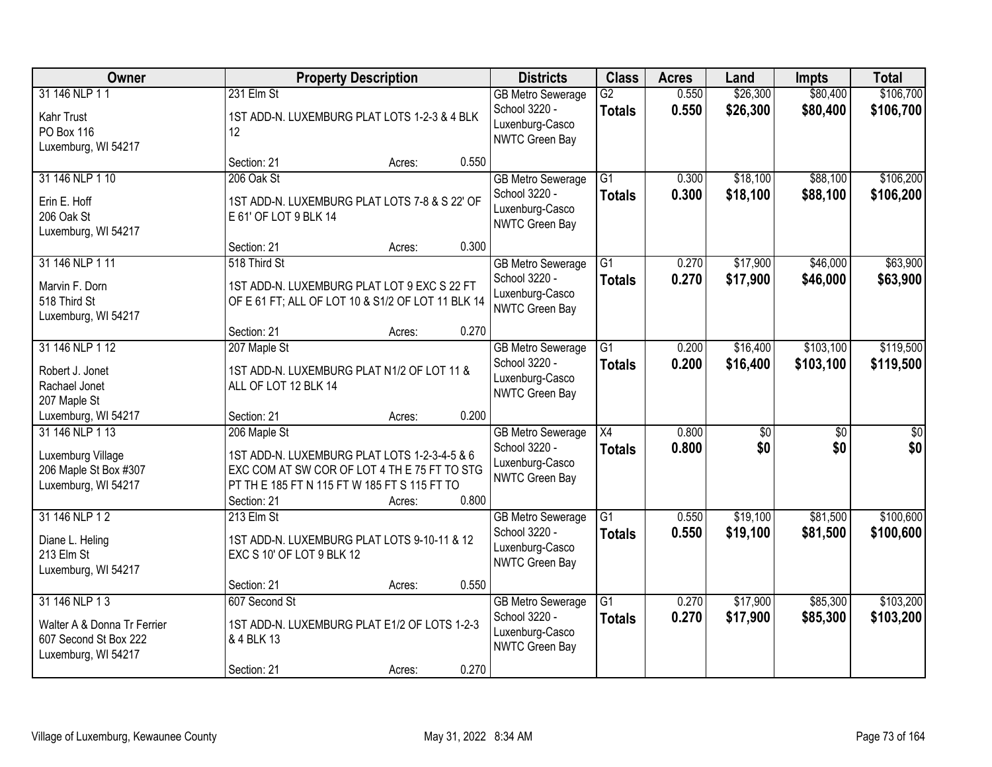| Owner                                  |                           | <b>Property Description</b>                            |       | <b>Districts</b>                          | <b>Class</b>    | <b>Acres</b> | Land       | <b>Impts</b>    | <b>Total</b> |
|----------------------------------------|---------------------------|--------------------------------------------------------|-------|-------------------------------------------|-----------------|--------------|------------|-----------------|--------------|
| 31 146 NLP 11                          | 231 Elm St                |                                                        |       | <b>GB Metro Sewerage</b>                  | $\overline{G2}$ | 0.550        | \$26,300   | \$80,400        | \$106,700    |
| Kahr Trust                             |                           | 1ST ADD-N. LUXEMBURG PLAT LOTS 1-2-3 & 4 BLK           |       | School 3220 -<br>Luxenburg-Casco          | <b>Totals</b>   | 0.550        | \$26,300   | \$80,400        | \$106,700    |
| PO Box 116                             | 12                        |                                                        |       | NWTC Green Bay                            |                 |              |            |                 |              |
| Luxemburg, WI 54217                    | Section: 21               |                                                        | 0.550 |                                           |                 |              |            |                 |              |
| 31 146 NLP 1 10                        | 206 Oak St                | Acres:                                                 |       | <b>GB Metro Sewerage</b>                  | $\overline{G1}$ | 0.300        | \$18,100   | \$88,100        | \$106,200    |
|                                        |                           |                                                        |       | School 3220 -                             | <b>Totals</b>   | 0.300        | \$18,100   | \$88,100        | \$106,200    |
| Erin E. Hoff                           |                           | 1ST ADD-N. LUXEMBURG PLAT LOTS 7-8 & S 22' OF          |       | Luxenburg-Casco                           |                 |              |            |                 |              |
| 206 Oak St<br>Luxemburg, WI 54217      | E 61' OF LOT 9 BLK 14     |                                                        |       | <b>NWTC Green Bay</b>                     |                 |              |            |                 |              |
|                                        | Section: 21               | Acres:                                                 | 0.300 |                                           |                 |              |            |                 |              |
| 31 146 NLP 1 11                        | 518 Third St              |                                                        |       | <b>GB Metro Sewerage</b>                  | G1              | 0.270        | \$17,900   | \$46,000        | \$63,900     |
| Marvin F. Dorn                         |                           | 1ST ADD-N. LUXEMBURG PLAT LOT 9 EXC S 22 FT            |       | School 3220 -                             | <b>Totals</b>   | 0.270        | \$17,900   | \$46,000        | \$63,900     |
| 518 Third St                           |                           | OF E 61 FT; ALL OF LOT 10 & S1/2 OF LOT 11 BLK 14      |       | Luxenburg-Casco                           |                 |              |            |                 |              |
| Luxemburg, WI 54217                    |                           |                                                        |       | NWTC Green Bay                            |                 |              |            |                 |              |
|                                        | Section: 21               | Acres:                                                 | 0.270 |                                           |                 |              |            |                 |              |
| 31 146 NLP 1 12                        | 207 Maple St              |                                                        |       | <b>GB Metro Sewerage</b>                  | $\overline{G1}$ | 0.200        | \$16,400   | \$103,100       | \$119,500    |
| Robert J. Jonet                        |                           | 1ST ADD-N. LUXEMBURG PLAT N1/2 OF LOT 11 &             |       | School 3220 -<br>Luxenburg-Casco          | <b>Totals</b>   | 0.200        | \$16,400   | \$103,100       | \$119,500    |
| Rachael Jonet                          | ALL OF LOT 12 BLK 14      |                                                        |       | NWTC Green Bay                            |                 |              |            |                 |              |
| 207 Maple St                           |                           |                                                        |       |                                           |                 |              |            |                 |              |
| Luxemburg, WI 54217<br>31 146 NLP 1 13 | Section: 21               | Acres:                                                 | 0.200 |                                           | $\overline{X4}$ | 0.800        |            | $\overline{50}$ |              |
|                                        | 206 Maple St              |                                                        |       | <b>GB Metro Sewerage</b><br>School 3220 - | <b>Totals</b>   | 0.800        | \$0<br>\$0 | \$0             | \$0<br>\$0   |
| Luxemburg Village                      |                           | 1ST ADD-N. LUXEMBURG PLAT LOTS 1-2-3-4-5 & 6           |       | Luxenburg-Casco                           |                 |              |            |                 |              |
| 206 Maple St Box #307                  |                           | EXC COM AT SW COR OF LOT 4 TH E 75 FT TO STG           |       | <b>NWTC Green Bay</b>                     |                 |              |            |                 |              |
| Luxemburg, WI 54217                    | Section: 21               | PT TH E 185 FT N 115 FT W 185 FT S 115 FT TO<br>Acres: | 0.800 |                                           |                 |              |            |                 |              |
| 31 146 NLP 12                          | 213 Elm St                |                                                        |       | <b>GB Metro Sewerage</b>                  | $\overline{G1}$ | 0.550        | \$19,100   | \$81,500        | \$100,600    |
|                                        |                           |                                                        |       | School 3220 -                             | <b>Totals</b>   | 0.550        | \$19,100   | \$81,500        | \$100,600    |
| Diane L. Heling<br>213 Elm St          | EXC S 10' OF LOT 9 BLK 12 | 1ST ADD-N. LUXEMBURG PLAT LOTS 9-10-11 & 12            |       | Luxenburg-Casco                           |                 |              |            |                 |              |
| Luxemburg, WI 54217                    |                           |                                                        |       | NWTC Green Bay                            |                 |              |            |                 |              |
|                                        | Section: 21               | Acres:                                                 | 0.550 |                                           |                 |              |            |                 |              |
| 31 146 NLP 13                          | 607 Second St             |                                                        |       | <b>GB Metro Sewerage</b>                  | $\overline{G1}$ | 0.270        | \$17,900   | \$85,300        | \$103,200    |
| Walter A & Donna Tr Ferrier            |                           | 1ST ADD-N. LUXEMBURG PLAT E1/2 OF LOTS 1-2-3           |       | School 3220 -                             | <b>Totals</b>   | 0.270        | \$17,900   | \$85,300        | \$103,200    |
| 607 Second St Box 222                  | & 4 BLK 13                |                                                        |       | Luxenburg-Casco                           |                 |              |            |                 |              |
| Luxemburg, WI 54217                    |                           |                                                        |       | NWTC Green Bay                            |                 |              |            |                 |              |
|                                        | Section: 21               | Acres:                                                 | 0.270 |                                           |                 |              |            |                 |              |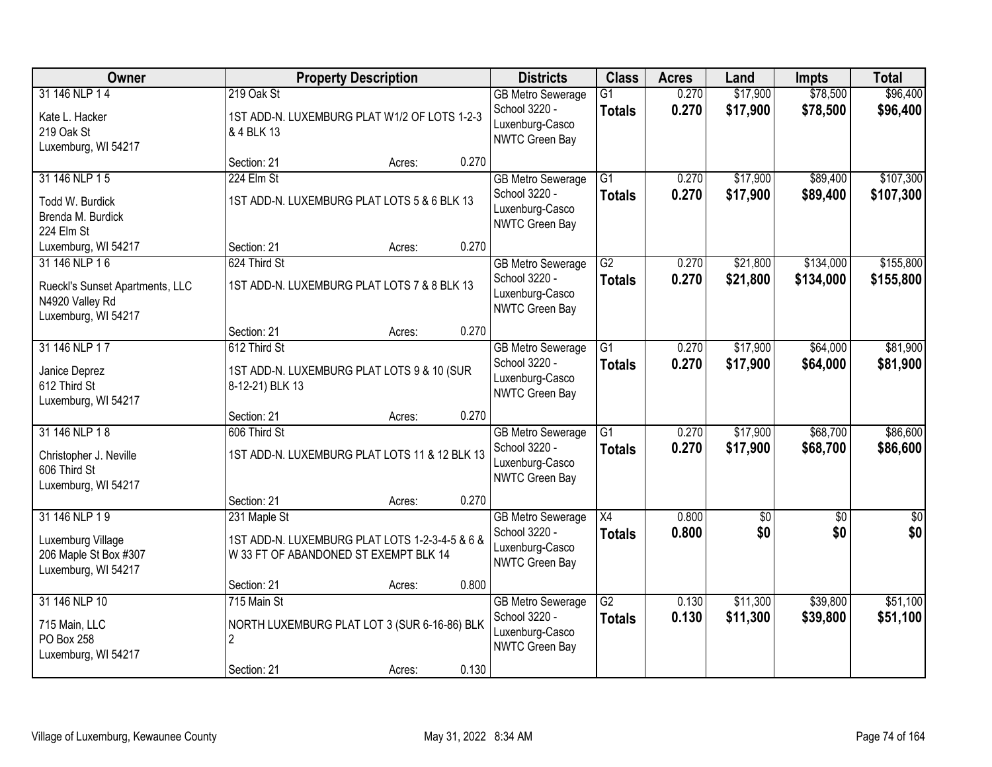| Owner                                                                                      |                                                                                                         | <b>Property Description</b> |       | <b>Districts</b>                                                               | <b>Class</b>                     | <b>Acres</b>   | Land                 | <b>Impts</b>           | <b>Total</b>           |
|--------------------------------------------------------------------------------------------|---------------------------------------------------------------------------------------------------------|-----------------------------|-------|--------------------------------------------------------------------------------|----------------------------------|----------------|----------------------|------------------------|------------------------|
| 31 146 NLP 14<br>Kate L. Hacker<br>219 Oak St<br>Luxemburg, WI 54217                       | 219 Oak St<br>1ST ADD-N. LUXEMBURG PLAT W1/2 OF LOTS 1-2-3<br>& 4 BLK 13                                |                             |       | <b>GB Metro Sewerage</b><br>School 3220 -<br>Luxenburg-Casco<br>NWTC Green Bay | $\overline{G1}$<br><b>Totals</b> | 0.270<br>0.270 | \$17,900<br>\$17,900 | \$78,500<br>\$78,500   | \$96,400<br>\$96,400   |
|                                                                                            | Section: 21                                                                                             | Acres:                      | 0.270 |                                                                                |                                  |                |                      |                        |                        |
| 31 146 NLP 15<br>Todd W. Burdick<br>Brenda M. Burdick<br>224 Elm St                        | 224 Elm St<br>1ST ADD-N. LUXEMBURG PLAT LOTS 5 & 6 BLK 13                                               |                             |       | <b>GB Metro Sewerage</b><br>School 3220 -<br>Luxenburg-Casco<br>NWTC Green Bay | G1<br><b>Totals</b>              | 0.270<br>0.270 | \$17,900<br>\$17,900 | \$89,400<br>\$89,400   | \$107,300<br>\$107,300 |
| Luxemburg, WI 54217                                                                        | Section: 21                                                                                             | Acres:                      | 0.270 |                                                                                |                                  |                |                      |                        |                        |
| 31 146 NLP 16<br>Rueckl's Sunset Apartments, LLC<br>N4920 Valley Rd<br>Luxemburg, WI 54217 | 624 Third St<br>1ST ADD-N. LUXEMBURG PLAT LOTS 7 & 8 BLK 13                                             |                             |       | <b>GB</b> Metro Sewerage<br>School 3220 -<br>Luxenburg-Casco<br>NWTC Green Bay | $\overline{G2}$<br><b>Totals</b> | 0.270<br>0.270 | \$21,800<br>\$21,800 | \$134,000<br>\$134,000 | \$155,800<br>\$155,800 |
|                                                                                            | Section: 21                                                                                             | Acres:                      | 0.270 |                                                                                |                                  |                |                      |                        |                        |
| 31 146 NLP 17<br>Janice Deprez<br>612 Third St<br>Luxemburg, WI 54217                      | 612 Third St<br>1ST ADD-N. LUXEMBURG PLAT LOTS 9 & 10 (SUR<br>8-12-21) BLK 13                           |                             |       | <b>GB Metro Sewerage</b><br>School 3220 -<br>Luxenburg-Casco<br>NWTC Green Bay | G1<br><b>Totals</b>              | 0.270<br>0.270 | \$17,900<br>\$17,900 | \$64,000<br>\$64,000   | \$81,900<br>\$81,900   |
|                                                                                            | Section: 21                                                                                             | Acres:                      | 0.270 |                                                                                |                                  |                |                      |                        |                        |
| 31 146 NLP 18<br>Christopher J. Neville<br>606 Third St<br>Luxemburg, WI 54217             | 606 Third St<br>1ST ADD-N. LUXEMBURG PLAT LOTS 11 & 12 BLK 13                                           |                             |       | <b>GB Metro Sewerage</b><br>School 3220 -<br>Luxenburg-Casco<br>NWTC Green Bay | $\overline{G1}$<br><b>Totals</b> | 0.270<br>0.270 | \$17,900<br>\$17,900 | \$68,700<br>\$68,700   | \$86,600<br>\$86,600   |
|                                                                                            | Section: 21                                                                                             | Acres:                      | 0.270 |                                                                                |                                  |                |                      |                        |                        |
| 31 146 NLP 19<br>Luxemburg Village<br>206 Maple St Box #307<br>Luxemburg, WI 54217         | 231 Maple St<br>1ST ADD-N. LUXEMBURG PLAT LOTS 1-2-3-4-5 & 6 &<br>W 33 FT OF ABANDONED ST EXEMPT BLK 14 |                             |       | <b>GB Metro Sewerage</b><br>School 3220 -<br>Luxenburg-Casco<br>NWTC Green Bay | $\overline{X4}$<br><b>Totals</b> | 0.800<br>0.800 | $\sqrt{50}$<br>\$0   | $\sqrt{6}$<br>\$0      | \$0<br>\$0             |
|                                                                                            | Section: 21                                                                                             | Acres:                      | 0.800 |                                                                                |                                  |                |                      |                        |                        |
| 31 146 NLP 10<br>715 Main, LLC<br>PO Box 258<br>Luxemburg, WI 54217                        | 715 Main St<br>NORTH LUXEMBURG PLAT LOT 3 (SUR 6-16-86) BLK<br>$\overline{2}$                           |                             |       | <b>GB Metro Sewerage</b><br>School 3220 -<br>Luxenburg-Casco<br>NWTC Green Bay | $\overline{G2}$<br><b>Totals</b> | 0.130<br>0.130 | \$11,300<br>\$11,300 | \$39,800<br>\$39,800   | \$51,100<br>\$51,100   |
|                                                                                            | Section: 21                                                                                             | Acres:                      | 0.130 |                                                                                |                                  |                |                      |                        |                        |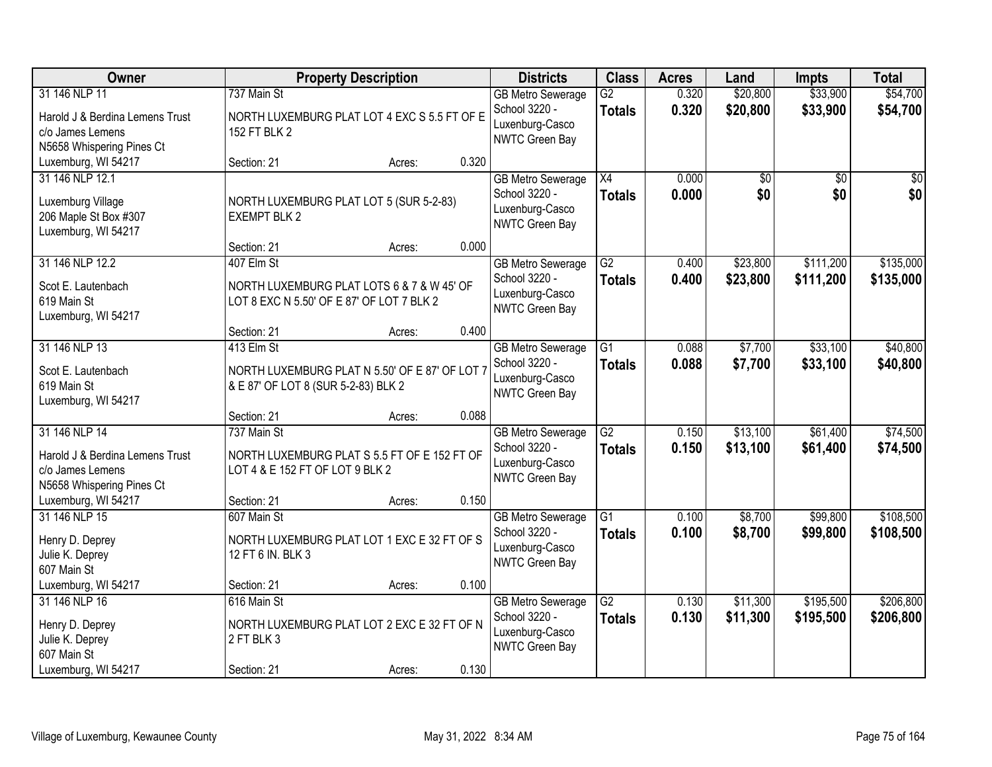| Owner                                                                                             | <b>Property Description</b>                                                                         |        |       | <b>Districts</b>                                                               | <b>Class</b>                     | <b>Acres</b>   | Land                 | <b>Impts</b>           | <b>Total</b>           |
|---------------------------------------------------------------------------------------------------|-----------------------------------------------------------------------------------------------------|--------|-------|--------------------------------------------------------------------------------|----------------------------------|----------------|----------------------|------------------------|------------------------|
| 31 146 NLP 11<br>Harold J & Berdina Lemens Trust<br>c/o James Lemens                              | 737 Main St<br>NORTH LUXEMBURG PLAT LOT 4 EXC S 5.5 FT OF E<br>152 FT BLK 2                         |        |       | <b>GB Metro Sewerage</b><br>School 3220 -<br>Luxenburg-Casco                   | $\overline{G2}$<br><b>Totals</b> | 0.320<br>0.320 | \$20,800<br>\$20,800 | \$33,900<br>\$33,900   | \$54,700<br>\$54,700   |
| N5658 Whispering Pines Ct<br>Luxemburg, WI 54217                                                  | Section: 21                                                                                         | Acres: | 0.320 | NWTC Green Bay                                                                 |                                  |                |                      |                        |                        |
| 31 146 NLP 12.1<br>Luxemburg Village<br>206 Maple St Box #307<br>Luxemburg, WI 54217              | NORTH LUXEMBURG PLAT LOT 5 (SUR 5-2-83)<br><b>EXEMPT BLK 2</b>                                      |        |       | <b>GB Metro Sewerage</b><br>School 3220 -<br>Luxenburg-Casco<br>NWTC Green Bay | $\overline{X4}$<br><b>Totals</b> | 0.000<br>0.000 | \$0<br>\$0           | \$0<br>\$0             | \$0<br>\$0             |
| 31 146 NLP 12.2                                                                                   | Section: 21<br>407 Elm St                                                                           | Acres: | 0.000 |                                                                                | G2                               | 0.400          | \$23,800             | \$111,200              | \$135,000              |
| Scot E. Lautenbach<br>619 Main St<br>Luxemburg, WI 54217                                          | NORTH LUXEMBURG PLAT LOTS 6 & 7 & W 45' OF<br>LOT 8 EXC N 5.50' OF E 87' OF LOT 7 BLK 2             |        |       | <b>GB Metro Sewerage</b><br>School 3220 -<br>Luxenburg-Casco<br>NWTC Green Bay | <b>Totals</b>                    | 0.400          | \$23,800             | \$111,200              | \$135,000              |
|                                                                                                   | Section: 21                                                                                         | Acres: | 0.400 |                                                                                |                                  |                |                      |                        |                        |
| 31 146 NLP 13<br>Scot E. Lautenbach<br>619 Main St<br>Luxemburg, WI 54217                         | 413 Elm St<br>NORTH LUXEMBURG PLAT N 5.50' OF E 87' OF LOT 7<br>& E 87' OF LOT 8 (SUR 5-2-83) BLK 2 |        |       | <b>GB Metro Sewerage</b><br>School 3220 -<br>Luxenburg-Casco<br>NWTC Green Bay | G1<br><b>Totals</b>              | 0.088<br>0.088 | \$7,700<br>\$7,700   | \$33,100<br>\$33,100   | \$40,800<br>\$40,800   |
|                                                                                                   | Section: 21                                                                                         | Acres: | 0.088 |                                                                                |                                  |                |                      |                        |                        |
| 31 146 NLP 14<br>Harold J & Berdina Lemens Trust<br>c/o James Lemens<br>N5658 Whispering Pines Ct | 737 Main St<br>NORTH LUXEMBURG PLAT S 5.5 FT OF E 152 FT OF<br>LOT 4 & E 152 FT OF LOT 9 BLK 2      |        |       | <b>GB Metro Sewerage</b><br>School 3220 -<br>Luxenburg-Casco<br>NWTC Green Bay | $\overline{G2}$<br><b>Totals</b> | 0.150<br>0.150 | \$13,100<br>\$13,100 | \$61,400<br>\$61,400   | \$74,500<br>\$74,500   |
| Luxemburg, WI 54217                                                                               | Section: 21                                                                                         | Acres: | 0.150 |                                                                                |                                  |                |                      |                        |                        |
| 31 146 NLP 15<br>Henry D. Deprey<br>Julie K. Deprey<br>607 Main St                                | 607 Main St<br>NORTH LUXEMBURG PLAT LOT 1 EXC E 32 FT OF S<br>12 FT 6 IN. BLK 3                     |        |       | <b>GB Metro Sewerage</b><br>School 3220 -<br>Luxenburg-Casco<br>NWTC Green Bay | $\overline{G1}$<br><b>Totals</b> | 0.100<br>0.100 | \$8,700<br>\$8,700   | \$99,800<br>\$99,800   | \$108,500<br>\$108,500 |
| Luxemburg, WI 54217                                                                               | Section: 21                                                                                         | Acres: | 0.100 |                                                                                |                                  |                |                      |                        |                        |
| 31 146 NLP 16<br>Henry D. Deprey<br>Julie K. Deprey<br>607 Main St                                | 616 Main St<br>NORTH LUXEMBURG PLAT LOT 2 EXC E 32 FT OF N<br>2 FT BLK 3                            |        |       | <b>GB Metro Sewerage</b><br>School 3220 -<br>Luxenburg-Casco<br>NWTC Green Bay | $\overline{G2}$<br><b>Totals</b> | 0.130<br>0.130 | \$11,300<br>\$11,300 | \$195,500<br>\$195,500 | \$206,800<br>\$206,800 |
| Luxemburg, WI 54217                                                                               | Section: 21                                                                                         | Acres: | 0.130 |                                                                                |                                  |                |                      |                        |                        |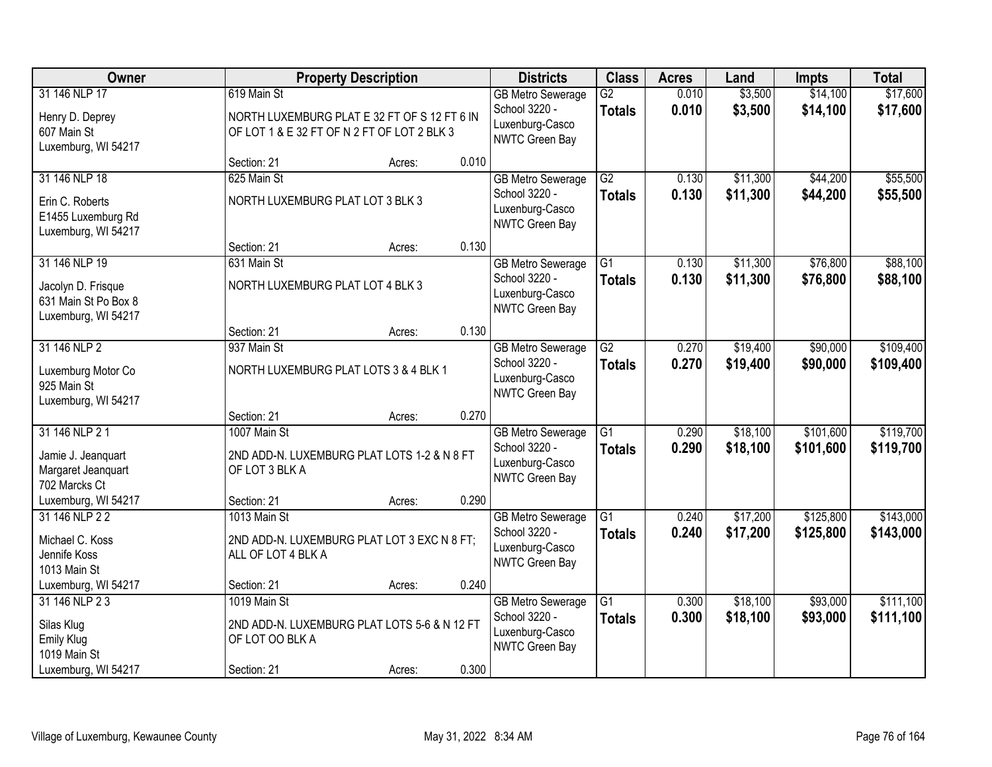| Owner                                                                              |                                                 | <b>Property Description</b>                                                                 |       | <b>Districts</b>                                                               | <b>Class</b>                     | <b>Acres</b>   | Land                 | <b>Impts</b>           | <b>Total</b>           |
|------------------------------------------------------------------------------------|-------------------------------------------------|---------------------------------------------------------------------------------------------|-------|--------------------------------------------------------------------------------|----------------------------------|----------------|----------------------|------------------------|------------------------|
| 31 146 NLP 17<br>Henry D. Deprey<br>607 Main St<br>Luxemburg, WI 54217             | 619 Main St                                     | NORTH LUXEMBURG PLAT E 32 FT OF S 12 FT 6 IN<br>OF LOT 1 & E 32 FT OF N 2 FT OF LOT 2 BLK 3 |       | <b>GB Metro Sewerage</b><br>School 3220 -<br>Luxenburg-Casco<br>NWTC Green Bay | $\overline{G2}$<br><b>Totals</b> | 0.010<br>0.010 | \$3,500<br>\$3,500   | \$14,100<br>\$14,100   | \$17,600<br>\$17,600   |
|                                                                                    | Section: 21                                     | Acres:                                                                                      | 0.010 |                                                                                |                                  |                |                      |                        |                        |
| 31 146 NLP 18<br>Erin C. Roberts<br>E1455 Luxemburg Rd<br>Luxemburg, WI 54217      | 625 Main St<br>NORTH LUXEMBURG PLAT LOT 3 BLK 3 |                                                                                             |       | <b>GB Metro Sewerage</b><br>School 3220 -<br>Luxenburg-Casco<br>NWTC Green Bay | G2<br><b>Totals</b>              | 0.130<br>0.130 | \$11,300<br>\$11,300 | \$44,200<br>\$44,200   | \$55,500<br>\$55,500   |
|                                                                                    | Section: 21                                     | Acres:                                                                                      | 0.130 |                                                                                |                                  |                |                      |                        |                        |
| 31 146 NLP 19<br>Jacolyn D. Frisque<br>631 Main St Po Box 8<br>Luxemburg, WI 54217 | 631 Main St<br>NORTH LUXEMBURG PLAT LOT 4 BLK 3 |                                                                                             |       | <b>GB</b> Metro Sewerage<br>School 3220 -<br>Luxenburg-Casco<br>NWTC Green Bay | $\overline{G1}$<br><b>Totals</b> | 0.130<br>0.130 | \$11,300<br>\$11,300 | \$76,800<br>\$76,800   | \$88,100<br>\$88,100   |
|                                                                                    | Section: 21                                     | Acres:                                                                                      | 0.130 |                                                                                |                                  |                |                      |                        |                        |
| 31 146 NLP 2<br>Luxemburg Motor Co<br>925 Main St<br>Luxemburg, WI 54217           | 937 Main St                                     | NORTH LUXEMBURG PLAT LOTS 3 & 4 BLK 1                                                       |       | <b>GB Metro Sewerage</b><br>School 3220 -<br>Luxenburg-Casco<br>NWTC Green Bay | $\overline{G2}$<br><b>Totals</b> | 0.270<br>0.270 | \$19,400<br>\$19,400 | \$90,000<br>\$90,000   | \$109,400<br>\$109,400 |
|                                                                                    | Section: 21                                     | Acres:                                                                                      | 0.270 |                                                                                |                                  |                |                      |                        |                        |
| 31 146 NLP 2 1<br>Jamie J. Jeanquart<br>Margaret Jeanquart<br>702 Marcks Ct        | 1007 Main St<br>OF LOT 3 BLK A                  | 2ND ADD-N. LUXEMBURG PLAT LOTS 1-2 & N 8 FT                                                 |       | <b>GB</b> Metro Sewerage<br>School 3220 -<br>Luxenburg-Casco<br>NWTC Green Bay | $\overline{G1}$<br><b>Totals</b> | 0.290<br>0.290 | \$18,100<br>\$18,100 | \$101,600<br>\$101,600 | \$119,700<br>\$119,700 |
| Luxemburg, WI 54217                                                                | Section: 21                                     | Acres:                                                                                      | 0.290 |                                                                                |                                  |                |                      |                        |                        |
| 31 146 NLP 2 2<br>Michael C. Koss<br>Jennife Koss<br>1013 Main St                  | 1013 Main St<br>ALL OF LOT 4 BLK A              | 2ND ADD-N. LUXEMBURG PLAT LOT 3 EXC N 8 FT;                                                 |       | <b>GB Metro Sewerage</b><br>School 3220 -<br>Luxenburg-Casco<br>NWTC Green Bay | $\overline{G1}$<br><b>Totals</b> | 0.240<br>0.240 | \$17,200<br>\$17,200 | \$125,800<br>\$125,800 | \$143,000<br>\$143,000 |
| Luxemburg, WI 54217                                                                | Section: 21                                     | Acres:                                                                                      | 0.240 |                                                                                |                                  |                |                      |                        |                        |
| 31 146 NLP 2 3<br>Silas Klug<br><b>Emily Klug</b><br>1019 Main St                  | 1019 Main St<br>OF LOT OO BLK A                 | 2ND ADD-N. LUXEMBURG PLAT LOTS 5-6 & N 12 FT                                                |       | <b>GB Metro Sewerage</b><br>School 3220 -<br>Luxenburg-Casco<br>NWTC Green Bay | $\overline{G1}$<br><b>Totals</b> | 0.300<br>0.300 | \$18,100<br>\$18,100 | \$93,000<br>\$93,000   | \$111,100<br>\$111,100 |
| Luxemburg, WI 54217                                                                | Section: 21                                     | Acres:                                                                                      | 0.300 |                                                                                |                                  |                |                      |                        |                        |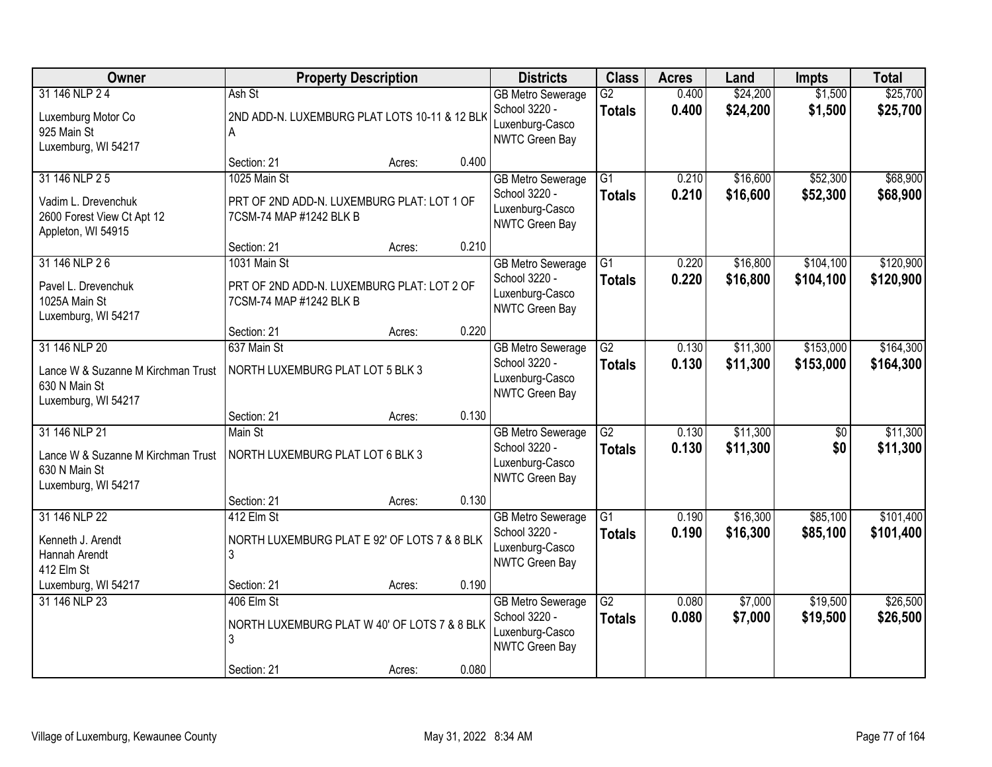| Owner                                                                                       | <b>Property Description</b>                                                           |        |       | <b>Districts</b>                                                               | <b>Class</b>                     | <b>Acres</b>   | Land                 | <b>Impts</b>           | <b>Total</b>           |
|---------------------------------------------------------------------------------------------|---------------------------------------------------------------------------------------|--------|-------|--------------------------------------------------------------------------------|----------------------------------|----------------|----------------------|------------------------|------------------------|
| 31 146 NLP 24<br>Luxemburg Motor Co<br>925 Main St<br>Luxemburg, WI 54217                   | Ash St<br>2ND ADD-N. LUXEMBURG PLAT LOTS 10-11 & 12 BLK<br>A                          |        |       | <b>GB Metro Sewerage</b><br>School 3220 -<br>Luxenburg-Casco<br>NWTC Green Bay | $\overline{G2}$<br><b>Totals</b> | 0.400<br>0.400 | \$24,200<br>\$24,200 | \$1,500<br>\$1,500     | \$25,700<br>\$25,700   |
|                                                                                             | Section: 21                                                                           | Acres: | 0.400 |                                                                                |                                  |                |                      |                        |                        |
| 31 146 NLP 2 5<br>Vadim L. Drevenchuk<br>2600 Forest View Ct Apt 12<br>Appleton, WI 54915   | 1025 Main St<br>PRT OF 2ND ADD-N. LUXEMBURG PLAT: LOT 1 OF<br>7CSM-74 MAP #1242 BLK B |        |       | <b>GB Metro Sewerage</b><br>School 3220 -<br>Luxenburg-Casco<br>NWTC Green Bay | $\overline{G1}$<br><b>Totals</b> | 0.210<br>0.210 | \$16,600<br>\$16,600 | \$52,300<br>\$52,300   | \$68,900<br>\$68,900   |
|                                                                                             | Section: 21                                                                           | Acres: | 0.210 |                                                                                |                                  |                |                      |                        |                        |
| 31 146 NLP 26<br>Pavel L. Drevenchuk<br>1025A Main St<br>Luxemburg, WI 54217                | 1031 Main St<br>PRT OF 2ND ADD-N. LUXEMBURG PLAT: LOT 2 OF<br>7CSM-74 MAP #1242 BLK B |        |       | <b>GB Metro Sewerage</b><br>School 3220 -<br>Luxenburg-Casco<br>NWTC Green Bay | G <sub>1</sub><br><b>Totals</b>  | 0.220<br>0.220 | \$16,800<br>\$16,800 | \$104,100<br>\$104,100 | \$120,900<br>\$120,900 |
|                                                                                             | Section: 21                                                                           | Acres: | 0.220 |                                                                                |                                  |                |                      |                        |                        |
| 31 146 NLP 20<br>Lance W & Suzanne M Kirchman Trust<br>630 N Main St<br>Luxemburg, WI 54217 | 637 Main St<br>NORTH LUXEMBURG PLAT LOT 5 BLK 3                                       |        |       | <b>GB Metro Sewerage</b><br>School 3220 -<br>Luxenburg-Casco<br>NWTC Green Bay | $\overline{G2}$<br><b>Totals</b> | 0.130<br>0.130 | \$11,300<br>\$11,300 | \$153,000<br>\$153,000 | \$164,300<br>\$164,300 |
|                                                                                             | Section: 21                                                                           | Acres: | 0.130 |                                                                                |                                  |                |                      |                        |                        |
| 31 146 NLP 21<br>Lance W & Suzanne M Kirchman Trust<br>630 N Main St<br>Luxemburg, WI 54217 | Main St<br>NORTH LUXEMBURG PLAT LOT 6 BLK 3                                           |        |       | <b>GB</b> Metro Sewerage<br>School 3220 -<br>Luxenburg-Casco<br>NWTC Green Bay | G2<br><b>Totals</b>              | 0.130<br>0.130 | \$11,300<br>\$11,300 | \$0<br>\$0             | \$11,300<br>\$11,300   |
|                                                                                             | Section: 21                                                                           | Acres: | 0.130 |                                                                                |                                  |                |                      |                        |                        |
| 31 146 NLP 22<br>Kenneth J. Arendt<br>Hannah Arendt<br>412 Elm St                           | 412 Elm St<br>NORTH LUXEMBURG PLAT E 92' OF LOTS 7 & 8 BLK<br>3                       |        |       | <b>GB Metro Sewerage</b><br>School 3220 -<br>Luxenburg-Casco<br>NWTC Green Bay | $\overline{G1}$<br><b>Totals</b> | 0.190<br>0.190 | \$16,300<br>\$16,300 | \$85,100<br>\$85,100   | \$101,400<br>\$101,400 |
| Luxemburg, WI 54217                                                                         | Section: 21                                                                           | Acres: | 0.190 |                                                                                |                                  |                |                      |                        |                        |
| 31 146 NLP 23                                                                               | 406 Elm St<br>NORTH LUXEMBURG PLAT W 40' OF LOTS 7 & 8 BLK<br>3                       |        |       | <b>GB Metro Sewerage</b><br>School 3220 -<br>Luxenburg-Casco<br>NWTC Green Bay | G2<br><b>Totals</b>              | 0.080<br>0.080 | \$7,000<br>\$7,000   | \$19,500<br>\$19,500   | \$26,500<br>\$26,500   |
|                                                                                             | Section: 21                                                                           | Acres: | 0.080 |                                                                                |                                  |                |                      |                        |                        |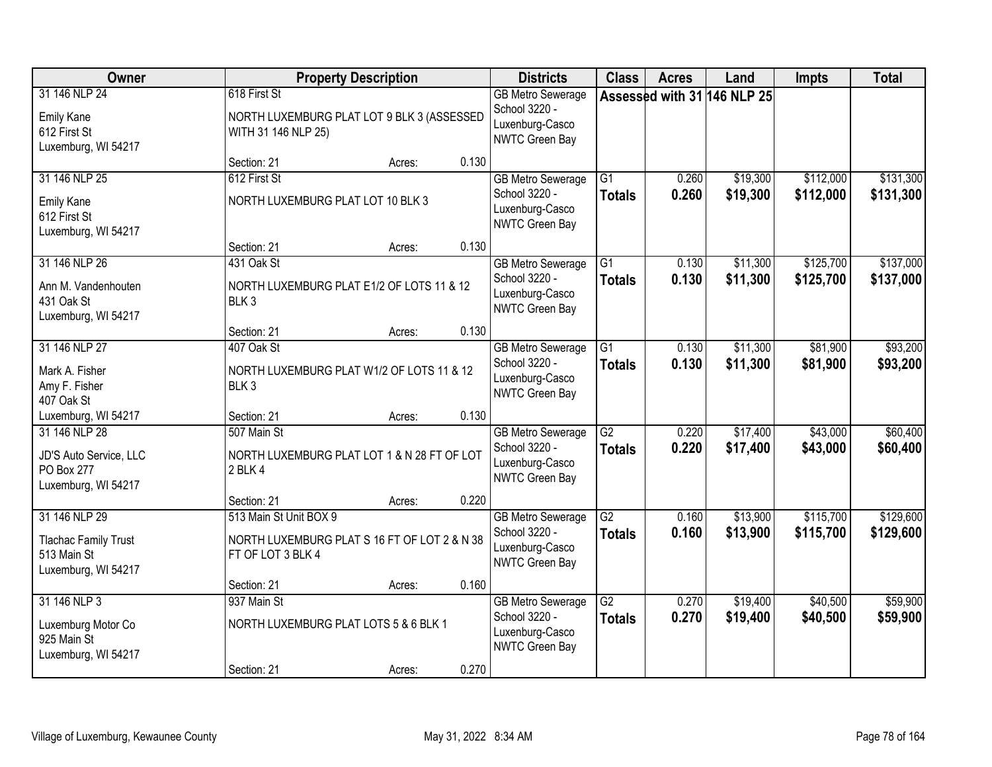| Owner                                                                              |                                                   | <b>Property Description</b>                  |       | <b>Districts</b>                                                                      | <b>Class</b>                     | <b>Acres</b>   | Land                        | <b>Impts</b>           | <b>Total</b>           |
|------------------------------------------------------------------------------------|---------------------------------------------------|----------------------------------------------|-------|---------------------------------------------------------------------------------------|----------------------------------|----------------|-----------------------------|------------------------|------------------------|
| 31 146 NLP 24<br>Emily Kane<br>612 First St<br>Luxemburg, WI 54217                 | 618 First St<br>WITH 31 146 NLP 25)               | NORTH LUXEMBURG PLAT LOT 9 BLK 3 (ASSESSED   |       | <b>GB Metro Sewerage</b><br>School 3220 -<br>Luxenburg-Casco<br><b>NWTC Green Bay</b> |                                  |                | Assessed with 31 146 NLP 25 |                        |                        |
|                                                                                    | Section: 21                                       | Acres:                                       | 0.130 |                                                                                       |                                  |                |                             |                        |                        |
| 31 146 NLP 25<br>Emily Kane<br>612 First St<br>Luxemburg, WI 54217                 | 612 First St<br>NORTH LUXEMBURG PLAT LOT 10 BLK 3 |                                              |       | <b>GB Metro Sewerage</b><br>School 3220 -<br>Luxenburg-Casco<br>NWTC Green Bay        | $\overline{G1}$<br><b>Totals</b> | 0.260<br>0.260 | \$19,300<br>\$19,300        | \$112,000<br>\$112,000 | \$131,300<br>\$131,300 |
|                                                                                    | Section: 21                                       | Acres:                                       | 0.130 |                                                                                       |                                  |                |                             |                        |                        |
| 31 146 NLP 26<br>Ann M. Vandenhouten<br>431 Oak St<br>Luxemburg, WI 54217          | 431 Oak St<br>BLK <sub>3</sub>                    | NORTH LUXEMBURG PLAT E1/2 OF LOTS 11 & 12    |       | <b>GB Metro Sewerage</b><br>School 3220 -<br>Luxenburg-Casco<br>NWTC Green Bay        | G1<br><b>Totals</b>              | 0.130<br>0.130 | \$11,300<br>\$11,300        | \$125,700<br>\$125,700 | \$137,000<br>\$137,000 |
|                                                                                    | Section: 21                                       | Acres:                                       | 0.130 |                                                                                       |                                  |                |                             |                        |                        |
| 31 146 NLP 27<br>Mark A. Fisher<br>Amy F. Fisher<br>407 Oak St                     | 407 Oak St<br>BLK <sub>3</sub>                    | NORTH LUXEMBURG PLAT W1/2 OF LOTS 11 & 12    |       | <b>GB Metro Sewerage</b><br>School 3220 -<br>Luxenburg-Casco<br>NWTC Green Bay        | G1<br><b>Totals</b>              | 0.130<br>0.130 | \$11,300<br>\$11,300        | \$81,900<br>\$81,900   | \$93,200<br>\$93,200   |
| Luxemburg, WI 54217                                                                | Section: 21                                       | Acres:                                       | 0.130 |                                                                                       |                                  |                |                             |                        |                        |
| 31 146 NLP 28<br>JD'S Auto Service, LLC<br>PO Box 277<br>Luxemburg, WI 54217       | 507 Main St<br>2 BLK 4                            | NORTH LUXEMBURG PLAT LOT 1 & N 28 FT OF LOT  |       | <b>GB Metro Sewerage</b><br>School 3220 -<br>Luxenburg-Casco<br><b>NWTC Green Bay</b> | $\overline{G2}$<br><b>Totals</b> | 0.220<br>0.220 | \$17,400<br>\$17,400        | \$43,000<br>\$43,000   | \$60,400<br>\$60,400   |
|                                                                                    | Section: 21                                       | Acres:                                       | 0.220 |                                                                                       |                                  |                |                             |                        |                        |
| 31 146 NLP 29<br><b>Tlachac Family Trust</b><br>513 Main St<br>Luxemburg, WI 54217 | 513 Main St Unit BOX 9<br>FT OF LOT 3 BLK 4       | NORTH LUXEMBURG PLAT S 16 FT OF LOT 2 & N 38 |       | <b>GB Metro Sewerage</b><br>School 3220 -<br>Luxenburg-Casco<br>NWTC Green Bay        | $\overline{G2}$<br><b>Totals</b> | 0.160<br>0.160 | \$13,900<br>\$13,900        | \$115,700<br>\$115,700 | \$129,600<br>\$129,600 |
|                                                                                    | Section: 21                                       | Acres:                                       | 0.160 |                                                                                       |                                  |                |                             |                        |                        |
| 31 146 NLP 3<br>Luxemburg Motor Co<br>925 Main St<br>Luxemburg, WI 54217           | 937 Main St                                       | NORTH LUXEMBURG PLAT LOTS 5 & 6 BLK 1        |       | <b>GB Metro Sewerage</b><br>School 3220 -<br>Luxenburg-Casco<br>NWTC Green Bay        | G2<br><b>Totals</b>              | 0.270<br>0.270 | \$19,400<br>\$19,400        | \$40,500<br>\$40,500   | \$59,900<br>\$59,900   |
|                                                                                    | Section: 21                                       | Acres:                                       | 0.270 |                                                                                       |                                  |                |                             |                        |                        |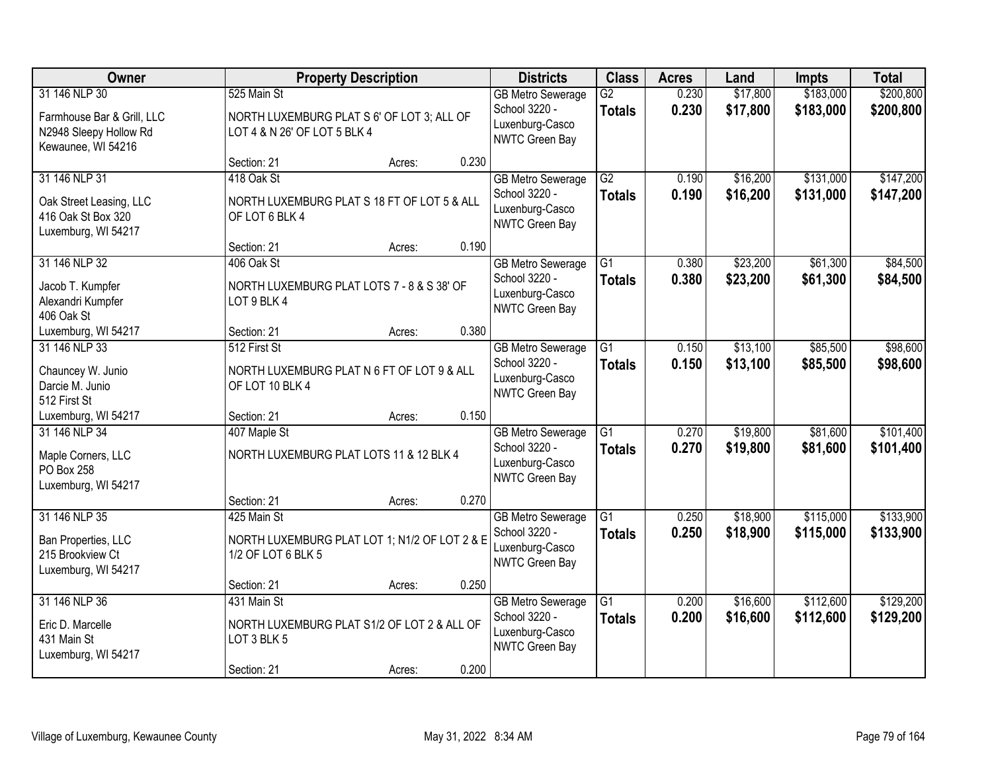| Owner                                                                                       |                                                                                           | <b>Property Description</b> |       | <b>Districts</b>                                                                      | <b>Class</b>                     | <b>Acres</b>   | Land                 | <b>Impts</b>           | <b>Total</b>           |
|---------------------------------------------------------------------------------------------|-------------------------------------------------------------------------------------------|-----------------------------|-------|---------------------------------------------------------------------------------------|----------------------------------|----------------|----------------------|------------------------|------------------------|
| 31 146 NLP 30<br>Farmhouse Bar & Grill, LLC<br>N2948 Sleepy Hollow Rd<br>Kewaunee, WI 54216 | 525 Main St<br>NORTH LUXEMBURG PLAT S 6' OF LOT 3; ALL OF<br>LOT 4 & N 26' OF LOT 5 BLK 4 |                             |       | <b>GB Metro Sewerage</b><br>School 3220 -<br>Luxenburg-Casco<br>NWTC Green Bay        | $\overline{G2}$<br><b>Totals</b> | 0.230<br>0.230 | \$17,800<br>\$17,800 | \$183,000<br>\$183,000 | \$200,800<br>\$200,800 |
|                                                                                             | Section: 21                                                                               | Acres:                      | 0.230 |                                                                                       |                                  |                |                      |                        |                        |
| 31 146 NLP 31<br>Oak Street Leasing, LLC<br>416 Oak St Box 320<br>Luxemburg, WI 54217       | 418 Oak St<br>NORTH LUXEMBURG PLAT S 18 FT OF LOT 5 & ALL<br>OF LOT 6 BLK 4               |                             |       | <b>GB</b> Metro Sewerage<br>School 3220 -<br>Luxenburg-Casco<br><b>NWTC Green Bay</b> | $\overline{G2}$<br><b>Totals</b> | 0.190<br>0.190 | \$16,200<br>\$16,200 | \$131,000<br>\$131,000 | \$147,200<br>\$147,200 |
|                                                                                             | Section: 21                                                                               | Acres:                      | 0.190 |                                                                                       |                                  |                |                      |                        |                        |
| 31 146 NLP 32<br>Jacob T. Kumpfer<br>Alexandri Kumpfer<br>406 Oak St                        | 406 Oak St<br>NORTH LUXEMBURG PLAT LOTS 7 - 8 & S 38' OF<br>LOT 9 BLK 4                   |                             |       | <b>GB Metro Sewerage</b><br>School 3220 -<br>Luxenburg-Casco<br>NWTC Green Bay        | $\overline{G1}$<br><b>Totals</b> | 0.380<br>0.380 | \$23,200<br>\$23,200 | \$61,300<br>\$61,300   | \$84,500<br>\$84,500   |
| Luxemburg, WI 54217                                                                         | Section: 21                                                                               | Acres:                      | 0.380 |                                                                                       |                                  |                |                      |                        |                        |
| 31 146 NLP 33<br>Chauncey W. Junio<br>Darcie M. Junio<br>512 First St                       | 512 First St<br>NORTH LUXEMBURG PLAT N 6 FT OF LOT 9 & ALL<br>OF LOT 10 BLK 4             |                             |       | <b>GB Metro Sewerage</b><br>School 3220 -<br>Luxenburg-Casco<br>NWTC Green Bay        | G1<br><b>Totals</b>              | 0.150<br>0.150 | \$13,100<br>\$13,100 | \$85,500<br>\$85,500   | \$98,600<br>\$98,600   |
| Luxemburg, WI 54217                                                                         | Section: 21                                                                               | Acres:                      | 0.150 |                                                                                       |                                  |                |                      |                        |                        |
| 31 146 NLP 34<br>Maple Corners, LLC<br>PO Box 258<br>Luxemburg, WI 54217                    | 407 Maple St<br>NORTH LUXEMBURG PLAT LOTS 11 & 12 BLK 4                                   |                             |       | <b>GB Metro Sewerage</b><br>School 3220 -<br>Luxenburg-Casco<br>NWTC Green Bay        | $\overline{G1}$<br><b>Totals</b> | 0.270<br>0.270 | \$19,800<br>\$19,800 | \$81,600<br>\$81,600   | \$101,400<br>\$101,400 |
|                                                                                             | Section: 21                                                                               | Acres:                      | 0.270 |                                                                                       |                                  |                |                      |                        |                        |
| 31 146 NLP 35<br>Ban Properties, LLC<br>215 Brookview Ct<br>Luxemburg, WI 54217             | 425 Main St<br>NORTH LUXEMBURG PLAT LOT 1; N1/2 OF LOT 2 & E<br>1/2 OF LOT 6 BLK 5        |                             |       | <b>GB Metro Sewerage</b><br>School 3220 -<br>Luxenburg-Casco<br>NWTC Green Bay        | $\overline{G1}$<br><b>Totals</b> | 0.250<br>0.250 | \$18,900<br>\$18,900 | \$115,000<br>\$115,000 | \$133,900<br>\$133,900 |
|                                                                                             | Section: 21                                                                               | Acres:                      | 0.250 |                                                                                       |                                  |                |                      |                        |                        |
| 31 146 NLP 36<br>Eric D. Marcelle<br>431 Main St<br>Luxemburg, WI 54217                     | 431 Main St<br>NORTH LUXEMBURG PLAT S1/2 OF LOT 2 & ALL OF<br>LOT 3 BLK 5                 |                             |       | <b>GB Metro Sewerage</b><br>School 3220 -<br>Luxenburg-Casco<br>NWTC Green Bay        | $\overline{G1}$<br><b>Totals</b> | 0.200<br>0.200 | \$16,600<br>\$16,600 | \$112,600<br>\$112,600 | \$129,200<br>\$129,200 |
|                                                                                             | Section: 21                                                                               | Acres:                      | 0.200 |                                                                                       |                                  |                |                      |                        |                        |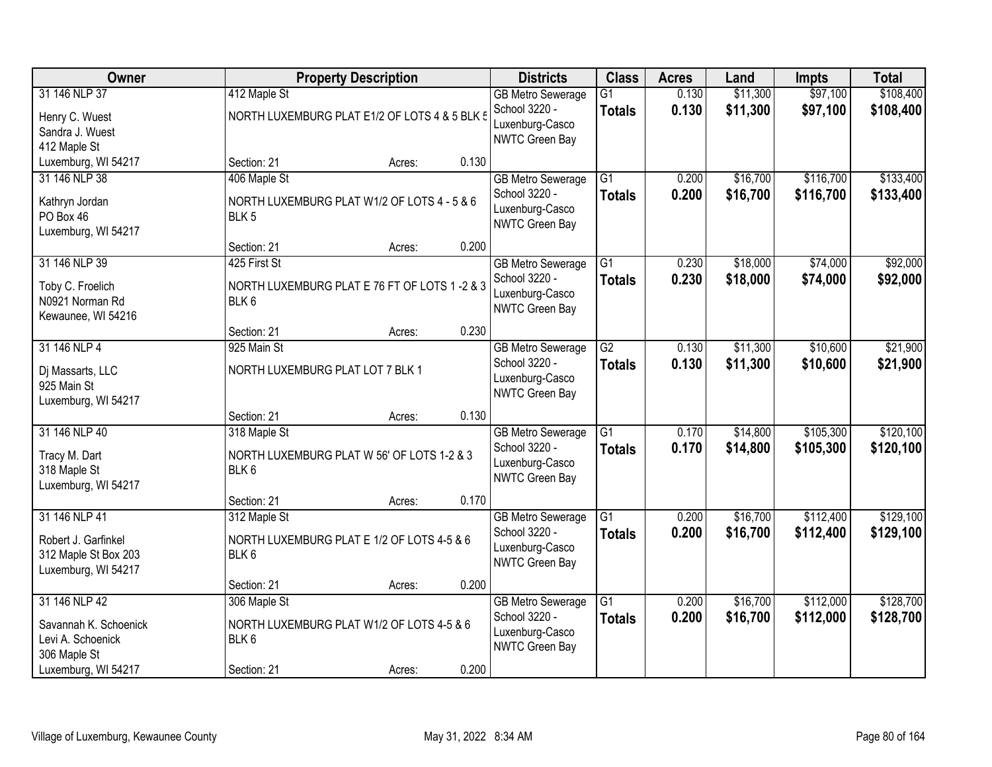| Owner                                                                               |                                                                                 | <b>Property Description</b> |       | <b>Districts</b>                                                                      | <b>Class</b>                     | <b>Acres</b>   | Land                 | <b>Impts</b>           | <b>Total</b>           |
|-------------------------------------------------------------------------------------|---------------------------------------------------------------------------------|-----------------------------|-------|---------------------------------------------------------------------------------------|----------------------------------|----------------|----------------------|------------------------|------------------------|
| 31 146 NLP 37<br>Henry C. Wuest<br>Sandra J. Wuest<br>412 Maple St                  | 412 Maple St<br>NORTH LUXEMBURG PLAT E1/2 OF LOTS 4 & 5 BLK 5                   |                             |       | <b>GB Metro Sewerage</b><br>School 3220 -<br>Luxenburg-Casco<br><b>NWTC Green Bay</b> | $\overline{G1}$<br><b>Totals</b> | 0.130<br>0.130 | \$11,300<br>\$11,300 | \$97,100<br>\$97,100   | \$108,400<br>\$108,400 |
| Luxemburg, WI 54217                                                                 | Section: 21                                                                     | Acres:                      | 0.130 |                                                                                       |                                  |                |                      |                        |                        |
| 31 146 NLP 38<br>Kathryn Jordan<br>PO Box 46<br>Luxemburg, WI 54217                 | 406 Maple St<br>NORTH LUXEMBURG PLAT W1/2 OF LOTS 4 - 5 & 6<br>BLK <sub>5</sub> |                             |       | <b>GB Metro Sewerage</b><br>School 3220 -<br>Luxenburg-Casco<br>NWTC Green Bay        | $\overline{G1}$<br><b>Totals</b> | 0.200<br>0.200 | \$16,700<br>\$16,700 | \$116,700<br>\$116,700 | \$133,400<br>\$133,400 |
|                                                                                     | Section: 21                                                                     | Acres:                      | 0.200 |                                                                                       |                                  |                |                      |                        |                        |
| 31 146 NLP 39<br>Toby C. Froelich<br>N0921 Norman Rd<br>Kewaunee, WI 54216          | 425 First St<br>NORTH LUXEMBURG PLAT E 76 FT OF LOTS 1 -2 & 3<br>BLK 6          |                             |       | <b>GB Metro Sewerage</b><br>School 3220 -<br>Luxenburg-Casco<br><b>NWTC Green Bay</b> | G1<br><b>Totals</b>              | 0.230<br>0.230 | \$18,000<br>\$18,000 | \$74,000<br>\$74,000   | \$92,000<br>\$92,000   |
|                                                                                     | Section: 21                                                                     | Acres:                      | 0.230 |                                                                                       |                                  |                |                      |                        |                        |
| 31 146 NLP 4<br>Dj Massarts, LLC<br>925 Main St<br>Luxemburg, WI 54217              | 925 Main St<br>NORTH LUXEMBURG PLAT LOT 7 BLK 1                                 |                             |       | <b>GB Metro Sewerage</b><br>School 3220 -<br>Luxenburg-Casco<br>NWTC Green Bay        | G2<br><b>Totals</b>              | 0.130<br>0.130 | \$11,300<br>\$11,300 | \$10,600<br>\$10,600   | \$21,900<br>\$21,900   |
|                                                                                     | Section: 21                                                                     | Acres:                      | 0.130 |                                                                                       |                                  |                |                      |                        |                        |
| 31 146 NLP 40<br>Tracy M. Dart<br>318 Maple St<br>Luxemburg, WI 54217               | 318 Maple St<br>NORTH LUXEMBURG PLAT W 56' OF LOTS 1-2 & 3<br>BLK 6             |                             |       | <b>GB Metro Sewerage</b><br>School 3220 -<br>Luxenburg-Casco<br><b>NWTC Green Bay</b> | $\overline{G1}$<br><b>Totals</b> | 0.170<br>0.170 | \$14,800<br>\$14,800 | \$105,300<br>\$105,300 | \$120,100<br>\$120,100 |
|                                                                                     | Section: 21                                                                     | Acres:                      | 0.170 |                                                                                       |                                  |                |                      |                        |                        |
| 31 146 NLP 41<br>Robert J. Garfinkel<br>312 Maple St Box 203<br>Luxemburg, WI 54217 | 312 Maple St<br>NORTH LUXEMBURG PLAT E 1/2 OF LOTS 4-5 & 6<br>BLK 6             |                             |       | <b>GB Metro Sewerage</b><br>School 3220 -<br>Luxenburg-Casco<br>NWTC Green Bay        | G1<br><b>Totals</b>              | 0.200<br>0.200 | \$16,700<br>\$16,700 | \$112,400<br>\$112,400 | \$129,100<br>\$129,100 |
|                                                                                     | Section: 21                                                                     | Acres:                      | 0.200 |                                                                                       |                                  |                |                      |                        |                        |
| 31 146 NLP 42<br>Savannah K. Schoenick<br>Levi A. Schoenick<br>306 Maple St         | 306 Maple St<br>NORTH LUXEMBURG PLAT W1/2 OF LOTS 4-5 & 6<br>BLK 6              |                             |       | <b>GB Metro Sewerage</b><br>School 3220 -<br>Luxenburg-Casco<br>NWTC Green Bay        | $\overline{G1}$<br><b>Totals</b> | 0.200<br>0.200 | \$16,700<br>\$16,700 | \$112,000<br>\$112,000 | \$128,700<br>\$128,700 |
| Luxemburg, WI 54217                                                                 | Section: 21                                                                     | Acres:                      | 0.200 |                                                                                       |                                  |                |                      |                        |                        |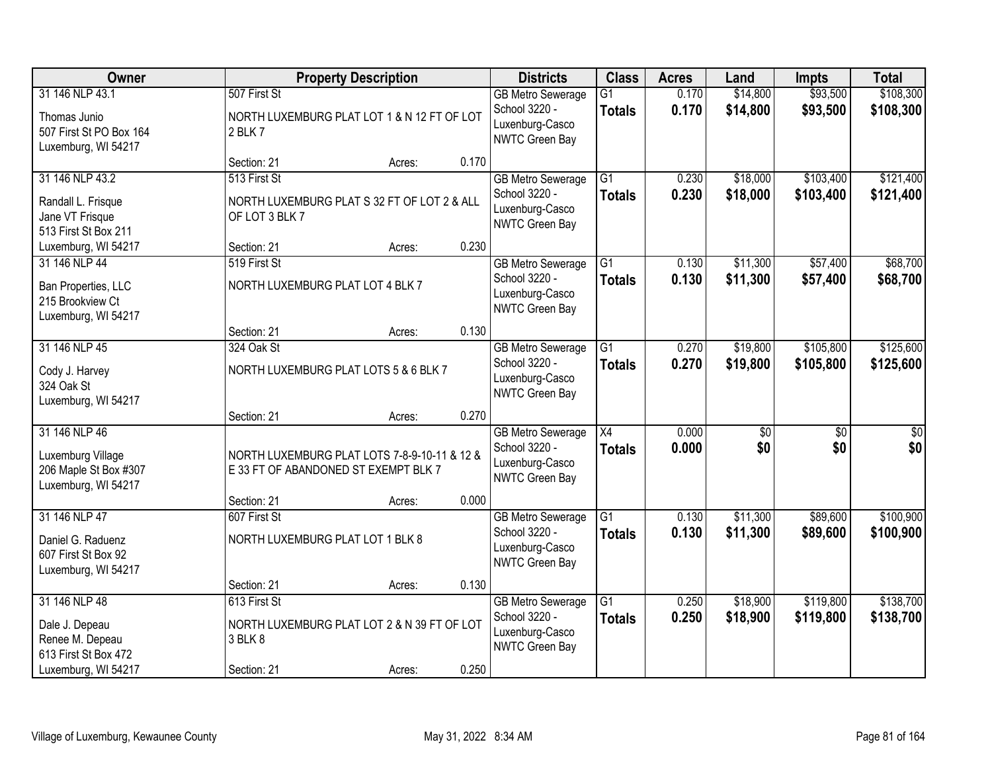| Owner                                                                              | <b>Property Description</b>                                                                         |                 | <b>Districts</b>                                                                      | <b>Class</b>                     | <b>Acres</b>   | Land                   | <b>Impts</b>           | <b>Total</b>           |
|------------------------------------------------------------------------------------|-----------------------------------------------------------------------------------------------------|-----------------|---------------------------------------------------------------------------------------|----------------------------------|----------------|------------------------|------------------------|------------------------|
| 31 146 NLP 43.1                                                                    | 507 First St                                                                                        |                 | <b>GB Metro Sewerage</b><br>School 3220 -                                             | G1<br><b>Totals</b>              | 0.170<br>0.170 | \$14,800<br>\$14,800   | \$93,500<br>\$93,500   | \$108,300<br>\$108,300 |
| Thomas Junio<br>507 First St PO Box 164<br>Luxemburg, WI 54217                     | NORTH LUXEMBURG PLAT LOT 1 & N 12 FT OF LOT<br>2 BLK 7                                              |                 | Luxenburg-Casco<br>NWTC Green Bay                                                     |                                  |                |                        |                        |                        |
|                                                                                    | Section: 21                                                                                         | 0.170<br>Acres: |                                                                                       |                                  |                |                        |                        |                        |
| 31 146 NLP 43.2<br>Randall L. Frisque<br>Jane VT Frisque<br>513 First St Box 211   | 513 First St<br>NORTH LUXEMBURG PLAT S 32 FT OF LOT 2 & ALL<br>OF LOT 3 BLK 7                       |                 | <b>GB Metro Sewerage</b><br>School 3220 -<br>Luxenburg-Casco<br><b>NWTC Green Bay</b> | $\overline{G1}$<br><b>Totals</b> | 0.230<br>0.230 | \$18,000<br>\$18,000   | \$103,400<br>\$103,400 | \$121,400<br>\$121,400 |
| Luxemburg, WI 54217                                                                | Section: 21                                                                                         | 0.230<br>Acres: |                                                                                       |                                  |                |                        |                        |                        |
| 31 146 NLP 44<br>Ban Properties, LLC<br>215 Brookview Ct<br>Luxemburg, WI 54217    | 519 First St<br>NORTH LUXEMBURG PLAT LOT 4 BLK 7                                                    |                 | <b>GB Metro Sewerage</b><br>School 3220 -<br>Luxenburg-Casco<br>NWTC Green Bay        | $\overline{G1}$<br><b>Totals</b> | 0.130<br>0.130 | \$11,300<br>\$11,300   | \$57,400<br>\$57,400   | \$68,700<br>\$68,700   |
|                                                                                    | Section: 21                                                                                         | 0.130<br>Acres: |                                                                                       |                                  |                |                        |                        |                        |
| 31 146 NLP 45<br>Cody J. Harvey<br>324 Oak St<br>Luxemburg, WI 54217               | 324 Oak St<br>NORTH LUXEMBURG PLAT LOTS 5 & 6 BLK 7                                                 |                 | <b>GB Metro Sewerage</b><br>School 3220 -<br>Luxenburg-Casco<br>NWTC Green Bay        | G1<br><b>Totals</b>              | 0.270<br>0.270 | \$19,800<br>\$19,800   | \$105,800<br>\$105,800 | \$125,600<br>\$125,600 |
|                                                                                    | Section: 21                                                                                         | 0.270<br>Acres: |                                                                                       |                                  |                |                        |                        |                        |
| 31 146 NLP 46<br>Luxemburg Village<br>206 Maple St Box #307<br>Luxemburg, WI 54217 | NORTH LUXEMBURG PLAT LOTS 7-8-9-10-11 & 12 &<br>E 33 FT OF ABANDONED ST EXEMPT BLK 7<br>Section: 21 | 0.000           | <b>GB Metro Sewerage</b><br>School 3220 -<br>Luxenburg-Casco<br><b>NWTC Green Bay</b> | $\overline{X4}$<br><b>Totals</b> | 0.000<br>0.000 | $\overline{50}$<br>\$0 | $\overline{50}$<br>\$0 | $\overline{50}$<br>\$0 |
| 31 146 NLP 47                                                                      | 607 First St                                                                                        | Acres:          | <b>GB Metro Sewerage</b>                                                              | $\overline{G1}$                  | 0.130          | \$11,300               | \$89,600               | \$100,900              |
| Daniel G. Raduenz<br>607 First St Box 92<br>Luxemburg, WI 54217                    | NORTH LUXEMBURG PLAT LOT 1 BLK 8                                                                    |                 | School 3220 -<br>Luxenburg-Casco<br>NWTC Green Bay                                    | <b>Totals</b>                    | 0.130          | \$11,300               | \$89,600               | \$100,900              |
|                                                                                    | Section: 21                                                                                         | 0.130<br>Acres: |                                                                                       |                                  |                |                        |                        |                        |
| 31 146 NLP 48<br>Dale J. Depeau<br>Renee M. Depeau<br>613 First St Box 472         | 613 First St<br>NORTH LUXEMBURG PLAT LOT 2 & N 39 FT OF LOT<br>3 BLK 8                              |                 | <b>GB</b> Metro Sewerage<br>School 3220 -<br>Luxenburg-Casco<br>NWTC Green Bay        | $\overline{G1}$<br><b>Totals</b> | 0.250<br>0.250 | \$18,900<br>\$18,900   | \$119,800<br>\$119,800 | \$138,700<br>\$138,700 |
| Luxemburg, WI 54217                                                                | Section: 21                                                                                         | 0.250<br>Acres: |                                                                                       |                                  |                |                        |                        |                        |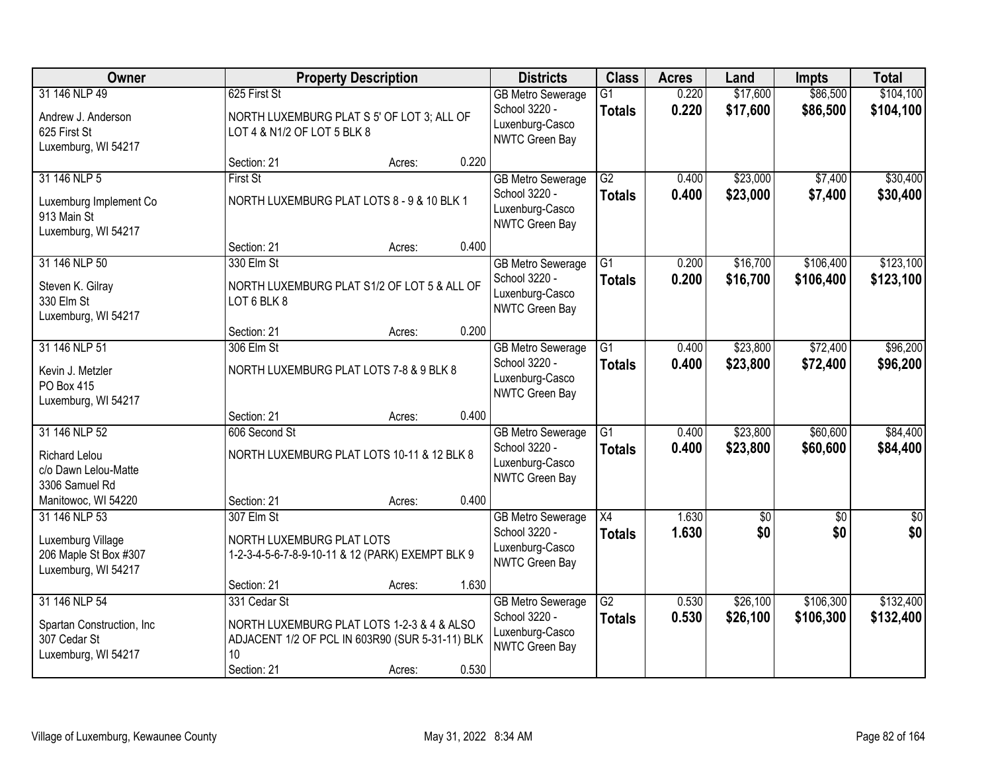| Owner                                                                              |                                                                                                                                    | <b>Property Description</b> |       | <b>Districts</b>                                                               | <b>Class</b>                     | <b>Acres</b>   | Land                   | <b>Impts</b>           | <b>Total</b>           |
|------------------------------------------------------------------------------------|------------------------------------------------------------------------------------------------------------------------------------|-----------------------------|-------|--------------------------------------------------------------------------------|----------------------------------|----------------|------------------------|------------------------|------------------------|
| 31 146 NLP 49<br>Andrew J. Anderson<br>625 First St<br>Luxemburg, WI 54217         | 625 First St<br>NORTH LUXEMBURG PLAT S 5' OF LOT 3; ALL OF<br>LOT 4 & N1/2 OF LOT 5 BLK 8                                          |                             |       | <b>GB Metro Sewerage</b><br>School 3220 -<br>Luxenburg-Casco<br>NWTC Green Bay | $\overline{G1}$<br><b>Totals</b> | 0.220<br>0.220 | \$17,600<br>\$17,600   | \$86,500<br>\$86,500   | \$104,100<br>\$104,100 |
|                                                                                    | Section: 21                                                                                                                        | Acres:                      | 0.220 |                                                                                |                                  |                |                        |                        |                        |
| 31 146 NLP 5<br>Luxemburg Implement Co<br>913 Main St<br>Luxemburg, WI 54217       | <b>First St</b><br>NORTH LUXEMBURG PLAT LOTS 8 - 9 & 10 BLK 1                                                                      |                             |       | <b>GB Metro Sewerage</b><br>School 3220 -<br>Luxenburg-Casco<br>NWTC Green Bay | G2<br><b>Totals</b>              | 0.400<br>0.400 | \$23,000<br>\$23,000   | \$7,400<br>\$7,400     | \$30,400<br>\$30,400   |
|                                                                                    | Section: 21                                                                                                                        | Acres:                      | 0.400 |                                                                                |                                  |                |                        |                        |                        |
| 31 146 NLP 50<br>Steven K. Gilray<br>330 Elm St<br>Luxemburg, WI 54217             | 330 Elm St<br>NORTH LUXEMBURG PLAT S1/2 OF LOT 5 & ALL OF<br>LOT 6 BLK 8                                                           |                             |       | <b>GB Metro Sewerage</b><br>School 3220 -<br>Luxenburg-Casco<br>NWTC Green Bay | G1<br><b>Totals</b>              | 0.200<br>0.200 | \$16,700<br>\$16,700   | \$106,400<br>\$106,400 | \$123,100<br>\$123,100 |
|                                                                                    | Section: 21                                                                                                                        | Acres:                      | 0.200 |                                                                                |                                  |                |                        |                        |                        |
| 31 146 NLP 51<br>Kevin J. Metzler<br>PO Box 415<br>Luxemburg, WI 54217             | 306 Elm St<br>NORTH LUXEMBURG PLAT LOTS 7-8 & 9 BLK 8                                                                              |                             |       | <b>GB Metro Sewerage</b><br>School 3220 -<br>Luxenburg-Casco<br>NWTC Green Bay | G1<br><b>Totals</b>              | 0.400<br>0.400 | \$23,800<br>\$23,800   | \$72,400<br>\$72,400   | \$96,200<br>\$96,200   |
|                                                                                    | Section: 21                                                                                                                        | Acres:                      | 0.400 |                                                                                |                                  |                |                        |                        |                        |
| 31 146 NLP 52<br><b>Richard Lelou</b><br>c/o Dawn Lelou-Matte<br>3306 Samuel Rd    | 606 Second St<br>NORTH LUXEMBURG PLAT LOTS 10-11 & 12 BLK 8                                                                        |                             |       | <b>GB Metro Sewerage</b><br>School 3220 -<br>Luxenburg-Casco<br>NWTC Green Bay | $\overline{G1}$<br><b>Totals</b> | 0.400<br>0.400 | \$23,800<br>\$23,800   | \$60,600<br>\$60,600   | \$84,400<br>\$84,400   |
| Manitowoc, WI 54220                                                                | Section: 21                                                                                                                        | Acres:                      | 0.400 |                                                                                |                                  |                |                        |                        |                        |
| 31 146 NLP 53<br>Luxemburg Village<br>206 Maple St Box #307<br>Luxemburg, WI 54217 | 307 Elm St<br>NORTH LUXEMBURG PLAT LOTS<br>1-2-3-4-5-6-7-8-9-10-11 & 12 (PARK) EXEMPT BLK 9                                        |                             |       | <b>GB Metro Sewerage</b><br>School 3220 -<br>Luxenburg-Casco<br>NWTC Green Bay | $\overline{X4}$<br><b>Totals</b> | 1.630<br>1.630 | $\overline{50}$<br>\$0 | $\overline{50}$<br>\$0 | $\overline{50}$<br>\$0 |
|                                                                                    | Section: 21                                                                                                                        | Acres:                      | 1.630 |                                                                                |                                  |                |                        |                        |                        |
| 31 146 NLP 54<br>Spartan Construction, Inc<br>307 Cedar St<br>Luxemburg, WI 54217  | 331 Cedar St<br>NORTH LUXEMBURG PLAT LOTS 1-2-3 & 4 & ALSO<br>ADJACENT 1/2 OF PCL IN 603R90 (SUR 5-31-11) BLK<br>10<br>Section: 21 | Acres:                      | 0.530 | <b>GB Metro Sewerage</b><br>School 3220 -<br>Luxenburg-Casco<br>NWTC Green Bay | $\overline{G2}$<br><b>Totals</b> | 0.530<br>0.530 | \$26,100<br>\$26,100   | \$106,300<br>\$106,300 | \$132,400<br>\$132,400 |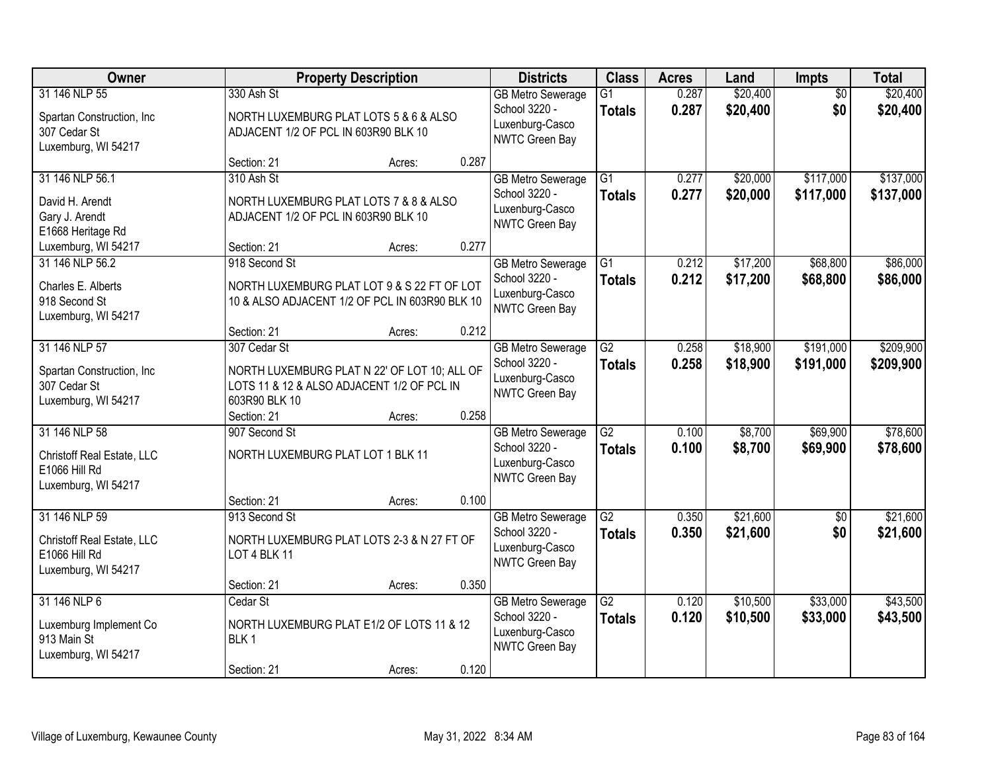| Owner                                                                                            | <b>Property Description</b>                                                                                                                |                  |                | <b>Districts</b>                                                                      | <b>Class</b>                     | <b>Acres</b>   | Land                 | Impts                  | <b>Total</b>           |
|--------------------------------------------------------------------------------------------------|--------------------------------------------------------------------------------------------------------------------------------------------|------------------|----------------|---------------------------------------------------------------------------------------|----------------------------------|----------------|----------------------|------------------------|------------------------|
| 31 146 NLP 55<br>Spartan Construction, Inc<br>307 Cedar St<br>Luxemburg, WI 54217                | 330 Ash St<br>NORTH LUXEMBURG PLAT LOTS 5 & 6 & ALSO<br>ADJACENT 1/2 OF PCL IN 603R90 BLK 10                                               |                  |                | <b>GB Metro Sewerage</b><br>School 3220 -<br>Luxenburg-Casco<br><b>NWTC Green Bay</b> | $\overline{G1}$<br><b>Totals</b> | 0.287<br>0.287 | \$20,400<br>\$20,400 | $\overline{50}$<br>\$0 | \$20,400<br>\$20,400   |
| 31 146 NLP 56.1<br>David H. Arendt<br>Gary J. Arendt<br>E1668 Heritage Rd<br>Luxemburg, WI 54217 | Section: 21<br>310 Ash St<br>NORTH LUXEMBURG PLAT LOTS 7 & 8 & ALSO<br>ADJACENT 1/2 OF PCL IN 603R90 BLK 10<br>Section: 21                 | Acres:<br>Acres: | 0.287<br>0.277 | <b>GB Metro Sewerage</b><br>School 3220 -<br>Luxenburg-Casco<br><b>NWTC Green Bay</b> | $\overline{G1}$<br><b>Totals</b> | 0.277<br>0.277 | \$20,000<br>\$20,000 | \$117,000<br>\$117,000 | \$137,000<br>\$137,000 |
| 31 146 NLP 56.2<br>Charles E. Alberts<br>918 Second St<br>Luxemburg, WI 54217                    | 918 Second St<br>NORTH LUXEMBURG PLAT LOT 9 & S 22 FT OF LOT<br>10 & ALSO ADJACENT 1/2 OF PCL IN 603R90 BLK 10<br>Section: 21              | Acres:           | 0.212          | <b>GB Metro Sewerage</b><br>School 3220 -<br>Luxenburg-Casco<br><b>NWTC Green Bay</b> | G1<br><b>Totals</b>              | 0.212<br>0.212 | \$17,200<br>\$17,200 | \$68,800<br>\$68,800   | \$86,000<br>\$86,000   |
| 31 146 NLP 57<br>Spartan Construction, Inc.<br>307 Cedar St<br>Luxemburg, WI 54217               | 307 Cedar St<br>NORTH LUXEMBURG PLAT N 22' OF LOT 10; ALL OF<br>LOTS 11 & 12 & ALSO ADJACENT 1/2 OF PCL IN<br>603R90 BLK 10<br>Section: 21 | Acres:           | 0.258          | <b>GB Metro Sewerage</b><br>School 3220 -<br>Luxenburg-Casco<br><b>NWTC Green Bay</b> | G2<br><b>Totals</b>              | 0.258<br>0.258 | \$18,900<br>\$18,900 | \$191,000<br>\$191,000 | \$209,900<br>\$209,900 |
| 31 146 NLP 58<br>Christoff Real Estate, LLC<br>E1066 Hill Rd<br>Luxemburg, WI 54217              | 907 Second St<br>NORTH LUXEMBURG PLAT LOT 1 BLK 11<br>Section: 21                                                                          | Acres:           | 0.100          | <b>GB Metro Sewerage</b><br>School 3220 -<br>Luxenburg-Casco<br><b>NWTC Green Bay</b> | $\overline{G2}$<br><b>Totals</b> | 0.100<br>0.100 | \$8,700<br>\$8,700   | \$69,900<br>\$69,900   | \$78,600<br>\$78,600   |
| 31 146 NLP 59<br>Christoff Real Estate, LLC<br>E1066 Hill Rd<br>Luxemburg, WI 54217              | 913 Second St<br>NORTH LUXEMBURG PLAT LOTS 2-3 & N 27 FT OF<br>LOT 4 BLK 11<br>Section: 21                                                 | Acres:           | 0.350          | <b>GB Metro Sewerage</b><br>School 3220 -<br>Luxenburg-Casco<br>NWTC Green Bay        | $\overline{G2}$<br><b>Totals</b> | 0.350<br>0.350 | \$21,600<br>\$21,600 | $\sqrt{6}$<br>\$0      | \$21,600<br>\$21,600   |
| 31 146 NLP 6<br>Luxemburg Implement Co<br>913 Main St<br>Luxemburg, WI 54217                     | Cedar St<br>NORTH LUXEMBURG PLAT E1/2 OF LOTS 11 & 12<br>BLK <sub>1</sub><br>Section: 21                                                   | Acres:           | 0.120          | <b>GB Metro Sewerage</b><br>School 3220 -<br>Luxenburg-Casco<br>NWTC Green Bay        | G2<br><b>Totals</b>              | 0.120<br>0.120 | \$10,500<br>\$10,500 | \$33,000<br>\$33,000   | \$43,500<br>\$43,500   |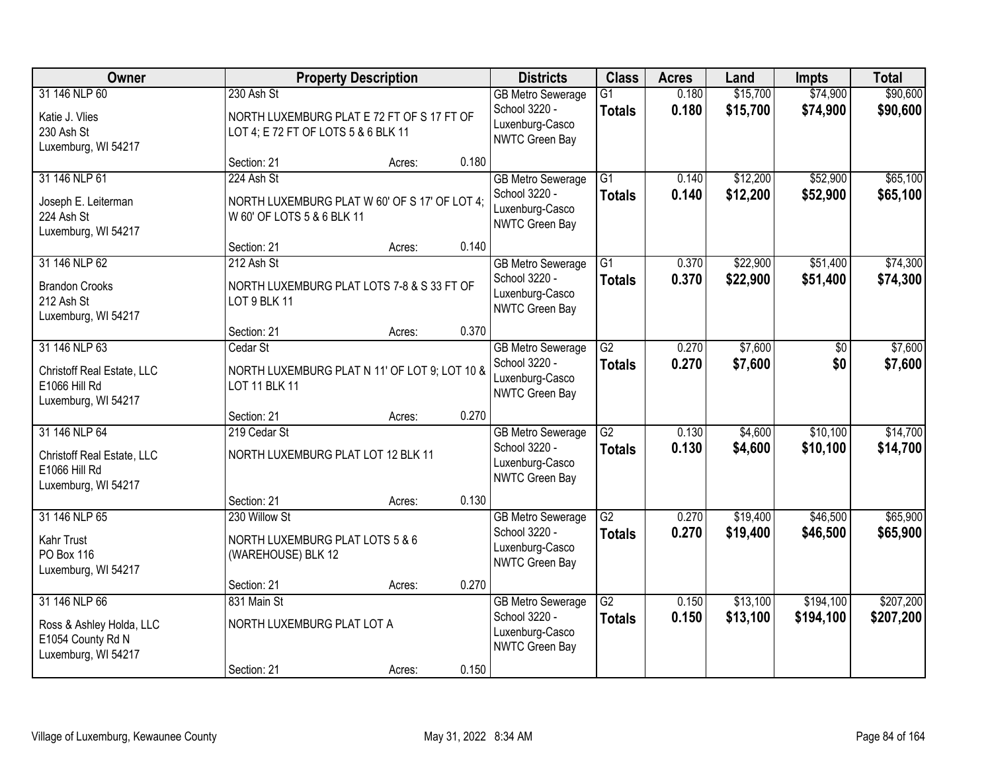| Owner                                                                                 |                                                                        | <b>Property Description</b>                   |       | <b>Districts</b>                                                               | <b>Class</b>                     | <b>Acres</b>   | Land                 | <b>Impts</b>           | <b>Total</b>           |
|---------------------------------------------------------------------------------------|------------------------------------------------------------------------|-----------------------------------------------|-------|--------------------------------------------------------------------------------|----------------------------------|----------------|----------------------|------------------------|------------------------|
| 31 146 NLP 60<br>Katie J. Vlies<br>230 Ash St<br>Luxemburg, WI 54217                  | 230 Ash St<br>LOT 4; E 72 FT OF LOTS 5 & 6 BLK 11                      | NORTH LUXEMBURG PLAT E 72 FT OF S 17 FT OF    |       | <b>GB Metro Sewerage</b><br>School 3220 -<br>Luxenburg-Casco<br>NWTC Green Bay | $\overline{G1}$<br><b>Totals</b> | 0.180<br>0.180 | \$15,700<br>\$15,700 | \$74,900<br>\$74,900   | \$90,600<br>\$90,600   |
|                                                                                       | Section: 21                                                            | Acres:                                        | 0.180 |                                                                                |                                  |                |                      |                        |                        |
| 31 146 NLP 61<br>Joseph E. Leiterman<br>224 Ash St<br>Luxemburg, WI 54217             | 224 Ash St<br>W 60' OF LOTS 5 & 6 BLK 11                               | NORTH LUXEMBURG PLAT W 60' OF S 17' OF LOT 4; |       | <b>GB Metro Sewerage</b><br>School 3220 -<br>Luxenburg-Casco<br>NWTC Green Bay | $\overline{G1}$<br><b>Totals</b> | 0.140<br>0.140 | \$12,200<br>\$12,200 | \$52,900<br>\$52,900   | \$65,100<br>\$65,100   |
|                                                                                       | Section: 21                                                            | Acres:                                        | 0.140 |                                                                                |                                  |                |                      |                        |                        |
| 31 146 NLP 62<br><b>Brandon Crooks</b><br>212 Ash St<br>Luxemburg, WI 54217           | 212 Ash St<br>LOT 9 BLK 11                                             | NORTH LUXEMBURG PLAT LOTS 7-8 & S 33 FT OF    |       | <b>GB Metro Sewerage</b><br>School 3220 -<br>Luxenburg-Casco<br>NWTC Green Bay | $\overline{G1}$<br><b>Totals</b> | 0.370<br>0.370 | \$22,900<br>\$22,900 | \$51,400<br>\$51,400   | \$74,300<br>\$74,300   |
|                                                                                       | Section: 21                                                            | Acres:                                        | 0.370 |                                                                                |                                  |                |                      |                        |                        |
| 31 146 NLP 63<br>Christoff Real Estate, LLC<br>E1066 Hill Rd<br>Luxemburg, WI 54217   | Cedar St<br><b>LOT 11 BLK 11</b>                                       | NORTH LUXEMBURG PLAT N 11' OF LOT 9; LOT 10 & |       | <b>GB</b> Metro Sewerage<br>School 3220 -<br>Luxenburg-Casco<br>NWTC Green Bay | $\overline{G2}$<br><b>Totals</b> | 0.270<br>0.270 | \$7,600<br>\$7,600   | \$0<br>\$0             | \$7,600<br>\$7,600     |
|                                                                                       | Section: 21                                                            | Acres:                                        | 0.270 |                                                                                |                                  |                |                      |                        |                        |
| 31 146 NLP 64<br>Christoff Real Estate, LLC<br>E1066 Hill Rd<br>Luxemburg, WI 54217   | 219 Cedar St<br>NORTH LUXEMBURG PLAT LOT 12 BLK 11                     |                                               |       | <b>GB Metro Sewerage</b><br>School 3220 -<br>Luxenburg-Casco<br>NWTC Green Bay | $\overline{G2}$<br><b>Totals</b> | 0.130<br>0.130 | \$4,600<br>\$4,600   | \$10,100<br>\$10,100   | \$14,700<br>\$14,700   |
|                                                                                       | Section: 21                                                            | Acres:                                        | 0.130 |                                                                                |                                  |                |                      |                        |                        |
| 31 146 NLP 65<br>Kahr Trust<br><b>PO Box 116</b><br>Luxemburg, WI 54217               | 230 Willow St<br>NORTH LUXEMBURG PLAT LOTS 5 & 6<br>(WAREHOUSE) BLK 12 |                                               |       | <b>GB Metro Sewerage</b><br>School 3220 -<br>Luxenburg-Casco<br>NWTC Green Bay | $\overline{G2}$<br><b>Totals</b> | 0.270<br>0.270 | \$19,400<br>\$19,400 | \$46,500<br>\$46,500   | \$65,900<br>\$65,900   |
|                                                                                       | Section: 21                                                            | Acres:                                        | 0.270 |                                                                                |                                  |                |                      |                        |                        |
| 31 146 NLP 66<br>Ross & Ashley Holda, LLC<br>E1054 County Rd N<br>Luxemburg, WI 54217 | 831 Main St<br>NORTH LUXEMBURG PLAT LOT A                              |                                               |       | <b>GB Metro Sewerage</b><br>School 3220 -<br>Luxenburg-Casco<br>NWTC Green Bay | $\overline{G2}$<br><b>Totals</b> | 0.150<br>0.150 | \$13,100<br>\$13,100 | \$194,100<br>\$194,100 | \$207,200<br>\$207,200 |
|                                                                                       | Section: 21                                                            | Acres:                                        | 0.150 |                                                                                |                                  |                |                      |                        |                        |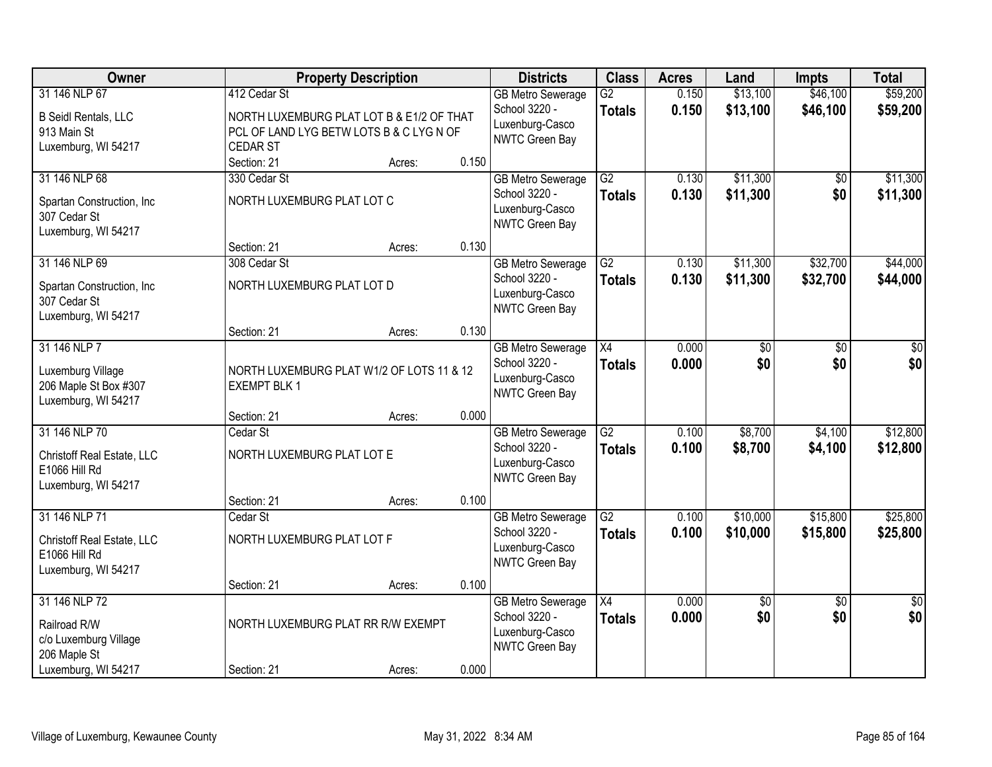| Owner                       |                                           | <b>Property Description</b> |       | <b>Districts</b>                  | <b>Class</b>    | <b>Acres</b> | Land     | <b>Impts</b>    | <b>Total</b> |
|-----------------------------|-------------------------------------------|-----------------------------|-------|-----------------------------------|-----------------|--------------|----------|-----------------|--------------|
| 31 146 NLP 67               | 412 Cedar St                              |                             |       | <b>GB Metro Sewerage</b>          | $\overline{G2}$ | 0.150        | \$13,100 | \$46,100        | \$59,200     |
| <b>B Seidl Rentals, LLC</b> | NORTH LUXEMBURG PLAT LOT B & E1/2 OF THAT |                             |       | School 3220 -                     | <b>Totals</b>   | 0.150        | \$13,100 | \$46,100        | \$59,200     |
| 913 Main St                 | PCL OF LAND LYG BETW LOTS B & C LYG N OF  |                             |       | Luxenburg-Casco<br>NWTC Green Bay |                 |              |          |                 |              |
| Luxemburg, WI 54217         | <b>CEDAR ST</b>                           |                             |       |                                   |                 |              |          |                 |              |
|                             | Section: 21                               | Acres:                      | 0.150 |                                   |                 |              |          |                 |              |
| 31 146 NLP 68               | 330 Cedar St                              |                             |       | <b>GB Metro Sewerage</b>          | $\overline{G2}$ | 0.130        | \$11,300 | \$0             | \$11,300     |
| Spartan Construction, Inc   | NORTH LUXEMBURG PLAT LOT C                |                             |       | School 3220 -<br>Luxenburg-Casco  | <b>Totals</b>   | 0.130        | \$11,300 | \$0             | \$11,300     |
| 307 Cedar St                |                                           |                             |       | NWTC Green Bay                    |                 |              |          |                 |              |
| Luxemburg, WI 54217         |                                           |                             |       |                                   |                 |              |          |                 |              |
|                             | Section: 21                               | Acres:                      | 0.130 |                                   |                 |              |          |                 |              |
| 31 146 NLP 69               | 308 Cedar St                              |                             |       | <b>GB Metro Sewerage</b>          | $\overline{G2}$ | 0.130        | \$11,300 | \$32,700        | \$44,000     |
| Spartan Construction, Inc   | NORTH LUXEMBURG PLAT LOT D                |                             |       | School 3220 -<br>Luxenburg-Casco  | <b>Totals</b>   | 0.130        | \$11,300 | \$32,700        | \$44,000     |
| 307 Cedar St                |                                           |                             |       | NWTC Green Bay                    |                 |              |          |                 |              |
| Luxemburg, WI 54217         |                                           |                             |       |                                   |                 |              |          |                 |              |
|                             | Section: 21                               | Acres:                      | 0.130 |                                   |                 |              |          |                 |              |
| 31 146 NLP 7                |                                           |                             |       | <b>GB Metro Sewerage</b>          | X4              | 0.000        | \$0      | \$0             | \$0          |
| Luxemburg Village           | NORTH LUXEMBURG PLAT W1/2 OF LOTS 11 & 12 |                             |       | School 3220 -<br>Luxenburg-Casco  | <b>Totals</b>   | 0.000        | \$0      | \$0             | \$0          |
| 206 Maple St Box #307       | <b>EXEMPT BLK 1</b>                       |                             |       | NWTC Green Bay                    |                 |              |          |                 |              |
| Luxemburg, WI 54217         |                                           |                             |       |                                   |                 |              |          |                 |              |
|                             | Section: 21                               | Acres:                      | 0.000 |                                   |                 |              |          |                 |              |
| 31 146 NLP 70               | Cedar St                                  |                             |       | <b>GB Metro Sewerage</b>          | $\overline{G2}$ | 0.100        | \$8,700  | \$4,100         | \$12,800     |
| Christoff Real Estate, LLC  | NORTH LUXEMBURG PLAT LOT E                |                             |       | School 3220 -<br>Luxenburg-Casco  | <b>Totals</b>   | 0.100        | \$8,700  | \$4,100         | \$12,800     |
| E1066 Hill Rd               |                                           |                             |       | NWTC Green Bay                    |                 |              |          |                 |              |
| Luxemburg, WI 54217         |                                           |                             |       |                                   |                 |              |          |                 |              |
|                             | Section: 21                               | Acres:                      | 0.100 |                                   |                 |              |          |                 |              |
| 31 146 NLP 71               | Cedar St                                  |                             |       | <b>GB Metro Sewerage</b>          | $\overline{G2}$ | 0.100        | \$10,000 | \$15,800        | \$25,800     |
| Christoff Real Estate, LLC  | NORTH LUXEMBURG PLAT LOT F                |                             |       | School 3220 -<br>Luxenburg-Casco  | <b>Totals</b>   | 0.100        | \$10,000 | \$15,800        | \$25,800     |
| E1066 Hill Rd               |                                           |                             |       | NWTC Green Bay                    |                 |              |          |                 |              |
| Luxemburg, WI 54217         |                                           |                             |       |                                   |                 |              |          |                 |              |
|                             | Section: 21                               | Acres:                      | 0.100 |                                   |                 |              |          |                 |              |
| 31 146 NLP 72               |                                           |                             |       | <b>GB Metro Sewerage</b>          | $\overline{X4}$ | 0.000        | \$0      | $\overline{30}$ | \$0          |
| Railroad R/W                | NORTH LUXEMBURG PLAT RR R/W EXEMPT        |                             |       | School 3220 -<br>Luxenburg-Casco  | <b>Totals</b>   | 0.000        | \$0      | \$0             | \$0          |
| c/o Luxemburg Village       |                                           |                             |       | NWTC Green Bay                    |                 |              |          |                 |              |
| 206 Maple St                |                                           |                             |       |                                   |                 |              |          |                 |              |
| Luxemburg, WI 54217         | Section: 21                               | Acres:                      | 0.000 |                                   |                 |              |          |                 |              |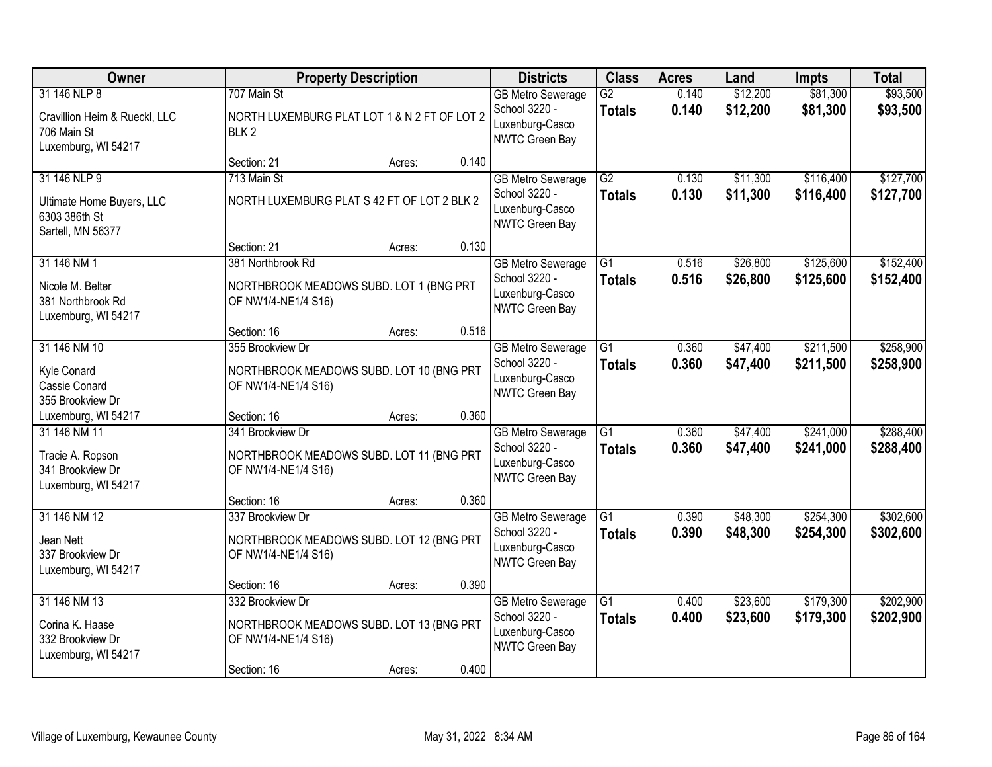| Owner                                                                               |                                                                                     | <b>Property Description</b> |       | <b>Districts</b>                                                               | <b>Class</b>                     | <b>Acres</b>   | Land                 | <b>Impts</b>           | <b>Total</b>           |
|-------------------------------------------------------------------------------------|-------------------------------------------------------------------------------------|-----------------------------|-------|--------------------------------------------------------------------------------|----------------------------------|----------------|----------------------|------------------------|------------------------|
| 31 146 NLP 8<br>Cravillion Heim & Rueckl, LLC<br>706 Main St<br>Luxemburg, WI 54217 | 707 Main St<br>NORTH LUXEMBURG PLAT LOT 1 & N 2 FT OF LOT 2<br>BLK <sub>2</sub>     |                             |       | <b>GB Metro Sewerage</b><br>School 3220 -<br>Luxenburg-Casco<br>NWTC Green Bay | $\overline{G2}$<br><b>Totals</b> | 0.140<br>0.140 | \$12,200<br>\$12,200 | \$81,300<br>\$81,300   | \$93,500<br>\$93,500   |
|                                                                                     | Section: 21                                                                         | Acres:                      | 0.140 |                                                                                |                                  |                |                      |                        |                        |
| 31 146 NLP 9<br>Ultimate Home Buyers, LLC<br>6303 386th St<br>Sartell, MN 56377     | 713 Main St<br>NORTH LUXEMBURG PLAT S 42 FT OF LOT 2 BLK 2                          |                             |       | <b>GB Metro Sewerage</b><br>School 3220 -<br>Luxenburg-Casco<br>NWTC Green Bay | $\overline{G2}$<br><b>Totals</b> | 0.130<br>0.130 | \$11,300<br>\$11,300 | \$116,400<br>\$116,400 | \$127,700<br>\$127,700 |
|                                                                                     | Section: 21                                                                         | Acres:                      | 0.130 |                                                                                |                                  |                |                      |                        |                        |
| 31 146 NM 1<br>Nicole M. Belter<br>381 Northbrook Rd<br>Luxemburg, WI 54217         | 381 Northbrook Rd<br>NORTHBROOK MEADOWS SUBD. LOT 1 (BNG PRT<br>OF NW1/4-NE1/4 S16) |                             |       | <b>GB Metro Sewerage</b><br>School 3220 -<br>Luxenburg-Casco<br>NWTC Green Bay | G1<br><b>Totals</b>              | 0.516<br>0.516 | \$26,800<br>\$26,800 | \$125,600<br>\$125,600 | \$152,400<br>\$152,400 |
|                                                                                     | Section: 16                                                                         | Acres:                      | 0.516 |                                                                                |                                  |                |                      |                        |                        |
| 31 146 NM 10<br>Kyle Conard<br>Cassie Conard<br>355 Brookview Dr                    | 355 Brookview Dr<br>NORTHBROOK MEADOWS SUBD. LOT 10 (BNG PRT<br>OF NW1/4-NE1/4 S16) |                             |       | <b>GB Metro Sewerage</b><br>School 3220 -<br>Luxenburg-Casco<br>NWTC Green Bay | G1<br><b>Totals</b>              | 0.360<br>0.360 | \$47,400<br>\$47,400 | \$211,500<br>\$211,500 | \$258,900<br>\$258,900 |
| Luxemburg, WI 54217                                                                 | Section: 16                                                                         | Acres:                      | 0.360 |                                                                                |                                  |                |                      |                        |                        |
| 31 146 NM 11<br>Tracie A. Ropson<br>341 Brookview Dr<br>Luxemburg, WI 54217         | 341 Brookview Dr<br>NORTHBROOK MEADOWS SUBD. LOT 11 (BNG PRT<br>OF NW1/4-NE1/4 S16) |                             |       | <b>GB Metro Sewerage</b><br>School 3220 -<br>Luxenburg-Casco<br>NWTC Green Bay | $\overline{G1}$<br><b>Totals</b> | 0.360<br>0.360 | \$47,400<br>\$47,400 | \$241,000<br>\$241,000 | \$288,400<br>\$288,400 |
|                                                                                     | Section: 16                                                                         | Acres:                      | 0.360 |                                                                                |                                  |                |                      |                        |                        |
| 31 146 NM 12<br>Jean Nett<br>337 Brookview Dr<br>Luxemburg, WI 54217                | 337 Brookview Dr<br>NORTHBROOK MEADOWS SUBD. LOT 12 (BNG PRT<br>OF NW1/4-NE1/4 S16) |                             |       | <b>GB Metro Sewerage</b><br>School 3220 -<br>Luxenburg-Casco<br>NWTC Green Bay | $\overline{G1}$<br><b>Totals</b> | 0.390<br>0.390 | \$48,300<br>\$48,300 | \$254,300<br>\$254,300 | \$302,600<br>\$302,600 |
|                                                                                     | Section: 16                                                                         | Acres:                      | 0.390 |                                                                                |                                  |                |                      |                        |                        |
| 31 146 NM 13<br>Corina K. Haase<br>332 Brookview Dr<br>Luxemburg, WI 54217          | 332 Brookview Dr<br>NORTHBROOK MEADOWS SUBD. LOT 13 (BNG PRT<br>OF NW1/4-NE1/4 S16) |                             |       | <b>GB Metro Sewerage</b><br>School 3220 -<br>Luxenburg-Casco<br>NWTC Green Bay | $\overline{G1}$<br><b>Totals</b> | 0.400<br>0.400 | \$23,600<br>\$23,600 | \$179,300<br>\$179,300 | \$202,900<br>\$202,900 |
|                                                                                     | Section: 16                                                                         | Acres:                      | 0.400 |                                                                                |                                  |                |                      |                        |                        |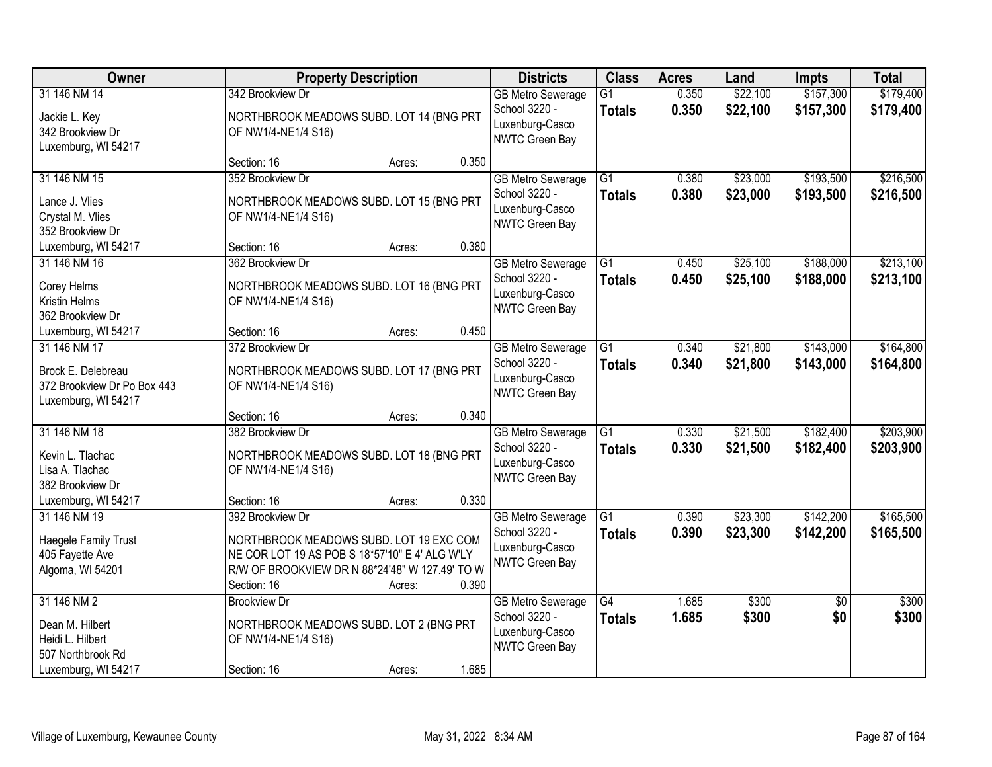| Owner                                                                                          | <b>Property Description</b>                                                                                                                                                                       | <b>Districts</b>                                                                      | <b>Class</b>                     | <b>Acres</b>   | Land                 | <b>Impts</b>           | <b>Total</b>           |
|------------------------------------------------------------------------------------------------|---------------------------------------------------------------------------------------------------------------------------------------------------------------------------------------------------|---------------------------------------------------------------------------------------|----------------------------------|----------------|----------------------|------------------------|------------------------|
| 31 146 NM 14<br>Jackie L. Key<br>342 Brookview Dr<br>Luxemburg, WI 54217                       | 342 Brookview Dr<br>NORTHBROOK MEADOWS SUBD. LOT 14 (BNG PRT<br>OF NW1/4-NE1/4 S16)                                                                                                               | <b>GB Metro Sewerage</b><br>School 3220 -<br>Luxenburg-Casco<br>NWTC Green Bay        | $\overline{G1}$<br><b>Totals</b> | 0.350<br>0.350 | \$22,100<br>\$22,100 | \$157,300<br>\$157,300 | \$179,400<br>\$179,400 |
|                                                                                                | 0.350<br>Section: 16<br>Acres:                                                                                                                                                                    |                                                                                       |                                  |                |                      |                        |                        |
| 31 146 NM 15<br>Lance J. Vlies<br>Crystal M. Vlies<br>352 Brookview Dr                         | 352 Brookview Dr<br>NORTHBROOK MEADOWS SUBD. LOT 15 (BNG PRT<br>OF NW1/4-NE1/4 S16)                                                                                                               | <b>GB Metro Sewerage</b><br>School 3220 -<br>Luxenburg-Casco<br>NWTC Green Bay        | $\overline{G1}$<br><b>Totals</b> | 0.380<br>0.380 | \$23,000<br>\$23,000 | \$193,500<br>\$193,500 | \$216,500<br>\$216,500 |
| Luxemburg, WI 54217                                                                            | 0.380<br>Section: 16<br>Acres:                                                                                                                                                                    |                                                                                       |                                  |                |                      |                        |                        |
| 31 146 NM 16<br>Corey Helms<br>Kristin Helms<br>362 Brookview Dr                               | 362 Brookview Dr<br>NORTHBROOK MEADOWS SUBD. LOT 16 (BNG PRT<br>OF NW1/4-NE1/4 S16)                                                                                                               | <b>GB Metro Sewerage</b><br>School 3220 -<br>Luxenburg-Casco<br>NWTC Green Bay        | $\overline{G1}$<br><b>Totals</b> | 0.450<br>0.450 | \$25,100<br>\$25,100 | \$188,000<br>\$188,000 | \$213,100<br>\$213,100 |
| Luxemburg, WI 54217                                                                            | 0.450<br>Section: 16<br>Acres:                                                                                                                                                                    |                                                                                       |                                  |                |                      |                        |                        |
| 31 146 NM 17<br>Brock E. Delebreau<br>372 Brookview Dr Po Box 443<br>Luxemburg, WI 54217       | 372 Brookview Dr<br>NORTHBROOK MEADOWS SUBD. LOT 17 (BNG PRT<br>OF NW1/4-NE1/4 S16)                                                                                                               | <b>GB</b> Metro Sewerage<br>School 3220 -<br>Luxenburg-Casco<br>NWTC Green Bay        | G1<br><b>Totals</b>              | 0.340<br>0.340 | \$21,800<br>\$21,800 | \$143,000<br>\$143,000 | \$164,800<br>\$164,800 |
|                                                                                                | 0.340<br>Section: 16<br>Acres:                                                                                                                                                                    |                                                                                       |                                  |                |                      |                        |                        |
| 31 146 NM 18<br>Kevin L. Tlachac<br>Lisa A. Tlachac<br>382 Brookview Dr                        | 382 Brookview Dr<br>NORTHBROOK MEADOWS SUBD. LOT 18 (BNG PRT<br>OF NW1/4-NE1/4 S16)                                                                                                               | <b>GB</b> Metro Sewerage<br>School 3220 -<br>Luxenburg-Casco<br>NWTC Green Bay        | $\overline{G1}$<br><b>Totals</b> | 0.330<br>0.330 | \$21,500<br>\$21,500 | \$182,400<br>\$182,400 | \$203,900<br>\$203,900 |
| Luxemburg, WI 54217                                                                            | 0.330<br>Section: 16<br>Acres:                                                                                                                                                                    |                                                                                       |                                  |                |                      |                        |                        |
| 31 146 NM 19<br>Haegele Family Trust<br>405 Fayette Ave<br>Algoma, WI 54201                    | 392 Brookview Dr<br>NORTHBROOK MEADOWS SUBD. LOT 19 EXC COM<br>NE COR LOT 19 AS POB S 18*57'10" E 4' ALG W'LY<br>R/W OF BROOKVIEW DR N 88*24'48" W 127.49' TO W<br>0.390<br>Section: 16<br>Acres: | <b>GB Metro Sewerage</b><br>School 3220 -<br>Luxenburg-Casco<br><b>NWTC Green Bay</b> | $\overline{G1}$<br><b>Totals</b> | 0.390<br>0.390 | \$23,300<br>\$23,300 | \$142,200<br>\$142,200 | \$165,500<br>\$165,500 |
| 31 146 NM 2<br>Dean M. Hilbert<br>Heidi L. Hilbert<br>507 Northbrook Rd<br>Luxemburg, WI 54217 | <b>Brookview Dr</b><br>NORTHBROOK MEADOWS SUBD. LOT 2 (BNG PRT<br>OF NW1/4-NE1/4 S16)<br>1.685<br>Section: 16<br>Acres:                                                                           | <b>GB Metro Sewerage</b><br>School 3220 -<br>Luxenburg-Casco<br>NWTC Green Bay        | $\overline{G4}$<br><b>Totals</b> | 1.685<br>1.685 | \$300<br>\$300       | $\overline{30}$<br>\$0 | \$300<br>\$300         |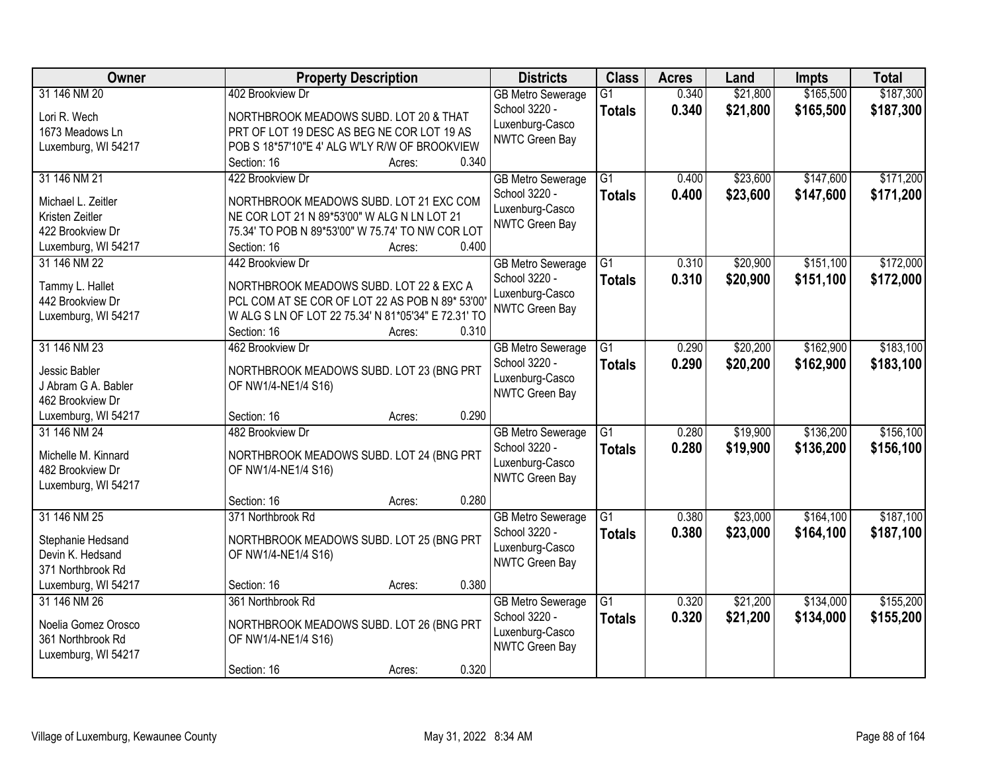| Owner                                 | <b>Property Description</b>                                                            | <b>Districts</b>                         | <b>Class</b>    | <b>Acres</b> | Land     | <b>Impts</b> | <b>Total</b> |
|---------------------------------------|----------------------------------------------------------------------------------------|------------------------------------------|-----------------|--------------|----------|--------------|--------------|
| 31 146 NM 20                          | 402 Brookview Dr                                                                       | <b>GB Metro Sewerage</b>                 | $\overline{G1}$ | 0.340        | \$21,800 | \$165,500    | \$187,300    |
| Lori R. Wech                          | NORTHBROOK MEADOWS SUBD. LOT 20 & THAT                                                 | School 3220 -                            | <b>Totals</b>   | 0.340        | \$21,800 | \$165,500    | \$187,300    |
| 1673 Meadows Ln                       | PRT OF LOT 19 DESC AS BEG NE COR LOT 19 AS                                             | Luxenburg-Casco                          |                 |              |          |              |              |
| Luxemburg, WI 54217                   | POB S 18*57'10"E 4' ALG W'LY R/W OF BROOKVIEW                                          | <b>NWTC Green Bay</b>                    |                 |              |          |              |              |
|                                       | 0.340<br>Section: 16<br>Acres:                                                         |                                          |                 |              |          |              |              |
| 31 146 NM 21                          | 422 Brookview Dr                                                                       | <b>GB Metro Sewerage</b>                 | $\overline{G1}$ | 0.400        | \$23,600 | \$147,600    | \$171,200    |
|                                       |                                                                                        | School 3220 -                            | <b>Totals</b>   | 0.400        | \$23,600 | \$147,600    | \$171,200    |
| Michael L. Zeitler<br>Kristen Zeitler | NORTHBROOK MEADOWS SUBD. LOT 21 EXC COM<br>NE COR LOT 21 N 89*53'00" W ALG N LN LOT 21 | Luxenburg-Casco                          |                 |              |          |              |              |
| 422 Brookview Dr                      | 75.34' TO POB N 89*53'00" W 75.74' TO NW COR LOT                                       | <b>NWTC Green Bay</b>                    |                 |              |          |              |              |
| Luxemburg, WI 54217                   | 0.400<br>Section: 16<br>Acres:                                                         |                                          |                 |              |          |              |              |
| 31 146 NM 22                          | 442 Brookview Dr                                                                       | <b>GB Metro Sewerage</b>                 | $\overline{G1}$ | 0.310        | \$20,900 | \$151,100    | \$172,000    |
|                                       |                                                                                        | School 3220 -                            | <b>Totals</b>   | 0.310        | \$20,900 | \$151,100    | \$172,000    |
| Tammy L. Hallet                       | NORTHBROOK MEADOWS SUBD. LOT 22 & EXC A                                                | Luxenburg-Casco                          |                 |              |          |              |              |
| 442 Brookview Dr                      | PCL COM AT SE COR OF LOT 22 AS POB N 89* 53'00'                                        | <b>NWTC Green Bay</b>                    |                 |              |          |              |              |
| Luxemburg, WI 54217                   | W ALG S LN OF LOT 22 75.34' N 81*05'34" E 72.31' TO                                    |                                          |                 |              |          |              |              |
|                                       | Section: 16<br>0.310<br>Acres:                                                         |                                          |                 |              |          |              |              |
| 31 146 NM 23                          | 462 Brookview Dr                                                                       | <b>GB Metro Sewerage</b>                 | G1              | 0.290        | \$20,200 | \$162,900    | \$183,100    |
| Jessic Babler                         | NORTHBROOK MEADOWS SUBD. LOT 23 (BNG PRT                                               | School 3220 -                            | <b>Totals</b>   | 0.290        | \$20,200 | \$162,900    | \$183,100    |
| J Abram G A. Babler                   | OF NW1/4-NE1/4 S16)                                                                    | Luxenburg-Casco<br><b>NWTC Green Bay</b> |                 |              |          |              |              |
| 462 Brookview Dr                      |                                                                                        |                                          |                 |              |          |              |              |
| Luxemburg, WI 54217                   | 0.290<br>Section: 16<br>Acres:                                                         |                                          |                 |              |          |              |              |
| 31 146 NM 24                          | 482 Brookview Dr                                                                       | <b>GB Metro Sewerage</b>                 | $\overline{G1}$ | 0.280        | \$19,900 | \$136,200    | \$156,100    |
| Michelle M. Kinnard                   | NORTHBROOK MEADOWS SUBD. LOT 24 (BNG PRT                                               | School 3220 -                            | <b>Totals</b>   | 0.280        | \$19,900 | \$136,200    | \$156,100    |
| 482 Brookview Dr                      | OF NW1/4-NE1/4 S16)                                                                    | Luxenburg-Casco                          |                 |              |          |              |              |
| Luxemburg, WI 54217                   |                                                                                        | <b>NWTC Green Bay</b>                    |                 |              |          |              |              |
|                                       | 0.280<br>Section: 16<br>Acres:                                                         |                                          |                 |              |          |              |              |
| 31 146 NM 25                          | 371 Northbrook Rd                                                                      | <b>GB Metro Sewerage</b>                 | G1              | 0.380        | \$23,000 | \$164,100    | \$187,100    |
| Stephanie Hedsand                     | NORTHBROOK MEADOWS SUBD. LOT 25 (BNG PRT                                               | School 3220 -                            | <b>Totals</b>   | 0.380        | \$23,000 | \$164,100    | \$187,100    |
| Devin K. Hedsand                      | OF NW1/4-NE1/4 S16)                                                                    | Luxenburg-Casco                          |                 |              |          |              |              |
| 371 Northbrook Rd                     |                                                                                        | NWTC Green Bay                           |                 |              |          |              |              |
| Luxemburg, WI 54217                   | 0.380<br>Section: 16<br>Acres:                                                         |                                          |                 |              |          |              |              |
| 31 146 NM 26                          | 361 Northbrook Rd                                                                      | <b>GB Metro Sewerage</b>                 | $\overline{G1}$ | 0.320        | \$21,200 | \$134,000    | \$155,200    |
|                                       |                                                                                        | School 3220 -                            | <b>Totals</b>   | 0.320        | \$21,200 | \$134,000    | \$155,200    |
| Noelia Gomez Orosco                   | NORTHBROOK MEADOWS SUBD. LOT 26 (BNG PRT                                               | Luxenburg-Casco                          |                 |              |          |              |              |
| 361 Northbrook Rd                     | OF NW1/4-NE1/4 S16)                                                                    | NWTC Green Bay                           |                 |              |          |              |              |
| Luxemburg, WI 54217                   |                                                                                        |                                          |                 |              |          |              |              |
|                                       | 0.320<br>Section: 16<br>Acres:                                                         |                                          |                 |              |          |              |              |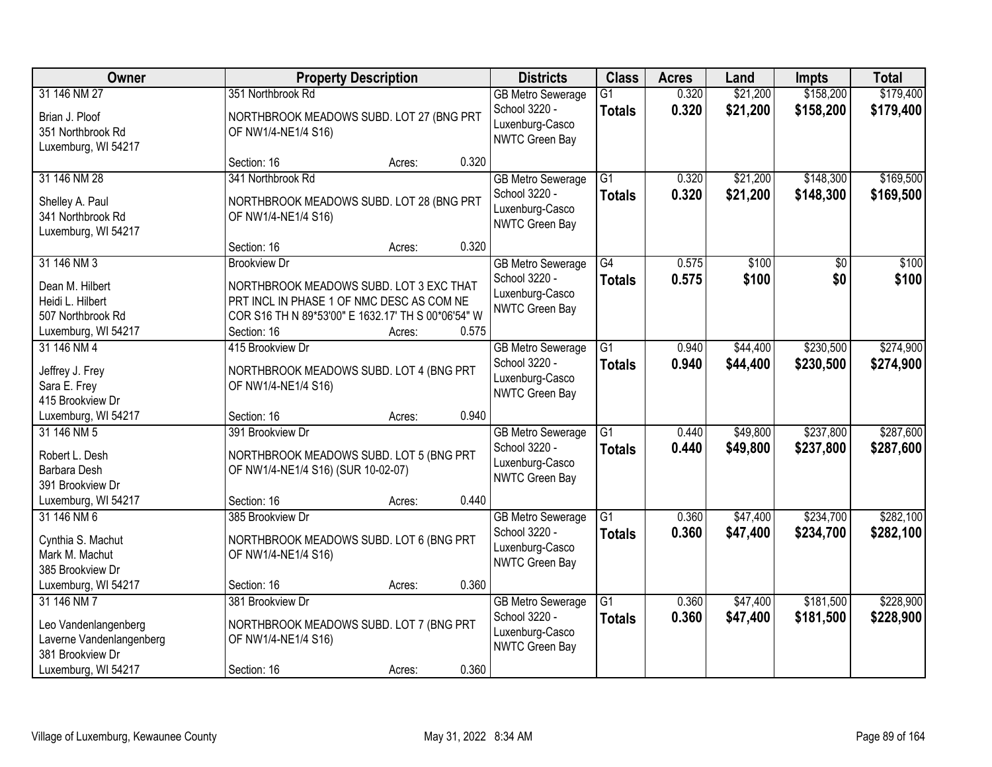| Owner                                                                                                      |                                                                                                                                                                                  | <b>Property Description</b> |       | <b>Districts</b>                                                               | <b>Class</b>                     | <b>Acres</b>   | Land                 | <b>Impts</b>           | <b>Total</b>           |
|------------------------------------------------------------------------------------------------------------|----------------------------------------------------------------------------------------------------------------------------------------------------------------------------------|-----------------------------|-------|--------------------------------------------------------------------------------|----------------------------------|----------------|----------------------|------------------------|------------------------|
| 31 146 NM 27<br>Brian J. Ploof<br>351 Northbrook Rd<br>Luxemburg, WI 54217                                 | 351 Northbrook Rd<br>NORTHBROOK MEADOWS SUBD. LOT 27 (BNG PRT<br>OF NW1/4-NE1/4 S16)                                                                                             |                             |       | <b>GB Metro Sewerage</b><br>School 3220 -<br>Luxenburg-Casco<br>NWTC Green Bay | $\overline{G1}$<br><b>Totals</b> | 0.320<br>0.320 | \$21,200<br>\$21,200 | \$158,200<br>\$158,200 | \$179,400<br>\$179,400 |
|                                                                                                            | Section: 16                                                                                                                                                                      | Acres:                      | 0.320 |                                                                                |                                  |                |                      |                        |                        |
| 31 146 NM 28<br>Shelley A. Paul<br>341 Northbrook Rd<br>Luxemburg, WI 54217                                | 341 Northbrook Rd<br>NORTHBROOK MEADOWS SUBD. LOT 28 (BNG PRT<br>OF NW1/4-NE1/4 S16)                                                                                             |                             |       | <b>GB Metro Sewerage</b><br>School 3220 -<br>Luxenburg-Casco<br>NWTC Green Bay | $\overline{G1}$<br><b>Totals</b> | 0.320<br>0.320 | \$21,200<br>\$21,200 | \$148,300<br>\$148,300 | \$169,500<br>\$169,500 |
|                                                                                                            | Section: 16                                                                                                                                                                      | Acres:                      | 0.320 |                                                                                |                                  |                |                      |                        |                        |
| 31 146 NM 3<br>Dean M. Hilbert<br>Heidi L. Hilbert<br>507 Northbrook Rd<br>Luxemburg, WI 54217             | <b>Brookview Dr</b><br>NORTHBROOK MEADOWS SUBD. LOT 3 EXC THAT<br>PRT INCL IN PHASE 1 OF NMC DESC AS COM NE<br>COR S16 TH N 89*53'00" E 1632.17' TH S 00*06'54" W<br>Section: 16 | Acres:                      | 0.575 | <b>GB Metro Sewerage</b><br>School 3220 -<br>Luxenburg-Casco<br>NWTC Green Bay | G4<br><b>Totals</b>              | 0.575<br>0.575 | \$100<br>\$100       | $\overline{50}$<br>\$0 | \$100<br>\$100         |
| 31 146 NM 4<br>Jeffrey J. Frey<br>Sara E. Frey<br>415 Brookview Dr                                         | 415 Brookview Dr<br>NORTHBROOK MEADOWS SUBD. LOT 4 (BNG PRT<br>OF NW1/4-NE1/4 S16)                                                                                               |                             |       | <b>GB</b> Metro Sewerage<br>School 3220 -<br>Luxenburg-Casco<br>NWTC Green Bay | G1<br><b>Totals</b>              | 0.940<br>0.940 | \$44,400<br>\$44,400 | \$230,500<br>\$230,500 | \$274,900<br>\$274,900 |
| Luxemburg, WI 54217                                                                                        | Section: 16                                                                                                                                                                      | Acres:                      | 0.940 |                                                                                |                                  |                |                      |                        |                        |
| 31 146 NM 5<br>Robert L. Desh<br><b>Barbara Desh</b><br>391 Brookview Dr                                   | 391 Brookview Dr<br>NORTHBROOK MEADOWS SUBD. LOT 5 (BNG PRT<br>OF NW1/4-NE1/4 S16) (SUR 10-02-07)                                                                                |                             |       | <b>GB</b> Metro Sewerage<br>School 3220 -<br>Luxenburg-Casco<br>NWTC Green Bay | $\overline{G1}$<br><b>Totals</b> | 0.440<br>0.440 | \$49,800<br>\$49,800 | \$237,800<br>\$237,800 | \$287,600<br>\$287,600 |
| Luxemburg, WI 54217                                                                                        | Section: 16                                                                                                                                                                      | Acres:                      | 0.440 |                                                                                |                                  |                |                      |                        |                        |
| 31 146 NM 6<br>Cynthia S. Machut<br>Mark M. Machut<br>385 Brookview Dr                                     | 385 Brookview Dr<br>NORTHBROOK MEADOWS SUBD. LOT 6 (BNG PRT<br>OF NW1/4-NE1/4 S16)                                                                                               |                             |       | <b>GB Metro Sewerage</b><br>School 3220 -<br>Luxenburg-Casco<br>NWTC Green Bay | $\overline{G1}$<br><b>Totals</b> | 0.360<br>0.360 | \$47,400<br>\$47,400 | \$234,700<br>\$234,700 | \$282,100<br>\$282,100 |
| Luxemburg, WI 54217                                                                                        | Section: 16                                                                                                                                                                      | Acres:                      | 0.360 |                                                                                |                                  |                |                      |                        |                        |
| 31 146 NM 7<br>Leo Vandenlangenberg<br>Laverne Vandenlangenberg<br>381 Brookview Dr<br>Luxemburg, WI 54217 | 381 Brookview Dr<br>NORTHBROOK MEADOWS SUBD. LOT 7 (BNG PRT<br>OF NW1/4-NE1/4 S16)<br>Section: 16                                                                                | Acres:                      | 0.360 | <b>GB Metro Sewerage</b><br>School 3220 -<br>Luxenburg-Casco<br>NWTC Green Bay | $\overline{G1}$<br><b>Totals</b> | 0.360<br>0.360 | \$47,400<br>\$47,400 | \$181,500<br>\$181,500 | \$228,900<br>\$228,900 |
|                                                                                                            |                                                                                                                                                                                  |                             |       |                                                                                |                                  |                |                      |                        |                        |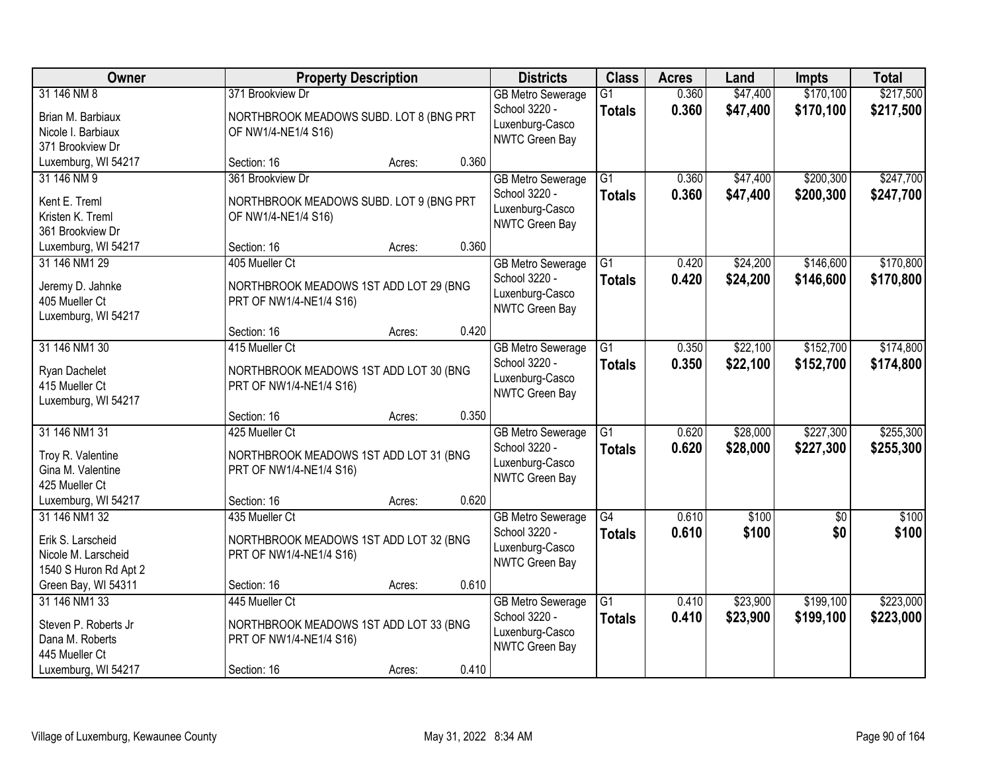| Owner                                                                                             |                                                                                                    | <b>Property Description</b> |       | <b>Districts</b>                                                                      | <b>Class</b>                     | <b>Acres</b>   | Land                 | <b>Impts</b>           | <b>Total</b>           |
|---------------------------------------------------------------------------------------------------|----------------------------------------------------------------------------------------------------|-----------------------------|-------|---------------------------------------------------------------------------------------|----------------------------------|----------------|----------------------|------------------------|------------------------|
| 31 146 NM 8<br>Brian M. Barbiaux<br>Nicole I. Barbiaux<br>371 Brookview Dr                        | 371 Brookview Dr<br>NORTHBROOK MEADOWS SUBD. LOT 8 (BNG PRT<br>OF NW1/4-NE1/4 S16)                 |                             |       | <b>GB Metro Sewerage</b><br>School 3220 -<br>Luxenburg-Casco<br>NWTC Green Bay        | $\overline{G1}$<br><b>Totals</b> | 0.360<br>0.360 | \$47,400<br>\$47,400 | \$170,100<br>\$170,100 | \$217,500<br>\$217,500 |
| Luxemburg, WI 54217                                                                               | Section: 16                                                                                        | Acres:                      | 0.360 |                                                                                       |                                  |                |                      |                        |                        |
| 31 146 NM 9<br>Kent E. Treml<br>Kristen K. Treml<br>361 Brookview Dr                              | 361 Brookview Dr<br>NORTHBROOK MEADOWS SUBD. LOT 9 (BNG PRT<br>OF NW1/4-NE1/4 S16)                 |                             |       | <b>GB Metro Sewerage</b><br>School 3220 -<br>Luxenburg-Casco<br><b>NWTC Green Bay</b> | $\overline{G1}$<br><b>Totals</b> | 0.360<br>0.360 | \$47,400<br>\$47,400 | \$200,300<br>\$200,300 | \$247,700<br>\$247,700 |
| Luxemburg, WI 54217                                                                               | Section: 16                                                                                        | Acres:                      | 0.360 |                                                                                       |                                  |                |                      |                        |                        |
| 31 146 NM1 29<br>Jeremy D. Jahnke<br>405 Mueller Ct<br>Luxemburg, WI 54217                        | 405 Mueller Ct<br>NORTHBROOK MEADOWS 1ST ADD LOT 29 (BNG<br>PRT OF NW1/4-NE1/4 S16)                |                             |       | <b>GB Metro Sewerage</b><br>School 3220 -<br>Luxenburg-Casco<br>NWTC Green Bay        | $\overline{G1}$<br><b>Totals</b> | 0.420<br>0.420 | \$24,200<br>\$24,200 | \$146,600<br>\$146,600 | \$170,800<br>\$170,800 |
|                                                                                                   | Section: 16                                                                                        | Acres:                      | 0.420 |                                                                                       |                                  |                |                      |                        |                        |
| 31 146 NM1 30<br>Ryan Dachelet<br>415 Mueller Ct<br>Luxemburg, WI 54217                           | 415 Mueller Ct<br>NORTHBROOK MEADOWS 1ST ADD LOT 30 (BNG<br>PRT OF NW1/4-NE1/4 S16)                |                             |       | <b>GB Metro Sewerage</b><br>School 3220 -<br>Luxenburg-Casco<br>NWTC Green Bay        | G1<br><b>Totals</b>              | 0.350<br>0.350 | \$22,100<br>\$22,100 | \$152,700<br>\$152,700 | \$174,800<br>\$174,800 |
|                                                                                                   | Section: 16                                                                                        | Acres:                      | 0.350 |                                                                                       |                                  |                |                      |                        |                        |
| 31 146 NM1 31<br>Troy R. Valentine<br>Gina M. Valentine<br>425 Mueller Ct                         | 425 Mueller Ct<br>NORTHBROOK MEADOWS 1ST ADD LOT 31 (BNG<br>PRT OF NW1/4-NE1/4 S16)                |                             |       | <b>GB Metro Sewerage</b><br>School 3220 -<br>Luxenburg-Casco<br><b>NWTC Green Bay</b> | $\overline{G1}$<br><b>Totals</b> | 0.620<br>0.620 | \$28,000<br>\$28,000 | \$227,300<br>\$227,300 | \$255,300<br>\$255,300 |
| Luxemburg, WI 54217                                                                               | Section: 16                                                                                        | Acres:                      | 0.620 |                                                                                       |                                  |                |                      |                        |                        |
| 31 146 NM1 32<br>Erik S. Larscheid<br>Nicole M. Larscheid<br>1540 S Huron Rd Apt 2                | 435 Mueller Ct<br>NORTHBROOK MEADOWS 1ST ADD LOT 32 (BNG<br>PRT OF NW1/4-NE1/4 S16)                |                             |       | <b>GB Metro Sewerage</b><br>School 3220 -<br>Luxenburg-Casco<br>NWTC Green Bay        | $\overline{G4}$<br><b>Totals</b> | 0.610<br>0.610 | \$100<br>\$100       | $\overline{50}$<br>\$0 | \$100<br>\$100         |
| Green Bay, WI 54311                                                                               | Section: 16                                                                                        | Acres:                      | 0.610 |                                                                                       |                                  |                |                      |                        |                        |
| 31 146 NM1 33<br>Steven P. Roberts Jr<br>Dana M. Roberts<br>445 Mueller Ct<br>Luxemburg, WI 54217 | 445 Mueller Ct<br>NORTHBROOK MEADOWS 1ST ADD LOT 33 (BNG<br>PRT OF NW1/4-NE1/4 S16)<br>Section: 16 | Acres:                      | 0.410 | <b>GB Metro Sewerage</b><br>School 3220 -<br>Luxenburg-Casco<br>NWTC Green Bay        | $\overline{G1}$<br><b>Totals</b> | 0.410<br>0.410 | \$23,900<br>\$23,900 | \$199,100<br>\$199,100 | \$223,000<br>\$223,000 |
|                                                                                                   |                                                                                                    |                             |       |                                                                                       |                                  |                |                      |                        |                        |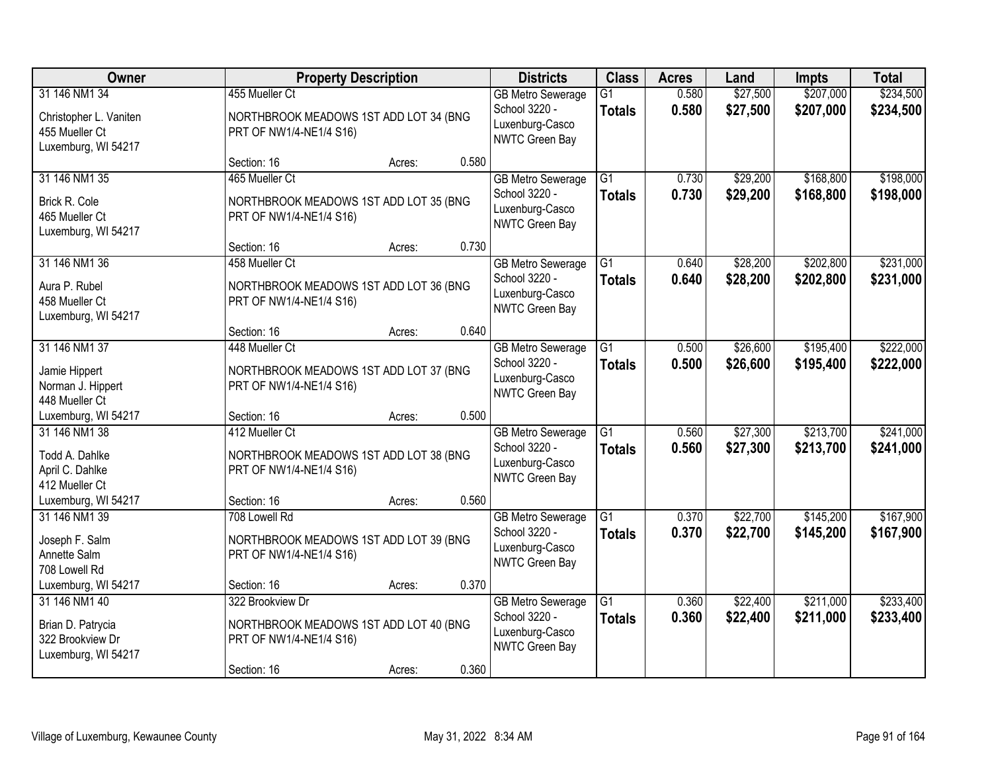| Owner                                                                            |                                                                                                      | <b>Property Description</b> |       | <b>Districts</b>                                                                      | <b>Class</b>                     | <b>Acres</b>   | Land                 | <b>Impts</b>           | <b>Total</b>           |
|----------------------------------------------------------------------------------|------------------------------------------------------------------------------------------------------|-----------------------------|-------|---------------------------------------------------------------------------------------|----------------------------------|----------------|----------------------|------------------------|------------------------|
| 31 146 NM1 34<br>Christopher L. Vaniten<br>455 Mueller Ct<br>Luxemburg, WI 54217 | 455 Mueller Ct<br>NORTHBROOK MEADOWS 1ST ADD LOT 34 (BNG<br>PRT OF NW1/4-NE1/4 S16)                  |                             |       | <b>GB Metro Sewerage</b><br>School 3220 -<br>Luxenburg-Casco<br>NWTC Green Bay        | $\overline{G1}$<br><b>Totals</b> | 0.580<br>0.580 | \$27,500<br>\$27,500 | \$207,000<br>\$207,000 | \$234,500<br>\$234,500 |
|                                                                                  | Section: 16                                                                                          | Acres:                      | 0.580 |                                                                                       |                                  |                |                      |                        |                        |
| 31 146 NM1 35<br>Brick R. Cole<br>465 Mueller Ct<br>Luxemburg, WI 54217          | 465 Mueller Ct<br>NORTHBROOK MEADOWS 1ST ADD LOT 35 (BNG<br>PRT OF NW1/4-NE1/4 S16)                  |                             |       | <b>GB Metro Sewerage</b><br>School 3220 -<br>Luxenburg-Casco<br><b>NWTC Green Bay</b> | $\overline{G1}$<br><b>Totals</b> | 0.730<br>0.730 | \$29,200<br>\$29,200 | \$168,800<br>\$168,800 | \$198,000<br>\$198,000 |
|                                                                                  | Section: 16                                                                                          | Acres:                      | 0.730 |                                                                                       |                                  |                |                      |                        |                        |
| 31 146 NM1 36<br>Aura P. Rubel<br>458 Mueller Ct<br>Luxemburg, WI 54217          | 458 Mueller Ct<br>NORTHBROOK MEADOWS 1ST ADD LOT 36 (BNG<br>PRT OF NW1/4-NE1/4 S16)                  |                             |       | <b>GB Metro Sewerage</b><br>School 3220 -<br>Luxenburg-Casco<br>NWTC Green Bay        | G1<br><b>Totals</b>              | 0.640<br>0.640 | \$28,200<br>\$28,200 | \$202,800<br>\$202,800 | \$231,000<br>\$231,000 |
|                                                                                  | Section: 16                                                                                          | Acres:                      | 0.640 |                                                                                       |                                  |                |                      |                        |                        |
| 31 146 NM1 37<br>Jamie Hippert<br>Norman J. Hippert<br>448 Mueller Ct            | 448 Mueller Ct<br>NORTHBROOK MEADOWS 1ST ADD LOT 37 (BNG<br>PRT OF NW1/4-NE1/4 S16)                  |                             |       | <b>GB Metro Sewerage</b><br>School 3220 -<br>Luxenburg-Casco<br>NWTC Green Bay        | G1<br><b>Totals</b>              | 0.500<br>0.500 | \$26,600<br>\$26,600 | \$195,400<br>\$195,400 | \$222,000<br>\$222,000 |
| Luxemburg, WI 54217                                                              | Section: 16                                                                                          | Acres:                      | 0.500 |                                                                                       |                                  |                |                      |                        |                        |
| 31 146 NM1 38<br>Todd A. Dahlke<br>April C. Dahlke<br>412 Mueller Ct             | 412 Mueller Ct<br>NORTHBROOK MEADOWS 1ST ADD LOT 38 (BNG<br>PRT OF NW1/4-NE1/4 S16)                  |                             |       | <b>GB Metro Sewerage</b><br>School 3220 -<br>Luxenburg-Casco<br><b>NWTC Green Bay</b> | $\overline{G1}$<br><b>Totals</b> | 0.560<br>0.560 | \$27,300<br>\$27,300 | \$213,700<br>\$213,700 | \$241,000<br>\$241,000 |
| Luxemburg, WI 54217                                                              | Section: 16                                                                                          | Acres:                      | 0.560 |                                                                                       |                                  |                |                      |                        |                        |
| 31 146 NM1 39<br>Joseph F. Salm<br>Annette Salm<br>708 Lowell Rd                 | 708 Lowell Rd<br>NORTHBROOK MEADOWS 1ST ADD LOT 39 (BNG<br>PRT OF NW1/4-NE1/4 S16)                   |                             |       | <b>GB Metro Sewerage</b><br>School 3220 -<br>Luxenburg-Casco<br>NWTC Green Bay        | G1<br><b>Totals</b>              | 0.370<br>0.370 | \$22,700<br>\$22,700 | \$145,200<br>\$145,200 | \$167,900<br>\$167,900 |
| Luxemburg, WI 54217                                                              | Section: 16                                                                                          | Acres:                      | 0.370 |                                                                                       |                                  |                |                      |                        |                        |
| 31 146 NM1 40<br>Brian D. Patrycia<br>322 Brookview Dr<br>Luxemburg, WI 54217    | 322 Brookview Dr<br>NORTHBROOK MEADOWS 1ST ADD LOT 40 (BNG<br>PRT OF NW1/4-NE1/4 S16)<br>Section: 16 | Acres:                      | 0.360 | <b>GB Metro Sewerage</b><br>School 3220 -<br>Luxenburg-Casco<br>NWTC Green Bay        | $\overline{G1}$<br><b>Totals</b> | 0.360<br>0.360 | \$22,400<br>\$22,400 | \$211,000<br>\$211,000 | \$233,400<br>\$233,400 |
|                                                                                  |                                                                                                      |                             |       |                                                                                       |                                  |                |                      |                        |                        |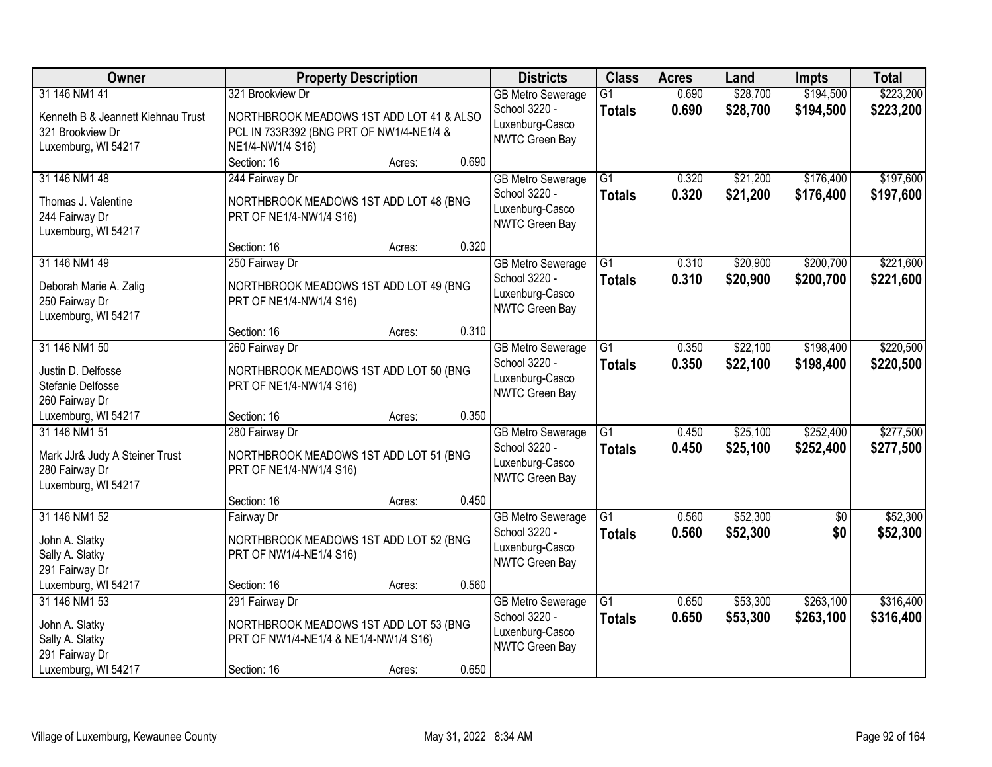| <b>Owner</b>                       | <b>Property Description</b>              |        |       | <b>Districts</b>                  | <b>Class</b>    | <b>Acres</b> | Land     | <b>Impts</b>    | <b>Total</b> |
|------------------------------------|------------------------------------------|--------|-------|-----------------------------------|-----------------|--------------|----------|-----------------|--------------|
| 31 146 NM1 41                      | 321 Brookview Dr                         |        |       | <b>GB Metro Sewerage</b>          | $\overline{G1}$ | 0.690        | \$28,700 | \$194,500       | \$223,200    |
| Kenneth B & Jeannett Kiehnau Trust | NORTHBROOK MEADOWS 1ST ADD LOT 41 & ALSO |        |       | School 3220 -                     | <b>Totals</b>   | 0.690        | \$28,700 | \$194,500       | \$223,200    |
| 321 Brookview Dr                   | PCL IN 733R392 (BNG PRT OF NW1/4-NE1/4 & |        |       | Luxenburg-Casco                   |                 |              |          |                 |              |
| Luxemburg, WI 54217                | NE1/4-NW1/4 S16)                         |        |       | NWTC Green Bay                    |                 |              |          |                 |              |
|                                    | Section: 16                              | Acres: | 0.690 |                                   |                 |              |          |                 |              |
| 31 146 NM1 48                      | 244 Fairway Dr                           |        |       | <b>GB Metro Sewerage</b>          | $\overline{G1}$ | 0.320        | \$21,200 | \$176,400       | \$197,600    |
| Thomas J. Valentine                | NORTHBROOK MEADOWS 1ST ADD LOT 48 (BNG   |        |       | School 3220 -                     | <b>Totals</b>   | 0.320        | \$21,200 | \$176,400       | \$197,600    |
| 244 Fairway Dr                     | PRT OF NE1/4-NW1/4 S16)                  |        |       | Luxenburg-Casco                   |                 |              |          |                 |              |
| Luxemburg, WI 54217                |                                          |        |       | NWTC Green Bay                    |                 |              |          |                 |              |
|                                    | Section: 16                              | Acres: | 0.320 |                                   |                 |              |          |                 |              |
| 31 146 NM1 49                      | 250 Fairway Dr                           |        |       | <b>GB Metro Sewerage</b>          | G1              | 0.310        | \$20,900 | \$200,700       | \$221,600    |
| Deborah Marie A. Zalig             | NORTHBROOK MEADOWS 1ST ADD LOT 49 (BNG   |        |       | School 3220 -                     | <b>Totals</b>   | 0.310        | \$20,900 | \$200,700       | \$221,600    |
| 250 Fairway Dr                     | PRT OF NE1/4-NW1/4 S16)                  |        |       | Luxenburg-Casco                   |                 |              |          |                 |              |
| Luxemburg, WI 54217                |                                          |        |       | NWTC Green Bay                    |                 |              |          |                 |              |
|                                    | Section: 16                              | Acres: | 0.310 |                                   |                 |              |          |                 |              |
| 31 146 NM1 50                      | 260 Fairway Dr                           |        |       | <b>GB Metro Sewerage</b>          | G1              | 0.350        | \$22,100 | \$198,400       | \$220,500    |
| Justin D. Delfosse                 | NORTHBROOK MEADOWS 1ST ADD LOT 50 (BNG   |        |       | School 3220 -                     | <b>Totals</b>   | 0.350        | \$22,100 | \$198,400       | \$220,500    |
| Stefanie Delfosse                  | PRT OF NE1/4-NW1/4 S16)                  |        |       | Luxenburg-Casco                   |                 |              |          |                 |              |
| 260 Fairway Dr                     |                                          |        |       | NWTC Green Bay                    |                 |              |          |                 |              |
| Luxemburg, WI 54217                | Section: 16                              | Acres: | 0.350 |                                   |                 |              |          |                 |              |
| 31 146 NM1 51                      | 280 Fairway Dr                           |        |       | <b>GB Metro Sewerage</b>          | $\overline{G1}$ | 0.450        | \$25,100 | \$252,400       | \$277,500    |
|                                    |                                          |        |       | School 3220 -                     | <b>Totals</b>   | 0.450        | \$25,100 | \$252,400       | \$277,500    |
| Mark JJr& Judy A Steiner Trust     | NORTHBROOK MEADOWS 1ST ADD LOT 51 (BNG   |        |       | Luxenburg-Casco                   |                 |              |          |                 |              |
| 280 Fairway Dr                     | PRT OF NE1/4-NW1/4 S16)                  |        |       | NWTC Green Bay                    |                 |              |          |                 |              |
| Luxemburg, WI 54217                | Section: 16                              | Acres: | 0.450 |                                   |                 |              |          |                 |              |
| 31 146 NM1 52                      | Fairway Dr                               |        |       | <b>GB Metro Sewerage</b>          | $\overline{G1}$ | 0.560        | \$52,300 | $\overline{60}$ | \$52,300     |
|                                    |                                          |        |       | School 3220 -                     | <b>Totals</b>   | 0.560        | \$52,300 | \$0             | \$52,300     |
| John A. Slatky                     | NORTHBROOK MEADOWS 1ST ADD LOT 52 (BNG   |        |       | Luxenburg-Casco                   |                 |              |          |                 |              |
| Sally A. Slatky                    | PRT OF NW1/4-NE1/4 S16)                  |        |       | NWTC Green Bay                    |                 |              |          |                 |              |
| 291 Fairway Dr                     |                                          |        |       |                                   |                 |              |          |                 |              |
| Luxemburg, WI 54217                | Section: 16                              | Acres: | 0.560 |                                   |                 |              |          |                 |              |
| 31 146 NM1 53                      | 291 Fairway Dr                           |        |       | <b>GB Metro Sewerage</b>          | $\overline{G1}$ | 0.650        | \$53,300 | \$263,100       | \$316,400    |
| John A. Slatky                     | NORTHBROOK MEADOWS 1ST ADD LOT 53 (BNG   |        |       | School 3220 -                     | <b>Totals</b>   | 0.650        | \$53,300 | \$263,100       | \$316,400    |
| Sally A. Slatky                    | PRT OF NW1/4-NE1/4 & NE1/4-NW1/4 S16)    |        |       | Luxenburg-Casco<br>NWTC Green Bay |                 |              |          |                 |              |
| 291 Fairway Dr                     |                                          |        |       |                                   |                 |              |          |                 |              |
| Luxemburg, WI 54217                | Section: 16                              | Acres: | 0.650 |                                   |                 |              |          |                 |              |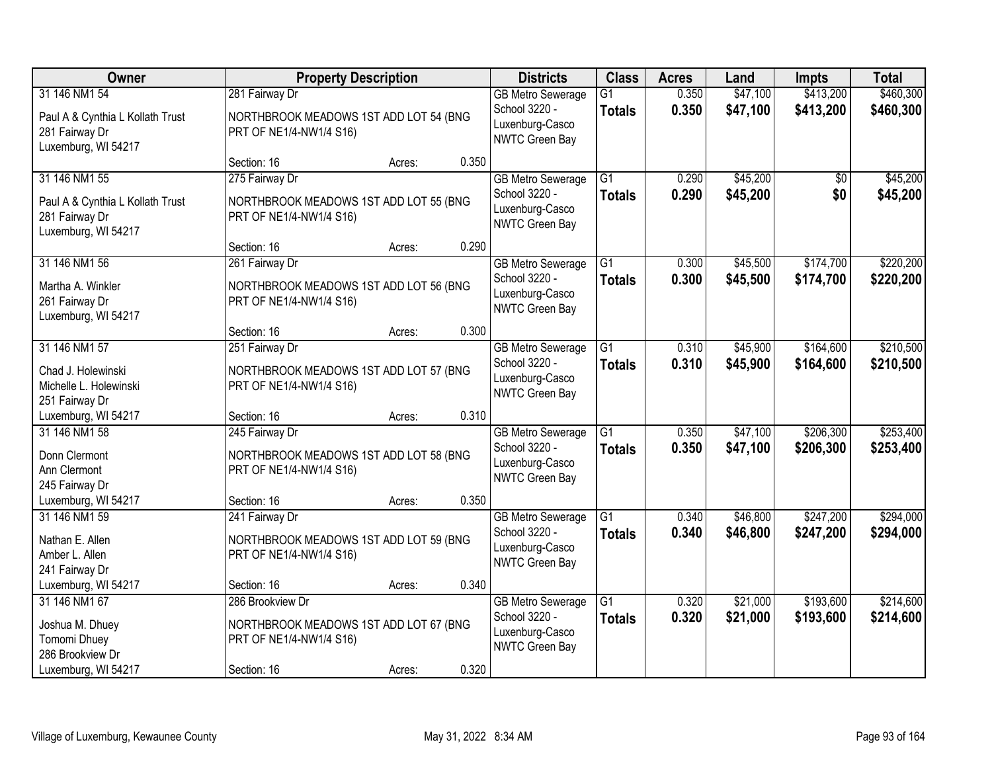| Owner                                                                                      | <b>Property Description</b>                                                           |        |       | <b>Districts</b>                                                               | <b>Class</b>                     | <b>Acres</b>   | Land                 | <b>Impts</b>           | <b>Total</b>           |
|--------------------------------------------------------------------------------------------|---------------------------------------------------------------------------------------|--------|-------|--------------------------------------------------------------------------------|----------------------------------|----------------|----------------------|------------------------|------------------------|
| 31 146 NM1 54<br>Paul A & Cynthia L Kollath Trust<br>281 Fairway Dr<br>Luxemburg, WI 54217 | 281 Fairway Dr<br>NORTHBROOK MEADOWS 1ST ADD LOT 54 (BNG<br>PRT OF NE1/4-NW1/4 S16)   |        |       | <b>GB Metro Sewerage</b><br>School 3220 -<br>Luxenburg-Casco<br>NWTC Green Bay | $\overline{G1}$<br><b>Totals</b> | 0.350<br>0.350 | \$47,100<br>\$47,100 | \$413,200<br>\$413,200 | \$460,300<br>\$460,300 |
|                                                                                            | Section: 16                                                                           | Acres: | 0.350 |                                                                                |                                  |                |                      |                        |                        |
| 31 146 NM1 55<br>Paul A & Cynthia L Kollath Trust<br>281 Fairway Dr<br>Luxemburg, WI 54217 | 275 Fairway Dr<br>NORTHBROOK MEADOWS 1ST ADD LOT 55 (BNG<br>PRT OF NE1/4-NW1/4 S16)   |        |       | <b>GB Metro Sewerage</b><br>School 3220 -<br>Luxenburg-Casco<br>NWTC Green Bay | $\overline{G1}$<br><b>Totals</b> | 0.290<br>0.290 | \$45,200<br>\$45,200 | \$0<br>\$0             | \$45,200<br>\$45,200   |
|                                                                                            | Section: 16                                                                           | Acres: | 0.290 |                                                                                |                                  |                |                      |                        |                        |
| 31 146 NM1 56<br>Martha A. Winkler<br>261 Fairway Dr<br>Luxemburg, WI 54217                | 261 Fairway Dr<br>NORTHBROOK MEADOWS 1ST ADD LOT 56 (BNG<br>PRT OF NE1/4-NW1/4 S16)   |        |       | <b>GB Metro Sewerage</b><br>School 3220 -<br>Luxenburg-Casco<br>NWTC Green Bay | $\overline{G1}$<br><b>Totals</b> | 0.300<br>0.300 | \$45,500<br>\$45,500 | \$174,700<br>\$174,700 | \$220,200<br>\$220,200 |
|                                                                                            | Section: 16                                                                           | Acres: | 0.300 |                                                                                |                                  |                |                      |                        |                        |
| 31 146 NM1 57<br>Chad J. Holewinski<br>Michelle L. Holewinski<br>251 Fairway Dr            | 251 Fairway Dr<br>NORTHBROOK MEADOWS 1ST ADD LOT 57 (BNG<br>PRT OF NE1/4-NW1/4 S16)   |        |       | <b>GB Metro Sewerage</b><br>School 3220 -<br>Luxenburg-Casco<br>NWTC Green Bay | G1<br><b>Totals</b>              | 0.310<br>0.310 | \$45,900<br>\$45,900 | \$164,600<br>\$164,600 | \$210,500<br>\$210,500 |
| Luxemburg, WI 54217                                                                        | Section: 16                                                                           | Acres: | 0.310 |                                                                                |                                  |                |                      |                        |                        |
| 31 146 NM1 58<br>Donn Clermont<br>Ann Clermont<br>245 Fairway Dr                           | 245 Fairway Dr<br>NORTHBROOK MEADOWS 1ST ADD LOT 58 (BNG<br>PRT OF NE1/4-NW1/4 S16)   |        |       | <b>GB</b> Metro Sewerage<br>School 3220 -<br>Luxenburg-Casco<br>NWTC Green Bay | $\overline{G1}$<br><b>Totals</b> | 0.350<br>0.350 | \$47,100<br>\$47,100 | \$206,300<br>\$206,300 | \$253,400<br>\$253,400 |
| Luxemburg, WI 54217                                                                        | Section: 16                                                                           | Acres: | 0.350 |                                                                                |                                  |                |                      |                        |                        |
| 31 146 NM1 59<br>Nathan E. Allen<br>Amber L. Allen<br>241 Fairway Dr                       | 241 Fairway Dr<br>NORTHBROOK MEADOWS 1ST ADD LOT 59 (BNG<br>PRT OF NE1/4-NW1/4 S16)   |        |       | <b>GB Metro Sewerage</b><br>School 3220 -<br>Luxenburg-Casco<br>NWTC Green Bay | $\overline{G1}$<br><b>Totals</b> | 0.340<br>0.340 | \$46,800<br>\$46,800 | \$247,200<br>\$247,200 | \$294,000<br>\$294,000 |
| Luxemburg, WI 54217                                                                        | Section: 16                                                                           | Acres: | 0.340 |                                                                                |                                  |                |                      |                        |                        |
| 31 146 NM1 67<br>Joshua M. Dhuey<br>Tomomi Dhuey<br>286 Brookview Dr                       | 286 Brookview Dr<br>NORTHBROOK MEADOWS 1ST ADD LOT 67 (BNG<br>PRT OF NE1/4-NW1/4 S16) |        |       | <b>GB Metro Sewerage</b><br>School 3220 -<br>Luxenburg-Casco<br>NWTC Green Bay | $\overline{G1}$<br><b>Totals</b> | 0.320<br>0.320 | \$21,000<br>\$21,000 | \$193,600<br>\$193,600 | \$214,600<br>\$214,600 |
| Luxemburg, WI 54217                                                                        | Section: 16                                                                           | Acres: | 0.320 |                                                                                |                                  |                |                      |                        |                        |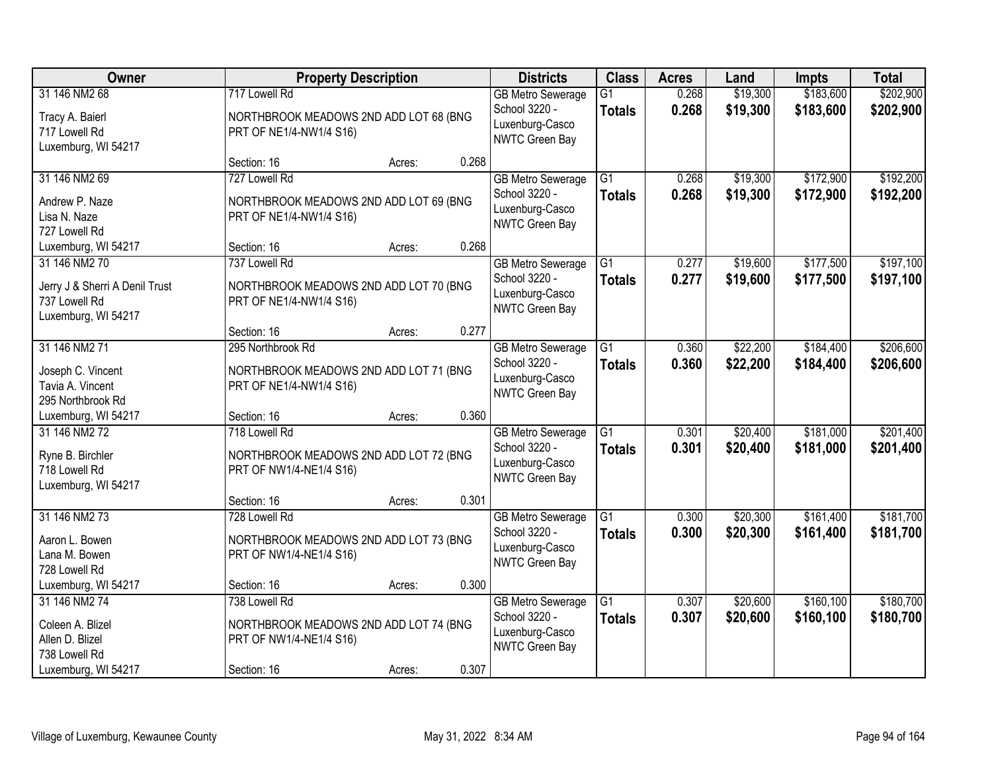| Owner                                                                                   |                                                                                        | <b>Property Description</b> |       | <b>Districts</b>                                                               | <b>Class</b>                     | <b>Acres</b>   | Land                 | <b>Impts</b>            | <b>Total</b>           |
|-----------------------------------------------------------------------------------------|----------------------------------------------------------------------------------------|-----------------------------|-------|--------------------------------------------------------------------------------|----------------------------------|----------------|----------------------|-------------------------|------------------------|
| 31 146 NM2 68<br>Tracy A. Baierl<br>717 Lowell Rd<br>Luxemburg, WI 54217                | 717 Lowell Rd<br>NORTHBROOK MEADOWS 2ND ADD LOT 68 (BNG<br>PRT OF NE1/4-NW1/4 S16)     |                             |       | <b>GB Metro Sewerage</b><br>School 3220 -<br>Luxenburg-Casco<br>NWTC Green Bay | $\overline{G1}$<br><b>Totals</b> | 0.268<br>0.268 | \$19,300<br>\$19,300 | \$183,600<br>\$183,600  | \$202,900<br>\$202,900 |
|                                                                                         | Section: 16                                                                            | Acres:                      | 0.268 |                                                                                |                                  |                |                      |                         |                        |
| 31 146 NM2 69<br>Andrew P. Naze<br>Lisa N. Naze<br>727 Lowell Rd                        | 727 Lowell Rd<br>NORTHBROOK MEADOWS 2ND ADD LOT 69 (BNG<br>PRT OF NE1/4-NW1/4 S16)     |                             |       | <b>GB Metro Sewerage</b><br>School 3220 -<br>Luxenburg-Casco<br>NWTC Green Bay | $\overline{G1}$<br><b>Totals</b> | 0.268<br>0.268 | \$19,300<br>\$19,300 | \$172,900<br>\$172,900  | \$192,200<br>\$192,200 |
| Luxemburg, WI 54217                                                                     | Section: 16                                                                            | Acres:                      | 0.268 |                                                                                |                                  |                |                      |                         |                        |
| 31 146 NM2 70<br>Jerry J & Sherri A Denil Trust<br>737 Lowell Rd<br>Luxemburg, WI 54217 | 737 Lowell Rd<br>NORTHBROOK MEADOWS 2ND ADD LOT 70 (BNG<br>PRT OF NE1/4-NW1/4 S16)     |                             |       | <b>GB Metro Sewerage</b><br>School 3220 -<br>Luxenburg-Casco<br>NWTC Green Bay | $\overline{G1}$<br><b>Totals</b> | 0.277<br>0.277 | \$19,600<br>\$19,600 | \$177,500<br>\$177,500  | \$197,100<br>\$197,100 |
|                                                                                         | Section: 16                                                                            | Acres:                      | 0.277 |                                                                                |                                  |                |                      |                         |                        |
| 31 146 NM2 71<br>Joseph C. Vincent<br>Tavia A. Vincent<br>295 Northbrook Rd             | 295 Northbrook Rd<br>NORTHBROOK MEADOWS 2ND ADD LOT 71 (BNG<br>PRT OF NE1/4-NW1/4 S16) |                             |       | <b>GB Metro Sewerage</b><br>School 3220 -<br>Luxenburg-Casco<br>NWTC Green Bay | G1<br><b>Totals</b>              | 0.360<br>0.360 | \$22,200<br>\$22,200 | \$184,400<br>\$184,400  | \$206,600<br>\$206,600 |
| Luxemburg, WI 54217                                                                     | Section: 16                                                                            | Acres:                      | 0.360 |                                                                                |                                  |                |                      |                         |                        |
| 31 146 NM2 72<br>Ryne B. Birchler<br>718 Lowell Rd<br>Luxemburg, WI 54217               | 718 Lowell Rd<br>NORTHBROOK MEADOWS 2ND ADD LOT 72 (BNG<br>PRT OF NW1/4-NE1/4 S16)     |                             |       | <b>GB</b> Metro Sewerage<br>School 3220 -<br>Luxenburg-Casco<br>NWTC Green Bay | $\overline{G1}$<br><b>Totals</b> | 0.301<br>0.301 | \$20,400<br>\$20,400 | \$181,000<br>\$181,000  | \$201,400<br>\$201,400 |
|                                                                                         | Section: 16                                                                            | Acres:                      | 0.301 |                                                                                |                                  |                |                      |                         |                        |
| 31 146 NM2 73<br>Aaron L. Bowen<br>Lana M. Bowen<br>728 Lowell Rd                       | 728 Lowell Rd<br>NORTHBROOK MEADOWS 2ND ADD LOT 73 (BNG<br>PRT OF NW1/4-NE1/4 S16)     |                             |       | <b>GB</b> Metro Sewerage<br>School 3220 -<br>Luxenburg-Casco<br>NWTC Green Bay | $\overline{G1}$<br><b>Totals</b> | 0.300<br>0.300 | \$20,300<br>\$20,300 | \$161,400<br>\$161,400  | \$181,700<br>\$181,700 |
| Luxemburg, WI 54217                                                                     | Section: 16                                                                            | Acres:                      | 0.300 |                                                                                |                                  |                |                      |                         |                        |
| 31 146 NM2 74<br>Coleen A. Blizel<br>Allen D. Blizel<br>738 Lowell Rd                   | 738 Lowell Rd<br>NORTHBROOK MEADOWS 2ND ADD LOT 74 (BNG<br>PRT OF NW1/4-NE1/4 S16)     |                             |       | <b>GB Metro Sewerage</b><br>School 3220 -<br>Luxenburg-Casco<br>NWTC Green Bay | $\overline{G1}$<br><b>Totals</b> | 0.307<br>0.307 | \$20,600<br>\$20,600 | \$160, 100<br>\$160,100 | \$180,700<br>\$180,700 |
| Luxemburg, WI 54217                                                                     | Section: 16                                                                            | Acres:                      | 0.307 |                                                                                |                                  |                |                      |                         |                        |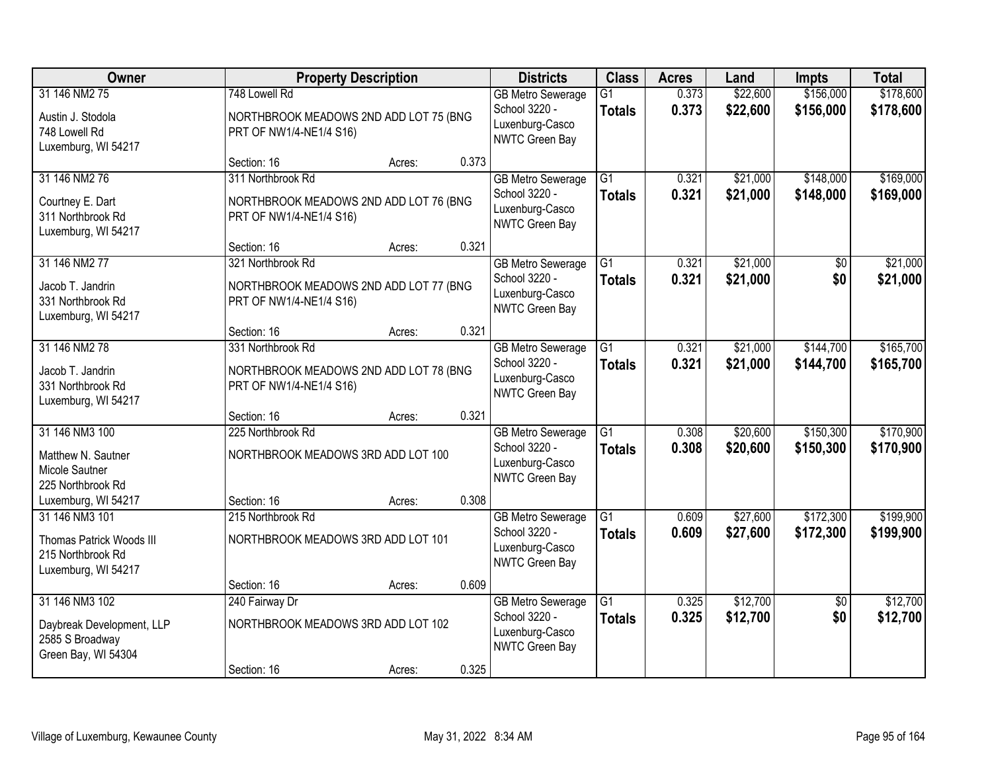| Owner                                                                                  |                                                                                        | <b>Property Description</b> |       | <b>Districts</b>                                                                      | <b>Class</b>                     | <b>Acres</b>   | Land                 | <b>Impts</b>           | <b>Total</b>           |
|----------------------------------------------------------------------------------------|----------------------------------------------------------------------------------------|-----------------------------|-------|---------------------------------------------------------------------------------------|----------------------------------|----------------|----------------------|------------------------|------------------------|
| 31 146 NM2 75<br>Austin J. Stodola<br>748 Lowell Rd<br>Luxemburg, WI 54217             | 748 Lowell Rd<br>NORTHBROOK MEADOWS 2ND ADD LOT 75 (BNG<br>PRT OF NW1/4-NE1/4 S16)     |                             |       | <b>GB Metro Sewerage</b><br>School 3220 -<br>Luxenburg-Casco<br>NWTC Green Bay        | $\overline{G1}$<br><b>Totals</b> | 0.373<br>0.373 | \$22,600<br>\$22,600 | \$156,000<br>\$156,000 | \$178,600<br>\$178,600 |
|                                                                                        | Section: 16                                                                            | Acres:                      | 0.373 |                                                                                       |                                  |                |                      |                        |                        |
| 31 146 NM2 76<br>Courtney E. Dart<br>311 Northbrook Rd<br>Luxemburg, WI 54217          | 311 Northbrook Rd<br>NORTHBROOK MEADOWS 2ND ADD LOT 76 (BNG<br>PRT OF NW1/4-NE1/4 S16) |                             |       | <b>GB Metro Sewerage</b><br>School 3220 -<br>Luxenburg-Casco<br><b>NWTC Green Bay</b> | $\overline{G1}$<br><b>Totals</b> | 0.321<br>0.321 | \$21,000<br>\$21,000 | \$148,000<br>\$148,000 | \$169,000<br>\$169,000 |
|                                                                                        | Section: 16                                                                            | Acres:                      | 0.321 |                                                                                       |                                  |                |                      |                        |                        |
| 31 146 NM2 77<br>Jacob T. Jandrin<br>331 Northbrook Rd<br>Luxemburg, WI 54217          | 321 Northbrook Rd<br>NORTHBROOK MEADOWS 2ND ADD LOT 77 (BNG<br>PRT OF NW1/4-NE1/4 S16) |                             |       | <b>GB Metro Sewerage</b><br>School 3220 -<br>Luxenburg-Casco<br>NWTC Green Bay        | $\overline{G1}$<br><b>Totals</b> | 0.321<br>0.321 | \$21,000<br>\$21,000 | $\overline{50}$<br>\$0 | \$21,000<br>\$21,000   |
|                                                                                        | Section: 16                                                                            | Acres:                      | 0.321 |                                                                                       |                                  |                |                      |                        |                        |
| 31 146 NM2 78<br>Jacob T. Jandrin<br>331 Northbrook Rd<br>Luxemburg, WI 54217          | 331 Northbrook Rd<br>NORTHBROOK MEADOWS 2ND ADD LOT 78 (BNG<br>PRT OF NW1/4-NE1/4 S16) |                             |       | <b>GB Metro Sewerage</b><br>School 3220 -<br>Luxenburg-Casco<br>NWTC Green Bay        | G1<br><b>Totals</b>              | 0.321<br>0.321 | \$21,000<br>\$21,000 | \$144,700<br>\$144,700 | \$165,700<br>\$165,700 |
|                                                                                        | Section: 16                                                                            | Acres:                      | 0.321 |                                                                                       |                                  |                |                      |                        |                        |
| 31 146 NM3 100<br>Matthew N. Sautner<br>Micole Sautner<br>225 Northbrook Rd            | 225 Northbrook Rd<br>NORTHBROOK MEADOWS 3RD ADD LOT 100                                |                             |       | <b>GB Metro Sewerage</b><br>School 3220 -<br>Luxenburg-Casco<br><b>NWTC Green Bay</b> | $\overline{G1}$<br><b>Totals</b> | 0.308<br>0.308 | \$20,600<br>\$20,600 | \$150,300<br>\$150,300 | \$170,900<br>\$170,900 |
| Luxemburg, WI 54217                                                                    | Section: 16                                                                            | Acres:                      | 0.308 |                                                                                       |                                  |                |                      |                        |                        |
| 31 146 NM3 101<br>Thomas Patrick Woods III<br>215 Northbrook Rd<br>Luxemburg, WI 54217 | 215 Northbrook Rd<br>NORTHBROOK MEADOWS 3RD ADD LOT 101                                |                             |       | <b>GB Metro Sewerage</b><br>School 3220 -<br>Luxenburg-Casco<br>NWTC Green Bay        | G1<br><b>Totals</b>              | 0.609<br>0.609 | \$27,600<br>\$27,600 | \$172,300<br>\$172,300 | \$199,900<br>\$199,900 |
|                                                                                        | Section: 16                                                                            | Acres:                      | 0.609 |                                                                                       |                                  |                |                      |                        |                        |
| 31 146 NM3 102<br>Daybreak Development, LLP<br>2585 S Broadway<br>Green Bay, WI 54304  | 240 Fairway Dr<br>NORTHBROOK MEADOWS 3RD ADD LOT 102                                   |                             |       | <b>GB Metro Sewerage</b><br>School 3220 -<br>Luxenburg-Casco<br>NWTC Green Bay        | $\overline{G1}$<br><b>Totals</b> | 0.325<br>0.325 | \$12,700<br>\$12,700 | $\overline{30}$<br>\$0 | \$12,700<br>\$12,700   |
|                                                                                        | Section: 16                                                                            | Acres:                      | 0.325 |                                                                                       |                                  |                |                      |                        |                        |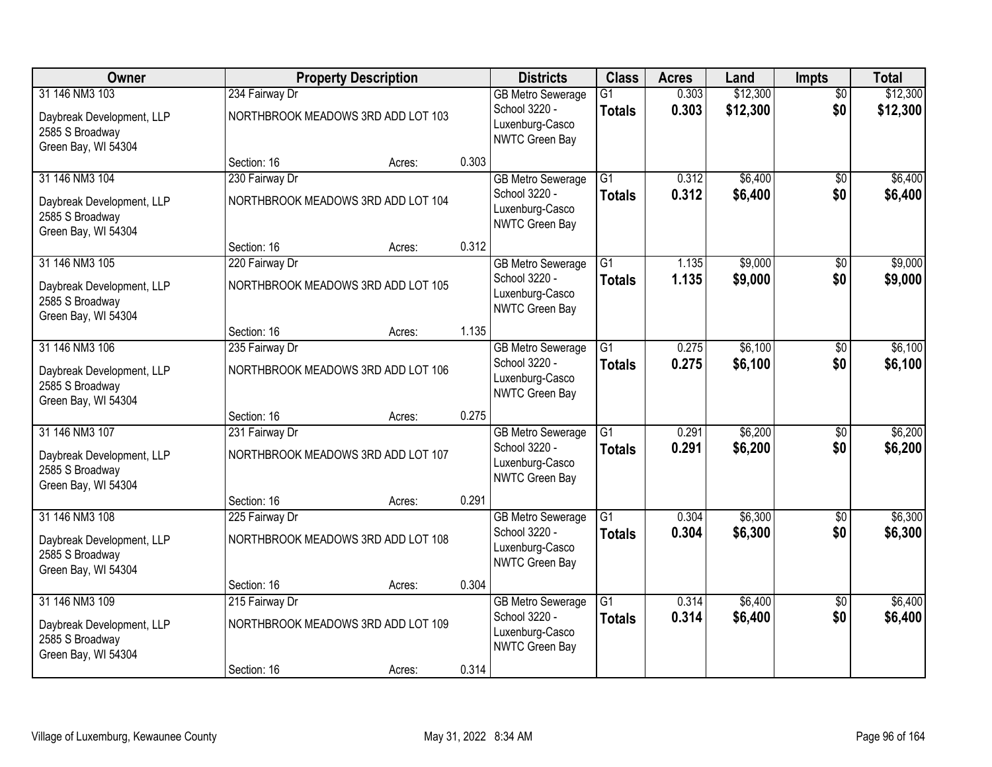| Owner                                                                                 |                | <b>Property Description</b>        |       | <b>Districts</b>                                                                      | <b>Class</b>                     | <b>Acres</b>   | Land                 | Impts                  | <b>Total</b>         |
|---------------------------------------------------------------------------------------|----------------|------------------------------------|-------|---------------------------------------------------------------------------------------|----------------------------------|----------------|----------------------|------------------------|----------------------|
| 31 146 NM3 103<br>Daybreak Development, LLP<br>2585 S Broadway<br>Green Bay, WI 54304 | 234 Fairway Dr | NORTHBROOK MEADOWS 3RD ADD LOT 103 |       | <b>GB Metro Sewerage</b><br>School 3220 -<br>Luxenburg-Casco<br>NWTC Green Bay        | $\overline{G1}$<br><b>Totals</b> | 0.303<br>0.303 | \$12,300<br>\$12,300 | $\overline{50}$<br>\$0 | \$12,300<br>\$12,300 |
|                                                                                       | Section: 16    | Acres:                             | 0.303 |                                                                                       |                                  |                |                      |                        |                      |
| 31 146 NM3 104<br>Daybreak Development, LLP<br>2585 S Broadway<br>Green Bay, WI 54304 | 230 Fairway Dr | NORTHBROOK MEADOWS 3RD ADD LOT 104 |       | <b>GB Metro Sewerage</b><br>School 3220 -<br>Luxenburg-Casco<br><b>NWTC Green Bay</b> | $\overline{G1}$<br><b>Totals</b> | 0.312<br>0.312 | \$6,400<br>\$6,400   | $\overline{50}$<br>\$0 | \$6,400<br>\$6,400   |
|                                                                                       | Section: 16    | Acres:                             | 0.312 |                                                                                       |                                  |                |                      |                        |                      |
| 31 146 NM3 105<br>Daybreak Development, LLP<br>2585 S Broadway<br>Green Bay, WI 54304 | 220 Fairway Dr | NORTHBROOK MEADOWS 3RD ADD LOT 105 |       | <b>GB Metro Sewerage</b><br>School 3220 -<br>Luxenburg-Casco<br>NWTC Green Bay        | $\overline{G1}$<br><b>Totals</b> | 1.135<br>1.135 | \$9,000<br>\$9,000   | $\overline{50}$<br>\$0 | \$9,000<br>\$9,000   |
|                                                                                       | Section: 16    | Acres:                             | 1.135 |                                                                                       |                                  |                |                      |                        |                      |
| 31 146 NM3 106<br>Daybreak Development, LLP<br>2585 S Broadway<br>Green Bay, WI 54304 | 235 Fairway Dr | NORTHBROOK MEADOWS 3RD ADD LOT 106 |       | <b>GB Metro Sewerage</b><br>School 3220 -<br>Luxenburg-Casco<br>NWTC Green Bay        | G1<br><b>Totals</b>              | 0.275<br>0.275 | \$6,100<br>\$6,100   | \$0<br>\$0             | \$6,100<br>\$6,100   |
|                                                                                       | Section: 16    | Acres:                             | 0.275 |                                                                                       |                                  |                |                      |                        |                      |
| 31 146 NM3 107<br>Daybreak Development, LLP<br>2585 S Broadway<br>Green Bay, WI 54304 | 231 Fairway Dr | NORTHBROOK MEADOWS 3RD ADD LOT 107 |       | <b>GB Metro Sewerage</b><br>School 3220 -<br>Luxenburg-Casco<br><b>NWTC Green Bay</b> | $\overline{G1}$<br><b>Totals</b> | 0.291<br>0.291 | \$6,200<br>\$6,200   | $\overline{50}$<br>\$0 | \$6,200<br>\$6,200   |
|                                                                                       | Section: 16    | Acres:                             | 0.291 |                                                                                       |                                  |                |                      |                        |                      |
| 31 146 NM3 108<br>Daybreak Development, LLP<br>2585 S Broadway<br>Green Bay, WI 54304 | 225 Fairway Dr | NORTHBROOK MEADOWS 3RD ADD LOT 108 |       | <b>GB Metro Sewerage</b><br>School 3220 -<br>Luxenburg-Casco<br>NWTC Green Bay        | G1<br><b>Totals</b>              | 0.304<br>0.304 | \$6,300<br>\$6,300   | $\sqrt{6}$<br>\$0      | \$6,300<br>\$6,300   |
|                                                                                       | Section: 16    | Acres:                             | 0.304 |                                                                                       |                                  |                |                      |                        |                      |
| 31 146 NM3 109<br>Daybreak Development, LLP<br>2585 S Broadway<br>Green Bay, WI 54304 | 215 Fairway Dr | NORTHBROOK MEADOWS 3RD ADD LOT 109 |       | <b>GB Metro Sewerage</b><br>School 3220 -<br>Luxenburg-Casco<br>NWTC Green Bay        | $\overline{G1}$<br><b>Totals</b> | 0.314<br>0.314 | \$6,400<br>\$6,400   | $\overline{30}$<br>\$0 | \$6,400<br>\$6,400   |
|                                                                                       | Section: 16    | Acres:                             | 0.314 |                                                                                       |                                  |                |                      |                        |                      |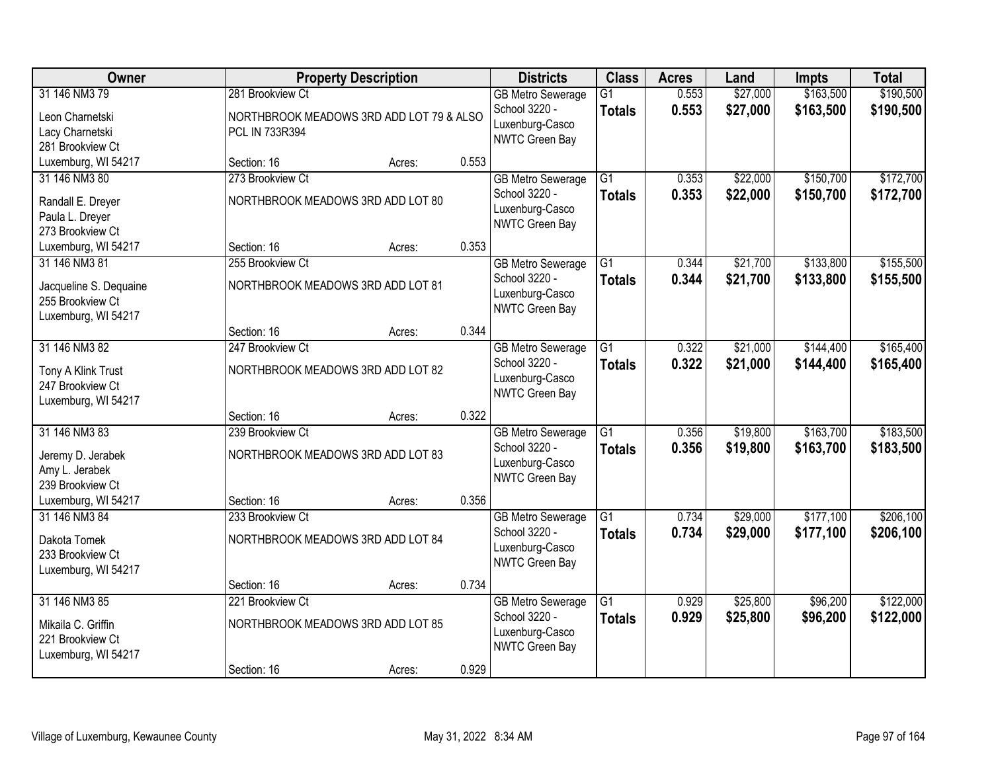| Owner                                                                              |                                                                                | <b>Property Description</b> |       | <b>Districts</b>                                                                      | <b>Class</b>                     | <b>Acres</b>   | Land                 | <b>Impts</b>           | <b>Total</b>           |
|------------------------------------------------------------------------------------|--------------------------------------------------------------------------------|-----------------------------|-------|---------------------------------------------------------------------------------------|----------------------------------|----------------|----------------------|------------------------|------------------------|
| 31 146 NM3 79<br>Leon Charnetski<br>Lacy Charnetski<br>281 Brookview Ct            | 281 Brookview Ct<br>NORTHBROOK MEADOWS 3RD ADD LOT 79 & ALSO<br>PCL IN 733R394 |                             |       | <b>GB Metro Sewerage</b><br>School 3220 -<br>Luxenburg-Casco<br>NWTC Green Bay        | $\overline{G1}$<br><b>Totals</b> | 0.553<br>0.553 | \$27,000<br>\$27,000 | \$163,500<br>\$163,500 | \$190,500<br>\$190,500 |
| Luxemburg, WI 54217                                                                | Section: 16                                                                    | Acres:                      | 0.553 |                                                                                       |                                  |                |                      |                        |                        |
| 31 146 NM3 80<br>Randall E. Dreyer<br>Paula L. Dreyer<br>273 Brookview Ct          | 273 Brookview Ct<br>NORTHBROOK MEADOWS 3RD ADD LOT 80                          |                             |       | <b>GB Metro Sewerage</b><br>School 3220 -<br>Luxenburg-Casco<br>NWTC Green Bay        | $\overline{G1}$<br><b>Totals</b> | 0.353<br>0.353 | \$22,000<br>\$22,000 | \$150,700<br>\$150,700 | \$172,700<br>\$172,700 |
| Luxemburg, WI 54217                                                                | Section: 16                                                                    | Acres:                      | 0.353 |                                                                                       |                                  |                |                      |                        |                        |
| 31 146 NM3 81<br>Jacqueline S. Dequaine<br>255 Brookview Ct<br>Luxemburg, WI 54217 | 255 Brookview Ct<br>NORTHBROOK MEADOWS 3RD ADD LOT 81                          |                             |       | <b>GB Metro Sewerage</b><br>School 3220 -<br>Luxenburg-Casco<br>NWTC Green Bay        | $\overline{G1}$<br><b>Totals</b> | 0.344<br>0.344 | \$21,700<br>\$21,700 | \$133,800<br>\$133,800 | \$155,500<br>\$155,500 |
|                                                                                    | Section: 16                                                                    | Acres:                      | 0.344 |                                                                                       |                                  |                |                      |                        |                        |
| 31 146 NM3 82<br>Tony A Klink Trust<br>247 Brookview Ct<br>Luxemburg, WI 54217     | 247 Brookview Ct<br>NORTHBROOK MEADOWS 3RD ADD LOT 82                          |                             |       | <b>GB Metro Sewerage</b><br>School 3220 -<br>Luxenburg-Casco<br>NWTC Green Bay        | $\overline{G1}$<br><b>Totals</b> | 0.322<br>0.322 | \$21,000<br>\$21,000 | \$144,400<br>\$144,400 | \$165,400<br>\$165,400 |
|                                                                                    | Section: 16                                                                    | Acres:                      | 0.322 |                                                                                       |                                  |                |                      |                        |                        |
| 31 146 NM3 83<br>Jeremy D. Jerabek<br>Amy L. Jerabek<br>239 Brookview Ct           | 239 Brookview Ct<br>NORTHBROOK MEADOWS 3RD ADD LOT 83                          |                             |       | <b>GB Metro Sewerage</b><br>School 3220 -<br>Luxenburg-Casco<br><b>NWTC Green Bay</b> | $\overline{G1}$<br><b>Totals</b> | 0.356<br>0.356 | \$19,800<br>\$19,800 | \$163,700<br>\$163,700 | \$183,500<br>\$183,500 |
| Luxemburg, WI 54217                                                                | Section: 16                                                                    | Acres:                      | 0.356 |                                                                                       |                                  |                |                      |                        |                        |
| 31 146 NM3 84<br>Dakota Tomek<br>233 Brookview Ct<br>Luxemburg, WI 54217           | 233 Brookview Ct<br>NORTHBROOK MEADOWS 3RD ADD LOT 84                          |                             |       | <b>GB Metro Sewerage</b><br>School 3220 -<br>Luxenburg-Casco<br><b>NWTC Green Bay</b> | $\overline{G1}$<br><b>Totals</b> | 0.734<br>0.734 | \$29,000<br>\$29,000 | \$177,100<br>\$177,100 | \$206,100<br>\$206,100 |
|                                                                                    | Section: 16                                                                    | Acres:                      | 0.734 |                                                                                       |                                  |                |                      |                        |                        |
| 31 146 NM3 85<br>Mikaila C. Griffin<br>221 Brookview Ct<br>Luxemburg, WI 54217     | 221 Brookview Ct<br>NORTHBROOK MEADOWS 3RD ADD LOT 85                          |                             |       | <b>GB Metro Sewerage</b><br>School 3220 -<br>Luxenburg-Casco<br>NWTC Green Bay        | $\overline{G1}$<br><b>Totals</b> | 0.929<br>0.929 | \$25,800<br>\$25,800 | \$96,200<br>\$96,200   | \$122,000<br>\$122,000 |
|                                                                                    | Section: 16                                                                    | Acres:                      | 0.929 |                                                                                       |                                  |                |                      |                        |                        |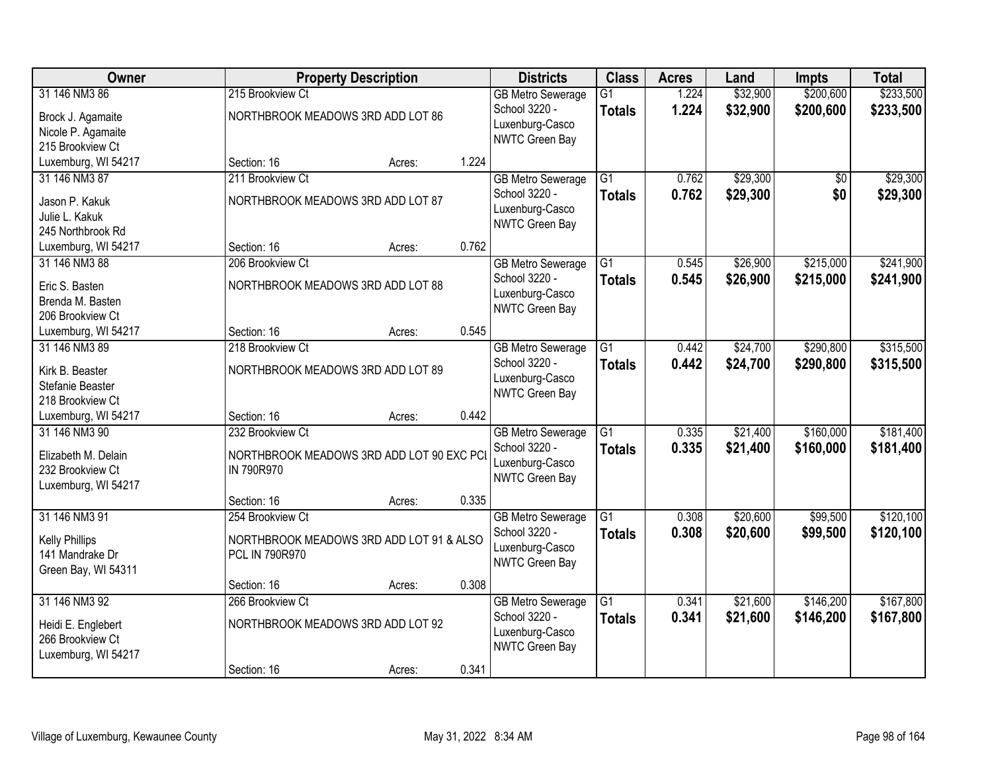| Owner                                                                            |                                                                                | <b>Property Description</b> |       | <b>Districts</b>                                                               | <b>Class</b>                     | <b>Acres</b>   | Land                 | <b>Impts</b>           | <b>Total</b>           |
|----------------------------------------------------------------------------------|--------------------------------------------------------------------------------|-----------------------------|-------|--------------------------------------------------------------------------------|----------------------------------|----------------|----------------------|------------------------|------------------------|
| 31 146 NM3 86<br>Brock J. Agamaite<br>Nicole P. Agamaite<br>215 Brookview Ct     | 215 Brookview Ct<br>NORTHBROOK MEADOWS 3RD ADD LOT 86                          |                             |       | <b>GB Metro Sewerage</b><br>School 3220 -<br>Luxenburg-Casco<br>NWTC Green Bay | $\overline{G1}$<br><b>Totals</b> | 1.224<br>1.224 | \$32,900<br>\$32,900 | \$200,600<br>\$200,600 | \$233,500<br>\$233,500 |
| Luxemburg, WI 54217                                                              | Section: 16                                                                    | Acres:                      | 1.224 |                                                                                |                                  |                |                      |                        |                        |
| 31 146 NM3 87<br>Jason P. Kakuk<br>Julie L. Kakuk<br>245 Northbrook Rd           | 211 Brookview Ct<br>NORTHBROOK MEADOWS 3RD ADD LOT 87                          |                             |       | <b>GB Metro Sewerage</b><br>School 3220 -<br>Luxenburg-Casco<br>NWTC Green Bay | $\overline{G1}$<br><b>Totals</b> | 0.762<br>0.762 | \$29,300<br>\$29,300 | \$0<br>\$0             | \$29,300<br>\$29,300   |
| Luxemburg, WI 54217                                                              | Section: 16                                                                    | Acres:                      | 0.762 |                                                                                |                                  |                |                      |                        |                        |
| 31 146 NM3 88<br>Eric S. Basten<br>Brenda M. Basten<br>206 Brookview Ct          | 206 Brookview Ct<br>NORTHBROOK MEADOWS 3RD ADD LOT 88                          |                             |       | <b>GB Metro Sewerage</b><br>School 3220 -<br>Luxenburg-Casco<br>NWTC Green Bay | G1<br><b>Totals</b>              | 0.545<br>0.545 | \$26,900<br>\$26,900 | \$215,000<br>\$215,000 | \$241,900<br>\$241,900 |
| Luxemburg, WI 54217                                                              | Section: 16                                                                    | Acres:                      | 0.545 |                                                                                |                                  |                |                      |                        |                        |
| 31 146 NM3 89<br>Kirk B. Beaster<br>Stefanie Beaster<br>218 Brookview Ct         | 218 Brookview Ct<br>NORTHBROOK MEADOWS 3RD ADD LOT 89                          |                             |       | <b>GB Metro Sewerage</b><br>School 3220 -<br>Luxenburg-Casco<br>NWTC Green Bay | G1<br><b>Totals</b>              | 0.442<br>0.442 | \$24,700<br>\$24,700 | \$290,800<br>\$290,800 | \$315,500<br>\$315,500 |
| Luxemburg, WI 54217                                                              | Section: 16                                                                    | Acres:                      | 0.442 |                                                                                |                                  |                |                      |                        |                        |
| 31 146 NM3 90<br>Elizabeth M. Delain<br>232 Brookview Ct<br>Luxemburg, WI 54217  | 232 Brookview Ct<br>NORTHBROOK MEADOWS 3RD ADD LOT 90 EXC PC<br>IN 790R970     |                             |       | <b>GB Metro Sewerage</b><br>School 3220 -<br>Luxenburg-Casco<br>NWTC Green Bay | $\overline{G1}$<br><b>Totals</b> | 0.335<br>0.335 | \$21,400<br>\$21,400 | \$160,000<br>\$160,000 | \$181,400<br>\$181,400 |
|                                                                                  | Section: 16                                                                    | Acres:                      | 0.335 |                                                                                |                                  |                |                      |                        |                        |
| 31 146 NM3 91<br><b>Kelly Phillips</b><br>141 Mandrake Dr<br>Green Bay, WI 54311 | 254 Brookview Ct<br>NORTHBROOK MEADOWS 3RD ADD LOT 91 & ALSO<br>PCL IN 790R970 |                             |       | <b>GB Metro Sewerage</b><br>School 3220 -<br>Luxenburg-Casco<br>NWTC Green Bay | $\overline{G1}$<br><b>Totals</b> | 0.308<br>0.308 | \$20,600<br>\$20,600 | \$99,500<br>\$99,500   | \$120,100<br>\$120,100 |
|                                                                                  | Section: 16                                                                    | Acres:                      | 0.308 |                                                                                |                                  |                |                      |                        |                        |
| 31 146 NM3 92<br>Heidi E. Englebert<br>266 Brookview Ct<br>Luxemburg, WI 54217   | 266 Brookview Ct<br>NORTHBROOK MEADOWS 3RD ADD LOT 92                          |                             |       | <b>GB Metro Sewerage</b><br>School 3220 -<br>Luxenburg-Casco<br>NWTC Green Bay | $\overline{G1}$<br><b>Totals</b> | 0.341<br>0.341 | \$21,600<br>\$21,600 | \$146,200<br>\$146,200 | \$167,800<br>\$167,800 |
|                                                                                  | Section: 16                                                                    | Acres:                      | 0.341 |                                                                                |                                  |                |                      |                        |                        |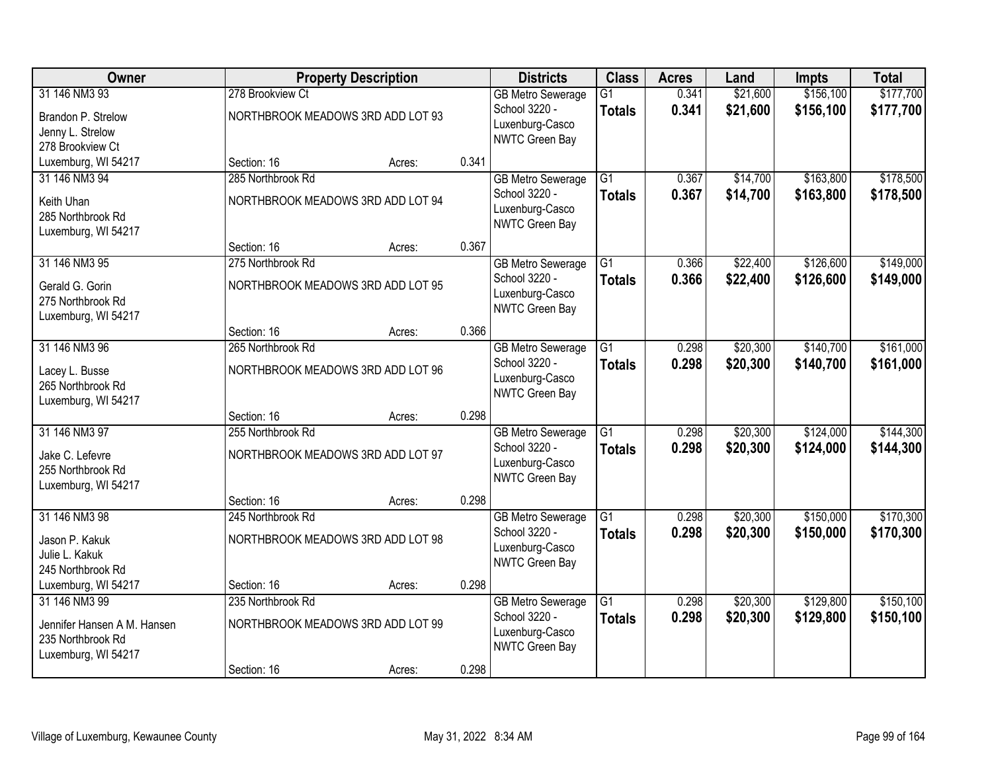| Owner                       |                                   | <b>Property Description</b> |       | <b>Districts</b>         | <b>Class</b>    | <b>Acres</b> | Land     | <b>Impts</b> | <b>Total</b> |
|-----------------------------|-----------------------------------|-----------------------------|-------|--------------------------|-----------------|--------------|----------|--------------|--------------|
| 31 146 NM3 93               | 278 Brookview Ct                  |                             |       | <b>GB Metro Sewerage</b> | $\overline{G1}$ | 0.341        | \$21,600 | \$156,100    | \$177,700    |
| Brandon P. Strelow          | NORTHBROOK MEADOWS 3RD ADD LOT 93 |                             |       | School 3220 -            | <b>Totals</b>   | 0.341        | \$21,600 | \$156,100    | \$177,700    |
| Jenny L. Strelow            |                                   |                             |       | Luxenburg-Casco          |                 |              |          |              |              |
| 278 Brookview Ct            |                                   |                             |       | NWTC Green Bay           |                 |              |          |              |              |
| Luxemburg, WI 54217         | Section: 16                       | Acres:                      | 0.341 |                          |                 |              |          |              |              |
| 31 146 NM3 94               | 285 Northbrook Rd                 |                             |       | <b>GB Metro Sewerage</b> | $\overline{G1}$ | 0.367        | \$14,700 | \$163,800    | \$178,500    |
| Keith Uhan                  | NORTHBROOK MEADOWS 3RD ADD LOT 94 |                             |       | School 3220 -            | <b>Totals</b>   | 0.367        | \$14,700 | \$163,800    | \$178,500    |
| 285 Northbrook Rd           |                                   |                             |       | Luxenburg-Casco          |                 |              |          |              |              |
| Luxemburg, WI 54217         |                                   |                             |       | NWTC Green Bay           |                 |              |          |              |              |
|                             | Section: 16                       | Acres:                      | 0.367 |                          |                 |              |          |              |              |
| 31 146 NM3 95               | 275 Northbrook Rd                 |                             |       | <b>GB Metro Sewerage</b> | G1              | 0.366        | \$22,400 | \$126,600    | \$149,000    |
| Gerald G. Gorin             | NORTHBROOK MEADOWS 3RD ADD LOT 95 |                             |       | School 3220 -            | <b>Totals</b>   | 0.366        | \$22,400 | \$126,600    | \$149,000    |
| 275 Northbrook Rd           |                                   |                             |       | Luxenburg-Casco          |                 |              |          |              |              |
| Luxemburg, WI 54217         |                                   |                             |       | NWTC Green Bay           |                 |              |          |              |              |
|                             | Section: 16                       | Acres:                      | 0.366 |                          |                 |              |          |              |              |
| 31 146 NM3 96               | 265 Northbrook Rd                 |                             |       | <b>GB Metro Sewerage</b> | $\overline{G1}$ | 0.298        | \$20,300 | \$140,700    | \$161,000    |
| Lacey L. Busse              | NORTHBROOK MEADOWS 3RD ADD LOT 96 |                             |       | School 3220 -            | <b>Totals</b>   | 0.298        | \$20,300 | \$140,700    | \$161,000    |
| 265 Northbrook Rd           |                                   |                             |       | Luxenburg-Casco          |                 |              |          |              |              |
| Luxemburg, WI 54217         |                                   |                             |       | NWTC Green Bay           |                 |              |          |              |              |
|                             | Section: 16                       | Acres:                      | 0.298 |                          |                 |              |          |              |              |
| 31 146 NM3 97               | 255 Northbrook Rd                 |                             |       | <b>GB Metro Sewerage</b> | $\overline{G1}$ | 0.298        | \$20,300 | \$124,000    | \$144,300    |
| Jake C. Lefevre             | NORTHBROOK MEADOWS 3RD ADD LOT 97 |                             |       | School 3220 -            | <b>Totals</b>   | 0.298        | \$20,300 | \$124,000    | \$144,300    |
| 255 Northbrook Rd           |                                   |                             |       | Luxenburg-Casco          |                 |              |          |              |              |
| Luxemburg, WI 54217         |                                   |                             |       | NWTC Green Bay           |                 |              |          |              |              |
|                             | Section: 16                       | Acres:                      | 0.298 |                          |                 |              |          |              |              |
| 31 146 NM3 98               | 245 Northbrook Rd                 |                             |       | <b>GB Metro Sewerage</b> | $\overline{G1}$ | 0.298        | \$20,300 | \$150,000    | \$170,300    |
| Jason P. Kakuk              | NORTHBROOK MEADOWS 3RD ADD LOT 98 |                             |       | School 3220 -            | <b>Totals</b>   | 0.298        | \$20,300 | \$150,000    | \$170,300    |
| Julie L. Kakuk              |                                   |                             |       | Luxenburg-Casco          |                 |              |          |              |              |
| 245 Northbrook Rd           |                                   |                             |       | NWTC Green Bay           |                 |              |          |              |              |
| Luxemburg, WI 54217         | Section: 16                       | Acres:                      | 0.298 |                          |                 |              |          |              |              |
| 31 146 NM3 99               | 235 Northbrook Rd                 |                             |       | <b>GB Metro Sewerage</b> | $\overline{G1}$ | 0.298        | \$20,300 | \$129,800    | \$150,100    |
| Jennifer Hansen A M. Hansen | NORTHBROOK MEADOWS 3RD ADD LOT 99 |                             |       | School 3220 -            | <b>Totals</b>   | 0.298        | \$20,300 | \$129,800    | \$150,100    |
| 235 Northbrook Rd           |                                   |                             |       | Luxenburg-Casco          |                 |              |          |              |              |
| Luxemburg, WI 54217         |                                   |                             |       | NWTC Green Bay           |                 |              |          |              |              |
|                             | Section: 16                       | Acres:                      | 0.298 |                          |                 |              |          |              |              |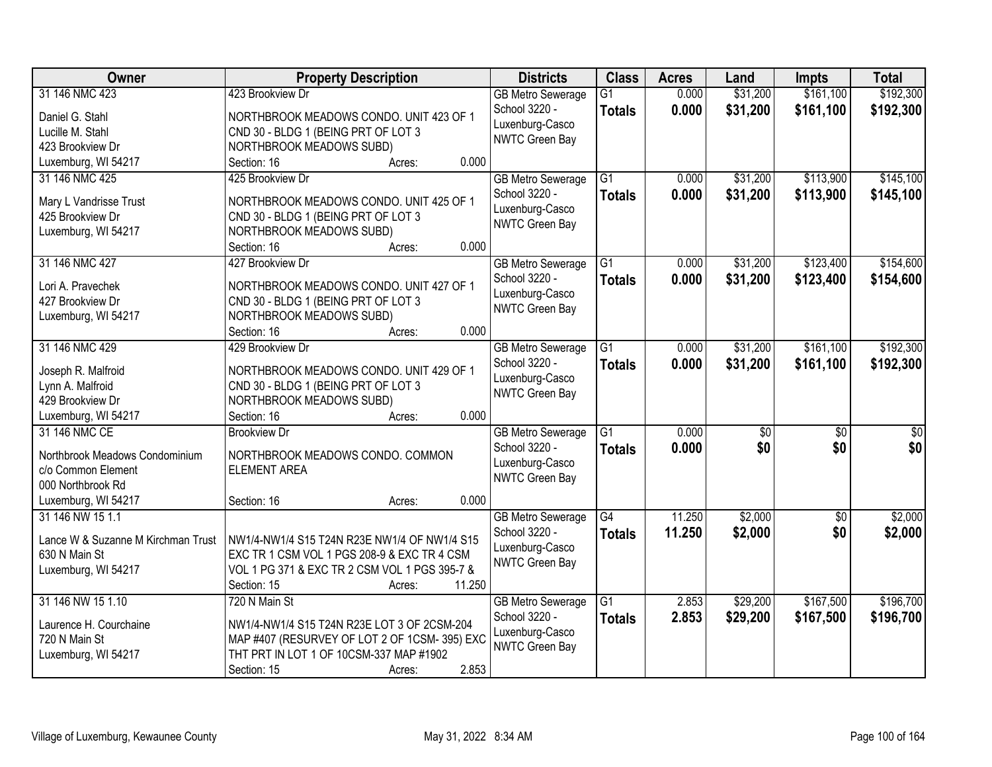| Owner                              | <b>Property Description</b>                             | <b>Districts</b>                  | <b>Class</b>    | <b>Acres</b> | Land            | <b>Impts</b>    | <b>Total</b>     |
|------------------------------------|---------------------------------------------------------|-----------------------------------|-----------------|--------------|-----------------|-----------------|------------------|
| 31 146 NMC 423                     | 423 Brookview Dr                                        | <b>GB Metro Sewerage</b>          | $\overline{G1}$ | 0.000        | \$31,200        | \$161,100       | \$192,300        |
| Daniel G. Stahl                    | NORTHBROOK MEADOWS CONDO. UNIT 423 OF 1                 | School 3220 -                     | <b>Totals</b>   | 0.000        | \$31,200        | \$161,100       | \$192,300        |
| Lucille M. Stahl                   | CND 30 - BLDG 1 (BEING PRT OF LOT 3                     | Luxenburg-Casco                   |                 |              |                 |                 |                  |
| 423 Brookview Dr                   | NORTHBROOK MEADOWS SUBD)                                | NWTC Green Bay                    |                 |              |                 |                 |                  |
| Luxemburg, WI 54217                | 0.000<br>Section: 16<br>Acres:                          |                                   |                 |              |                 |                 |                  |
| 31 146 NMC 425                     | 425 Brookview Dr                                        | <b>GB</b> Metro Sewerage          | $\overline{G1}$ | 0.000        | \$31,200        | \$113,900       | \$145,100        |
| Mary L Vandrisse Trust             | NORTHBROOK MEADOWS CONDO. UNIT 425 OF 1                 | School 3220 -                     | <b>Totals</b>   | 0.000        | \$31,200        | \$113,900       | \$145,100        |
| 425 Brookview Dr                   | CND 30 - BLDG 1 (BEING PRT OF LOT 3                     | Luxenburg-Casco                   |                 |              |                 |                 |                  |
| Luxemburg, WI 54217                | NORTHBROOK MEADOWS SUBD)                                | NWTC Green Bay                    |                 |              |                 |                 |                  |
|                                    | 0.000<br>Section: 16<br>Acres:                          |                                   |                 |              |                 |                 |                  |
| 31 146 NMC 427                     | 427 Brookview Dr                                        | <b>GB Metro Sewerage</b>          | $\overline{G1}$ | 0.000        | \$31,200        | \$123,400       | \$154,600        |
|                                    |                                                         | School 3220 -                     | <b>Totals</b>   | 0.000        | \$31,200        | \$123,400       | \$154,600        |
| Lori A. Pravechek                  | NORTHBROOK MEADOWS CONDO. UNIT 427 OF 1                 | Luxenburg-Casco                   |                 |              |                 |                 |                  |
| 427 Brookview Dr                   | CND 30 - BLDG 1 (BEING PRT OF LOT 3                     | NWTC Green Bay                    |                 |              |                 |                 |                  |
| Luxemburg, WI 54217                | NORTHBROOK MEADOWS SUBD)                                |                                   |                 |              |                 |                 |                  |
|                                    | 0.000<br>Section: 16<br>Acres:                          |                                   |                 |              |                 |                 |                  |
| 31 146 NMC 429                     | 429 Brookview Dr                                        | <b>GB Metro Sewerage</b>          | G1              | 0.000        | \$31,200        | \$161,100       | \$192,300        |
| Joseph R. Malfroid                 | NORTHBROOK MEADOWS CONDO. UNIT 429 OF 1                 | School 3220 -                     | <b>Totals</b>   | 0.000        | \$31,200        | \$161,100       | \$192,300        |
| Lynn A. Malfroid                   | CND 30 - BLDG 1 (BEING PRT OF LOT 3                     | Luxenburg-Casco<br>NWTC Green Bay |                 |              |                 |                 |                  |
| 429 Brookview Dr                   | NORTHBROOK MEADOWS SUBD)                                |                                   |                 |              |                 |                 |                  |
| Luxemburg, WI 54217                | 0.000<br>Section: 16<br>Acres:                          |                                   |                 |              |                 |                 |                  |
| 31 146 NMC CE                      | <b>Brookview Dr</b>                                     | <b>GB Metro Sewerage</b>          | $\overline{G1}$ | 0.000        | $\overline{50}$ | $\overline{50}$ | $\overline{\$0}$ |
| Northbrook Meadows Condominium     | NORTHBROOK MEADOWS CONDO. COMMON                        | School 3220 -                     | <b>Totals</b>   | 0.000        | \$0             | \$0             | \$0              |
| c/o Common Element                 | <b>ELEMENT AREA</b>                                     | Luxenburg-Casco                   |                 |              |                 |                 |                  |
| 000 Northbrook Rd                  |                                                         | NWTC Green Bay                    |                 |              |                 |                 |                  |
| Luxemburg, WI 54217                | 0.000<br>Section: 16<br>Acres:                          |                                   |                 |              |                 |                 |                  |
| 31 146 NW 15 1.1                   |                                                         | <b>GB Metro Sewerage</b>          | $\overline{G4}$ | 11.250       | \$2,000         | $\sqrt{6}$      | \$2,000          |
|                                    |                                                         | School 3220 -                     | <b>Totals</b>   | 11.250       | \$2,000         | \$0             | \$2,000          |
| Lance W & Suzanne M Kirchman Trust | NW1/4-NW1/4 S15 T24N R23E NW1/4 OF NW1/4 S15            | Luxenburg-Casco                   |                 |              |                 |                 |                  |
| 630 N Main St                      | EXC TR 1 CSM VOL 1 PGS 208-9 & EXC TR 4 CSM             | NWTC Green Bay                    |                 |              |                 |                 |                  |
| Luxemburg, WI 54217                | VOL 1 PG 371 & EXC TR 2 CSM VOL 1 PGS 395-7 &<br>11.250 |                                   |                 |              |                 |                 |                  |
| 31 146 NW 15 1.10                  | Section: 15<br>Acres:                                   |                                   |                 |              |                 |                 |                  |
|                                    | 720 N Main St                                           | <b>GB Metro Sewerage</b>          | $\overline{G1}$ | 2.853        | \$29,200        | \$167,500       | \$196,700        |
| Laurence H. Courchaine             | NW1/4-NW1/4 S15 T24N R23E LOT 3 OF 2CSM-204             | School 3220 -<br>Luxenburg-Casco  | <b>Totals</b>   | 2.853        | \$29,200        | \$167,500       | \$196,700        |
| 720 N Main St                      | MAP #407 (RESURVEY OF LOT 2 OF 1CSM-395) EXC            | <b>NWTC Green Bay</b>             |                 |              |                 |                 |                  |
| Luxemburg, WI 54217                | THT PRT IN LOT 1 OF 10CSM-337 MAP #1902                 |                                   |                 |              |                 |                 |                  |
|                                    | 2.853<br>Section: 15<br>Acres:                          |                                   |                 |              |                 |                 |                  |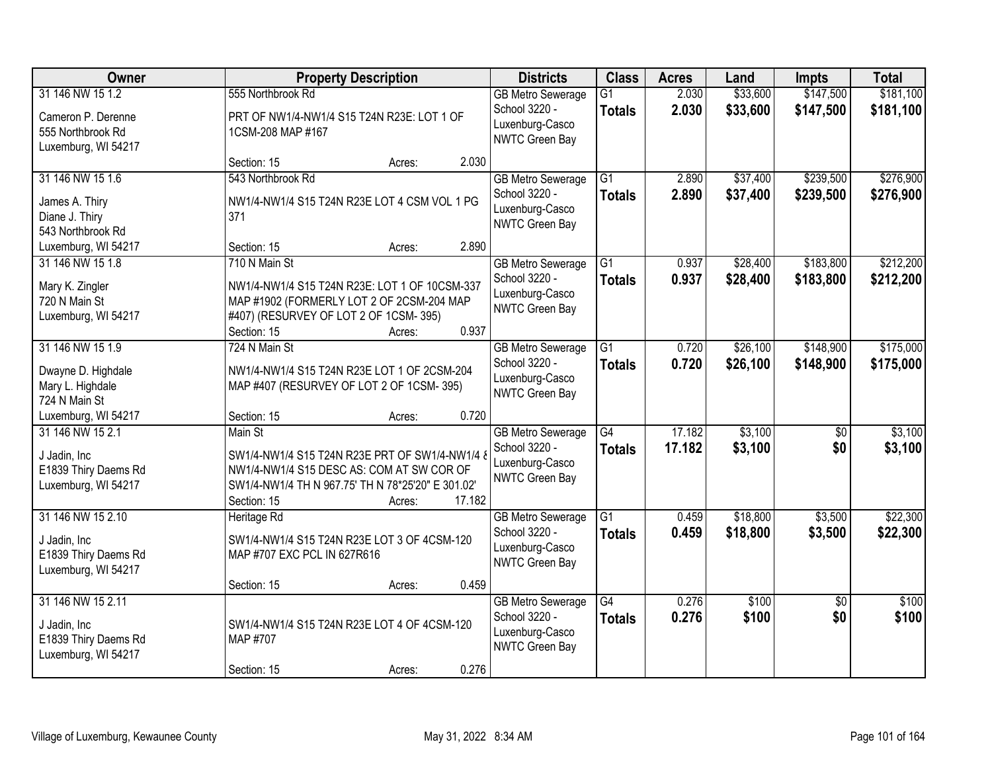| Owner                                                                                                  | <b>Property Description</b>                                                                                                                                                                                                      | <b>Districts</b>                                                                      | <b>Class</b>                     | <b>Acres</b>     | Land                 | <b>Impts</b>           | <b>Total</b>           |
|--------------------------------------------------------------------------------------------------------|----------------------------------------------------------------------------------------------------------------------------------------------------------------------------------------------------------------------------------|---------------------------------------------------------------------------------------|----------------------------------|------------------|----------------------|------------------------|------------------------|
| 31 146 NW 15 1.2<br>Cameron P. Derenne<br>555 Northbrook Rd                                            | 555 Northbrook Rd<br>PRT OF NW1/4-NW1/4 S15 T24N R23E: LOT 1 OF<br>1CSM-208 MAP #167                                                                                                                                             | <b>GB Metro Sewerage</b><br>School 3220 -<br>Luxenburg-Casco<br>NWTC Green Bay        | $\overline{G1}$<br><b>Totals</b> | 2.030<br>2.030   | \$33,600<br>\$33,600 | \$147,500<br>\$147,500 | \$181,100<br>\$181,100 |
| Luxemburg, WI 54217                                                                                    | 2.030<br>Section: 15<br>Acres:                                                                                                                                                                                                   |                                                                                       |                                  |                  |                      |                        |                        |
| 31 146 NW 15 1.6<br>James A. Thiry<br>Diane J. Thiry<br>543 Northbrook Rd                              | 543 Northbrook Rd<br>NW1/4-NW1/4 S15 T24N R23E LOT 4 CSM VOL 1 PG<br>371                                                                                                                                                         | <b>GB Metro Sewerage</b><br>School 3220 -<br>Luxenburg-Casco<br>NWTC Green Bay        | $\overline{G1}$<br><b>Totals</b> | 2.890<br>2.890   | \$37,400<br>\$37,400 | \$239,500<br>\$239,500 | \$276,900<br>\$276,900 |
| Luxemburg, WI 54217                                                                                    | 2.890<br>Section: 15<br>Acres:                                                                                                                                                                                                   |                                                                                       |                                  |                  |                      | \$183,800              |                        |
| 31 146 NW 15 1.8<br>Mary K. Zingler<br>720 N Main St<br>Luxemburg, WI 54217                            | 710 N Main St<br>NW1/4-NW1/4 S15 T24N R23E: LOT 1 OF 10CSM-337<br>MAP #1902 (FORMERLY LOT 2 OF 2CSM-204 MAP<br>#407) (RESURVEY OF LOT 2 OF 1CSM-395)<br>0.937<br>Section: 15<br>Acres:                                           | <b>GB Metro Sewerage</b><br>School 3220 -<br>Luxenburg-Casco<br><b>NWTC Green Bay</b> | $\overline{G1}$<br><b>Totals</b> | 0.937<br>0.937   | \$28,400<br>\$28,400 | \$183,800              | \$212,200<br>\$212,200 |
| 31 146 NW 15 1.9<br>Dwayne D. Highdale<br>Mary L. Highdale<br>724 N Main St                            | 724 N Main St<br>NW1/4-NW1/4 S15 T24N R23E LOT 1 OF 2CSM-204<br>MAP #407 (RESURVEY OF LOT 2 OF 1CSM-395)                                                                                                                         | <b>GB Metro Sewerage</b><br>School 3220 -<br>Luxenburg-Casco<br><b>NWTC Green Bay</b> | G1<br><b>Totals</b>              | 0.720<br>0.720   | \$26,100<br>\$26,100 | \$148,900<br>\$148,900 | \$175,000<br>\$175,000 |
| Luxemburg, WI 54217<br>31 146 NW 15 2.1<br>J Jadin, Inc<br>E1839 Thiry Daems Rd<br>Luxemburg, WI 54217 | 0.720<br>Section: 15<br>Acres:<br>Main St<br>SW1/4-NW1/4 S15 T24N R23E PRT OF SW1/4-NW1/4 8<br>NW1/4-NW1/4 S15 DESC AS: COM AT SW COR OF<br>SW1/4-NW1/4 TH N 967.75' TH N 78*25'20" E 301.02'<br>17.182<br>Section: 15<br>Acres: | <b>GB Metro Sewerage</b><br>School 3220 -<br>Luxenburg-Casco<br><b>NWTC Green Bay</b> | $\overline{G4}$<br><b>Totals</b> | 17.182<br>17.182 | \$3,100<br>\$3,100   | \$0<br>\$0             | \$3,100<br>\$3,100     |
| 31 146 NW 15 2.10<br>J Jadin, Inc<br>E1839 Thiry Daems Rd<br>Luxemburg, WI 54217                       | Heritage Rd<br>SW1/4-NW1/4 S15 T24N R23E LOT 3 OF 4CSM-120<br>MAP #707 EXC PCL IN 627R616<br>0.459<br>Section: 15<br>Acres:                                                                                                      | <b>GB Metro Sewerage</b><br>School 3220 -<br>Luxenburg-Casco<br>NWTC Green Bay        | $\overline{G1}$<br><b>Totals</b> | 0.459<br>0.459   | \$18,800<br>\$18,800 | \$3,500<br>\$3,500     | \$22,300<br>\$22,300   |
| 31 146 NW 15 2.11<br>J Jadin, Inc<br>E1839 Thiry Daems Rd<br>Luxemburg, WI 54217                       | SW1/4-NW1/4 S15 T24N R23E LOT 4 OF 4CSM-120<br>MAP #707<br>0.276<br>Section: 15<br>Acres:                                                                                                                                        | <b>GB Metro Sewerage</b><br>School 3220 -<br>Luxenburg-Casco<br>NWTC Green Bay        | $\overline{G4}$<br><b>Totals</b> | 0.276<br>0.276   | \$100<br>\$100       | $\overline{30}$<br>\$0 | \$100<br>\$100         |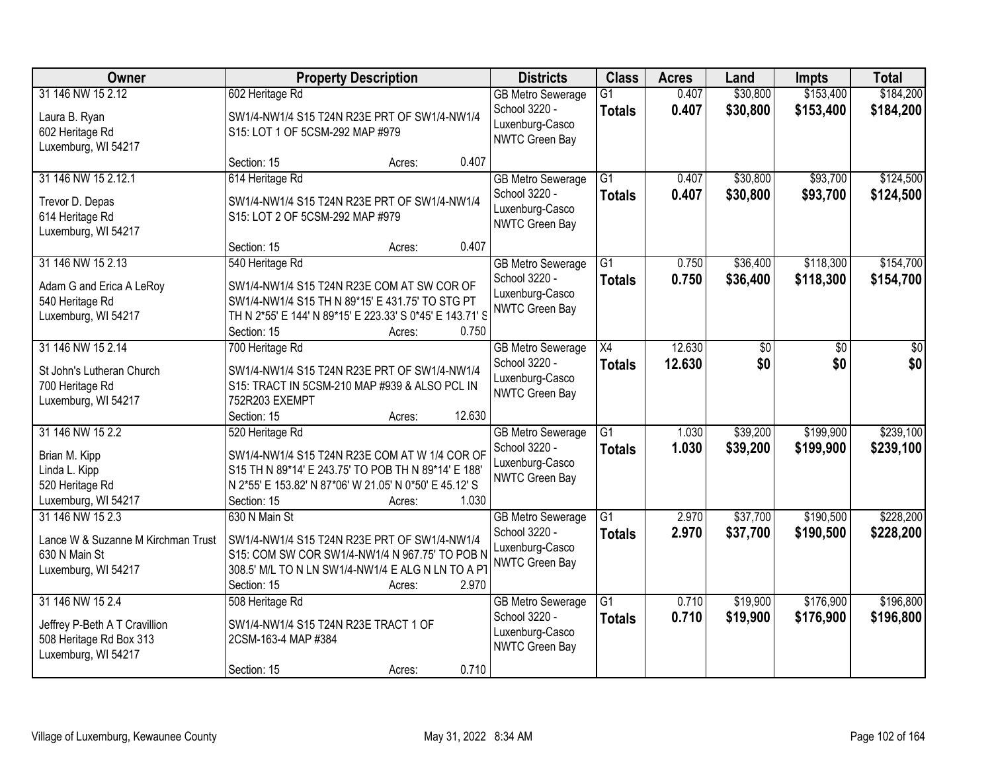| Owner                                                                                   | <b>Property Description</b>                                                                                                                                                          | <b>Districts</b>                                                                      | <b>Class</b>                     | <b>Acres</b>   | Land                 | <b>Impts</b>           | <b>Total</b>           |
|-----------------------------------------------------------------------------------------|--------------------------------------------------------------------------------------------------------------------------------------------------------------------------------------|---------------------------------------------------------------------------------------|----------------------------------|----------------|----------------------|------------------------|------------------------|
| 31 146 NW 15 2.12                                                                       | 602 Heritage Rd                                                                                                                                                                      | <b>GB Metro Sewerage</b><br>School 3220 -                                             | $\overline{G1}$<br><b>Totals</b> | 0.407<br>0.407 | \$30,800<br>\$30,800 | \$153,400<br>\$153,400 | \$184,200<br>\$184,200 |
| Laura B. Ryan<br>602 Heritage Rd<br>Luxemburg, WI 54217                                 | SW1/4-NW1/4 S15 T24N R23E PRT OF SW1/4-NW1/4<br>S15: LOT 1 OF 5CSM-292 MAP #979                                                                                                      | Luxenburg-Casco<br><b>NWTC Green Bay</b>                                              |                                  |                |                      |                        |                        |
|                                                                                         | 0.407<br>Section: 15<br>Acres:                                                                                                                                                       |                                                                                       |                                  |                |                      |                        |                        |
| 31 146 NW 15 2.12.1<br>Trevor D. Depas                                                  | 614 Heritage Rd<br>SW1/4-NW1/4 S15 T24N R23E PRT OF SW1/4-NW1/4                                                                                                                      | <b>GB Metro Sewerage</b><br>School 3220 -                                             | $\overline{G1}$<br><b>Totals</b> | 0.407<br>0.407 | \$30,800<br>\$30,800 | \$93,700<br>\$93,700   | \$124,500<br>\$124,500 |
| 614 Heritage Rd<br>Luxemburg, WI 54217                                                  | S15: LOT 2 OF 5CSM-292 MAP #979                                                                                                                                                      | Luxenburg-Casco<br><b>NWTC Green Bay</b>                                              |                                  |                |                      |                        |                        |
|                                                                                         | 0.407<br>Section: 15<br>Acres:                                                                                                                                                       |                                                                                       |                                  |                |                      |                        |                        |
| 31 146 NW 15 2.13<br>Adam G and Erica A LeRoy<br>540 Heritage Rd<br>Luxemburg, WI 54217 | 540 Heritage Rd<br>SW1/4-NW1/4 S15 T24N R23E COM AT SW COR OF<br>SW1/4-NW1/4 S15 TH N 89*15' E 431.75' TO STG PT<br>TH N 2*55' E 144' N 89*15' E 223.33' S 0*45' E 143.71' S         | <b>GB Metro Sewerage</b><br>School 3220 -<br>Luxenburg-Casco<br><b>NWTC Green Bay</b> | $\overline{G1}$<br><b>Totals</b> | 0.750<br>0.750 | \$36,400<br>\$36,400 | \$118,300<br>\$118,300 | \$154,700<br>\$154,700 |
|                                                                                         | Section: 15<br>0.750<br>Acres:                                                                                                                                                       |                                                                                       |                                  |                |                      |                        |                        |
| 31 146 NW 15 2.14                                                                       | 700 Heritage Rd                                                                                                                                                                      | <b>GB Metro Sewerage</b>                                                              | X4                               | 12.630         | \$0                  | \$0                    | \$0                    |
| St John's Lutheran Church<br>700 Heritage Rd<br>Luxemburg, WI 54217                     | SW1/4-NW1/4 S15 T24N R23E PRT OF SW1/4-NW1/4<br>S15: TRACT IN 5CSM-210 MAP #939 & ALSO PCL IN<br>752R203 EXEMPT                                                                      | School 3220 -<br>Luxenburg-Casco<br><b>NWTC Green Bay</b>                             | <b>Totals</b>                    | 12.630         | \$0                  | \$0                    | \$0                    |
|                                                                                         | 12.630<br>Section: 15<br>Acres:                                                                                                                                                      |                                                                                       |                                  |                |                      |                        |                        |
| 31 146 NW 15 2.2<br>Brian M. Kipp                                                       | 520 Heritage Rd<br>SW1/4-NW1/4 S15 T24N R23E COM AT W 1/4 COR OF                                                                                                                     | <b>GB Metro Sewerage</b><br>School 3220 -                                             | $\overline{G1}$<br><b>Totals</b> | 1.030<br>1.030 | \$39,200<br>\$39,200 | \$199,900<br>\$199,900 | \$239,100<br>\$239,100 |
| Linda L. Kipp<br>520 Heritage Rd<br>Luxemburg, WI 54217                                 | S15 TH N 89*14' E 243.75' TO POB TH N 89*14' E 188'<br>N 2*55' E 153.82' N 87*06' W 21.05' N 0*50' E 45.12' S<br>1.030<br>Section: 15<br>Acres:                                      | Luxenburg-Casco<br><b>NWTC Green Bay</b>                                              |                                  |                |                      |                        |                        |
| 31 146 NW 15 2.3                                                                        | 630 N Main St                                                                                                                                                                        | <b>GB Metro Sewerage</b>                                                              | G1                               | 2.970          | \$37,700             | \$190,500              | \$228,200              |
| Lance W & Suzanne M Kirchman Trust<br>630 N Main St<br>Luxemburg, WI 54217              | SW1/4-NW1/4 S15 T24N R23E PRT OF SW1/4-NW1/4<br>S15: COM SW COR SW1/4-NW1/4 N 967.75' TO POB N<br>308.5' M/L TO N LN SW1/4-NW1/4 E ALG N LN TO A P<br>2.970<br>Section: 15<br>Acres: | School 3220 -<br>Luxenburg-Casco<br><b>NWTC Green Bay</b>                             | <b>Totals</b>                    | 2.970          | \$37,700             | \$190,500              | \$228,200              |
| 31 146 NW 15 2.4                                                                        | 508 Heritage Rd                                                                                                                                                                      | <b>GB Metro Sewerage</b>                                                              | $\overline{G1}$                  | 0.710          | \$19,900             | \$176,900              | \$196,800              |
| Jeffrey P-Beth A T Cravillion<br>508 Heritage Rd Box 313<br>Luxemburg, WI 54217         | SW1/4-NW1/4 S15 T24N R23E TRACT 1 OF<br>2CSM-163-4 MAP #384                                                                                                                          | School 3220 -<br>Luxenburg-Casco<br>NWTC Green Bay                                    | <b>Totals</b>                    | 0.710          | \$19,900             | \$176,900              | \$196,800              |
|                                                                                         | 0.710<br>Section: 15<br>Acres:                                                                                                                                                       |                                                                                       |                                  |                |                      |                        |                        |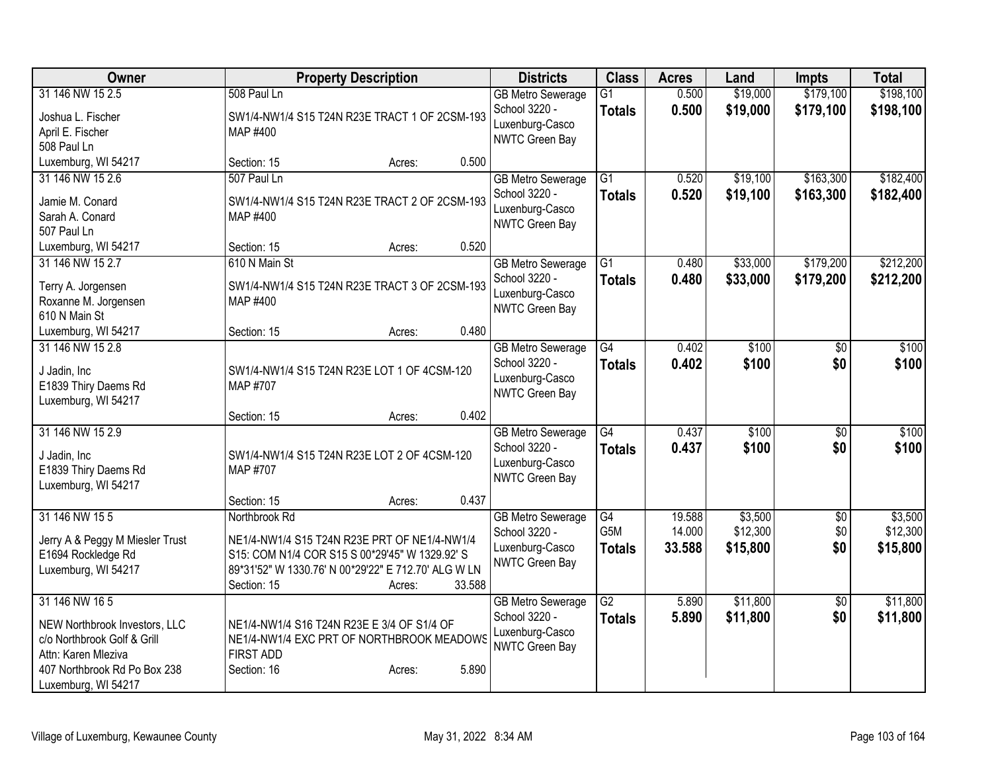| <b>Owner</b>                                | <b>Property Description</b>                                   | <b>Districts</b>         | <b>Class</b>     | <b>Acres</b> | Land     | <b>Impts</b>    | <b>Total</b> |
|---------------------------------------------|---------------------------------------------------------------|--------------------------|------------------|--------------|----------|-----------------|--------------|
| 31 146 NW 15 2.5                            | 508 Paul Ln                                                   | <b>GB Metro Sewerage</b> | $\overline{G1}$  | 0.500        | \$19,000 | \$179,100       | \$198,100    |
| Joshua L. Fischer                           | SW1/4-NW1/4 S15 T24N R23E TRACT 1 OF 2CSM-193                 | School 3220 -            | <b>Totals</b>    | 0.500        | \$19,000 | \$179,100       | \$198,100    |
| April E. Fischer                            | MAP #400                                                      | Luxenburg-Casco          |                  |              |          |                 |              |
| 508 Paul Ln                                 |                                                               | NWTC Green Bay           |                  |              |          |                 |              |
| Luxemburg, WI 54217                         | 0.500<br>Section: 15<br>Acres:                                |                          |                  |              |          |                 |              |
| 31 146 NW 15 2.6                            | 507 Paul Ln                                                   | <b>GB Metro Sewerage</b> | $\overline{G1}$  | 0.520        | \$19,100 | \$163,300       | \$182,400    |
| Jamie M. Conard                             | SW1/4-NW1/4 S15 T24N R23E TRACT 2 OF 2CSM-193                 | School 3220 -            | <b>Totals</b>    | 0.520        | \$19,100 | \$163,300       | \$182,400    |
| Sarah A. Conard                             | MAP #400                                                      | Luxenburg-Casco          |                  |              |          |                 |              |
| 507 Paul Ln                                 |                                                               | <b>NWTC Green Bay</b>    |                  |              |          |                 |              |
| Luxemburg, WI 54217                         | 0.520<br>Section: 15<br>Acres:                                |                          |                  |              |          |                 |              |
| 31 146 NW 15 2.7                            | 610 N Main St                                                 | <b>GB Metro Sewerage</b> | $\overline{G1}$  | 0.480        | \$33,000 | \$179,200       | \$212,200    |
|                                             | SW1/4-NW1/4 S15 T24N R23E TRACT 3 OF 2CSM-193                 | School 3220 -            | <b>Totals</b>    | 0.480        | \$33,000 | \$179,200       | \$212,200    |
| Terry A. Jorgensen<br>Roxanne M. Jorgensen  | MAP #400                                                      | Luxenburg-Casco          |                  |              |          |                 |              |
| 610 N Main St                               |                                                               | <b>NWTC Green Bay</b>    |                  |              |          |                 |              |
| Luxemburg, WI 54217                         | 0.480<br>Section: 15<br>Acres:                                |                          |                  |              |          |                 |              |
| 31 146 NW 15 2.8                            |                                                               | <b>GB Metro Sewerage</b> | G4               | 0.402        | \$100    | \$0             | \$100        |
|                                             |                                                               | School 3220 -            | <b>Totals</b>    | 0.402        | \$100    | \$0             | \$100        |
| J Jadin, Inc                                | SW1/4-NW1/4 S15 T24N R23E LOT 1 OF 4CSM-120<br>MAP #707       | Luxenburg-Casco          |                  |              |          |                 |              |
| E1839 Thiry Daems Rd<br>Luxemburg, WI 54217 |                                                               | NWTC Green Bay           |                  |              |          |                 |              |
|                                             | 0.402<br>Section: 15<br>Acres:                                |                          |                  |              |          |                 |              |
| 31 146 NW 15 2.9                            |                                                               | <b>GB Metro Sewerage</b> | $\overline{G4}$  | 0.437        | \$100    | $\overline{30}$ | \$100        |
|                                             |                                                               | School 3220 -            | <b>Totals</b>    | 0.437        | \$100    | \$0             | \$100        |
| J Jadin, Inc                                | SW1/4-NW1/4 S15 T24N R23E LOT 2 OF 4CSM-120                   | Luxenburg-Casco          |                  |              |          |                 |              |
| E1839 Thiry Daems Rd                        | MAP #707                                                      | NWTC Green Bay           |                  |              |          |                 |              |
| Luxemburg, WI 54217                         | 0.437<br>Section: 15<br>Acres:                                |                          |                  |              |          |                 |              |
| 31 146 NW 15 5                              | Northbrook Rd                                                 | <b>GB Metro Sewerage</b> | $\overline{G4}$  | 19.588       | \$3,500  | $\sqrt{$0}$     | \$3,500      |
|                                             |                                                               | School 3220 -            | G <sub>5</sub> M | 14.000       | \$12,300 | \$0             | \$12,300     |
| Jerry A & Peggy M Miesler Trust             | NE1/4-NW1/4 S15 T24N R23E PRT OF NE1/4-NW1/4                  | Luxenburg-Casco          | <b>Totals</b>    | 33.588       | \$15,800 | \$0             | \$15,800     |
| E1694 Rockledge Rd                          | S15: COM N1/4 COR S15 S 00*29'45" W 1329.92' S                | <b>NWTC Green Bay</b>    |                  |              |          |                 |              |
| Luxemburg, WI 54217                         | 89*31'52" W 1330.76' N 00*29'22" E 712.70' ALG W LN<br>33.588 |                          |                  |              |          |                 |              |
| 31 146 NW 16 5                              | Section: 15<br>Acres:                                         | <b>GB Metro Sewerage</b> | $\overline{G2}$  | 5.890        | \$11,800 | $\overline{60}$ | \$11,800     |
|                                             |                                                               | School 3220 -            | <b>Totals</b>    | 5.890        | \$11,800 | \$0             | \$11,800     |
| NEW Northbrook Investors, LLC               | NE1/4-NW1/4 S16 T24N R23E E 3/4 OF S1/4 OF                    | Luxenburg-Casco          |                  |              |          |                 |              |
| c/o Northbrook Golf & Grill                 | NE1/4-NW1/4 EXC PRT OF NORTHBROOK MEADOWS                     | <b>NWTC Green Bay</b>    |                  |              |          |                 |              |
| Attn: Karen Mleziva                         | <b>FIRST ADD</b>                                              |                          |                  |              |          |                 |              |
| 407 Northbrook Rd Po Box 238                | 5.890<br>Section: 16<br>Acres:                                |                          |                  |              |          |                 |              |
| Luxemburg, WI 54217                         |                                                               |                          |                  |              |          |                 |              |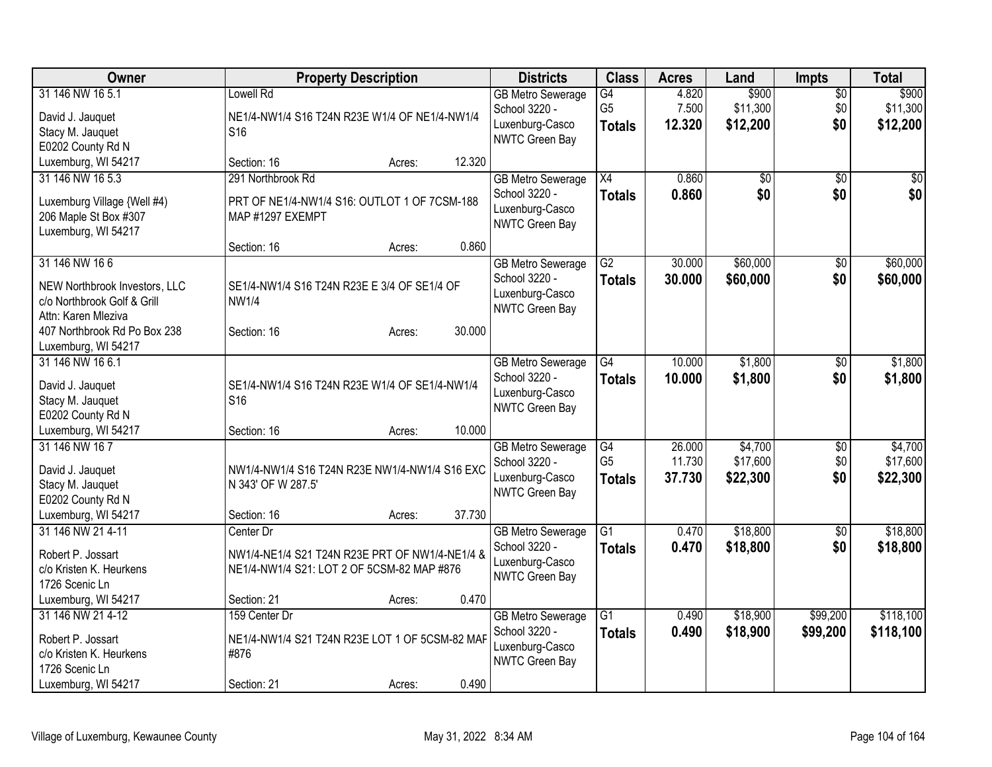| Owner                                    | <b>Property Description</b>                                      | <b>Districts</b>         | <b>Class</b>    | <b>Acres</b> | Land     | <b>Impts</b>    | <b>Total</b> |
|------------------------------------------|------------------------------------------------------------------|--------------------------|-----------------|--------------|----------|-----------------|--------------|
| 31 146 NW 16 5.1                         | Lowell Rd                                                        | <b>GB Metro Sewerage</b> | $\overline{G4}$ | 4.820        | \$900    | $\overline{50}$ | \$900        |
| David J. Jauquet                         | NE1/4-NW1/4 S16 T24N R23E W1/4 OF NE1/4-NW1/4                    | School 3220 -            | G <sub>5</sub>  | 7.500        | \$11,300 | \$0             | \$11,300     |
| Stacy M. Jauquet                         | S <sub>16</sub>                                                  | Luxenburg-Casco          | <b>Totals</b>   | 12.320       | \$12,200 | \$0             | \$12,200     |
| E0202 County Rd N                        |                                                                  | NWTC Green Bay           |                 |              |          |                 |              |
| Luxemburg, WI 54217                      | 12.320<br>Section: 16<br>Acres:                                  |                          |                 |              |          |                 |              |
| 31 146 NW 16 5.3                         | 291 Northbrook Rd                                                | <b>GB Metro Sewerage</b> | $\overline{X4}$ | 0.860        | \$0      | $\overline{50}$ | \$0          |
|                                          |                                                                  | School 3220 -            | <b>Totals</b>   | 0.860        | \$0      | \$0             | \$0          |
| Luxemburg Village {Well #4)              | PRT OF NE1/4-NW1/4 S16: OUTLOT 1 OF 7CSM-188<br>MAP #1297 EXEMPT | Luxenburg-Casco          |                 |              |          |                 |              |
| 206 Maple St Box #307                    |                                                                  | <b>NWTC Green Bay</b>    |                 |              |          |                 |              |
| Luxemburg, WI 54217                      | 0.860<br>Section: 16<br>Acres:                                   |                          |                 |              |          |                 |              |
| 31 146 NW 166                            |                                                                  | <b>GB</b> Metro Sewerage | $\overline{G2}$ | 30.000       | \$60,000 | \$0             | \$60,000     |
|                                          |                                                                  | School 3220 -            |                 | 30.000       | \$60,000 | \$0             | \$60,000     |
| NEW Northbrook Investors, LLC            | SE1/4-NW1/4 S16 T24N R23E E 3/4 OF SE1/4 OF                      | Luxenburg-Casco          | <b>Totals</b>   |              |          |                 |              |
| c/o Northbrook Golf & Grill              | <b>NW1/4</b>                                                     | NWTC Green Bay           |                 |              |          |                 |              |
| Attn: Karen Mleziva                      |                                                                  |                          |                 |              |          |                 |              |
| 407 Northbrook Rd Po Box 238             | 30.000<br>Section: 16<br>Acres:                                  |                          |                 |              |          |                 |              |
| Luxemburg, WI 54217                      |                                                                  |                          |                 |              |          |                 |              |
| 31 146 NW 16 6.1                         |                                                                  | <b>GB Metro Sewerage</b> | G4              | 10.000       | \$1,800  | \$0             | \$1,800      |
| David J. Jauquet                         | SE1/4-NW1/4 S16 T24N R23E W1/4 OF SE1/4-NW1/4                    | School 3220 -            | <b>Totals</b>   | 10.000       | \$1,800  | \$0             | \$1,800      |
| Stacy M. Jauquet                         | S <sub>16</sub>                                                  | Luxenburg-Casco          |                 |              |          |                 |              |
| E0202 County Rd N                        |                                                                  | NWTC Green Bay           |                 |              |          |                 |              |
| Luxemburg, WI 54217                      | 10.000<br>Section: 16<br>Acres:                                  |                          |                 |              |          |                 |              |
| 31 146 NW 167                            |                                                                  | <b>GB Metro Sewerage</b> | G4              | 26.000       | \$4,700  | \$0             | \$4,700      |
|                                          |                                                                  | School 3220 -            | G <sub>5</sub>  | 11.730       | \$17,600 | \$0             | \$17,600     |
| David J. Jauquet                         | NW1/4-NW1/4 S16 T24N R23E NW1/4-NW1/4 S16 EXC                    | Luxenburg-Casco          | <b>Totals</b>   | 37.730       | \$22,300 | \$0             | \$22,300     |
| Stacy M. Jauquet                         | N 343' OF W 287.5'                                               | NWTC Green Bay           |                 |              |          |                 |              |
| E0202 County Rd N<br>Luxemburg, WI 54217 | 37.730<br>Section: 16<br>Acres:                                  |                          |                 |              |          |                 |              |
| 31 146 NW 21 4-11                        | Center Dr                                                        | <b>GB Metro Sewerage</b> | $\overline{G1}$ | 0.470        | \$18,800 | $\overline{50}$ | \$18,800     |
|                                          |                                                                  | School 3220 -            | <b>Totals</b>   | 0.470        | \$18,800 | \$0             | \$18,800     |
| Robert P. Jossart                        | NW1/4-NE1/4 S21 T24N R23E PRT OF NW1/4-NE1/4 &                   | Luxenburg-Casco          |                 |              |          |                 |              |
| c/o Kristen K. Heurkens                  | NE1/4-NW1/4 S21: LOT 2 OF 5CSM-82 MAP #876                       | NWTC Green Bay           |                 |              |          |                 |              |
| 1726 Scenic Ln                           |                                                                  |                          |                 |              |          |                 |              |
| Luxemburg, WI 54217                      | 0.470<br>Section: 21<br>Acres:                                   |                          |                 |              |          |                 |              |
| 31 146 NW 21 4-12                        | 159 Center Dr                                                    | <b>GB Metro Sewerage</b> | $\overline{G1}$ | 0.490        | \$18,900 | \$99,200        | \$118,100    |
| Robert P. Jossart                        | NE1/4-NW1/4 S21 T24N R23E LOT 1 OF 5CSM-82 MAF                   | School 3220 -            | <b>Totals</b>   | 0.490        | \$18,900 | \$99,200        | \$118,100    |
| c/o Kristen K. Heurkens                  | #876                                                             | Luxenburg-Casco          |                 |              |          |                 |              |
| 1726 Scenic Ln                           |                                                                  | <b>NWTC Green Bay</b>    |                 |              |          |                 |              |
| Luxemburg, WI 54217                      | 0.490<br>Section: 21<br>Acres:                                   |                          |                 |              |          |                 |              |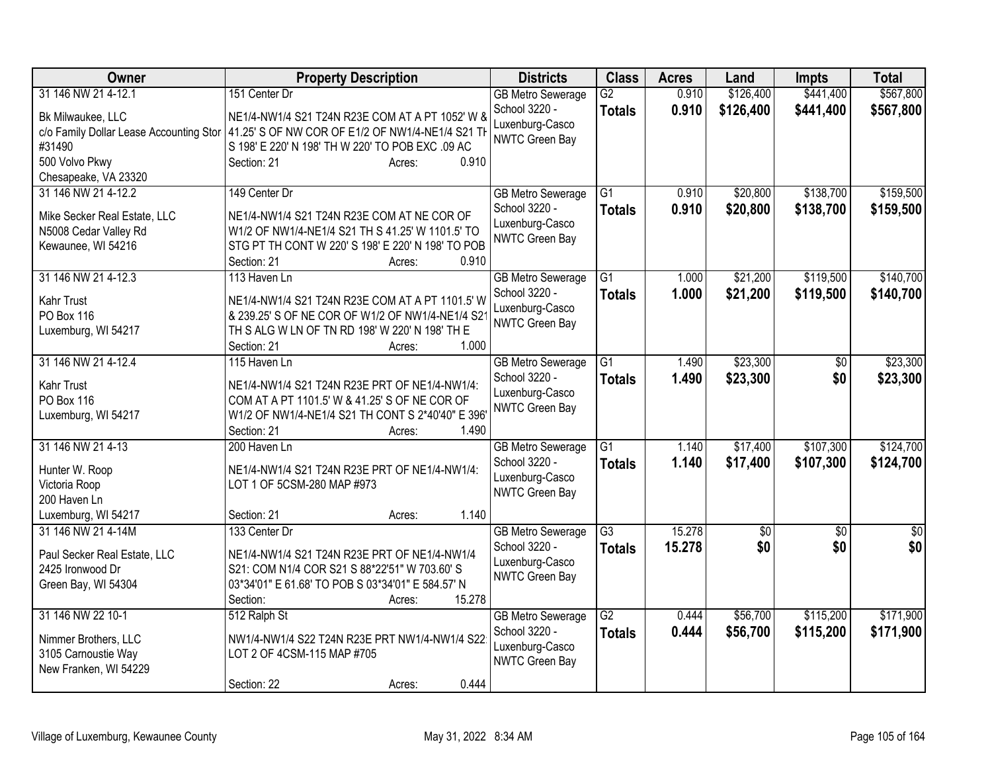| 31 146 NW 21 4-12.1<br>\$126,400<br>\$441,400<br>151 Center Dr<br>$\overline{G2}$<br>0.910<br><b>GB Metro Sewerage</b><br>School 3220 -<br>0.910<br>\$126,400<br>\$441,400<br>\$567,800<br><b>Totals</b><br>Bk Milwaukee, LLC<br>NE1/4-NW1/4 S21 T24N R23E COM AT A PT 1052' W 8<br>Luxenburg-Casco<br>c/o Family Dollar Lease Accounting Stor   41.25' S OF NW COR OF E1/2 OF NW1/4-NE1/4 S21 TH<br>NWTC Green Bay<br>#31490<br>S 198' E 220' N 198' TH W 220' TO POB EXC .09 AC<br>500 Volvo Pkwy<br>0.910<br>Section: 21<br>Acres:<br>Chesapeake, VA 23320<br>31 146 NW 21 4-12.2<br>$\overline{G1}$<br>\$20,800<br>\$138,700<br>\$159,500<br>149 Center Dr<br>0.910<br><b>GB Metro Sewerage</b><br>\$138,700<br>School 3220 -<br>0.910<br>\$20,800<br>\$159,500<br><b>Totals</b><br>NE1/4-NW1/4 S21 T24N R23E COM AT NE COR OF<br>Mike Secker Real Estate, LLC<br>Luxenburg-Casco<br>N5008 Cedar Valley Rd<br>W1/2 OF NW1/4-NE1/4 S21 TH S 41.25' W 1101.5' TO<br><b>NWTC Green Bay</b><br>Kewaunee, WI 54216<br>STG PT TH CONT W 220' S 198' E 220' N 198' TO POB<br>0.910<br>Section: 21<br>Acres:<br>\$119,500<br>31 146 NW 21 4-12.3<br>G1<br>\$21,200<br>113 Haven Ln<br><b>GB Metro Sewerage</b><br>1.000<br>School 3220 -<br>1.000<br>\$21,200<br>\$119,500<br><b>Totals</b><br><b>Kahr Trust</b><br>NE1/4-NW1/4 S21 T24N R23E COM AT A PT 1101.5' W<br>Luxenburg-Casco<br>PO Box 116<br>& 239.25' S OF NE COR OF W1/2 OF NW1/4-NE1/4 S2<br>NWTC Green Bay<br>TH S ALG W LN OF TN RD 198' W 220' N 198' TH E<br>Luxemburg, WI 54217<br>1.000<br>Section: 21<br>Acres:<br>\$23,300<br>31 146 NW 21 4-12.4<br>115 Haven Ln<br>$\overline{G1}$<br><b>GB Metro Sewerage</b><br>1.490<br>\$0<br>School 3220 -<br>1.490<br>\$23,300<br>\$0<br><b>Totals</b><br>Kahr Trust<br>NE1/4-NW1/4 S21 T24N R23E PRT OF NE1/4-NW1/4:<br>Luxenburg-Casco<br>COM AT A PT 1101.5' W & 41.25' S OF NE COR OF<br>PO Box 116<br><b>NWTC Green Bay</b><br>Luxemburg, WI 54217<br>W1/2 OF NW1/4-NE1/4 S21 TH CONT S 2*40'40" E 396'<br>1.490<br>Section: 21<br>Acres:<br>31 146 NW 21 4-13<br>\$17,400<br>\$107,300<br>G1<br>1.140<br>200 Haven Ln<br><b>GB Metro Sewerage</b><br>School 3220 -<br>1.140<br>\$17,400<br>\$107,300<br><b>Totals</b><br>NE1/4-NW1/4 S21 T24N R23E PRT OF NE1/4-NW1/4:<br>Hunter W. Roop<br>Luxenburg-Casco<br>LOT 1 OF 5CSM-280 MAP #973<br>Victoria Roop<br><b>NWTC Green Bay</b><br>200 Haven Ln<br>Luxemburg, WI 54217<br>1.140<br>Section: 21<br>Acres:<br>15.278<br>31 146 NW 21 4-14M<br>133 Center Dr<br>$\overline{G3}$<br>$\overline{60}$<br>$\overline{50}$<br>$\overline{50}$<br><b>GB Metro Sewerage</b><br>\$0<br>15.278<br>\$0<br>School 3220 -<br><b>Totals</b><br>Paul Secker Real Estate, LLC<br>NE1/4-NW1/4 S21 T24N R23E PRT OF NE1/4-NW1/4<br>Luxenburg-Casco<br>2425 Ironwood Dr<br>S21: COM N1/4 COR S21 S 88*22'51" W 703.60' S<br><b>NWTC Green Bay</b><br>Green Bay, WI 54304<br>03*34'01" E 61.68' TO POB S 03*34'01" E 584.57' N<br>15.278<br>Section:<br>Acres:<br>31 146 NW 22 10-1<br>$\overline{G2}$<br>\$56,700<br>\$115,200<br>512 Ralph St<br><b>GB Metro Sewerage</b><br>0.444<br>School 3220 -<br>0.444<br>\$56,700<br>\$115,200<br><b>Totals</b><br>NW1/4-NW1/4 S22 T24N R23E PRT NW1/4-NW1/4 S22<br>Nimmer Brothers, LLC | <b>Owner</b> | <b>Property Description</b> | <b>Districts</b> | <b>Class</b> | <b>Acres</b> | Land | <b>Impts</b> | <b>Total</b> |
|---------------------------------------------------------------------------------------------------------------------------------------------------------------------------------------------------------------------------------------------------------------------------------------------------------------------------------------------------------------------------------------------------------------------------------------------------------------------------------------------------------------------------------------------------------------------------------------------------------------------------------------------------------------------------------------------------------------------------------------------------------------------------------------------------------------------------------------------------------------------------------------------------------------------------------------------------------------------------------------------------------------------------------------------------------------------------------------------------------------------------------------------------------------------------------------------------------------------------------------------------------------------------------------------------------------------------------------------------------------------------------------------------------------------------------------------------------------------------------------------------------------------------------------------------------------------------------------------------------------------------------------------------------------------------------------------------------------------------------------------------------------------------------------------------------------------------------------------------------------------------------------------------------------------------------------------------------------------------------------------------------------------------------------------------------------------------------------------------------------------------------------------------------------------------------------------------------------------------------------------------------------------------------------------------------------------------------------------------------------------------------------------------------------------------------------------------------------------------------------------------------------------------------------------------------------------------------------------------------------------------------------------------------------------------------------------------------------------------------------------------------------------------------------------------------------------------------------------------------------------------------------------------------------------------------------------------------------------------------------------------------------------------------------------------------------------------------------------------------------------------------------------------------------------------------------------------------------------------------------------------------------------------------|--------------|-----------------------------|------------------|--------------|--------------|------|--------------|--------------|
|                                                                                                                                                                                                                                                                                                                                                                                                                                                                                                                                                                                                                                                                                                                                                                                                                                                                                                                                                                                                                                                                                                                                                                                                                                                                                                                                                                                                                                                                                                                                                                                                                                                                                                                                                                                                                                                                                                                                                                                                                                                                                                                                                                                                                                                                                                                                                                                                                                                                                                                                                                                                                                                                                                                                                                                                                                                                                                                                                                                                                                                                                                                                                                                                                                                                                 |              |                             |                  |              |              |      |              | \$567,800    |
|                                                                                                                                                                                                                                                                                                                                                                                                                                                                                                                                                                                                                                                                                                                                                                                                                                                                                                                                                                                                                                                                                                                                                                                                                                                                                                                                                                                                                                                                                                                                                                                                                                                                                                                                                                                                                                                                                                                                                                                                                                                                                                                                                                                                                                                                                                                                                                                                                                                                                                                                                                                                                                                                                                                                                                                                                                                                                                                                                                                                                                                                                                                                                                                                                                                                                 |              |                             |                  |              |              |      |              |              |
|                                                                                                                                                                                                                                                                                                                                                                                                                                                                                                                                                                                                                                                                                                                                                                                                                                                                                                                                                                                                                                                                                                                                                                                                                                                                                                                                                                                                                                                                                                                                                                                                                                                                                                                                                                                                                                                                                                                                                                                                                                                                                                                                                                                                                                                                                                                                                                                                                                                                                                                                                                                                                                                                                                                                                                                                                                                                                                                                                                                                                                                                                                                                                                                                                                                                                 |              |                             |                  |              |              |      |              |              |
|                                                                                                                                                                                                                                                                                                                                                                                                                                                                                                                                                                                                                                                                                                                                                                                                                                                                                                                                                                                                                                                                                                                                                                                                                                                                                                                                                                                                                                                                                                                                                                                                                                                                                                                                                                                                                                                                                                                                                                                                                                                                                                                                                                                                                                                                                                                                                                                                                                                                                                                                                                                                                                                                                                                                                                                                                                                                                                                                                                                                                                                                                                                                                                                                                                                                                 |              |                             |                  |              |              |      |              |              |
|                                                                                                                                                                                                                                                                                                                                                                                                                                                                                                                                                                                                                                                                                                                                                                                                                                                                                                                                                                                                                                                                                                                                                                                                                                                                                                                                                                                                                                                                                                                                                                                                                                                                                                                                                                                                                                                                                                                                                                                                                                                                                                                                                                                                                                                                                                                                                                                                                                                                                                                                                                                                                                                                                                                                                                                                                                                                                                                                                                                                                                                                                                                                                                                                                                                                                 |              |                             |                  |              |              |      |              |              |
|                                                                                                                                                                                                                                                                                                                                                                                                                                                                                                                                                                                                                                                                                                                                                                                                                                                                                                                                                                                                                                                                                                                                                                                                                                                                                                                                                                                                                                                                                                                                                                                                                                                                                                                                                                                                                                                                                                                                                                                                                                                                                                                                                                                                                                                                                                                                                                                                                                                                                                                                                                                                                                                                                                                                                                                                                                                                                                                                                                                                                                                                                                                                                                                                                                                                                 |              |                             |                  |              |              |      |              |              |
|                                                                                                                                                                                                                                                                                                                                                                                                                                                                                                                                                                                                                                                                                                                                                                                                                                                                                                                                                                                                                                                                                                                                                                                                                                                                                                                                                                                                                                                                                                                                                                                                                                                                                                                                                                                                                                                                                                                                                                                                                                                                                                                                                                                                                                                                                                                                                                                                                                                                                                                                                                                                                                                                                                                                                                                                                                                                                                                                                                                                                                                                                                                                                                                                                                                                                 |              |                             |                  |              |              |      |              |              |
|                                                                                                                                                                                                                                                                                                                                                                                                                                                                                                                                                                                                                                                                                                                                                                                                                                                                                                                                                                                                                                                                                                                                                                                                                                                                                                                                                                                                                                                                                                                                                                                                                                                                                                                                                                                                                                                                                                                                                                                                                                                                                                                                                                                                                                                                                                                                                                                                                                                                                                                                                                                                                                                                                                                                                                                                                                                                                                                                                                                                                                                                                                                                                                                                                                                                                 |              |                             |                  |              |              |      |              |              |
| \$140,700<br>\$140,700<br>\$23,300<br>\$23,300<br>\$124,700<br>\$124,700<br>\$0<br>\$171,900<br>\$171,900                                                                                                                                                                                                                                                                                                                                                                                                                                                                                                                                                                                                                                                                                                                                                                                                                                                                                                                                                                                                                                                                                                                                                                                                                                                                                                                                                                                                                                                                                                                                                                                                                                                                                                                                                                                                                                                                                                                                                                                                                                                                                                                                                                                                                                                                                                                                                                                                                                                                                                                                                                                                                                                                                                                                                                                                                                                                                                                                                                                                                                                                                                                                                                       |              |                             |                  |              |              |      |              |              |
|                                                                                                                                                                                                                                                                                                                                                                                                                                                                                                                                                                                                                                                                                                                                                                                                                                                                                                                                                                                                                                                                                                                                                                                                                                                                                                                                                                                                                                                                                                                                                                                                                                                                                                                                                                                                                                                                                                                                                                                                                                                                                                                                                                                                                                                                                                                                                                                                                                                                                                                                                                                                                                                                                                                                                                                                                                                                                                                                                                                                                                                                                                                                                                                                                                                                                 |              |                             |                  |              |              |      |              |              |
|                                                                                                                                                                                                                                                                                                                                                                                                                                                                                                                                                                                                                                                                                                                                                                                                                                                                                                                                                                                                                                                                                                                                                                                                                                                                                                                                                                                                                                                                                                                                                                                                                                                                                                                                                                                                                                                                                                                                                                                                                                                                                                                                                                                                                                                                                                                                                                                                                                                                                                                                                                                                                                                                                                                                                                                                                                                                                                                                                                                                                                                                                                                                                                                                                                                                                 |              |                             |                  |              |              |      |              |              |
|                                                                                                                                                                                                                                                                                                                                                                                                                                                                                                                                                                                                                                                                                                                                                                                                                                                                                                                                                                                                                                                                                                                                                                                                                                                                                                                                                                                                                                                                                                                                                                                                                                                                                                                                                                                                                                                                                                                                                                                                                                                                                                                                                                                                                                                                                                                                                                                                                                                                                                                                                                                                                                                                                                                                                                                                                                                                                                                                                                                                                                                                                                                                                                                                                                                                                 |              |                             |                  |              |              |      |              |              |
|                                                                                                                                                                                                                                                                                                                                                                                                                                                                                                                                                                                                                                                                                                                                                                                                                                                                                                                                                                                                                                                                                                                                                                                                                                                                                                                                                                                                                                                                                                                                                                                                                                                                                                                                                                                                                                                                                                                                                                                                                                                                                                                                                                                                                                                                                                                                                                                                                                                                                                                                                                                                                                                                                                                                                                                                                                                                                                                                                                                                                                                                                                                                                                                                                                                                                 |              |                             |                  |              |              |      |              |              |
|                                                                                                                                                                                                                                                                                                                                                                                                                                                                                                                                                                                                                                                                                                                                                                                                                                                                                                                                                                                                                                                                                                                                                                                                                                                                                                                                                                                                                                                                                                                                                                                                                                                                                                                                                                                                                                                                                                                                                                                                                                                                                                                                                                                                                                                                                                                                                                                                                                                                                                                                                                                                                                                                                                                                                                                                                                                                                                                                                                                                                                                                                                                                                                                                                                                                                 |              |                             |                  |              |              |      |              |              |
|                                                                                                                                                                                                                                                                                                                                                                                                                                                                                                                                                                                                                                                                                                                                                                                                                                                                                                                                                                                                                                                                                                                                                                                                                                                                                                                                                                                                                                                                                                                                                                                                                                                                                                                                                                                                                                                                                                                                                                                                                                                                                                                                                                                                                                                                                                                                                                                                                                                                                                                                                                                                                                                                                                                                                                                                                                                                                                                                                                                                                                                                                                                                                                                                                                                                                 |              |                             |                  |              |              |      |              |              |
|                                                                                                                                                                                                                                                                                                                                                                                                                                                                                                                                                                                                                                                                                                                                                                                                                                                                                                                                                                                                                                                                                                                                                                                                                                                                                                                                                                                                                                                                                                                                                                                                                                                                                                                                                                                                                                                                                                                                                                                                                                                                                                                                                                                                                                                                                                                                                                                                                                                                                                                                                                                                                                                                                                                                                                                                                                                                                                                                                                                                                                                                                                                                                                                                                                                                                 |              |                             |                  |              |              |      |              |              |
|                                                                                                                                                                                                                                                                                                                                                                                                                                                                                                                                                                                                                                                                                                                                                                                                                                                                                                                                                                                                                                                                                                                                                                                                                                                                                                                                                                                                                                                                                                                                                                                                                                                                                                                                                                                                                                                                                                                                                                                                                                                                                                                                                                                                                                                                                                                                                                                                                                                                                                                                                                                                                                                                                                                                                                                                                                                                                                                                                                                                                                                                                                                                                                                                                                                                                 |              |                             |                  |              |              |      |              |              |
|                                                                                                                                                                                                                                                                                                                                                                                                                                                                                                                                                                                                                                                                                                                                                                                                                                                                                                                                                                                                                                                                                                                                                                                                                                                                                                                                                                                                                                                                                                                                                                                                                                                                                                                                                                                                                                                                                                                                                                                                                                                                                                                                                                                                                                                                                                                                                                                                                                                                                                                                                                                                                                                                                                                                                                                                                                                                                                                                                                                                                                                                                                                                                                                                                                                                                 |              |                             |                  |              |              |      |              |              |
|                                                                                                                                                                                                                                                                                                                                                                                                                                                                                                                                                                                                                                                                                                                                                                                                                                                                                                                                                                                                                                                                                                                                                                                                                                                                                                                                                                                                                                                                                                                                                                                                                                                                                                                                                                                                                                                                                                                                                                                                                                                                                                                                                                                                                                                                                                                                                                                                                                                                                                                                                                                                                                                                                                                                                                                                                                                                                                                                                                                                                                                                                                                                                                                                                                                                                 |              |                             |                  |              |              |      |              |              |
|                                                                                                                                                                                                                                                                                                                                                                                                                                                                                                                                                                                                                                                                                                                                                                                                                                                                                                                                                                                                                                                                                                                                                                                                                                                                                                                                                                                                                                                                                                                                                                                                                                                                                                                                                                                                                                                                                                                                                                                                                                                                                                                                                                                                                                                                                                                                                                                                                                                                                                                                                                                                                                                                                                                                                                                                                                                                                                                                                                                                                                                                                                                                                                                                                                                                                 |              |                             |                  |              |              |      |              |              |
|                                                                                                                                                                                                                                                                                                                                                                                                                                                                                                                                                                                                                                                                                                                                                                                                                                                                                                                                                                                                                                                                                                                                                                                                                                                                                                                                                                                                                                                                                                                                                                                                                                                                                                                                                                                                                                                                                                                                                                                                                                                                                                                                                                                                                                                                                                                                                                                                                                                                                                                                                                                                                                                                                                                                                                                                                                                                                                                                                                                                                                                                                                                                                                                                                                                                                 |              |                             |                  |              |              |      |              |              |
|                                                                                                                                                                                                                                                                                                                                                                                                                                                                                                                                                                                                                                                                                                                                                                                                                                                                                                                                                                                                                                                                                                                                                                                                                                                                                                                                                                                                                                                                                                                                                                                                                                                                                                                                                                                                                                                                                                                                                                                                                                                                                                                                                                                                                                                                                                                                                                                                                                                                                                                                                                                                                                                                                                                                                                                                                                                                                                                                                                                                                                                                                                                                                                                                                                                                                 |              |                             |                  |              |              |      |              |              |
|                                                                                                                                                                                                                                                                                                                                                                                                                                                                                                                                                                                                                                                                                                                                                                                                                                                                                                                                                                                                                                                                                                                                                                                                                                                                                                                                                                                                                                                                                                                                                                                                                                                                                                                                                                                                                                                                                                                                                                                                                                                                                                                                                                                                                                                                                                                                                                                                                                                                                                                                                                                                                                                                                                                                                                                                                                                                                                                                                                                                                                                                                                                                                                                                                                                                                 |              |                             |                  |              |              |      |              |              |
|                                                                                                                                                                                                                                                                                                                                                                                                                                                                                                                                                                                                                                                                                                                                                                                                                                                                                                                                                                                                                                                                                                                                                                                                                                                                                                                                                                                                                                                                                                                                                                                                                                                                                                                                                                                                                                                                                                                                                                                                                                                                                                                                                                                                                                                                                                                                                                                                                                                                                                                                                                                                                                                                                                                                                                                                                                                                                                                                                                                                                                                                                                                                                                                                                                                                                 |              |                             |                  |              |              |      |              |              |
|                                                                                                                                                                                                                                                                                                                                                                                                                                                                                                                                                                                                                                                                                                                                                                                                                                                                                                                                                                                                                                                                                                                                                                                                                                                                                                                                                                                                                                                                                                                                                                                                                                                                                                                                                                                                                                                                                                                                                                                                                                                                                                                                                                                                                                                                                                                                                                                                                                                                                                                                                                                                                                                                                                                                                                                                                                                                                                                                                                                                                                                                                                                                                                                                                                                                                 |              |                             |                  |              |              |      |              |              |
|                                                                                                                                                                                                                                                                                                                                                                                                                                                                                                                                                                                                                                                                                                                                                                                                                                                                                                                                                                                                                                                                                                                                                                                                                                                                                                                                                                                                                                                                                                                                                                                                                                                                                                                                                                                                                                                                                                                                                                                                                                                                                                                                                                                                                                                                                                                                                                                                                                                                                                                                                                                                                                                                                                                                                                                                                                                                                                                                                                                                                                                                                                                                                                                                                                                                                 |              |                             |                  |              |              |      |              |              |
|                                                                                                                                                                                                                                                                                                                                                                                                                                                                                                                                                                                                                                                                                                                                                                                                                                                                                                                                                                                                                                                                                                                                                                                                                                                                                                                                                                                                                                                                                                                                                                                                                                                                                                                                                                                                                                                                                                                                                                                                                                                                                                                                                                                                                                                                                                                                                                                                                                                                                                                                                                                                                                                                                                                                                                                                                                                                                                                                                                                                                                                                                                                                                                                                                                                                                 |              |                             |                  |              |              |      |              |              |
|                                                                                                                                                                                                                                                                                                                                                                                                                                                                                                                                                                                                                                                                                                                                                                                                                                                                                                                                                                                                                                                                                                                                                                                                                                                                                                                                                                                                                                                                                                                                                                                                                                                                                                                                                                                                                                                                                                                                                                                                                                                                                                                                                                                                                                                                                                                                                                                                                                                                                                                                                                                                                                                                                                                                                                                                                                                                                                                                                                                                                                                                                                                                                                                                                                                                                 |              |                             |                  |              |              |      |              |              |
|                                                                                                                                                                                                                                                                                                                                                                                                                                                                                                                                                                                                                                                                                                                                                                                                                                                                                                                                                                                                                                                                                                                                                                                                                                                                                                                                                                                                                                                                                                                                                                                                                                                                                                                                                                                                                                                                                                                                                                                                                                                                                                                                                                                                                                                                                                                                                                                                                                                                                                                                                                                                                                                                                                                                                                                                                                                                                                                                                                                                                                                                                                                                                                                                                                                                                 |              |                             |                  |              |              |      |              |              |
|                                                                                                                                                                                                                                                                                                                                                                                                                                                                                                                                                                                                                                                                                                                                                                                                                                                                                                                                                                                                                                                                                                                                                                                                                                                                                                                                                                                                                                                                                                                                                                                                                                                                                                                                                                                                                                                                                                                                                                                                                                                                                                                                                                                                                                                                                                                                                                                                                                                                                                                                                                                                                                                                                                                                                                                                                                                                                                                                                                                                                                                                                                                                                                                                                                                                                 |              |                             |                  |              |              |      |              |              |
|                                                                                                                                                                                                                                                                                                                                                                                                                                                                                                                                                                                                                                                                                                                                                                                                                                                                                                                                                                                                                                                                                                                                                                                                                                                                                                                                                                                                                                                                                                                                                                                                                                                                                                                                                                                                                                                                                                                                                                                                                                                                                                                                                                                                                                                                                                                                                                                                                                                                                                                                                                                                                                                                                                                                                                                                                                                                                                                                                                                                                                                                                                                                                                                                                                                                                 |              |                             |                  |              |              |      |              |              |
|                                                                                                                                                                                                                                                                                                                                                                                                                                                                                                                                                                                                                                                                                                                                                                                                                                                                                                                                                                                                                                                                                                                                                                                                                                                                                                                                                                                                                                                                                                                                                                                                                                                                                                                                                                                                                                                                                                                                                                                                                                                                                                                                                                                                                                                                                                                                                                                                                                                                                                                                                                                                                                                                                                                                                                                                                                                                                                                                                                                                                                                                                                                                                                                                                                                                                 |              |                             |                  |              |              |      |              |              |
|                                                                                                                                                                                                                                                                                                                                                                                                                                                                                                                                                                                                                                                                                                                                                                                                                                                                                                                                                                                                                                                                                                                                                                                                                                                                                                                                                                                                                                                                                                                                                                                                                                                                                                                                                                                                                                                                                                                                                                                                                                                                                                                                                                                                                                                                                                                                                                                                                                                                                                                                                                                                                                                                                                                                                                                                                                                                                                                                                                                                                                                                                                                                                                                                                                                                                 |              |                             |                  |              |              |      |              |              |
|                                                                                                                                                                                                                                                                                                                                                                                                                                                                                                                                                                                                                                                                                                                                                                                                                                                                                                                                                                                                                                                                                                                                                                                                                                                                                                                                                                                                                                                                                                                                                                                                                                                                                                                                                                                                                                                                                                                                                                                                                                                                                                                                                                                                                                                                                                                                                                                                                                                                                                                                                                                                                                                                                                                                                                                                                                                                                                                                                                                                                                                                                                                                                                                                                                                                                 |              |                             |                  |              |              |      |              |              |
|                                                                                                                                                                                                                                                                                                                                                                                                                                                                                                                                                                                                                                                                                                                                                                                                                                                                                                                                                                                                                                                                                                                                                                                                                                                                                                                                                                                                                                                                                                                                                                                                                                                                                                                                                                                                                                                                                                                                                                                                                                                                                                                                                                                                                                                                                                                                                                                                                                                                                                                                                                                                                                                                                                                                                                                                                                                                                                                                                                                                                                                                                                                                                                                                                                                                                 |              | LOT 2 OF 4CSM-115 MAP #705  | Luxenburg-Casco  |              |              |      |              |              |
| 3105 Carnoustie Way<br>NWTC Green Bay<br>New Franken, WI 54229                                                                                                                                                                                                                                                                                                                                                                                                                                                                                                                                                                                                                                                                                                                                                                                                                                                                                                                                                                                                                                                                                                                                                                                                                                                                                                                                                                                                                                                                                                                                                                                                                                                                                                                                                                                                                                                                                                                                                                                                                                                                                                                                                                                                                                                                                                                                                                                                                                                                                                                                                                                                                                                                                                                                                                                                                                                                                                                                                                                                                                                                                                                                                                                                                  |              |                             |                  |              |              |      |              |              |
| 0.444<br>Section: 22<br>Acres:                                                                                                                                                                                                                                                                                                                                                                                                                                                                                                                                                                                                                                                                                                                                                                                                                                                                                                                                                                                                                                                                                                                                                                                                                                                                                                                                                                                                                                                                                                                                                                                                                                                                                                                                                                                                                                                                                                                                                                                                                                                                                                                                                                                                                                                                                                                                                                                                                                                                                                                                                                                                                                                                                                                                                                                                                                                                                                                                                                                                                                                                                                                                                                                                                                                  |              |                             |                  |              |              |      |              |              |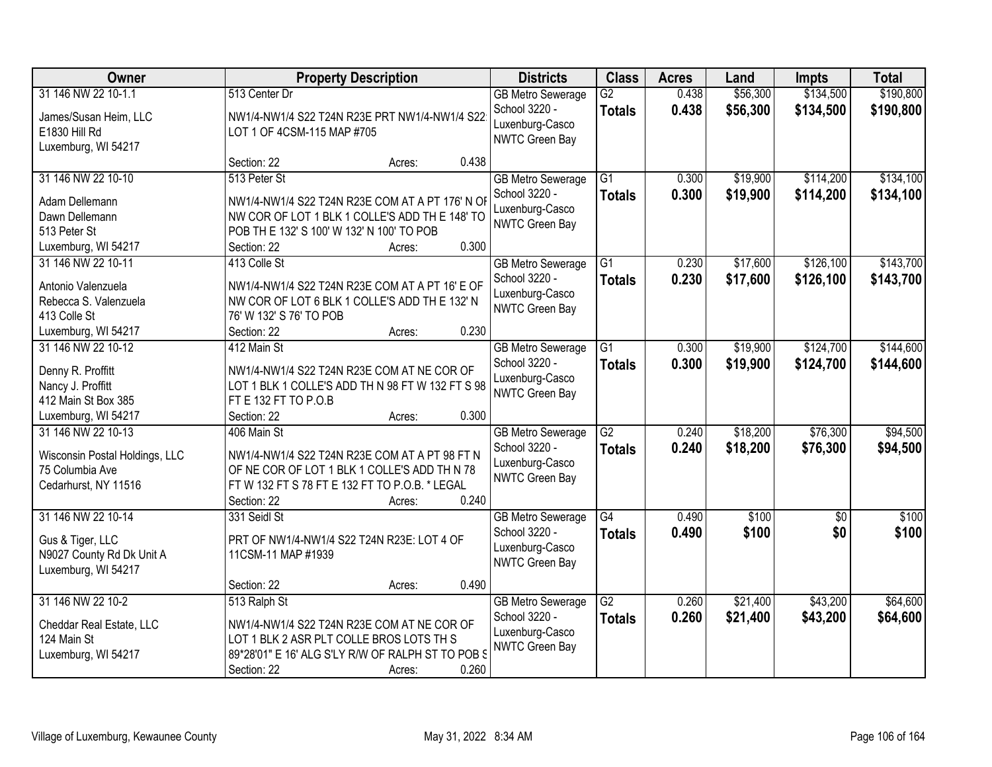| <b>Owner</b>                              |                                                                                                   | <b>Property Description</b> |       | <b>Districts</b>                          | <b>Class</b>                     | <b>Acres</b>   | Land                 | <b>Impts</b>           | <b>Total</b>           |
|-------------------------------------------|---------------------------------------------------------------------------------------------------|-----------------------------|-------|-------------------------------------------|----------------------------------|----------------|----------------------|------------------------|------------------------|
| 31 146 NW 22 10-1.1                       | 513 Center Dr<br>NW1/4-NW1/4 S22 T24N R23E PRT NW1/4-NW1/4 S22                                    |                             |       | <b>GB Metro Sewerage</b><br>School 3220 - | $\overline{G2}$<br><b>Totals</b> | 0.438<br>0.438 | \$56,300<br>\$56,300 | \$134,500<br>\$134,500 | \$190,800<br>\$190,800 |
| James/Susan Heim, LLC<br>E1830 Hill Rd    | LOT 1 OF 4CSM-115 MAP #705                                                                        |                             |       | Luxenburg-Casco<br><b>NWTC Green Bay</b>  |                                  |                |                      |                        |                        |
| Luxemburg, WI 54217                       | Section: 22                                                                                       | Acres:                      | 0.438 |                                           |                                  |                |                      |                        |                        |
| 31 146 NW 22 10-10                        | 513 Peter St                                                                                      |                             |       | <b>GB Metro Sewerage</b><br>School 3220 - | $\overline{G1}$<br><b>Totals</b> | 0.300<br>0.300 | \$19,900<br>\$19,900 | \$114,200<br>\$114,200 | \$134,100<br>\$134,100 |
| Adam Dellemann<br>Dawn Dellemann          | NW1/4-NW1/4 S22 T24N R23E COM AT A PT 176' N OF<br>NW COR OF LOT 1 BLK 1 COLLE'S ADD TH E 148' TO |                             |       | Luxenburg-Casco                           |                                  |                |                      |                        |                        |
| 513 Peter St                              | POB TH E 132' S 100' W 132' N 100' TO POB                                                         |                             |       | <b>NWTC Green Bay</b>                     |                                  |                |                      |                        |                        |
| Luxemburg, WI 54217                       | Section: 22                                                                                       | Acres:                      | 0.300 |                                           |                                  |                |                      |                        |                        |
| 31 146 NW 22 10-11                        | 413 Colle St                                                                                      |                             |       | <b>GB Metro Sewerage</b><br>School 3220 - | $\overline{G1}$<br><b>Totals</b> | 0.230<br>0.230 | \$17,600<br>\$17,600 | \$126,100<br>\$126,100 | \$143,700<br>\$143,700 |
| Antonio Valenzuela                        | NW1/4-NW1/4 S22 T24N R23E COM AT A PT 16' E OF                                                    |                             |       | Luxenburg-Casco                           |                                  |                |                      |                        |                        |
| Rebecca S. Valenzuela                     | NW COR OF LOT 6 BLK 1 COLLE'S ADD TH E 132' N                                                     |                             |       | <b>NWTC Green Bay</b>                     |                                  |                |                      |                        |                        |
| 413 Colle St                              | 76' W 132' S 76' TO POB                                                                           |                             |       |                                           |                                  |                |                      |                        |                        |
| Luxemburg, WI 54217<br>31 146 NW 22 10-12 | Section: 22<br>412 Main St                                                                        | Acres:                      | 0.230 |                                           | G1                               | 0.300          | \$19,900             | \$124,700              | \$144,600              |
|                                           |                                                                                                   |                             |       | <b>GB Metro Sewerage</b><br>School 3220 - |                                  | 0.300          | \$19,900             |                        |                        |
| Denny R. Proffitt                         | NW1/4-NW1/4 S22 T24N R23E COM AT NE COR OF                                                        |                             |       | Luxenburg-Casco                           | <b>Totals</b>                    |                |                      | \$124,700              | \$144,600              |
| Nancy J. Proffitt                         | LOT 1 BLK 1 COLLE'S ADD TH N 98 FT W 132 FT S 98                                                  |                             |       | <b>NWTC Green Bay</b>                     |                                  |                |                      |                        |                        |
| 412 Main St Box 385                       | FT E 132 FT TO P.O.B                                                                              |                             |       |                                           |                                  |                |                      |                        |                        |
| Luxemburg, WI 54217                       | Section: 22                                                                                       | Acres:                      | 0.300 |                                           |                                  |                |                      |                        |                        |
| 31 146 NW 22 10-13                        | 406 Main St                                                                                       |                             |       | <b>GB Metro Sewerage</b>                  | $\overline{G2}$                  | 0.240          | \$18,200             | \$76,300               | \$94,500               |
| Wisconsin Postal Holdings, LLC            | NW1/4-NW1/4 S22 T24N R23E COM AT A PT 98 FT N                                                     |                             |       | School 3220 -                             | <b>Totals</b>                    | 0.240          | \$18,200             | \$76,300               | \$94,500               |
| 75 Columbia Ave                           | OF NE COR OF LOT 1 BLK 1 COLLE'S ADD TH N 78                                                      |                             |       | Luxenburg-Casco<br><b>NWTC Green Bay</b>  |                                  |                |                      |                        |                        |
| Cedarhurst, NY 11516                      | FT W 132 FT S 78 FT E 132 FT TO P.O.B. * LEGAL                                                    |                             |       |                                           |                                  |                |                      |                        |                        |
|                                           | Section: 22                                                                                       | Acres:                      | 0.240 |                                           |                                  |                |                      |                        |                        |
| 31 146 NW 22 10-14                        | 331 Seidl St                                                                                      |                             |       | <b>GB Metro Sewerage</b>                  | G4                               | 0.490          | \$100                | $\sqrt{6}$             | \$100                  |
| Gus & Tiger, LLC                          | PRT OF NW1/4-NW1/4 S22 T24N R23E: LOT 4 OF                                                        |                             |       | School 3220 -                             | <b>Totals</b>                    | 0.490          | \$100                | \$0                    | \$100                  |
| N9027 County Rd Dk Unit A                 | 11CSM-11 MAP #1939                                                                                |                             |       | Luxenburg-Casco                           |                                  |                |                      |                        |                        |
| Luxemburg, WI 54217                       |                                                                                                   |                             |       | NWTC Green Bay                            |                                  |                |                      |                        |                        |
|                                           | Section: 22                                                                                       | Acres:                      | 0.490 |                                           |                                  |                |                      |                        |                        |
| 31 146 NW 22 10-2                         | 513 Ralph St                                                                                      |                             |       | <b>GB Metro Sewerage</b>                  | $\overline{G2}$                  | 0.260          | \$21,400             | \$43,200               | \$64,600               |
| Cheddar Real Estate, LLC                  | NW1/4-NW1/4 S22 T24N R23E COM AT NE COR OF                                                        |                             |       | School 3220 -                             | <b>Totals</b>                    | 0.260          | \$21,400             | \$43,200               | \$64,600               |
| 124 Main St                               | LOT 1 BLK 2 ASR PLT COLLE BROS LOTS TH S                                                          |                             |       | Luxenburg-Casco                           |                                  |                |                      |                        |                        |
| Luxemburg, WI 54217                       | 89*28'01" E 16' ALG S'LY R/W OF RALPH ST TO POB S                                                 |                             |       | <b>NWTC Green Bay</b>                     |                                  |                |                      |                        |                        |
|                                           | Section: 22                                                                                       | Acres:                      | 0.260 |                                           |                                  |                |                      |                        |                        |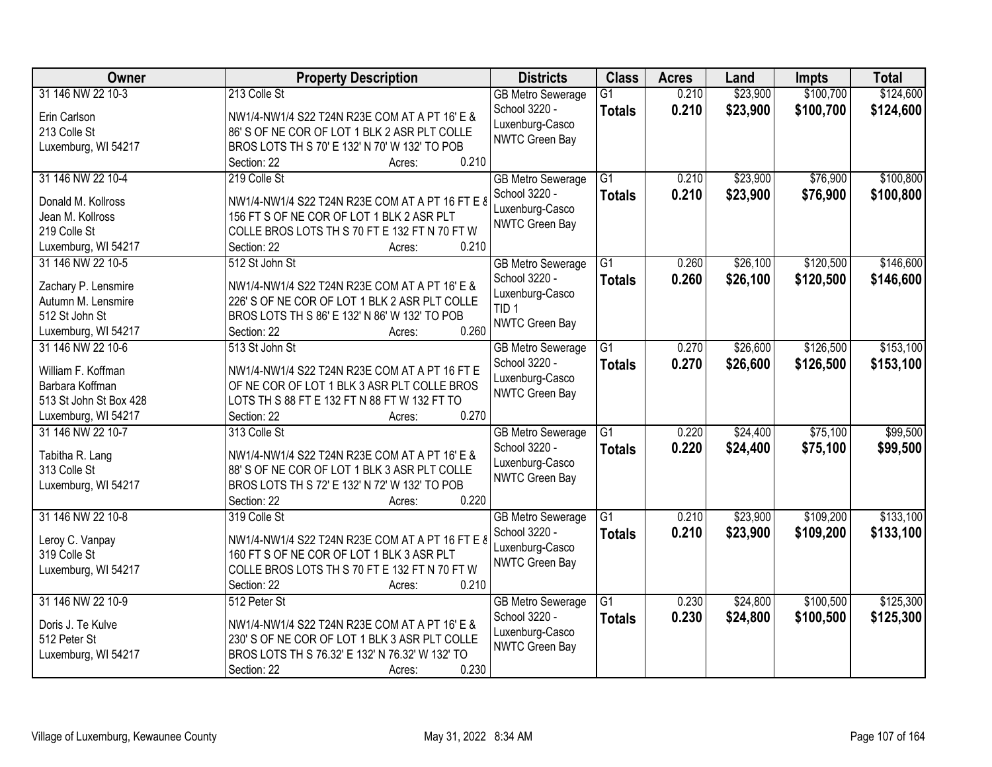| Owner                                    | <b>Property Description</b>                                           | <b>Districts</b>         | <b>Class</b>    | <b>Acres</b> | Land     | <b>Impts</b> | <b>Total</b> |
|------------------------------------------|-----------------------------------------------------------------------|--------------------------|-----------------|--------------|----------|--------------|--------------|
| 31 146 NW 22 10-3                        | 213 Colle St                                                          | <b>GB Metro Sewerage</b> | $\overline{G1}$ | 0.210        | \$23,900 | \$100,700    | \$124,600    |
| Erin Carlson                             | NW1/4-NW1/4 S22 T24N R23E COM AT A PT 16' E &                         | School 3220 -            | <b>Totals</b>   | 0.210        | \$23,900 | \$100,700    | \$124,600    |
| 213 Colle St                             | 86' S OF NE COR OF LOT 1 BLK 2 ASR PLT COLLE                          | Luxenburg-Casco          |                 |              |          |              |              |
| Luxemburg, WI 54217                      | BROS LOTS TH S 70' E 132' N 70' W 132' TO POB                         | <b>NWTC Green Bay</b>    |                 |              |          |              |              |
|                                          | 0.210<br>Section: 22<br>Acres:                                        |                          |                 |              |          |              |              |
| 31 146 NW 22 10-4                        | 219 Colle St                                                          | <b>GB Metro Sewerage</b> | $\overline{G1}$ | 0.210        | \$23,900 | \$76,900     | \$100,800    |
|                                          |                                                                       | School 3220 -            | <b>Totals</b>   | 0.210        | \$23,900 | \$76,900     | \$100,800    |
| Donald M. Kollross                       | NW1/4-NW1/4 S22 T24N R23E COM AT A PT 16 FT E 8                       | Luxenburg-Casco          |                 |              |          |              |              |
| Jean M. Kollross                         | 156 FT S OF NE COR OF LOT 1 BLK 2 ASR PLT                             | <b>NWTC Green Bay</b>    |                 |              |          |              |              |
| 219 Colle St                             | COLLE BROS LOTS TH S 70 FT E 132 FT N 70 FT W<br>0.210<br>Section: 22 |                          |                 |              |          |              |              |
| Luxemburg, WI 54217<br>31 146 NW 22 10-5 | Acres:<br>512 St John St                                              | <b>GB Metro Sewerage</b> | $\overline{G1}$ | 0.260        | \$26,100 | \$120,500    | \$146,600    |
|                                          |                                                                       | School 3220 -            |                 |              |          |              |              |
| Zachary P. Lensmire                      | NW1/4-NW1/4 S22 T24N R23E COM AT A PT 16' E &                         | Luxenburg-Casco          | <b>Totals</b>   | 0.260        | \$26,100 | \$120,500    | \$146,600    |
| Autumn M. Lensmire                       | 226' S OF NE COR OF LOT 1 BLK 2 ASR PLT COLLE                         | TID <sub>1</sub>         |                 |              |          |              |              |
| 512 St John St                           | BROS LOTS TH S 86' E 132' N 86' W 132' TO POB                         | <b>NWTC Green Bay</b>    |                 |              |          |              |              |
| Luxemburg, WI 54217                      | 0.260<br>Section: 22<br>Acres:                                        |                          |                 |              |          |              |              |
| 31 146 NW 22 10-6                        | 513 St John St                                                        | <b>GB Metro Sewerage</b> | G1              | 0.270        | \$26,600 | \$126,500    | \$153,100    |
| William F. Koffman                       | NW1/4-NW1/4 S22 T24N R23E COM AT A PT 16 FT E                         | School 3220 -            | <b>Totals</b>   | 0.270        | \$26,600 | \$126,500    | \$153,100    |
| Barbara Koffman                          | OF NE COR OF LOT 1 BLK 3 ASR PLT COLLE BROS                           | Luxenburg-Casco          |                 |              |          |              |              |
| 513 St John St Box 428                   | LOTS TH S 88 FT E 132 FT N 88 FT W 132 FT TO                          | <b>NWTC Green Bay</b>    |                 |              |          |              |              |
| Luxemburg, WI 54217                      | 0.270<br>Section: 22<br>Acres:                                        |                          |                 |              |          |              |              |
| 31 146 NW 22 10-7                        | 313 Colle St                                                          | <b>GB Metro Sewerage</b> | $\overline{G1}$ | 0.220        | \$24,400 | \$75,100     | \$99,500     |
|                                          |                                                                       | School 3220 -            | <b>Totals</b>   | 0.220        | \$24,400 | \$75,100     | \$99,500     |
| Tabitha R. Lang                          | NW1/4-NW1/4 S22 T24N R23E COM AT A PT 16' E &                         | Luxenburg-Casco          |                 |              |          |              |              |
| 313 Colle St                             | 88' S OF NE COR OF LOT 1 BLK 3 ASR PLT COLLE                          | <b>NWTC Green Bay</b>    |                 |              |          |              |              |
| Luxemburg, WI 54217                      | BROS LOTS TH S 72' E 132' N 72' W 132' TO POB                         |                          |                 |              |          |              |              |
|                                          | 0.220<br>Section: 22<br>Acres:                                        |                          |                 |              |          |              |              |
| 31 146 NW 22 10-8                        | 319 Colle St                                                          | <b>GB Metro Sewerage</b> | G1              | 0.210        | \$23,900 | \$109,200    | \$133,100    |
| Leroy C. Vanpay                          | NW1/4-NW1/4 S22 T24N R23E COM AT A PT 16 FT E 8                       | School 3220 -            | <b>Totals</b>   | 0.210        | \$23,900 | \$109,200    | \$133,100    |
| 319 Colle St                             | 160 FT S OF NE COR OF LOT 1 BLK 3 ASR PLT                             | Luxenburg-Casco          |                 |              |          |              |              |
| Luxemburg, WI 54217                      | COLLE BROS LOTS TH S 70 FT E 132 FT N 70 FT W                         | NWTC Green Bay           |                 |              |          |              |              |
|                                          | 0.210<br>Section: 22<br>Acres:                                        |                          |                 |              |          |              |              |
| 31 146 NW 22 10-9                        | 512 Peter St                                                          | <b>GB Metro Sewerage</b> | $\overline{G1}$ | 0.230        | \$24,800 | \$100,500    | \$125,300    |
|                                          |                                                                       | School 3220 -            | <b>Totals</b>   | 0.230        | \$24,800 | \$100,500    | \$125,300    |
| Doris J. Te Kulve                        | NW1/4-NW1/4 S22 T24N R23E COM AT A PT 16' E &                         | Luxenburg-Casco          |                 |              |          |              |              |
| 512 Peter St                             | 230' S OF NE COR OF LOT 1 BLK 3 ASR PLT COLLE                         | <b>NWTC Green Bay</b>    |                 |              |          |              |              |
| Luxemburg, WI 54217                      | BROS LOTS TH S 76.32' E 132' N 76.32' W 132' TO                       |                          |                 |              |          |              |              |
|                                          | 0.230<br>Section: 22<br>Acres:                                        |                          |                 |              |          |              |              |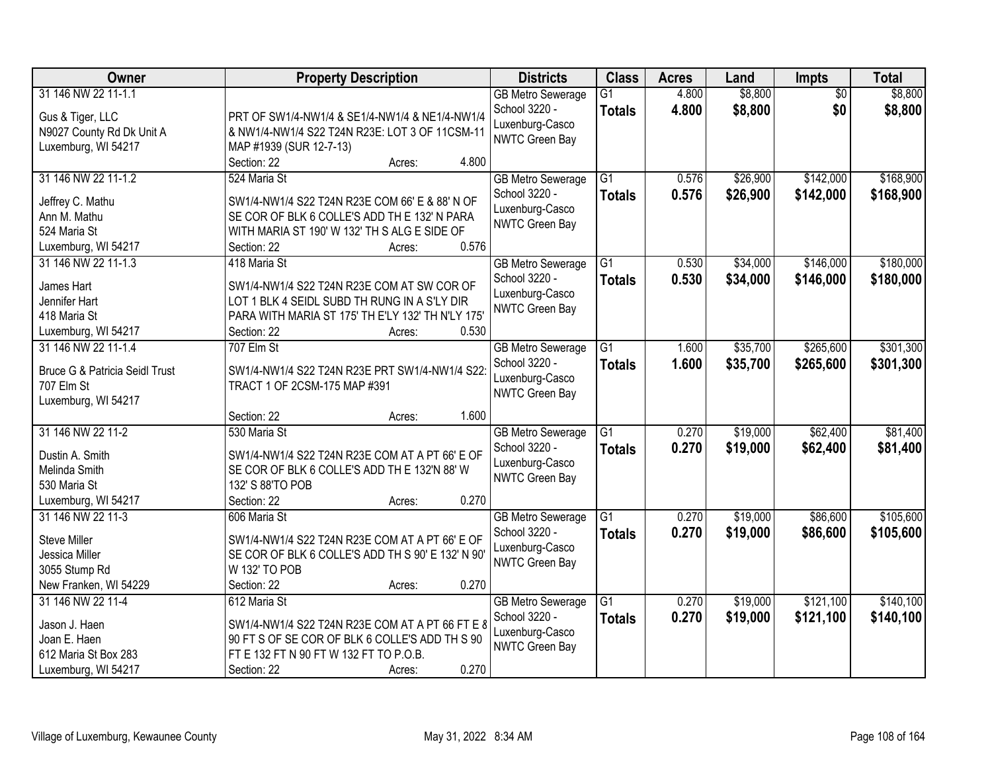| <b>Owner</b>                              | <b>Property Description</b>                                        | <b>Districts</b>                          | <b>Class</b>    | <b>Acres</b> | Land     | <b>Impts</b>           | <b>Total</b> |
|-------------------------------------------|--------------------------------------------------------------------|-------------------------------------------|-----------------|--------------|----------|------------------------|--------------|
| 31 146 NW 22 11-1.1                       |                                                                    | <b>GB Metro Sewerage</b><br>School 3220 - | $\overline{G1}$ | 4.800        | \$8,800  | $\overline{50}$<br>\$0 | \$8,800      |
| Gus & Tiger, LLC                          | PRT OF SW1/4-NW1/4 & SE1/4-NW1/4 & NE1/4-NW1/4                     | Luxenburg-Casco                           | <b>Totals</b>   | 4.800        | \$8,800  |                        | \$8,800      |
| N9027 County Rd Dk Unit A                 | & NW1/4-NW1/4 S22 T24N R23E: LOT 3 OF 11CSM-11                     | NWTC Green Bay                            |                 |              |          |                        |              |
| Luxemburg, WI 54217                       | MAP #1939 (SUR 12-7-13)                                            |                                           |                 |              |          |                        |              |
|                                           | 4.800<br>Section: 22<br>Acres:                                     |                                           |                 |              |          |                        |              |
| 31 146 NW 22 11-1.2                       | 524 Maria St                                                       | <b>GB Metro Sewerage</b>                  | $\overline{G1}$ | 0.576        | \$26,900 | \$142,000              | \$168,900    |
| Jeffrey C. Mathu                          | SW1/4-NW1/4 S22 T24N R23E COM 66' E & 88' N OF                     | School 3220 -                             | <b>Totals</b>   | 0.576        | \$26,900 | \$142,000              | \$168,900    |
| Ann M. Mathu                              | SE COR OF BLK 6 COLLE'S ADD TH E 132' N PARA                       | Luxenburg-Casco                           |                 |              |          |                        |              |
| 524 Maria St                              | WITH MARIA ST 190' W 132' TH S ALG E SIDE OF                       | <b>NWTC Green Bay</b>                     |                 |              |          |                        |              |
| Luxemburg, WI 54217                       | 0.576<br>Section: 22<br>Acres:                                     |                                           |                 |              |          |                        |              |
| 31 146 NW 22 11-1.3                       | 418 Maria St                                                       | <b>GB Metro Sewerage</b>                  | $\overline{G1}$ | 0.530        | \$34,000 | \$146,000              | \$180,000    |
| James Hart                                | SW1/4-NW1/4 S22 T24N R23E COM AT SW COR OF                         | School 3220 -                             | <b>Totals</b>   | 0.530        | \$34,000 | \$146,000              | \$180,000    |
| Jennifer Hart                             | LOT 1 BLK 4 SEIDL SUBD TH RUNG IN A S'LY DIR                       | Luxenburg-Casco                           |                 |              |          |                        |              |
| 418 Maria St                              | PARA WITH MARIA ST 175' TH E'LY 132' TH N'LY 175'                  | <b>NWTC Green Bay</b>                     |                 |              |          |                        |              |
| Luxemburg, WI 54217                       | Section: 22<br>0.530<br>Acres:                                     |                                           |                 |              |          |                        |              |
| 31 146 NW 22 11-1.4                       | 707 Elm St                                                         | <b>GB</b> Metro Sewerage                  | G1              | 1.600        | \$35,700 | \$265,600              | \$301,300    |
|                                           |                                                                    | School 3220 -                             | <b>Totals</b>   | 1.600        | \$35,700 | \$265,600              | \$301,300    |
| <b>Bruce G &amp; Patricia Seidl Trust</b> | SW1/4-NW1/4 S22 T24N R23E PRT SW1/4-NW1/4 S22:                     | Luxenburg-Casco                           |                 |              |          |                        |              |
| 707 Elm St                                | TRACT 1 OF 2CSM-175 MAP #391                                       | NWTC Green Bay                            |                 |              |          |                        |              |
| Luxemburg, WI 54217                       |                                                                    |                                           |                 |              |          |                        |              |
|                                           | 1.600<br>Section: 22<br>Acres:                                     |                                           |                 |              |          |                        |              |
| 31 146 NW 22 11-2                         | 530 Maria St                                                       | <b>GB Metro Sewerage</b>                  | $\overline{G1}$ | 0.270        | \$19,000 | \$62,400               | \$81,400     |
| Dustin A. Smith                           | SW1/4-NW1/4 S22 T24N R23E COM AT A PT 66' E OF                     | School 3220 -                             | <b>Totals</b>   | 0.270        | \$19,000 | \$62,400               | \$81,400     |
| Melinda Smith                             | SE COR OF BLK 6 COLLE'S ADD TH E 132'N 88' W                       | Luxenburg-Casco                           |                 |              |          |                        |              |
| 530 Maria St                              | 132' S 88'TO POB                                                   | <b>NWTC Green Bay</b>                     |                 |              |          |                        |              |
| Luxemburg, WI 54217                       | 0.270<br>Section: 22<br>Acres:                                     |                                           |                 |              |          |                        |              |
| 31 146 NW 22 11-3                         | 606 Maria St                                                       | <b>GB Metro Sewerage</b>                  | $\overline{G1}$ | 0.270        | \$19,000 | \$86,600               | \$105,600    |
|                                           |                                                                    | School 3220 -                             | <b>Totals</b>   | 0.270        | \$19,000 | \$86,600               | \$105,600    |
| Steve Miller                              | SW1/4-NW1/4 S22 T24N R23E COM AT A PT 66' E OF                     | Luxenburg-Casco                           |                 |              |          |                        |              |
| Jessica Miller<br>3055 Stump Rd           | SE COR OF BLK 6 COLLE'S ADD TH S 90' E 132' N 90'<br>W 132' TO POB | <b>NWTC Green Bay</b>                     |                 |              |          |                        |              |
| New Franken, WI 54229                     | 0.270<br>Section: 22                                               |                                           |                 |              |          |                        |              |
| 31 146 NW 22 11-4                         | Acres:<br>612 Maria St                                             |                                           | $\overline{G1}$ | 0.270        | \$19,000 | \$121,100              | \$140,100    |
|                                           |                                                                    | <b>GB Metro Sewerage</b><br>School 3220 - |                 |              |          |                        |              |
| Jason J. Haen                             | SW1/4-NW1/4 S22 T24N R23E COM AT A PT 66 FT E 8                    | Luxenburg-Casco                           | <b>Totals</b>   | 0.270        | \$19,000 | \$121,100              | \$140,100    |
| Joan E. Haen                              | 90 FT S OF SE COR OF BLK 6 COLLE'S ADD TH S 90                     | <b>NWTC Green Bay</b>                     |                 |              |          |                        |              |
| 612 Maria St Box 283                      | FT E 132 FT N 90 FT W 132 FT TO P.O.B.                             |                                           |                 |              |          |                        |              |
| Luxemburg, WI 54217                       | 0.270<br>Section: 22<br>Acres:                                     |                                           |                 |              |          |                        |              |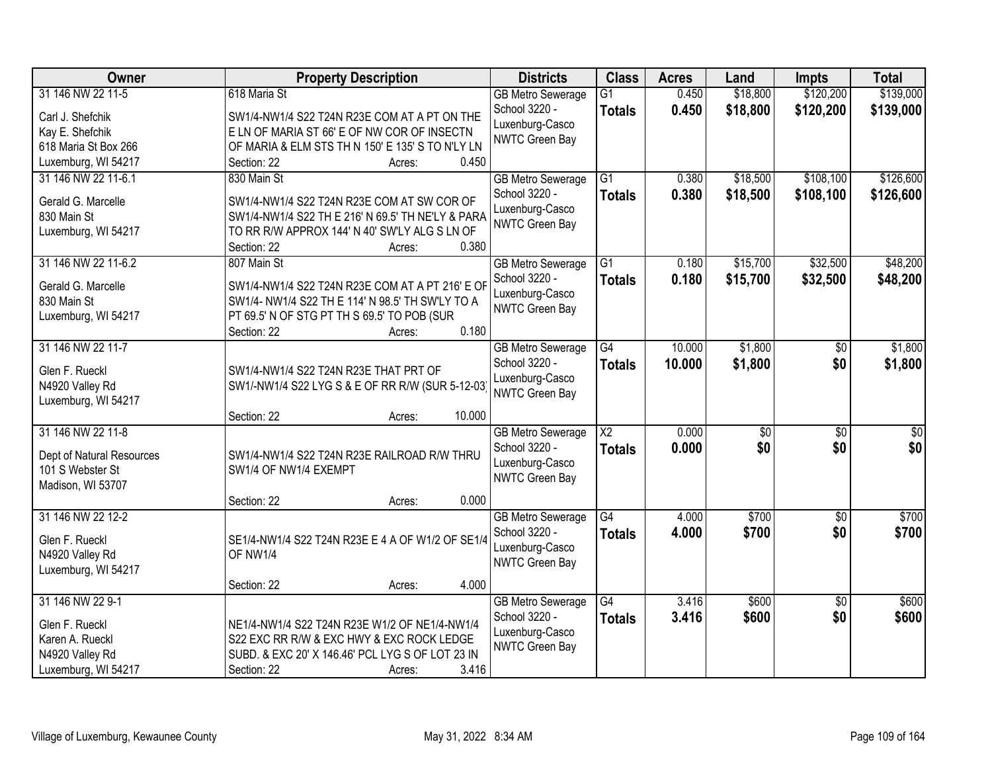| \$139,000<br>618 Maria St<br>0.450<br>\$18,800<br>$\overline{G1}$<br><b>GB Metro Sewerage</b><br>School 3220 -<br>0.450<br>\$18,800<br>\$120,200<br>\$139,000<br><b>Totals</b><br>Carl J. Shefchik<br>SW1/4-NW1/4 S22 T24N R23E COM AT A PT ON THE<br>Luxenburg-Casco<br>Kay E. Shefchik<br>E LN OF MARIA ST 66' E OF NW COR OF INSECTN<br><b>NWTC Green Bay</b><br>OF MARIA & ELM STS TH N 150' E 135' S TO N'LY LN<br>618 Maria St Box 266<br>Luxemburg, WI 54217<br>0.450<br>Section: 22<br>Acres:<br>\$18,500<br>\$108,100<br>31 146 NW 22 11-6.1<br>830 Main St<br>$\overline{G1}$<br>0.380<br><b>GB Metro Sewerage</b><br>School 3220 -<br>0.380<br>\$18,500<br>\$108,100<br><b>Totals</b><br>Gerald G. Marcelle<br>SW1/4-NW1/4 S22 T24N R23E COM AT SW COR OF<br>Luxenburg-Casco<br>SW1/4-NW1/4 S22 TH E 216' N 69.5' TH NE'LY & PARA<br>830 Main St<br><b>NWTC Green Bay</b><br>Luxemburg, WI 54217<br>TO RR R/W APPROX 144' N 40' SW'LY ALG S LN OF<br>0.380<br>Section: 22<br>Acres:<br>31 146 NW 22 11-6.2<br>\$32,500<br>807 Main St<br>$\overline{G1}$<br>\$15,700<br><b>GB Metro Sewerage</b><br>0.180<br>School 3220 -<br>0.180<br>\$15,700<br>\$32,500<br><b>Totals</b><br>Gerald G. Marcelle<br>SW1/4-NW1/4 S22 T24N R23E COM AT A PT 216' E OF<br>Luxenburg-Casco<br>SW1/4- NW1/4 S22 TH E 114' N 98.5' TH SW'LY TO A<br>830 Main St<br>NWTC Green Bay<br>Luxemburg, WI 54217<br>PT 69.5' N OF STG PT TH S 69.5' TO POB (SUR<br>0.180<br>Section: 22<br>Acres:<br>31 146 NW 22 11-7<br>\$1,800<br>$\overline{G4}$<br>10.000<br><b>GB Metro Sewerage</b><br>\$0<br>School 3220 -<br>10.000<br>\$1,800<br>\$0<br><b>Totals</b><br>Glen F. Rueckl<br>SW1/4-NW1/4 S22 T24N R23E THAT PRT OF<br>Luxenburg-Casco<br>N4920 Valley Rd<br>SW1/-NW1/4 S22 LYG S & E OF RR R/W (SUR 5-12-03)<br><b>NWTC Green Bay</b><br>Luxemburg, WI 54217<br>10.000<br>Section: 22<br>Acres:<br>31 146 NW 22 11-8<br>$\overline{\text{X2}}$<br>0.000<br>$\overline{50}$<br>$\overline{50}$<br><b>GB Metro Sewerage</b><br>0.000<br>\$0<br>School 3220 -<br>\$0<br><b>Totals</b><br>Dept of Natural Resources<br>SW1/4-NW1/4 S22 T24N R23E RAILROAD R/W THRU<br>Luxenburg-Casco<br>101 S Webster St<br>SW1/4 OF NW1/4 EXEMPT<br>NWTC Green Bay<br>Madison, WI 53707<br>0.000<br>Section: 22<br>Acres:<br>$\overline{G4}$<br>\$700<br>31 146 NW 22 12-2<br>4.000<br>$\overline{50}$<br><b>GB Metro Sewerage</b><br>4.000<br>\$700<br>\$0<br>School 3220 -<br><b>Totals</b><br>Glen F. Rueckl<br>SE1/4-NW1/4 S22 T24N R23E E 4 A OF W1/2 OF SE1/4<br>Luxenburg-Casco<br>OF NW1/4<br>N4920 Valley Rd<br>NWTC Green Bay<br>Luxemburg, WI 54217<br>4.000<br>Section: 22<br>Acres:<br>31 146 NW 22 9-1<br>\$600<br>\$600<br>$\overline{G4}$<br>3.416<br>$\overline{50}$<br><b>GB Metro Sewerage</b><br>School 3220 -<br>3.416<br>\$600<br>\$0<br><b>Totals</b><br>Glen F. Rueckl<br>NE1/4-NW1/4 S22 T24N R23E W1/2 OF NE1/4-NW1/4<br>Luxenburg-Casco<br>Karen A. Rueckl<br>S22 EXC RR R/W & EXC HWY & EXC ROCK LEDGE<br>NWTC Green Bay<br>SUBD. & EXC 20' X 146.46' PCL LYG S OF LOT 23 IN<br>N4920 Valley Rd | Owner               | <b>Property Description</b>    | <b>Districts</b> | <b>Class</b> | <b>Acres</b> | Land | <b>Impts</b> | <b>Total</b> |
|--------------------------------------------------------------------------------------------------------------------------------------------------------------------------------------------------------------------------------------------------------------------------------------------------------------------------------------------------------------------------------------------------------------------------------------------------------------------------------------------------------------------------------------------------------------------------------------------------------------------------------------------------------------------------------------------------------------------------------------------------------------------------------------------------------------------------------------------------------------------------------------------------------------------------------------------------------------------------------------------------------------------------------------------------------------------------------------------------------------------------------------------------------------------------------------------------------------------------------------------------------------------------------------------------------------------------------------------------------------------------------------------------------------------------------------------------------------------------------------------------------------------------------------------------------------------------------------------------------------------------------------------------------------------------------------------------------------------------------------------------------------------------------------------------------------------------------------------------------------------------------------------------------------------------------------------------------------------------------------------------------------------------------------------------------------------------------------------------------------------------------------------------------------------------------------------------------------------------------------------------------------------------------------------------------------------------------------------------------------------------------------------------------------------------------------------------------------------------------------------------------------------------------------------------------------------------------------------------------------------------------------------------------------------------------------------------------------------------------------------------------------------------------------------------------------------------------------------------------------------------------------------------------------------------------------------------------------------------------------------------------------------------------------------------------------------------------------------------|---------------------|--------------------------------|------------------|--------------|--------------|------|--------------|--------------|
|                                                                                                                                                                                                                                                                                                                                                                                                                                                                                                                                                                                                                                                                                                                                                                                                                                                                                                                                                                                                                                                                                                                                                                                                                                                                                                                                                                                                                                                                                                                                                                                                                                                                                                                                                                                                                                                                                                                                                                                                                                                                                                                                                                                                                                                                                                                                                                                                                                                                                                                                                                                                                                                                                                                                                                                                                                                                                                                                                                                                                                                                                                  | 31 146 NW 22 11-5   |                                |                  |              |              |      | \$120,200    |              |
|                                                                                                                                                                                                                                                                                                                                                                                                                                                                                                                                                                                                                                                                                                                                                                                                                                                                                                                                                                                                                                                                                                                                                                                                                                                                                                                                                                                                                                                                                                                                                                                                                                                                                                                                                                                                                                                                                                                                                                                                                                                                                                                                                                                                                                                                                                                                                                                                                                                                                                                                                                                                                                                                                                                                                                                                                                                                                                                                                                                                                                                                                                  |                     |                                |                  |              |              |      |              |              |
| \$126,600<br>\$126,600<br>\$48,200<br>\$48,200<br>\$1,800<br>\$1,800<br>$\overline{50}$<br>\$0<br>\$700<br>\$700<br>\$600                                                                                                                                                                                                                                                                                                                                                                                                                                                                                                                                                                                                                                                                                                                                                                                                                                                                                                                                                                                                                                                                                                                                                                                                                                                                                                                                                                                                                                                                                                                                                                                                                                                                                                                                                                                                                                                                                                                                                                                                                                                                                                                                                                                                                                                                                                                                                                                                                                                                                                                                                                                                                                                                                                                                                                                                                                                                                                                                                                        |                     |                                |                  |              |              |      |              |              |
|                                                                                                                                                                                                                                                                                                                                                                                                                                                                                                                                                                                                                                                                                                                                                                                                                                                                                                                                                                                                                                                                                                                                                                                                                                                                                                                                                                                                                                                                                                                                                                                                                                                                                                                                                                                                                                                                                                                                                                                                                                                                                                                                                                                                                                                                                                                                                                                                                                                                                                                                                                                                                                                                                                                                                                                                                                                                                                                                                                                                                                                                                                  |                     |                                |                  |              |              |      |              |              |
|                                                                                                                                                                                                                                                                                                                                                                                                                                                                                                                                                                                                                                                                                                                                                                                                                                                                                                                                                                                                                                                                                                                                                                                                                                                                                                                                                                                                                                                                                                                                                                                                                                                                                                                                                                                                                                                                                                                                                                                                                                                                                                                                                                                                                                                                                                                                                                                                                                                                                                                                                                                                                                                                                                                                                                                                                                                                                                                                                                                                                                                                                                  |                     |                                |                  |              |              |      |              |              |
|                                                                                                                                                                                                                                                                                                                                                                                                                                                                                                                                                                                                                                                                                                                                                                                                                                                                                                                                                                                                                                                                                                                                                                                                                                                                                                                                                                                                                                                                                                                                                                                                                                                                                                                                                                                                                                                                                                                                                                                                                                                                                                                                                                                                                                                                                                                                                                                                                                                                                                                                                                                                                                                                                                                                                                                                                                                                                                                                                                                                                                                                                                  |                     |                                |                  |              |              |      |              |              |
|                                                                                                                                                                                                                                                                                                                                                                                                                                                                                                                                                                                                                                                                                                                                                                                                                                                                                                                                                                                                                                                                                                                                                                                                                                                                                                                                                                                                                                                                                                                                                                                                                                                                                                                                                                                                                                                                                                                                                                                                                                                                                                                                                                                                                                                                                                                                                                                                                                                                                                                                                                                                                                                                                                                                                                                                                                                                                                                                                                                                                                                                                                  |                     |                                |                  |              |              |      |              |              |
|                                                                                                                                                                                                                                                                                                                                                                                                                                                                                                                                                                                                                                                                                                                                                                                                                                                                                                                                                                                                                                                                                                                                                                                                                                                                                                                                                                                                                                                                                                                                                                                                                                                                                                                                                                                                                                                                                                                                                                                                                                                                                                                                                                                                                                                                                                                                                                                                                                                                                                                                                                                                                                                                                                                                                                                                                                                                                                                                                                                                                                                                                                  |                     |                                |                  |              |              |      |              |              |
|                                                                                                                                                                                                                                                                                                                                                                                                                                                                                                                                                                                                                                                                                                                                                                                                                                                                                                                                                                                                                                                                                                                                                                                                                                                                                                                                                                                                                                                                                                                                                                                                                                                                                                                                                                                                                                                                                                                                                                                                                                                                                                                                                                                                                                                                                                                                                                                                                                                                                                                                                                                                                                                                                                                                                                                                                                                                                                                                                                                                                                                                                                  |                     |                                |                  |              |              |      |              |              |
|                                                                                                                                                                                                                                                                                                                                                                                                                                                                                                                                                                                                                                                                                                                                                                                                                                                                                                                                                                                                                                                                                                                                                                                                                                                                                                                                                                                                                                                                                                                                                                                                                                                                                                                                                                                                                                                                                                                                                                                                                                                                                                                                                                                                                                                                                                                                                                                                                                                                                                                                                                                                                                                                                                                                                                                                                                                                                                                                                                                                                                                                                                  |                     |                                |                  |              |              |      |              |              |
|                                                                                                                                                                                                                                                                                                                                                                                                                                                                                                                                                                                                                                                                                                                                                                                                                                                                                                                                                                                                                                                                                                                                                                                                                                                                                                                                                                                                                                                                                                                                                                                                                                                                                                                                                                                                                                                                                                                                                                                                                                                                                                                                                                                                                                                                                                                                                                                                                                                                                                                                                                                                                                                                                                                                                                                                                                                                                                                                                                                                                                                                                                  |                     |                                |                  |              |              |      |              |              |
|                                                                                                                                                                                                                                                                                                                                                                                                                                                                                                                                                                                                                                                                                                                                                                                                                                                                                                                                                                                                                                                                                                                                                                                                                                                                                                                                                                                                                                                                                                                                                                                                                                                                                                                                                                                                                                                                                                                                                                                                                                                                                                                                                                                                                                                                                                                                                                                                                                                                                                                                                                                                                                                                                                                                                                                                                                                                                                                                                                                                                                                                                                  |                     |                                |                  |              |              |      |              |              |
|                                                                                                                                                                                                                                                                                                                                                                                                                                                                                                                                                                                                                                                                                                                                                                                                                                                                                                                                                                                                                                                                                                                                                                                                                                                                                                                                                                                                                                                                                                                                                                                                                                                                                                                                                                                                                                                                                                                                                                                                                                                                                                                                                                                                                                                                                                                                                                                                                                                                                                                                                                                                                                                                                                                                                                                                                                                                                                                                                                                                                                                                                                  |                     |                                |                  |              |              |      |              |              |
|                                                                                                                                                                                                                                                                                                                                                                                                                                                                                                                                                                                                                                                                                                                                                                                                                                                                                                                                                                                                                                                                                                                                                                                                                                                                                                                                                                                                                                                                                                                                                                                                                                                                                                                                                                                                                                                                                                                                                                                                                                                                                                                                                                                                                                                                                                                                                                                                                                                                                                                                                                                                                                                                                                                                                                                                                                                                                                                                                                                                                                                                                                  |                     |                                |                  |              |              |      |              |              |
|                                                                                                                                                                                                                                                                                                                                                                                                                                                                                                                                                                                                                                                                                                                                                                                                                                                                                                                                                                                                                                                                                                                                                                                                                                                                                                                                                                                                                                                                                                                                                                                                                                                                                                                                                                                                                                                                                                                                                                                                                                                                                                                                                                                                                                                                                                                                                                                                                                                                                                                                                                                                                                                                                                                                                                                                                                                                                                                                                                                                                                                                                                  |                     |                                |                  |              |              |      |              |              |
|                                                                                                                                                                                                                                                                                                                                                                                                                                                                                                                                                                                                                                                                                                                                                                                                                                                                                                                                                                                                                                                                                                                                                                                                                                                                                                                                                                                                                                                                                                                                                                                                                                                                                                                                                                                                                                                                                                                                                                                                                                                                                                                                                                                                                                                                                                                                                                                                                                                                                                                                                                                                                                                                                                                                                                                                                                                                                                                                                                                                                                                                                                  |                     |                                |                  |              |              |      |              |              |
|                                                                                                                                                                                                                                                                                                                                                                                                                                                                                                                                                                                                                                                                                                                                                                                                                                                                                                                                                                                                                                                                                                                                                                                                                                                                                                                                                                                                                                                                                                                                                                                                                                                                                                                                                                                                                                                                                                                                                                                                                                                                                                                                                                                                                                                                                                                                                                                                                                                                                                                                                                                                                                                                                                                                                                                                                                                                                                                                                                                                                                                                                                  |                     |                                |                  |              |              |      |              |              |
|                                                                                                                                                                                                                                                                                                                                                                                                                                                                                                                                                                                                                                                                                                                                                                                                                                                                                                                                                                                                                                                                                                                                                                                                                                                                                                                                                                                                                                                                                                                                                                                                                                                                                                                                                                                                                                                                                                                                                                                                                                                                                                                                                                                                                                                                                                                                                                                                                                                                                                                                                                                                                                                                                                                                                                                                                                                                                                                                                                                                                                                                                                  |                     |                                |                  |              |              |      |              |              |
|                                                                                                                                                                                                                                                                                                                                                                                                                                                                                                                                                                                                                                                                                                                                                                                                                                                                                                                                                                                                                                                                                                                                                                                                                                                                                                                                                                                                                                                                                                                                                                                                                                                                                                                                                                                                                                                                                                                                                                                                                                                                                                                                                                                                                                                                                                                                                                                                                                                                                                                                                                                                                                                                                                                                                                                                                                                                                                                                                                                                                                                                                                  |                     |                                |                  |              |              |      |              |              |
|                                                                                                                                                                                                                                                                                                                                                                                                                                                                                                                                                                                                                                                                                                                                                                                                                                                                                                                                                                                                                                                                                                                                                                                                                                                                                                                                                                                                                                                                                                                                                                                                                                                                                                                                                                                                                                                                                                                                                                                                                                                                                                                                                                                                                                                                                                                                                                                                                                                                                                                                                                                                                                                                                                                                                                                                                                                                                                                                                                                                                                                                                                  |                     |                                |                  |              |              |      |              |              |
|                                                                                                                                                                                                                                                                                                                                                                                                                                                                                                                                                                                                                                                                                                                                                                                                                                                                                                                                                                                                                                                                                                                                                                                                                                                                                                                                                                                                                                                                                                                                                                                                                                                                                                                                                                                                                                                                                                                                                                                                                                                                                                                                                                                                                                                                                                                                                                                                                                                                                                                                                                                                                                                                                                                                                                                                                                                                                                                                                                                                                                                                                                  |                     |                                |                  |              |              |      |              |              |
|                                                                                                                                                                                                                                                                                                                                                                                                                                                                                                                                                                                                                                                                                                                                                                                                                                                                                                                                                                                                                                                                                                                                                                                                                                                                                                                                                                                                                                                                                                                                                                                                                                                                                                                                                                                                                                                                                                                                                                                                                                                                                                                                                                                                                                                                                                                                                                                                                                                                                                                                                                                                                                                                                                                                                                                                                                                                                                                                                                                                                                                                                                  |                     |                                |                  |              |              |      |              |              |
|                                                                                                                                                                                                                                                                                                                                                                                                                                                                                                                                                                                                                                                                                                                                                                                                                                                                                                                                                                                                                                                                                                                                                                                                                                                                                                                                                                                                                                                                                                                                                                                                                                                                                                                                                                                                                                                                                                                                                                                                                                                                                                                                                                                                                                                                                                                                                                                                                                                                                                                                                                                                                                                                                                                                                                                                                                                                                                                                                                                                                                                                                                  |                     |                                |                  |              |              |      |              |              |
|                                                                                                                                                                                                                                                                                                                                                                                                                                                                                                                                                                                                                                                                                                                                                                                                                                                                                                                                                                                                                                                                                                                                                                                                                                                                                                                                                                                                                                                                                                                                                                                                                                                                                                                                                                                                                                                                                                                                                                                                                                                                                                                                                                                                                                                                                                                                                                                                                                                                                                                                                                                                                                                                                                                                                                                                                                                                                                                                                                                                                                                                                                  |                     |                                |                  |              |              |      |              |              |
|                                                                                                                                                                                                                                                                                                                                                                                                                                                                                                                                                                                                                                                                                                                                                                                                                                                                                                                                                                                                                                                                                                                                                                                                                                                                                                                                                                                                                                                                                                                                                                                                                                                                                                                                                                                                                                                                                                                                                                                                                                                                                                                                                                                                                                                                                                                                                                                                                                                                                                                                                                                                                                                                                                                                                                                                                                                                                                                                                                                                                                                                                                  |                     |                                |                  |              |              |      |              |              |
|                                                                                                                                                                                                                                                                                                                                                                                                                                                                                                                                                                                                                                                                                                                                                                                                                                                                                                                                                                                                                                                                                                                                                                                                                                                                                                                                                                                                                                                                                                                                                                                                                                                                                                                                                                                                                                                                                                                                                                                                                                                                                                                                                                                                                                                                                                                                                                                                                                                                                                                                                                                                                                                                                                                                                                                                                                                                                                                                                                                                                                                                                                  |                     |                                |                  |              |              |      |              |              |
|                                                                                                                                                                                                                                                                                                                                                                                                                                                                                                                                                                                                                                                                                                                                                                                                                                                                                                                                                                                                                                                                                                                                                                                                                                                                                                                                                                                                                                                                                                                                                                                                                                                                                                                                                                                                                                                                                                                                                                                                                                                                                                                                                                                                                                                                                                                                                                                                                                                                                                                                                                                                                                                                                                                                                                                                                                                                                                                                                                                                                                                                                                  |                     |                                |                  |              |              |      |              |              |
|                                                                                                                                                                                                                                                                                                                                                                                                                                                                                                                                                                                                                                                                                                                                                                                                                                                                                                                                                                                                                                                                                                                                                                                                                                                                                                                                                                                                                                                                                                                                                                                                                                                                                                                                                                                                                                                                                                                                                                                                                                                                                                                                                                                                                                                                                                                                                                                                                                                                                                                                                                                                                                                                                                                                                                                                                                                                                                                                                                                                                                                                                                  |                     |                                |                  |              |              |      |              |              |
|                                                                                                                                                                                                                                                                                                                                                                                                                                                                                                                                                                                                                                                                                                                                                                                                                                                                                                                                                                                                                                                                                                                                                                                                                                                                                                                                                                                                                                                                                                                                                                                                                                                                                                                                                                                                                                                                                                                                                                                                                                                                                                                                                                                                                                                                                                                                                                                                                                                                                                                                                                                                                                                                                                                                                                                                                                                                                                                                                                                                                                                                                                  |                     |                                |                  |              |              |      |              |              |
|                                                                                                                                                                                                                                                                                                                                                                                                                                                                                                                                                                                                                                                                                                                                                                                                                                                                                                                                                                                                                                                                                                                                                                                                                                                                                                                                                                                                                                                                                                                                                                                                                                                                                                                                                                                                                                                                                                                                                                                                                                                                                                                                                                                                                                                                                                                                                                                                                                                                                                                                                                                                                                                                                                                                                                                                                                                                                                                                                                                                                                                                                                  |                     |                                |                  |              |              |      |              |              |
|                                                                                                                                                                                                                                                                                                                                                                                                                                                                                                                                                                                                                                                                                                                                                                                                                                                                                                                                                                                                                                                                                                                                                                                                                                                                                                                                                                                                                                                                                                                                                                                                                                                                                                                                                                                                                                                                                                                                                                                                                                                                                                                                                                                                                                                                                                                                                                                                                                                                                                                                                                                                                                                                                                                                                                                                                                                                                                                                                                                                                                                                                                  |                     |                                |                  |              |              |      |              |              |
|                                                                                                                                                                                                                                                                                                                                                                                                                                                                                                                                                                                                                                                                                                                                                                                                                                                                                                                                                                                                                                                                                                                                                                                                                                                                                                                                                                                                                                                                                                                                                                                                                                                                                                                                                                                                                                                                                                                                                                                                                                                                                                                                                                                                                                                                                                                                                                                                                                                                                                                                                                                                                                                                                                                                                                                                                                                                                                                                                                                                                                                                                                  |                     |                                |                  |              |              |      |              |              |
|                                                                                                                                                                                                                                                                                                                                                                                                                                                                                                                                                                                                                                                                                                                                                                                                                                                                                                                                                                                                                                                                                                                                                                                                                                                                                                                                                                                                                                                                                                                                                                                                                                                                                                                                                                                                                                                                                                                                                                                                                                                                                                                                                                                                                                                                                                                                                                                                                                                                                                                                                                                                                                                                                                                                                                                                                                                                                                                                                                                                                                                                                                  |                     |                                |                  |              |              |      |              |              |
|                                                                                                                                                                                                                                                                                                                                                                                                                                                                                                                                                                                                                                                                                                                                                                                                                                                                                                                                                                                                                                                                                                                                                                                                                                                                                                                                                                                                                                                                                                                                                                                                                                                                                                                                                                                                                                                                                                                                                                                                                                                                                                                                                                                                                                                                                                                                                                                                                                                                                                                                                                                                                                                                                                                                                                                                                                                                                                                                                                                                                                                                                                  |                     |                                |                  |              |              |      |              |              |
|                                                                                                                                                                                                                                                                                                                                                                                                                                                                                                                                                                                                                                                                                                                                                                                                                                                                                                                                                                                                                                                                                                                                                                                                                                                                                                                                                                                                                                                                                                                                                                                                                                                                                                                                                                                                                                                                                                                                                                                                                                                                                                                                                                                                                                                                                                                                                                                                                                                                                                                                                                                                                                                                                                                                                                                                                                                                                                                                                                                                                                                                                                  |                     |                                |                  |              |              |      |              |              |
|                                                                                                                                                                                                                                                                                                                                                                                                                                                                                                                                                                                                                                                                                                                                                                                                                                                                                                                                                                                                                                                                                                                                                                                                                                                                                                                                                                                                                                                                                                                                                                                                                                                                                                                                                                                                                                                                                                                                                                                                                                                                                                                                                                                                                                                                                                                                                                                                                                                                                                                                                                                                                                                                                                                                                                                                                                                                                                                                                                                                                                                                                                  |                     |                                |                  |              |              |      |              |              |
|                                                                                                                                                                                                                                                                                                                                                                                                                                                                                                                                                                                                                                                                                                                                                                                                                                                                                                                                                                                                                                                                                                                                                                                                                                                                                                                                                                                                                                                                                                                                                                                                                                                                                                                                                                                                                                                                                                                                                                                                                                                                                                                                                                                                                                                                                                                                                                                                                                                                                                                                                                                                                                                                                                                                                                                                                                                                                                                                                                                                                                                                                                  | Luxemburg, WI 54217 | 3.416<br>Section: 22<br>Acres: |                  |              |              |      |              |              |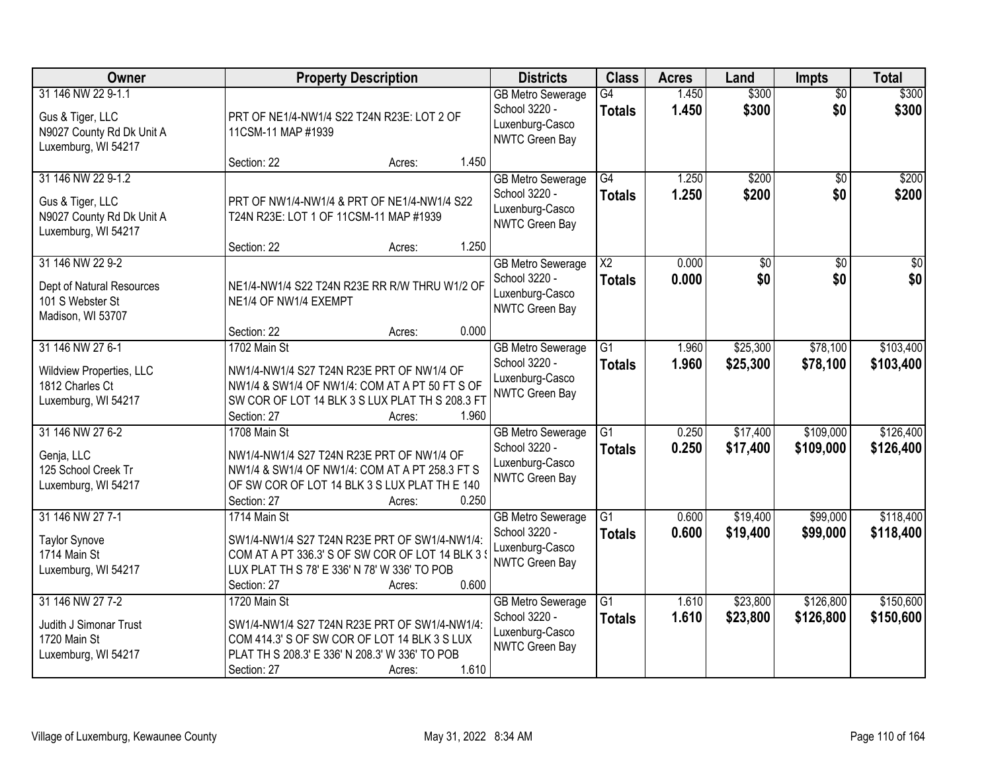| Owner                                                                                      | <b>Property Description</b>                                                                                                                                                                       | <b>Districts</b>                                                                      | <b>Class</b>                            | <b>Acres</b>   | Land                   | <b>Impts</b>           | <b>Total</b>           |
|--------------------------------------------------------------------------------------------|---------------------------------------------------------------------------------------------------------------------------------------------------------------------------------------------------|---------------------------------------------------------------------------------------|-----------------------------------------|----------------|------------------------|------------------------|------------------------|
| 31 146 NW 22 9-1.1<br>Gus & Tiger, LLC<br>N9027 County Rd Dk Unit A<br>Luxemburg, WI 54217 | PRT OF NE1/4-NW1/4 S22 T24N R23E: LOT 2 OF<br>11CSM-11 MAP #1939                                                                                                                                  | <b>GB Metro Sewerage</b><br>School 3220 -<br>Luxenburg-Casco<br>NWTC Green Bay        | G4<br><b>Totals</b>                     | 1.450<br>1.450 | \$300<br>\$300         | $\overline{50}$<br>\$0 | \$300<br>\$300         |
|                                                                                            | 1.450<br>Section: 22<br>Acres:                                                                                                                                                                    |                                                                                       |                                         |                |                        |                        |                        |
| 31 146 NW 22 9-1.2<br>Gus & Tiger, LLC<br>N9027 County Rd Dk Unit A<br>Luxemburg, WI 54217 | PRT OF NW1/4-NW1/4 & PRT OF NE1/4-NW1/4 S22<br>T24N R23E: LOT 1 OF 11CSM-11 MAP #1939                                                                                                             | <b>GB Metro Sewerage</b><br>School 3220 -<br>Luxenburg-Casco<br><b>NWTC Green Bay</b> | $\overline{G4}$<br><b>Totals</b>        | 1.250<br>1.250 | \$200<br>\$200         | \$0<br>\$0             | \$200<br>\$200         |
|                                                                                            | 1.250<br>Section: 22<br>Acres:                                                                                                                                                                    |                                                                                       |                                         |                |                        |                        |                        |
| 31 146 NW 22 9-2<br>Dept of Natural Resources<br>101 S Webster St<br>Madison, WI 53707     | NE1/4-NW1/4 S22 T24N R23E RR R/W THRU W1/2 OF<br>NE1/4 OF NW1/4 EXEMPT                                                                                                                            | <b>GB Metro Sewerage</b><br>School 3220 -<br>Luxenburg-Casco<br>NWTC Green Bay        | $\overline{\text{X2}}$<br><b>Totals</b> | 0.000<br>0.000 | $\overline{50}$<br>\$0 | $\overline{50}$<br>\$0 | $\overline{30}$<br>\$0 |
|                                                                                            | 0.000<br>Section: 22<br>Acres:                                                                                                                                                                    |                                                                                       |                                         |                |                        |                        |                        |
| 31 146 NW 27 6-1<br>Wildview Properties, LLC<br>1812 Charles Ct<br>Luxemburg, WI 54217     | 1702 Main St<br>NW1/4-NW1/4 S27 T24N R23E PRT OF NW1/4 OF<br>NW1/4 & SW1/4 OF NW1/4: COM AT A PT 50 FT S OF<br>SW COR OF LOT 14 BLK 3 S LUX PLAT TH S 208.3 FT<br>1.960<br>Section: 27<br>Acres:  | <b>GB Metro Sewerage</b><br>School 3220 -<br>Luxenburg-Casco<br><b>NWTC Green Bay</b> | G1<br><b>Totals</b>                     | 1.960<br>1.960 | \$25,300<br>\$25,300   | \$78,100<br>\$78,100   | \$103,400<br>\$103,400 |
| 31 146 NW 27 6-2<br>Genja, LLC<br>125 School Creek Tr<br>Luxemburg, WI 54217               | 1708 Main St<br>NW1/4-NW1/4 S27 T24N R23E PRT OF NW1/4 OF<br>NW1/4 & SW1/4 OF NW1/4: COM AT A PT 258.3 FT S<br>OF SW COR OF LOT 14 BLK 3 S LUX PLAT TH E 140<br>0.250<br>Section: 27<br>Acres:    | <b>GB Metro Sewerage</b><br>School 3220 -<br>Luxenburg-Casco<br><b>NWTC Green Bay</b> | $\overline{G1}$<br><b>Totals</b>        | 0.250<br>0.250 | \$17,400<br>\$17,400   | \$109,000<br>\$109,000 | \$126,400<br>\$126,400 |
| 31 146 NW 27 7-1<br><b>Taylor Synove</b><br>1714 Main St<br>Luxemburg, WI 54217            | 1714 Main St<br>SW1/4-NW1/4 S27 T24N R23E PRT OF SW1/4-NW1/4:<br>COM AT A PT 336.3' S OF SW COR OF LOT 14 BLK 3<br>LUX PLAT TH S 78' E 336' N 78' W 336' TO POB<br>0.600<br>Section: 27<br>Acres: | <b>GB Metro Sewerage</b><br>School 3220 -<br>Luxenburg-Casco<br>NWTC Green Bay        | $\overline{G1}$<br><b>Totals</b>        | 0.600<br>0.600 | \$19,400<br>\$19,400   | \$99,000<br>\$99,000   | \$118,400<br>\$118,400 |
| 31 146 NW 27 7-2<br>Judith J Simonar Trust<br>1720 Main St<br>Luxemburg, WI 54217          | 1720 Main St<br>SW1/4-NW1/4 S27 T24N R23E PRT OF SW1/4-NW1/4:<br>COM 414.3' S OF SW COR OF LOT 14 BLK 3 S LUX<br>PLAT TH S 208.3' E 336' N 208.3' W 336' TO POB<br>1.610<br>Section: 27<br>Acres: | <b>GB Metro Sewerage</b><br>School 3220 -<br>Luxenburg-Casco<br>NWTC Green Bay        | $\overline{G1}$<br><b>Totals</b>        | 1.610<br>1.610 | \$23,800<br>\$23,800   | \$126,800<br>\$126,800 | \$150,600<br>\$150,600 |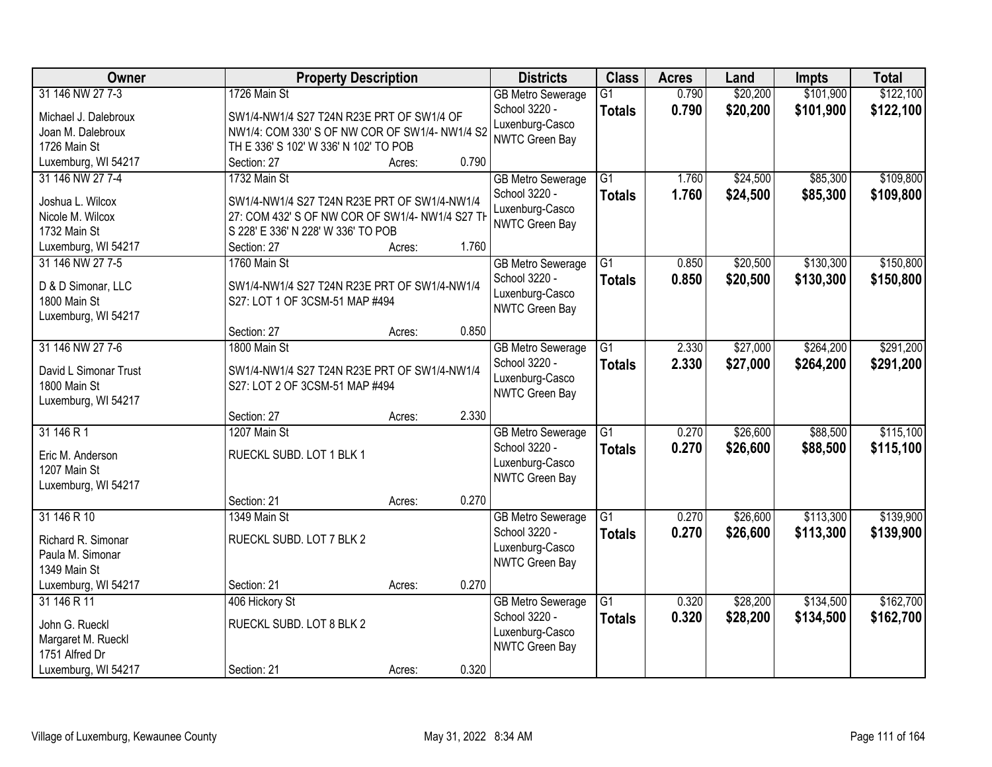| Owner                                   | <b>Property Description</b>                       |                 | <b>Districts</b>                          | <b>Class</b>    | <b>Acres</b> | Land     | Impts     | <b>Total</b> |
|-----------------------------------------|---------------------------------------------------|-----------------|-------------------------------------------|-----------------|--------------|----------|-----------|--------------|
| 31 146 NW 27 7-3                        | 1726 Main St                                      |                 | <b>GB Metro Sewerage</b>                  | G1              | 0.790        | \$20,200 | \$101,900 | \$122,100    |
| Michael J. Dalebroux                    | SW1/4-NW1/4 S27 T24N R23E PRT OF SW1/4 OF         |                 | School 3220 -                             | <b>Totals</b>   | 0.790        | \$20,200 | \$101,900 | \$122,100    |
| Joan M. Dalebroux                       | NW1/4: COM 330' S OF NW COR OF SW1/4- NW1/4 S2    |                 | Luxenburg-Casco                           |                 |              |          |           |              |
| 1726 Main St                            | TH E 336' S 102' W 336' N 102' TO POB             |                 | NWTC Green Bay                            |                 |              |          |           |              |
| Luxemburg, WI 54217                     | Section: 27                                       | 0.790<br>Acres: |                                           |                 |              |          |           |              |
| 31 146 NW 27 7-4                        | 1732 Main St                                      |                 | <b>GB Metro Sewerage</b>                  | $\overline{G1}$ | 1.760        | \$24,500 | \$85,300  | \$109,800    |
|                                         |                                                   |                 | School 3220 -                             | <b>Totals</b>   | 1.760        | \$24,500 | \$85,300  | \$109,800    |
| Joshua L. Wilcox                        | SW1/4-NW1/4 S27 T24N R23E PRT OF SW1/4-NW1/4      |                 | Luxenburg-Casco                           |                 |              |          |           |              |
| Nicole M. Wilcox                        | 27: COM 432' S OF NW COR OF SW1/4- NW1/4 S27 TH   |                 | NWTC Green Bay                            |                 |              |          |           |              |
| 1732 Main St                            | S 228' E 336' N 228' W 336' TO POB<br>Section: 27 | 1.760           |                                           |                 |              |          |           |              |
| Luxemburg, WI 54217<br>31 146 NW 27 7-5 | 1760 Main St                                      | Acres:          |                                           | G1              | 0.850        | \$20,500 | \$130,300 | \$150,800    |
|                                         |                                                   |                 | <b>GB Metro Sewerage</b><br>School 3220 - |                 |              |          |           |              |
| D & D Simonar, LLC                      | SW1/4-NW1/4 S27 T24N R23E PRT OF SW1/4-NW1/4      |                 | Luxenburg-Casco                           | <b>Totals</b>   | 0.850        | \$20,500 | \$130,300 | \$150,800    |
| 1800 Main St                            | S27: LOT 1 OF 3CSM-51 MAP #494                    |                 | NWTC Green Bay                            |                 |              |          |           |              |
| Luxemburg, WI 54217                     |                                                   |                 |                                           |                 |              |          |           |              |
|                                         | Section: 27                                       | 0.850<br>Acres: |                                           |                 |              |          |           |              |
| 31 146 NW 27 7-6                        | 1800 Main St                                      |                 | <b>GB Metro Sewerage</b>                  | $\overline{G1}$ | 2.330        | \$27,000 | \$264,200 | \$291,200    |
| David L Simonar Trust                   | SW1/4-NW1/4 S27 T24N R23E PRT OF SW1/4-NW1/4      |                 | School 3220 -                             | <b>Totals</b>   | 2.330        | \$27,000 | \$264,200 | \$291,200    |
| 1800 Main St                            | S27: LOT 2 OF 3CSM-51 MAP #494                    |                 | Luxenburg-Casco                           |                 |              |          |           |              |
| Luxemburg, WI 54217                     |                                                   |                 | NWTC Green Bay                            |                 |              |          |           |              |
|                                         | Section: 27                                       | 2.330<br>Acres: |                                           |                 |              |          |           |              |
| 31 146 R 1                              | 1207 Main St                                      |                 | <b>GB Metro Sewerage</b>                  | $\overline{G1}$ | 0.270        | \$26,600 | \$88,500  | \$115,100    |
|                                         |                                                   |                 | School 3220 -                             | Totals          | 0.270        | \$26,600 | \$88,500  | \$115,100    |
| Eric M. Anderson                        | RUECKL SUBD. LOT 1 BLK 1                          |                 | Luxenburg-Casco                           |                 |              |          |           |              |
| 1207 Main St                            |                                                   |                 | NWTC Green Bay                            |                 |              |          |           |              |
| Luxemburg, WI 54217                     |                                                   |                 |                                           |                 |              |          |           |              |
|                                         | Section: 21                                       | 0.270<br>Acres: |                                           |                 |              |          |           |              |
| 31 146 R 10                             | 1349 Main St                                      |                 | <b>GB Metro Sewerage</b>                  | G1              | 0.270        | \$26,600 | \$113,300 | \$139,900    |
| Richard R. Simonar                      | RUECKL SUBD. LOT 7 BLK 2                          |                 | School 3220 -                             | <b>Totals</b>   | 0.270        | \$26,600 | \$113,300 | \$139,900    |
| Paula M. Simonar                        |                                                   |                 | Luxenburg-Casco<br>NWTC Green Bay         |                 |              |          |           |              |
| 1349 Main St                            |                                                   |                 |                                           |                 |              |          |           |              |
| Luxemburg, WI 54217                     | Section: 21                                       | 0.270<br>Acres: |                                           |                 |              |          |           |              |
| 31 146 R 11                             | 406 Hickory St                                    |                 | <b>GB Metro Sewerage</b>                  | G1              | 0.320        | \$28,200 | \$134,500 | \$162,700    |
| John G. Rueckl                          | RUECKL SUBD. LOT 8 BLK 2                          |                 | School 3220 -                             | <b>Totals</b>   | 0.320        | \$28,200 | \$134,500 | \$162,700    |
| Margaret M. Rueckl                      |                                                   |                 | Luxenburg-Casco                           |                 |              |          |           |              |
| 1751 Alfred Dr                          |                                                   |                 | NWTC Green Bay                            |                 |              |          |           |              |
| Luxemburg, WI 54217                     | Section: 21                                       | 0.320<br>Acres: |                                           |                 |              |          |           |              |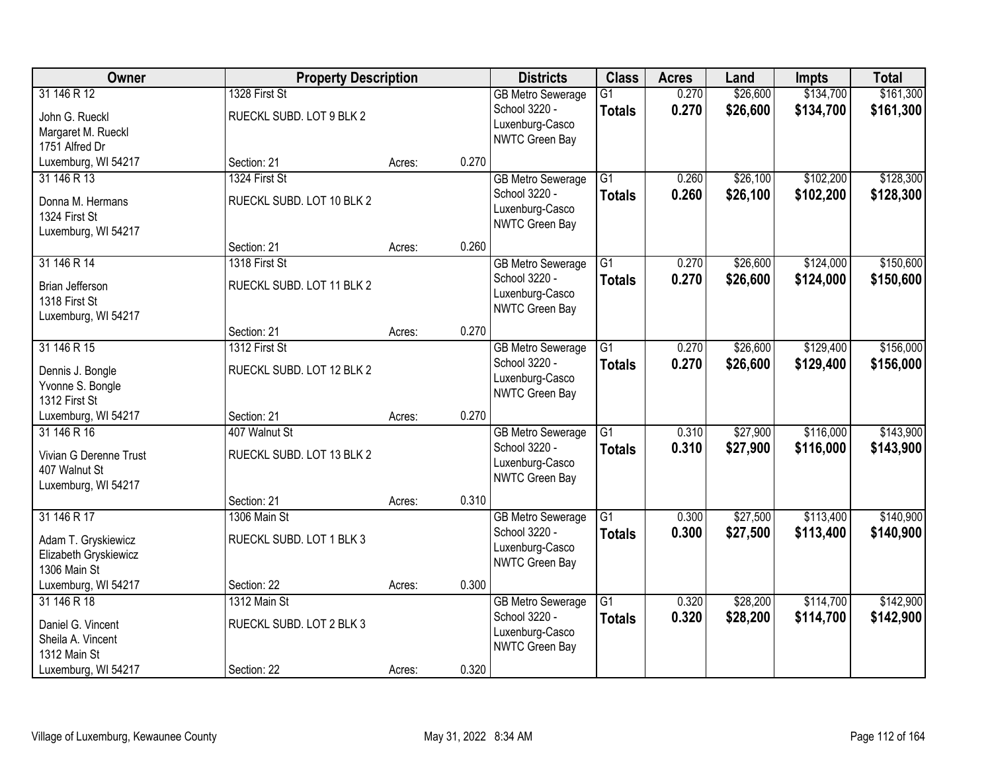| Owner                                                                         | <b>Property Description</b>                |        | <b>Districts</b> | <b>Class</b>                                                                   | <b>Acres</b>                     | Land           | Impts                | <b>Total</b>           |                        |
|-------------------------------------------------------------------------------|--------------------------------------------|--------|------------------|--------------------------------------------------------------------------------|----------------------------------|----------------|----------------------|------------------------|------------------------|
| 31 146 R 12<br>John G. Rueckl<br>Margaret M. Rueckl<br>1751 Alfred Dr         | 1328 First St<br>RUECKL SUBD. LOT 9 BLK 2  |        |                  | <b>GB Metro Sewerage</b><br>School 3220 -<br>Luxenburg-Casco<br>NWTC Green Bay | $\overline{G1}$<br><b>Totals</b> | 0.270<br>0.270 | \$26,600<br>\$26,600 | \$134,700<br>\$134,700 | \$161,300<br>\$161,300 |
| Luxemburg, WI 54217                                                           | Section: 21                                | Acres: | 0.270            |                                                                                |                                  |                |                      |                        |                        |
| 31 146 R 13<br>Donna M. Hermans<br>1324 First St<br>Luxemburg, WI 54217       | 1324 First St<br>RUECKL SUBD. LOT 10 BLK 2 |        |                  | <b>GB Metro Sewerage</b><br>School 3220 -<br>Luxenburg-Casco<br>NWTC Green Bay | $\overline{G1}$<br><b>Totals</b> | 0.260<br>0.260 | \$26,100<br>\$26,100 | \$102,200<br>\$102,200 | \$128,300<br>\$128,300 |
|                                                                               | Section: 21                                | Acres: | 0.260            |                                                                                |                                  |                |                      |                        |                        |
| 31 146 R 14<br>Brian Jefferson<br>1318 First St<br>Luxemburg, WI 54217        | 1318 First St<br>RUECKL SUBD. LOT 11 BLK 2 |        |                  | <b>GB Metro Sewerage</b><br>School 3220 -<br>Luxenburg-Casco<br>NWTC Green Bay | $\overline{G1}$<br><b>Totals</b> | 0.270<br>0.270 | \$26,600<br>\$26,600 | \$124,000<br>\$124,000 | \$150,600<br>\$150,600 |
|                                                                               | Section: 21                                | Acres: | 0.270            |                                                                                |                                  |                |                      |                        |                        |
| 31 146 R 15<br>Dennis J. Bongle<br>Yvonne S. Bongle<br>1312 First St          | 1312 First St<br>RUECKL SUBD. LOT 12 BLK 2 |        |                  | <b>GB Metro Sewerage</b><br>School 3220 -<br>Luxenburg-Casco<br>NWTC Green Bay | $\overline{G1}$<br><b>Totals</b> | 0.270<br>0.270 | \$26,600<br>\$26,600 | \$129,400<br>\$129,400 | \$156,000<br>\$156,000 |
| Luxemburg, WI 54217                                                           | Section: 21                                | Acres: | 0.270            |                                                                                |                                  |                |                      |                        |                        |
| 31 146 R 16<br>Vivian G Derenne Trust<br>407 Walnut St<br>Luxemburg, WI 54217 | 407 Walnut St<br>RUECKL SUBD. LOT 13 BLK 2 |        |                  | <b>GB Metro Sewerage</b><br>School 3220 -<br>Luxenburg-Casco<br>NWTC Green Bay | $\overline{G1}$<br><b>Totals</b> | 0.310<br>0.310 | \$27,900<br>\$27,900 | \$116,000<br>\$116,000 | \$143,900<br>\$143,900 |
|                                                                               | Section: 21                                | Acres: | 0.310            |                                                                                |                                  |                |                      |                        |                        |
| 31 146 R 17<br>Adam T. Gryskiewicz<br>Elizabeth Gryskiewicz<br>1306 Main St   | 1306 Main St<br>RUECKL SUBD. LOT 1 BLK 3   |        |                  | <b>GB Metro Sewerage</b><br>School 3220 -<br>Luxenburg-Casco<br>NWTC Green Bay | $\overline{G1}$<br><b>Totals</b> | 0.300<br>0.300 | \$27,500<br>\$27,500 | \$113,400<br>\$113,400 | \$140,900<br>\$140,900 |
| Luxemburg, WI 54217                                                           | Section: 22                                | Acres: | 0.300            |                                                                                |                                  |                |                      |                        |                        |
| 31 146 R 18<br>Daniel G. Vincent<br>Sheila A. Vincent<br>1312 Main St         | 1312 Main St<br>RUECKL SUBD. LOT 2 BLK 3   |        |                  | <b>GB Metro Sewerage</b><br>School 3220 -<br>Luxenburg-Casco<br>NWTC Green Bay | $\overline{G1}$<br><b>Totals</b> | 0.320<br>0.320 | \$28,200<br>\$28,200 | \$114,700<br>\$114,700 | \$142,900<br>\$142,900 |
| Luxemburg, WI 54217                                                           | Section: 22                                | Acres: | 0.320            |                                                                                |                                  |                |                      |                        |                        |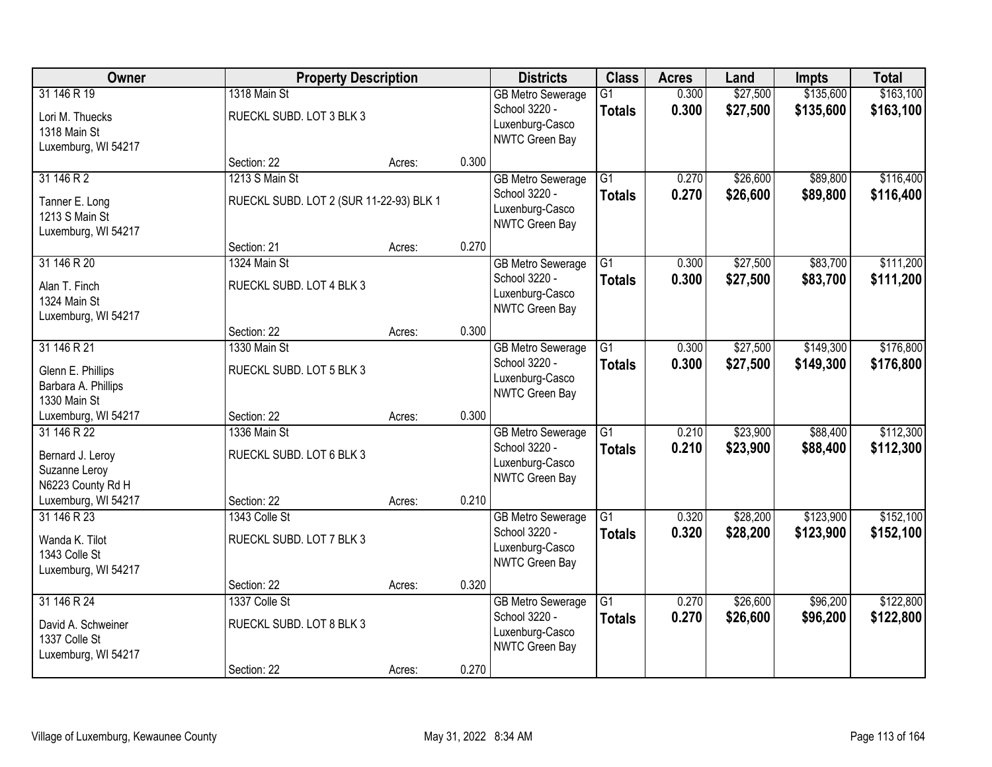| Owner                                                                     | <b>Property Description</b>                               |        | <b>Districts</b> | <b>Class</b>                                                                          | <b>Acres</b>                     | Land           | <b>Impts</b>         | <b>Total</b>           |                        |
|---------------------------------------------------------------------------|-----------------------------------------------------------|--------|------------------|---------------------------------------------------------------------------------------|----------------------------------|----------------|----------------------|------------------------|------------------------|
| 31 146 R 19<br>Lori M. Thuecks<br>1318 Main St<br>Luxemburg, WI 54217     | 1318 Main St<br>RUECKL SUBD. LOT 3 BLK 3                  |        |                  | <b>GB Metro Sewerage</b><br>School 3220 -<br>Luxenburg-Casco<br>NWTC Green Bay        | $\overline{G1}$<br><b>Totals</b> | 0.300<br>0.300 | \$27,500<br>\$27,500 | \$135,600<br>\$135,600 | \$163,100<br>\$163,100 |
|                                                                           | Section: 22                                               | Acres: | 0.300            |                                                                                       |                                  |                |                      |                        |                        |
| 31 146 R 2<br>Tanner E. Long<br>1213 S Main St<br>Luxemburg, WI 54217     | 1213 S Main St<br>RUECKL SUBD. LOT 2 (SUR 11-22-93) BLK 1 |        |                  | <b>GB Metro Sewerage</b><br>School 3220 -<br>Luxenburg-Casco<br>NWTC Green Bay        | $\overline{G1}$<br><b>Totals</b> | 0.270<br>0.270 | \$26,600<br>\$26,600 | \$89,800<br>\$89,800   | \$116,400<br>\$116,400 |
|                                                                           | Section: 21                                               | Acres: | 0.270            |                                                                                       |                                  |                |                      |                        |                        |
| 31 146 R 20<br>Alan T. Finch<br>1324 Main St<br>Luxemburg, WI 54217       | 1324 Main St<br>RUECKL SUBD. LOT 4 BLK 3                  |        |                  | <b>GB Metro Sewerage</b><br>School 3220 -<br>Luxenburg-Casco<br>NWTC Green Bay        | G1<br><b>Totals</b>              | 0.300<br>0.300 | \$27,500<br>\$27,500 | \$83,700<br>\$83,700   | \$111,200<br>\$111,200 |
|                                                                           | Section: 22                                               | Acres: | 0.300            |                                                                                       |                                  |                |                      |                        |                        |
| 31 146 R 21<br>Glenn E. Phillips<br>Barbara A. Phillips<br>1330 Main St   | 1330 Main St<br>RUECKL SUBD. LOT 5 BLK 3                  |        |                  | <b>GB Metro Sewerage</b><br>School 3220 -<br>Luxenburg-Casco<br><b>NWTC Green Bay</b> | G1<br><b>Totals</b>              | 0.300<br>0.300 | \$27,500<br>\$27,500 | \$149,300<br>\$149,300 | \$176,800<br>\$176,800 |
| Luxemburg, WI 54217                                                       | Section: 22                                               | Acres: | 0.300            |                                                                                       |                                  |                |                      |                        |                        |
| 31 146 R 22<br>Bernard J. Leroy<br>Suzanne Leroy<br>N6223 County Rd H     | 1336 Main St<br>RUECKL SUBD. LOT 6 BLK 3                  |        |                  | <b>GB Metro Sewerage</b><br>School 3220 -<br>Luxenburg-Casco<br>NWTC Green Bay        | $\overline{G1}$<br><b>Totals</b> | 0.210<br>0.210 | \$23,900<br>\$23,900 | \$88,400<br>\$88,400   | \$112,300<br>\$112,300 |
| Luxemburg, WI 54217                                                       | Section: 22                                               | Acres: | 0.210            |                                                                                       |                                  |                |                      |                        |                        |
| 31 146 R 23<br>Wanda K. Tilot<br>1343 Colle St<br>Luxemburg, WI 54217     | 1343 Colle St<br>RUECKL SUBD. LOT 7 BLK 3                 |        |                  | <b>GB Metro Sewerage</b><br>School 3220 -<br>Luxenburg-Casco<br>NWTC Green Bay        | $\overline{G1}$<br><b>Totals</b> | 0.320<br>0.320 | \$28,200<br>\$28,200 | \$123,900<br>\$123,900 | \$152,100<br>\$152,100 |
|                                                                           | Section: 22                                               | Acres: | 0.320            |                                                                                       |                                  |                |                      |                        |                        |
| 31 146 R 24<br>David A. Schweiner<br>1337 Colle St<br>Luxemburg, WI 54217 | 1337 Colle St<br>RUECKL SUBD. LOT 8 BLK 3                 |        |                  | <b>GB Metro Sewerage</b><br>School 3220 -<br>Luxenburg-Casco<br>NWTC Green Bay        | $\overline{G1}$<br><b>Totals</b> | 0.270<br>0.270 | \$26,600<br>\$26,600 | \$96,200<br>\$96,200   | \$122,800<br>\$122,800 |
|                                                                           | Section: 22                                               | Acres: | 0.270            |                                                                                       |                                  |                |                      |                        |                        |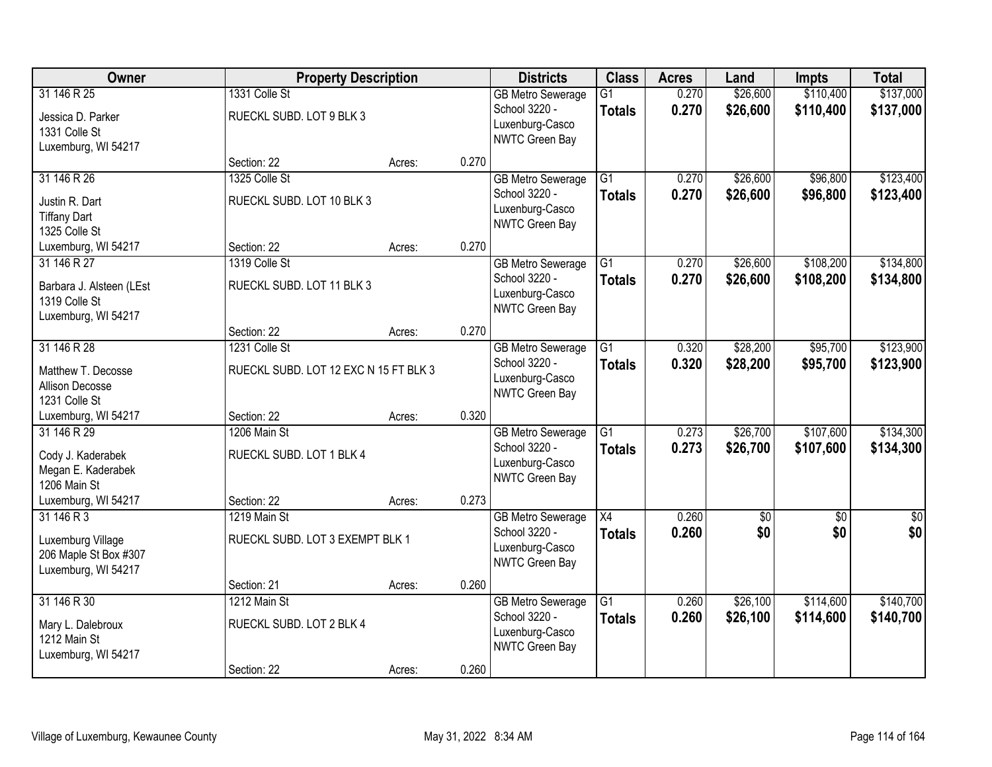| Owner                                                                           | <b>Property Description</b>                            |        | <b>Districts</b> | <b>Class</b>                                                                   | <b>Acres</b>                     | Land           | <b>Impts</b>           | <b>Total</b>           |                         |
|---------------------------------------------------------------------------------|--------------------------------------------------------|--------|------------------|--------------------------------------------------------------------------------|----------------------------------|----------------|------------------------|------------------------|-------------------------|
| 31 146 R 25<br>Jessica D. Parker<br>1331 Colle St<br>Luxemburg, WI 54217        | 1331 Colle St<br>RUECKL SUBD. LOT 9 BLK 3              |        |                  | <b>GB Metro Sewerage</b><br>School 3220 -<br>Luxenburg-Casco<br>NWTC Green Bay | $\overline{G1}$<br><b>Totals</b> | 0.270<br>0.270 | \$26,600<br>\$26,600   | \$110,400<br>\$110,400 | \$137,000<br>\$137,000  |
|                                                                                 | Section: 22                                            | Acres: | 0.270            |                                                                                |                                  |                |                        |                        |                         |
| 31 146 R 26<br>Justin R. Dart<br><b>Tiffany Dart</b><br>1325 Colle St           | 1325 Colle St<br>RUECKL SUBD. LOT 10 BLK 3             |        |                  | <b>GB Metro Sewerage</b><br>School 3220 -<br>Luxenburg-Casco<br>NWTC Green Bay | $\overline{G1}$<br><b>Totals</b> | 0.270<br>0.270 | \$26,600<br>\$26,600   | \$96,800<br>\$96,800   | \$123,400<br>\$123,400  |
| Luxemburg, WI 54217                                                             | Section: 22                                            | Acres: | 0.270            |                                                                                |                                  |                |                        |                        |                         |
| 31 146 R 27<br>Barbara J. Alsteen (LEst<br>1319 Colle St<br>Luxemburg, WI 54217 | 1319 Colle St<br>RUECKL SUBD. LOT 11 BLK 3             |        |                  | <b>GB Metro Sewerage</b><br>School 3220 -<br>Luxenburg-Casco<br>NWTC Green Bay | G1<br><b>Totals</b>              | 0.270<br>0.270 | \$26,600<br>\$26,600   | \$108,200<br>\$108,200 | \$134,800<br>\$134,800  |
|                                                                                 | Section: 22                                            | Acres: | 0.270            |                                                                                |                                  |                |                        |                        |                         |
| 31 146 R 28<br>Matthew T. Decosse<br>Allison Decosse<br>1231 Colle St           | 1231 Colle St<br>RUECKL SUBD. LOT 12 EXC N 15 FT BLK 3 |        |                  | <b>GB Metro Sewerage</b><br>School 3220 -<br>Luxenburg-Casco<br>NWTC Green Bay | G1<br><b>Totals</b>              | 0.320<br>0.320 | \$28,200<br>\$28,200   | \$95,700<br>\$95,700   | \$123,900<br>\$123,900  |
| Luxemburg, WI 54217                                                             | Section: 22                                            | Acres: | 0.320            |                                                                                |                                  |                |                        |                        |                         |
| 31 146 R 29<br>Cody J. Kaderabek<br>Megan E. Kaderabek<br>1206 Main St          | 1206 Main St<br>RUECKL SUBD. LOT 1 BLK 4               |        |                  | <b>GB Metro Sewerage</b><br>School 3220 -<br>Luxenburg-Casco<br>NWTC Green Bay | $\overline{G1}$<br><b>Totals</b> | 0.273<br>0.273 | \$26,700<br>\$26,700   | \$107,600<br>\$107,600 | \$134,300<br>\$134,300  |
| Luxemburg, WI 54217                                                             | Section: 22                                            | Acres: | 0.273            |                                                                                |                                  |                |                        |                        |                         |
| 31 146 R 3<br>Luxemburg Village<br>206 Maple St Box #307<br>Luxemburg, WI 54217 | 1219 Main St<br>RUECKL SUBD. LOT 3 EXEMPT BLK 1        |        |                  | <b>GB Metro Sewerage</b><br>School 3220 -<br>Luxenburg-Casco<br>NWTC Green Bay | $\overline{X4}$<br><b>Totals</b> | 0.260<br>0.260 | $\overline{50}$<br>\$0 | $\overline{50}$<br>\$0 | $\overline{\$0}$<br>\$0 |
|                                                                                 | Section: 21                                            | Acres: | 0.260            |                                                                                |                                  |                |                        |                        |                         |
| 31 146 R 30<br>Mary L. Dalebroux<br>1212 Main St<br>Luxemburg, WI 54217         | 1212 Main St<br>RUECKL SUBD. LOT 2 BLK 4               |        |                  | <b>GB Metro Sewerage</b><br>School 3220 -<br>Luxenburg-Casco<br>NWTC Green Bay | $\overline{G1}$<br><b>Totals</b> | 0.260<br>0.260 | \$26,100<br>\$26,100   | \$114,600<br>\$114,600 | \$140,700<br>\$140,700  |
|                                                                                 | Section: 22                                            | Acres: | 0.260            |                                                                                |                                  |                |                        |                        |                         |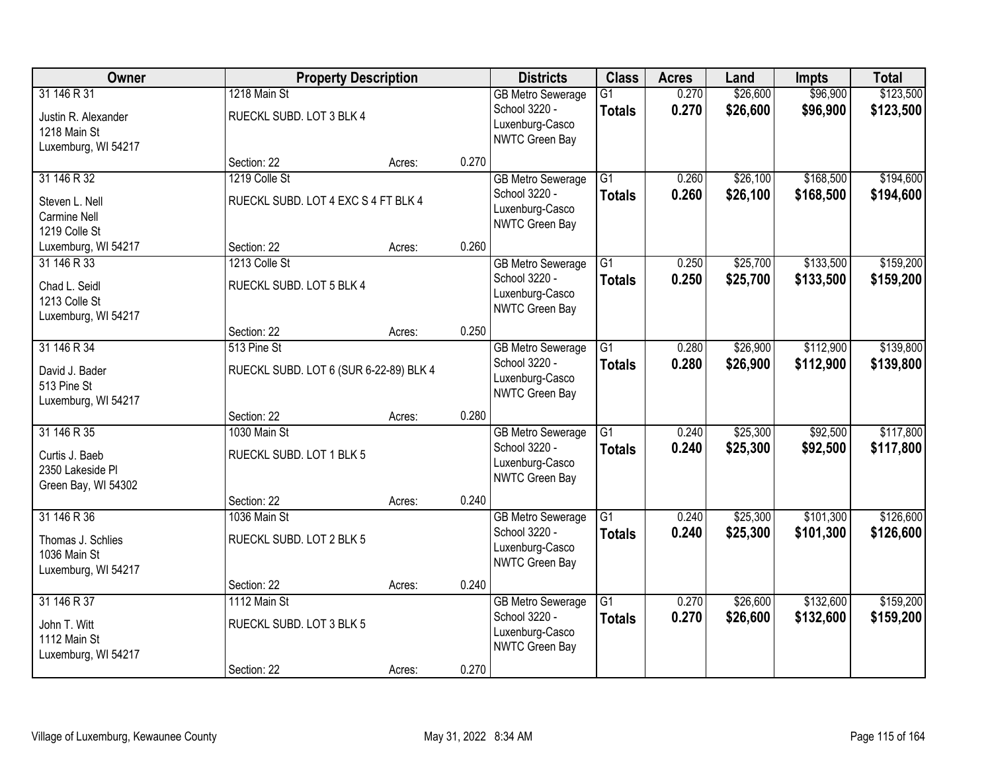| Owner                                                                     | <b>Property Description</b>                             |        | <b>Districts</b> | <b>Class</b>                                                                   | <b>Acres</b>                     | Land           | <b>Impts</b>         | <b>Total</b>           |                        |
|---------------------------------------------------------------------------|---------------------------------------------------------|--------|------------------|--------------------------------------------------------------------------------|----------------------------------|----------------|----------------------|------------------------|------------------------|
| 31 146 R 31<br>Justin R. Alexander<br>1218 Main St<br>Luxemburg, WI 54217 | 1218 Main St<br>RUECKL SUBD. LOT 3 BLK 4                |        |                  | <b>GB Metro Sewerage</b><br>School 3220 -<br>Luxenburg-Casco<br>NWTC Green Bay | $\overline{G1}$<br><b>Totals</b> | 0.270<br>0.270 | \$26,600<br>\$26,600 | \$96,900<br>\$96,900   | \$123,500<br>\$123,500 |
|                                                                           | Section: 22                                             | Acres: | 0.270            |                                                                                |                                  |                |                      |                        |                        |
| 31 146 R 32<br>Steven L. Nell<br>Carmine Nell<br>1219 Colle St            | 1219 Colle St<br>RUECKL SUBD. LOT 4 EXC S 4 FT BLK 4    |        |                  | <b>GB Metro Sewerage</b><br>School 3220 -<br>Luxenburg-Casco<br>NWTC Green Bay | $\overline{G1}$<br><b>Totals</b> | 0.260<br>0.260 | \$26,100<br>\$26,100 | \$168,500<br>\$168,500 | \$194,600<br>\$194,600 |
| Luxemburg, WI 54217                                                       | Section: 22                                             | Acres: | 0.260            |                                                                                |                                  |                |                      |                        |                        |
| 31 146 R 33<br>Chad L. Seidl<br>1213 Colle St<br>Luxemburg, WI 54217      | 1213 Colle St<br>RUECKL SUBD. LOT 5 BLK 4               |        |                  | <b>GB Metro Sewerage</b><br>School 3220 -<br>Luxenburg-Casco<br>NWTC Green Bay | G1<br><b>Totals</b>              | 0.250<br>0.250 | \$25,700<br>\$25,700 | \$133,500<br>\$133,500 | \$159,200<br>\$159,200 |
|                                                                           | Section: 22                                             | Acres: | 0.250            |                                                                                |                                  |                |                      |                        |                        |
| 31 146 R 34<br>David J. Bader<br>513 Pine St<br>Luxemburg, WI 54217       | 513 Pine St<br>RUECKL SUBD. LOT 6 (SUR 6-22-89) BLK 4   |        |                  | <b>GB Metro Sewerage</b><br>School 3220 -<br>Luxenburg-Casco<br>NWTC Green Bay | G1<br><b>Totals</b>              | 0.280<br>0.280 | \$26,900<br>\$26,900 | \$112,900<br>\$112,900 | \$139,800<br>\$139,800 |
|                                                                           | Section: 22                                             | Acres: | 0.280            |                                                                                |                                  |                |                      |                        |                        |
| 31 146 R 35<br>Curtis J. Baeb<br>2350 Lakeside PI<br>Green Bay, WI 54302  | 1030 Main St<br>RUECKL SUBD. LOT 1 BLK 5                |        |                  | <b>GB Metro Sewerage</b><br>School 3220 -<br>Luxenburg-Casco<br>NWTC Green Bay | $\overline{G1}$<br><b>Totals</b> | 0.240<br>0.240 | \$25,300<br>\$25,300 | \$92,500<br>\$92,500   | \$117,800<br>\$117,800 |
|                                                                           | Section: 22                                             | Acres: | 0.240            |                                                                                |                                  |                |                      |                        |                        |
| 31 146 R 36<br>Thomas J. Schlies<br>1036 Main St<br>Luxemburg, WI 54217   | 1036 Main St<br>RUECKL SUBD. LOT 2 BLK 5                |        |                  | <b>GB Metro Sewerage</b><br>School 3220 -<br>Luxenburg-Casco<br>NWTC Green Bay | $\overline{G1}$<br><b>Totals</b> | 0.240<br>0.240 | \$25,300<br>\$25,300 | \$101,300<br>\$101,300 | \$126,600<br>\$126,600 |
|                                                                           | Section: 22                                             | Acres: | 0.240            |                                                                                |                                  |                |                      |                        |                        |
| 31 146 R 37<br>John T. Witt<br>1112 Main St<br>Luxemburg, WI 54217        | 1112 Main St<br>RUECKL SUBD. LOT 3 BLK 5<br>Section: 22 |        | 0.270            | <b>GB Metro Sewerage</b><br>School 3220 -<br>Luxenburg-Casco<br>NWTC Green Bay | $\overline{G1}$<br><b>Totals</b> | 0.270<br>0.270 | \$26,600<br>\$26,600 | \$132,600<br>\$132,600 | \$159,200<br>\$159,200 |
|                                                                           |                                                         | Acres: |                  |                                                                                |                                  |                |                      |                        |                        |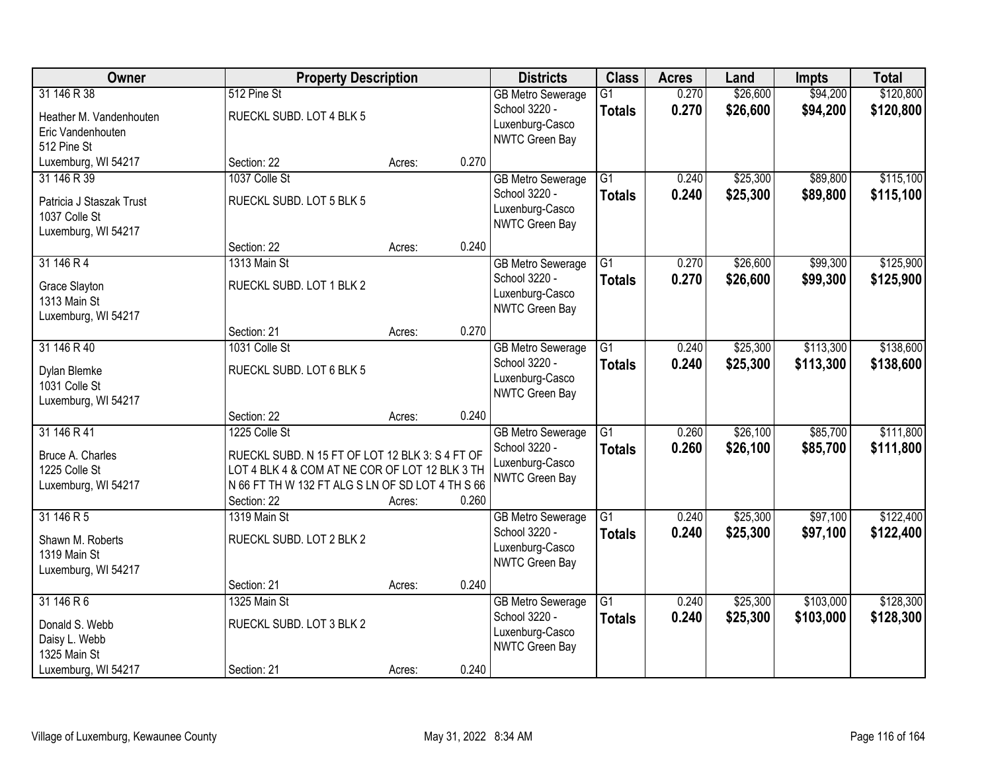| Owner                                                                           |                                                                                                                                                                                       | <b>Property Description</b> |       | <b>Districts</b>                                                                      | <b>Class</b>                     | <b>Acres</b>   | Land                 | <b>Impts</b>           | <b>Total</b>           |
|---------------------------------------------------------------------------------|---------------------------------------------------------------------------------------------------------------------------------------------------------------------------------------|-----------------------------|-------|---------------------------------------------------------------------------------------|----------------------------------|----------------|----------------------|------------------------|------------------------|
| 31 146 R 38<br>Heather M. Vandenhouten<br>Eric Vandenhouten<br>512 Pine St      | 512 Pine St<br>RUECKL SUBD. LOT 4 BLK 5                                                                                                                                               |                             |       | <b>GB Metro Sewerage</b><br>School 3220 -<br>Luxenburg-Casco<br>NWTC Green Bay        | $\overline{G1}$<br><b>Totals</b> | 0.270<br>0.270 | \$26,600<br>\$26,600 | \$94,200<br>\$94,200   | \$120,800<br>\$120,800 |
| Luxemburg, WI 54217                                                             | Section: 22                                                                                                                                                                           | Acres:                      | 0.270 |                                                                                       |                                  |                |                      |                        |                        |
| 31 146 R 39<br>Patricia J Staszak Trust<br>1037 Colle St<br>Luxemburg, WI 54217 | 1037 Colle St<br>RUECKL SUBD. LOT 5 BLK 5                                                                                                                                             |                             |       | <b>GB Metro Sewerage</b><br>School 3220 -<br>Luxenburg-Casco<br>NWTC Green Bay        | $\overline{G1}$<br><b>Totals</b> | 0.240<br>0.240 | \$25,300<br>\$25,300 | \$89,800<br>\$89,800   | \$115,100<br>\$115,100 |
|                                                                                 | Section: 22                                                                                                                                                                           | Acres:                      | 0.240 |                                                                                       |                                  |                |                      |                        |                        |
| 31 146 R 4<br>Grace Slayton<br>1313 Main St<br>Luxemburg, WI 54217              | 1313 Main St<br>RUECKL SUBD. LOT 1 BLK 2                                                                                                                                              |                             |       | <b>GB Metro Sewerage</b><br>School 3220 -<br>Luxenburg-Casco<br>NWTC Green Bay        | G1<br><b>Totals</b>              | 0.270<br>0.270 | \$26,600<br>\$26,600 | \$99,300<br>\$99,300   | \$125,900<br>\$125,900 |
|                                                                                 | Section: 21                                                                                                                                                                           | Acres:                      | 0.270 |                                                                                       |                                  |                |                      |                        |                        |
| 31 146 R 40<br>Dylan Blemke<br>1031 Colle St<br>Luxemburg, WI 54217             | 1031 Colle St<br>RUECKL SUBD. LOT 6 BLK 5                                                                                                                                             |                             |       | <b>GB Metro Sewerage</b><br>School 3220 -<br>Luxenburg-Casco<br>NWTC Green Bay        | G1<br><b>Totals</b>              | 0.240<br>0.240 | \$25,300<br>\$25,300 | \$113,300<br>\$113,300 | \$138,600<br>\$138,600 |
|                                                                                 | Section: 22                                                                                                                                                                           | Acres:                      | 0.240 |                                                                                       |                                  |                |                      |                        |                        |
| 31 146 R 41<br>Bruce A. Charles<br>1225 Colle St<br>Luxemburg, WI 54217         | 1225 Colle St<br>RUECKL SUBD. N 15 FT OF LOT 12 BLK 3: S 4 FT OF<br>LOT 4 BLK 4 & COM AT NE COR OF LOT 12 BLK 3 TH<br>N 66 FT TH W 132 FT ALG S LN OF SD LOT 4 TH S 66<br>Section: 22 | Acres:                      | 0.260 | <b>GB Metro Sewerage</b><br>School 3220 -<br>Luxenburg-Casco<br><b>NWTC Green Bay</b> | $\overline{G1}$<br><b>Totals</b> | 0.260<br>0.260 | \$26,100<br>\$26,100 | \$85,700<br>\$85,700   | \$111,800<br>\$111,800 |
| 31 146 R 5<br>Shawn M. Roberts<br>1319 Main St<br>Luxemburg, WI 54217           | 1319 Main St<br>RUECKL SUBD. LOT 2 BLK 2<br>Section: 21                                                                                                                               |                             | 0.240 | <b>GB Metro Sewerage</b><br>School 3220 -<br>Luxenburg-Casco<br>NWTC Green Bay        | $\overline{G1}$<br><b>Totals</b> | 0.240<br>0.240 | \$25,300<br>\$25,300 | \$97,100<br>\$97,100   | \$122,400<br>\$122,400 |
| 31 146 R 6                                                                      | 1325 Main St                                                                                                                                                                          | Acres:                      |       | <b>GB Metro Sewerage</b>                                                              | $\overline{G1}$                  | 0.240          | \$25,300             | \$103,000              | \$128,300              |
| Donald S. Webb<br>Daisy L. Webb<br>1325 Main St                                 | RUECKL SUBD. LOT 3 BLK 2                                                                                                                                                              |                             |       | School 3220 -<br>Luxenburg-Casco<br>NWTC Green Bay                                    | <b>Totals</b>                    | 0.240          | \$25,300             | \$103,000              | \$128,300              |
| Luxemburg, WI 54217                                                             | Section: 21                                                                                                                                                                           | Acres:                      | 0.240 |                                                                                       |                                  |                |                      |                        |                        |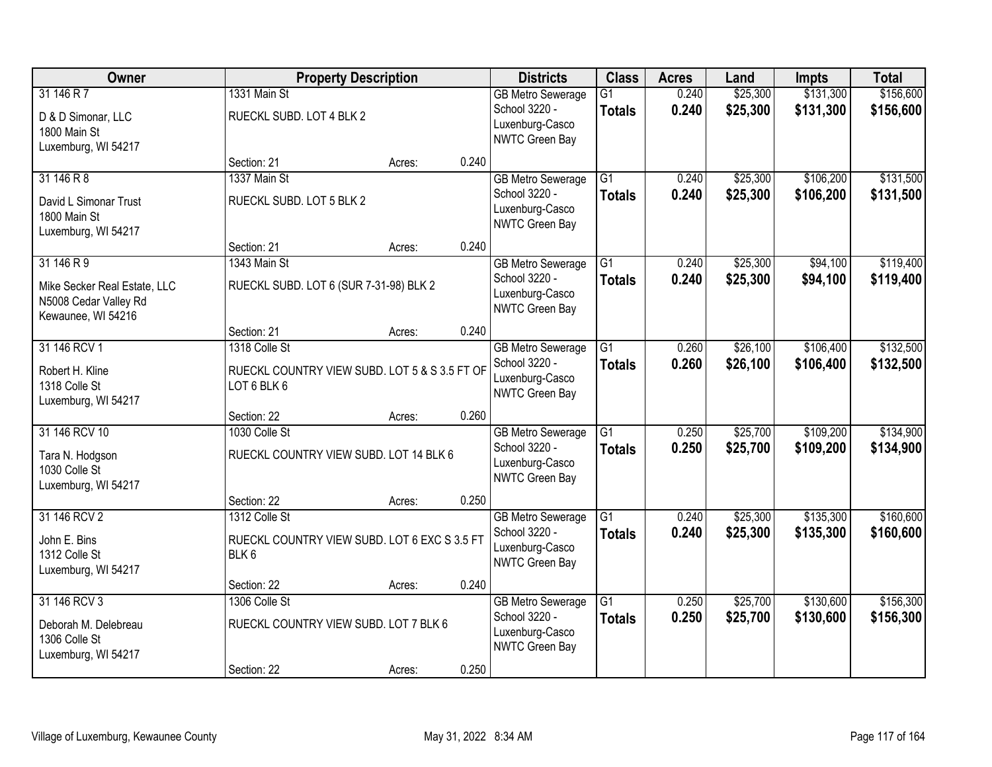| Owner                                                                                     |                                                        | <b>Property Description</b>                   |       | <b>Districts</b>                                                               | <b>Class</b>                     | <b>Acres</b>   | Land                 | <b>Impts</b>           | <b>Total</b>           |
|-------------------------------------------------------------------------------------------|--------------------------------------------------------|-----------------------------------------------|-------|--------------------------------------------------------------------------------|----------------------------------|----------------|----------------------|------------------------|------------------------|
| 31 146 R 7<br>D & D Simonar, LLC<br>1800 Main St<br>Luxemburg, WI 54217                   | 1331 Main St<br>RUECKL SUBD. LOT 4 BLK 2               |                                               |       | <b>GB Metro Sewerage</b><br>School 3220 -<br>Luxenburg-Casco<br>NWTC Green Bay | $\overline{G1}$<br><b>Totals</b> | 0.240<br>0.240 | \$25,300<br>\$25,300 | \$131,300<br>\$131,300 | \$156,600<br>\$156,600 |
|                                                                                           | Section: 21                                            | Acres:                                        | 0.240 |                                                                                |                                  |                |                      |                        |                        |
| 31 146 R 8<br>David L Simonar Trust<br>1800 Main St<br>Luxemburg, WI 54217                | 1337 Main St<br>RUECKL SUBD. LOT 5 BLK 2               |                                               |       | <b>GB Metro Sewerage</b><br>School 3220 -<br>Luxenburg-Casco<br>NWTC Green Bay | $\overline{G1}$<br><b>Totals</b> | 0.240<br>0.240 | \$25,300<br>\$25,300 | \$106,200<br>\$106,200 | \$131,500<br>\$131,500 |
|                                                                                           | Section: 21                                            | Acres:                                        | 0.240 |                                                                                |                                  |                |                      |                        |                        |
| 31 146 R 9<br>Mike Secker Real Estate, LLC<br>N5008 Cedar Valley Rd<br>Kewaunee, WI 54216 | 1343 Main St<br>RUECKL SUBD. LOT 6 (SUR 7-31-98) BLK 2 |                                               |       | <b>GB Metro Sewerage</b><br>School 3220 -<br>Luxenburg-Casco<br>NWTC Green Bay | G1<br><b>Totals</b>              | 0.240<br>0.240 | \$25,300<br>\$25,300 | \$94,100<br>\$94,100   | \$119,400<br>\$119,400 |
|                                                                                           | Section: 21                                            | Acres:                                        | 0.240 |                                                                                |                                  |                |                      |                        |                        |
| 31 146 RCV 1<br>Robert H. Kline<br>1318 Colle St<br>Luxemburg, WI 54217                   | 1318 Colle St<br>LOT 6 BLK 6                           | RUECKL COUNTRY VIEW SUBD. LOT 5 & S 3.5 FT OF |       | <b>GB</b> Metro Sewerage<br>School 3220 -<br>Luxenburg-Casco<br>NWTC Green Bay | G1<br><b>Totals</b>              | 0.260<br>0.260 | \$26,100<br>\$26,100 | \$106,400<br>\$106,400 | \$132,500<br>\$132,500 |
|                                                                                           | Section: 22                                            | Acres:                                        | 0.260 |                                                                                |                                  |                |                      |                        |                        |
| 31 146 RCV 10<br>Tara N. Hodgson<br>1030 Colle St<br>Luxemburg, WI 54217                  | 1030 Colle St                                          | RUECKL COUNTRY VIEW SUBD. LOT 14 BLK 6        |       | <b>GB Metro Sewerage</b><br>School 3220 -<br>Luxenburg-Casco<br>NWTC Green Bay | $\overline{G1}$<br><b>Totals</b> | 0.250<br>0.250 | \$25,700<br>\$25,700 | \$109,200<br>\$109,200 | \$134,900<br>\$134,900 |
|                                                                                           | Section: 22                                            | Acres:                                        | 0.250 |                                                                                |                                  |                |                      |                        |                        |
| 31 146 RCV 2<br>John E. Bins<br>1312 Colle St<br>Luxemburg, WI 54217                      | 1312 Colle St<br>BLK 6                                 | RUECKL COUNTRY VIEW SUBD. LOT 6 EXC S 3.5 FT  |       | <b>GB Metro Sewerage</b><br>School 3220 -<br>Luxenburg-Casco<br>NWTC Green Bay | $\overline{G1}$<br><b>Totals</b> | 0.240<br>0.240 | \$25,300<br>\$25,300 | \$135,300<br>\$135,300 | \$160,600<br>\$160,600 |
|                                                                                           | Section: 22                                            | Acres:                                        | 0.240 |                                                                                |                                  |                |                      |                        |                        |
| 31 146 RCV 3<br>Deborah M. Delebreau<br>1306 Colle St<br>Luxemburg, WI 54217              | 1306 Colle St                                          | RUECKL COUNTRY VIEW SUBD. LOT 7 BLK 6         |       | <b>GB Metro Sewerage</b><br>School 3220 -<br>Luxenburg-Casco<br>NWTC Green Bay | $\overline{G1}$<br><b>Totals</b> | 0.250<br>0.250 | \$25,700<br>\$25,700 | \$130,600<br>\$130,600 | \$156,300<br>\$156,300 |
|                                                                                           | Section: 22                                            | Acres:                                        | 0.250 |                                                                                |                                  |                |                      |                        |                        |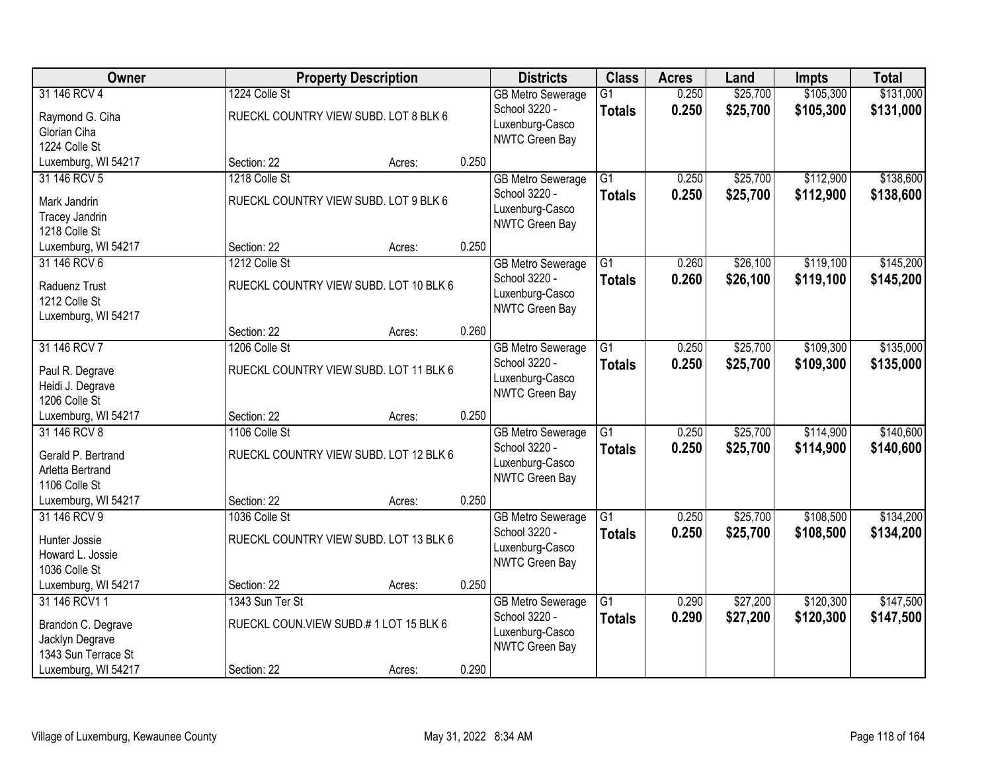| \$105,300<br>\$131,000<br>31 146 RCV 4<br>1224 Colle St<br>0.250<br>\$25,700<br>$\overline{G1}$<br><b>GB Metro Sewerage</b><br>0.250<br>School 3220 -<br>\$25,700<br>\$105,300<br>\$131,000<br><b>Totals</b><br>RUECKL COUNTRY VIEW SUBD. LOT 8 BLK 6<br>Raymond G. Ciha<br>Luxenburg-Casco<br>Glorian Ciha<br>NWTC Green Bay<br>1224 Colle St<br>0.250<br>Luxemburg, WI 54217<br>Section: 22<br>Acres:<br>\$25,700<br>\$112,900<br>31 146 RCV 5<br>1218 Colle St<br>$\overline{G1}$<br>0.250<br><b>GB Metro Sewerage</b><br>School 3220 -<br>0.250<br>\$25,700<br>\$112,900<br><b>Totals</b><br>RUECKL COUNTRY VIEW SUBD. LOT 9 BLK 6<br>Mark Jandrin<br>Luxenburg-Casco<br><b>Tracey Jandrin</b><br><b>NWTC Green Bay</b><br>1218 Colle St<br>0.250<br>Luxemburg, WI 54217<br>Section: 22<br>Acres:<br>\$26,100<br>\$119,100<br>31 146 RCV 6<br>1212 Colle St<br>G1<br>0.260<br><b>GB Metro Sewerage</b><br>School 3220 -<br>0.260<br>\$26,100<br>\$119,100<br><b>Totals</b><br>RUECKL COUNTRY VIEW SUBD. LOT 10 BLK 6<br>Raduenz Trust<br>Luxenburg-Casco<br>1212 Colle St<br>NWTC Green Bay<br>Luxemburg, WI 54217<br>0.260<br>Section: 22<br>Acres:<br>31 146 RCV 7<br>\$25,700<br>\$109,300<br>1206 Colle St<br>G1<br>0.250<br><b>GB Metro Sewerage</b><br>School 3220 -<br>0.250<br>\$25,700<br>\$109,300<br><b>Totals</b><br>RUECKL COUNTRY VIEW SUBD. LOT 11 BLK 6<br>Paul R. Degrave<br>Luxenburg-Casco<br>Heidi J. Degrave<br>NWTC Green Bay<br>1206 Colle St<br>0.250<br>Luxemburg, WI 54217<br>Section: 22<br>Acres:<br>$\overline{G1}$<br>\$25,700<br>\$114,900<br>31 146 RCV 8<br>1106 Colle St<br>0.250<br><b>GB Metro Sewerage</b><br>0.250<br>School 3220 -<br>\$25,700<br>\$114,900<br><b>Totals</b><br>Gerald P. Bertrand<br>RUECKL COUNTRY VIEW SUBD. LOT 12 BLK 6<br>Luxenburg-Casco<br>Arletta Bertrand<br><b>NWTC Green Bay</b><br>1106 Colle St<br>0.250<br>Luxemburg, WI 54217<br>Section: 22<br>Acres:<br>31 146 RCV 9<br>G1<br>\$25,700<br>\$108,500<br>1036 Colle St<br>0.250<br><b>GB Metro Sewerage</b><br>0.250<br>\$25,700<br>School 3220 -<br>\$108,500<br><b>Totals</b><br>RUECKL COUNTRY VIEW SUBD. LOT 13 BLK 6<br>Hunter Jossie<br>Luxenburg-Casco<br>Howard L. Jossie<br>NWTC Green Bay<br>1036 Colle St | <b>Owner</b> | <b>Property Description</b> | <b>Districts</b> | <b>Class</b> | <b>Acres</b> | Land | <b>Impts</b> | <b>Total</b> |
|-------------------------------------------------------------------------------------------------------------------------------------------------------------------------------------------------------------------------------------------------------------------------------------------------------------------------------------------------------------------------------------------------------------------------------------------------------------------------------------------------------------------------------------------------------------------------------------------------------------------------------------------------------------------------------------------------------------------------------------------------------------------------------------------------------------------------------------------------------------------------------------------------------------------------------------------------------------------------------------------------------------------------------------------------------------------------------------------------------------------------------------------------------------------------------------------------------------------------------------------------------------------------------------------------------------------------------------------------------------------------------------------------------------------------------------------------------------------------------------------------------------------------------------------------------------------------------------------------------------------------------------------------------------------------------------------------------------------------------------------------------------------------------------------------------------------------------------------------------------------------------------------------------------------------------------------------------------------------------------------------------------------------------------------------------------------------------------------------------------------------------------------------------------------------------------------------------------------------------------------------|--------------|-----------------------------|------------------|--------------|--------------|------|--------------|--------------|
| \$138,600<br>\$135,000<br>\$135,000                                                                                                                                                                                                                                                                                                                                                                                                                                                                                                                                                                                                                                                                                                                                                                                                                                                                                                                                                                                                                                                                                                                                                                                                                                                                                                                                                                                                                                                                                                                                                                                                                                                                                                                                                                                                                                                                                                                                                                                                                                                                                                                                                                                                             |              |                             |                  |              |              |      |              |              |
|                                                                                                                                                                                                                                                                                                                                                                                                                                                                                                                                                                                                                                                                                                                                                                                                                                                                                                                                                                                                                                                                                                                                                                                                                                                                                                                                                                                                                                                                                                                                                                                                                                                                                                                                                                                                                                                                                                                                                                                                                                                                                                                                                                                                                                                 |              |                             |                  |              |              |      |              |              |
|                                                                                                                                                                                                                                                                                                                                                                                                                                                                                                                                                                                                                                                                                                                                                                                                                                                                                                                                                                                                                                                                                                                                                                                                                                                                                                                                                                                                                                                                                                                                                                                                                                                                                                                                                                                                                                                                                                                                                                                                                                                                                                                                                                                                                                                 |              |                             |                  |              |              |      |              |              |
|                                                                                                                                                                                                                                                                                                                                                                                                                                                                                                                                                                                                                                                                                                                                                                                                                                                                                                                                                                                                                                                                                                                                                                                                                                                                                                                                                                                                                                                                                                                                                                                                                                                                                                                                                                                                                                                                                                                                                                                                                                                                                                                                                                                                                                                 |              |                             |                  |              |              |      |              |              |
| \$138,600<br>\$145,200<br>\$145,200<br>\$140,600<br>\$140,600<br>\$134,200<br>\$134,200                                                                                                                                                                                                                                                                                                                                                                                                                                                                                                                                                                                                                                                                                                                                                                                                                                                                                                                                                                                                                                                                                                                                                                                                                                                                                                                                                                                                                                                                                                                                                                                                                                                                                                                                                                                                                                                                                                                                                                                                                                                                                                                                                         |              |                             |                  |              |              |      |              |              |
|                                                                                                                                                                                                                                                                                                                                                                                                                                                                                                                                                                                                                                                                                                                                                                                                                                                                                                                                                                                                                                                                                                                                                                                                                                                                                                                                                                                                                                                                                                                                                                                                                                                                                                                                                                                                                                                                                                                                                                                                                                                                                                                                                                                                                                                 |              |                             |                  |              |              |      |              |              |
|                                                                                                                                                                                                                                                                                                                                                                                                                                                                                                                                                                                                                                                                                                                                                                                                                                                                                                                                                                                                                                                                                                                                                                                                                                                                                                                                                                                                                                                                                                                                                                                                                                                                                                                                                                                                                                                                                                                                                                                                                                                                                                                                                                                                                                                 |              |                             |                  |              |              |      |              |              |
|                                                                                                                                                                                                                                                                                                                                                                                                                                                                                                                                                                                                                                                                                                                                                                                                                                                                                                                                                                                                                                                                                                                                                                                                                                                                                                                                                                                                                                                                                                                                                                                                                                                                                                                                                                                                                                                                                                                                                                                                                                                                                                                                                                                                                                                 |              |                             |                  |              |              |      |              |              |
|                                                                                                                                                                                                                                                                                                                                                                                                                                                                                                                                                                                                                                                                                                                                                                                                                                                                                                                                                                                                                                                                                                                                                                                                                                                                                                                                                                                                                                                                                                                                                                                                                                                                                                                                                                                                                                                                                                                                                                                                                                                                                                                                                                                                                                                 |              |                             |                  |              |              |      |              |              |
|                                                                                                                                                                                                                                                                                                                                                                                                                                                                                                                                                                                                                                                                                                                                                                                                                                                                                                                                                                                                                                                                                                                                                                                                                                                                                                                                                                                                                                                                                                                                                                                                                                                                                                                                                                                                                                                                                                                                                                                                                                                                                                                                                                                                                                                 |              |                             |                  |              |              |      |              |              |
|                                                                                                                                                                                                                                                                                                                                                                                                                                                                                                                                                                                                                                                                                                                                                                                                                                                                                                                                                                                                                                                                                                                                                                                                                                                                                                                                                                                                                                                                                                                                                                                                                                                                                                                                                                                                                                                                                                                                                                                                                                                                                                                                                                                                                                                 |              |                             |                  |              |              |      |              |              |
|                                                                                                                                                                                                                                                                                                                                                                                                                                                                                                                                                                                                                                                                                                                                                                                                                                                                                                                                                                                                                                                                                                                                                                                                                                                                                                                                                                                                                                                                                                                                                                                                                                                                                                                                                                                                                                                                                                                                                                                                                                                                                                                                                                                                                                                 |              |                             |                  |              |              |      |              |              |
|                                                                                                                                                                                                                                                                                                                                                                                                                                                                                                                                                                                                                                                                                                                                                                                                                                                                                                                                                                                                                                                                                                                                                                                                                                                                                                                                                                                                                                                                                                                                                                                                                                                                                                                                                                                                                                                                                                                                                                                                                                                                                                                                                                                                                                                 |              |                             |                  |              |              |      |              |              |
|                                                                                                                                                                                                                                                                                                                                                                                                                                                                                                                                                                                                                                                                                                                                                                                                                                                                                                                                                                                                                                                                                                                                                                                                                                                                                                                                                                                                                                                                                                                                                                                                                                                                                                                                                                                                                                                                                                                                                                                                                                                                                                                                                                                                                                                 |              |                             |                  |              |              |      |              |              |
|                                                                                                                                                                                                                                                                                                                                                                                                                                                                                                                                                                                                                                                                                                                                                                                                                                                                                                                                                                                                                                                                                                                                                                                                                                                                                                                                                                                                                                                                                                                                                                                                                                                                                                                                                                                                                                                                                                                                                                                                                                                                                                                                                                                                                                                 |              |                             |                  |              |              |      |              |              |
|                                                                                                                                                                                                                                                                                                                                                                                                                                                                                                                                                                                                                                                                                                                                                                                                                                                                                                                                                                                                                                                                                                                                                                                                                                                                                                                                                                                                                                                                                                                                                                                                                                                                                                                                                                                                                                                                                                                                                                                                                                                                                                                                                                                                                                                 |              |                             |                  |              |              |      |              |              |
|                                                                                                                                                                                                                                                                                                                                                                                                                                                                                                                                                                                                                                                                                                                                                                                                                                                                                                                                                                                                                                                                                                                                                                                                                                                                                                                                                                                                                                                                                                                                                                                                                                                                                                                                                                                                                                                                                                                                                                                                                                                                                                                                                                                                                                                 |              |                             |                  |              |              |      |              |              |
|                                                                                                                                                                                                                                                                                                                                                                                                                                                                                                                                                                                                                                                                                                                                                                                                                                                                                                                                                                                                                                                                                                                                                                                                                                                                                                                                                                                                                                                                                                                                                                                                                                                                                                                                                                                                                                                                                                                                                                                                                                                                                                                                                                                                                                                 |              |                             |                  |              |              |      |              |              |
|                                                                                                                                                                                                                                                                                                                                                                                                                                                                                                                                                                                                                                                                                                                                                                                                                                                                                                                                                                                                                                                                                                                                                                                                                                                                                                                                                                                                                                                                                                                                                                                                                                                                                                                                                                                                                                                                                                                                                                                                                                                                                                                                                                                                                                                 |              |                             |                  |              |              |      |              |              |
|                                                                                                                                                                                                                                                                                                                                                                                                                                                                                                                                                                                                                                                                                                                                                                                                                                                                                                                                                                                                                                                                                                                                                                                                                                                                                                                                                                                                                                                                                                                                                                                                                                                                                                                                                                                                                                                                                                                                                                                                                                                                                                                                                                                                                                                 |              |                             |                  |              |              |      |              |              |
|                                                                                                                                                                                                                                                                                                                                                                                                                                                                                                                                                                                                                                                                                                                                                                                                                                                                                                                                                                                                                                                                                                                                                                                                                                                                                                                                                                                                                                                                                                                                                                                                                                                                                                                                                                                                                                                                                                                                                                                                                                                                                                                                                                                                                                                 |              |                             |                  |              |              |      |              |              |
|                                                                                                                                                                                                                                                                                                                                                                                                                                                                                                                                                                                                                                                                                                                                                                                                                                                                                                                                                                                                                                                                                                                                                                                                                                                                                                                                                                                                                                                                                                                                                                                                                                                                                                                                                                                                                                                                                                                                                                                                                                                                                                                                                                                                                                                 |              |                             |                  |              |              |      |              |              |
|                                                                                                                                                                                                                                                                                                                                                                                                                                                                                                                                                                                                                                                                                                                                                                                                                                                                                                                                                                                                                                                                                                                                                                                                                                                                                                                                                                                                                                                                                                                                                                                                                                                                                                                                                                                                                                                                                                                                                                                                                                                                                                                                                                                                                                                 |              |                             |                  |              |              |      |              |              |
|                                                                                                                                                                                                                                                                                                                                                                                                                                                                                                                                                                                                                                                                                                                                                                                                                                                                                                                                                                                                                                                                                                                                                                                                                                                                                                                                                                                                                                                                                                                                                                                                                                                                                                                                                                                                                                                                                                                                                                                                                                                                                                                                                                                                                                                 |              |                             |                  |              |              |      |              |              |
|                                                                                                                                                                                                                                                                                                                                                                                                                                                                                                                                                                                                                                                                                                                                                                                                                                                                                                                                                                                                                                                                                                                                                                                                                                                                                                                                                                                                                                                                                                                                                                                                                                                                                                                                                                                                                                                                                                                                                                                                                                                                                                                                                                                                                                                 |              |                             |                  |              |              |      |              |              |
|                                                                                                                                                                                                                                                                                                                                                                                                                                                                                                                                                                                                                                                                                                                                                                                                                                                                                                                                                                                                                                                                                                                                                                                                                                                                                                                                                                                                                                                                                                                                                                                                                                                                                                                                                                                                                                                                                                                                                                                                                                                                                                                                                                                                                                                 |              |                             |                  |              |              |      |              |              |
|                                                                                                                                                                                                                                                                                                                                                                                                                                                                                                                                                                                                                                                                                                                                                                                                                                                                                                                                                                                                                                                                                                                                                                                                                                                                                                                                                                                                                                                                                                                                                                                                                                                                                                                                                                                                                                                                                                                                                                                                                                                                                                                                                                                                                                                 |              |                             |                  |              |              |      |              |              |
| Luxemburg, WI 54217<br>0.250<br>Section: 22                                                                                                                                                                                                                                                                                                                                                                                                                                                                                                                                                                                                                                                                                                                                                                                                                                                                                                                                                                                                                                                                                                                                                                                                                                                                                                                                                                                                                                                                                                                                                                                                                                                                                                                                                                                                                                                                                                                                                                                                                                                                                                                                                                                                     |              |                             |                  |              |              |      |              |              |
| Acres:<br>\$120,300<br>\$147,500<br>31 146 RCV1 1<br>\$27,200<br>1343 Sun Ter St<br><b>GB Metro Sewerage</b><br>$\overline{G1}$<br>0.290                                                                                                                                                                                                                                                                                                                                                                                                                                                                                                                                                                                                                                                                                                                                                                                                                                                                                                                                                                                                                                                                                                                                                                                                                                                                                                                                                                                                                                                                                                                                                                                                                                                                                                                                                                                                                                                                                                                                                                                                                                                                                                        |              |                             |                  |              |              |      |              |              |
| 0.290<br>School 3220 -<br>\$27,200<br>\$120,300<br>\$147,500<br><b>Totals</b>                                                                                                                                                                                                                                                                                                                                                                                                                                                                                                                                                                                                                                                                                                                                                                                                                                                                                                                                                                                                                                                                                                                                                                                                                                                                                                                                                                                                                                                                                                                                                                                                                                                                                                                                                                                                                                                                                                                                                                                                                                                                                                                                                                   |              |                             |                  |              |              |      |              |              |
| RUECKL COUN.VIEW SUBD.#1 LOT 15 BLK 6<br>Brandon C. Degrave<br>Luxenburg-Casco                                                                                                                                                                                                                                                                                                                                                                                                                                                                                                                                                                                                                                                                                                                                                                                                                                                                                                                                                                                                                                                                                                                                                                                                                                                                                                                                                                                                                                                                                                                                                                                                                                                                                                                                                                                                                                                                                                                                                                                                                                                                                                                                                                  |              |                             |                  |              |              |      |              |              |
| Jacklyn Degrave<br>NWTC Green Bay<br>1343 Sun Terrace St                                                                                                                                                                                                                                                                                                                                                                                                                                                                                                                                                                                                                                                                                                                                                                                                                                                                                                                                                                                                                                                                                                                                                                                                                                                                                                                                                                                                                                                                                                                                                                                                                                                                                                                                                                                                                                                                                                                                                                                                                                                                                                                                                                                        |              |                             |                  |              |              |      |              |              |
| 0.290<br>Luxemburg, WI 54217<br>Section: 22<br>Acres:                                                                                                                                                                                                                                                                                                                                                                                                                                                                                                                                                                                                                                                                                                                                                                                                                                                                                                                                                                                                                                                                                                                                                                                                                                                                                                                                                                                                                                                                                                                                                                                                                                                                                                                                                                                                                                                                                                                                                                                                                                                                                                                                                                                           |              |                             |                  |              |              |      |              |              |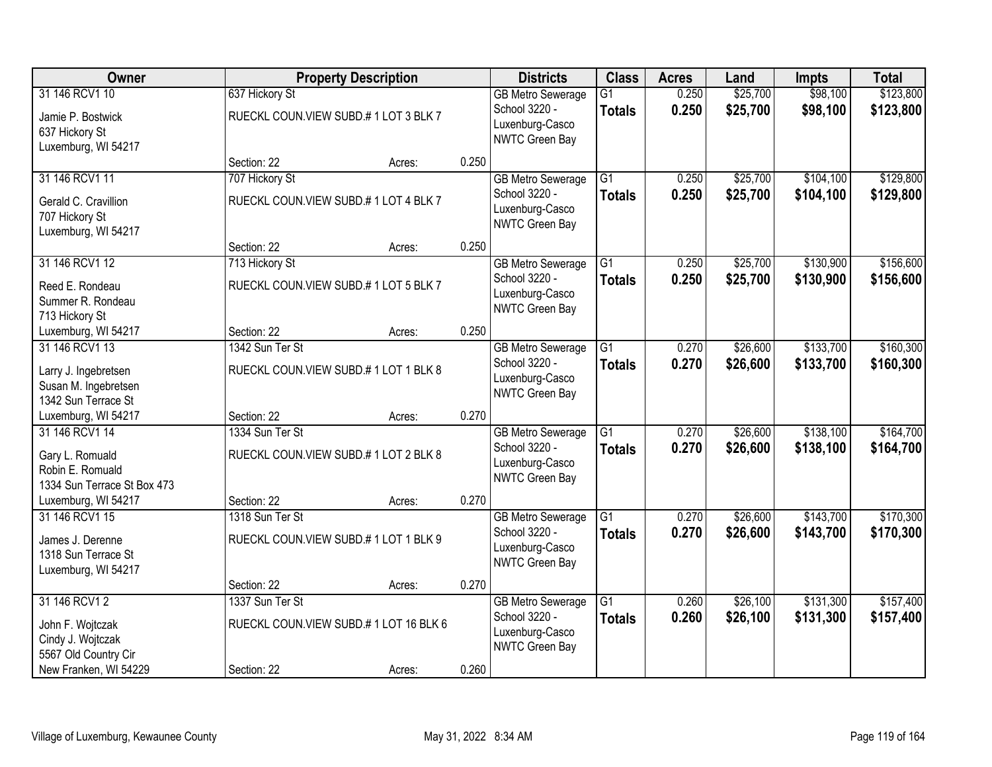| Owner                                     |                                      | <b>Property Description</b>           |       | <b>Districts</b>                  | <b>Class</b>    | <b>Acres</b> | Land     | <b>Impts</b> | <b>Total</b> |
|-------------------------------------------|--------------------------------------|---------------------------------------|-------|-----------------------------------|-----------------|--------------|----------|--------------|--------------|
| 31 146 RCV1 10                            | 637 Hickory St                       |                                       |       | <b>GB Metro Sewerage</b>          | $\overline{G1}$ | 0.250        | \$25,700 | \$98,100     | \$123,800    |
| Jamie P. Bostwick                         |                                      | RUECKL COUN.VIEW SUBD.#1 LOT 3 BLK 7  |       | School 3220 -<br>Luxenburg-Casco  | <b>Totals</b>   | 0.250        | \$25,700 | \$98,100     | \$123,800    |
| 637 Hickory St<br>Luxemburg, WI 54217     |                                      |                                       |       | NWTC Green Bay                    |                 |              |          |              |              |
|                                           | Section: 22                          | Acres:                                | 0.250 |                                   |                 |              |          |              |              |
| 31 146 RCV1 11                            | 707 Hickory St                       |                                       |       | <b>GB Metro Sewerage</b>          | G1              | 0.250        | \$25,700 | \$104,100    | \$129,800    |
| Gerald C. Cravillion                      |                                      | RUECKL COUN. VIEW SUBD.#1 LOT 4 BLK 7 |       | School 3220 -                     | <b>Totals</b>   | 0.250        | \$25,700 | \$104,100    | \$129,800    |
| 707 Hickory St                            |                                      |                                       |       | Luxenburg-Casco<br>NWTC Green Bay |                 |              |          |              |              |
| Luxemburg, WI 54217                       |                                      |                                       |       |                                   |                 |              |          |              |              |
| 31 146 RCV1 12                            | Section: 22<br>713 Hickory St        | Acres:                                | 0.250 | <b>GB Metro Sewerage</b>          | $\overline{G1}$ | 0.250        | \$25,700 | \$130,900    | \$156,600    |
|                                           |                                      |                                       |       | School 3220 -                     | <b>Totals</b>   | 0.250        | \$25,700 | \$130,900    | \$156,600    |
| Reed E. Rondeau<br>Summer R. Rondeau      |                                      | RUECKL COUN.VIEW SUBD.#1 LOT 5 BLK 7  |       | Luxenburg-Casco                   |                 |              |          |              |              |
| 713 Hickory St                            |                                      |                                       |       | NWTC Green Bay                    |                 |              |          |              |              |
| Luxemburg, WI 54217                       | Section: 22                          | Acres:                                | 0.250 |                                   |                 |              |          |              |              |
| 31 146 RCV1 13                            | 1342 Sun Ter St                      |                                       |       | <b>GB Metro Sewerage</b>          | G1              | 0.270        | \$26,600 | \$133,700    | \$160,300    |
| Larry J. Ingebretsen                      |                                      | RUECKL COUN.VIEW SUBD.#1 LOT 1 BLK 8  |       | School 3220 -<br>Luxenburg-Casco  | <b>Totals</b>   | 0.270        | \$26,600 | \$133,700    | \$160,300    |
| Susan M. Ingebretsen                      |                                      |                                       |       | NWTC Green Bay                    |                 |              |          |              |              |
| 1342 Sun Terrace St                       | Section: 22                          |                                       | 0.270 |                                   |                 |              |          |              |              |
| Luxemburg, WI 54217<br>31 146 RCV1 14     | 1334 Sun Ter St                      | Acres:                                |       | <b>GB Metro Sewerage</b>          | $\overline{G1}$ | 0.270        | \$26,600 | \$138,100    | \$164,700    |
|                                           |                                      |                                       |       | School 3220 -                     | <b>Totals</b>   | 0.270        | \$26,600 | \$138,100    | \$164,700    |
| Gary L. Romuald<br>Robin E. Romuald       |                                      | RUECKL COUN.VIEW SUBD.#1 LOT 2 BLK 8  |       | Luxenburg-Casco                   |                 |              |          |              |              |
| 1334 Sun Terrace St Box 473               |                                      |                                       |       | NWTC Green Bay                    |                 |              |          |              |              |
| Luxemburg, WI 54217                       | Section: 22                          | Acres:                                | 0.270 |                                   |                 |              |          |              |              |
| 31 146 RCV1 15                            | 1318 Sun Ter St                      |                                       |       | <b>GB Metro Sewerage</b>          | $\overline{G1}$ | 0.270        | \$26,600 | \$143,700    | \$170,300    |
| James J. Derenne                          | RUECKL COUN.VIEW SUBD.#1 LOT 1 BLK 9 |                                       |       | School 3220 -                     | <b>Totals</b>   | 0.270        | \$26,600 | \$143,700    | \$170,300    |
| 1318 Sun Terrace St                       |                                      |                                       |       | Luxenburg-Casco<br>NWTC Green Bay |                 |              |          |              |              |
| Luxemburg, WI 54217                       |                                      |                                       | 0.270 |                                   |                 |              |          |              |              |
| 31 146 RCV1 2                             | Section: 22<br>1337 Sun Ter St       | Acres:                                |       | <b>GB Metro Sewerage</b>          | $\overline{G1}$ | 0.260        | \$26,100 | \$131,300    | \$157,400    |
|                                           |                                      |                                       |       | School 3220 -                     | <b>Totals</b>   | 0.260        | \$26,100 | \$131,300    | \$157,400    |
| John F. Wojtczak                          |                                      | RUECKL COUN.VIEW SUBD.#1 LOT 16 BLK 6 |       | Luxenburg-Casco                   |                 |              |          |              |              |
| Cindy J. Wojtczak<br>5567 Old Country Cir |                                      |                                       |       | NWTC Green Bay                    |                 |              |          |              |              |
| New Franken, WI 54229                     | Section: 22                          | Acres:                                | 0.260 |                                   |                 |              |          |              |              |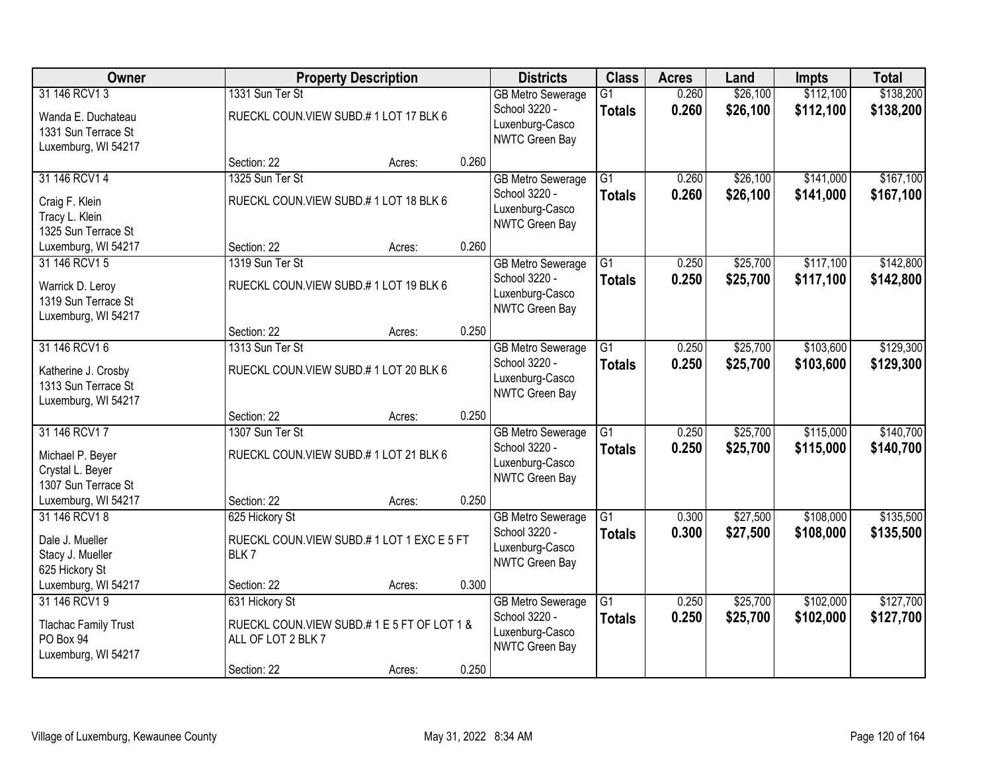| Owner                                                                              |                                                                                | <b>Property Description</b> |       | <b>Districts</b>                                                                      | <b>Class</b>                     | <b>Acres</b>   | Land                 | <b>Impts</b>           | <b>Total</b>           |
|------------------------------------------------------------------------------------|--------------------------------------------------------------------------------|-----------------------------|-------|---------------------------------------------------------------------------------------|----------------------------------|----------------|----------------------|------------------------|------------------------|
| 31 146 RCV1 3<br>Wanda E. Duchateau<br>1331 Sun Terrace St<br>Luxemburg, WI 54217  | 1331 Sun Ter St<br>RUECKL COUN.VIEW SUBD.#1 LOT 17 BLK 6                       |                             |       | <b>GB Metro Sewerage</b><br>School 3220 -<br>Luxenburg-Casco<br>NWTC Green Bay        | $\overline{G1}$<br><b>Totals</b> | 0.260<br>0.260 | \$26,100<br>\$26,100 | \$112,100<br>\$112,100 | \$138,200<br>\$138,200 |
|                                                                                    | Section: 22                                                                    | Acres:                      | 0.260 |                                                                                       |                                  |                |                      |                        |                        |
| 31 146 RCV1 4<br>Craig F. Klein<br>Tracy L. Klein<br>1325 Sun Terrace St           | 1325 Sun Ter St<br>RUECKL COUN.VIEW SUBD.#1 LOT 18 BLK 6                       |                             |       | <b>GB Metro Sewerage</b><br>School 3220 -<br>Luxenburg-Casco<br><b>NWTC Green Bay</b> | $\overline{G1}$<br><b>Totals</b> | 0.260<br>0.260 | \$26,100<br>\$26,100 | \$141,000<br>\$141,000 | \$167,100<br>\$167,100 |
| Luxemburg, WI 54217                                                                | Section: 22                                                                    | Acres:                      | 0.260 |                                                                                       |                                  |                |                      |                        |                        |
| 31 146 RCV1 5<br>Warrick D. Leroy<br>1319 Sun Terrace St<br>Luxemburg, WI 54217    | 1319 Sun Ter St<br>RUECKL COUN.VIEW SUBD.#1 LOT 19 BLK 6                       |                             |       | <b>GB Metro Sewerage</b><br>School 3220 -<br>Luxenburg-Casco<br>NWTC Green Bay        | G1<br><b>Totals</b>              | 0.250<br>0.250 | \$25,700<br>\$25,700 | \$117,100<br>\$117,100 | \$142,800<br>\$142,800 |
|                                                                                    | Section: 22                                                                    | Acres:                      | 0.250 |                                                                                       |                                  |                |                      |                        |                        |
| 31 146 RCV1 6<br>Katherine J. Crosby<br>1313 Sun Terrace St<br>Luxemburg, WI 54217 | 1313 Sun Ter St<br>RUECKL COUN.VIEW SUBD.#1 LOT 20 BLK 6                       |                             |       | <b>GB Metro Sewerage</b><br>School 3220 -<br>Luxenburg-Casco<br>NWTC Green Bay        | G1<br><b>Totals</b>              | 0.250<br>0.250 | \$25,700<br>\$25,700 | \$103,600<br>\$103,600 | \$129,300<br>\$129,300 |
|                                                                                    | Section: 22                                                                    | Acres:                      | 0.250 |                                                                                       |                                  |                |                      |                        |                        |
| 31 146 RCV1 7<br>Michael P. Beyer<br>Crystal L. Beyer<br>1307 Sun Terrace St       | 1307 Sun Ter St<br>RUECKL COUN.VIEW SUBD.#1 LOT 21 BLK 6                       |                             |       | <b>GB Metro Sewerage</b><br>School 3220 -<br>Luxenburg-Casco<br><b>NWTC Green Bay</b> | $\overline{G1}$<br><b>Totals</b> | 0.250<br>0.250 | \$25,700<br>\$25,700 | \$115,000<br>\$115,000 | \$140,700<br>\$140,700 |
| Luxemburg, WI 54217                                                                | Section: 22                                                                    | Acres:                      | 0.250 |                                                                                       |                                  |                |                      |                        |                        |
| 31 146 RCV18<br>Dale J. Mueller<br>Stacy J. Mueller<br>625 Hickory St              | 625 Hickory St<br>RUECKL COUN.VIEW SUBD.#1 LOT 1 EXC E 5 FT<br>BLK7            |                             |       | <b>GB Metro Sewerage</b><br>School 3220 -<br>Luxenburg-Casco<br>NWTC Green Bay        | G1<br><b>Totals</b>              | 0.300<br>0.300 | \$27,500<br>\$27,500 | \$108,000<br>\$108,000 | \$135,500<br>\$135,500 |
| Luxemburg, WI 54217                                                                | Section: 22                                                                    | Acres:                      | 0.300 |                                                                                       |                                  |                |                      |                        |                        |
| 31 146 RCV1 9<br><b>Tlachac Family Trust</b><br>PO Box 94<br>Luxemburg, WI 54217   | 631 Hickory St<br>RUECKL COUN.VIEW SUBD.#1E5FT OF LOT 1&<br>ALL OF LOT 2 BLK 7 |                             |       | <b>GB Metro Sewerage</b><br>School 3220 -<br>Luxenburg-Casco<br>NWTC Green Bay        | $\overline{G1}$<br><b>Totals</b> | 0.250<br>0.250 | \$25,700<br>\$25,700 | \$102,000<br>\$102,000 | \$127,700<br>\$127,700 |
|                                                                                    | Section: 22                                                                    | Acres:                      | 0.250 |                                                                                       |                                  |                |                      |                        |                        |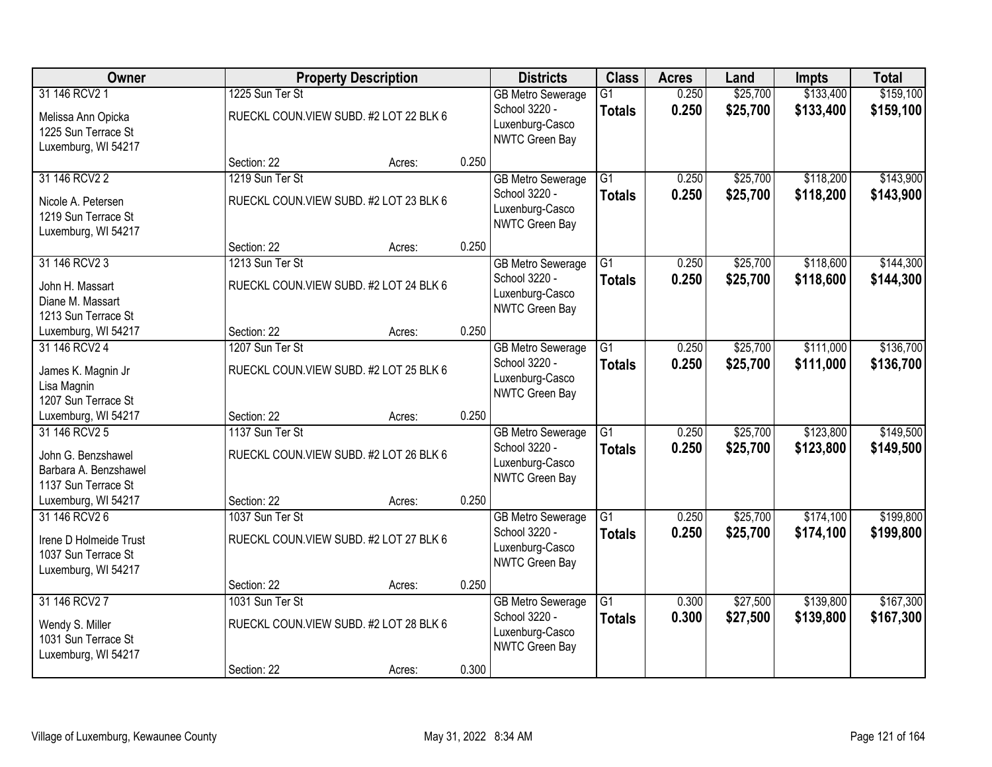| Owner                                                                                 |                 | <b>Property Description</b>            |       | <b>Districts</b>                                                                      | <b>Class</b>                     | <b>Acres</b>   | Land                 | <b>Impts</b>           | <b>Total</b>           |
|---------------------------------------------------------------------------------------|-----------------|----------------------------------------|-------|---------------------------------------------------------------------------------------|----------------------------------|----------------|----------------------|------------------------|------------------------|
| 31 146 RCV2 1<br>Melissa Ann Opicka<br>1225 Sun Terrace St<br>Luxemburg, WI 54217     | 1225 Sun Ter St | RUECKL COUN.VIEW SUBD. #2 LOT 22 BLK 6 |       | <b>GB Metro Sewerage</b><br>School 3220 -<br>Luxenburg-Casco<br>NWTC Green Bay        | $\overline{G1}$<br><b>Totals</b> | 0.250<br>0.250 | \$25,700<br>\$25,700 | \$133,400<br>\$133,400 | \$159,100<br>\$159,100 |
|                                                                                       | Section: 22     | Acres:                                 | 0.250 |                                                                                       |                                  |                |                      |                        |                        |
| 31 146 RCV2 2<br>Nicole A. Petersen<br>1219 Sun Terrace St<br>Luxemburg, WI 54217     | 1219 Sun Ter St | RUECKL COUN.VIEW SUBD. #2 LOT 23 BLK 6 |       | <b>GB Metro Sewerage</b><br>School 3220 -<br>Luxenburg-Casco<br>NWTC Green Bay        | G1<br><b>Totals</b>              | 0.250<br>0.250 | \$25,700<br>\$25,700 | \$118,200<br>\$118,200 | \$143,900<br>\$143,900 |
|                                                                                       | Section: 22     | Acres:                                 | 0.250 |                                                                                       |                                  |                |                      |                        |                        |
| 31 146 RCV2 3<br>John H. Massart<br>Diane M. Massart<br>1213 Sun Terrace St           | 1213 Sun Ter St | RUECKL COUN.VIEW SUBD. #2 LOT 24 BLK 6 |       | <b>GB Metro Sewerage</b><br>School 3220 -<br>Luxenburg-Casco<br>NWTC Green Bay        | G1<br><b>Totals</b>              | 0.250<br>0.250 | \$25,700<br>\$25,700 | \$118,600<br>\$118,600 | \$144,300<br>\$144,300 |
| Luxemburg, WI 54217                                                                   | Section: 22     | Acres:                                 | 0.250 |                                                                                       |                                  |                |                      |                        |                        |
| 31 146 RCV2 4<br>James K. Magnin Jr<br>Lisa Magnin<br>1207 Sun Terrace St             | 1207 Sun Ter St | RUECKL COUN.VIEW SUBD. #2 LOT 25 BLK 6 |       | <b>GB Metro Sewerage</b><br>School 3220 -<br>Luxenburg-Casco<br>NWTC Green Bay        | $\overline{G1}$<br><b>Totals</b> | 0.250<br>0.250 | \$25,700<br>\$25,700 | \$111,000<br>\$111,000 | \$136,700<br>\$136,700 |
| Luxemburg, WI 54217                                                                   | Section: 22     | Acres:                                 | 0.250 |                                                                                       |                                  |                |                      |                        |                        |
| 31 146 RCV2 5<br>John G. Benzshawel<br>Barbara A. Benzshawel<br>1137 Sun Terrace St   | 1137 Sun Ter St | RUECKL COUN.VIEW SUBD. #2 LOT 26 BLK 6 |       | <b>GB Metro Sewerage</b><br>School 3220 -<br>Luxenburg-Casco<br><b>NWTC Green Bay</b> | $\overline{G1}$<br><b>Totals</b> | 0.250<br>0.250 | \$25,700<br>\$25,700 | \$123,800<br>\$123,800 | \$149,500<br>\$149,500 |
| Luxemburg, WI 54217                                                                   | Section: 22     | Acres:                                 | 0.250 |                                                                                       |                                  |                |                      |                        |                        |
| 31 146 RCV2 6<br>Irene D Holmeide Trust<br>1037 Sun Terrace St<br>Luxemburg, WI 54217 | 1037 Sun Ter St | RUECKL COUN.VIEW SUBD. #2 LOT 27 BLK 6 |       | <b>GB Metro Sewerage</b><br>School 3220 -<br>Luxenburg-Casco<br>NWTC Green Bay        | $\overline{G1}$<br><b>Totals</b> | 0.250<br>0.250 | \$25,700<br>\$25,700 | \$174,100<br>\$174,100 | \$199,800<br>\$199,800 |
|                                                                                       | Section: 22     | Acres:                                 | 0.250 |                                                                                       |                                  |                |                      |                        |                        |
| 31 146 RCV2 7<br>Wendy S. Miller<br>1031 Sun Terrace St<br>Luxemburg, WI 54217        | 1031 Sun Ter St | RUECKL COUN.VIEW SUBD. #2 LOT 28 BLK 6 |       | <b>GB Metro Sewerage</b><br>School 3220 -<br>Luxenburg-Casco<br>NWTC Green Bay        | $\overline{G1}$<br><b>Totals</b> | 0.300<br>0.300 | \$27,500<br>\$27,500 | \$139,800<br>\$139,800 | \$167,300<br>\$167,300 |
|                                                                                       | Section: 22     | Acres:                                 | 0.300 |                                                                                       |                                  |                |                      |                        |                        |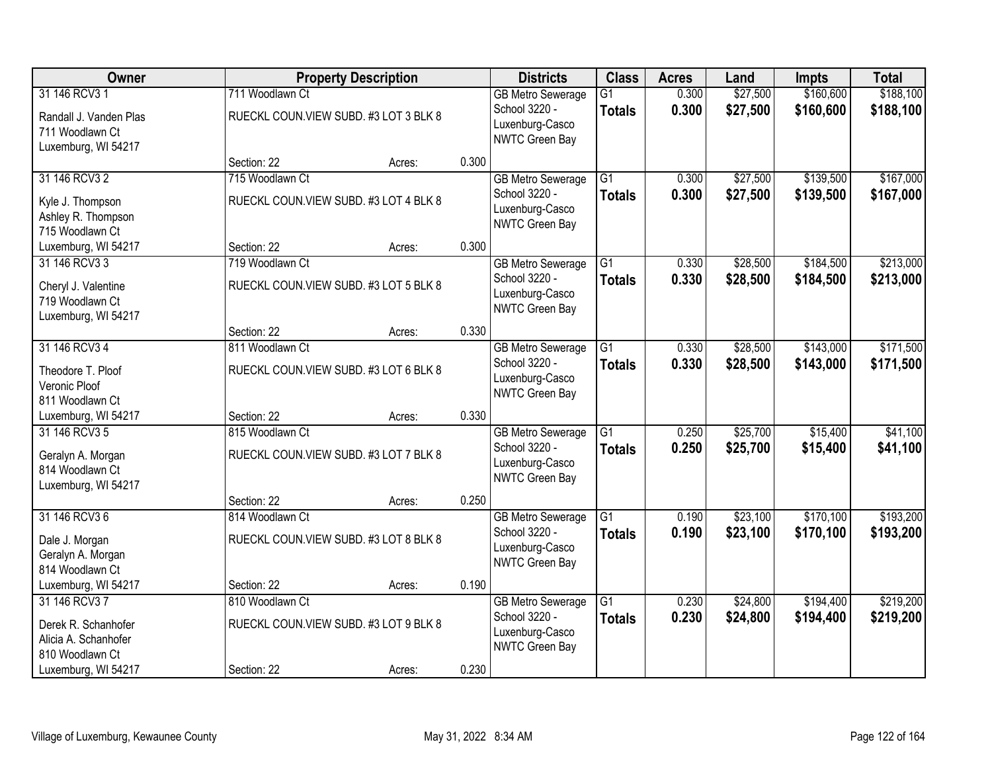| Owner                                       |                                        | <b>Property Description</b> |       | <b>Districts</b>                          | <b>Class</b>    | <b>Acres</b> | Land     | <b>Impts</b> | <b>Total</b> |
|---------------------------------------------|----------------------------------------|-----------------------------|-------|-------------------------------------------|-----------------|--------------|----------|--------------|--------------|
| 31 146 RCV3 1                               | 711 Woodlawn Ct                        |                             |       | <b>GB Metro Sewerage</b>                  | $\overline{G1}$ | 0.300        | \$27,500 | \$160,600    | \$188,100    |
| Randall J. Vanden Plas                      | RUECKL COUN.VIEW SUBD. #3 LOT 3 BLK 8  |                             |       | School 3220 -<br>Luxenburg-Casco          | <b>Totals</b>   | 0.300        | \$27,500 | \$160,600    | \$188,100    |
| 711 Woodlawn Ct                             |                                        |                             |       | NWTC Green Bay                            |                 |              |          |              |              |
| Luxemburg, WI 54217                         | Section: 22                            | Acres:                      | 0.300 |                                           |                 |              |          |              |              |
| 31 146 RCV3 2                               | 715 Woodlawn Ct                        |                             |       | <b>GB</b> Metro Sewerage                  | $\overline{G1}$ | 0.300        | \$27,500 | \$139,500    | \$167,000    |
|                                             | RUECKL COUN. VIEW SUBD. #3 LOT 4 BLK 8 |                             |       | School 3220 -                             | <b>Totals</b>   | 0.300        | \$27,500 | \$139,500    | \$167,000    |
| Kyle J. Thompson<br>Ashley R. Thompson      |                                        |                             |       | Luxenburg-Casco                           |                 |              |          |              |              |
| 715 Woodlawn Ct                             |                                        |                             |       | NWTC Green Bay                            |                 |              |          |              |              |
| Luxemburg, WI 54217                         | Section: 22                            | Acres:                      | 0.300 |                                           |                 |              |          |              |              |
| 31 146 RCV3 3                               | 719 Woodlawn Ct                        |                             |       | <b>GB Metro Sewerage</b>                  | $\overline{G1}$ | 0.330        | \$28,500 | \$184,500    | \$213,000    |
| Cheryl J. Valentine                         | RUECKL COUN.VIEW SUBD. #3 LOT 5 BLK 8  |                             |       | School 3220 -                             | <b>Totals</b>   | 0.330        | \$28,500 | \$184,500    | \$213,000    |
| 719 Woodlawn Ct                             |                                        |                             |       | Luxenburg-Casco<br>NWTC Green Bay         |                 |              |          |              |              |
| Luxemburg, WI 54217                         |                                        |                             |       |                                           |                 |              |          |              |              |
| 31 146 RCV3 4                               | Section: 22<br>811 Woodlawn Ct         | Acres:                      | 0.330 |                                           | G1              | 0.330        | \$28,500 | \$143,000    | \$171,500    |
|                                             |                                        |                             |       | <b>GB Metro Sewerage</b><br>School 3220 - | <b>Totals</b>   | 0.330        | \$28,500 | \$143,000    | \$171,500    |
| Theodore T. Ploof                           | RUECKL COUN. VIEW SUBD. #3 LOT 6 BLK 8 |                             |       | Luxenburg-Casco                           |                 |              |          |              |              |
| Veronic Ploof<br>811 Woodlawn Ct            |                                        |                             |       | NWTC Green Bay                            |                 |              |          |              |              |
| Luxemburg, WI 54217                         | Section: 22                            | Acres:                      | 0.330 |                                           |                 |              |          |              |              |
| 31 146 RCV3 5                               | 815 Woodlawn Ct                        |                             |       | <b>GB Metro Sewerage</b>                  | $\overline{G1}$ | 0.250        | \$25,700 | \$15,400     | \$41,100     |
| Geralyn A. Morgan                           | RUECKL COUN.VIEW SUBD. #3 LOT 7 BLK 8  |                             |       | School 3220 -                             | <b>Totals</b>   | 0.250        | \$25,700 | \$15,400     | \$41,100     |
| 814 Woodlawn Ct                             |                                        |                             |       | Luxenburg-Casco                           |                 |              |          |              |              |
| Luxemburg, WI 54217                         |                                        |                             |       | NWTC Green Bay                            |                 |              |          |              |              |
|                                             | Section: 22                            | Acres:                      | 0.250 |                                           |                 |              |          |              |              |
| 31 146 RCV3 6                               | 814 Woodlawn Ct                        |                             |       | <b>GB Metro Sewerage</b>                  | $\overline{G1}$ | 0.190        | \$23,100 | \$170,100    | \$193,200    |
| Dale J. Morgan                              | RUECKL COUN. VIEW SUBD. #3 LOT 8 BLK 8 |                             |       | School 3220 -<br>Luxenburg-Casco          | <b>Totals</b>   | 0.190        | \$23,100 | \$170,100    | \$193,200    |
| Geralyn A. Morgan                           |                                        |                             |       | NWTC Green Bay                            |                 |              |          |              |              |
| 814 Woodlawn Ct<br>Luxemburg, WI 54217      | Section: 22                            | Acres:                      | 0.190 |                                           |                 |              |          |              |              |
| 31 146 RCV3 7                               | 810 Woodlawn Ct                        |                             |       | <b>GB Metro Sewerage</b>                  | $\overline{G1}$ | 0.230        | \$24,800 | \$194,400    | \$219,200    |
|                                             |                                        |                             |       | School 3220 -                             | <b>Totals</b>   | 0.230        | \$24,800 | \$194,400    | \$219,200    |
| Derek R. Schanhofer<br>Alicia A. Schanhofer | RUECKL COUN. VIEW SUBD. #3 LOT 9 BLK 8 |                             |       | Luxenburg-Casco                           |                 |              |          |              |              |
| 810 Woodlawn Ct                             |                                        |                             |       | NWTC Green Bay                            |                 |              |          |              |              |
| Luxemburg, WI 54217                         | Section: 22                            | Acres:                      | 0.230 |                                           |                 |              |          |              |              |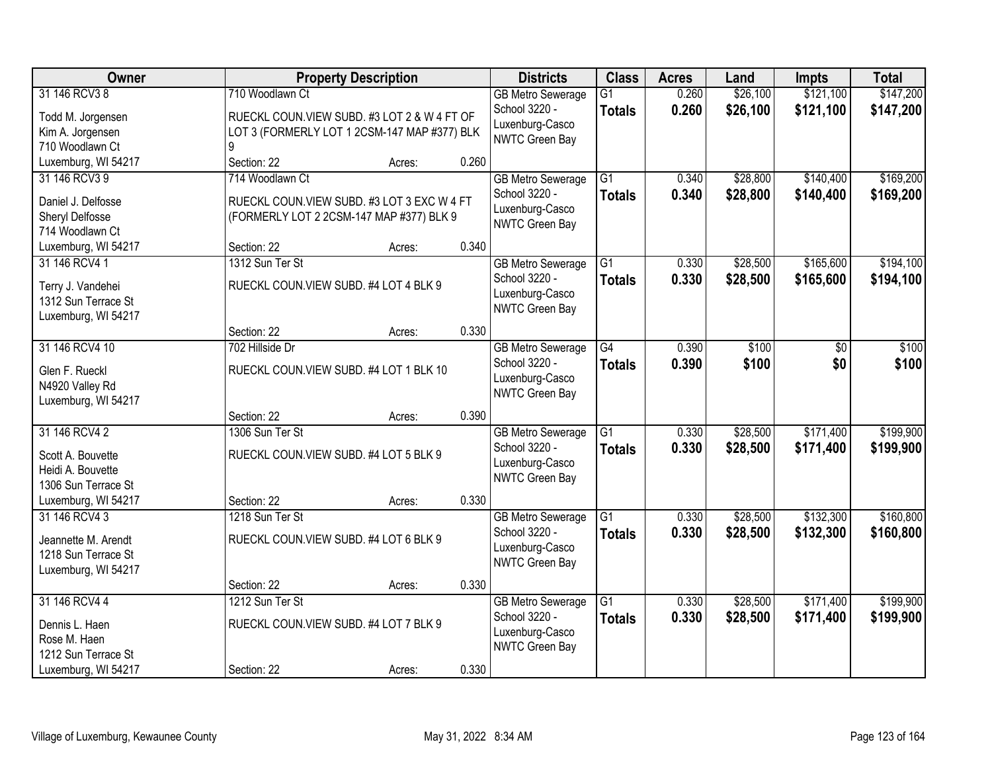| Owner               |                                              | <b>Property Description</b> |       | <b>Districts</b>         | <b>Class</b>    | <b>Acres</b> | Land     | <b>Impts</b> | <b>Total</b> |
|---------------------|----------------------------------------------|-----------------------------|-------|--------------------------|-----------------|--------------|----------|--------------|--------------|
| 31 146 RCV3 8       | 710 Woodlawn Ct                              |                             |       | <b>GB Metro Sewerage</b> | $\overline{G1}$ | 0.260        | \$26,100 | \$121,100    | \$147,200    |
| Todd M. Jorgensen   | RUECKL COUN.VIEW SUBD. #3 LOT 2 & W 4 FT OF  |                             |       | School 3220 -            | <b>Totals</b>   | 0.260        | \$26,100 | \$121,100    | \$147,200    |
| Kim A. Jorgensen    | LOT 3 (FORMERLY LOT 1 2CSM-147 MAP #377) BLK |                             |       | Luxenburg-Casco          |                 |              |          |              |              |
| 710 Woodlawn Ct     |                                              |                             |       | <b>NWTC Green Bay</b>    |                 |              |          |              |              |
| Luxemburg, WI 54217 | Section: 22                                  | Acres:                      | 0.260 |                          |                 |              |          |              |              |
| 31 146 RCV3 9       | 714 Woodlawn Ct                              |                             |       | <b>GB Metro Sewerage</b> | $\overline{G1}$ | 0.340        | \$28,800 | \$140,400    | \$169,200    |
| Daniel J. Delfosse  | RUECKL COUN. VIEW SUBD. #3 LOT 3 EXC W 4 FT  |                             |       | School 3220 -            | <b>Totals</b>   | 0.340        | \$28,800 | \$140,400    | \$169,200    |
| Sheryl Delfosse     | (FORMERLY LOT 2 2CSM-147 MAP #377) BLK 9     |                             |       | Luxenburg-Casco          |                 |              |          |              |              |
| 714 Woodlawn Ct     |                                              |                             |       | <b>NWTC Green Bay</b>    |                 |              |          |              |              |
| Luxemburg, WI 54217 | Section: 22                                  | Acres:                      | 0.340 |                          |                 |              |          |              |              |
| 31 146 RCV4 1       | 1312 Sun Ter St                              |                             |       | <b>GB Metro Sewerage</b> | $\overline{G1}$ | 0.330        | \$28,500 | \$165,600    | \$194,100    |
| Terry J. Vandehei   | RUECKL COUN.VIEW SUBD. #4 LOT 4 BLK 9        |                             |       | School 3220 -            | <b>Totals</b>   | 0.330        | \$28,500 | \$165,600    | \$194,100    |
| 1312 Sun Terrace St |                                              |                             |       | Luxenburg-Casco          |                 |              |          |              |              |
| Luxemburg, WI 54217 |                                              |                             |       | NWTC Green Bay           |                 |              |          |              |              |
|                     | Section: 22                                  | Acres:                      | 0.330 |                          |                 |              |          |              |              |
| 31 146 RCV4 10      | 702 Hillside Dr                              |                             |       | <b>GB Metro Sewerage</b> | G4              | 0.390        | \$100    | \$0          | \$100        |
| Glen F. Rueckl      | RUECKL COUN. VIEW SUBD. #4 LOT 1 BLK 10      |                             |       | School 3220 -            | <b>Totals</b>   | 0.390        | \$100    | \$0          | \$100        |
| N4920 Valley Rd     |                                              |                             |       | Luxenburg-Casco          |                 |              |          |              |              |
| Luxemburg, WI 54217 |                                              |                             |       | NWTC Green Bay           |                 |              |          |              |              |
|                     | Section: 22                                  | Acres:                      | 0.390 |                          |                 |              |          |              |              |
| 31 146 RCV4 2       | 1306 Sun Ter St                              |                             |       | <b>GB Metro Sewerage</b> | $\overline{G1}$ | 0.330        | \$28,500 | \$171,400    | \$199,900    |
| Scott A. Bouvette   | RUECKL COUN.VIEW SUBD. #4 LOT 5 BLK 9        |                             |       | School 3220 -            | <b>Totals</b>   | 0.330        | \$28,500 | \$171,400    | \$199,900    |
| Heidi A. Bouvette   |                                              |                             |       | Luxenburg-Casco          |                 |              |          |              |              |
| 1306 Sun Terrace St |                                              |                             |       | <b>NWTC Green Bay</b>    |                 |              |          |              |              |
| Luxemburg, WI 54217 | Section: 22                                  | Acres:                      | 0.330 |                          |                 |              |          |              |              |
| 31 146 RCV4 3       | 1218 Sun Ter St                              |                             |       | <b>GB Metro Sewerage</b> | $\overline{G1}$ | 0.330        | \$28,500 | \$132,300    | \$160,800    |
| Jeannette M. Arendt | RUECKL COUN. VIEW SUBD. #4 LOT 6 BLK 9       |                             |       | School 3220 -            | <b>Totals</b>   | 0.330        | \$28,500 | \$132,300    | \$160,800    |
| 1218 Sun Terrace St |                                              |                             |       | Luxenburg-Casco          |                 |              |          |              |              |
| Luxemburg, WI 54217 |                                              |                             |       | NWTC Green Bay           |                 |              |          |              |              |
|                     | Section: 22                                  | Acres:                      | 0.330 |                          |                 |              |          |              |              |
| 31 146 RCV4 4       | 1212 Sun Ter St                              |                             |       | <b>GB Metro Sewerage</b> | $\overline{G1}$ | 0.330        | \$28,500 | \$171,400    | \$199,900    |
| Dennis L. Haen      | RUECKL COUN.VIEW SUBD. #4 LOT 7 BLK 9        |                             |       | School 3220 -            | <b>Totals</b>   | 0.330        | \$28,500 | \$171,400    | \$199,900    |
| Rose M. Haen        |                                              |                             |       | Luxenburg-Casco          |                 |              |          |              |              |
| 1212 Sun Terrace St |                                              |                             |       | NWTC Green Bay           |                 |              |          |              |              |
| Luxemburg, WI 54217 | Section: 22                                  | Acres:                      | 0.330 |                          |                 |              |          |              |              |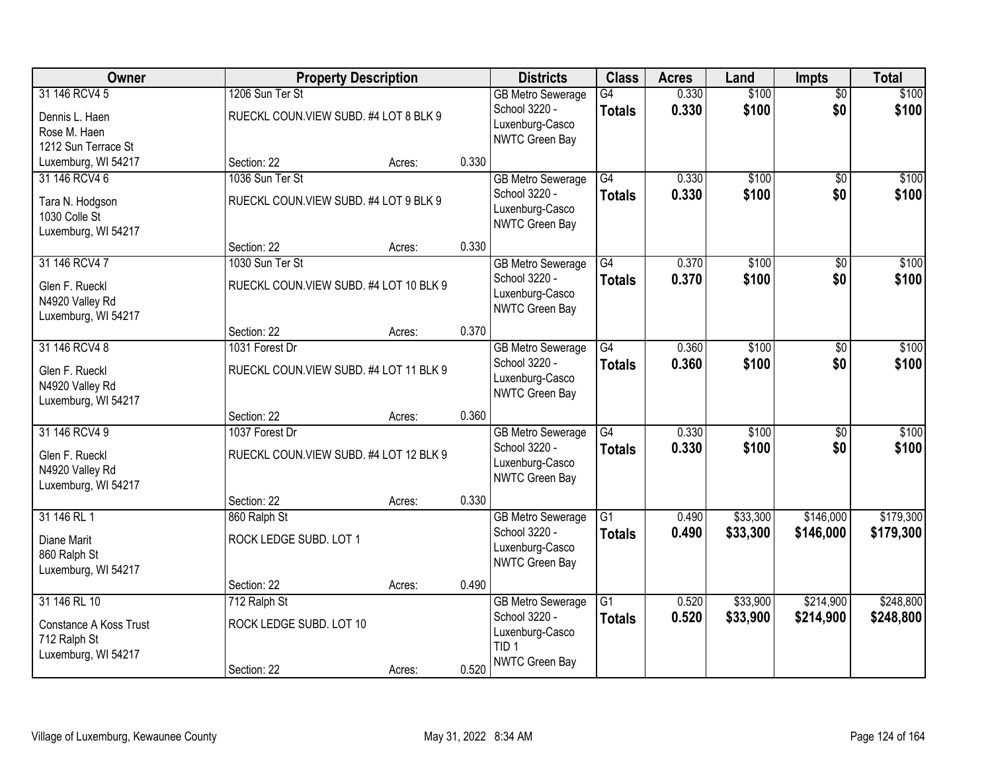| Owner                  |                         | <b>Property Description</b>             |       | <b>Districts</b>                          | <b>Class</b>    | <b>Acres</b> | Land     | Impts           | <b>Total</b> |
|------------------------|-------------------------|-----------------------------------------|-------|-------------------------------------------|-----------------|--------------|----------|-----------------|--------------|
| 31 146 RCV4 5          | 1206 Sun Ter St         |                                         |       | <b>GB Metro Sewerage</b>                  | G4              | 0.330        | \$100    | $\overline{50}$ | \$100        |
| Dennis L. Haen         |                         | RUECKL COUN.VIEW SUBD. #4 LOT 8 BLK 9   |       | School 3220 -<br>Luxenburg-Casco          | <b>Totals</b>   | 0.330        | \$100    | \$0             | \$100        |
| Rose M. Haen           |                         |                                         |       | NWTC Green Bay                            |                 |              |          |                 |              |
| 1212 Sun Terrace St    |                         |                                         |       |                                           |                 |              |          |                 |              |
| Luxemburg, WI 54217    | Section: 22             | Acres:                                  | 0.330 |                                           |                 |              |          |                 |              |
| 31 146 RCV4 6          | 1036 Sun Ter St         |                                         |       | <b>GB Metro Sewerage</b>                  | G4              | 0.330        | \$100    | $\overline{50}$ | \$100        |
| Tara N. Hodgson        |                         | RUECKL COUN. VIEW SUBD. #4 LOT 9 BLK 9  |       | School 3220 -                             | <b>Totals</b>   | 0.330        | \$100    | \$0             | \$100        |
| 1030 Colle St          |                         |                                         |       | Luxenburg-Casco                           |                 |              |          |                 |              |
| Luxemburg, WI 54217    |                         |                                         |       | <b>NWTC Green Bay</b>                     |                 |              |          |                 |              |
|                        | Section: 22             | Acres:                                  | 0.330 |                                           |                 |              |          |                 |              |
| 31 146 RCV4 7          | 1030 Sun Ter St         |                                         |       | <b>GB Metro Sewerage</b>                  | G4              | 0.370        | \$100    | \$0             | \$100        |
| Glen F. Rueckl         |                         | RUECKL COUN.VIEW SUBD. #4 LOT 10 BLK 9  |       | School 3220 -                             | <b>Totals</b>   | 0.370        | \$100    | \$0             | \$100        |
| N4920 Valley Rd        |                         |                                         |       | Luxenburg-Casco                           |                 |              |          |                 |              |
| Luxemburg, WI 54217    |                         |                                         |       | NWTC Green Bay                            |                 |              |          |                 |              |
|                        | Section: 22             | Acres:                                  | 0.370 |                                           |                 |              |          |                 |              |
| 31 146 RCV4 8          | 1031 Forest Dr          |                                         |       | <b>GB Metro Sewerage</b>                  | G4              | 0.360        | \$100    | \$0             | \$100        |
| Glen F. Rueckl         |                         | RUECKL COUN. VIEW SUBD. #4 LOT 11 BLK 9 |       | School 3220 -                             | <b>Totals</b>   | 0.360        | \$100    | \$0             | \$100        |
| N4920 Valley Rd        |                         |                                         |       | Luxenburg-Casco                           |                 |              |          |                 |              |
| Luxemburg, WI 54217    |                         |                                         |       | NWTC Green Bay                            |                 |              |          |                 |              |
|                        | Section: 22             | Acres:                                  | 0.360 |                                           |                 |              |          |                 |              |
| 31 146 RCV4 9          | 1037 Forest Dr          |                                         |       | <b>GB Metro Sewerage</b>                  | G4              | 0.330        | \$100    | $\overline{50}$ | \$100        |
|                        |                         |                                         |       | School 3220 -                             | <b>Totals</b>   | 0.330        | \$100    | \$0             | \$100        |
| Glen F. Rueckl         |                         | RUECKL COUN.VIEW SUBD. #4 LOT 12 BLK 9  |       | Luxenburg-Casco                           |                 |              |          |                 |              |
| N4920 Valley Rd        |                         |                                         |       | <b>NWTC Green Bay</b>                     |                 |              |          |                 |              |
| Luxemburg, WI 54217    | Section: 22             | Acres:                                  | 0.330 |                                           |                 |              |          |                 |              |
| 31 146 RL 1            | 860 Ralph St            |                                         |       | <b>GB Metro Sewerage</b>                  | $\overline{G1}$ | 0.490        | \$33,300 | \$146,000       | \$179,300    |
|                        |                         |                                         |       | School 3220 -                             | <b>Totals</b>   | 0.490        | \$33,300 | \$146,000       | \$179,300    |
| Diane Marit            | ROCK LEDGE SUBD. LOT 1  |                                         |       | Luxenburg-Casco                           |                 |              |          |                 |              |
| 860 Ralph St           |                         |                                         |       | <b>NWTC Green Bay</b>                     |                 |              |          |                 |              |
| Luxemburg, WI 54217    |                         |                                         |       |                                           |                 |              |          |                 |              |
| 31 146 RL 10           | Section: 22             | Acres:                                  | 0.490 |                                           | $\overline{G1}$ | 0.520        |          | \$214,900       | \$248,800    |
|                        | 712 Ralph St            |                                         |       | <b>GB Metro Sewerage</b><br>School 3220 - |                 |              | \$33,900 |                 |              |
| Constance A Koss Trust | ROCK LEDGE SUBD. LOT 10 |                                         |       |                                           | <b>Totals</b>   | 0.520        | \$33,900 | \$214,900       | \$248,800    |
| 712 Ralph St           |                         |                                         |       | Luxenburg-Casco<br>TID <sub>1</sub>       |                 |              |          |                 |              |
| Luxemburg, WI 54217    |                         |                                         |       | <b>NWTC Green Bay</b>                     |                 |              |          |                 |              |
|                        | Section: 22             | Acres:                                  | 0.520 |                                           |                 |              |          |                 |              |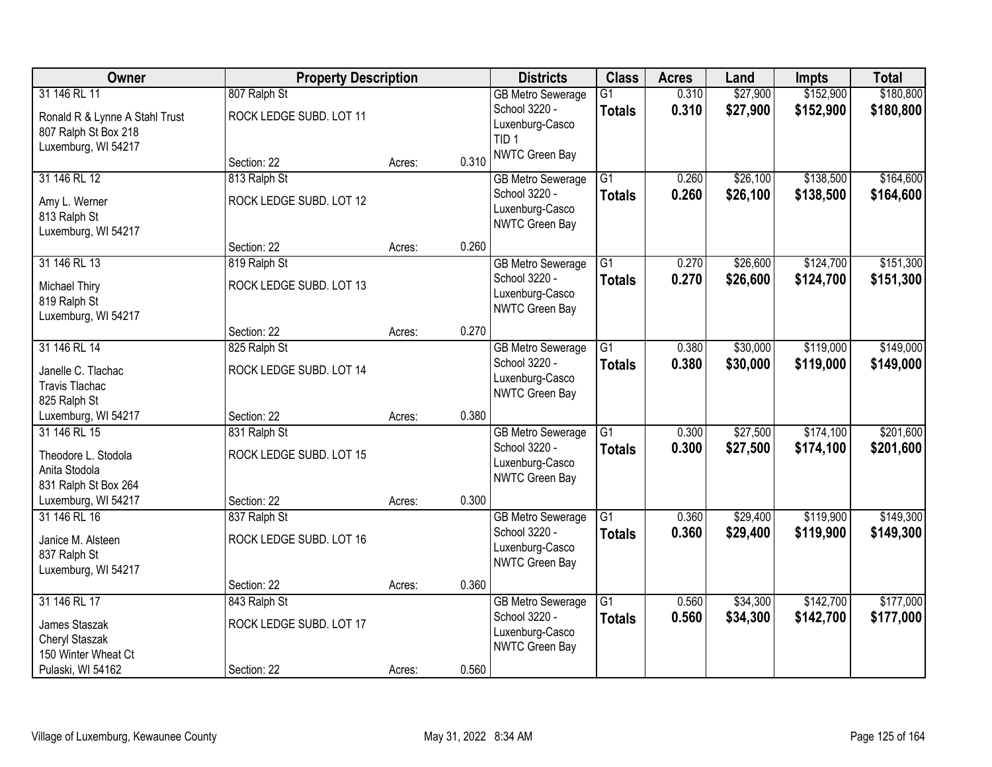| Owner                          | <b>Property Description</b> |        |       | <b>Districts</b>                          | <b>Class</b>    | <b>Acres</b>   | Land                 | <b>Impts</b> | <b>Total</b> |
|--------------------------------|-----------------------------|--------|-------|-------------------------------------------|-----------------|----------------|----------------------|--------------|--------------|
| 31 146 RL 11                   | 807 Ralph St                |        |       | <b>GB Metro Sewerage</b>                  | $\overline{G1}$ | 0.310          | \$27,900             | \$152,900    | \$180,800    |
| Ronald R & Lynne A Stahl Trust | ROCK LEDGE SUBD. LOT 11     |        |       | School 3220 -                             | <b>Totals</b>   | 0.310          | \$27,900             | \$152,900    | \$180,800    |
| 807 Ralph St Box 218           |                             |        |       | Luxenburg-Casco<br>TID <sub>1</sub>       |                 |                |                      |              |              |
| Luxemburg, WI 54217            |                             |        |       | NWTC Green Bay                            |                 |                |                      |              |              |
|                                | Section: 22                 | Acres: | 0.310 |                                           |                 |                |                      |              |              |
| 31 146 RL 12                   | 813 Ralph St                |        |       | <b>GB Metro Sewerage</b>                  | $\overline{G1}$ | 0.260          | \$26,100             | \$138,500    | \$164,600    |
| Amy L. Werner                  | ROCK LEDGE SUBD. LOT 12     |        |       | School 3220 -                             | <b>Totals</b>   | 0.260          | \$26,100             | \$138,500    | \$164,600    |
| 813 Ralph St                   |                             |        |       | Luxenburg-Casco<br>NWTC Green Bay         |                 |                |                      |              |              |
| Luxemburg, WI 54217            |                             |        |       |                                           |                 |                |                      |              |              |
|                                | Section: 22                 | Acres: | 0.260 |                                           |                 |                |                      |              |              |
| 31 146 RL 13                   | 819 Ralph St                |        |       | <b>GB Metro Sewerage</b>                  | $\overline{G1}$ | 0.270          | \$26,600             | \$124,700    | \$151,300    |
| <b>Michael Thiry</b>           | ROCK LEDGE SUBD. LOT 13     |        |       | School 3220 -                             | <b>Totals</b>   | 0.270          | \$26,600             | \$124,700    | \$151,300    |
| 819 Ralph St                   |                             |        |       | Luxenburg-Casco<br>NWTC Green Bay         |                 |                |                      |              |              |
| Luxemburg, WI 54217            |                             |        |       |                                           |                 |                |                      |              |              |
|                                | Section: 22                 | Acres: | 0.270 |                                           |                 |                |                      |              |              |
| 31 146 RL 14                   | 825 Ralph St                |        |       | <b>GB Metro Sewerage</b>                  | $\overline{G1}$ | 0.380          | \$30,000             | \$119,000    | \$149,000    |
| Janelle C. Tlachac             | ROCK LEDGE SUBD. LOT 14     |        |       | School 3220 -<br>Luxenburg-Casco          | <b>Totals</b>   | 0.380          | \$30,000             | \$119,000    | \$149,000    |
| <b>Travis Tlachac</b>          |                             |        |       | NWTC Green Bay                            |                 |                |                      |              |              |
| 825 Ralph St                   |                             |        |       |                                           |                 |                |                      |              |              |
| Luxemburg, WI 54217            | Section: 22                 | Acres: | 0.380 |                                           |                 |                |                      |              |              |
| 31 146 RL 15                   | 831 Ralph St                |        |       | <b>GB Metro Sewerage</b>                  | $\overline{G1}$ | 0.300          | \$27,500             | \$174,100    | \$201,600    |
| Theodore L. Stodola            | ROCK LEDGE SUBD. LOT 15     |        |       | School 3220 -<br>Luxenburg-Casco          | <b>Totals</b>   | 0.300          | \$27,500             | \$174,100    | \$201,600    |
| Anita Stodola                  |                             |        |       | NWTC Green Bay                            |                 |                |                      |              |              |
| 831 Ralph St Box 264           |                             |        |       |                                           |                 |                |                      |              |              |
| Luxemburg, WI 54217            | Section: 22                 | Acres: | 0.300 |                                           |                 |                |                      |              |              |
| 31 146 RL 16                   | 837 Ralph St                |        |       | <b>GB Metro Sewerage</b><br>School 3220 - | $\overline{G1}$ | 0.360          | \$29,400             | \$119,900    | \$149,300    |
| Janice M. Alsteen              | ROCK LEDGE SUBD. LOT 16     |        |       | Luxenburg-Casco                           | <b>Totals</b>   | 0.360          | \$29,400             | \$119,900    | \$149,300    |
| 837 Ralph St                   |                             |        |       | NWTC Green Bay                            |                 |                |                      |              |              |
| Luxemburg, WI 54217            |                             |        |       |                                           |                 |                |                      |              |              |
| 31 146 RL 17                   | Section: 22                 | Acres: | 0.360 |                                           |                 |                |                      | \$142,700    | \$177,000    |
|                                | 843 Ralph St                |        |       | <b>GB Metro Sewerage</b><br>School 3220 - | $\overline{G1}$ | 0.560<br>0.560 | \$34,300<br>\$34,300 | \$142,700    | \$177,000    |
| James Staszak                  | ROCK LEDGE SUBD. LOT 17     |        |       | Luxenburg-Casco                           | <b>Totals</b>   |                |                      |              |              |
| Cheryl Staszak                 |                             |        |       | NWTC Green Bay                            |                 |                |                      |              |              |
| 150 Winter Wheat Ct            |                             |        |       |                                           |                 |                |                      |              |              |
| Pulaski, WI 54162              | Section: 22                 | Acres: | 0.560 |                                           |                 |                |                      |              |              |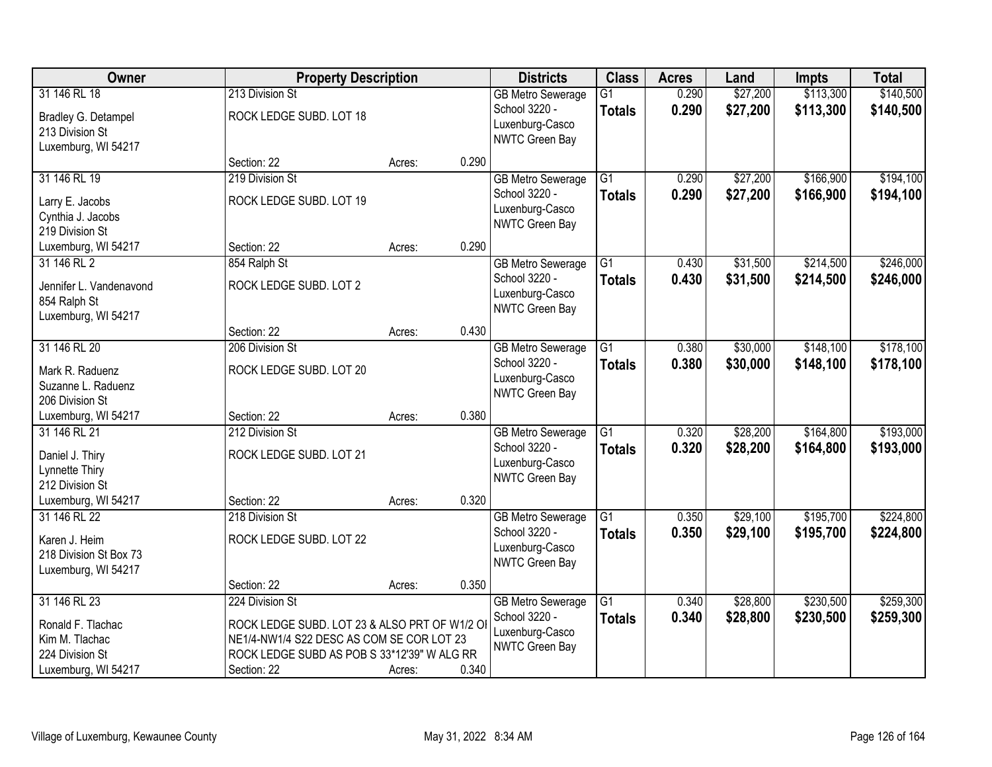| Owner                                  | <b>Property Description</b>                   |        |       | <b>Districts</b>                                             | <b>Class</b>                     | <b>Acres</b>   | Land                 | <b>Impts</b>           | <b>Total</b>           |
|----------------------------------------|-----------------------------------------------|--------|-------|--------------------------------------------------------------|----------------------------------|----------------|----------------------|------------------------|------------------------|
| 31 146 RL 18<br>Bradley G. Detampel    | 213 Division St<br>ROCK LEDGE SUBD. LOT 18    |        |       | <b>GB Metro Sewerage</b><br>School 3220 -<br>Luxenburg-Casco | $\overline{G1}$<br><b>Totals</b> | 0.290<br>0.290 | \$27,200<br>\$27,200 | \$113,300<br>\$113,300 | \$140,500<br>\$140,500 |
| 213 Division St<br>Luxemburg, WI 54217 |                                               |        |       | NWTC Green Bay                                               |                                  |                |                      |                        |                        |
|                                        | Section: 22                                   | Acres: | 0.290 |                                                              |                                  |                |                      |                        |                        |
| 31 146 RL 19                           | 219 Division St                               |        |       | <b>GB Metro Sewerage</b>                                     | $\overline{G1}$                  | 0.290          | \$27,200             | \$166,900              | \$194,100              |
| Larry E. Jacobs                        | ROCK LEDGE SUBD. LOT 19                       |        |       | School 3220 -                                                | <b>Totals</b>                    | 0.290          | \$27,200             | \$166,900              | \$194,100              |
| Cynthia J. Jacobs                      |                                               |        |       | Luxenburg-Casco<br>NWTC Green Bay                            |                                  |                |                      |                        |                        |
| 219 Division St                        |                                               |        |       |                                                              |                                  |                |                      |                        |                        |
| Luxemburg, WI 54217                    | Section: 22                                   | Acres: | 0.290 |                                                              |                                  |                |                      |                        |                        |
| 31 146 RL 2                            | 854 Ralph St                                  |        |       | <b>GB Metro Sewerage</b>                                     | G1                               | 0.430          | \$31,500             | \$214,500              | \$246,000              |
| Jennifer L. Vandenavond                | ROCK LEDGE SUBD. LOT 2                        |        |       | School 3220 -                                                | <b>Totals</b>                    | 0.430          | \$31,500             | \$214,500              | \$246,000              |
| 854 Ralph St                           |                                               |        |       | Luxenburg-Casco<br>NWTC Green Bay                            |                                  |                |                      |                        |                        |
| Luxemburg, WI 54217                    |                                               |        |       |                                                              |                                  |                |                      |                        |                        |
|                                        | Section: 22                                   | Acres: | 0.430 |                                                              |                                  |                |                      |                        |                        |
| 31 146 RL 20                           | 206 Division St                               |        |       | <b>GB Metro Sewerage</b>                                     | G1                               | 0.380          | \$30,000             | \$148,100              | \$178,100              |
| Mark R. Raduenz                        | ROCK LEDGE SUBD. LOT 20                       |        |       | School 3220 -                                                | <b>Totals</b>                    | 0.380          | \$30,000             | \$148,100              | \$178,100              |
| Suzanne L. Raduenz                     |                                               |        |       | Luxenburg-Casco<br>NWTC Green Bay                            |                                  |                |                      |                        |                        |
| 206 Division St                        |                                               |        |       |                                                              |                                  |                |                      |                        |                        |
| Luxemburg, WI 54217                    | Section: 22                                   | Acres: | 0.380 |                                                              |                                  |                |                      |                        |                        |
| 31 146 RL 21                           | 212 Division St                               |        |       | <b>GB Metro Sewerage</b>                                     | $\overline{G1}$                  | 0.320          | \$28,200             | \$164,800              | \$193,000              |
| Daniel J. Thiry                        | ROCK LEDGE SUBD. LOT 21                       |        |       | School 3220 -                                                | <b>Totals</b>                    | 0.320          | \$28,200             | \$164,800              | \$193,000              |
| Lynnette Thiry                         |                                               |        |       | Luxenburg-Casco<br>NWTC Green Bay                            |                                  |                |                      |                        |                        |
| 212 Division St                        |                                               |        |       |                                                              |                                  |                |                      |                        |                        |
| Luxemburg, WI 54217                    | Section: 22                                   | Acres: | 0.320 |                                                              |                                  |                |                      |                        |                        |
| 31 146 RL 22                           | 218 Division St                               |        |       | <b>GB Metro Sewerage</b>                                     | $\overline{G1}$                  | 0.350          | \$29,100             | \$195,700              | \$224,800              |
| Karen J. Heim                          | ROCK LEDGE SUBD. LOT 22                       |        |       | School 3220 -                                                | <b>Totals</b>                    | 0.350          | \$29,100             | \$195,700              | \$224,800              |
| 218 Division St Box 73                 |                                               |        |       | Luxenburg-Casco<br>NWTC Green Bay                            |                                  |                |                      |                        |                        |
| Luxemburg, WI 54217                    |                                               |        |       |                                                              |                                  |                |                      |                        |                        |
|                                        | Section: 22                                   | Acres: | 0.350 |                                                              |                                  |                |                      |                        |                        |
| 31 146 RL 23                           | 224 Division St                               |        |       | <b>GB Metro Sewerage</b>                                     | $\overline{G1}$                  | 0.340          | \$28,800             | \$230,500              | \$259,300              |
| Ronald F. Tlachac                      | ROCK LEDGE SUBD. LOT 23 & ALSO PRT OF W1/2 OI |        |       | School 3220 -                                                | <b>Totals</b>                    | 0.340          | \$28,800             | \$230,500              | \$259,300              |
| Kim M. Tlachac                         | NE1/4-NW1/4 S22 DESC AS COM SE COR LOT 23     |        |       | Luxenburg-Casco<br><b>NWTC Green Bay</b>                     |                                  |                |                      |                        |                        |
| 224 Division St                        | ROCK LEDGE SUBD AS POB S 33*12'39" W ALG RR   |        |       |                                                              |                                  |                |                      |                        |                        |
| Luxemburg, WI 54217                    | Section: 22                                   | Acres: | 0.340 |                                                              |                                  |                |                      |                        |                        |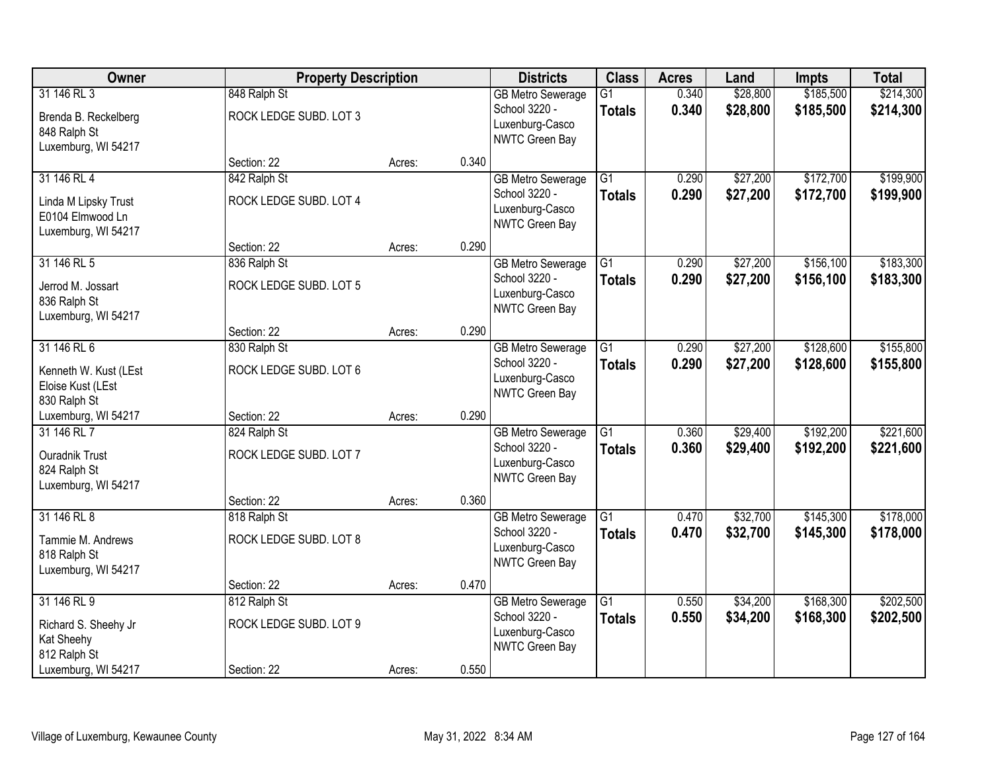| Owner                                                                          | <b>Property Description</b>            |        |       | <b>Districts</b>                                                               | <b>Class</b>                     | <b>Acres</b>   | Land                 | <b>Impts</b>           | <b>Total</b>           |
|--------------------------------------------------------------------------------|----------------------------------------|--------|-------|--------------------------------------------------------------------------------|----------------------------------|----------------|----------------------|------------------------|------------------------|
| 31 146 RL 3<br>Brenda B. Reckelberg<br>848 Ralph St<br>Luxemburg, WI 54217     | 848 Ralph St<br>ROCK LEDGE SUBD. LOT 3 |        |       | <b>GB Metro Sewerage</b><br>School 3220 -<br>Luxenburg-Casco<br>NWTC Green Bay | $\overline{G1}$<br><b>Totals</b> | 0.340<br>0.340 | \$28,800<br>\$28,800 | \$185,500<br>\$185,500 | \$214,300<br>\$214,300 |
|                                                                                | Section: 22                            | Acres: | 0.340 |                                                                                |                                  |                |                      |                        |                        |
| 31 146 RL 4<br>Linda M Lipsky Trust<br>E0104 Elmwood Ln<br>Luxemburg, WI 54217 | 842 Ralph St<br>ROCK LEDGE SUBD. LOT 4 |        |       | <b>GB Metro Sewerage</b><br>School 3220 -<br>Luxenburg-Casco<br>NWTC Green Bay | $\overline{G1}$<br><b>Totals</b> | 0.290<br>0.290 | \$27,200<br>\$27,200 | \$172,700<br>\$172,700 | \$199,900<br>\$199,900 |
|                                                                                | Section: 22                            | Acres: | 0.290 |                                                                                |                                  |                |                      |                        |                        |
| 31 146 RL 5<br>Jerrod M. Jossart<br>836 Ralph St<br>Luxemburg, WI 54217        | 836 Ralph St<br>ROCK LEDGE SUBD. LOT 5 |        |       | <b>GB Metro Sewerage</b><br>School 3220 -<br>Luxenburg-Casco<br>NWTC Green Bay | $\overline{G1}$<br><b>Totals</b> | 0.290<br>0.290 | \$27,200<br>\$27,200 | \$156,100<br>\$156,100 | \$183,300<br>\$183,300 |
|                                                                                | Section: 22                            | Acres: | 0.290 |                                                                                |                                  |                |                      |                        |                        |
| 31 146 RL 6<br>Kenneth W. Kust (LEst<br>Eloise Kust (LEst<br>830 Ralph St      | 830 Ralph St<br>ROCK LEDGE SUBD. LOT 6 |        |       | <b>GB Metro Sewerage</b><br>School 3220 -<br>Luxenburg-Casco<br>NWTC Green Bay | G1<br><b>Totals</b>              | 0.290<br>0.290 | \$27,200<br>\$27,200 | \$128,600<br>\$128,600 | \$155,800<br>\$155,800 |
| Luxemburg, WI 54217                                                            | Section: 22                            | Acres: | 0.290 |                                                                                |                                  |                |                      |                        |                        |
| 31 146 RL 7<br>Ouradnik Trust<br>824 Ralph St<br>Luxemburg, WI 54217           | 824 Ralph St<br>ROCK LEDGE SUBD. LOT 7 |        |       | <b>GB Metro Sewerage</b><br>School 3220 -<br>Luxenburg-Casco<br>NWTC Green Bay | $\overline{G1}$<br><b>Totals</b> | 0.360<br>0.360 | \$29,400<br>\$29,400 | \$192,200<br>\$192,200 | \$221,600<br>\$221,600 |
|                                                                                | Section: 22                            | Acres: | 0.360 |                                                                                |                                  |                |                      |                        |                        |
| 31 146 RL 8<br>Tammie M. Andrews<br>818 Ralph St<br>Luxemburg, WI 54217        | 818 Ralph St<br>ROCK LEDGE SUBD. LOT 8 |        |       | <b>GB Metro Sewerage</b><br>School 3220 -<br>Luxenburg-Casco<br>NWTC Green Bay | $\overline{G1}$<br><b>Totals</b> | 0.470<br>0.470 | \$32,700<br>\$32,700 | \$145,300<br>\$145,300 | \$178,000<br>\$178,000 |
|                                                                                | Section: 22                            | Acres: | 0.470 |                                                                                |                                  |                |                      |                        |                        |
| 31 146 RL 9<br>Richard S. Sheehy Jr<br>Kat Sheehy<br>812 Ralph St              | 812 Ralph St<br>ROCK LEDGE SUBD. LOT 9 |        | 0.550 | <b>GB Metro Sewerage</b><br>School 3220 -<br>Luxenburg-Casco<br>NWTC Green Bay | $\overline{G1}$<br><b>Totals</b> | 0.550<br>0.550 | \$34,200<br>\$34,200 | \$168,300<br>\$168,300 | \$202,500<br>\$202,500 |
| Luxemburg, WI 54217                                                            | Section: 22                            | Acres: |       |                                                                                |                                  |                |                      |                        |                        |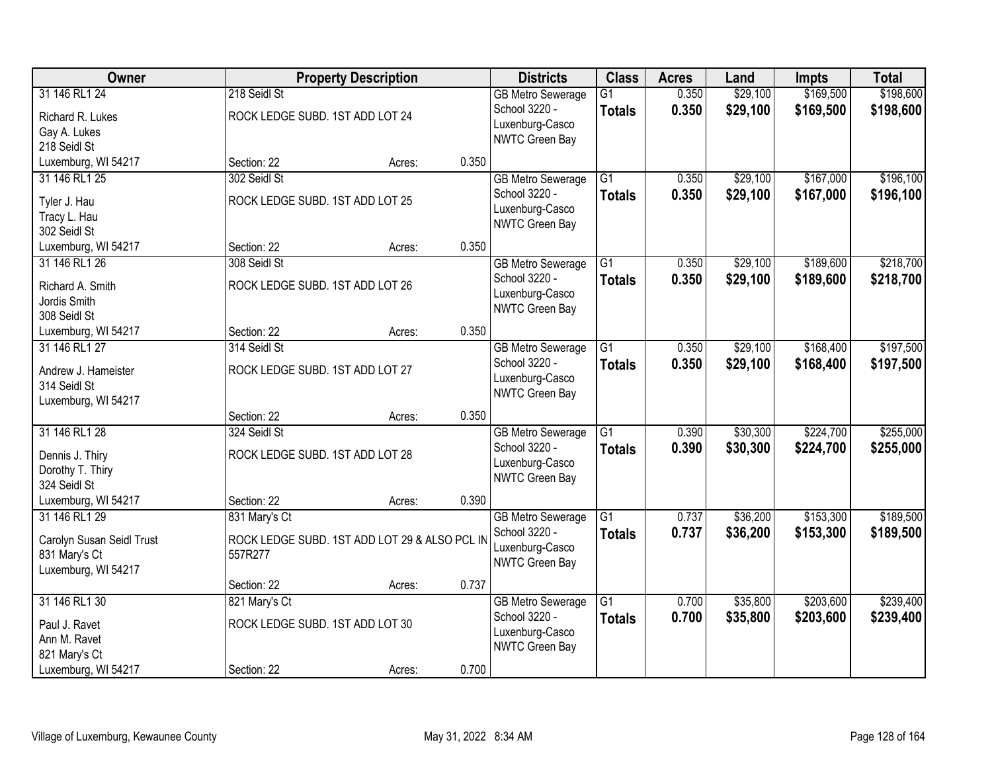| Owner                     |                                 | <b>Property Description</b>                   |       | <b>Districts</b>                          | <b>Class</b>    | <b>Acres</b> | Land     | <b>Impts</b> | <b>Total</b> |
|---------------------------|---------------------------------|-----------------------------------------------|-------|-------------------------------------------|-----------------|--------------|----------|--------------|--------------|
| 31 146 RL1 24             | 218 Seidl St                    |                                               |       | <b>GB Metro Sewerage</b>                  | $\overline{G1}$ | 0.350        | \$29,100 | \$169,500    | \$198,600    |
| Richard R. Lukes          | ROCK LEDGE SUBD. 1ST ADD LOT 24 |                                               |       | School 3220 -<br>Luxenburg-Casco          | <b>Totals</b>   | 0.350        | \$29,100 | \$169,500    | \$198,600    |
| Gay A. Lukes              |                                 |                                               |       | NWTC Green Bay                            |                 |              |          |              |              |
| 218 Seidl St              |                                 |                                               |       |                                           |                 |              |          |              |              |
| Luxemburg, WI 54217       | Section: 22                     | Acres:                                        | 0.350 |                                           |                 |              |          |              |              |
| 31 146 RL1 25             | 302 Seidl St                    |                                               |       | <b>GB Metro Sewerage</b>                  | $\overline{G1}$ | 0.350        | \$29,100 | \$167,000    | \$196,100    |
| Tyler J. Hau              | ROCK LEDGE SUBD. 1ST ADD LOT 25 |                                               |       | School 3220 -                             | <b>Totals</b>   | 0.350        | \$29,100 | \$167,000    | \$196,100    |
| Tracy L. Hau              |                                 |                                               |       | Luxenburg-Casco                           |                 |              |          |              |              |
| 302 Seidl St              |                                 |                                               |       | <b>NWTC Green Bay</b>                     |                 |              |          |              |              |
| Luxemburg, WI 54217       | Section: 22                     | Acres:                                        | 0.350 |                                           |                 |              |          |              |              |
| 31 146 RL1 26             | 308 Seidl St                    |                                               |       | <b>GB Metro Sewerage</b>                  | $\overline{G1}$ | 0.350        | \$29,100 | \$189,600    | \$218,700    |
| Richard A. Smith          | ROCK LEDGE SUBD. 1ST ADD LOT 26 |                                               |       | School 3220 -                             | <b>Totals</b>   | 0.350        | \$29,100 | \$189,600    | \$218,700    |
| Jordis Smith              |                                 |                                               |       | Luxenburg-Casco                           |                 |              |          |              |              |
| 308 Seidl St              |                                 |                                               |       | NWTC Green Bay                            |                 |              |          |              |              |
| Luxemburg, WI 54217       | Section: 22                     | Acres:                                        | 0.350 |                                           |                 |              |          |              |              |
| 31 146 RL1 27             | 314 Seidl St                    |                                               |       | <b>GB Metro Sewerage</b>                  | $\overline{G1}$ | 0.350        | \$29,100 | \$168,400    | \$197,500    |
|                           |                                 |                                               |       | School 3220 -                             | <b>Totals</b>   | 0.350        | \$29,100 | \$168,400    | \$197,500    |
| Andrew J. Hameister       | ROCK LEDGE SUBD. 1ST ADD LOT 27 |                                               |       | Luxenburg-Casco                           |                 |              |          |              |              |
| 314 Seidl St              |                                 |                                               |       | NWTC Green Bay                            |                 |              |          |              |              |
| Luxemburg, WI 54217       | Section: 22                     |                                               | 0.350 |                                           |                 |              |          |              |              |
| 31 146 RL1 28             | 324 Seidl St                    | Acres:                                        |       |                                           | $\overline{G1}$ | 0.390        | \$30,300 | \$224,700    | \$255,000    |
|                           |                                 |                                               |       | <b>GB Metro Sewerage</b><br>School 3220 - |                 | 0.390        | \$30,300 | \$224,700    | \$255,000    |
| Dennis J. Thiry           | ROCK LEDGE SUBD. 1ST ADD LOT 28 |                                               |       | Luxenburg-Casco                           | <b>Totals</b>   |              |          |              |              |
| Dorothy T. Thiry          |                                 |                                               |       | <b>NWTC Green Bay</b>                     |                 |              |          |              |              |
| 324 Seidl St              |                                 |                                               |       |                                           |                 |              |          |              |              |
| Luxemburg, WI 54217       | Section: 22                     | Acres:                                        | 0.390 |                                           |                 |              |          |              |              |
| 31 146 RL1 29             | 831 Mary's Ct                   |                                               |       | <b>GB Metro Sewerage</b>                  | $\overline{G1}$ | 0.737        | \$36,200 | \$153,300    | \$189,500    |
| Carolyn Susan Seidl Trust |                                 | ROCK LEDGE SUBD. 1ST ADD LOT 29 & ALSO PCL IN |       | School 3220 -                             | <b>Totals</b>   | 0.737        | \$36,200 | \$153,300    | \$189,500    |
| 831 Mary's Ct             | 557R277                         |                                               |       | Luxenburg-Casco                           |                 |              |          |              |              |
| Luxemburg, WI 54217       |                                 |                                               |       | <b>NWTC Green Bay</b>                     |                 |              |          |              |              |
|                           | Section: 22                     | Acres:                                        | 0.737 |                                           |                 |              |          |              |              |
| 31 146 RL1 30             | 821 Mary's Ct                   |                                               |       | <b>GB Metro Sewerage</b>                  | $\overline{G1}$ | 0.700        | \$35,800 | \$203,600    | \$239,400    |
| Paul J. Ravet             | ROCK LEDGE SUBD. 1ST ADD LOT 30 |                                               |       | School 3220 -                             | <b>Totals</b>   | 0.700        | \$35,800 | \$203,600    | \$239,400    |
| Ann M. Ravet              |                                 |                                               |       | Luxenburg-Casco                           |                 |              |          |              |              |
| 821 Mary's Ct             |                                 |                                               |       | NWTC Green Bay                            |                 |              |          |              |              |
| Luxemburg, WI 54217       | Section: 22                     | Acres:                                        | 0.700 |                                           |                 |              |          |              |              |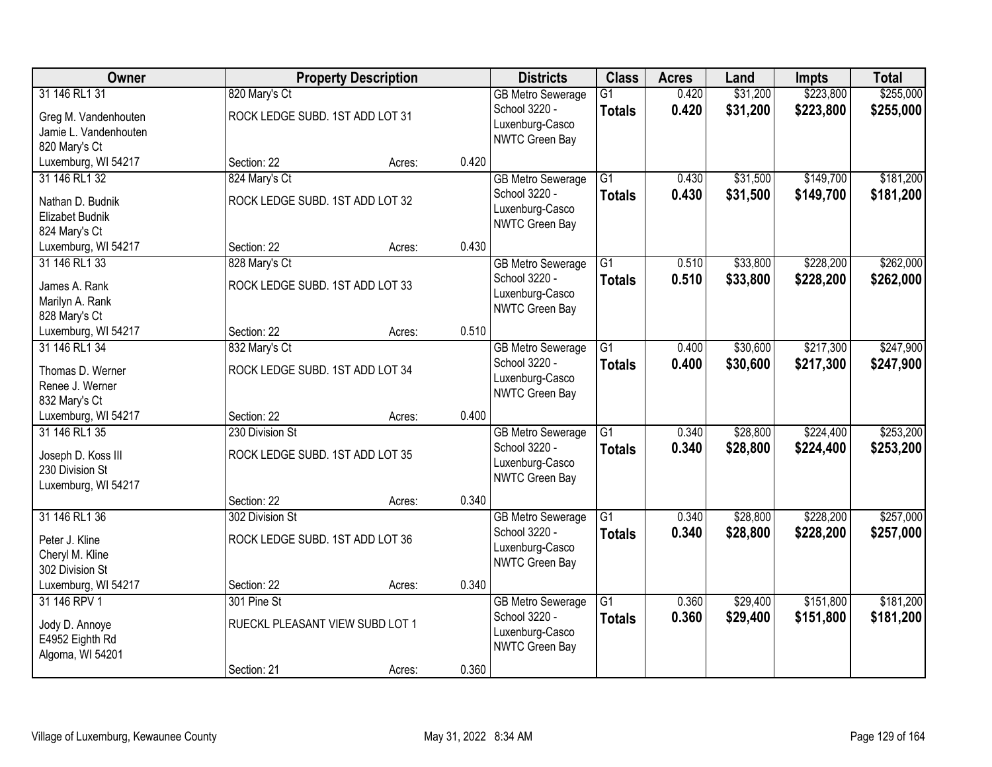| Owner                                                                                                |                                                                   | <b>Property Description</b> |       | <b>Districts</b>                                                               | <b>Class</b>                     | <b>Acres</b>   | Land                 | <b>Impts</b>           | <b>Total</b>           |
|------------------------------------------------------------------------------------------------------|-------------------------------------------------------------------|-----------------------------|-------|--------------------------------------------------------------------------------|----------------------------------|----------------|----------------------|------------------------|------------------------|
| 31 146 RL1 31<br>Greg M. Vandenhouten<br>Jamie L. Vandenhouten                                       | 820 Mary's Ct<br>ROCK LEDGE SUBD. 1ST ADD LOT 31                  |                             |       | <b>GB Metro Sewerage</b><br>School 3220 -<br>Luxenburg-Casco                   | $\overline{G1}$<br><b>Totals</b> | 0.420<br>0.420 | \$31,200<br>\$31,200 | \$223,800<br>\$223,800 | \$255,000<br>\$255,000 |
| 820 Mary's Ct<br>Luxemburg, WI 54217                                                                 | Section: 22                                                       | Acres:                      | 0.420 | NWTC Green Bay                                                                 |                                  |                |                      |                        |                        |
| 31 146 RL1 32<br>Nathan D. Budnik<br>Elizabet Budnik<br>824 Mary's Ct                                | 824 Mary's Ct<br>ROCK LEDGE SUBD. 1ST ADD LOT 32                  |                             |       | <b>GB Metro Sewerage</b><br>School 3220 -<br>Luxenburg-Casco<br>NWTC Green Bay | $\overline{G1}$<br><b>Totals</b> | 0.430<br>0.430 | \$31,500<br>\$31,500 | \$149,700<br>\$149,700 | \$181,200<br>\$181,200 |
| Luxemburg, WI 54217<br>31 146 RL1 33<br>James A. Rank                                                | Section: 22<br>828 Mary's Ct<br>ROCK LEDGE SUBD. 1ST ADD LOT 33   | Acres:                      | 0.430 | <b>GB Metro Sewerage</b><br>School 3220 -<br>Luxenburg-Casco                   | $\overline{G1}$<br><b>Totals</b> | 0.510<br>0.510 | \$33,800<br>\$33,800 | \$228,200<br>\$228,200 | \$262,000<br>\$262,000 |
| Marilyn A. Rank<br>828 Mary's Ct<br>Luxemburg, WI 54217<br>31 146 RL1 34                             | Section: 22<br>832 Mary's Ct                                      | Acres:                      | 0.510 | NWTC Green Bay<br><b>GB Metro Sewerage</b>                                     | $\overline{G1}$                  | 0.400          | \$30,600             | \$217,300              | \$247,900              |
| Thomas D. Werner<br>Renee J. Werner<br>832 Mary's Ct                                                 | ROCK LEDGE SUBD. 1ST ADD LOT 34                                   |                             |       | School 3220 -<br>Luxenburg-Casco<br>NWTC Green Bay                             | <b>Totals</b>                    | 0.400          | \$30,600             | \$217,300              | \$247,900              |
| Luxemburg, WI 54217<br>31 146 RL1 35<br>Joseph D. Koss III<br>230 Division St<br>Luxemburg, WI 54217 | Section: 22<br>230 Division St<br>ROCK LEDGE SUBD. 1ST ADD LOT 35 | Acres:                      | 0.400 | <b>GB Metro Sewerage</b><br>School 3220 -<br>Luxenburg-Casco<br>NWTC Green Bay | $\overline{G1}$<br><b>Totals</b> | 0.340<br>0.340 | \$28,800<br>\$28,800 | \$224,400<br>\$224,400 | \$253,200<br>\$253,200 |
| 31 146 RL1 36<br>Peter J. Kline<br>Cheryl M. Kline                                                   | Section: 22<br>302 Division St<br>ROCK LEDGE SUBD. 1ST ADD LOT 36 | Acres:                      | 0.340 | <b>GB Metro Sewerage</b><br>School 3220 -<br>Luxenburg-Casco                   | $\overline{G1}$<br><b>Totals</b> | 0.340<br>0.340 | \$28,800<br>\$28,800 | \$228,200<br>\$228,200 | \$257,000<br>\$257,000 |
| 302 Division St<br>Luxemburg, WI 54217<br>31 146 RPV 1                                               | Section: 22<br>301 Pine St                                        | Acres:                      | 0.340 | NWTC Green Bay<br><b>GB Metro Sewerage</b>                                     | $\overline{G1}$                  | 0.360          | \$29,400             | \$151,800              | \$181,200              |
| Jody D. Annoye<br>E4952 Eighth Rd<br>Algoma, WI 54201                                                | RUECKL PLEASANT VIEW SUBD LOT 1                                   |                             |       | School 3220 -<br>Luxenburg-Casco<br>NWTC Green Bay                             | <b>Totals</b>                    | 0.360          | \$29,400             | \$151,800              | \$181,200              |
|                                                                                                      | Section: 21                                                       | Acres:                      | 0.360 |                                                                                |                                  |                |                      |                        |                        |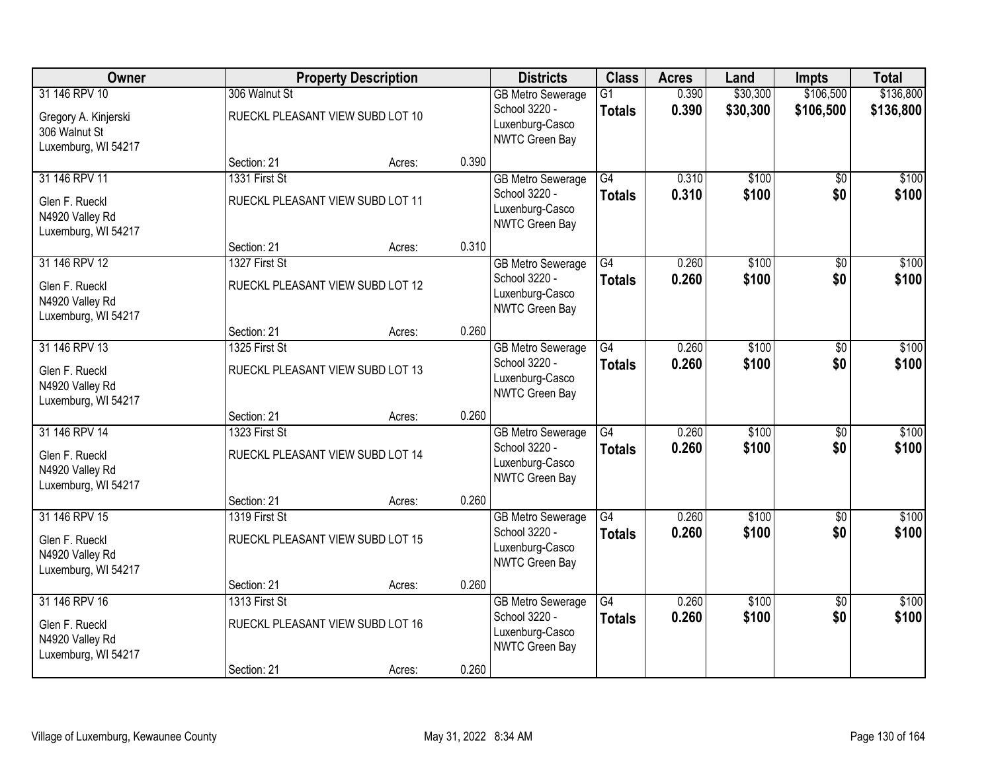| Owner                                  |                                  | <b>Property Description</b> |       | <b>Districts</b>                          | <b>Class</b>    | <b>Acres</b> | Land     | <b>Impts</b>    | <b>Total</b> |
|----------------------------------------|----------------------------------|-----------------------------|-------|-------------------------------------------|-----------------|--------------|----------|-----------------|--------------|
| 31 146 RPV 10                          | 306 Walnut St                    |                             |       | <b>GB Metro Sewerage</b>                  | $\overline{G1}$ | 0.390        | \$30,300 | \$106,500       | \$136,800    |
| Gregory A. Kinjerski                   | RUECKL PLEASANT VIEW SUBD LOT 10 |                             |       | School 3220 -                             | <b>Totals</b>   | 0.390        | \$30,300 | \$106,500       | \$136,800    |
| 306 Walnut St                          |                                  |                             |       | Luxenburg-Casco<br>NWTC Green Bay         |                 |              |          |                 |              |
| Luxemburg, WI 54217                    |                                  |                             |       |                                           |                 |              |          |                 |              |
|                                        | Section: 21                      | Acres:                      | 0.390 |                                           |                 |              |          |                 |              |
| 31 146 RPV 11                          | 1331 First St                    |                             |       | <b>GB Metro Sewerage</b>                  | $\overline{G4}$ | 0.310        | \$100    | \$0             | \$100        |
| Glen F. Rueckl                         | RUECKL PLEASANT VIEW SUBD LOT 11 |                             |       | School 3220 -<br>Luxenburg-Casco          | Totals          | 0.310        | \$100    | \$0             | \$100        |
| N4920 Valley Rd                        |                                  |                             |       | NWTC Green Bay                            |                 |              |          |                 |              |
| Luxemburg, WI 54217                    |                                  |                             | 0.310 |                                           |                 |              |          |                 |              |
| 31 146 RPV 12                          | Section: 21<br>1327 First St     | Acres:                      |       |                                           | G4              | 0.260        | \$100    | \$0             | \$100        |
|                                        |                                  |                             |       | <b>GB Metro Sewerage</b><br>School 3220 - | <b>Totals</b>   | 0.260        | \$100    | \$0             | \$100        |
| Glen F. Rueckl                         | RUECKL PLEASANT VIEW SUBD LOT 12 |                             |       | Luxenburg-Casco                           |                 |              |          |                 |              |
| N4920 Valley Rd                        |                                  |                             |       | NWTC Green Bay                            |                 |              |          |                 |              |
| Luxemburg, WI 54217                    | Section: 21                      | Acres:                      | 0.260 |                                           |                 |              |          |                 |              |
| 31 146 RPV 13                          | 1325 First St                    |                             |       | <b>GB Metro Sewerage</b>                  | $\overline{G4}$ | 0.260        | \$100    | \$0             | \$100        |
| Glen F. Rueckl                         | RUECKL PLEASANT VIEW SUBD LOT 13 |                             |       | School 3220 -                             | <b>Totals</b>   | 0.260        | \$100    | \$0             | \$100        |
| N4920 Valley Rd                        |                                  |                             |       | Luxenburg-Casco                           |                 |              |          |                 |              |
| Luxemburg, WI 54217                    |                                  |                             |       | NWTC Green Bay                            |                 |              |          |                 |              |
|                                        | Section: 21                      | Acres:                      | 0.260 |                                           |                 |              |          |                 |              |
| 31 146 RPV 14                          | 1323 First St                    |                             |       | <b>GB Metro Sewerage</b>                  | $\overline{G4}$ | 0.260        | \$100    | $\overline{30}$ | \$100        |
| Glen F. Rueckl                         | RUECKL PLEASANT VIEW SUBD LOT 14 |                             |       | School 3220 -                             | Totals          | 0.260        | \$100    | \$0             | \$100        |
| N4920 Valley Rd                        |                                  |                             |       | Luxenburg-Casco                           |                 |              |          |                 |              |
| Luxemburg, WI 54217                    |                                  |                             |       | NWTC Green Bay                            |                 |              |          |                 |              |
|                                        | Section: 21                      | Acres:                      | 0.260 |                                           |                 |              |          |                 |              |
| 31 146 RPV 15                          | 1319 First St                    |                             |       | <b>GB Metro Sewerage</b>                  | $\overline{G4}$ | 0.260        | \$100    | $\sqrt{6}$      | \$100        |
| Glen F. Rueckl                         | RUECKL PLEASANT VIEW SUBD LOT 15 |                             |       | School 3220 -<br>Luxenburg-Casco          | <b>Totals</b>   | 0.260        | \$100    | \$0             | \$100        |
| N4920 Valley Rd                        |                                  |                             |       | NWTC Green Bay                            |                 |              |          |                 |              |
| Luxemburg, WI 54217                    |                                  |                             |       |                                           |                 |              |          |                 |              |
| 31 146 RPV 16                          | Section: 21<br>1313 First St     | Acres:                      | 0.260 | <b>GB Metro Sewerage</b>                  | $\overline{G4}$ | 0.260        | \$100    | $\overline{50}$ | \$100        |
|                                        |                                  |                             |       | School 3220 -                             | <b>Totals</b>   | 0.260        | \$100    | \$0             | \$100        |
| Glen F. Rueckl                         | RUECKL PLEASANT VIEW SUBD LOT 16 |                             |       | Luxenburg-Casco                           |                 |              |          |                 |              |
| N4920 Valley Rd<br>Luxemburg, WI 54217 |                                  |                             |       | NWTC Green Bay                            |                 |              |          |                 |              |
|                                        | Section: 21                      | Acres:                      | 0.260 |                                           |                 |              |          |                 |              |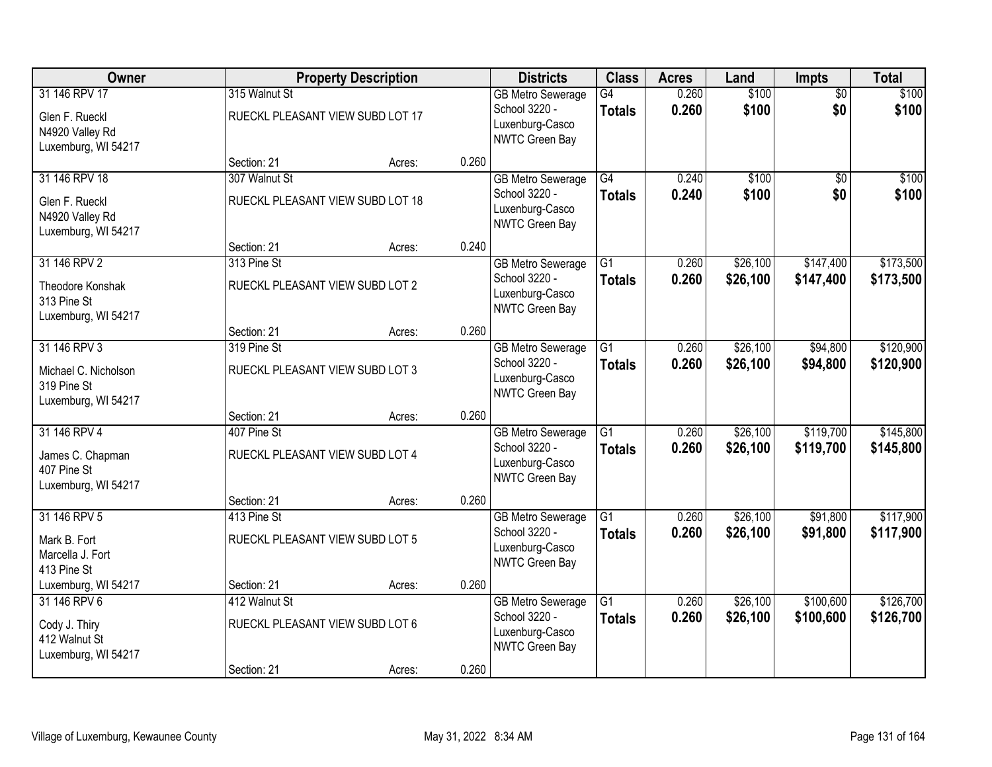| Owner                                                                      |                                                   | <b>Property Description</b> |       | <b>Districts</b>                                                               | <b>Class</b>                     | <b>Acres</b>   | Land                 | Impts                  | <b>Total</b>           |
|----------------------------------------------------------------------------|---------------------------------------------------|-----------------------------|-------|--------------------------------------------------------------------------------|----------------------------------|----------------|----------------------|------------------------|------------------------|
| 31 146 RPV 17<br>Glen F. Rueckl<br>N4920 Valley Rd<br>Luxemburg, WI 54217  | 315 Walnut St<br>RUECKL PLEASANT VIEW SUBD LOT 17 |                             |       | <b>GB Metro Sewerage</b><br>School 3220 -<br>Luxenburg-Casco<br>NWTC Green Bay | G4<br><b>Totals</b>              | 0.260<br>0.260 | \$100<br>\$100       | $\overline{50}$<br>\$0 | \$100<br>\$100         |
|                                                                            | Section: 21                                       | Acres:                      | 0.260 |                                                                                |                                  |                |                      |                        |                        |
| 31 146 RPV 18<br>Glen F. Rueckl<br>N4920 Valley Rd<br>Luxemburg, WI 54217  | 307 Walnut St<br>RUECKL PLEASANT VIEW SUBD LOT 18 |                             |       | <b>GB Metro Sewerage</b><br>School 3220 -<br>Luxenburg-Casco<br>NWTC Green Bay | G4<br><b>Totals</b>              | 0.240<br>0.240 | \$100<br>\$100       | $\overline{50}$<br>\$0 | \$100<br>\$100         |
|                                                                            | Section: 21                                       | Acres:                      | 0.240 |                                                                                |                                  |                |                      |                        |                        |
| 31 146 RPV 2<br>Theodore Konshak<br>313 Pine St<br>Luxemburg, WI 54217     | 313 Pine St<br>RUECKL PLEASANT VIEW SUBD LOT 2    |                             |       | <b>GB Metro Sewerage</b><br>School 3220 -<br>Luxenburg-Casco<br>NWTC Green Bay | $\overline{G1}$<br><b>Totals</b> | 0.260<br>0.260 | \$26,100<br>\$26,100 | \$147,400<br>\$147,400 | \$173,500<br>\$173,500 |
|                                                                            | Section: 21                                       | Acres:                      | 0.260 |                                                                                |                                  |                |                      |                        |                        |
| 31 146 RPV 3<br>Michael C. Nicholson<br>319 Pine St<br>Luxemburg, WI 54217 | 319 Pine St<br>RUECKL PLEASANT VIEW SUBD LOT 3    |                             |       | <b>GB Metro Sewerage</b><br>School 3220 -<br>Luxenburg-Casco<br>NWTC Green Bay | G1<br><b>Totals</b>              | 0.260<br>0.260 | \$26,100<br>\$26,100 | \$94,800<br>\$94,800   | \$120,900<br>\$120,900 |
|                                                                            | Section: 21                                       | Acres:                      | 0.260 |                                                                                |                                  |                |                      |                        |                        |
| 31 146 RPV 4<br>James C. Chapman<br>407 Pine St<br>Luxemburg, WI 54217     | 407 Pine St<br>RUECKL PLEASANT VIEW SUBD LOT 4    |                             |       | <b>GB Metro Sewerage</b><br>School 3220 -<br>Luxenburg-Casco<br>NWTC Green Bay | $\overline{G1}$<br><b>Totals</b> | 0.260<br>0.260 | \$26,100<br>\$26,100 | \$119,700<br>\$119,700 | \$145,800<br>\$145,800 |
|                                                                            | Section: 21                                       | Acres:                      | 0.260 |                                                                                |                                  |                |                      |                        |                        |
| 31 146 RPV 5<br>Mark B. Fort<br>Marcella J. Fort<br>413 Pine St            | 413 Pine St<br>RUECKL PLEASANT VIEW SUBD LOT 5    |                             |       | <b>GB Metro Sewerage</b><br>School 3220 -<br>Luxenburg-Casco<br>NWTC Green Bay | $\overline{G1}$<br><b>Totals</b> | 0.260<br>0.260 | \$26,100<br>\$26,100 | \$91,800<br>\$91,800   | \$117,900<br>\$117,900 |
| Luxemburg, WI 54217                                                        | Section: 21                                       | Acres:                      | 0.260 |                                                                                |                                  |                |                      |                        |                        |
| 31 146 RPV 6<br>Cody J. Thiry<br>412 Walnut St<br>Luxemburg, WI 54217      | 412 Walnut St<br>RUECKL PLEASANT VIEW SUBD LOT 6  |                             |       | <b>GB Metro Sewerage</b><br>School 3220 -<br>Luxenburg-Casco<br>NWTC Green Bay | $\overline{G1}$<br><b>Totals</b> | 0.260<br>0.260 | \$26,100<br>\$26,100 | \$100,600<br>\$100,600 | \$126,700<br>\$126,700 |
|                                                                            | Section: 21                                       | Acres:                      | 0.260 |                                                                                |                                  |                |                      |                        |                        |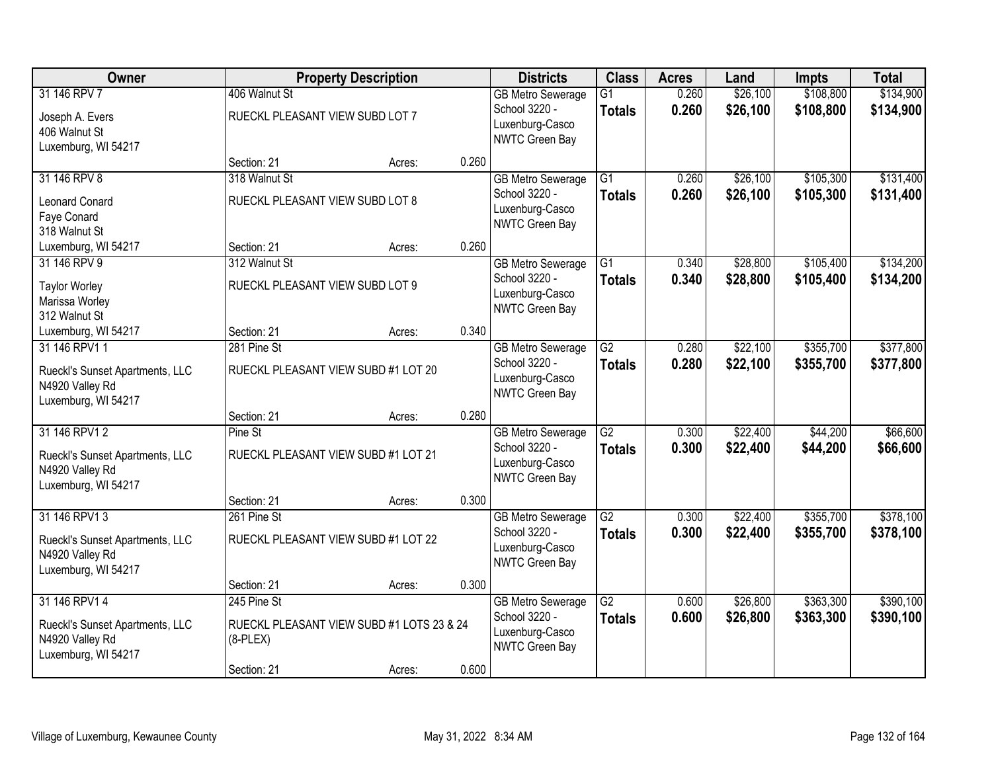| Owner                                |                                 | <b>Property Description</b>               |       | <b>Districts</b>                          | <b>Class</b>                     | <b>Acres</b>   | Land                 | <b>Impts</b>           | <b>Total</b>           |
|--------------------------------------|---------------------------------|-------------------------------------------|-------|-------------------------------------------|----------------------------------|----------------|----------------------|------------------------|------------------------|
| 31 146 RPV 7                         | 406 Walnut St                   |                                           |       | <b>GB Metro Sewerage</b><br>School 3220 - | $\overline{G1}$<br><b>Totals</b> | 0.260<br>0.260 | \$26,100<br>\$26,100 | \$108,800<br>\$108,800 | \$134,900<br>\$134,900 |
| Joseph A. Evers                      | RUECKL PLEASANT VIEW SUBD LOT 7 |                                           |       | Luxenburg-Casco                           |                                  |                |                      |                        |                        |
| 406 Walnut St<br>Luxemburg, WI 54217 |                                 |                                           |       | NWTC Green Bay                            |                                  |                |                      |                        |                        |
|                                      | Section: 21                     | Acres:                                    | 0.260 |                                           |                                  |                |                      |                        |                        |
| 31 146 RPV 8                         | 318 Walnut St                   |                                           |       | <b>GB Metro Sewerage</b>                  | $\overline{G1}$                  | 0.260          | \$26,100             | \$105,300              | \$131,400              |
| <b>Leonard Conard</b>                | RUECKL PLEASANT VIEW SUBD LOT 8 |                                           |       | School 3220 -                             | <b>Totals</b>                    | 0.260          | \$26,100             | \$105,300              | \$131,400              |
| Faye Conard                          |                                 |                                           |       | Luxenburg-Casco                           |                                  |                |                      |                        |                        |
| 318 Walnut St                        |                                 |                                           |       | NWTC Green Bay                            |                                  |                |                      |                        |                        |
| Luxemburg, WI 54217                  | Section: 21                     | Acres:                                    | 0.260 |                                           |                                  |                |                      |                        |                        |
| 31 146 RPV 9                         | 312 Walnut St                   |                                           |       | <b>GB Metro Sewerage</b>                  | G1                               | 0.340          | \$28,800             | \$105,400              | \$134,200              |
| <b>Taylor Worley</b>                 | RUECKL PLEASANT VIEW SUBD LOT 9 |                                           |       | School 3220 -                             | <b>Totals</b>                    | 0.340          | \$28,800             | \$105,400              | \$134,200              |
| Marissa Worley                       |                                 |                                           |       | Luxenburg-Casco                           |                                  |                |                      |                        |                        |
| 312 Walnut St                        |                                 |                                           |       | NWTC Green Bay                            |                                  |                |                      |                        |                        |
| Luxemburg, WI 54217                  | Section: 21                     | Acres:                                    | 0.340 |                                           |                                  |                |                      |                        |                        |
| 31 146 RPV1 1                        | 281 Pine St                     |                                           |       | <b>GB Metro Sewerage</b>                  | $\overline{G2}$                  | 0.280          | \$22,100             | \$355,700              | \$377,800              |
| Rueckl's Sunset Apartments, LLC      |                                 | RUECKL PLEASANT VIEW SUBD #1 LOT 20       |       | School 3220 -                             | <b>Totals</b>                    | 0.280          | \$22,100             | \$355,700              | \$377,800              |
| N4920 Valley Rd                      |                                 |                                           |       | Luxenburg-Casco                           |                                  |                |                      |                        |                        |
| Luxemburg, WI 54217                  |                                 |                                           |       | NWTC Green Bay                            |                                  |                |                      |                        |                        |
|                                      | Section: 21                     | Acres:                                    | 0.280 |                                           |                                  |                |                      |                        |                        |
| 31 146 RPV1 2                        | Pine St                         |                                           |       | <b>GB Metro Sewerage</b>                  | $\overline{G2}$                  | 0.300          | \$22,400             | \$44,200               | \$66,600               |
| Rueckl's Sunset Apartments, LLC      |                                 | RUECKL PLEASANT VIEW SUBD #1 LOT 21       |       | School 3220 -                             | <b>Totals</b>                    | 0.300          | \$22,400             | \$44,200               | \$66,600               |
| N4920 Valley Rd                      |                                 |                                           |       | Luxenburg-Casco                           |                                  |                |                      |                        |                        |
| Luxemburg, WI 54217                  |                                 |                                           |       | NWTC Green Bay                            |                                  |                |                      |                        |                        |
|                                      | Section: 21                     | Acres:                                    | 0.300 |                                           |                                  |                |                      |                        |                        |
| 31 146 RPV1 3                        | 261 Pine St                     |                                           |       | <b>GB Metro Sewerage</b>                  | $\overline{G2}$                  | 0.300          | \$22,400             | \$355,700              | \$378,100              |
| Rueckl's Sunset Apartments, LLC      |                                 | RUECKL PLEASANT VIEW SUBD #1 LOT 22       |       | School 3220 -                             | <b>Totals</b>                    | 0.300          | \$22,400             | \$355,700              | \$378,100              |
| N4920 Valley Rd                      |                                 |                                           |       | Luxenburg-Casco                           |                                  |                |                      |                        |                        |
| Luxemburg, WI 54217                  |                                 |                                           |       | NWTC Green Bay                            |                                  |                |                      |                        |                        |
|                                      | Section: 21                     | Acres:                                    | 0.300 |                                           |                                  |                |                      |                        |                        |
| 31 146 RPV1 4                        | 245 Pine St                     |                                           |       | <b>GB Metro Sewerage</b>                  | $\overline{G2}$                  | 0.600          | \$26,800             | \$363,300              | \$390,100              |
| Rueckl's Sunset Apartments, LLC      |                                 | RUECKL PLEASANT VIEW SUBD #1 LOTS 23 & 24 |       | School 3220 -                             | <b>Totals</b>                    | 0.600          | \$26,800             | \$363,300              | \$390,100              |
| N4920 Valley Rd                      | $(8-PLEX)$                      |                                           |       | Luxenburg-Casco                           |                                  |                |                      |                        |                        |
| Luxemburg, WI 54217                  |                                 |                                           |       | NWTC Green Bay                            |                                  |                |                      |                        |                        |
|                                      | Section: 21                     | Acres:                                    | 0.600 |                                           |                                  |                |                      |                        |                        |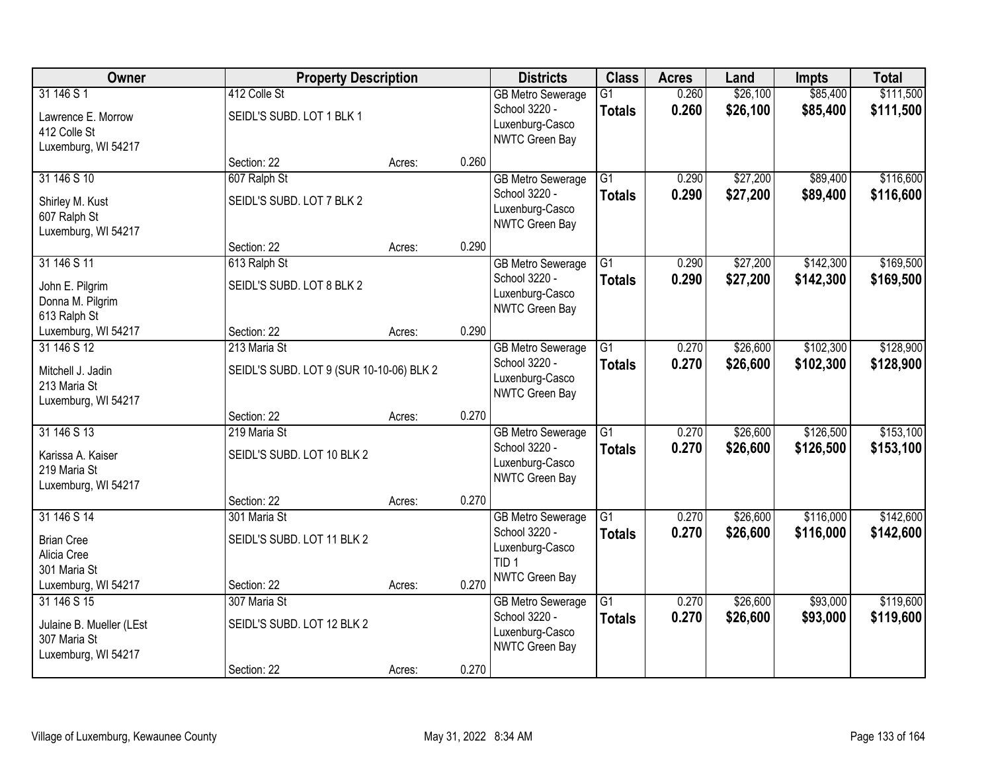| Owner                                                                                  | <b>Property Description</b>                               |        |       | <b>Districts</b>                                                                                   | <b>Class</b>                     | <b>Acres</b>   | Land                 | <b>Impts</b>           | <b>Total</b>           |
|----------------------------------------------------------------------------------------|-----------------------------------------------------------|--------|-------|----------------------------------------------------------------------------------------------------|----------------------------------|----------------|----------------------|------------------------|------------------------|
| 31 146 S 1<br>Lawrence E. Morrow<br>412 Colle St<br>Luxemburg, WI 54217                | 412 Colle St<br>SEIDL'S SUBD. LOT 1 BLK 1                 |        |       | <b>GB Metro Sewerage</b><br>School 3220 -<br>Luxenburg-Casco<br>NWTC Green Bay                     | $\overline{G1}$<br><b>Totals</b> | 0.260<br>0.260 | \$26,100<br>\$26,100 | \$85,400<br>\$85,400   | \$111,500<br>\$111,500 |
|                                                                                        | Section: 22                                               | Acres: | 0.260 |                                                                                                    |                                  |                |                      |                        |                        |
| 31 146 S 10<br>Shirley M. Kust<br>607 Ralph St<br>Luxemburg, WI 54217                  | 607 Ralph St<br>SEIDL'S SUBD. LOT 7 BLK 2                 |        |       | <b>GB Metro Sewerage</b><br>School 3220 -<br>Luxenburg-Casco<br>NWTC Green Bay                     | $\overline{G1}$<br><b>Totals</b> | 0.290<br>0.290 | \$27,200<br>\$27,200 | \$89,400<br>\$89,400   | \$116,600<br>\$116,600 |
|                                                                                        | Section: 22                                               | Acres: | 0.290 |                                                                                                    |                                  |                |                      |                        |                        |
| 31 146 S 11<br>John E. Pilgrim<br>Donna M. Pilgrim<br>613 Ralph St                     | 613 Ralph St<br>SEIDL'S SUBD. LOT 8 BLK 2                 |        |       | <b>GB Metro Sewerage</b><br>School 3220 -<br>Luxenburg-Casco<br>NWTC Green Bay                     | $\overline{G1}$<br><b>Totals</b> | 0.290<br>0.290 | \$27,200<br>\$27,200 | \$142,300<br>\$142,300 | \$169,500<br>\$169,500 |
| Luxemburg, WI 54217                                                                    | Section: 22                                               | Acres: | 0.290 |                                                                                                    |                                  |                |                      |                        |                        |
| 31 146 S 12<br>Mitchell J. Jadin<br>213 Maria St<br>Luxemburg, WI 54217                | 213 Maria St<br>SEIDL'S SUBD. LOT 9 (SUR 10-10-06) BLK 2  |        |       | <b>GB Metro Sewerage</b><br>School 3220 -<br>Luxenburg-Casco<br>NWTC Green Bay                     | $\overline{G1}$<br><b>Totals</b> | 0.270<br>0.270 | \$26,600<br>\$26,600 | \$102,300<br>\$102,300 | \$128,900<br>\$128,900 |
|                                                                                        | Section: 22                                               | Acres: | 0.270 |                                                                                                    |                                  |                |                      |                        |                        |
| 31 146 S 13<br>Karissa A. Kaiser<br>219 Maria St<br>Luxemburg, WI 54217                | 219 Maria St<br>SEIDL'S SUBD. LOT 10 BLK 2                |        |       | <b>GB Metro Sewerage</b><br>School 3220 -<br>Luxenburg-Casco<br>NWTC Green Bay                     | $\overline{G1}$<br>Totals        | 0.270<br>0.270 | \$26,600<br>\$26,600 | \$126,500<br>\$126,500 | \$153,100<br>\$153,100 |
|                                                                                        | Section: 22                                               | Acres: | 0.270 |                                                                                                    |                                  |                |                      |                        |                        |
| 31 146 S 14<br><b>Brian Cree</b><br>Alicia Cree<br>301 Maria St<br>Luxemburg, WI 54217 | 301 Maria St<br>SEIDL'S SUBD. LOT 11 BLK 2<br>Section: 22 | Acres: | 0.270 | <b>GB Metro Sewerage</b><br>School 3220 -<br>Luxenburg-Casco<br>TID <sub>1</sub><br>NWTC Green Bay | $\overline{G1}$<br><b>Totals</b> | 0.270<br>0.270 | \$26,600<br>\$26,600 | \$116,000<br>\$116,000 | \$142,600<br>\$142,600 |
| 31 146 S 15<br>Julaine B. Mueller (LEst<br>307 Maria St<br>Luxemburg, WI 54217         | 307 Maria St<br>SEIDL'S SUBD. LOT 12 BLK 2<br>Section: 22 | Acres: | 0.270 | <b>GB Metro Sewerage</b><br>School 3220 -<br>Luxenburg-Casco<br>NWTC Green Bay                     | $\overline{G1}$<br><b>Totals</b> | 0.270<br>0.270 | \$26,600<br>\$26,600 | \$93,000<br>\$93,000   | \$119,600<br>\$119,600 |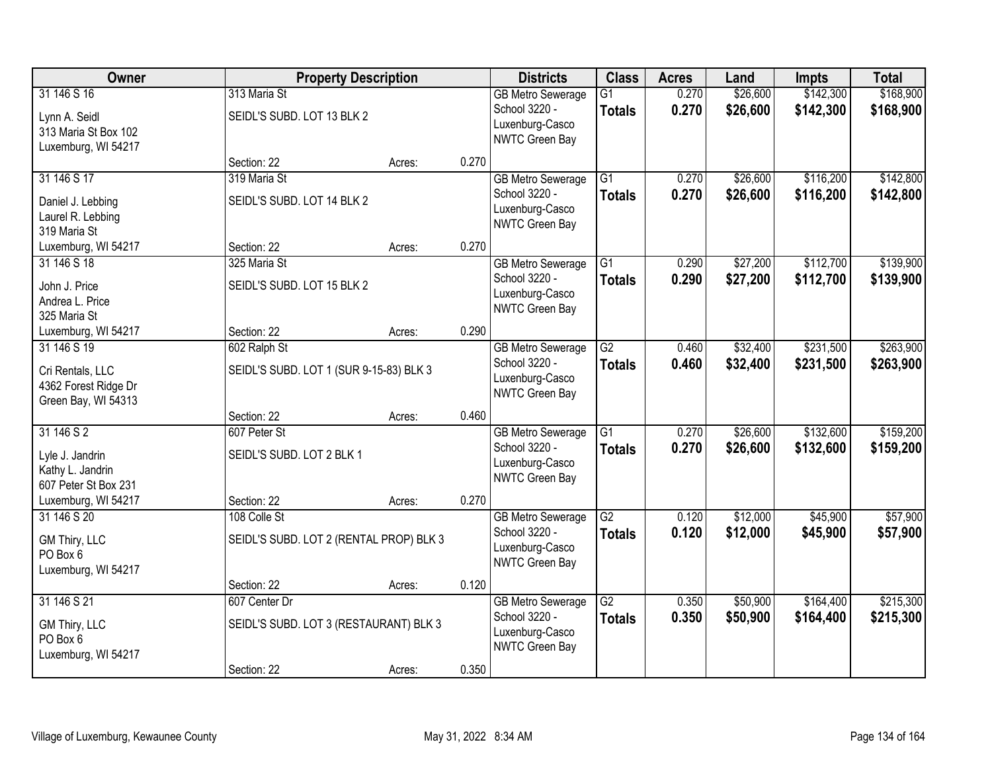| Owner                                                                          | <b>Property Description</b>                             |        |       | <b>Districts</b>                                                               | <b>Class</b>                     | <b>Acres</b>   | Land                 | <b>Impts</b>           | <b>Total</b>           |
|--------------------------------------------------------------------------------|---------------------------------------------------------|--------|-------|--------------------------------------------------------------------------------|----------------------------------|----------------|----------------------|------------------------|------------------------|
| 31 146 S 16<br>Lynn A. Seidl<br>313 Maria St Box 102<br>Luxemburg, WI 54217    | 313 Maria St<br>SEIDL'S SUBD. LOT 13 BLK 2              |        |       | <b>GB Metro Sewerage</b><br>School 3220 -<br>Luxenburg-Casco<br>NWTC Green Bay | $\overline{G1}$<br><b>Totals</b> | 0.270<br>0.270 | \$26,600<br>\$26,600 | \$142,300<br>\$142,300 | \$168,900<br>\$168,900 |
|                                                                                | Section: 22                                             | Acres: | 0.270 |                                                                                |                                  |                |                      |                        |                        |
| 31 146 S 17<br>Daniel J. Lebbing<br>Laurel R. Lebbing<br>319 Maria St          | 319 Maria St<br>SEIDL'S SUBD. LOT 14 BLK 2              |        |       | <b>GB Metro Sewerage</b><br>School 3220 -<br>Luxenburg-Casco<br>NWTC Green Bay | $\overline{G1}$<br><b>Totals</b> | 0.270<br>0.270 | \$26,600<br>\$26,600 | \$116,200<br>\$116,200 | \$142,800<br>\$142,800 |
| Luxemburg, WI 54217                                                            | Section: 22                                             | Acres: | 0.270 |                                                                                |                                  |                |                      |                        |                        |
| 31 146 S 18<br>John J. Price<br>Andrea L. Price<br>325 Maria St                | 325 Maria St<br>SEIDL'S SUBD. LOT 15 BLK 2              |        |       | <b>GB Metro Sewerage</b><br>School 3220 -<br>Luxenburg-Casco<br>NWTC Green Bay | $\overline{G1}$<br><b>Totals</b> | 0.290<br>0.290 | \$27,200<br>\$27,200 | \$112,700<br>\$112,700 | \$139,900<br>\$139,900 |
| Luxemburg, WI 54217                                                            | Section: 22                                             | Acres: | 0.290 |                                                                                |                                  |                |                      |                        |                        |
| 31 146 S 19<br>Cri Rentals, LLC<br>4362 Forest Ridge Dr<br>Green Bay, WI 54313 | 602 Ralph St<br>SEIDL'S SUBD. LOT 1 (SUR 9-15-83) BLK 3 |        |       | <b>GB Metro Sewerage</b><br>School 3220 -<br>Luxenburg-Casco<br>NWTC Green Bay | $\overline{G2}$<br><b>Totals</b> | 0.460<br>0.460 | \$32,400<br>\$32,400 | \$231,500<br>\$231,500 | \$263,900<br>\$263,900 |
|                                                                                | Section: 22                                             | Acres: | 0.460 |                                                                                |                                  |                |                      |                        |                        |
| 31 146 S 2<br>Lyle J. Jandrin<br>Kathy L. Jandrin<br>607 Peter St Box 231      | 607 Peter St<br>SEIDL'S SUBD. LOT 2 BLK 1               |        |       | <b>GB</b> Metro Sewerage<br>School 3220 -<br>Luxenburg-Casco<br>NWTC Green Bay | $\overline{G1}$<br><b>Totals</b> | 0.270<br>0.270 | \$26,600<br>\$26,600 | \$132,600<br>\$132,600 | \$159,200<br>\$159,200 |
| Luxemburg, WI 54217                                                            | Section: 22                                             | Acres: | 0.270 |                                                                                |                                  |                |                      |                        |                        |
| 31 146 S 20<br>GM Thiry, LLC<br>PO Box 6<br>Luxemburg, WI 54217                | 108 Colle St<br>SEIDL'S SUBD. LOT 2 (RENTAL PROP) BLK 3 |        |       | <b>GB Metro Sewerage</b><br>School 3220 -<br>Luxenburg-Casco<br>NWTC Green Bay | $\overline{G2}$<br><b>Totals</b> | 0.120<br>0.120 | \$12,000<br>\$12,000 | \$45,900<br>\$45,900   | \$57,900<br>\$57,900   |
|                                                                                | Section: 22                                             | Acres: | 0.120 |                                                                                |                                  |                |                      |                        |                        |
| 31 146 S 21<br>GM Thiry, LLC<br>PO Box 6<br>Luxemburg, WI 54217                | 607 Center Dr<br>SEIDL'S SUBD. LOT 3 (RESTAURANT) BLK 3 |        |       | <b>GB Metro Sewerage</b><br>School 3220 -<br>Luxenburg-Casco<br>NWTC Green Bay | $\overline{G2}$<br><b>Totals</b> | 0.350<br>0.350 | \$50,900<br>\$50,900 | \$164,400<br>\$164,400 | \$215,300<br>\$215,300 |
|                                                                                | Section: 22                                             | Acres: | 0.350 |                                                                                |                                  |                |                      |                        |                        |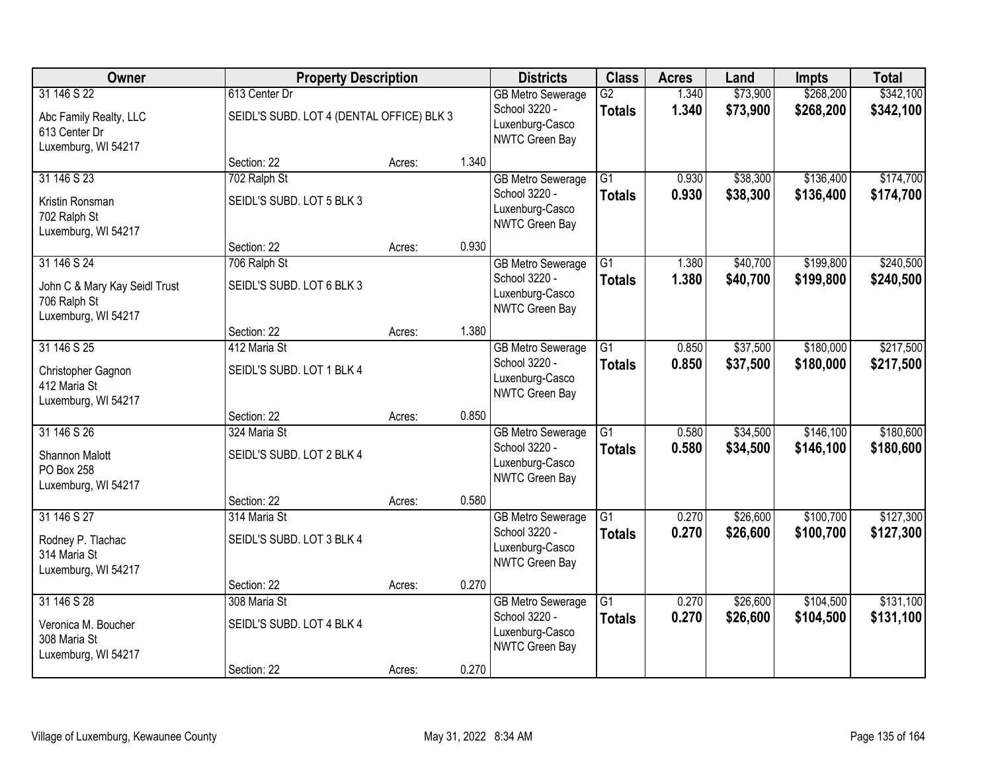| Owner                                                                               | <b>Property Description</b>                                                       |        |       | <b>Districts</b>                                                               | <b>Class</b>                     | <b>Acres</b>   | Land                 | <b>Impts</b>           | <b>Total</b>           |
|-------------------------------------------------------------------------------------|-----------------------------------------------------------------------------------|--------|-------|--------------------------------------------------------------------------------|----------------------------------|----------------|----------------------|------------------------|------------------------|
| 31 146 S 22<br>Abc Family Realty, LLC<br>613 Center Dr                              | 613 Center Dr<br>SEIDL'S SUBD. LOT 4 (DENTAL OFFICE) BLK 3<br>Luxemburg, WI 54217 |        |       | <b>GB Metro Sewerage</b><br>School 3220 -<br>Luxenburg-Casco<br>NWTC Green Bay | $\overline{G2}$<br><b>Totals</b> | 1.340<br>1.340 | \$73,900<br>\$73,900 | \$268,200<br>\$268,200 | \$342,100<br>\$342,100 |
|                                                                                     | Section: 22                                                                       | Acres: | 1.340 |                                                                                |                                  |                |                      |                        |                        |
| 31 146 S 23<br>Kristin Ronsman<br>702 Ralph St<br>Luxemburg, WI 54217               | 702 Ralph St<br>SEIDL'S SUBD. LOT 5 BLK 3                                         |        |       | <b>GB Metro Sewerage</b><br>School 3220 -<br>Luxenburg-Casco<br>NWTC Green Bay | $\overline{G1}$<br><b>Totals</b> | 0.930<br>0.930 | \$38,300<br>\$38,300 | \$136,400<br>\$136,400 | \$174,700<br>\$174,700 |
|                                                                                     | Section: 22                                                                       | Acres: | 0.930 |                                                                                |                                  |                |                      |                        |                        |
| 31 146 S 24<br>John C & Mary Kay Seidl Trust<br>706 Ralph St<br>Luxemburg, WI 54217 | 706 Ralph St<br>SEIDL'S SUBD. LOT 6 BLK 3                                         |        |       | <b>GB Metro Sewerage</b><br>School 3220 -<br>Luxenburg-Casco<br>NWTC Green Bay | G1<br><b>Totals</b>              | 1.380<br>1.380 | \$40,700<br>\$40,700 | \$199,800<br>\$199,800 | \$240,500<br>\$240,500 |
|                                                                                     | Section: 22                                                                       | Acres: | 1.380 |                                                                                |                                  |                |                      |                        |                        |
| 31 146 S 25<br>Christopher Gagnon<br>412 Maria St<br>Luxemburg, WI 54217            | 412 Maria St<br>SEIDL'S SUBD. LOT 1 BLK 4                                         |        |       | <b>GB Metro Sewerage</b><br>School 3220 -<br>Luxenburg-Casco<br>NWTC Green Bay | G1<br><b>Totals</b>              | 0.850<br>0.850 | \$37,500<br>\$37,500 | \$180,000<br>\$180,000 | \$217,500<br>\$217,500 |
|                                                                                     | Section: 22                                                                       | Acres: | 0.850 |                                                                                |                                  |                |                      |                        |                        |
| 31 146 S 26<br>Shannon Malott<br>PO Box 258<br>Luxemburg, WI 54217                  | 324 Maria St<br>SEIDL'S SUBD. LOT 2 BLK 4                                         |        |       | <b>GB Metro Sewerage</b><br>School 3220 -<br>Luxenburg-Casco<br>NWTC Green Bay | $\overline{G1}$<br><b>Totals</b> | 0.580<br>0.580 | \$34,500<br>\$34,500 | \$146,100<br>\$146,100 | \$180,600<br>\$180,600 |
|                                                                                     | Section: 22                                                                       | Acres: | 0.580 |                                                                                |                                  |                |                      |                        |                        |
| 31 146 S 27<br>Rodney P. Tlachac<br>314 Maria St<br>Luxemburg, WI 54217             | 314 Maria St<br>SEIDL'S SUBD. LOT 3 BLK 4                                         |        |       | <b>GB Metro Sewerage</b><br>School 3220 -<br>Luxenburg-Casco<br>NWTC Green Bay | $\overline{G1}$<br><b>Totals</b> | 0.270<br>0.270 | \$26,600<br>\$26,600 | \$100,700<br>\$100,700 | \$127,300<br>\$127,300 |
|                                                                                     | Section: 22                                                                       | Acres: | 0.270 |                                                                                |                                  |                |                      |                        |                        |
| 31 146 S 28<br>Veronica M. Boucher<br>308 Maria St<br>Luxemburg, WI 54217           | 308 Maria St<br>SEIDL'S SUBD. LOT 4 BLK 4                                         |        |       | <b>GB Metro Sewerage</b><br>School 3220 -<br>Luxenburg-Casco<br>NWTC Green Bay | $\overline{G1}$<br><b>Totals</b> | 0.270<br>0.270 | \$26,600<br>\$26,600 | \$104,500<br>\$104,500 | \$131,100<br>\$131,100 |
|                                                                                     | Section: 22                                                                       | Acres: | 0.270 |                                                                                |                                  |                |                      |                        |                        |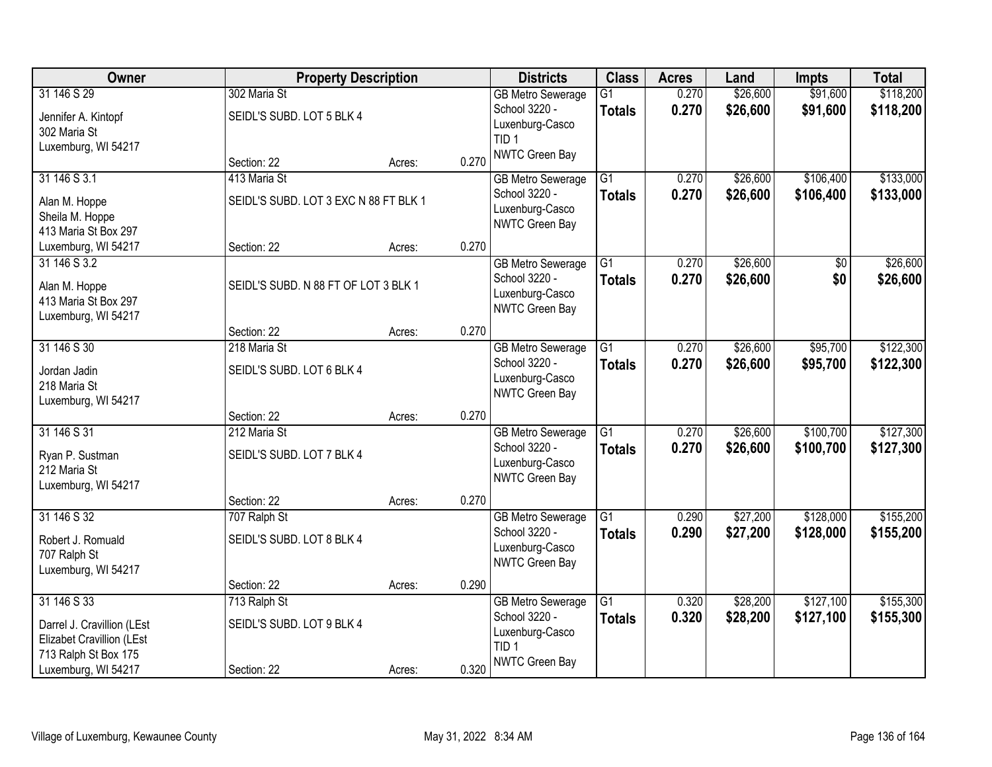| Owner                                                                                                                 |                                                          | <b>Property Description</b> |       | <b>Districts</b>                                                                                   | <b>Class</b>                     | <b>Acres</b>   | Land                 | Impts                  | <b>Total</b>           |
|-----------------------------------------------------------------------------------------------------------------------|----------------------------------------------------------|-----------------------------|-------|----------------------------------------------------------------------------------------------------|----------------------------------|----------------|----------------------|------------------------|------------------------|
| 31 146 S 29<br>Jennifer A. Kintopf                                                                                    | 302 Maria St<br>SEIDL'S SUBD. LOT 5 BLK 4                |                             |       | <b>GB Metro Sewerage</b><br>School 3220 -<br>Luxenburg-Casco                                       | $\overline{G1}$<br><b>Totals</b> | 0.270<br>0.270 | \$26,600<br>\$26,600 | \$91,600<br>\$91,600   | \$118,200<br>\$118,200 |
| 302 Maria St<br>Luxemburg, WI 54217                                                                                   | Section: 22                                              | Acres:                      | 0.270 | TID <sub>1</sub><br>NWTC Green Bay                                                                 |                                  |                |                      |                        |                        |
| 31 146 S 3.1<br>Alan M. Hoppe<br>Sheila M. Hoppe<br>413 Maria St Box 297                                              | 413 Maria St<br>SEIDL'S SUBD. LOT 3 EXC N 88 FT BLK 1    |                             |       | <b>GB Metro Sewerage</b><br>School 3220 -<br>Luxenburg-Casco<br>NWTC Green Bay                     | $\overline{G1}$<br><b>Totals</b> | 0.270<br>0.270 | \$26,600<br>\$26,600 | \$106,400<br>\$106,400 | \$133,000<br>\$133,000 |
| Luxemburg, WI 54217<br>31 146 S 3.2<br>Alan M. Hoppe<br>413 Maria St Box 297<br>Luxemburg, WI 54217                   | Section: 22<br>SEIDL'S SUBD. N 88 FT OF LOT 3 BLK 1      | Acres:                      | 0.270 | <b>GB Metro Sewerage</b><br>School 3220 -<br>Luxenburg-Casco<br>NWTC Green Bay                     | $\overline{G1}$<br><b>Totals</b> | 0.270<br>0.270 | \$26,600<br>\$26,600 | $\overline{50}$<br>\$0 | \$26,600<br>\$26,600   |
|                                                                                                                       | Section: 22                                              | Acres:                      | 0.270 |                                                                                                    |                                  |                |                      |                        |                        |
| 31 146 S 30<br>Jordan Jadin<br>218 Maria St<br>Luxemburg, WI 54217                                                    | 218 Maria St<br>SEIDL'S SUBD. LOT 6 BLK 4                |                             |       | <b>GB Metro Sewerage</b><br>School 3220 -<br>Luxenburg-Casco<br>NWTC Green Bay                     | G1<br><b>Totals</b>              | 0.270<br>0.270 | \$26,600<br>\$26,600 | \$95,700<br>\$95,700   | \$122,300<br>\$122,300 |
|                                                                                                                       | Section: 22                                              | Acres:                      | 0.270 |                                                                                                    |                                  |                |                      |                        |                        |
| 31 146 S 31<br>Ryan P. Sustman<br>212 Maria St<br>Luxemburg, WI 54217                                                 | 212 Maria St<br>SEIDL'S SUBD. LOT 7 BLK 4                |                             |       | <b>GB Metro Sewerage</b><br>School 3220 -<br>Luxenburg-Casco<br>NWTC Green Bay                     | $\overline{G1}$<br><b>Totals</b> | 0.270<br>0.270 | \$26,600<br>\$26,600 | \$100,700<br>\$100,700 | \$127,300<br>\$127,300 |
|                                                                                                                       | Section: 22                                              | Acres:                      | 0.270 |                                                                                                    |                                  |                |                      |                        |                        |
| 31 146 S 32<br>Robert J. Romuald<br>707 Ralph St<br>Luxemburg, WI 54217                                               | 707 Ralph St<br>SEIDL'S SUBD. LOT 8 BLK 4                |                             |       | <b>GB Metro Sewerage</b><br>School 3220 -<br>Luxenburg-Casco<br>NWTC Green Bay                     | $\overline{G1}$<br><b>Totals</b> | 0.290<br>0.290 | \$27,200<br>\$27,200 | \$128,000<br>\$128,000 | \$155,200<br>\$155,200 |
|                                                                                                                       | Section: 22                                              | Acres:                      | 0.290 |                                                                                                    |                                  |                |                      |                        |                        |
| 31 146 S 33<br>Darrel J. Cravillion (LEst<br>Elizabet Cravillion (LEst<br>713 Ralph St Box 175<br>Luxemburg, WI 54217 | 713 Ralph St<br>SEIDL'S SUBD. LOT 9 BLK 4<br>Section: 22 | Acres:                      | 0.320 | <b>GB Metro Sewerage</b><br>School 3220 -<br>Luxenburg-Casco<br>TID <sub>1</sub><br>NWTC Green Bay | $\overline{G1}$<br><b>Totals</b> | 0.320<br>0.320 | \$28,200<br>\$28,200 | \$127,100<br>\$127,100 | \$155,300<br>\$155,300 |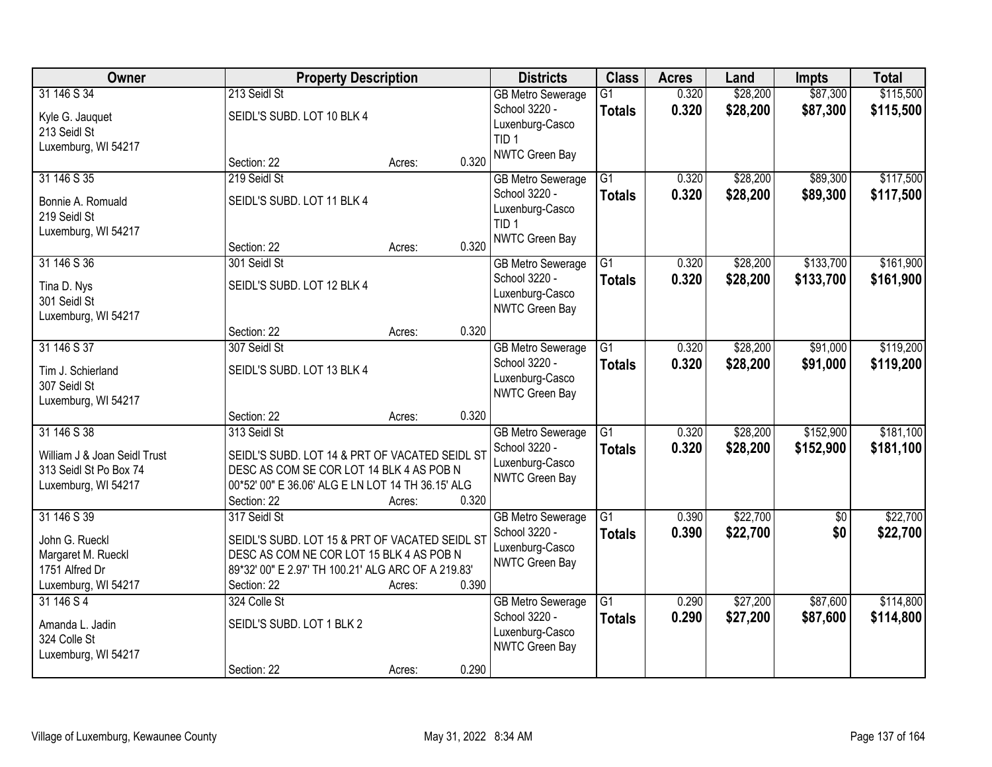| Owner                                                                                        |                                                                                                                                                                                 | <b>Property Description</b> | <b>Districts</b> | <b>Class</b>                                                                                              | <b>Acres</b>                     | Land           | <b>Impts</b>         | <b>Total</b>           |                        |
|----------------------------------------------------------------------------------------------|---------------------------------------------------------------------------------------------------------------------------------------------------------------------------------|-----------------------------|------------------|-----------------------------------------------------------------------------------------------------------|----------------------------------|----------------|----------------------|------------------------|------------------------|
| 31 146 S 34<br>Kyle G. Jauquet<br>213 Seidl St<br>Luxemburg, WI 54217                        | 213 Seidl St<br>SEIDL'S SUBD. LOT 10 BLK 4                                                                                                                                      |                             |                  | <b>GB Metro Sewerage</b><br>School 3220 -<br>Luxenburg-Casco<br>TID <sub>1</sub>                          | $\overline{G1}$<br><b>Totals</b> | 0.320<br>0.320 | \$28,200<br>\$28,200 | \$87,300<br>\$87,300   | \$115,500<br>\$115,500 |
|                                                                                              | Section: 22                                                                                                                                                                     | Acres:                      | 0.320            | <b>NWTC Green Bay</b>                                                                                     |                                  |                |                      |                        |                        |
| 31 146 S 35<br>Bonnie A. Romuald<br>219 Seidl St<br>Luxemburg, WI 54217                      | 219 Seidl St<br>SEIDL'S SUBD. LOT 11 BLK 4<br>Section: 22                                                                                                                       | Acres:                      | 0.320            | <b>GB Metro Sewerage</b><br>School 3220 -<br>Luxenburg-Casco<br>TID <sub>1</sub><br><b>NWTC Green Bay</b> | $\overline{G1}$<br><b>Totals</b> | 0.320<br>0.320 | \$28,200<br>\$28,200 | \$89,300<br>\$89,300   | \$117,500<br>\$117,500 |
| 31 146 S 36<br>Tina D. Nys<br>301 Seidl St<br>Luxemburg, WI 54217                            | 301 Seidl St<br>SEIDL'S SUBD. LOT 12 BLK 4                                                                                                                                      |                             |                  | <b>GB Metro Sewerage</b><br>School 3220 -<br>Luxenburg-Casco<br>NWTC Green Bay                            | $\overline{G1}$<br><b>Totals</b> | 0.320<br>0.320 | \$28,200<br>\$28,200 | \$133,700<br>\$133,700 | \$161,900<br>\$161,900 |
|                                                                                              | Section: 22                                                                                                                                                                     | Acres:                      | 0.320            |                                                                                                           |                                  |                |                      |                        | \$119,200              |
| 31 146 S 37<br>Tim J. Schierland<br>307 Seidl St<br>Luxemburg, WI 54217                      | 307 Seidl St<br>SEIDL'S SUBD. LOT 13 BLK 4                                                                                                                                      |                             |                  | <b>GB Metro Sewerage</b><br>School 3220 -<br>Luxenburg-Casco<br>NWTC Green Bay                            | $\overline{G1}$<br><b>Totals</b> | 0.320<br>0.320 | \$28,200<br>\$28,200 | \$91,000<br>\$91,000   | \$119,200              |
|                                                                                              | Section: 22                                                                                                                                                                     | Acres:                      | 0.320            |                                                                                                           |                                  |                |                      |                        |                        |
| 31 146 S 38<br>William J & Joan Seidl Trust<br>313 Seidl St Po Box 74<br>Luxemburg, WI 54217 | 313 Seidl St<br>SEIDL'S SUBD. LOT 14 & PRT OF VACATED SEIDL ST<br>DESC AS COM SE COR LOT 14 BLK 4 AS POB N<br>00*52' 00" E 36.06' ALG E LN LOT 14 TH 36.15' ALG<br>Section: 22  | Acres:                      | 0.320            | <b>GB Metro Sewerage</b><br>School 3220 -<br>Luxenburg-Casco<br>NWTC Green Bay                            | $\overline{G1}$<br><b>Totals</b> | 0.320<br>0.320 | \$28,200<br>\$28,200 | \$152,900<br>\$152,900 | \$181,100<br>\$181,100 |
| 31 146 S 39<br>John G. Rueckl<br>Margaret M. Rueckl<br>1751 Alfred Dr<br>Luxemburg, WI 54217 | 317 Seidl St<br>SEIDL'S SUBD. LOT 15 & PRT OF VACATED SEIDL ST<br>DESC AS COM NE COR LOT 15 BLK 4 AS POB N<br>89*32' 00" E 2.97' TH 100.21' ALG ARC OF A 219.83'<br>Section: 22 | Acres:                      | 0.390            | <b>GB Metro Sewerage</b><br>School 3220 -<br>Luxenburg-Casco<br>NWTC Green Bay                            | G1<br><b>Totals</b>              | 0.390<br>0.390 | \$22,700<br>\$22,700 | \$0<br>\$0             | \$22,700<br>\$22,700   |
| 31 146 S 4<br>Amanda L. Jadin<br>324 Colle St<br>Luxemburg, WI 54217                         | 324 Colle St<br>SEIDL'S SUBD. LOT 1 BLK 2<br>Section: 22                                                                                                                        | Acres:                      | 0.290            | <b>GB Metro Sewerage</b><br>School 3220 -<br>Luxenburg-Casco<br>NWTC Green Bay                            | $\overline{G1}$<br><b>Totals</b> | 0.290<br>0.290 | \$27,200<br>\$27,200 | \$87,600<br>\$87,600   | \$114,800<br>\$114,800 |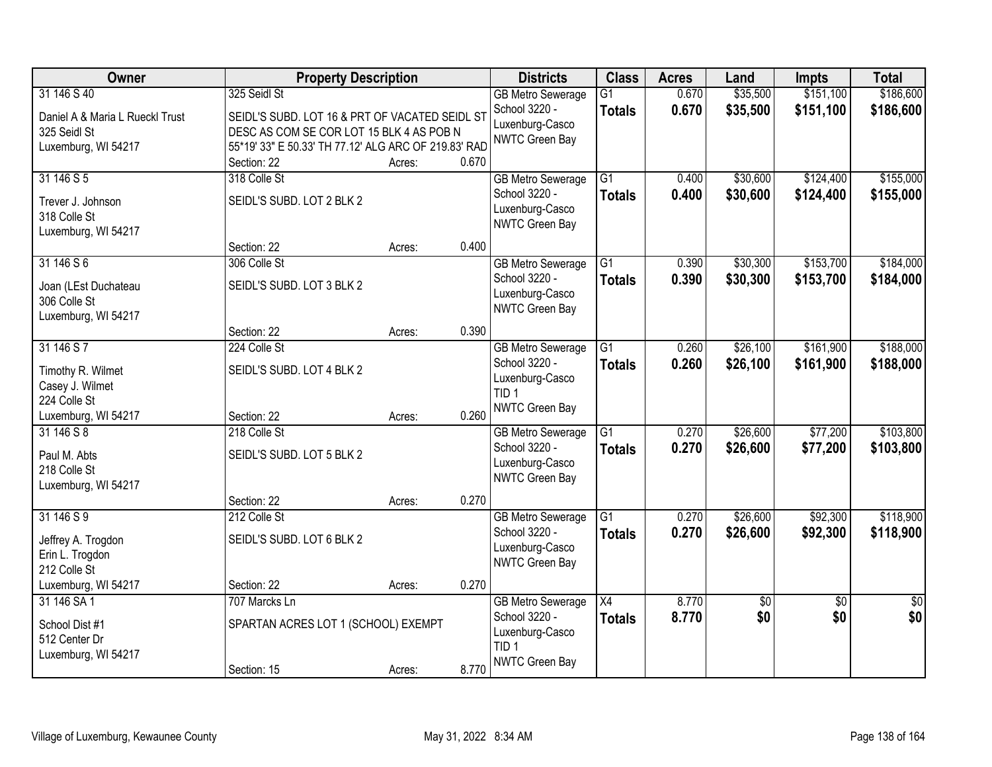| Owner                                                                  | <b>Property Description</b>                                                                                |        |       | <b>Districts</b>                                                                                   | <b>Class</b>                     | <b>Acres</b>   | Land                 | <b>Impts</b>           | <b>Total</b>           |
|------------------------------------------------------------------------|------------------------------------------------------------------------------------------------------------|--------|-------|----------------------------------------------------------------------------------------------------|----------------------------------|----------------|----------------------|------------------------|------------------------|
| 31 146 S 40<br>Daniel A & Maria L Rueckl Trust<br>325 Seidl St         | 325 Seidl St<br>SEIDL'S SUBD. LOT 16 & PRT OF VACATED SEIDL ST<br>DESC AS COM SE COR LOT 15 BLK 4 AS POB N |        |       | <b>GB Metro Sewerage</b><br>School 3220 -<br>Luxenburg-Casco<br>NWTC Green Bay                     | $\overline{G1}$<br><b>Totals</b> | 0.670<br>0.670 | \$35,500<br>\$35,500 | \$151,100<br>\$151,100 | \$186,600<br>\$186,600 |
| Luxemburg, WI 54217                                                    | 55*19' 33" E 50.33' TH 77.12' ALG ARC OF 219.83' RAD<br>Section: 22                                        | Acres: | 0.670 |                                                                                                    |                                  |                |                      |                        |                        |
| 31 146 S 5<br>Trever J. Johnson<br>318 Colle St<br>Luxemburg, WI 54217 | 318 Colle St<br>SEIDL'S SUBD. LOT 2 BLK 2                                                                  |        |       | <b>GB Metro Sewerage</b><br>School 3220 -<br>Luxenburg-Casco<br>NWTC Green Bay                     | $\overline{G1}$<br><b>Totals</b> | 0.400<br>0.400 | \$30,600<br>\$30,600 | \$124,400<br>\$124,400 | \$155,000<br>\$155,000 |
| 31 146 S 6<br>Joan (LEst Duchateau<br>306 Colle St                     | Section: 22<br>306 Colle St<br>SEIDL'S SUBD. LOT 3 BLK 2                                                   | Acres: | 0.400 | <b>GB Metro Sewerage</b><br>School 3220 -<br>Luxenburg-Casco                                       | $\overline{G1}$<br><b>Totals</b> | 0.390<br>0.390 | \$30,300<br>\$30,300 | \$153,700<br>\$153,700 | \$184,000<br>\$184,000 |
| Luxemburg, WI 54217                                                    | Section: 22                                                                                                | Acres: | 0.390 | NWTC Green Bay                                                                                     |                                  |                |                      |                        |                        |
| 31 146 S 7<br>Timothy R. Wilmet<br>Casey J. Wilmet<br>224 Colle St     | 224 Colle St<br>SEIDL'S SUBD. LOT 4 BLK 2                                                                  |        |       | <b>GB Metro Sewerage</b><br>School 3220 -<br>Luxenburg-Casco<br>TID <sub>1</sub>                   | $\overline{G1}$<br><b>Totals</b> | 0.260<br>0.260 | \$26,100<br>\$26,100 | \$161,900<br>\$161,900 | \$188,000<br>\$188,000 |
| Luxemburg, WI 54217<br>31 146 S 8                                      | Section: 22<br>218 Colle St                                                                                | Acres: | 0.260 | NWTC Green Bay<br><b>GB Metro Sewerage</b>                                                         | $\overline{G1}$                  | 0.270          | \$26,600             | \$77,200               | \$103,800              |
| Paul M. Abts<br>218 Colle St<br>Luxemburg, WI 54217                    | SEIDL'S SUBD. LOT 5 BLK 2                                                                                  |        |       | School 3220 -<br>Luxenburg-Casco<br>NWTC Green Bay                                                 | <b>Totals</b>                    | 0.270          | \$26,600             | \$77,200               | \$103,800              |
|                                                                        | Section: 22                                                                                                | Acres: | 0.270 |                                                                                                    |                                  |                |                      |                        |                        |
| 31 146 S 9<br>Jeffrey A. Trogdon<br>Erin L. Trogdon<br>212 Colle St    | 212 Colle St<br>SEIDL'S SUBD. LOT 6 BLK 2                                                                  |        |       | <b>GB Metro Sewerage</b><br>School 3220 -<br>Luxenburg-Casco<br>NWTC Green Bay                     | $\overline{G1}$<br><b>Totals</b> | 0.270<br>0.270 | \$26,600<br>\$26,600 | \$92,300<br>\$92,300   | \$118,900<br>\$118,900 |
| Luxemburg, WI 54217                                                    | Section: 22                                                                                                | Acres: | 0.270 |                                                                                                    |                                  |                |                      |                        |                        |
| 31 146 SA 1<br>School Dist #1<br>512 Center Dr<br>Luxemburg, WI 54217  | 707 Marcks Ln<br>SPARTAN ACRES LOT 1 (SCHOOL) EXEMPT<br>Section: 15                                        | Acres: | 8.770 | <b>GB Metro Sewerage</b><br>School 3220 -<br>Luxenburg-Casco<br>TID <sub>1</sub><br>NWTC Green Bay | $\overline{X4}$<br><b>Totals</b> | 8.770<br>8.770 | \$0<br>\$0           | $\overline{50}$<br>\$0 | \$0<br>\$0             |
|                                                                        |                                                                                                            |        |       |                                                                                                    |                                  |                |                      |                        |                        |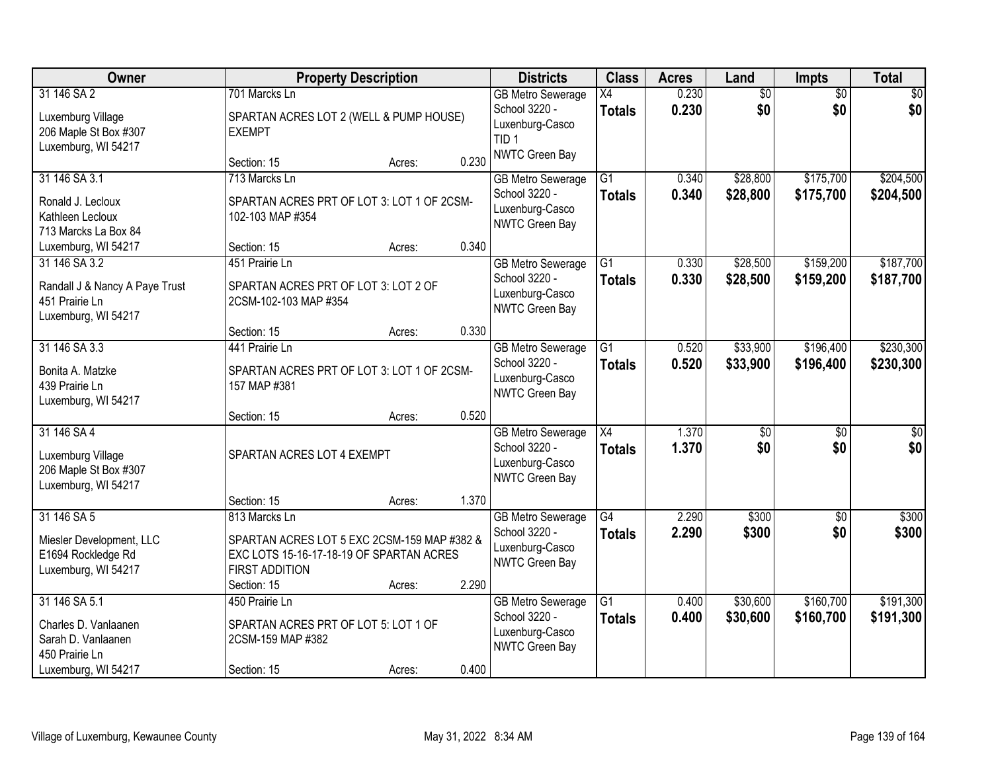| Owner                                                                                                |                                                                                                                                                  | <b>Property Description</b> |       | <b>Districts</b>                                                                      | <b>Class</b>                     | <b>Acres</b>   | Land                   | Impts                  | <b>Total</b>            |
|------------------------------------------------------------------------------------------------------|--------------------------------------------------------------------------------------------------------------------------------------------------|-----------------------------|-------|---------------------------------------------------------------------------------------|----------------------------------|----------------|------------------------|------------------------|-------------------------|
| 31 146 SA 2<br>Luxemburg Village<br>206 Maple St Box #307<br>Luxemburg, WI 54217                     | 701 Marcks Ln<br>SPARTAN ACRES LOT 2 (WELL & PUMP HOUSE)<br><b>EXEMPT</b>                                                                        |                             |       | <b>GB Metro Sewerage</b><br>School 3220 -<br>Luxenburg-Casco<br>TID <sub>1</sub>      | X4<br><b>Totals</b>              | 0.230<br>0.230 | \$0<br>\$0             | $\overline{50}$<br>\$0 | \$0<br>\$0              |
|                                                                                                      | Section: 15                                                                                                                                      | Acres:                      | 0.230 | NWTC Green Bay                                                                        |                                  |                |                        |                        |                         |
| 31 146 SA 3.1<br>Ronald J. Lecloux<br>Kathleen Lecloux<br>713 Marcks La Box 84                       | 713 Marcks Ln<br>SPARTAN ACRES PRT OF LOT 3: LOT 1 OF 2CSM-<br>102-103 MAP #354                                                                  |                             |       | <b>GB Metro Sewerage</b><br>School 3220 -<br>Luxenburg-Casco<br><b>NWTC Green Bay</b> | $\overline{G1}$<br><b>Totals</b> | 0.340<br>0.340 | \$28,800<br>\$28,800   | \$175,700<br>\$175,700 | \$204,500<br>\$204,500  |
| Luxemburg, WI 54217                                                                                  | Section: 15                                                                                                                                      | Acres:                      | 0.340 |                                                                                       |                                  |                |                        |                        |                         |
| 31 146 SA 3.2<br>Randall J & Nancy A Paye Trust<br>451 Prairie Ln<br>Luxemburg, WI 54217             | 451 Prairie Ln<br>SPARTAN ACRES PRT OF LOT 3: LOT 2 OF<br>2CSM-102-103 MAP #354                                                                  |                             |       | <b>GB Metro Sewerage</b><br>School 3220 -<br>Luxenburg-Casco<br>NWTC Green Bay        | $\overline{G1}$<br><b>Totals</b> | 0.330<br>0.330 | \$28,500<br>\$28,500   | \$159,200<br>\$159,200 | \$187,700<br>\$187,700  |
|                                                                                                      | Section: 15                                                                                                                                      | Acres:                      | 0.330 |                                                                                       |                                  |                |                        |                        |                         |
| 31 146 SA 3.3<br>Bonita A. Matzke<br>439 Prairie Ln<br>Luxemburg, WI 54217                           | 441 Prairie Ln<br>SPARTAN ACRES PRT OF LOT 3: LOT 1 OF 2CSM-<br>157 MAP #381                                                                     |                             |       | <b>GB Metro Sewerage</b><br>School 3220 -<br>Luxenburg-Casco<br>NWTC Green Bay        | G1<br><b>Totals</b>              | 0.520<br>0.520 | \$33,900<br>\$33,900   | \$196,400<br>\$196,400 | \$230,300<br>\$230,300  |
|                                                                                                      | Section: 15                                                                                                                                      | Acres:                      | 0.520 |                                                                                       |                                  |                |                        |                        |                         |
| 31 146 SA 4<br>Luxemburg Village<br>206 Maple St Box #307<br>Luxemburg, WI 54217                     | SPARTAN ACRES LOT 4 EXEMPT                                                                                                                       |                             |       | <b>GB Metro Sewerage</b><br>School 3220 -<br>Luxenburg-Casco<br>NWTC Green Bay        | $\overline{X4}$<br><b>Totals</b> | 1.370<br>1.370 | $\overline{50}$<br>\$0 | $\overline{50}$<br>\$0 | $\overline{\$0}$<br>\$0 |
|                                                                                                      | Section: 15                                                                                                                                      | Acres:                      | 1.370 |                                                                                       |                                  |                |                        |                        |                         |
| 31 146 SA 5<br>Miesler Development, LLC<br>E1694 Rockledge Rd<br>Luxemburg, WI 54217                 | 813 Marcks Ln<br>SPARTAN ACRES LOT 5 EXC 2CSM-159 MAP #382 &<br>EXC LOTS 15-16-17-18-19 OF SPARTAN ACRES<br><b>FIRST ADDITION</b><br>Section: 15 | Acres:                      | 2.290 | <b>GB Metro Sewerage</b><br>School 3220 -<br>Luxenburg-Casco<br>NWTC Green Bay        | $\overline{G4}$<br><b>Totals</b> | 2.290<br>2.290 | \$300<br>\$300         | $\sqrt{6}$<br>\$0      | \$300<br>\$300          |
| 31 146 SA 5.1<br>Charles D. Vanlaanen<br>Sarah D. Vanlaanen<br>450 Prairie Ln<br>Luxemburg, WI 54217 | 450 Prairie Ln<br>SPARTAN ACRES PRT OF LOT 5: LOT 1 OF<br>2CSM-159 MAP #382<br>Section: 15                                                       | Acres:                      | 0.400 | <b>GB Metro Sewerage</b><br>School 3220 -<br>Luxenburg-Casco<br>NWTC Green Bay        | $\overline{G1}$<br><b>Totals</b> | 0.400<br>0.400 | \$30,600<br>\$30,600   | \$160,700<br>\$160,700 | \$191,300<br>\$191,300  |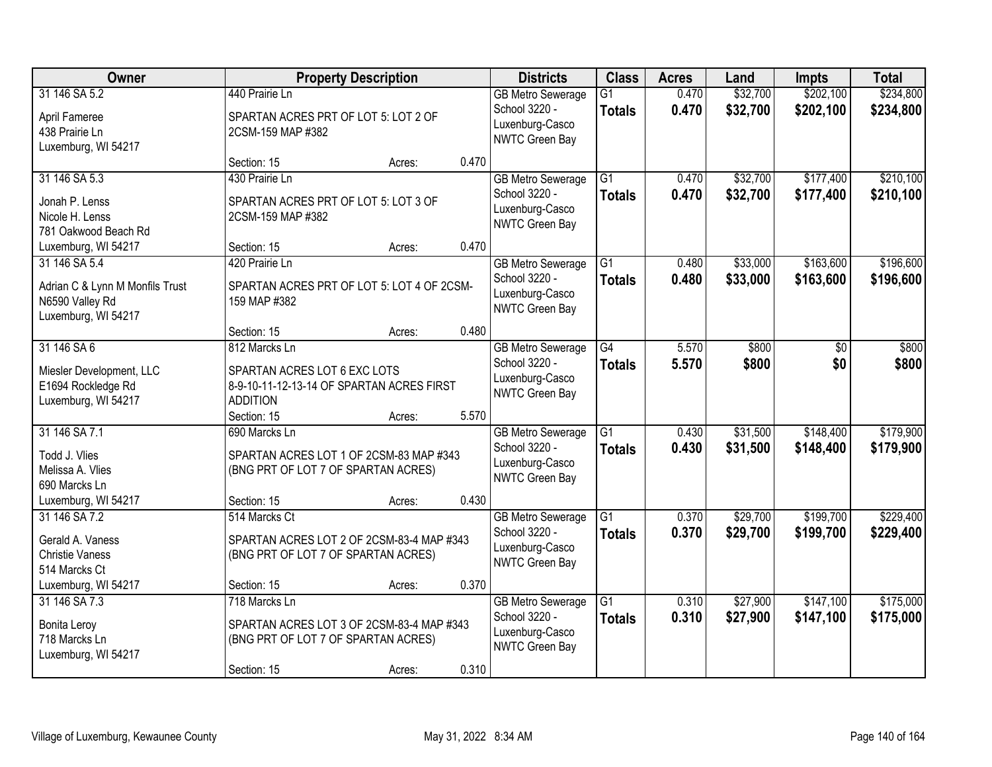| Owner                                          |                                                                           | <b>Property Description</b> |       | <b>Districts</b>                          | <b>Class</b>                     | <b>Acres</b>   | Land                 | <b>Impts</b>           | <b>Total</b>           |
|------------------------------------------------|---------------------------------------------------------------------------|-----------------------------|-------|-------------------------------------------|----------------------------------|----------------|----------------------|------------------------|------------------------|
| 31 146 SA 5.2                                  | 440 Prairie Ln                                                            |                             |       | <b>GB Metro Sewerage</b><br>School 3220 - | $\overline{G1}$<br><b>Totals</b> | 0.470<br>0.470 | \$32,700<br>\$32,700 | \$202,100<br>\$202,100 | \$234,800<br>\$234,800 |
| April Fameree                                  | SPARTAN ACRES PRT OF LOT 5: LOT 2 OF                                      |                             |       | Luxenburg-Casco                           |                                  |                |                      |                        |                        |
| 438 Prairie Ln<br>Luxemburg, WI 54217          | 2CSM-159 MAP #382                                                         |                             |       | NWTC Green Bay                            |                                  |                |                      |                        |                        |
|                                                | Section: 15                                                               | Acres:                      | 0.470 |                                           |                                  |                |                      |                        |                        |
| 31 146 SA 5.3                                  | 430 Prairie Ln                                                            |                             |       | <b>GB Metro Sewerage</b>                  | $\overline{G1}$                  | 0.470          | \$32,700             | \$177,400              | \$210,100              |
| Jonah P. Lenss                                 | SPARTAN ACRES PRT OF LOT 5: LOT 3 OF                                      |                             |       | School 3220 -<br>Luxenburg-Casco          | <b>Totals</b>                    | 0.470          | \$32,700             | \$177,400              | \$210,100              |
| Nicole H. Lenss                                | 2CSM-159 MAP #382                                                         |                             |       | NWTC Green Bay                            |                                  |                |                      |                        |                        |
| 781 Oakwood Beach Rd<br>Luxemburg, WI 54217    | Section: 15                                                               | Acres:                      | 0.470 |                                           |                                  |                |                      |                        |                        |
| 31 146 SA 5.4                                  | 420 Prairie Ln                                                            |                             |       | <b>GB Metro Sewerage</b>                  | $\overline{G1}$                  | 0.480          | \$33,000             | \$163,600              | \$196,600              |
| Adrian C & Lynn M Monfils Trust                | SPARTAN ACRES PRT OF LOT 5: LOT 4 OF 2CSM-                                |                             |       | School 3220 -                             | <b>Totals</b>                    | 0.480          | \$33,000             | \$163,600              | \$196,600              |
| N6590 Valley Rd                                | 159 MAP #382                                                              |                             |       | Luxenburg-Casco<br>NWTC Green Bay         |                                  |                |                      |                        |                        |
| Luxemburg, WI 54217                            |                                                                           |                             |       |                                           |                                  |                |                      |                        |                        |
| 31 146 SA 6                                    | Section: 15<br>812 Marcks Ln                                              | Acres:                      | 0.480 | <b>GB Metro Sewerage</b>                  | $\overline{G4}$                  | 5.570          | \$800                | \$0                    | \$800                  |
|                                                |                                                                           |                             |       | School 3220 -                             | <b>Totals</b>                    | 5.570          | \$800                | \$0                    | \$800                  |
| Miesler Development, LLC<br>E1694 Rockledge Rd | SPARTAN ACRES LOT 6 EXC LOTS<br>8-9-10-11-12-13-14 OF SPARTAN ACRES FIRST |                             |       | Luxenburg-Casco                           |                                  |                |                      |                        |                        |
| Luxemburg, WI 54217                            | <b>ADDITION</b>                                                           |                             |       | NWTC Green Bay                            |                                  |                |                      |                        |                        |
|                                                | Section: 15                                                               | Acres:                      | 5.570 |                                           |                                  |                |                      |                        |                        |
| 31 146 SA 7.1                                  | 690 Marcks Ln                                                             |                             |       | <b>GB Metro Sewerage</b>                  | $\overline{G1}$                  | 0.430          | \$31,500             | \$148,400              | \$179,900              |
| Todd J. Vlies                                  | SPARTAN ACRES LOT 1 OF 2CSM-83 MAP #343                                   |                             |       | School 3220 -<br>Luxenburg-Casco          | <b>Totals</b>                    | 0.430          | \$31,500             | \$148,400              | \$179,900              |
| Melissa A. Vlies<br>690 Marcks Ln              | (BNG PRT OF LOT 7 OF SPARTAN ACRES)                                       |                             |       | NWTC Green Bay                            |                                  |                |                      |                        |                        |
| Luxemburg, WI 54217                            | Section: 15                                                               | Acres:                      | 0.430 |                                           |                                  |                |                      |                        |                        |
| 31 146 SA 7.2                                  | 514 Marcks Ct                                                             |                             |       | <b>GB Metro Sewerage</b>                  | $\overline{G1}$                  | 0.370          | \$29,700             | \$199,700              | \$229,400              |
| Gerald A. Vaness                               | SPARTAN ACRES LOT 2 OF 2CSM-83-4 MAP #343                                 |                             |       | School 3220 -                             | <b>Totals</b>                    | 0.370          | \$29,700             | \$199,700              | \$229,400              |
| <b>Christie Vaness</b>                         | (BNG PRT OF LOT 7 OF SPARTAN ACRES)                                       |                             |       | Luxenburg-Casco<br>NWTC Green Bay         |                                  |                |                      |                        |                        |
| 514 Marcks Ct                                  |                                                                           |                             | 0.370 |                                           |                                  |                |                      |                        |                        |
| Luxemburg, WI 54217<br>31 146 SA 7.3           | Section: 15<br>718 Marcks Ln                                              | Acres:                      |       | <b>GB Metro Sewerage</b>                  | $\overline{G1}$                  | 0.310          | \$27,900             | \$147,100              | \$175,000              |
|                                                | SPARTAN ACRES LOT 3 OF 2CSM-83-4 MAP #343                                 |                             |       | School 3220 -                             | <b>Totals</b>                    | 0.310          | \$27,900             | \$147,100              | \$175,000              |
| <b>Bonita Leroy</b><br>718 Marcks Ln           | (BNG PRT OF LOT 7 OF SPARTAN ACRES)                                       |                             |       | Luxenburg-Casco                           |                                  |                |                      |                        |                        |
| Luxemburg, WI 54217                            |                                                                           |                             |       | NWTC Green Bay                            |                                  |                |                      |                        |                        |
|                                                | Section: 15                                                               | Acres:                      | 0.310 |                                           |                                  |                |                      |                        |                        |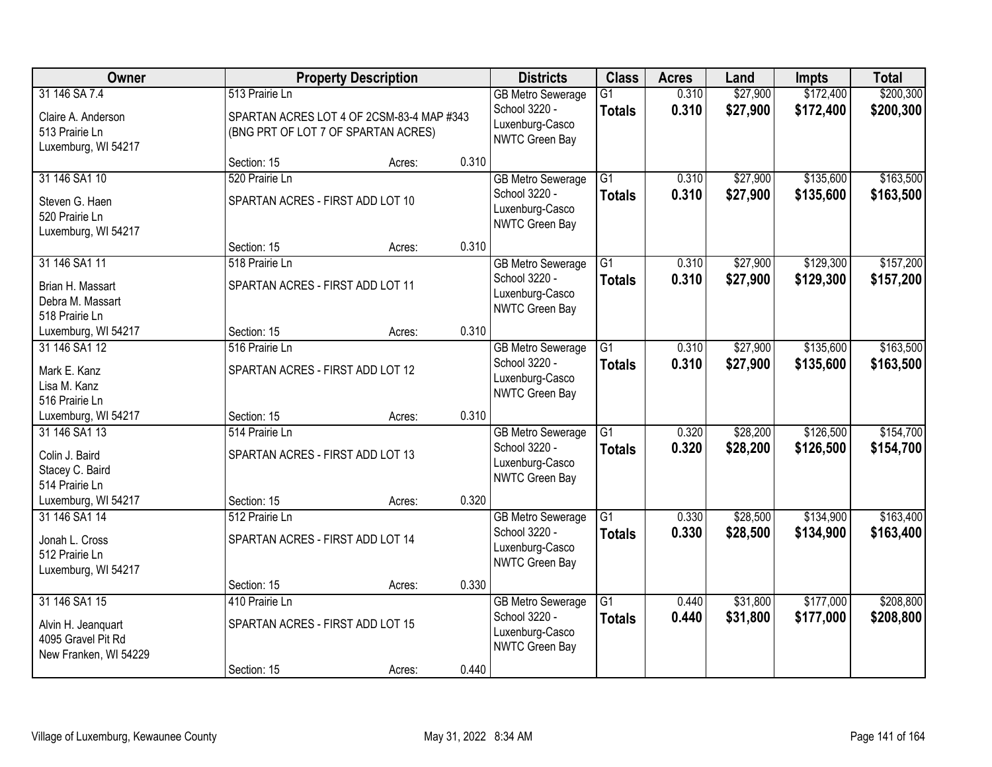| Owner                                                                              |                                                                                                    | <b>Property Description</b> |       | <b>Districts</b>                                                               | <b>Class</b>                     | <b>Acres</b>   | Land                 | <b>Impts</b>           | <b>Total</b>           |
|------------------------------------------------------------------------------------|----------------------------------------------------------------------------------------------------|-----------------------------|-------|--------------------------------------------------------------------------------|----------------------------------|----------------|----------------------|------------------------|------------------------|
| 31 146 SA 7.4<br>Claire A. Anderson<br>513 Prairie Ln<br>Luxemburg, WI 54217       | 513 Prairie Ln<br>SPARTAN ACRES LOT 4 OF 2CSM-83-4 MAP #343<br>(BNG PRT OF LOT 7 OF SPARTAN ACRES) |                             |       | <b>GB Metro Sewerage</b><br>School 3220 -<br>Luxenburg-Casco<br>NWTC Green Bay | $\overline{G1}$<br><b>Totals</b> | 0.310<br>0.310 | \$27,900<br>\$27,900 | \$172,400<br>\$172,400 | \$200,300<br>\$200,300 |
|                                                                                    | Section: 15                                                                                        | Acres:                      | 0.310 |                                                                                |                                  |                |                      |                        |                        |
| 31 146 SA1 10<br>Steven G. Haen<br>520 Prairie Ln<br>Luxemburg, WI 54217           | 520 Prairie Ln<br>SPARTAN ACRES - FIRST ADD LOT 10                                                 |                             |       | <b>GB Metro Sewerage</b><br>School 3220 -<br>Luxenburg-Casco<br>NWTC Green Bay | $\overline{G1}$<br><b>Totals</b> | 0.310<br>0.310 | \$27,900<br>\$27,900 | \$135,600<br>\$135,600 | \$163,500<br>\$163,500 |
|                                                                                    | Section: 15                                                                                        | Acres:                      | 0.310 |                                                                                |                                  |                |                      |                        |                        |
| 31 146 SA1 11<br>Brian H. Massart<br>Debra M. Massart<br>518 Prairie Ln            | 518 Prairie Ln<br>SPARTAN ACRES - FIRST ADD LOT 11                                                 |                             |       | <b>GB Metro Sewerage</b><br>School 3220 -<br>Luxenburg-Casco<br>NWTC Green Bay | G1<br><b>Totals</b>              | 0.310<br>0.310 | \$27,900<br>\$27,900 | \$129,300<br>\$129,300 | \$157,200<br>\$157,200 |
| Luxemburg, WI 54217                                                                | Section: 15                                                                                        | Acres:                      | 0.310 |                                                                                |                                  |                |                      |                        |                        |
| 31 146 SA1 12<br>Mark E. Kanz<br>Lisa M. Kanz<br>516 Prairie Ln                    | 516 Prairie Ln<br>SPARTAN ACRES - FIRST ADD LOT 12                                                 |                             |       | <b>GB Metro Sewerage</b><br>School 3220 -<br>Luxenburg-Casco<br>NWTC Green Bay | $\overline{G1}$<br><b>Totals</b> | 0.310<br>0.310 | \$27,900<br>\$27,900 | \$135,600<br>\$135,600 | \$163,500<br>\$163,500 |
| Luxemburg, WI 54217                                                                | Section: 15                                                                                        | Acres:                      | 0.310 |                                                                                |                                  |                |                      |                        |                        |
| 31 146 SA1 13<br>Colin J. Baird<br>Stacey C. Baird<br>514 Prairie Ln               | 514 Prairie Ln<br>SPARTAN ACRES - FIRST ADD LOT 13                                                 |                             |       | <b>GB Metro Sewerage</b><br>School 3220 -<br>Luxenburg-Casco<br>NWTC Green Bay | $\overline{G1}$<br><b>Totals</b> | 0.320<br>0.320 | \$28,200<br>\$28,200 | \$126,500<br>\$126,500 | \$154,700<br>\$154,700 |
| Luxemburg, WI 54217                                                                | Section: 15                                                                                        | Acres:                      | 0.320 |                                                                                |                                  |                |                      |                        |                        |
| 31 146 SA1 14<br>Jonah L. Cross<br>512 Prairie Ln<br>Luxemburg, WI 54217           | 512 Prairie Ln<br>SPARTAN ACRES - FIRST ADD LOT 14                                                 |                             |       | <b>GB Metro Sewerage</b><br>School 3220 -<br>Luxenburg-Casco<br>NWTC Green Bay | $\overline{G1}$<br><b>Totals</b> | 0.330<br>0.330 | \$28,500<br>\$28,500 | \$134,900<br>\$134,900 | \$163,400<br>\$163,400 |
|                                                                                    | Section: 15                                                                                        | Acres:                      | 0.330 |                                                                                |                                  |                |                      |                        |                        |
| 31 146 SA1 15<br>Alvin H. Jeanquart<br>4095 Gravel Pit Rd<br>New Franken, WI 54229 | 410 Prairie Ln<br>SPARTAN ACRES - FIRST ADD LOT 15                                                 |                             |       | <b>GB Metro Sewerage</b><br>School 3220 -<br>Luxenburg-Casco<br>NWTC Green Bay | $\overline{G1}$<br><b>Totals</b> | 0.440<br>0.440 | \$31,800<br>\$31,800 | \$177,000<br>\$177,000 | \$208,800<br>\$208,800 |
|                                                                                    | Section: 15                                                                                        | Acres:                      | 0.440 |                                                                                |                                  |                |                      |                        |                        |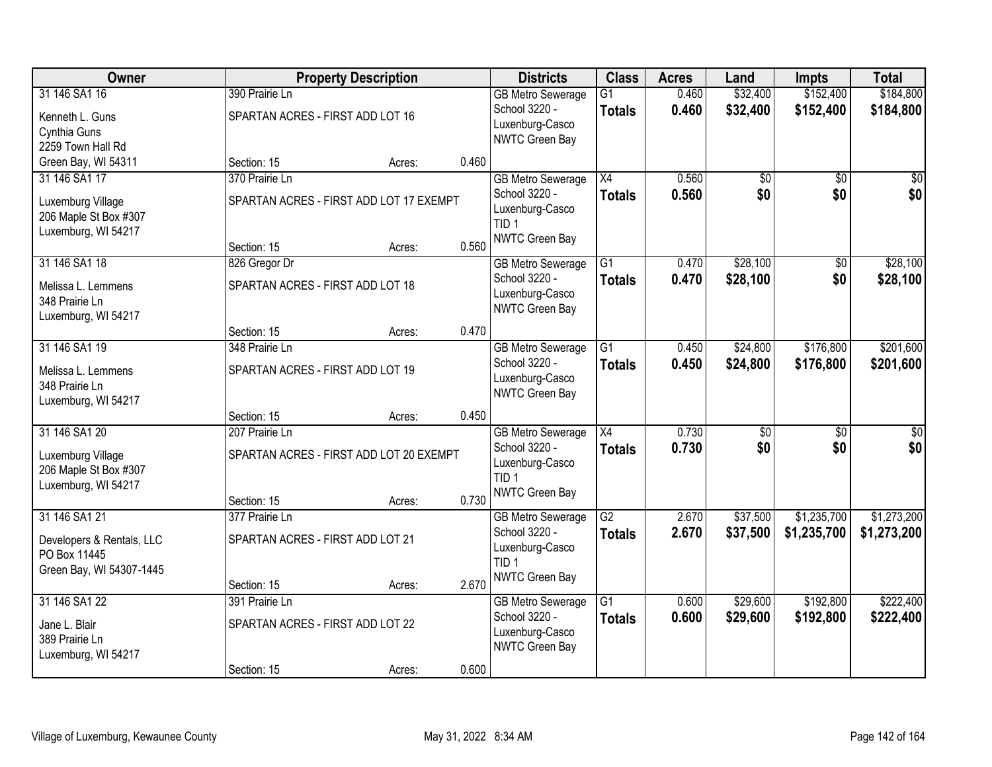| Owner                     |                                         | <b>Property Description</b> |       | <b>Districts</b>         | <b>Class</b>    | <b>Acres</b> | Land     | <b>Impts</b>    | <b>Total</b>    |
|---------------------------|-----------------------------------------|-----------------------------|-------|--------------------------|-----------------|--------------|----------|-----------------|-----------------|
| 31 146 SA1 16             | 390 Prairie Ln                          |                             |       | <b>GB Metro Sewerage</b> | $\overline{G1}$ | 0.460        | \$32,400 | \$152,400       | \$184,800       |
| Kenneth L. Guns           | SPARTAN ACRES - FIRST ADD LOT 16        |                             |       | School 3220 -            | <b>Totals</b>   | 0.460        | \$32,400 | \$152,400       | \$184,800       |
| Cynthia Guns              |                                         |                             |       | Luxenburg-Casco          |                 |              |          |                 |                 |
| 2259 Town Hall Rd         |                                         |                             |       | NWTC Green Bay           |                 |              |          |                 |                 |
| Green Bay, WI 54311       | Section: 15                             | Acres:                      | 0.460 |                          |                 |              |          |                 |                 |
| 31 146 SA1 17             | 370 Prairie Ln                          |                             |       | <b>GB Metro Sewerage</b> | $\overline{X4}$ | 0.560        | \$0      | $\overline{50}$ | $\overline{50}$ |
| Luxemburg Village         | SPARTAN ACRES - FIRST ADD LOT 17 EXEMPT |                             |       | School 3220 -            | <b>Totals</b>   | 0.560        | \$0      | \$0             | \$0             |
| 206 Maple St Box #307     |                                         |                             |       | Luxenburg-Casco          |                 |              |          |                 |                 |
| Luxemburg, WI 54217       |                                         |                             |       | TID <sub>1</sub>         |                 |              |          |                 |                 |
|                           | Section: 15                             | Acres:                      | 0.560 | NWTC Green Bay           |                 |              |          |                 |                 |
| 31 146 SA1 18             | 826 Gregor Dr                           |                             |       | <b>GB Metro Sewerage</b> | $\overline{G1}$ | 0.470        | \$28,100 | $\overline{50}$ | \$28,100        |
| Melissa L. Lemmens        | SPARTAN ACRES - FIRST ADD LOT 18        |                             |       | School 3220 -            | <b>Totals</b>   | 0.470        | \$28,100 | \$0             | \$28,100        |
| 348 Prairie Ln            |                                         |                             |       | Luxenburg-Casco          |                 |              |          |                 |                 |
| Luxemburg, WI 54217       |                                         |                             |       | NWTC Green Bay           |                 |              |          |                 |                 |
|                           | Section: 15                             | Acres:                      | 0.470 |                          |                 |              |          |                 |                 |
| 31 146 SA1 19             | 348 Prairie Ln                          |                             |       | <b>GB Metro Sewerage</b> | $\overline{G1}$ | 0.450        | \$24,800 | \$176,800       | \$201,600       |
| Melissa L. Lemmens        | SPARTAN ACRES - FIRST ADD LOT 19        |                             |       | School 3220 -            | <b>Totals</b>   | 0.450        | \$24,800 | \$176,800       | \$201,600       |
| 348 Prairie Ln            |                                         |                             |       | Luxenburg-Casco          |                 |              |          |                 |                 |
| Luxemburg, WI 54217       |                                         |                             |       | NWTC Green Bay           |                 |              |          |                 |                 |
|                           | Section: 15                             | Acres:                      | 0.450 |                          |                 |              |          |                 |                 |
| 31 146 SA1 20             | 207 Prairie Ln                          |                             |       | <b>GB Metro Sewerage</b> | $\overline{X4}$ | 0.730        | \$0      | $\overline{50}$ | $\overline{50}$ |
| Luxemburg Village         | SPARTAN ACRES - FIRST ADD LOT 20 EXEMPT |                             |       | School 3220 -            | <b>Totals</b>   | 0.730        | \$0      | \$0             | \$0             |
| 206 Maple St Box #307     |                                         |                             |       | Luxenburg-Casco          |                 |              |          |                 |                 |
| Luxemburg, WI 54217       |                                         |                             |       | TID <sub>1</sub>         |                 |              |          |                 |                 |
|                           | Section: 15                             | Acres:                      | 0.730 | <b>NWTC Green Bay</b>    |                 |              |          |                 |                 |
| 31 146 SA1 21             | 377 Prairie Ln                          |                             |       | <b>GB Metro Sewerage</b> | $\overline{G2}$ | 2.670        | \$37,500 | \$1,235,700     | \$1,273,200     |
| Developers & Rentals, LLC | SPARTAN ACRES - FIRST ADD LOT 21        |                             |       | School 3220 -            | <b>Totals</b>   | 2.670        | \$37,500 | \$1,235,700     | \$1,273,200     |
| PO Box 11445              |                                         |                             |       | Luxenburg-Casco          |                 |              |          |                 |                 |
| Green Bay, WI 54307-1445  |                                         |                             |       | TID <sub>1</sub>         |                 |              |          |                 |                 |
|                           | Section: 15                             | Acres:                      | 2.670 | NWTC Green Bay           |                 |              |          |                 |                 |
| 31 146 SA1 22             | 391 Prairie Ln                          |                             |       | <b>GB Metro Sewerage</b> | $\overline{G1}$ | 0.600        | \$29,600 | \$192,800       | \$222,400       |
| Jane L. Blair             | SPARTAN ACRES - FIRST ADD LOT 22        |                             |       | School 3220 -            | <b>Totals</b>   | 0.600        | \$29,600 | \$192,800       | \$222,400       |
| 389 Prairie Ln            |                                         |                             |       | Luxenburg-Casco          |                 |              |          |                 |                 |
| Luxemburg, WI 54217       |                                         |                             |       | NWTC Green Bay           |                 |              |          |                 |                 |
|                           | Section: 15                             | Acres:                      | 0.600 |                          |                 |              |          |                 |                 |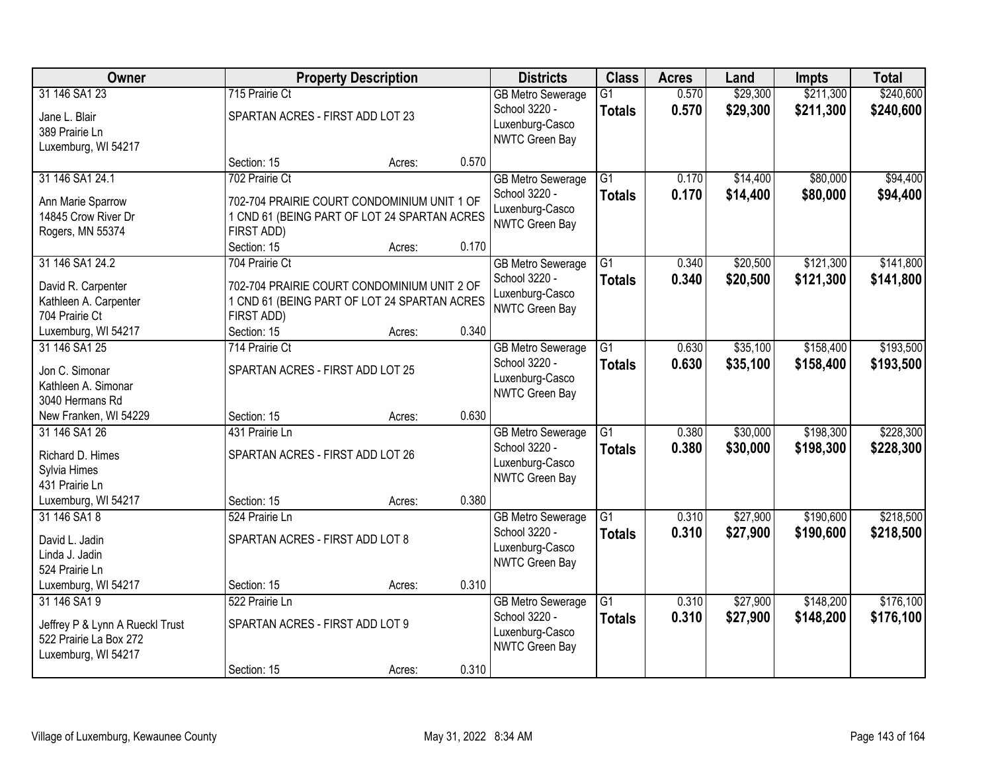| Owner                                                     |                                              | <b>Property Description</b> |       | <b>Districts</b>                          | <b>Class</b>                     | <b>Acres</b>   | Land                 | <b>Impts</b>           | <b>Total</b>           |
|-----------------------------------------------------------|----------------------------------------------|-----------------------------|-------|-------------------------------------------|----------------------------------|----------------|----------------------|------------------------|------------------------|
| 31 146 SA1 23                                             | 715 Prairie Ct                               |                             |       | <b>GB Metro Sewerage</b><br>School 3220 - | $\overline{G1}$<br><b>Totals</b> | 0.570<br>0.570 | \$29,300<br>\$29,300 | \$211,300<br>\$211,300 | \$240,600<br>\$240,600 |
| Jane L. Blair                                             | SPARTAN ACRES - FIRST ADD LOT 23             |                             |       | Luxenburg-Casco                           |                                  |                |                      |                        |                        |
| 389 Prairie Ln                                            |                                              |                             |       | NWTC Green Bay                            |                                  |                |                      |                        |                        |
| Luxemburg, WI 54217                                       |                                              |                             | 0.570 |                                           |                                  |                |                      |                        |                        |
| 31 146 SA1 24.1                                           | Section: 15<br>702 Prairie Ct                | Acres:                      |       | <b>GB Metro Sewerage</b>                  | $\overline{G1}$                  | 0.170          | \$14,400             | \$80,000               | \$94,400               |
|                                                           |                                              |                             |       | School 3220 -                             | <b>Totals</b>                    | 0.170          | \$14,400             | \$80,000               | \$94,400               |
| Ann Marie Sparrow                                         | 702-704 PRAIRIE COURT CONDOMINIUM UNIT 1 OF  |                             |       | Luxenburg-Casco                           |                                  |                |                      |                        |                        |
| 14845 Crow River Dr                                       | 1 CND 61 (BEING PART OF LOT 24 SPARTAN ACRES |                             |       | <b>NWTC Green Bay</b>                     |                                  |                |                      |                        |                        |
| Rogers, MN 55374                                          | FIRST ADD)<br>Section: 15                    |                             | 0.170 |                                           |                                  |                |                      |                        |                        |
| 31 146 SA1 24.2                                           | 704 Prairie Ct                               | Acres:                      |       | <b>GB Metro Sewerage</b>                  | G1                               | 0.340          | \$20,500             | \$121,300              | \$141,800              |
|                                                           |                                              |                             |       | School 3220 -                             | <b>Totals</b>                    | 0.340          | \$20,500             | \$121,300              | \$141,800              |
| David R. Carpenter                                        | 702-704 PRAIRIE COURT CONDOMINIUM UNIT 2 OF  |                             |       | Luxenburg-Casco                           |                                  |                |                      |                        |                        |
| Kathleen A. Carpenter                                     | 1 CND 61 (BEING PART OF LOT 24 SPARTAN ACRES |                             |       | <b>NWTC Green Bay</b>                     |                                  |                |                      |                        |                        |
| 704 Prairie Ct<br>Luxemburg, WI 54217                     | FIRST ADD)<br>Section: 15                    | Acres:                      | 0.340 |                                           |                                  |                |                      |                        |                        |
| 31 146 SA1 25                                             | 714 Prairie Ct                               |                             |       | <b>GB Metro Sewerage</b>                  | G1                               | 0.630          | \$35,100             | \$158,400              | \$193,500              |
|                                                           |                                              |                             |       | School 3220 -                             | <b>Totals</b>                    | 0.630          | \$35,100             | \$158,400              | \$193,500              |
| Jon C. Simonar                                            | SPARTAN ACRES - FIRST ADD LOT 25             |                             |       | Luxenburg-Casco                           |                                  |                |                      |                        |                        |
| Kathleen A. Simonar<br>3040 Hermans Rd                    |                                              |                             |       | NWTC Green Bay                            |                                  |                |                      |                        |                        |
| New Franken, WI 54229                                     | Section: 15                                  | Acres:                      | 0.630 |                                           |                                  |                |                      |                        |                        |
| 31 146 SA1 26                                             | 431 Prairie Ln                               |                             |       | <b>GB Metro Sewerage</b>                  | $\overline{G1}$                  | 0.380          | \$30,000             | \$198,300              | \$228,300              |
|                                                           |                                              |                             |       | School 3220 -                             | <b>Totals</b>                    | 0.380          | \$30,000             | \$198,300              | \$228,300              |
| Richard D. Himes                                          | SPARTAN ACRES - FIRST ADD LOT 26             |                             |       | Luxenburg-Casco                           |                                  |                |                      |                        |                        |
| Sylvia Himes<br>431 Prairie Ln                            |                                              |                             |       | <b>NWTC Green Bay</b>                     |                                  |                |                      |                        |                        |
| Luxemburg, WI 54217                                       | Section: 15                                  | Acres:                      | 0.380 |                                           |                                  |                |                      |                        |                        |
| 31 146 SA1 8                                              | 524 Prairie Ln                               |                             |       | <b>GB Metro Sewerage</b>                  | G1                               | 0.310          | \$27,900             | \$190,600              | \$218,500              |
|                                                           |                                              |                             |       | School 3220 -                             | <b>Totals</b>                    | 0.310          | \$27,900             | \$190,600              | \$218,500              |
| David L. Jadin                                            | SPARTAN ACRES - FIRST ADD LOT 8              |                             |       | Luxenburg-Casco                           |                                  |                |                      |                        |                        |
| Linda J. Jadin<br>524 Prairie Ln                          |                                              |                             |       | NWTC Green Bay                            |                                  |                |                      |                        |                        |
| Luxemburg, WI 54217                                       | Section: 15                                  | Acres:                      | 0.310 |                                           |                                  |                |                      |                        |                        |
| 31 146 SA1 9                                              | 522 Prairie Ln                               |                             |       | <b>GB Metro Sewerage</b>                  | $\overline{G1}$                  | 0.310          | \$27,900             | \$148,200              | \$176,100              |
|                                                           |                                              |                             |       | School 3220 -                             | <b>Totals</b>                    | 0.310          | \$27,900             | \$148,200              | \$176,100              |
| Jeffrey P & Lynn A Rueckl Trust<br>522 Prairie La Box 272 | SPARTAN ACRES - FIRST ADD LOT 9              |                             |       | Luxenburg-Casco                           |                                  |                |                      |                        |                        |
| Luxemburg, WI 54217                                       |                                              |                             |       | NWTC Green Bay                            |                                  |                |                      |                        |                        |
|                                                           | Section: 15                                  | Acres:                      | 0.310 |                                           |                                  |                |                      |                        |                        |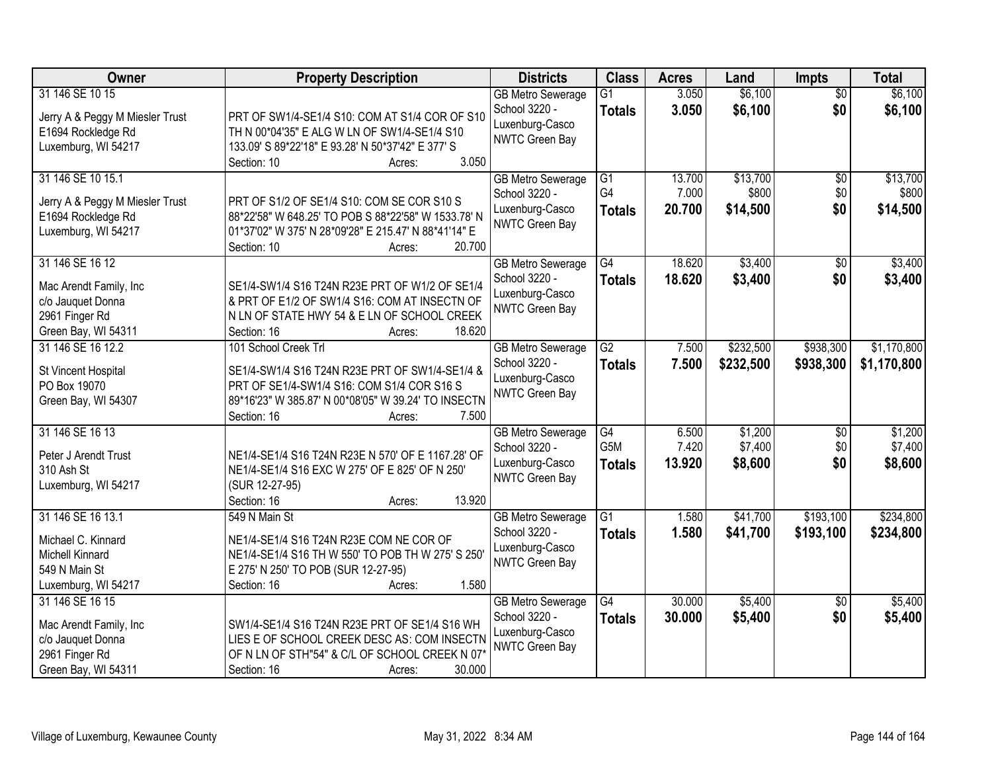| Owner                                                 | <b>Property Description</b>                                                                       | <b>Districts</b>                          | <b>Class</b>                     | <b>Acres</b>   | Land               | Impts                  | <b>Total</b>       |
|-------------------------------------------------------|---------------------------------------------------------------------------------------------------|-------------------------------------------|----------------------------------|----------------|--------------------|------------------------|--------------------|
| 31 146 SE 10 15                                       |                                                                                                   | <b>GB Metro Sewerage</b><br>School 3220 - | $\overline{G1}$<br><b>Totals</b> | 3.050<br>3.050 | \$6,100<br>\$6,100 | $\overline{50}$<br>\$0 | \$6,100<br>\$6,100 |
| Jerry A & Peggy M Miesler Trust                       | PRT OF SW1/4-SE1/4 S10: COM AT S1/4 COR OF S10                                                    | Luxenburg-Casco                           |                                  |                |                    |                        |                    |
| E1694 Rockledge Rd<br>Luxemburg, WI 54217             | TH N 00*04'35" E ALG W LN OF SW1/4-SE1/4 S10<br>133.09' S 89*22'18" E 93.28' N 50*37'42" E 377' S | <b>NWTC Green Bay</b>                     |                                  |                |                    |                        |                    |
|                                                       | 3.050<br>Section: 10<br>Acres:                                                                    |                                           |                                  |                |                    |                        |                    |
| 31 146 SE 10 15.1                                     |                                                                                                   | <b>GB Metro Sewerage</b>                  | G1                               | 13.700         | \$13,700           | $\overline{50}$        | \$13,700           |
|                                                       |                                                                                                   | School 3220 -                             | G4                               | 7.000          | \$800              | \$0                    | \$800              |
| Jerry A & Peggy M Miesler Trust<br>E1694 Rockledge Rd | PRT OF S1/2 OF SE1/4 S10: COM SE COR S10 S<br>88*22'58" W 648.25' TO POB S 88*22'58" W 1533.78' N | Luxenburg-Casco                           | <b>Totals</b>                    | 20.700         | \$14,500           | \$0                    | \$14,500           |
| Luxemburg, WI 54217                                   | 01*37'02" W 375' N 28*09'28" E 215.47' N 88*41'14" E                                              | <b>NWTC Green Bay</b>                     |                                  |                |                    |                        |                    |
|                                                       | 20.700<br>Section: 10<br>Acres:                                                                   |                                           |                                  |                |                    |                        |                    |
| 31 146 SE 16 12                                       |                                                                                                   | <b>GB Metro Sewerage</b>                  | $\overline{G4}$                  | 18.620         | \$3,400            | $\overline{50}$        | \$3,400            |
| Mac Arendt Family, Inc.                               | SE1/4-SW1/4 S16 T24N R23E PRT OF W1/2 OF SE1/4                                                    | School 3220 -                             | <b>Totals</b>                    | 18.620         | \$3,400            | \$0                    | \$3,400            |
| c/o Jauquet Donna                                     | & PRT OF E1/2 OF SW1/4 S16: COM AT INSECTN OF                                                     | Luxenburg-Casco                           |                                  |                |                    |                        |                    |
| 2961 Finger Rd                                        | N LN OF STATE HWY 54 & E LN OF SCHOOL CREEK                                                       | <b>NWTC Green Bay</b>                     |                                  |                |                    |                        |                    |
| Green Bay, WI 54311                                   | Section: 16<br>18.620<br>Acres:                                                                   |                                           |                                  |                |                    |                        |                    |
| 31 146 SE 16 12.2                                     | 101 School Creek Trl                                                                              | <b>GB Metro Sewerage</b>                  | $\overline{G2}$                  | 7.500          | \$232,500          | \$938,300              | \$1,170,800        |
| St Vincent Hospital                                   | SE1/4-SW1/4 S16 T24N R23E PRT OF SW1/4-SE1/4 &                                                    | School 3220 -                             | <b>Totals</b>                    | 7.500          | \$232,500          | \$938,300              | \$1,170,800        |
| PO Box 19070                                          | PRT OF SE1/4-SW1/4 S16: COM S1/4 COR S16 S                                                        | Luxenburg-Casco                           |                                  |                |                    |                        |                    |
| Green Bay, WI 54307                                   | 89*16'23" W 385.87' N 00*08'05" W 39.24' TO INSECTN                                               | <b>NWTC Green Bay</b>                     |                                  |                |                    |                        |                    |
|                                                       | 7.500<br>Section: 16<br>Acres:                                                                    |                                           |                                  |                |                    |                        |                    |
| 31 146 SE 16 13                                       |                                                                                                   | <b>GB Metro Sewerage</b>                  | $\overline{G4}$                  | 6.500          | \$1,200            | \$0                    | \$1,200            |
| Peter J Arendt Trust                                  | NE1/4-SE1/4 S16 T24N R23E N 570' OF E 1167.28' OF                                                 | School 3220 -                             | G <sub>5</sub> M                 | 7.420          | \$7,400            | \$0                    | \$7,400            |
| 310 Ash St                                            | NE1/4-SE1/4 S16 EXC W 275' OF E 825' OF N 250'                                                    | Luxenburg-Casco                           | <b>Totals</b>                    | 13.920         | \$8,600            | \$0                    | \$8,600            |
| Luxemburg, WI 54217                                   | (SUR 12-27-95)                                                                                    | <b>NWTC Green Bay</b>                     |                                  |                |                    |                        |                    |
|                                                       | 13.920<br>Section: 16<br>Acres:                                                                   |                                           |                                  |                |                    |                        |                    |
| 31 146 SE 16 13.1                                     | 549 N Main St                                                                                     | <b>GB</b> Metro Sewerage                  | $\overline{G1}$                  | 1.580          | \$41,700           | \$193,100              | \$234,800          |
| Michael C. Kinnard                                    | NE1/4-SE1/4 S16 T24N R23E COM NE COR OF                                                           | School 3220 -                             | <b>Totals</b>                    | 1.580          | \$41,700           | \$193,100              | \$234,800          |
| Michell Kinnard                                       | NE1/4-SE1/4 S16 TH W 550' TO POB TH W 275' S 250'                                                 | Luxenburg-Casco                           |                                  |                |                    |                        |                    |
| 549 N Main St                                         | E 275' N 250' TO POB (SUR 12-27-95)                                                               | <b>NWTC Green Bay</b>                     |                                  |                |                    |                        |                    |
| Luxemburg, WI 54217                                   | Section: 16<br>1.580<br>Acres:                                                                    |                                           |                                  |                |                    |                        |                    |
| 31 146 SE 16 15                                       |                                                                                                   | <b>GB Metro Sewerage</b>                  | $\overline{G4}$                  | 30.000         | \$5,400            | $\overline{50}$        | \$5,400            |
| Mac Arendt Family, Inc                                | SW1/4-SE1/4 S16 T24N R23E PRT OF SE1/4 S16 WH                                                     | School 3220 -                             | <b>Totals</b>                    | 30.000         | \$5,400            | \$0                    | \$5,400            |
| c/o Jauquet Donna                                     | LIES E OF SCHOOL CREEK DESC AS: COM INSECTN                                                       | Luxenburg-Casco                           |                                  |                |                    |                        |                    |
| 2961 Finger Rd                                        | OF N LN OF STH"54" & C/L OF SCHOOL CREEK N 07'                                                    | <b>NWTC Green Bay</b>                     |                                  |                |                    |                        |                    |
| Green Bay, WI 54311                                   | 30.000<br>Section: 16<br>Acres:                                                                   |                                           |                                  |                |                    |                        |                    |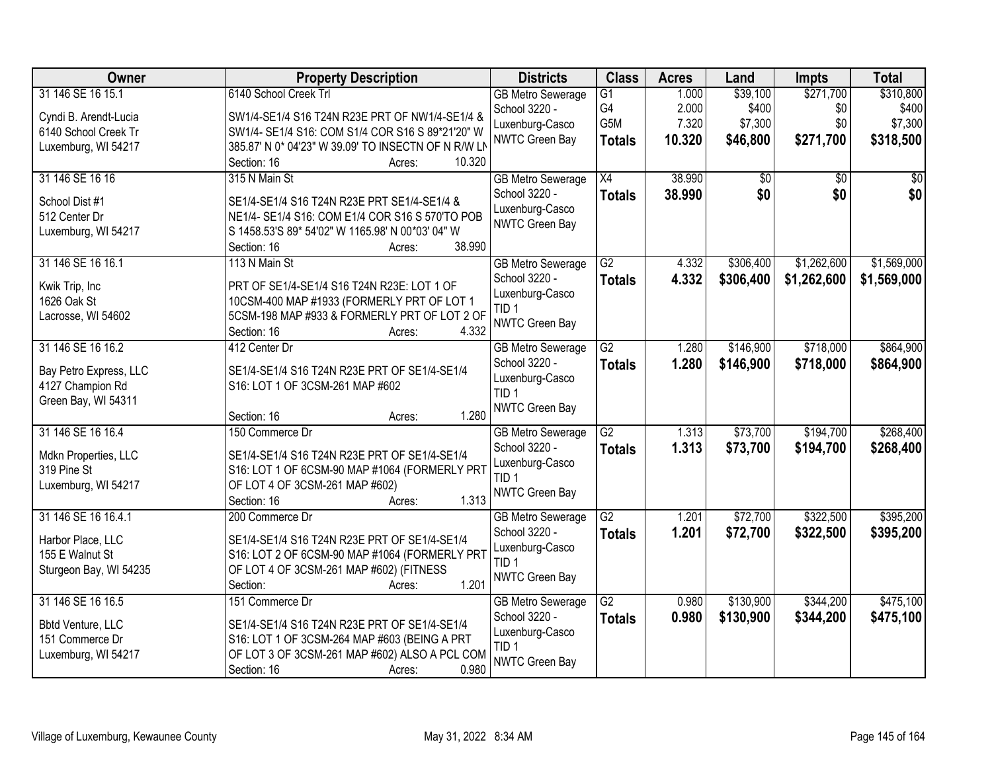| Owner                    | <b>Property Description</b>                         | <b>Districts</b>         | <b>Class</b>    | <b>Acres</b> | Land            | <b>Impts</b> | <b>Total</b> |
|--------------------------|-----------------------------------------------------|--------------------------|-----------------|--------------|-----------------|--------------|--------------|
| 31 146 SE 16 15.1        | 6140 School Creek Trl                               | <b>GB Metro Sewerage</b> | G1              | 1.000        | \$39,100        | \$271,700    | \$310,800    |
| Cyndi B. Arendt-Lucia    | SW1/4-SE1/4 S16 T24N R23E PRT OF NW1/4-SE1/4 &      | School 3220 -            | G <sub>4</sub>  | 2.000        | \$400           | \$0          | \$400        |
| 6140 School Creek Tr     | SW1/4- SE1/4 S16: COM S1/4 COR S16 S 89*21'20" W    | Luxenburg-Casco          | G5M             | 7.320        | \$7,300         | \$0          | \$7,300      |
| Luxemburg, WI 54217      | 385.87' N 0* 04'23" W 39.09' TO INSECTN OF N R/W LN | <b>NWTC Green Bay</b>    | <b>Totals</b>   | 10.320       | \$46,800        | \$271,700    | \$318,500    |
|                          | 10.320<br>Section: 16<br>Acres:                     |                          |                 |              |                 |              |              |
| 31 146 SE 16 16          | 315 N Main St                                       | <b>GB Metro Sewerage</b> | X4              | 38.990       | $\overline{50}$ | \$0          | \$0          |
| School Dist #1           | SE1/4-SE1/4 S16 T24N R23E PRT SE1/4-SE1/4 &         | School 3220 -            | <b>Totals</b>   | 38.990       | \$0             | \$0          | \$0          |
| 512 Center Dr            | NE1/4- SE1/4 S16: COM E1/4 COR S16 S 570'TO POB     | Luxenburg-Casco          |                 |              |                 |              |              |
| Luxemburg, WI 54217      | S 1458.53'S 89* 54'02" W 1165.98' N 00*03' 04" W    | <b>NWTC Green Bay</b>    |                 |              |                 |              |              |
|                          | 38.990<br>Section: 16<br>Acres:                     |                          |                 |              |                 |              |              |
| 31 146 SE 16 16.1        | 113 N Main St                                       | <b>GB Metro Sewerage</b> | G2              | 4.332        | \$306,400       | \$1,262,600  | \$1,569,000  |
| Kwik Trip, Inc           | PRT OF SE1/4-SE1/4 S16 T24N R23E: LOT 1 OF          | School 3220 -            | <b>Totals</b>   | 4.332        | \$306,400       | \$1,262,600  | \$1,569,000  |
| 1626 Oak St              | 10CSM-400 MAP #1933 (FORMERLY PRT OF LOT 1          | Luxenburg-Casco          |                 |              |                 |              |              |
| Lacrosse, WI 54602       | 5CSM-198 MAP #933 & FORMERLY PRT OF LOT 2 OF        | TID <sub>1</sub>         |                 |              |                 |              |              |
|                          | 4.332<br>Section: 16<br>Acres:                      | NWTC Green Bay           |                 |              |                 |              |              |
| 31 146 SE 16 16.2        | 412 Center Dr                                       | <b>GB Metro Sewerage</b> | G2              | 1.280        | \$146,900       | \$718,000    | \$864,900    |
| Bay Petro Express, LLC   | SE1/4-SE1/4 S16 T24N R23E PRT OF SE1/4-SE1/4        | School 3220 -            | <b>Totals</b>   | 1.280        | \$146,900       | \$718,000    | \$864,900    |
| 4127 Champion Rd         | S16: LOT 1 OF 3CSM-261 MAP #602                     | Luxenburg-Casco          |                 |              |                 |              |              |
| Green Bay, WI 54311      |                                                     | TID <sub>1</sub>         |                 |              |                 |              |              |
|                          | 1.280<br>Section: 16<br>Acres:                      | NWTC Green Bay           |                 |              |                 |              |              |
| 31 146 SE 16 16.4        | 150 Commerce Dr                                     | <b>GB Metro Sewerage</b> | $\overline{G2}$ | 1.313        | \$73,700        | \$194,700    | \$268,400    |
| Mdkn Properties, LLC     | SE1/4-SE1/4 S16 T24N R23E PRT OF SE1/4-SE1/4        | School 3220 -            | <b>Totals</b>   | 1.313        | \$73,700        | \$194,700    | \$268,400    |
| 319 Pine St              | S16: LOT 1 OF 6CSM-90 MAP #1064 (FORMERLY PRT       | Luxenburg-Casco          |                 |              |                 |              |              |
| Luxemburg, WI 54217      | OF LOT 4 OF 3CSM-261 MAP #602)                      | TID <sub>1</sub>         |                 |              |                 |              |              |
|                          | 1.313<br>Section: 16<br>Acres:                      | <b>NWTC Green Bay</b>    |                 |              |                 |              |              |
| 31 146 SE 16 16.4.1      | 200 Commerce Dr                                     | <b>GB Metro Sewerage</b> | G2              | 1.201        | \$72,700        | \$322,500    | \$395,200    |
| Harbor Place, LLC        | SE1/4-SE1/4 S16 T24N R23E PRT OF SE1/4-SE1/4        | School 3220 -            | <b>Totals</b>   | 1.201        | \$72,700        | \$322,500    | \$395,200    |
| 155 E Walnut St          | S16: LOT 2 OF 6CSM-90 MAP #1064 (FORMERLY PRT       | Luxenburg-Casco          |                 |              |                 |              |              |
| Sturgeon Bay, WI 54235   | OF LOT 4 OF 3CSM-261 MAP #602) (FITNESS             | TID <sub>1</sub>         |                 |              |                 |              |              |
|                          | 1.201<br>Section:<br>Acres:                         | NWTC Green Bay           |                 |              |                 |              |              |
| 31 146 SE 16 16.5        | 151 Commerce Dr                                     | <b>GB Metro Sewerage</b> | G2              | 0.980        | \$130,900       | \$344,200    | \$475,100    |
| <b>Bbtd Venture, LLC</b> | SE1/4-SE1/4 S16 T24N R23E PRT OF SE1/4-SE1/4        | School 3220 -            | <b>Totals</b>   | 0.980        | \$130,900       | \$344,200    | \$475,100    |
| 151 Commerce Dr          | S16: LOT 1 OF 3CSM-264 MAP #603 (BEING A PRT        | Luxenburg-Casco          |                 |              |                 |              |              |
| Luxemburg, WI 54217      | OF LOT 3 OF 3CSM-261 MAP #602) ALSO A PCL COM       | TID 1                    |                 |              |                 |              |              |
|                          | 0.980<br>Section: 16<br>Acres:                      | <b>NWTC Green Bay</b>    |                 |              |                 |              |              |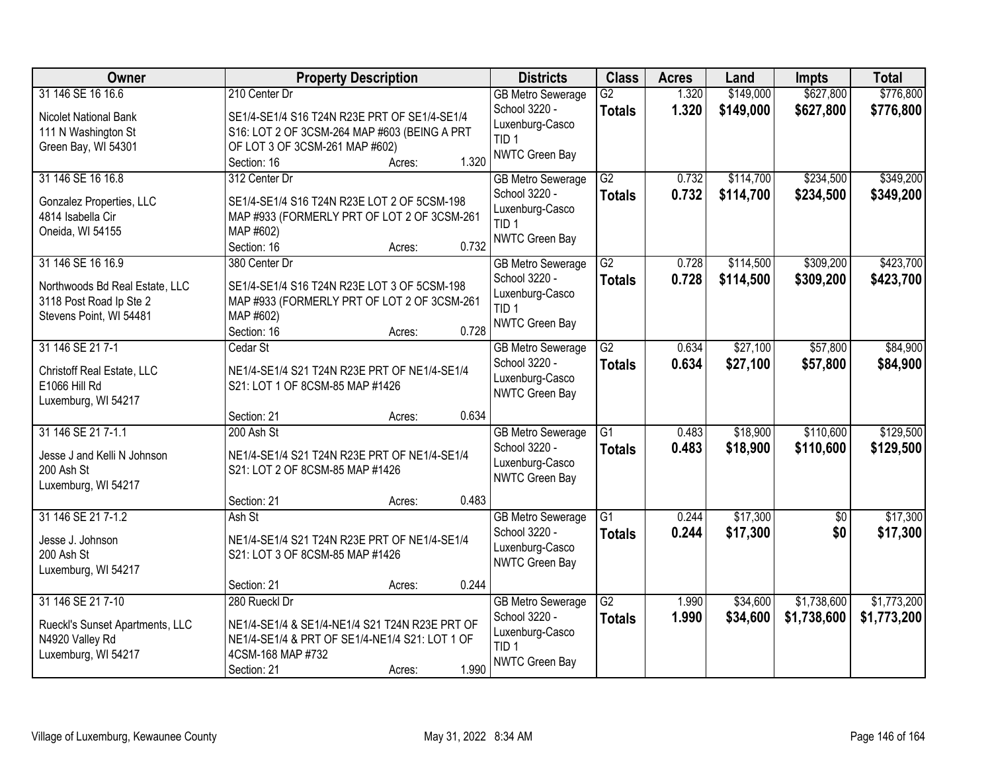| Owner                                                                                                     | <b>Property Description</b>                                                                                                                                                |                | <b>Districts</b>                                                                                          | <b>Class</b>                     | <b>Acres</b>   | Land                   | <b>Impts</b>               | <b>Total</b>               |
|-----------------------------------------------------------------------------------------------------------|----------------------------------------------------------------------------------------------------------------------------------------------------------------------------|----------------|-----------------------------------------------------------------------------------------------------------|----------------------------------|----------------|------------------------|----------------------------|----------------------------|
| 31 146 SE 16 16.6<br>Nicolet National Bank<br>111 N Washington St<br>Green Bay, WI 54301                  | 210 Center Dr<br>SE1/4-SE1/4 S16 T24N R23E PRT OF SE1/4-SE1/4<br>S16: LOT 2 OF 3CSM-264 MAP #603 (BEING A PRT<br>OF LOT 3 OF 3CSM-261 MAP #602)                            |                | <b>GB Metro Sewerage</b><br>School 3220 -<br>Luxenburg-Casco<br>TID <sub>1</sub><br>NWTC Green Bay        | $\overline{G2}$<br><b>Totals</b> | 1.320<br>1.320 | \$149,000<br>\$149,000 | \$627,800<br>\$627,800     | \$776,800<br>\$776,800     |
| 31 146 SE 16 16.8<br>Gonzalez Properties, LLC<br>4814 Isabella Cir<br>Oneida, WI 54155                    | Section: 16<br>Acres:<br>312 Center Dr<br>SE1/4-SE1/4 S16 T24N R23E LOT 2 OF 5CSM-198<br>MAP #933 (FORMERLY PRT OF LOT 2 OF 3CSM-261<br>MAP #602)<br>Section: 16<br>Acres: | 1.320<br>0.732 | <b>GB Metro Sewerage</b><br>School 3220 -<br>Luxenburg-Casco<br>TID <sub>1</sub><br>NWTC Green Bay        | $\overline{G2}$<br><b>Totals</b> | 0.732<br>0.732 | \$114,700<br>\$114,700 | \$234,500<br>\$234,500     | \$349,200<br>\$349,200     |
| 31 146 SE 16 16.9<br>Northwoods Bd Real Estate, LLC<br>3118 Post Road Ip Ste 2<br>Stevens Point, WI 54481 | 380 Center Dr<br>SE1/4-SE1/4 S16 T24N R23E LOT 3 OF 5CSM-198<br>MAP #933 (FORMERLY PRT OF LOT 2 OF 3CSM-261<br>MAP #602)<br>Section: 16<br>Acres:                          | 0.728          | <b>GB Metro Sewerage</b><br>School 3220 -<br>Luxenburg-Casco<br>TID <sub>1</sub><br>NWTC Green Bay        | $\overline{G2}$<br><b>Totals</b> | 0.728<br>0.728 | \$114,500<br>\$114,500 | \$309,200<br>\$309,200     | \$423,700<br>\$423,700     |
| 31 146 SE 21 7-1<br>Christoff Real Estate, LLC<br>E1066 Hill Rd<br>Luxemburg, WI 54217                    | Cedar St<br>NE1/4-SE1/4 S21 T24N R23E PRT OF NE1/4-SE1/4<br>S21: LOT 1 OF 8CSM-85 MAP #1426                                                                                | 0.634          | <b>GB Metro Sewerage</b><br>School 3220 -<br>Luxenburg-Casco<br>NWTC Green Bay                            | $\overline{G2}$<br><b>Totals</b> | 0.634<br>0.634 | \$27,100<br>\$27,100   | \$57,800<br>\$57,800       | \$84,900<br>\$84,900       |
| 31 146 SE 21 7-1.1<br>Jesse J and Kelli N Johnson<br>200 Ash St<br>Luxemburg, WI 54217                    | Section: 21<br>Acres:<br>200 Ash St<br>NE1/4-SE1/4 S21 T24N R23E PRT OF NE1/4-SE1/4<br>S21: LOT 2 OF 8CSM-85 MAP #1426                                                     |                | <b>GB Metro Sewerage</b><br>School 3220 -<br>Luxenburg-Casco<br>NWTC Green Bay                            | $\overline{G1}$<br><b>Totals</b> | 0.483<br>0.483 | \$18,900<br>\$18,900   | \$110,600<br>\$110,600     | \$129,500<br>\$129,500     |
| 31 146 SE 21 7-1.2<br>Jesse J. Johnson<br>200 Ash St<br>Luxemburg, WI 54217                               | Section: 21<br>Acres:<br>Ash St<br>NE1/4-SE1/4 S21 T24N R23E PRT OF NE1/4-SE1/4<br>S21: LOT 3 OF 8CSM-85 MAP #1426<br>Section: 21<br>Acres:                                | 0.483<br>0.244 | <b>GB Metro Sewerage</b><br>School 3220 -<br>Luxenburg-Casco<br>NWTC Green Bay                            | $\overline{G1}$<br><b>Totals</b> | 0.244<br>0.244 | \$17,300<br>\$17,300   | $\overline{50}$<br>\$0     | \$17,300<br>\$17,300       |
| 31 146 SE 21 7-10<br>Rueckl's Sunset Apartments, LLC<br>N4920 Valley Rd<br>Luxemburg, WI 54217            | 280 Rueckl Dr<br>NE1/4-SE1/4 & SE1/4-NE1/4 S21 T24N R23E PRT OF<br>NE1/4-SE1/4 & PRT OF SE1/4-NE1/4 S21: LOT 1 OF<br>4CSM-168 MAP #732<br>Section: 21<br>Acres:            | 1.990          | <b>GB Metro Sewerage</b><br>School 3220 -<br>Luxenburg-Casco<br>TID <sub>1</sub><br><b>NWTC Green Bay</b> | $\overline{G2}$<br><b>Totals</b> | 1.990<br>1.990 | \$34,600<br>\$34,600   | \$1,738,600<br>\$1,738,600 | \$1,773,200<br>\$1,773,200 |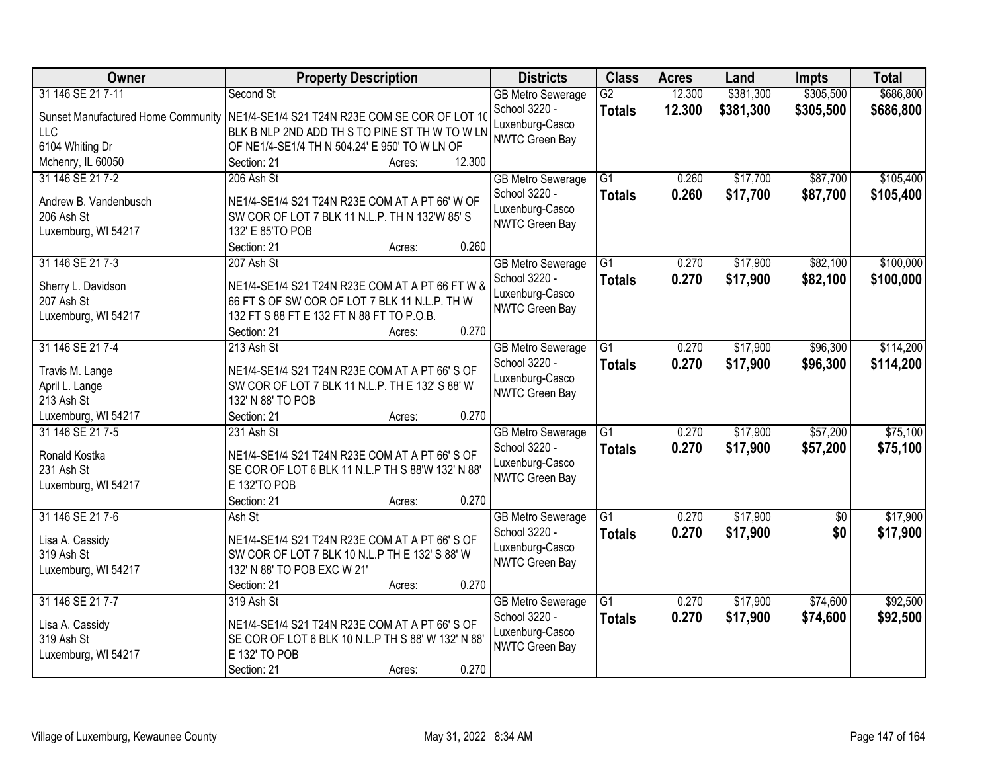| Owner                                     | <b>Property Description</b>                        | <b>Districts</b>                          | <b>Class</b>    | <b>Acres</b> | Land      | <b>Impts</b> | <b>Total</b> |
|-------------------------------------------|----------------------------------------------------|-------------------------------------------|-----------------|--------------|-----------|--------------|--------------|
| 31 146 SE 21 7-11                         | Second St                                          | <b>GB Metro Sewerage</b>                  | $\overline{G2}$ | 12.300       | \$381,300 | \$305,500    | \$686,800    |
| <b>Sunset Manufactured Home Community</b> | NE1/4-SE1/4 S21 T24N R23E COM SE COR OF LOT 10     | School 3220 -                             | <b>Totals</b>   | 12.300       | \$381,300 | \$305,500    | \$686,800    |
| <b>LLC</b>                                | BLK B NLP 2ND ADD TH S TO PINE ST TH W TO W LN     | Luxenburg-Casco                           |                 |              |           |              |              |
| 6104 Whiting Dr                           | OF NE1/4-SE1/4 TH N 504.24' E 950' TO W LN OF      | NWTC Green Bay                            |                 |              |           |              |              |
| Mchenry, IL 60050                         | 12.300<br>Section: 21<br>Acres:                    |                                           |                 |              |           |              |              |
| 31 146 SE 21 7-2                          | 206 Ash St                                         | <b>GB</b> Metro Sewerage                  | $\overline{G1}$ | 0.260        | \$17,700  | \$87,700     | \$105,400    |
|                                           |                                                    | School 3220 -                             | <b>Totals</b>   | 0.260        | \$17,700  | \$87,700     | \$105,400    |
| Andrew B. Vandenbusch                     | NE1/4-SE1/4 S21 T24N R23E COM AT A PT 66' W OF     | Luxenburg-Casco                           |                 |              |           |              |              |
| 206 Ash St                                | SW COR OF LOT 7 BLK 11 N.L.P. TH N 132'W 85'S      | NWTC Green Bay                            |                 |              |           |              |              |
| Luxemburg, WI 54217                       | 132' E 85'TO POB<br>0.260<br>Section: 21<br>Acres: |                                           |                 |              |           |              |              |
| 31 146 SE 21 7-3                          |                                                    |                                           | $\overline{G1}$ | 0.270        | \$17,900  | \$82,100     | \$100,000    |
|                                           | 207 Ash St                                         | <b>GB Metro Sewerage</b><br>School 3220 - |                 |              |           |              |              |
| Sherry L. Davidson                        | NE1/4-SE1/4 S21 T24N R23E COM AT A PT 66 FT W &    | Luxenburg-Casco                           | <b>Totals</b>   | 0.270        | \$17,900  | \$82,100     | \$100,000    |
| 207 Ash St                                | 66 FT S OF SW COR OF LOT 7 BLK 11 N.L.P. TH W      | NWTC Green Bay                            |                 |              |           |              |              |
| Luxemburg, WI 54217                       | 132 FT S 88 FT E 132 FT N 88 FT TO P.O.B.          |                                           |                 |              |           |              |              |
|                                           | 0.270<br>Section: 21<br>Acres:                     |                                           |                 |              |           |              |              |
| 31 146 SE 21 7-4                          | 213 Ash St                                         | <b>GB Metro Sewerage</b>                  | $\overline{G1}$ | 0.270        | \$17,900  | \$96,300     | \$114,200    |
| Travis M. Lange                           | NE1/4-SE1/4 S21 T24N R23E COM AT A PT 66' S OF     | School 3220 -                             | <b>Totals</b>   | 0.270        | \$17,900  | \$96,300     | \$114,200    |
| April L. Lange                            | SW COR OF LOT 7 BLK 11 N.L.P. TH E 132' S 88' W    | Luxenburg-Casco                           |                 |              |           |              |              |
| 213 Ash St                                | 132' N 88' TO POB                                  | NWTC Green Bay                            |                 |              |           |              |              |
| Luxemburg, WI 54217                       | 0.270<br>Section: 21<br>Acres:                     |                                           |                 |              |           |              |              |
| 31 146 SE 21 7-5                          | 231 Ash St                                         | <b>GB Metro Sewerage</b>                  | $\overline{G1}$ | 0.270        | \$17,900  | \$57,200     | \$75,100     |
|                                           |                                                    | School 3220 -                             | <b>Totals</b>   | 0.270        | \$17,900  | \$57,200     | \$75,100     |
| Ronald Kostka                             | NE1/4-SE1/4 S21 T24N R23E COM AT A PT 66' S OF     | Luxenburg-Casco                           |                 |              |           |              |              |
| 231 Ash St                                | SE COR OF LOT 6 BLK 11 N.L.P TH S 88'W 132' N 88'  | NWTC Green Bay                            |                 |              |           |              |              |
| Luxemburg, WI 54217                       | E 132'TO POB                                       |                                           |                 |              |           |              |              |
|                                           | 0.270<br>Section: 21<br>Acres:                     |                                           |                 |              |           |              |              |
| 31 146 SE 21 7-6                          | Ash St                                             | <b>GB Metro Sewerage</b>                  | $\overline{G1}$ | 0.270        | \$17,900  | $\sqrt{6}$   | \$17,900     |
| Lisa A. Cassidy                           | NE1/4-SE1/4 S21 T24N R23E COM AT A PT 66' S OF     | School 3220 -                             | <b>Totals</b>   | 0.270        | \$17,900  | \$0          | \$17,900     |
| 319 Ash St                                | SW COR OF LOT 7 BLK 10 N.L.P TH E 132' S 88' W     | Luxenburg-Casco<br>NWTC Green Bay         |                 |              |           |              |              |
| Luxemburg, WI 54217                       | 132' N 88' TO POB EXC W 21'                        |                                           |                 |              |           |              |              |
|                                           | 0.270<br>Section: 21<br>Acres:                     |                                           |                 |              |           |              |              |
| 31 146 SE 21 7-7                          | 319 Ash St                                         | <b>GB Metro Sewerage</b>                  | $\overline{G1}$ | 0.270        | \$17,900  | \$74,600     | \$92,500     |
| Lisa A. Cassidy                           | NE1/4-SE1/4 S21 T24N R23E COM AT A PT 66' S OF     | School 3220 -                             | <b>Totals</b>   | 0.270        | \$17,900  | \$74,600     | \$92,500     |
| 319 Ash St                                | SE COR OF LOT 6 BLK 10 N.L.P TH S 88' W 132' N 88' | Luxenburg-Casco                           |                 |              |           |              |              |
| Luxemburg, WI 54217                       | E 132' TO POB                                      | NWTC Green Bay                            |                 |              |           |              |              |
|                                           | 0.270<br>Section: 21<br>Acres:                     |                                           |                 |              |           |              |              |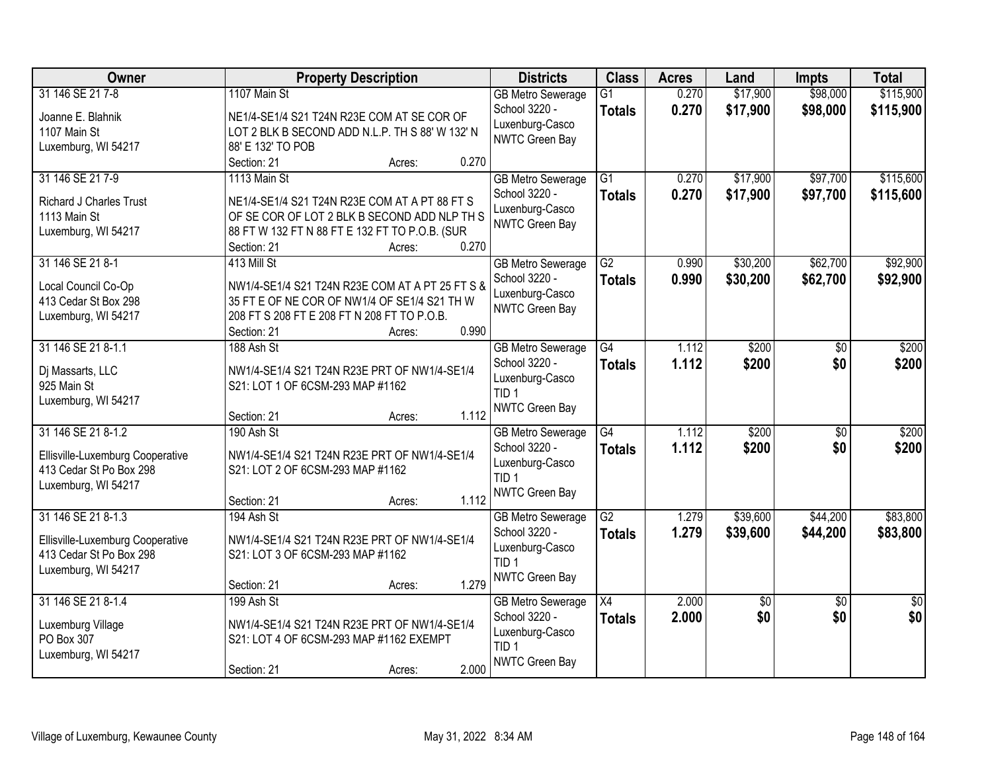| Owner                                                       | <b>Property Description</b>                                                      | <b>Districts</b>         | <b>Class</b>    | <b>Acres</b> | Land     | <b>Impts</b>    | <b>Total</b>    |
|-------------------------------------------------------------|----------------------------------------------------------------------------------|--------------------------|-----------------|--------------|----------|-----------------|-----------------|
| 31 146 SE 21 7-8                                            | 1107 Main St                                                                     | <b>GB Metro Sewerage</b> | $\overline{G1}$ | 0.270        | \$17,900 | \$98,000        | \$115,900       |
| Joanne E. Blahnik                                           | NE1/4-SE1/4 S21 T24N R23E COM AT SE COR OF                                       | School 3220 -            | <b>Totals</b>   | 0.270        | \$17,900 | \$98,000        | \$115,900       |
| 1107 Main St                                                | LOT 2 BLK B SECOND ADD N.L.P. TH S 88' W 132' N                                  | Luxenburg-Casco          |                 |              |          |                 |                 |
| Luxemburg, WI 54217                                         | 88' E 132' TO POB                                                                | NWTC Green Bay           |                 |              |          |                 |                 |
|                                                             | 0.270<br>Section: 21<br>Acres:                                                   |                          |                 |              |          |                 |                 |
| 31 146 SE 21 7-9                                            | 1113 Main St                                                                     | <b>GB Metro Sewerage</b> | $\overline{G1}$ | 0.270        | \$17,900 | \$97,700        | \$115,600       |
| <b>Richard J Charles Trust</b>                              | NE1/4-SE1/4 S21 T24N R23E COM AT A PT 88 FT S                                    | School 3220 -            | <b>Totals</b>   | 0.270        | \$17,900 | \$97,700        | \$115,600       |
| 1113 Main St                                                | OF SE COR OF LOT 2 BLK B SECOND ADD NLP TH S                                     | Luxenburg-Casco          |                 |              |          |                 |                 |
| Luxemburg, WI 54217                                         | 88 FT W 132 FT N 88 FT E 132 FT TO P.O.B. (SUR                                   | <b>NWTC Green Bay</b>    |                 |              |          |                 |                 |
|                                                             | 0.270<br>Section: 21<br>Acres:                                                   |                          |                 |              |          |                 |                 |
| 31 146 SE 21 8-1                                            | 413 Mill St                                                                      | <b>GB Metro Sewerage</b> | $\overline{G2}$ | 0.990        | \$30,200 | \$62,700        | \$92,900        |
| Local Council Co-Op                                         | NW1/4-SE1/4 S21 T24N R23E COM AT A PT 25 FT S &                                  | School 3220 -            | <b>Totals</b>   | 0.990        | \$30,200 | \$62,700        | \$92,900        |
| 413 Cedar St Box 298                                        | 35 FT E OF NE COR OF NW1/4 OF SE1/4 S21 TH W                                     | Luxenburg-Casco          |                 |              |          |                 |                 |
| Luxemburg, WI 54217                                         | 208 FT S 208 FT E 208 FT N 208 FT TO P.O.B.                                      | NWTC Green Bay           |                 |              |          |                 |                 |
|                                                             | 0.990<br>Section: 21<br>Acres:                                                   |                          |                 |              |          |                 |                 |
| 31 146 SE 21 8-1.1                                          | 188 Ash St                                                                       | <b>GB Metro Sewerage</b> | G4              | 1.112        | \$200    | \$0             | \$200           |
|                                                             |                                                                                  | School 3220 -            | <b>Totals</b>   | 1.112        | \$200    | \$0             | \$200           |
| Dj Massarts, LLC<br>925 Main St                             | NW1/4-SE1/4 S21 T24N R23E PRT OF NW1/4-SE1/4<br>S21: LOT 1 OF 6CSM-293 MAP #1162 | Luxenburg-Casco          |                 |              |          |                 |                 |
| Luxemburg, WI 54217                                         |                                                                                  | TID <sub>1</sub>         |                 |              |          |                 |                 |
|                                                             | 1.112<br>Section: 21<br>Acres:                                                   | <b>NWTC Green Bay</b>    |                 |              |          |                 |                 |
| 31 146 SE 21 8-1.2                                          | 190 Ash St                                                                       | <b>GB Metro Sewerage</b> | G4              | 1.112        | \$200    | $\overline{50}$ | \$200           |
|                                                             |                                                                                  | School 3220 -            | <b>Totals</b>   | 1.112        | \$200    | \$0             | \$200           |
| Ellisville-Luxemburg Cooperative<br>413 Cedar St Po Box 298 | NW1/4-SE1/4 S21 T24N R23E PRT OF NW1/4-SE1/4<br>S21: LOT 2 OF 6CSM-293 MAP #1162 | Luxenburg-Casco          |                 |              |          |                 |                 |
| Luxemburg, WI 54217                                         |                                                                                  | TID <sub>1</sub>         |                 |              |          |                 |                 |
|                                                             | 1.112<br>Section: 21<br>Acres:                                                   | <b>NWTC Green Bay</b>    |                 |              |          |                 |                 |
| 31 146 SE 21 8-1.3                                          | 194 Ash St                                                                       | <b>GB Metro Sewerage</b> | $\overline{G2}$ | 1.279        | \$39,600 | \$44,200        | \$83,800        |
|                                                             |                                                                                  | School 3220 -            | <b>Totals</b>   | 1.279        | \$39,600 | \$44,200        | \$83,800        |
| Ellisville-Luxemburg Cooperative                            | NW1/4-SE1/4 S21 T24N R23E PRT OF NW1/4-SE1/4                                     | Luxenburg-Casco          |                 |              |          |                 |                 |
| 413 Cedar St Po Box 298                                     | S21: LOT 3 OF 6CSM-293 MAP #1162                                                 | TID <sub>1</sub>         |                 |              |          |                 |                 |
| Luxemburg, WI 54217                                         | 1.279<br>Section: 21<br>Acres:                                                   | NWTC Green Bay           |                 |              |          |                 |                 |
| 31 146 SE 21 8-1.4                                          | 199 Ash St                                                                       | <b>GB Metro Sewerage</b> | X4              | 2.000        | \$0      | $\overline{50}$ | $\overline{50}$ |
|                                                             |                                                                                  | School 3220 -            | <b>Totals</b>   | 2.000        | \$0      | \$0             | \$0             |
| Luxemburg Village                                           | NW1/4-SE1/4 S21 T24N R23E PRT OF NW1/4-SE1/4                                     | Luxenburg-Casco          |                 |              |          |                 |                 |
| PO Box 307                                                  | S21: LOT 4 OF 6CSM-293 MAP #1162 EXEMPT                                          | TID <sub>1</sub>         |                 |              |          |                 |                 |
| Luxemburg, WI 54217                                         | 2.000                                                                            | <b>NWTC Green Bay</b>    |                 |              |          |                 |                 |
|                                                             | Section: 21<br>Acres:                                                            |                          |                 |              |          |                 |                 |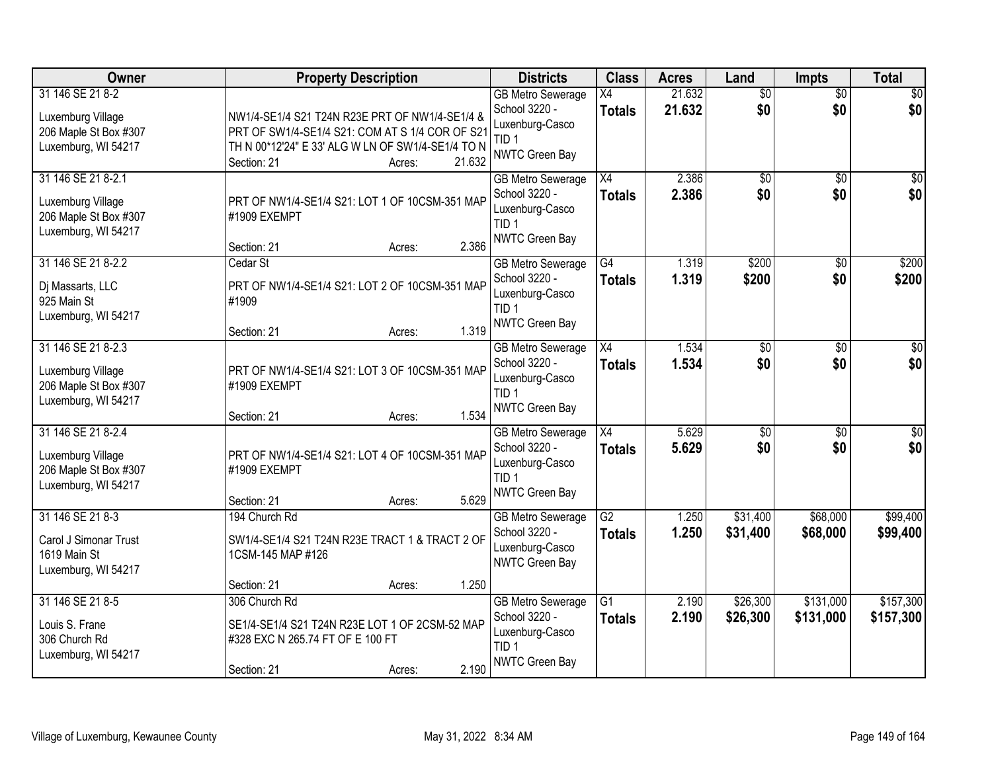| Owner                                                                                   | <b>Property Description</b>                                                                                                                                           |                           | <b>Districts</b>                                                                                   | <b>Class</b>                     | <b>Acres</b>     | Land                   | <b>Impts</b>           | <b>Total</b>           |
|-----------------------------------------------------------------------------------------|-----------------------------------------------------------------------------------------------------------------------------------------------------------------------|---------------------------|----------------------------------------------------------------------------------------------------|----------------------------------|------------------|------------------------|------------------------|------------------------|
| 31 146 SE 21 8-2<br>Luxemburg Village<br>206 Maple St Box #307<br>Luxemburg, WI 54217   | NW1/4-SE1/4 S21 T24N R23E PRT OF NW1/4-SE1/4 &<br>PRT OF SW1/4-SE1/4 S21: COM AT S 1/4 COR OF S21<br>TH N 00*12'24" E 33' ALG W LN OF SW1/4-SE1/4 TO N<br>Section: 21 | 21.632<br>Acres:          | <b>GB Metro Sewerage</b><br>School 3220 -<br>Luxenburg-Casco<br>TID <sub>1</sub><br>NWTC Green Bay | $\overline{X4}$<br><b>Totals</b> | 21.632<br>21.632 | $\overline{50}$<br>\$0 | $\overline{50}$<br>\$0 | \$0<br>\$0             |
| 31 146 SE 21 8-2.1<br>Luxemburg Village<br>206 Maple St Box #307<br>Luxemburg, WI 54217 | PRT OF NW1/4-SE1/4 S21: LOT 1 OF 10CSM-351 MAP<br>#1909 EXEMPT<br>Section: 21                                                                                         | 2.386<br>Acres:           | <b>GB Metro Sewerage</b><br>School 3220 -<br>Luxenburg-Casco<br>TID <sub>1</sub><br>NWTC Green Bay | $\overline{X4}$<br><b>Totals</b> | 2.386<br>2.386   | $\overline{50}$<br>\$0 | \$0<br>\$0             | \$0<br>\$0             |
| 31 146 SE 21 8-2.2<br>Dj Massarts, LLC<br>925 Main St<br>Luxemburg, WI 54217            | Cedar St<br>PRT OF NW1/4-SE1/4 S21: LOT 2 OF 10CSM-351 MAP<br>#1909<br>Section: 21                                                                                    | 1.319<br>Acres:           | <b>GB Metro Sewerage</b><br>School 3220 -<br>Luxenburg-Casco<br>TID <sub>1</sub><br>NWTC Green Bay | $\overline{G4}$<br><b>Totals</b> | 1.319<br>1.319   | \$200<br>\$200         | \$0<br>\$0             | \$200<br>\$200         |
| 31 146 SE 21 8-2.3<br>Luxemburg Village<br>206 Maple St Box #307<br>Luxemburg, WI 54217 | PRT OF NW1/4-SE1/4 S21: LOT 3 OF 10CSM-351 MAP<br>#1909 EXEMPT<br>Section: 21                                                                                         | 1.534<br>Acres:           | <b>GB Metro Sewerage</b><br>School 3220 -<br>Luxenburg-Casco<br>TID <sub>1</sub><br>NWTC Green Bay | X4<br>Totals                     | 1.534<br>1.534   | \$0<br>\$0             | \$0<br>\$0             | $\sqrt{50}$<br>\$0     |
| 31 146 SE 21 8-2.4<br>Luxemburg Village<br>206 Maple St Box #307<br>Luxemburg, WI 54217 | PRT OF NW1/4-SE1/4 S21: LOT 4 OF 10CSM-351 MAP<br>#1909 EXEMPT<br>Section: 21                                                                                         | 5.629<br>Acres:           | <b>GB Metro Sewerage</b><br>School 3220 -<br>Luxenburg-Casco<br>TID <sub>1</sub><br>NWTC Green Bay | $\overline{X4}$<br>Totals        | 5.629<br>5.629   | $\overline{50}$<br>\$0 | $\overline{50}$<br>\$0 | $\overline{50}$<br>\$0 |
| 31 146 SE 21 8-3<br>Carol J Simonar Trust<br>1619 Main St<br>Luxemburg, WI 54217        | 194 Church Rd<br>SW1/4-SE1/4 S21 T24N R23E TRACT 1 & TRACT 2 OF<br>1CSM-145 MAP #126                                                                                  | 1.250                     | <b>GB Metro Sewerage</b><br>School 3220 -<br>Luxenburg-Casco<br>NWTC Green Bay                     | G2<br><b>Totals</b>              | 1.250<br>1.250   | \$31,400<br>\$31,400   | \$68,000<br>\$68,000   | \$99,400<br>\$99,400   |
| 31 146 SE 21 8-5<br>Louis S. Frane<br>306 Church Rd<br>Luxemburg, WI 54217              | Section: 21<br>306 Church Rd<br>SE1/4-SE1/4 S21 T24N R23E LOT 1 OF 2CSM-52 MAP<br>#328 EXC N 265.74 FT OF E 100 FT<br>Section: 21                                     | Acres:<br>2.190<br>Acres: | <b>GB Metro Sewerage</b><br>School 3220 -<br>Luxenburg-Casco<br>TID <sub>1</sub><br>NWTC Green Bay | $\overline{G1}$<br><b>Totals</b> | 2.190<br>2.190   | \$26,300<br>\$26,300   | \$131,000<br>\$131,000 | \$157,300<br>\$157,300 |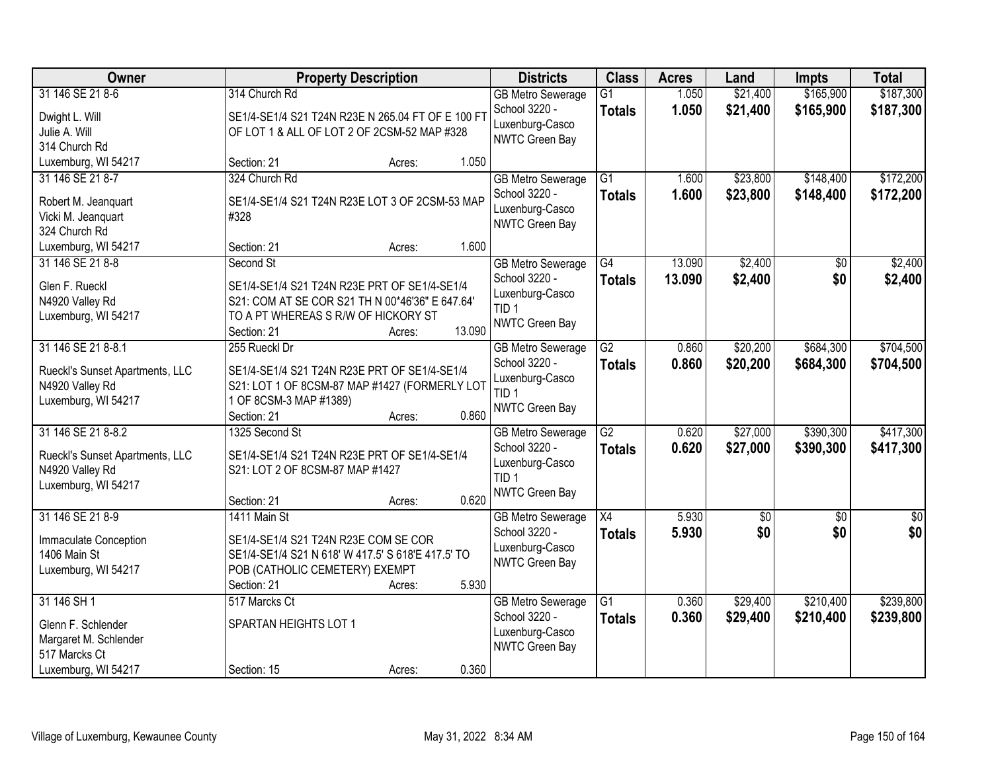| Owner                                              | <b>Property Description</b>                                                                   | <b>Districts</b>                          | <b>Class</b>    | <b>Acres</b> | Land            | <b>Impts</b>    | <b>Total</b>    |
|----------------------------------------------------|-----------------------------------------------------------------------------------------------|-------------------------------------------|-----------------|--------------|-----------------|-----------------|-----------------|
| 31 146 SE 21 8-6                                   | 314 Church Rd                                                                                 | <b>GB Metro Sewerage</b>                  | $\overline{G1}$ | 1.050        | \$21,400        | \$165,900       | \$187,300       |
| Dwight L. Will                                     | SE1/4-SE1/4 S21 T24N R23E N 265.04 FT OF E 100 FT                                             | School 3220 -                             | <b>Totals</b>   | 1.050        | \$21,400        | \$165,900       | \$187,300       |
| Julie A. Will                                      | OF LOT 1 & ALL OF LOT 2 OF 2CSM-52 MAP #328                                                   | Luxenburg-Casco<br><b>NWTC Green Bay</b>  |                 |              |                 |                 |                 |
| 314 Church Rd                                      |                                                                                               |                                           |                 |              |                 |                 |                 |
| Luxemburg, WI 54217                                | 1.050<br>Section: 21<br>Acres:                                                                |                                           |                 |              |                 |                 |                 |
| 31 146 SE 21 8-7                                   | 324 Church Rd                                                                                 | <b>GB Metro Sewerage</b>                  | $\overline{G1}$ | 1.600        | \$23,800        | \$148,400       | \$172,200       |
| Robert M. Jeanquart                                | SE1/4-SE1/4 S21 T24N R23E LOT 3 OF 2CSM-53 MAP                                                | School 3220 -                             | <b>Totals</b>   | 1.600        | \$23,800        | \$148,400       | \$172,200       |
| Vicki M. Jeanquart                                 | #328                                                                                          | Luxenburg-Casco                           |                 |              |                 |                 |                 |
| 324 Church Rd                                      |                                                                                               | <b>NWTC Green Bay</b>                     |                 |              |                 |                 |                 |
| Luxemburg, WI 54217                                | 1.600<br>Section: 21<br>Acres:                                                                |                                           |                 |              |                 |                 |                 |
| 31 146 SE 21 8-8                                   | Second St                                                                                     | <b>GB Metro Sewerage</b>                  | G4              | 13.090       | \$2,400         | \$0             | \$2,400         |
| Glen F. Rueckl                                     | SE1/4-SE1/4 S21 T24N R23E PRT OF SE1/4-SE1/4                                                  | School 3220 -                             | <b>Totals</b>   | 13.090       | \$2,400         | \$0             | \$2,400         |
| N4920 Valley Rd                                    | S21: COM AT SE COR S21 TH N 00*46'36" E 647.64'                                               | Luxenburg-Casco                           |                 |              |                 |                 |                 |
| Luxemburg, WI 54217                                | TO A PT WHEREAS S R/W OF HICKORY ST                                                           | TID <sub>1</sub>                          |                 |              |                 |                 |                 |
|                                                    | 13.090<br>Section: 21<br>Acres:                                                               | NWTC Green Bay                            |                 |              |                 |                 |                 |
| 31 146 SE 21 8-8.1                                 | 255 Rueckl Dr                                                                                 | <b>GB Metro Sewerage</b>                  | $\overline{G2}$ | 0.860        | \$20,200        | \$684,300       | \$704,500       |
|                                                    |                                                                                               | School 3220 -                             | <b>Totals</b>   | 0.860        | \$20,200        | \$684,300       | \$704,500       |
| Rueckl's Sunset Apartments, LLC<br>N4920 Valley Rd | SE1/4-SE1/4 S21 T24N R23E PRT OF SE1/4-SE1/4<br>S21: LOT 1 OF 8CSM-87 MAP #1427 (FORMERLY LOT | Luxenburg-Casco                           |                 |              |                 |                 |                 |
| Luxemburg, WI 54217                                | 1 OF 8CSM-3 MAP #1389)                                                                        | TID <sub>1</sub>                          |                 |              |                 |                 |                 |
|                                                    | 0.860<br>Section: 21<br>Acres:                                                                | <b>NWTC Green Bay</b>                     |                 |              |                 |                 |                 |
| 31 146 SE 21 8-8.2                                 | 1325 Second St                                                                                | <b>GB Metro Sewerage</b>                  | $\overline{G2}$ | 0.620        | \$27,000        | \$390,300       | \$417,300       |
|                                                    |                                                                                               | School 3220 -                             | <b>Totals</b>   | 0.620        | \$27,000        | \$390,300       | \$417,300       |
| Rueckl's Sunset Apartments, LLC                    | SE1/4-SE1/4 S21 T24N R23E PRT OF SE1/4-SE1/4                                                  | Luxenburg-Casco                           |                 |              |                 |                 |                 |
| N4920 Valley Rd<br>Luxemburg, WI 54217             | S21: LOT 2 OF 8CSM-87 MAP #1427                                                               | TID <sub>1</sub>                          |                 |              |                 |                 |                 |
|                                                    | 0.620<br>Section: 21<br>Acres:                                                                | <b>NWTC Green Bay</b>                     |                 |              |                 |                 |                 |
| 31 146 SE 21 8-9                                   | 1411 Main St                                                                                  | <b>GB Metro Sewerage</b>                  | $\overline{X4}$ | 5.930        | $\overline{50}$ | $\overline{50}$ | $\overline{50}$ |
|                                                    |                                                                                               | School 3220 -                             | <b>Totals</b>   | 5.930        | \$0             | \$0             | \$0             |
| Immaculate Conception                              | SE1/4-SE1/4 S21 T24N R23E COM SE COR                                                          | Luxenburg-Casco                           |                 |              |                 |                 |                 |
| 1406 Main St                                       | SE1/4-SE1/4 S21 N 618' W 417.5' S 618'E 417.5' TO                                             | <b>NWTC Green Bay</b>                     |                 |              |                 |                 |                 |
| Luxemburg, WI 54217                                | POB (CATHOLIC CEMETERY) EXEMPT                                                                |                                           |                 |              |                 |                 |                 |
| 31 146 SH 1                                        | 5.930<br>Section: 21<br>Acres:<br>517 Marcks Ct                                               |                                           | $\overline{G1}$ | 0.360        | \$29,400        | \$210,400       | \$239,800       |
|                                                    |                                                                                               | <b>GB Metro Sewerage</b><br>School 3220 - |                 |              |                 |                 |                 |
| Glenn F. Schlender                                 | SPARTAN HEIGHTS LOT 1                                                                         | Luxenburg-Casco                           | <b>Totals</b>   | 0.360        | \$29,400        | \$210,400       | \$239,800       |
| Margaret M. Schlender                              |                                                                                               | NWTC Green Bay                            |                 |              |                 |                 |                 |
| 517 Marcks Ct                                      |                                                                                               |                                           |                 |              |                 |                 |                 |
| Luxemburg, WI 54217                                | 0.360<br>Section: 15<br>Acres:                                                                |                                           |                 |              |                 |                 |                 |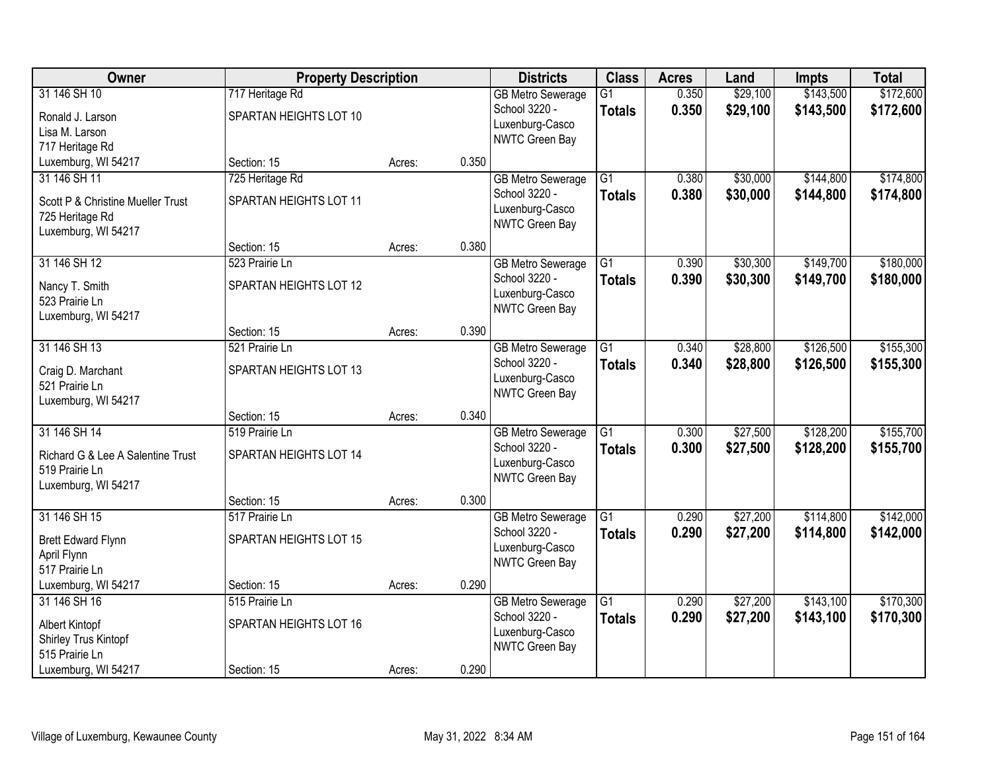| Owner                             |                        | <b>Property Description</b> |       | <b>Districts</b>                 | <b>Class</b>    | <b>Acres</b> | Land     | <b>Impts</b> | <b>Total</b> |
|-----------------------------------|------------------------|-----------------------------|-------|----------------------------------|-----------------|--------------|----------|--------------|--------------|
| 31 146 SH 10                      | 717 Heritage Rd        |                             |       | <b>GB Metro Sewerage</b>         | $\overline{G1}$ | 0.350        | \$29,100 | \$143,500    | \$172,600    |
| Ronald J. Larson                  | SPARTAN HEIGHTS LOT 10 |                             |       | School 3220 -<br>Luxenburg-Casco | <b>Totals</b>   | 0.350        | \$29,100 | \$143,500    | \$172,600    |
| Lisa M. Larson                    |                        |                             |       | NWTC Green Bay                   |                 |              |          |              |              |
| 717 Heritage Rd                   |                        |                             |       |                                  |                 |              |          |              |              |
| Luxemburg, WI 54217               | Section: 15            | Acres:                      | 0.350 |                                  |                 |              |          |              |              |
| 31 146 SH 11                      | 725 Heritage Rd        |                             |       | <b>GB Metro Sewerage</b>         | $\overline{G1}$ | 0.380        | \$30,000 | \$144,800    | \$174,800    |
| Scott P & Christine Mueller Trust | SPARTAN HEIGHTS LOT 11 |                             |       | School 3220 -                    | <b>Totals</b>   | 0.380        | \$30,000 | \$144,800    | \$174,800    |
| 725 Heritage Rd                   |                        |                             |       | Luxenburg-Casco                  |                 |              |          |              |              |
| Luxemburg, WI 54217               |                        |                             |       | NWTC Green Bay                   |                 |              |          |              |              |
|                                   | Section: 15            | Acres:                      | 0.380 |                                  |                 |              |          |              |              |
| 31 146 SH 12                      | 523 Prairie Ln         |                             |       | <b>GB Metro Sewerage</b>         | $\overline{G1}$ | 0.390        | \$30,300 | \$149,700    | \$180,000    |
| Nancy T. Smith                    | SPARTAN HEIGHTS LOT 12 |                             |       | School 3220 -                    | <b>Totals</b>   | 0.390        | \$30,300 | \$149,700    | \$180,000    |
| 523 Prairie Ln                    |                        |                             |       | Luxenburg-Casco                  |                 |              |          |              |              |
| Luxemburg, WI 54217               |                        |                             |       | NWTC Green Bay                   |                 |              |          |              |              |
|                                   | Section: 15            | Acres:                      | 0.390 |                                  |                 |              |          |              |              |
| 31 146 SH 13                      | 521 Prairie Ln         |                             |       | <b>GB Metro Sewerage</b>         | G1              | 0.340        | \$28,800 | \$126,500    | \$155,300    |
| Craig D. Marchant                 | SPARTAN HEIGHTS LOT 13 |                             |       | School 3220 -                    | <b>Totals</b>   | 0.340        | \$28,800 | \$126,500    | \$155,300    |
| 521 Prairie Ln                    |                        |                             |       | Luxenburg-Casco                  |                 |              |          |              |              |
| Luxemburg, WI 54217               |                        |                             |       | NWTC Green Bay                   |                 |              |          |              |              |
|                                   | Section: 15            | Acres:                      | 0.340 |                                  |                 |              |          |              |              |
| 31 146 SH 14                      | 519 Prairie Ln         |                             |       | <b>GB Metro Sewerage</b>         | $\overline{G1}$ | 0.300        | \$27,500 | \$128,200    | \$155,700    |
| Richard G & Lee A Salentine Trust | SPARTAN HEIGHTS LOT 14 |                             |       | School 3220 -                    | <b>Totals</b>   | 0.300        | \$27,500 | \$128,200    | \$155,700    |
| 519 Prairie Ln                    |                        |                             |       | Luxenburg-Casco                  |                 |              |          |              |              |
| Luxemburg, WI 54217               |                        |                             |       | NWTC Green Bay                   |                 |              |          |              |              |
|                                   | Section: 15            | Acres:                      | 0.300 |                                  |                 |              |          |              |              |
| 31 146 SH 15                      | 517 Prairie Ln         |                             |       | <b>GB Metro Sewerage</b>         | $\overline{G1}$ | 0.290        | \$27,200 | \$114,800    | \$142,000    |
| <b>Brett Edward Flynn</b>         | SPARTAN HEIGHTS LOT 15 |                             |       | School 3220 -                    | <b>Totals</b>   | 0.290        | \$27,200 | \$114,800    | \$142,000    |
| April Flynn                       |                        |                             |       | Luxenburg-Casco                  |                 |              |          |              |              |
| 517 Prairie Ln                    |                        |                             |       | NWTC Green Bay                   |                 |              |          |              |              |
| Luxemburg, WI 54217               | Section: 15            | Acres:                      | 0.290 |                                  |                 |              |          |              |              |
| 31 146 SH 16                      | 515 Prairie Ln         |                             |       | <b>GB Metro Sewerage</b>         | $\overline{G1}$ | 0.290        | \$27,200 | \$143,100    | \$170,300    |
| Albert Kintopf                    | SPARTAN HEIGHTS LOT 16 |                             |       | School 3220 -                    | <b>Totals</b>   | 0.290        | \$27,200 | \$143,100    | \$170,300    |
| Shirley Trus Kintopf              |                        |                             |       | Luxenburg-Casco                  |                 |              |          |              |              |
| 515 Prairie Ln                    |                        |                             |       | NWTC Green Bay                   |                 |              |          |              |              |
| Luxemburg, WI 54217               | Section: 15            | Acres:                      | 0.290 |                                  |                 |              |          |              |              |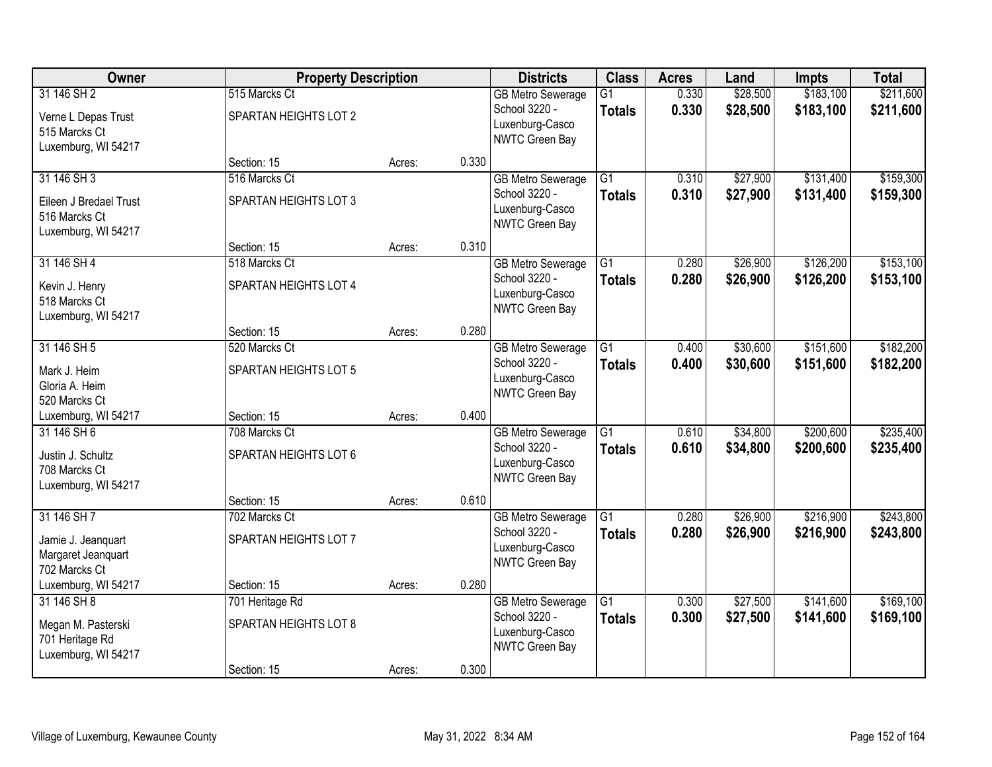| Owner                                                                         |                                          | <b>Property Description</b> |       | <b>Districts</b>                                                               | <b>Class</b>                     | <b>Acres</b>   | Land                 | <b>Impts</b>           | <b>Total</b>           |
|-------------------------------------------------------------------------------|------------------------------------------|-----------------------------|-------|--------------------------------------------------------------------------------|----------------------------------|----------------|----------------------|------------------------|------------------------|
| 31 146 SH 2<br>Verne L Depas Trust<br>515 Marcks Ct<br>Luxemburg, WI 54217    | 515 Marcks Ct<br>SPARTAN HEIGHTS LOT 2   |                             |       | <b>GB Metro Sewerage</b><br>School 3220 -<br>Luxenburg-Casco<br>NWTC Green Bay | $\overline{G1}$<br><b>Totals</b> | 0.330<br>0.330 | \$28,500<br>\$28,500 | \$183,100<br>\$183,100 | \$211,600<br>\$211,600 |
|                                                                               | Section: 15                              | Acres:                      | 0.330 |                                                                                |                                  |                |                      |                        |                        |
| 31 146 SH 3<br>Eileen J Bredael Trust<br>516 Marcks Ct<br>Luxemburg, WI 54217 | 516 Marcks Ct<br>SPARTAN HEIGHTS LOT 3   |                             |       | <b>GB Metro Sewerage</b><br>School 3220 -<br>Luxenburg-Casco<br>NWTC Green Bay | $\overline{G1}$<br><b>Totals</b> | 0.310<br>0.310 | \$27,900<br>\$27,900 | \$131,400<br>\$131,400 | \$159,300<br>\$159,300 |
|                                                                               | Section: 15                              | Acres:                      | 0.310 |                                                                                |                                  |                |                      |                        |                        |
| 31 146 SH 4<br>Kevin J. Henry<br>518 Marcks Ct<br>Luxemburg, WI 54217         | 518 Marcks Ct<br>SPARTAN HEIGHTS LOT 4   |                             |       | <b>GB Metro Sewerage</b><br>School 3220 -<br>Luxenburg-Casco<br>NWTC Green Bay | $\overline{G1}$<br><b>Totals</b> | 0.280<br>0.280 | \$26,900<br>\$26,900 | \$126,200<br>\$126,200 | \$153,100<br>\$153,100 |
|                                                                               | Section: 15                              | Acres:                      | 0.280 |                                                                                |                                  |                |                      |                        |                        |
| 31 146 SH 5<br>Mark J. Heim<br>Gloria A. Heim<br>520 Marcks Ct                | 520 Marcks Ct<br>SPARTAN HEIGHTS LOT 5   |                             |       | <b>GB Metro Sewerage</b><br>School 3220 -<br>Luxenburg-Casco<br>NWTC Green Bay | G1<br><b>Totals</b>              | 0.400<br>0.400 | \$30,600<br>\$30,600 | \$151,600<br>\$151,600 | \$182,200<br>\$182,200 |
| Luxemburg, WI 54217                                                           | Section: 15                              | Acres:                      | 0.400 |                                                                                |                                  |                |                      |                        |                        |
| 31 146 SH 6<br>Justin J. Schultz<br>708 Marcks Ct<br>Luxemburg, WI 54217      | 708 Marcks Ct<br>SPARTAN HEIGHTS LOT 6   |                             |       | <b>GB Metro Sewerage</b><br>School 3220 -<br>Luxenburg-Casco<br>NWTC Green Bay | $\overline{G1}$<br><b>Totals</b> | 0.610<br>0.610 | \$34,800<br>\$34,800 | \$200,600<br>\$200,600 | \$235,400<br>\$235,400 |
|                                                                               | Section: 15                              | Acres:                      | 0.610 |                                                                                |                                  |                |                      |                        |                        |
| 31 146 SH 7<br>Jamie J. Jeanquart<br>Margaret Jeanquart<br>702 Marcks Ct      | 702 Marcks Ct<br>SPARTAN HEIGHTS LOT 7   |                             |       | <b>GB Metro Sewerage</b><br>School 3220 -<br>Luxenburg-Casco<br>NWTC Green Bay | $\overline{G1}$<br><b>Totals</b> | 0.280<br>0.280 | \$26,900<br>\$26,900 | \$216,900<br>\$216,900 | \$243,800<br>\$243,800 |
| Luxemburg, WI 54217                                                           | Section: 15                              | Acres:                      | 0.280 |                                                                                |                                  |                |                      |                        |                        |
| 31 146 SH 8<br>Megan M. Pasterski<br>701 Heritage Rd<br>Luxemburg, WI 54217   | 701 Heritage Rd<br>SPARTAN HEIGHTS LOT 8 |                             |       | <b>GB Metro Sewerage</b><br>School 3220 -<br>Luxenburg-Casco<br>NWTC Green Bay | $\overline{G1}$<br><b>Totals</b> | 0.300<br>0.300 | \$27,500<br>\$27,500 | \$141,600<br>\$141,600 | \$169,100<br>\$169,100 |
|                                                                               | Section: 15                              | Acres:                      | 0.300 |                                                                                |                                  |                |                      |                        |                        |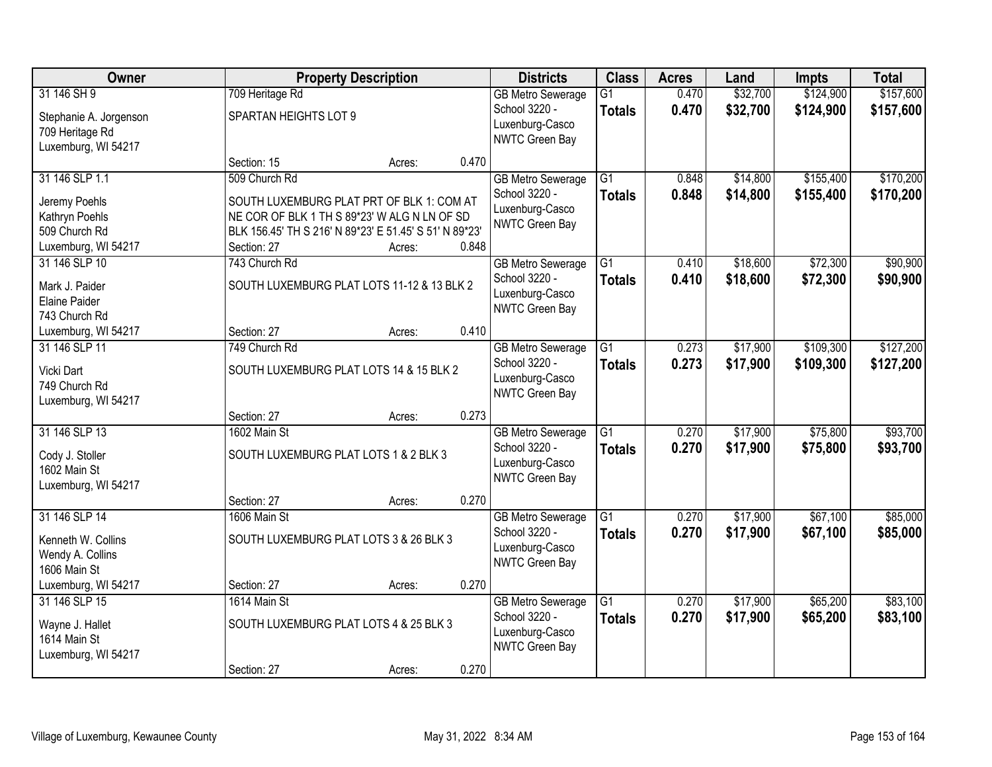| Owner                           |                                                        | <b>Property Description</b> |       | <b>Districts</b>         | <b>Class</b>    | <b>Acres</b> | Land     | <b>Impts</b> | <b>Total</b> |
|---------------------------------|--------------------------------------------------------|-----------------------------|-------|--------------------------|-----------------|--------------|----------|--------------|--------------|
| 31 146 SH 9                     | 709 Heritage Rd                                        |                             |       | <b>GB Metro Sewerage</b> | $\overline{G1}$ | 0.470        | \$32,700 | \$124,900    | \$157,600    |
| Stephanie A. Jorgenson          | SPARTAN HEIGHTS LOT 9                                  |                             |       | School 3220 -            | <b>Totals</b>   | 0.470        | \$32,700 | \$124,900    | \$157,600    |
| 709 Heritage Rd                 |                                                        |                             |       | Luxenburg-Casco          |                 |              |          |              |              |
| Luxemburg, WI 54217             |                                                        |                             |       | NWTC Green Bay           |                 |              |          |              |              |
|                                 | Section: 15                                            | Acres:                      | 0.470 |                          |                 |              |          |              |              |
| 31 146 SLP 1.1                  | 509 Church Rd                                          |                             |       | <b>GB Metro Sewerage</b> | $\overline{G1}$ | 0.848        | \$14,800 | \$155,400    | \$170,200    |
| Jeremy Poehls                   | SOUTH LUXEMBURG PLAT PRT OF BLK 1: COM AT              |                             |       | School 3220 -            | <b>Totals</b>   | 0.848        | \$14,800 | \$155,400    | \$170,200    |
| Kathryn Poehls                  | NE COR OF BLK 1 TH S 89*23' W ALG N LN OF SD           |                             |       | Luxenburg-Casco          |                 |              |          |              |              |
| 509 Church Rd                   | BLK 156.45' TH S 216' N 89*23' E 51.45' S 51' N 89*23' |                             |       | <b>NWTC Green Bay</b>    |                 |              |          |              |              |
| Luxemburg, WI 54217             | Section: 27                                            | Acres:                      | 0.848 |                          |                 |              |          |              |              |
| 31 146 SLP 10                   | 743 Church Rd                                          |                             |       | <b>GB Metro Sewerage</b> | $\overline{G1}$ | 0.410        | \$18,600 | \$72,300     | \$90,900     |
| Mark J. Paider                  | SOUTH LUXEMBURG PLAT LOTS 11-12 & 13 BLK 2             |                             |       | School 3220 -            | <b>Totals</b>   | 0.410        | \$18,600 | \$72,300     | \$90,900     |
| Elaine Paider                   |                                                        |                             |       | Luxenburg-Casco          |                 |              |          |              |              |
| 743 Church Rd                   |                                                        |                             |       | NWTC Green Bay           |                 |              |          |              |              |
| Luxemburg, WI 54217             | Section: 27                                            | Acres:                      | 0.410 |                          |                 |              |          |              |              |
| 31 146 SLP 11                   | 749 Church Rd                                          |                             |       | <b>GB Metro Sewerage</b> | $\overline{G1}$ | 0.273        | \$17,900 | \$109,300    | \$127,200    |
| Vicki Dart                      | SOUTH LUXEMBURG PLAT LOTS 14 & 15 BLK 2                |                             |       | School 3220 -            | <b>Totals</b>   | 0.273        | \$17,900 | \$109,300    | \$127,200    |
| 749 Church Rd                   |                                                        |                             |       | Luxenburg-Casco          |                 |              |          |              |              |
| Luxemburg, WI 54217             |                                                        |                             |       | NWTC Green Bay           |                 |              |          |              |              |
|                                 | Section: 27                                            | Acres:                      | 0.273 |                          |                 |              |          |              |              |
| 31 146 SLP 13                   | 1602 Main St                                           |                             |       | <b>GB Metro Sewerage</b> | $\overline{G1}$ | 0.270        | \$17,900 | \$75,800     | \$93,700     |
|                                 | SOUTH LUXEMBURG PLAT LOTS 1 & 2 BLK 3                  |                             |       | School 3220 -            | <b>Totals</b>   | 0.270        | \$17,900 | \$75,800     | \$93,700     |
| Cody J. Stoller<br>1602 Main St |                                                        |                             |       | Luxenburg-Casco          |                 |              |          |              |              |
| Luxemburg, WI 54217             |                                                        |                             |       | NWTC Green Bay           |                 |              |          |              |              |
|                                 | Section: 27                                            | Acres:                      | 0.270 |                          |                 |              |          |              |              |
| 31 146 SLP 14                   | 1606 Main St                                           |                             |       | <b>GB Metro Sewerage</b> | $\overline{G1}$ | 0.270        | \$17,900 | \$67,100     | \$85,000     |
| Kenneth W. Collins              | SOUTH LUXEMBURG PLAT LOTS 3 & 26 BLK 3                 |                             |       | School 3220 -            | <b>Totals</b>   | 0.270        | \$17,900 | \$67,100     | \$85,000     |
| Wendy A. Collins                |                                                        |                             |       | Luxenburg-Casco          |                 |              |          |              |              |
| 1606 Main St                    |                                                        |                             |       | NWTC Green Bay           |                 |              |          |              |              |
| Luxemburg, WI 54217             | Section: 27                                            | Acres:                      | 0.270 |                          |                 |              |          |              |              |
| 31 146 SLP 15                   | 1614 Main St                                           |                             |       | <b>GB Metro Sewerage</b> | $\overline{G1}$ | 0.270        | \$17,900 | \$65,200     | \$83,100     |
| Wayne J. Hallet                 | SOUTH LUXEMBURG PLAT LOTS 4 & 25 BLK 3                 |                             |       | School 3220 -            | <b>Totals</b>   | 0.270        | \$17,900 | \$65,200     | \$83,100     |
| 1614 Main St                    |                                                        |                             |       | Luxenburg-Casco          |                 |              |          |              |              |
| Luxemburg, WI 54217             |                                                        |                             |       | NWTC Green Bay           |                 |              |          |              |              |
|                                 | Section: 27                                            | Acres:                      | 0.270 |                          |                 |              |          |              |              |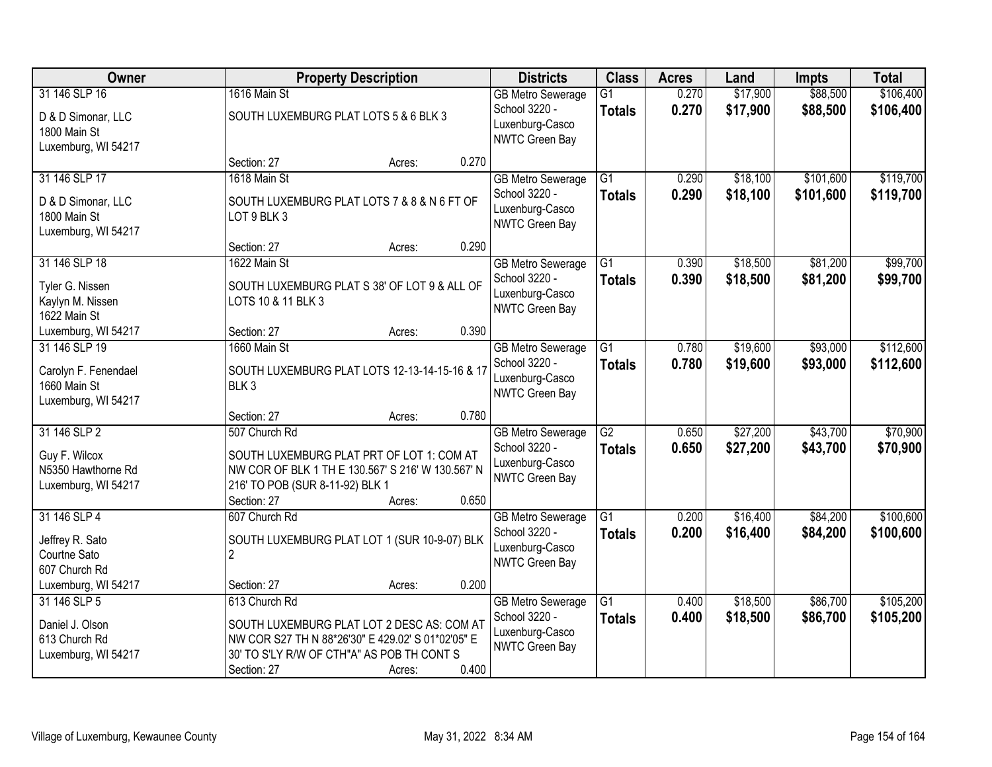| Owner                                |                                                                                                | <b>Property Description</b> |       |                                   | <b>Class</b>    | <b>Acres</b> | Land     | <b>Impts</b> | <b>Total</b> |
|--------------------------------------|------------------------------------------------------------------------------------------------|-----------------------------|-------|-----------------------------------|-----------------|--------------|----------|--------------|--------------|
| 31 146 SLP 16                        | 1616 Main St                                                                                   |                             |       | <b>GB Metro Sewerage</b>          | $\overline{G1}$ | 0.270        | \$17,900 | \$88,500     | \$106,400    |
| D & D Simonar, LLC                   | SOUTH LUXEMBURG PLAT LOTS 5 & 6 BLK 3                                                          |                             |       | School 3220 -<br>Luxenburg-Casco  | <b>Totals</b>   | 0.270        | \$17,900 | \$88,500     | \$106,400    |
| 1800 Main St                         |                                                                                                |                             |       | NWTC Green Bay                    |                 |              |          |              |              |
| Luxemburg, WI 54217                  | Section: 27                                                                                    | Acres:                      | 0.270 |                                   |                 |              |          |              |              |
| 31 146 SLP 17                        | 1618 Main St                                                                                   |                             |       | <b>GB Metro Sewerage</b>          | $\overline{G1}$ | 0.290        | \$18,100 | \$101,600    | \$119,700    |
| D & D Simonar, LLC                   | SOUTH LUXEMBURG PLAT LOTS 7 & 8 & N 6 FT OF                                                    |                             |       | School 3220 -                     | <b>Totals</b>   | 0.290        | \$18,100 | \$101,600    | \$119,700    |
| 1800 Main St                         | LOT 9 BLK 3                                                                                    |                             |       | Luxenburg-Casco<br>NWTC Green Bay |                 |              |          |              |              |
| Luxemburg, WI 54217                  |                                                                                                |                             |       |                                   |                 |              |          |              |              |
| 31 146 SLP 18                        | Section: 27<br>1622 Main St                                                                    | Acres:                      | 0.290 | <b>GB Metro Sewerage</b>          | $\overline{G1}$ | 0.390        | \$18,500 | \$81,200     | \$99,700     |
|                                      |                                                                                                |                             |       | School 3220 -                     | <b>Totals</b>   | 0.390        | \$18,500 | \$81,200     | \$99,700     |
| Tyler G. Nissen<br>Kaylyn M. Nissen  | SOUTH LUXEMBURG PLAT S 38' OF LOT 9 & ALL OF<br>LOTS 10 & 11 BLK 3                             |                             |       | Luxenburg-Casco                   |                 |              |          |              |              |
| 1622 Main St                         |                                                                                                |                             |       | NWTC Green Bay                    |                 |              |          |              |              |
| Luxemburg, WI 54217                  | Section: 27                                                                                    | Acres:                      | 0.390 |                                   |                 |              |          |              |              |
| 31 146 SLP 19                        | 1660 Main St                                                                                   |                             |       | <b>GB Metro Sewerage</b>          | $\overline{G1}$ | 0.780        | \$19,600 | \$93,000     | \$112,600    |
| Carolyn F. Fenendael                 | SOUTH LUXEMBURG PLAT LOTS 12-13-14-15-16 & 17                                                  |                             |       | School 3220 -<br>Luxenburg-Casco  | <b>Totals</b>   | 0.780        | \$19,600 | \$93,000     | \$112,600    |
| 1660 Main St                         | BLK <sub>3</sub>                                                                               |                             |       | NWTC Green Bay                    |                 |              |          |              |              |
| Luxemburg, WI 54217                  | Section: 27                                                                                    | Acres:                      | 0.780 |                                   |                 |              |          |              |              |
| 31 146 SLP 2                         | 507 Church Rd                                                                                  |                             |       | <b>GB Metro Sewerage</b>          | $\overline{G2}$ | 0.650        | \$27,200 | \$43,700     | \$70,900     |
|                                      |                                                                                                |                             |       | School 3220 -                     | <b>Totals</b>   | 0.650        | \$27,200 | \$43,700     | \$70,900     |
| Guy F. Wilcox<br>N5350 Hawthorne Rd  | SOUTH LUXEMBURG PLAT PRT OF LOT 1: COM AT<br>NW COR OF BLK 1 TH E 130.567' S 216' W 130.567' N |                             |       | Luxenburg-Casco                   |                 |              |          |              |              |
| Luxemburg, WI 54217                  | 216' TO POB (SUR 8-11-92) BLK 1                                                                |                             |       | NWTC Green Bay                    |                 |              |          |              |              |
|                                      | Section: 27                                                                                    | Acres:                      | 0.650 |                                   |                 |              |          |              |              |
| 31 146 SLP 4                         | 607 Church Rd                                                                                  |                             |       | <b>GB Metro Sewerage</b>          | $\overline{G1}$ | 0.200        | \$16,400 | \$84,200     | \$100,600    |
| Jeffrey R. Sato                      | SOUTH LUXEMBURG PLAT LOT 1 (SUR 10-9-07) BLK                                                   |                             |       | School 3220 -<br>Luxenburg-Casco  | <b>Totals</b>   | 0.200        | \$16,400 | \$84,200     | \$100,600    |
| Courtne Sato                         | $\overline{2}$                                                                                 |                             |       | NWTC Green Bay                    |                 |              |          |              |              |
| 607 Church Rd<br>Luxemburg, WI 54217 | Section: 27                                                                                    | Acres:                      | 0.200 |                                   |                 |              |          |              |              |
| 31 146 SLP 5                         | 613 Church Rd                                                                                  |                             |       | <b>GB Metro Sewerage</b>          | $\overline{G1}$ | 0.400        | \$18,500 | \$86,700     | \$105,200    |
| Daniel J. Olson                      | SOUTH LUXEMBURG PLAT LOT 2 DESC AS: COM AT                                                     |                             |       | School 3220 -                     | <b>Totals</b>   | 0.400        | \$18,500 | \$86,700     | \$105,200    |
| 613 Church Rd                        | NW COR S27 TH N 88*26'30" E 429.02' S 01*02'05" E                                              |                             |       | Luxenburg-Casco                   |                 |              |          |              |              |
| Luxemburg, WI 54217                  | 30' TO S'LY R/W OF CTH"A" AS POB TH CONT S                                                     |                             |       | NWTC Green Bay                    |                 |              |          |              |              |
|                                      | Section: 27                                                                                    | Acres:                      | 0.400 |                                   |                 |              |          |              |              |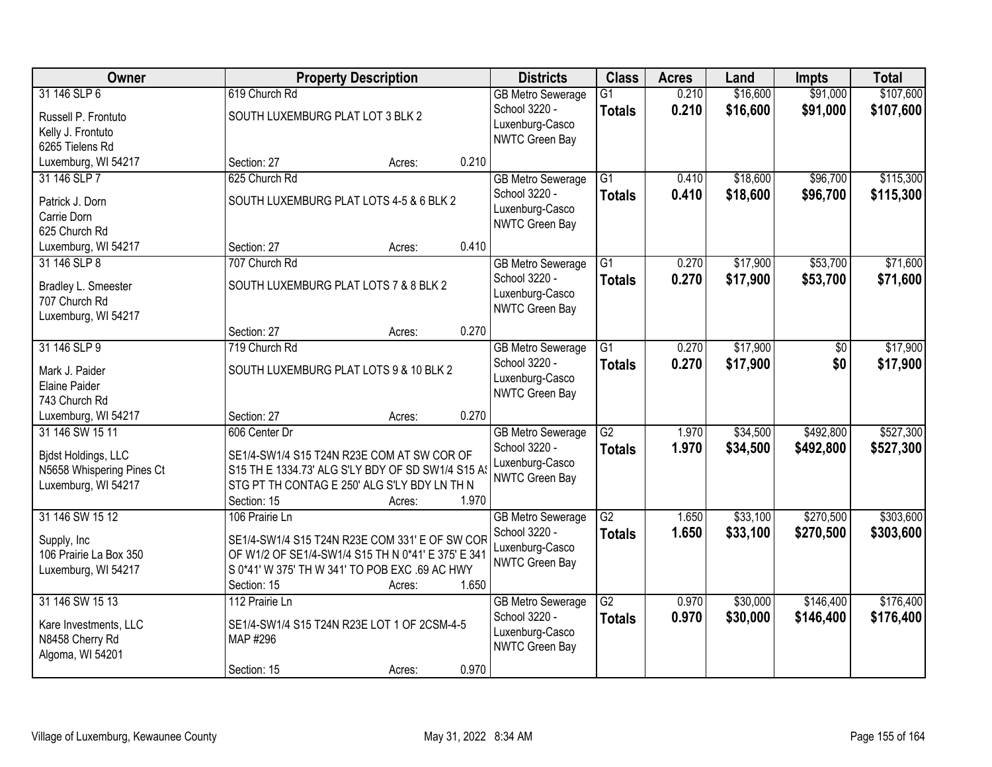| Owner                                                                                      |                                                                                                                                                                                         | <b>Property Description</b> |       | <b>Districts</b>                                                               | <b>Class</b>                     | <b>Acres</b>   | Land                 | <b>Impts</b>           | <b>Total</b>           |
|--------------------------------------------------------------------------------------------|-----------------------------------------------------------------------------------------------------------------------------------------------------------------------------------------|-----------------------------|-------|--------------------------------------------------------------------------------|----------------------------------|----------------|----------------------|------------------------|------------------------|
| 31 146 SLP 6<br>Russell P. Frontuto<br>Kelly J. Frontuto                                   | 619 Church Rd<br>SOUTH LUXEMBURG PLAT LOT 3 BLK 2                                                                                                                                       |                             |       | <b>GB Metro Sewerage</b><br>School 3220 -<br>Luxenburg-Casco<br>NWTC Green Bay | $\overline{G1}$<br><b>Totals</b> | 0.210<br>0.210 | \$16,600<br>\$16,600 | \$91,000<br>\$91,000   | \$107,600<br>\$107,600 |
| 6265 Tielens Rd<br>Luxemburg, WI 54217                                                     | Section: 27                                                                                                                                                                             | Acres:                      | 0.210 |                                                                                |                                  |                |                      |                        |                        |
| 31 146 SLP 7<br>Patrick J. Dorn<br>Carrie Dorn<br>625 Church Rd                            | 625 Church Rd<br>SOUTH LUXEMBURG PLAT LOTS 4-5 & 6 BLK 2                                                                                                                                |                             |       | <b>GB Metro Sewerage</b><br>School 3220 -<br>Luxenburg-Casco<br>NWTC Green Bay | $\overline{G1}$<br><b>Totals</b> | 0.410<br>0.410 | \$18,600<br>\$18,600 | \$96,700<br>\$96,700   | \$115,300<br>\$115,300 |
| Luxemburg, WI 54217                                                                        | Section: 27                                                                                                                                                                             | Acres:                      | 0.410 |                                                                                |                                  |                |                      |                        |                        |
| 31 146 SLP 8<br>Bradley L. Smeester<br>707 Church Rd<br>Luxemburg, WI 54217                | 707 Church Rd<br>SOUTH LUXEMBURG PLAT LOTS 7 & 8 BLK 2                                                                                                                                  |                             |       | <b>GB Metro Sewerage</b><br>School 3220 -<br>Luxenburg-Casco<br>NWTC Green Bay | $\overline{G1}$<br><b>Totals</b> | 0.270<br>0.270 | \$17,900<br>\$17,900 | \$53,700<br>\$53,700   | \$71,600<br>\$71,600   |
|                                                                                            | Section: 27                                                                                                                                                                             | Acres:                      | 0.270 |                                                                                |                                  |                |                      |                        |                        |
| 31 146 SLP 9<br>Mark J. Paider<br>Elaine Paider<br>743 Church Rd                           | 719 Church Rd<br>SOUTH LUXEMBURG PLAT LOTS 9 & 10 BLK 2                                                                                                                                 |                             |       | <b>GB Metro Sewerage</b><br>School 3220 -<br>Luxenburg-Casco<br>NWTC Green Bay | G1<br><b>Totals</b>              | 0.270<br>0.270 | \$17,900<br>\$17,900 | \$0<br>\$0             | \$17,900<br>\$17,900   |
| Luxemburg, WI 54217                                                                        | Section: 27                                                                                                                                                                             | Acres:                      | 0.270 |                                                                                |                                  |                |                      |                        |                        |
| 31 146 SW 15 11<br>Bidst Holdings, LLC<br>N5658 Whispering Pines Ct<br>Luxemburg, WI 54217 | 606 Center Dr<br>SE1/4-SW1/4 S15 T24N R23E COM AT SW COR OF<br>S15 TH E 1334.73' ALG S'LY BDY OF SD SW1/4 S15 A<br>STG PT TH CONTAG E 250' ALG S'LY BDY LN TH N<br>Section: 15          | Acres:                      | 1.970 | <b>GB Metro Sewerage</b><br>School 3220 -<br>Luxenburg-Casco<br>NWTC Green Bay | $\overline{G2}$<br><b>Totals</b> | 1.970<br>1.970 | \$34,500<br>\$34,500 | \$492,800<br>\$492,800 | \$527,300<br>\$527,300 |
| 31 146 SW 15 12<br>Supply, Inc.<br>106 Prairie La Box 350<br>Luxemburg, WI 54217           | 106 Prairie Ln<br>SE1/4-SW1/4 S15 T24N R23E COM 331' E OF SW COR<br>OF W1/2 OF SE1/4-SW1/4 S15 TH N 0*41' E 375' E 341<br>S 0*41' W 375' TH W 341' TO POB EXC .69 AC HWY<br>Section: 15 | Acres:                      | 1.650 | <b>GB Metro Sewerage</b><br>School 3220 -<br>Luxenburg-Casco<br>NWTC Green Bay | $\overline{G2}$<br><b>Totals</b> | 1.650<br>1.650 | \$33,100<br>\$33,100 | \$270,500<br>\$270,500 | \$303,600<br>\$303,600 |
| 31 146 SW 15 13<br>Kare Investments, LLC<br>N8458 Cherry Rd<br>Algoma, WI 54201            | 112 Prairie Ln<br>SE1/4-SW1/4 S15 T24N R23E LOT 1 OF 2CSM-4-5<br>MAP #296<br>Section: 15                                                                                                | Acres:                      | 0.970 | <b>GB Metro Sewerage</b><br>School 3220 -<br>Luxenburg-Casco<br>NWTC Green Bay | $\overline{G2}$<br><b>Totals</b> | 0.970<br>0.970 | \$30,000<br>\$30,000 | \$146,400<br>\$146,400 | \$176,400<br>\$176,400 |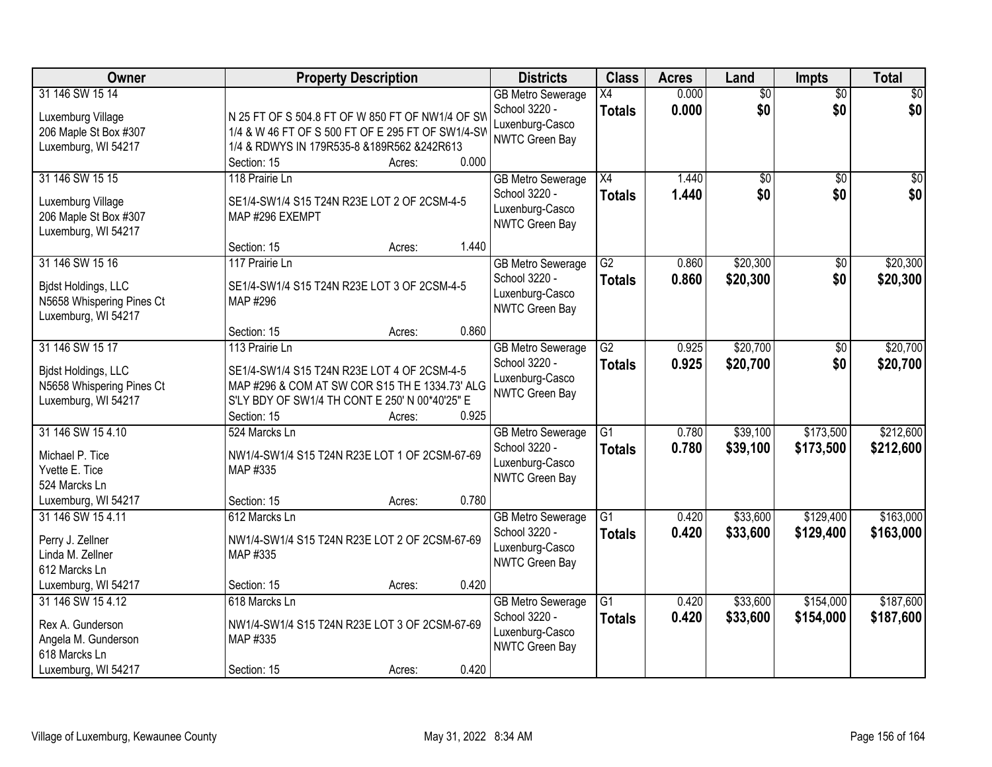| Owner                                                                                                | <b>Property Description</b>                                                                                                                                                                         | <b>Districts</b>                                                                      | <b>Class</b>                     | <b>Acres</b>   | Land                   | <b>Impts</b>           | <b>Total</b>           |
|------------------------------------------------------------------------------------------------------|-----------------------------------------------------------------------------------------------------------------------------------------------------------------------------------------------------|---------------------------------------------------------------------------------------|----------------------------------|----------------|------------------------|------------------------|------------------------|
| 31 146 SW 15 14<br>Luxemburg Village<br>206 Maple St Box #307<br>Luxemburg, WI 54217                 | N 25 FT OF S 504.8 FT OF W 850 FT OF NW1/4 OF SW<br>1/4 & W 46 FT OF S 500 FT OF E 295 FT OF SW1/4-SW<br>1/4 & RDWYS IN 179R535-8 &189R562 &242R613                                                 | <b>GB Metro Sewerage</b><br>School 3220 -<br>Luxenburg-Casco<br>NWTC Green Bay        | X4<br><b>Totals</b>              | 0.000<br>0.000 | $\overline{50}$<br>\$0 | $\overline{50}$<br>\$0 | \$0<br>\$0             |
| 31 146 SW 15 15<br>Luxemburg Village<br>206 Maple St Box #307<br>Luxemburg, WI 54217                 | 0.000<br>Section: 15<br>Acres:<br>118 Prairie Ln<br>SE1/4-SW1/4 S15 T24N R23E LOT 2 OF 2CSM-4-5<br>MAP #296 EXEMPT                                                                                  | <b>GB Metro Sewerage</b><br>School 3220 -<br>Luxenburg-Casco<br>NWTC Green Bay        | $\overline{X4}$<br><b>Totals</b> | 1.440<br>1.440 | \$0<br>\$0             | $\overline{50}$<br>\$0 | $\overline{50}$<br>\$0 |
| 31 146 SW 15 16<br><b>Bidst Holdings, LLC</b><br>N5658 Whispering Pines Ct<br>Luxemburg, WI 54217    | 1.440<br>Section: 15<br>Acres:<br>117 Prairie Ln<br>SE1/4-SW1/4 S15 T24N R23E LOT 3 OF 2CSM-4-5<br>MAP #296<br>0.860<br>Section: 15<br>Acres:                                                       | <b>GB Metro Sewerage</b><br>School 3220 -<br>Luxenburg-Casco<br>NWTC Green Bay        | $\overline{G2}$<br><b>Totals</b> | 0.860<br>0.860 | \$20,300<br>\$20,300   | $\overline{50}$<br>\$0 | \$20,300<br>\$20,300   |
| 31 146 SW 15 17<br>Bidst Holdings, LLC<br>N5658 Whispering Pines Ct<br>Luxemburg, WI 54217           | 113 Prairie Ln<br>SE1/4-SW1/4 S15 T24N R23E LOT 4 OF 2CSM-4-5<br>MAP #296 & COM AT SW COR S15 TH E 1334.73' ALG<br>S'LY BDY OF SW1/4 TH CONT E 250' N 00*40'25" E<br>0.925<br>Section: 15<br>Acres: | <b>GB Metro Sewerage</b><br>School 3220 -<br>Luxenburg-Casco<br><b>NWTC Green Bay</b> | $\overline{G2}$<br><b>Totals</b> | 0.925<br>0.925 | \$20,700<br>\$20,700   | \$0<br>\$0             | \$20,700<br>\$20,700   |
| 31 146 SW 15 4.10<br>Michael P. Tice<br>Yvette E. Tice<br>524 Marcks Ln<br>Luxemburg, WI 54217       | 524 Marcks Ln<br>NW1/4-SW1/4 S15 T24N R23E LOT 1 OF 2CSM-67-69<br>MAP #335<br>0.780<br>Section: 15<br>Acres:                                                                                        | <b>GB</b> Metro Sewerage<br>School 3220 -<br>Luxenburg-Casco<br><b>NWTC Green Bay</b> | $\overline{G1}$<br><b>Totals</b> | 0.780<br>0.780 | \$39,100<br>\$39,100   | \$173,500<br>\$173,500 | \$212,600<br>\$212,600 |
| 31 146 SW 15 4.11<br>Perry J. Zellner<br>Linda M. Zellner<br>612 Marcks Ln<br>Luxemburg, WI 54217    | 612 Marcks Ln<br>NW1/4-SW1/4 S15 T24N R23E LOT 2 OF 2CSM-67-69<br>MAP #335<br>0.420<br>Section: 15<br>Acres:                                                                                        | <b>GB Metro Sewerage</b><br>School 3220 -<br>Luxenburg-Casco<br>NWTC Green Bay        | $\overline{G1}$<br><b>Totals</b> | 0.420<br>0.420 | \$33,600<br>\$33,600   | \$129,400<br>\$129,400 | \$163,000<br>\$163,000 |
| 31 146 SW 15 4.12<br>Rex A. Gunderson<br>Angela M. Gunderson<br>618 Marcks Ln<br>Luxemburg, WI 54217 | 618 Marcks Ln<br>NW1/4-SW1/4 S15 T24N R23E LOT 3 OF 2CSM-67-69<br>MAP #335<br>0.420<br>Section: 15<br>Acres:                                                                                        | <b>GB Metro Sewerage</b><br>School 3220 -<br>Luxenburg-Casco<br><b>NWTC Green Bay</b> | $\overline{G1}$<br><b>Totals</b> | 0.420<br>0.420 | \$33,600<br>\$33,600   | \$154,000<br>\$154,000 | \$187,600<br>\$187,600 |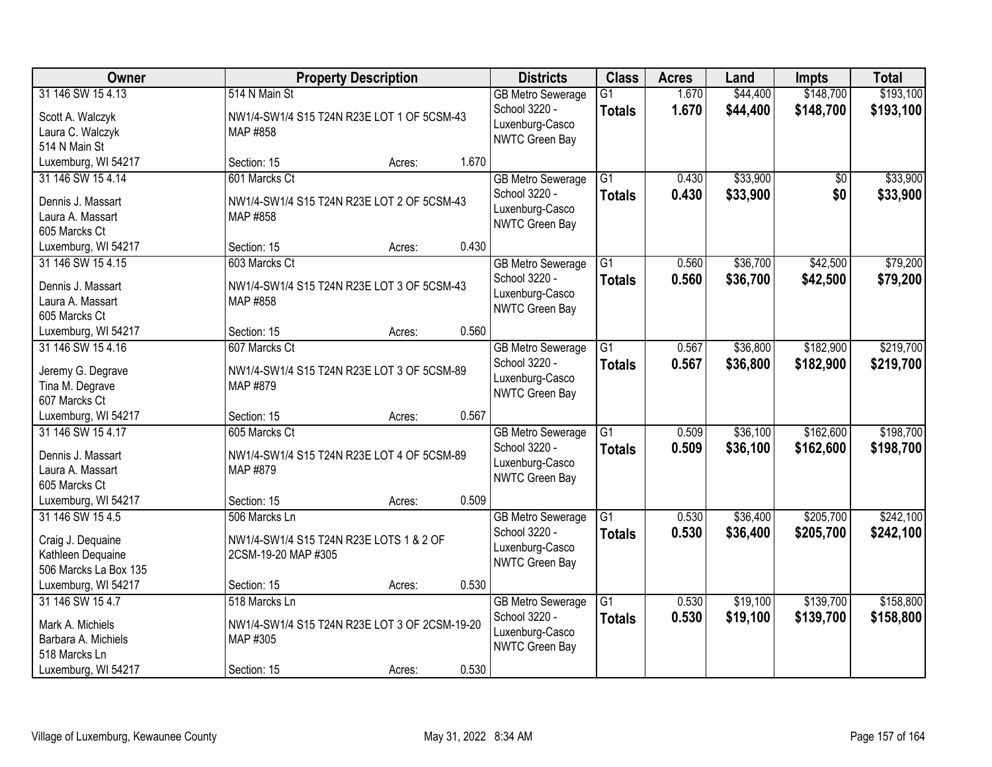| Owner                                                                               | <b>Property Description</b>                                                     |        |       | <b>Districts</b>                                                               | <b>Class</b>                     | <b>Acres</b>   | Land                 | <b>Impts</b>           | <b>Total</b>           |
|-------------------------------------------------------------------------------------|---------------------------------------------------------------------------------|--------|-------|--------------------------------------------------------------------------------|----------------------------------|----------------|----------------------|------------------------|------------------------|
| 31 146 SW 15 4.13<br>Scott A. Walczyk<br>Laura C. Walczyk<br>514 N Main St          | 514 N Main St<br>NW1/4-SW1/4 S15 T24N R23E LOT 1 OF 5CSM-43<br>MAP #858         |        |       | <b>GB Metro Sewerage</b><br>School 3220 -<br>Luxenburg-Casco<br>NWTC Green Bay | $\overline{G1}$<br><b>Totals</b> | 1.670<br>1.670 | \$44,400<br>\$44,400 | \$148,700<br>\$148,700 | \$193,100<br>\$193,100 |
| Luxemburg, WI 54217                                                                 | Section: 15                                                                     | Acres: | 1.670 |                                                                                |                                  |                |                      |                        |                        |
| 31 146 SW 15 4.14<br>Dennis J. Massart<br>Laura A. Massart<br>605 Marcks Ct         | 601 Marcks Ct<br>NW1/4-SW1/4 S15 T24N R23E LOT 2 OF 5CSM-43<br>MAP #858         |        |       | <b>GB Metro Sewerage</b><br>School 3220 -<br>Luxenburg-Casco<br>NWTC Green Bay | $\overline{G1}$<br><b>Totals</b> | 0.430<br>0.430 | \$33,900<br>\$33,900 | $\overline{50}$<br>\$0 | \$33,900<br>\$33,900   |
| Luxemburg, WI 54217                                                                 | Section: 15                                                                     | Acres: | 0.430 |                                                                                |                                  |                |                      |                        |                        |
| 31 146 SW 15 4.15<br>Dennis J. Massart<br>Laura A. Massart<br>605 Marcks Ct         | 603 Marcks Ct<br>NW1/4-SW1/4 S15 T24N R23E LOT 3 OF 5CSM-43<br>MAP #858         |        |       | <b>GB Metro Sewerage</b><br>School 3220 -<br>Luxenburg-Casco<br>NWTC Green Bay | $\overline{G1}$<br><b>Totals</b> | 0.560<br>0.560 | \$36,700<br>\$36,700 | \$42,500<br>\$42,500   | \$79,200<br>\$79,200   |
| Luxemburg, WI 54217                                                                 | Section: 15                                                                     | Acres: | 0.560 |                                                                                |                                  |                |                      |                        |                        |
| 31 146 SW 15 4.16<br>Jeremy G. Degrave<br>Tina M. Degrave<br>607 Marcks Ct          | 607 Marcks Ct<br>NW1/4-SW1/4 S15 T24N R23E LOT 3 OF 5CSM-89<br>MAP #879         |        |       | <b>GB Metro Sewerage</b><br>School 3220 -<br>Luxenburg-Casco<br>NWTC Green Bay | G1<br><b>Totals</b>              | 0.567<br>0.567 | \$36,800<br>\$36,800 | \$182,900<br>\$182,900 | \$219,700<br>\$219,700 |
| Luxemburg, WI 54217                                                                 | Section: 15                                                                     | Acres: | 0.567 |                                                                                |                                  |                |                      |                        |                        |
| 31 146 SW 15 4.17<br>Dennis J. Massart<br>Laura A. Massart<br>605 Marcks Ct         | 605 Marcks Ct<br>NW1/4-SW1/4 S15 T24N R23E LOT 4 OF 5CSM-89<br>MAP #879         |        |       | <b>GB</b> Metro Sewerage<br>School 3220 -<br>Luxenburg-Casco<br>NWTC Green Bay | $\overline{G1}$<br><b>Totals</b> | 0.509<br>0.509 | \$36,100<br>\$36,100 | \$162,600<br>\$162,600 | \$198,700<br>\$198,700 |
| Luxemburg, WI 54217                                                                 | Section: 15                                                                     | Acres: | 0.509 |                                                                                |                                  |                |                      |                        |                        |
| 31 146 SW 15 4.5<br>Craig J. Dequaine<br>Kathleen Dequaine<br>506 Marcks La Box 135 | 506 Marcks Ln<br>NW1/4-SW1/4 S15 T24N R23E LOTS 1 & 2 OF<br>2CSM-19-20 MAP #305 |        |       | <b>GB</b> Metro Sewerage<br>School 3220 -<br>Luxenburg-Casco<br>NWTC Green Bay | $\overline{G1}$<br><b>Totals</b> | 0.530<br>0.530 | \$36,400<br>\$36,400 | \$205,700<br>\$205,700 | \$242,100<br>\$242,100 |
| Luxemburg, WI 54217                                                                 | Section: 15                                                                     | Acres: | 0.530 |                                                                                |                                  |                |                      |                        |                        |
| 31 146 SW 15 4.7<br>Mark A. Michiels<br>Barbara A. Michiels<br>518 Marcks Ln        | 518 Marcks Ln<br>NW1/4-SW1/4 S15 T24N R23E LOT 3 OF 2CSM-19-20<br>MAP #305      |        |       | <b>GB Metro Sewerage</b><br>School 3220 -<br>Luxenburg-Casco<br>NWTC Green Bay | $\overline{G1}$<br><b>Totals</b> | 0.530<br>0.530 | \$19,100<br>\$19,100 | \$139,700<br>\$139,700 | \$158,800<br>\$158,800 |
| Luxemburg, WI 54217                                                                 | Section: 15                                                                     | Acres: | 0.530 |                                                                                |                                  |                |                      |                        |                        |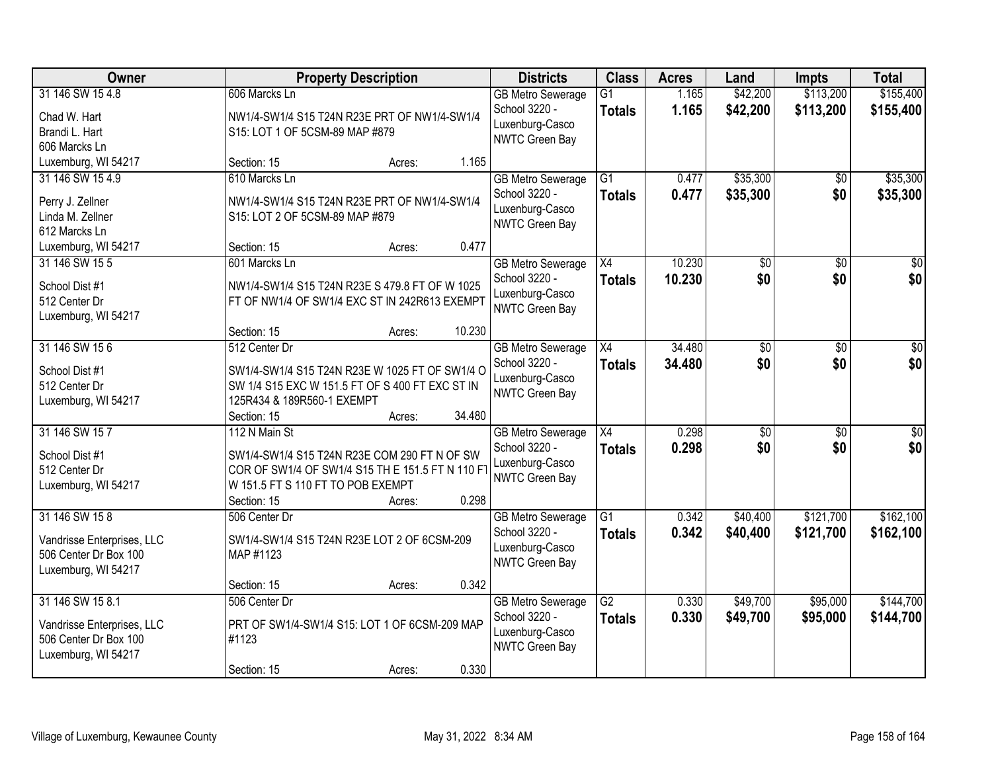| Owner                      |                                                                               | <b>Property Description</b> |        |                                          | <b>Class</b>    | <b>Acres</b> | Land             | <b>Impts</b>    | <b>Total</b>     |
|----------------------------|-------------------------------------------------------------------------------|-----------------------------|--------|------------------------------------------|-----------------|--------------|------------------|-----------------|------------------|
| 31 146 SW 15 4.8           | 606 Marcks Ln                                                                 |                             |        | <b>GB Metro Sewerage</b>                 | $\overline{G1}$ | 1.165        | \$42,200         | \$113,200       | \$155,400        |
| Chad W. Hart               | NW1/4-SW1/4 S15 T24N R23E PRT OF NW1/4-SW1/4                                  |                             |        | School 3220 -                            | <b>Totals</b>   | 1.165        | \$42,200         | \$113,200       | \$155,400        |
| Brandi L. Hart             | S15: LOT 1 OF 5CSM-89 MAP #879                                                |                             |        | Luxenburg-Casco<br><b>NWTC Green Bay</b> |                 |              |                  |                 |                  |
| 606 Marcks Ln              |                                                                               |                             |        |                                          |                 |              |                  |                 |                  |
| Luxemburg, WI 54217        | Section: 15                                                                   | Acres:                      | 1.165  |                                          |                 |              |                  |                 |                  |
| 31 146 SW 15 4.9           | 610 Marcks Ln                                                                 |                             |        | <b>GB Metro Sewerage</b>                 | $\overline{G1}$ | 0.477        | \$35,300         | \$0             | \$35,300         |
| Perry J. Zellner           | NW1/4-SW1/4 S15 T24N R23E PRT OF NW1/4-SW1/4                                  |                             |        | School 3220 -                            | <b>Totals</b>   | 0.477        | \$35,300         | \$0             | \$35,300         |
| Linda M. Zellner           | S15: LOT 2 OF 5CSM-89 MAP #879                                                |                             |        | Luxenburg-Casco                          |                 |              |                  |                 |                  |
| 612 Marcks Ln              |                                                                               |                             |        | <b>NWTC Green Bay</b>                    |                 |              |                  |                 |                  |
| Luxemburg, WI 54217        | Section: 15                                                                   | Acres:                      | 0.477  |                                          |                 |              |                  |                 |                  |
| 31 146 SW 15 5             | 601 Marcks Ln                                                                 |                             |        | <b>GB Metro Sewerage</b>                 | $\overline{X4}$ | 10.230       | \$0              | $\overline{50}$ | $\overline{50}$  |
| School Dist #1             | NW1/4-SW1/4 S15 T24N R23E S 479.8 FT OF W 1025                                |                             |        | School 3220 -                            | <b>Totals</b>   | 10.230       | \$0              | \$0             | \$0              |
| 512 Center Dr              | FT OF NW1/4 OF SW1/4 EXC ST IN 242R613 EXEMPT                                 |                             |        | Luxenburg-Casco                          |                 |              |                  |                 |                  |
| Luxemburg, WI 54217        |                                                                               |                             |        | NWTC Green Bay                           |                 |              |                  |                 |                  |
|                            | Section: 15                                                                   | Acres:                      | 10.230 |                                          |                 |              |                  |                 |                  |
| 31 146 SW 15 6             | 512 Center Dr                                                                 |                             |        | <b>GB Metro Sewerage</b>                 | X4              | 34.480       | \$0              | \$0             | \$0              |
|                            |                                                                               |                             |        | School 3220 -                            | <b>Totals</b>   | 34.480       | \$0              | \$0             | \$0              |
| School Dist #1             | SW1/4-SW1/4 S15 T24N R23E W 1025 FT OF SW1/4 O                                |                             |        | Luxenburg-Casco                          |                 |              |                  |                 |                  |
| 512 Center Dr              | SW 1/4 S15 EXC W 151.5 FT OF S 400 FT EXC ST IN<br>125R434 & 189R560-1 EXEMPT |                             |        | <b>NWTC Green Bay</b>                    |                 |              |                  |                 |                  |
| Luxemburg, WI 54217        | Section: 15                                                                   | Acres:                      | 34.480 |                                          |                 |              |                  |                 |                  |
| 31 146 SW 157              | 112 N Main St                                                                 |                             |        | <b>GB Metro Sewerage</b>                 | $\overline{X4}$ | 0.298        | $\overline{\$0}$ | $\overline{50}$ | $\overline{\$0}$ |
|                            |                                                                               |                             |        | School 3220 -                            | <b>Totals</b>   | 0.298        | \$0              | \$0             | \$0              |
| School Dist #1             | SW1/4-SW1/4 S15 T24N R23E COM 290 FT N OF SW                                  |                             |        | Luxenburg-Casco                          |                 |              |                  |                 |                  |
| 512 Center Dr              | COR OF SW1/4 OF SW1/4 S15 TH E 151.5 FT N 110 F                               |                             |        | <b>NWTC Green Bay</b>                    |                 |              |                  |                 |                  |
| Luxemburg, WI 54217        | W 151.5 FT S 110 FT TO POB EXEMPT                                             |                             |        |                                          |                 |              |                  |                 |                  |
|                            | Section: 15                                                                   | Acres:                      | 0.298  |                                          |                 |              |                  |                 |                  |
| 31 146 SW 158              | 506 Center Dr                                                                 |                             |        | <b>GB Metro Sewerage</b>                 | G1              | 0.342        | \$40,400         | \$121,700       | \$162,100        |
| Vandrisse Enterprises, LLC | SW1/4-SW1/4 S15 T24N R23E LOT 2 OF 6CSM-209                                   |                             |        | School 3220 -<br>Luxenburg-Casco         | <b>Totals</b>   | 0.342        | \$40,400         | \$121,700       | \$162,100        |
| 506 Center Dr Box 100      | MAP #1123                                                                     |                             |        | NWTC Green Bay                           |                 |              |                  |                 |                  |
| Luxemburg, WI 54217        |                                                                               |                             |        |                                          |                 |              |                  |                 |                  |
|                            | Section: 15                                                                   | Acres:                      | 0.342  |                                          |                 |              |                  |                 |                  |
| 31 146 SW 15 8.1           | 506 Center Dr                                                                 |                             |        | <b>GB Metro Sewerage</b>                 | G2              | 0.330        | \$49,700         | \$95,000        | \$144,700        |
| Vandrisse Enterprises, LLC | PRT OF SW1/4-SW1/4 S15: LOT 1 OF 6CSM-209 MAP                                 |                             |        | School 3220 -                            | <b>Totals</b>   | 0.330        | \$49,700         | \$95,000        | \$144,700        |
| 506 Center Dr Box 100      | #1123                                                                         |                             |        | Luxenburg-Casco                          |                 |              |                  |                 |                  |
| Luxemburg, WI 54217        |                                                                               |                             |        | NWTC Green Bay                           |                 |              |                  |                 |                  |
|                            | Section: 15                                                                   | Acres:                      | 0.330  |                                          |                 |              |                  |                 |                  |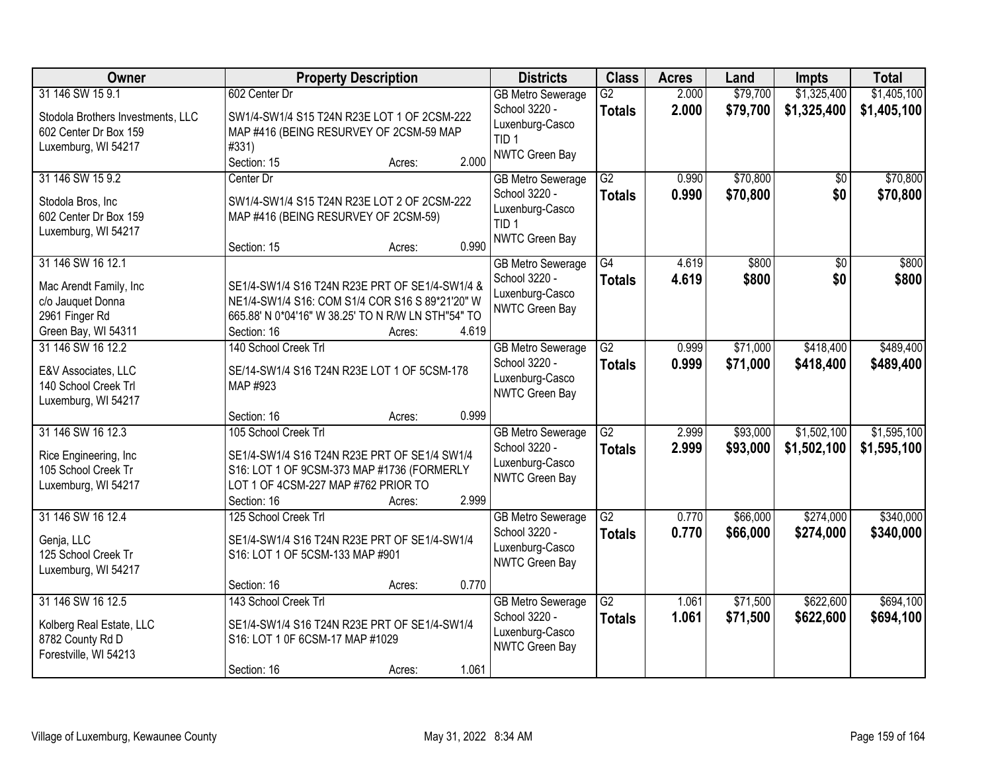| Owner                                                                                                     | <b>Property Description</b>                                                                                                                                                                                                   | <b>Districts</b>                                                                                   | <b>Class</b>                     | <b>Acres</b>   | Land                 | <b>Impts</b>               | <b>Total</b>               |
|-----------------------------------------------------------------------------------------------------------|-------------------------------------------------------------------------------------------------------------------------------------------------------------------------------------------------------------------------------|----------------------------------------------------------------------------------------------------|----------------------------------|----------------|----------------------|----------------------------|----------------------------|
| 31 146 SW 15 9.1<br>Stodola Brothers Investments, LLC<br>602 Center Dr Box 159<br>Luxemburg, WI 54217     | 602 Center Dr<br>SW1/4-SW1/4 S15 T24N R23E LOT 1 OF 2CSM-222<br>MAP #416 (BEING RESURVEY OF 2CSM-59 MAP<br>#331)<br>2.000<br>Section: 15<br>Acres:                                                                            | <b>GB Metro Sewerage</b><br>School 3220 -<br>Luxenburg-Casco<br>TID <sub>1</sub><br>NWTC Green Bay | $\overline{G2}$<br><b>Totals</b> | 2.000<br>2.000 | \$79,700<br>\$79,700 | \$1,325,400<br>\$1,325,400 | \$1,405,100<br>\$1,405,100 |
| 31 146 SW 15 9.2<br>Stodola Bros, Inc<br>602 Center Dr Box 159<br>Luxemburg, WI 54217                     | Center Dr<br>SW1/4-SW1/4 S15 T24N R23E LOT 2 OF 2CSM-222<br>MAP #416 (BEING RESURVEY OF 2CSM-59)<br>0.990<br>Section: 15<br>Acres:                                                                                            | <b>GB Metro Sewerage</b><br>School 3220 -<br>Luxenburg-Casco<br>TID <sub>1</sub><br>NWTC Green Bay | $\overline{G2}$<br><b>Totals</b> | 0.990<br>0.990 | \$70,800<br>\$70,800 | \$0<br>\$0                 | \$70,800<br>\$70,800       |
| 31 146 SW 16 12.1<br>Mac Arendt Family, Inc<br>c/o Jauquet Donna<br>2961 Finger Rd<br>Green Bay, WI 54311 | SE1/4-SW1/4 S16 T24N R23E PRT OF SE1/4-SW1/4 &<br>NE1/4-SW1/4 S16: COM S1/4 COR S16 S 89*21'20" W<br>665.88' N 0*04'16" W 38.25' TO N R/W LN STH"54" TO<br>4.619<br>Section: 16<br>Acres:                                     | <b>GB Metro Sewerage</b><br>School 3220 -<br>Luxenburg-Casco<br>NWTC Green Bay                     | $\overline{G4}$<br><b>Totals</b> | 4.619<br>4.619 | \$800<br>\$800       | $\overline{50}$<br>\$0     | \$800<br>\$800             |
| 31 146 SW 16 12.2<br>E&V Associates, LLC<br>140 School Creek Trl<br>Luxemburg, WI 54217                   | 140 School Creek Trl<br>SE/14-SW1/4 S16 T24N R23E LOT 1 OF 5CSM-178<br>MAP #923                                                                                                                                               | <b>GB Metro Sewerage</b><br>School 3220 -<br>Luxenburg-Casco<br>NWTC Green Bay                     | $\overline{G2}$<br><b>Totals</b> | 0.999<br>0.999 | \$71,000<br>\$71,000 | \$418,400<br>\$418,400     | \$489,400<br>\$489,400     |
| 31 146 SW 16 12.3<br>Rice Engineering, Inc.<br>105 School Creek Tr<br>Luxemburg, WI 54217                 | 0.999<br>Section: 16<br>Acres:<br>105 School Creek Trl<br>SE1/4-SW1/4 S16 T24N R23E PRT OF SE1/4 SW1/4<br>S16: LOT 1 OF 9CSM-373 MAP #1736 (FORMERLY<br>LOT 1 OF 4CSM-227 MAP #762 PRIOR TO<br>2.999<br>Section: 16<br>Acres: | <b>GB Metro Sewerage</b><br>School 3220 -<br>Luxenburg-Casco<br>NWTC Green Bay                     | $\overline{G2}$<br><b>Totals</b> | 2.999<br>2.999 | \$93,000<br>\$93,000 | \$1,502,100<br>\$1,502,100 | \$1,595,100<br>\$1,595,100 |
| 31 146 SW 16 12.4<br>Genja, LLC<br>125 School Creek Tr<br>Luxemburg, WI 54217                             | 125 School Creek Trl<br>SE1/4-SW1/4 S16 T24N R23E PRT OF SE1/4-SW1/4<br>S16: LOT 1 OF 5CSM-133 MAP #901<br>0.770<br>Section: 16<br>Acres:                                                                                     | <b>GB Metro Sewerage</b><br>School 3220 -<br>Luxenburg-Casco<br>NWTC Green Bay                     | $\overline{G2}$<br><b>Totals</b> | 0.770<br>0.770 | \$66,000<br>\$66,000 | \$274,000<br>\$274,000     | \$340,000<br>\$340,000     |
| 31 146 SW 16 12.5<br>Kolberg Real Estate, LLC<br>8782 County Rd D<br>Forestville, WI 54213                | 143 School Creek Trl<br>SE1/4-SW1/4 S16 T24N R23E PRT OF SE1/4-SW1/4<br>S16: LOT 1 0F 6CSM-17 MAP #1029<br>1.061<br>Section: 16<br>Acres:                                                                                     | <b>GB Metro Sewerage</b><br>School 3220 -<br>Luxenburg-Casco<br>NWTC Green Bay                     | $\overline{G2}$<br><b>Totals</b> | 1.061<br>1.061 | \$71,500<br>\$71,500 | \$622,600<br>\$622,600     | \$694,100<br>\$694,100     |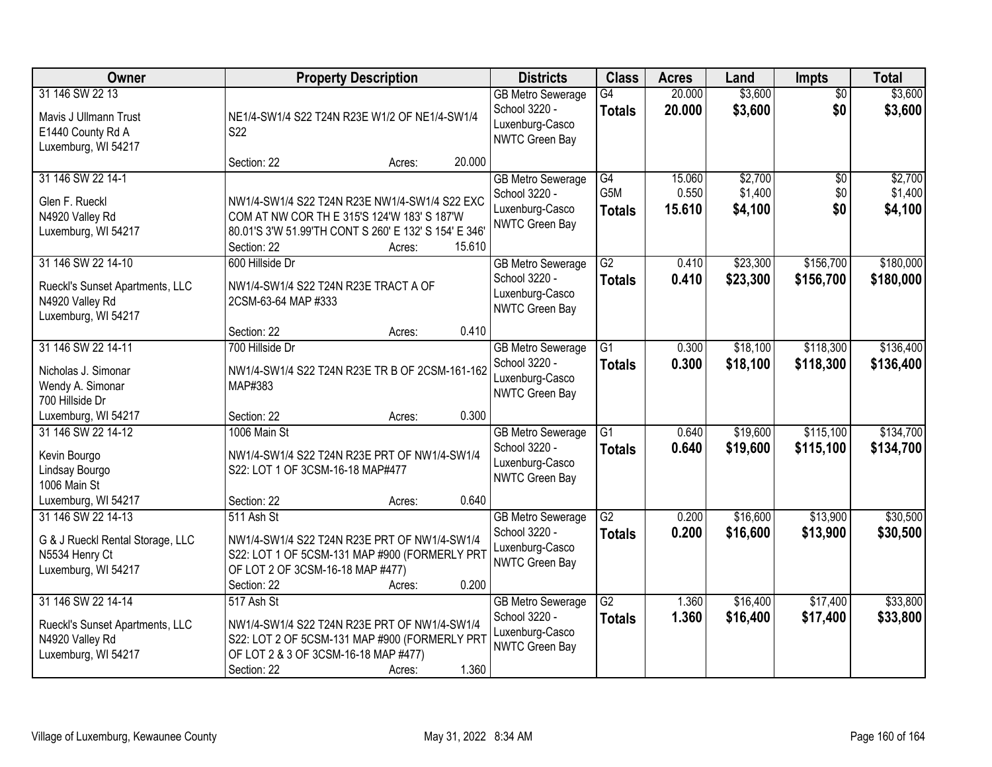| Owner                                                                                           | <b>Property Description</b>                                                                                                                                                              | <b>Districts</b>                                                                      | <b>Class</b>                            | <b>Acres</b>              | Land                          | <b>Impts</b>           | <b>Total</b>                  |
|-------------------------------------------------------------------------------------------------|------------------------------------------------------------------------------------------------------------------------------------------------------------------------------------------|---------------------------------------------------------------------------------------|-----------------------------------------|---------------------------|-------------------------------|------------------------|-------------------------------|
| 31 146 SW 22 13<br>Mavis J Ullmann Trust<br>E1440 County Rd A<br>Luxemburg, WI 54217            | NE1/4-SW1/4 S22 T24N R23E W1/2 OF NE1/4-SW1/4<br>S <sub>22</sub>                                                                                                                         | <b>GB Metro Sewerage</b><br>School 3220 -<br>Luxenburg-Casco<br><b>NWTC Green Bay</b> | G4<br><b>Totals</b>                     | 20.000<br>20.000          | \$3,600<br>\$3,600            | $\overline{50}$<br>\$0 | \$3,600<br>\$3,600            |
|                                                                                                 | 20.000<br>Section: 22<br>Acres:                                                                                                                                                          |                                                                                       |                                         |                           |                               |                        |                               |
| 31 146 SW 22 14-1<br>Glen F. Rueckl<br>N4920 Valley Rd<br>Luxemburg, WI 54217                   | NW1/4-SW1/4 S22 T24N R23E NW1/4-SW1/4 S22 EXC<br>COM AT NW COR TH E 315'S 124'W 183' S 187'W<br>80.01'S 3'W 51.99'TH CONT S 260' E 132' S 154' E 346'<br>Section: 22<br>15.610<br>Acres: | <b>GB Metro Sewerage</b><br>School 3220 -<br>Luxenburg-Casco<br>NWTC Green Bay        | G4<br>G <sub>5</sub> M<br><b>Totals</b> | 15.060<br>0.550<br>15.610 | \$2,700<br>\$1,400<br>\$4,100 | \$0<br>\$0<br>\$0      | \$2,700<br>\$1,400<br>\$4,100 |
| 31 146 SW 22 14-10<br>Rueckl's Sunset Apartments, LLC<br>N4920 Valley Rd<br>Luxemburg, WI 54217 | 600 Hillside Dr<br>NW1/4-SW1/4 S22 T24N R23E TRACT A OF<br>2CSM-63-64 MAP #333<br>0.410<br>Section: 22<br>Acres:                                                                         | <b>GB Metro Sewerage</b><br>School 3220 -<br>Luxenburg-Casco<br>NWTC Green Bay        | $\overline{G2}$<br><b>Totals</b>        | 0.410<br>0.410            | \$23,300<br>\$23,300          | \$156,700<br>\$156,700 | \$180,000<br>\$180,000        |
| 31 146 SW 22 14-11                                                                              | 700 Hillside Dr                                                                                                                                                                          | <b>GB Metro Sewerage</b>                                                              | G1                                      | 0.300                     | \$18,100                      | \$118,300              | \$136,400                     |
| Nicholas J. Simonar<br>Wendy A. Simonar<br>700 Hillside Dr                                      | NW1/4-SW1/4 S22 T24N R23E TR B OF 2CSM-161-162<br>MAP#383                                                                                                                                | School 3220 -<br>Luxenburg-Casco<br><b>NWTC Green Bay</b>                             | <b>Totals</b>                           | 0.300                     | \$18,100                      | \$118,300              | \$136,400                     |
| Luxemburg, WI 54217                                                                             | 0.300<br>Section: 22<br>Acres:                                                                                                                                                           |                                                                                       |                                         |                           |                               |                        |                               |
| 31 146 SW 22 14-12<br>Kevin Bourgo<br>Lindsay Bourgo<br>1006 Main St                            | 1006 Main St<br>NW1/4-SW1/4 S22 T24N R23E PRT OF NW1/4-SW1/4<br>S22: LOT 1 OF 3CSM-16-18 MAP#477                                                                                         | <b>GB Metro Sewerage</b><br>School 3220 -<br>Luxenburg-Casco<br>NWTC Green Bay        | $\overline{G1}$<br><b>Totals</b>        | 0.640<br>0.640            | \$19,600<br>\$19,600          | \$115,100<br>\$115,100 | \$134,700<br>\$134,700        |
| Luxemburg, WI 54217                                                                             | 0.640<br>Section: 22<br>Acres:                                                                                                                                                           |                                                                                       |                                         |                           |                               |                        |                               |
| 31 146 SW 22 14-13<br>G & J Rueckl Rental Storage, LLC<br>N5534 Henry Ct<br>Luxemburg, WI 54217 | 511 Ash St<br>NW1/4-SW1/4 S22 T24N R23E PRT OF NW1/4-SW1/4<br>S22: LOT 1 OF 5CSM-131 MAP #900 (FORMERLY PRT<br>OF LOT 2 OF 3CSM-16-18 MAP #477)<br>0.200<br>Section: 22<br>Acres:        | <b>GB Metro Sewerage</b><br>School 3220 -<br>Luxenburg-Casco<br>NWTC Green Bay        | $\overline{G2}$<br><b>Totals</b>        | 0.200<br>0.200            | \$16,600<br>\$16,600          | \$13,900<br>\$13,900   | \$30,500<br>\$30,500          |
| 31 146 SW 22 14-14<br>Rueckl's Sunset Apartments, LLC<br>N4920 Valley Rd<br>Luxemburg, WI 54217 | 517 Ash St<br>NW1/4-SW1/4 S22 T24N R23E PRT OF NW1/4-SW1/4<br>S22: LOT 2 OF 5CSM-131 MAP #900 (FORMERLY PRT<br>OF LOT 2 & 3 OF 3CSM-16-18 MAP #477)<br>1.360<br>Section: 22<br>Acres:    | <b>GB Metro Sewerage</b><br>School 3220 -<br>Luxenburg-Casco<br><b>NWTC Green Bay</b> | $\overline{G2}$<br><b>Totals</b>        | 1.360<br>1.360            | \$16,400<br>\$16,400          | \$17,400<br>\$17,400   | \$33,800<br>\$33,800          |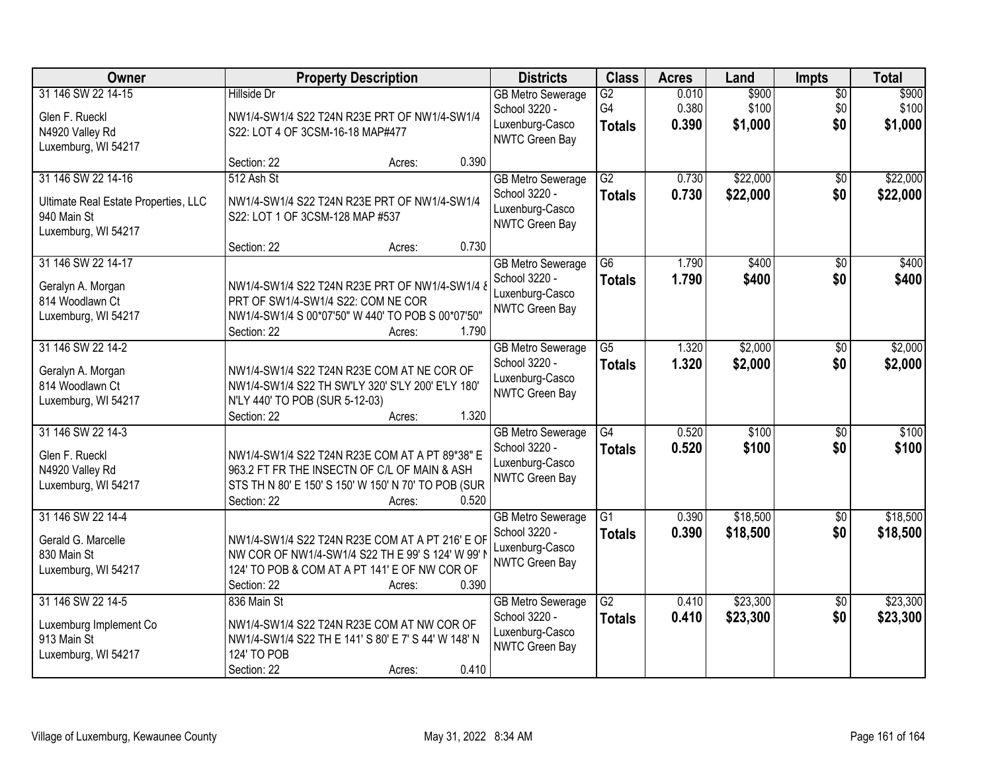| Owner                                                                                            | <b>Property Description</b>                                                                                                                                                             | <b>Districts</b>                                                                      | <b>Class</b>                           | <b>Acres</b>            | Land                      | Impts                         | <b>Total</b>              |
|--------------------------------------------------------------------------------------------------|-----------------------------------------------------------------------------------------------------------------------------------------------------------------------------------------|---------------------------------------------------------------------------------------|----------------------------------------|-------------------------|---------------------------|-------------------------------|---------------------------|
| 31 146 SW 22 14-15<br>Glen F. Rueckl<br>N4920 Valley Rd<br>Luxemburg, WI 54217                   | <b>Hillside Dr</b><br>NW1/4-SW1/4 S22 T24N R23E PRT OF NW1/4-SW1/4<br>S22: LOT 4 OF 3CSM-16-18 MAP#477                                                                                  | <b>GB Metro Sewerage</b><br>School 3220 -<br>Luxenburg-Casco<br>NWTC Green Bay        | $\overline{G2}$<br>G4<br><b>Totals</b> | 0.010<br>0.380<br>0.390 | \$900<br>\$100<br>\$1,000 | $\overline{50}$<br>\$0<br>\$0 | \$900<br>\$100<br>\$1,000 |
|                                                                                                  | 0.390<br>Section: 22<br>Acres:                                                                                                                                                          |                                                                                       |                                        |                         |                           |                               |                           |
| 31 146 SW 22 14-16<br>Ultimate Real Estate Properties, LLC<br>940 Main St<br>Luxemburg, WI 54217 | 512 Ash St<br>NW1/4-SW1/4 S22 T24N R23E PRT OF NW1/4-SW1/4<br>S22: LOT 1 OF 3CSM-128 MAP #537                                                                                           | <b>GB Metro Sewerage</b><br>School 3220 -<br>Luxenburg-Casco<br>NWTC Green Bay        | $\overline{G2}$<br><b>Totals</b>       | 0.730<br>0.730          | \$22,000<br>\$22,000      | \$0<br>\$0                    | \$22,000<br>\$22,000      |
|                                                                                                  | 0.730<br>Section: 22<br>Acres:                                                                                                                                                          |                                                                                       |                                        |                         |                           |                               |                           |
| 31 146 SW 22 14-17<br>Geralyn A. Morgan<br>814 Woodlawn Ct<br>Luxemburg, WI 54217                | NW1/4-SW1/4 S22 T24N R23E PRT OF NW1/4-SW1/4 8<br>PRT OF SW1/4-SW1/4 S22: COM NE COR<br>NW1/4-SW1/4 S 00*07'50" W 440' TO POB S 00*07'50"<br>1.790<br>Section: 22<br>Acres:             | <b>GB Metro Sewerage</b><br>School 3220 -<br>Luxenburg-Casco<br>NWTC Green Bay        | $\overline{G6}$<br><b>Totals</b>       | 1.790<br>1.790          | \$400<br>\$400            | $\overline{50}$<br>\$0        | \$400<br>\$400            |
| 31 146 SW 22 14-2<br>Geralyn A. Morgan<br>814 Woodlawn Ct<br>Luxemburg, WI 54217                 | NW1/4-SW1/4 S22 T24N R23E COM AT NE COR OF<br>NW1/4-SW1/4 S22 TH SW'LY 320' S'LY 200' E'LY 180'<br>N'LY 440' TO POB (SUR 5-12-03)<br>1.320<br>Section: 22<br>Acres:                     | <b>GB Metro Sewerage</b><br>School 3220 -<br>Luxenburg-Casco<br>NWTC Green Bay        | G5<br><b>Totals</b>                    | 1.320<br>1.320          | \$2,000<br>\$2,000        | $\sqrt[6]{}$<br>\$0           | \$2,000<br>\$2,000        |
| 31 146 SW 22 14-3<br>Glen F. Rueckl<br>N4920 Valley Rd<br>Luxemburg, WI 54217                    | NW1/4-SW1/4 S22 T24N R23E COM AT A PT 89*38" E<br>963.2 FT FR THE INSECTN OF C/L OF MAIN & ASH<br>STS TH N 80' E 150' S 150' W 150' N 70' TO POB (SUR<br>0.520<br>Section: 22<br>Acres: | <b>GB Metro Sewerage</b><br>School 3220 -<br>Luxenburg-Casco<br><b>NWTC Green Bay</b> | G4<br><b>Totals</b>                    | 0.520<br>0.520          | \$100<br>\$100            | $\overline{50}$<br>\$0        | \$100<br>\$100            |
| 31 146 SW 22 14-4<br>Gerald G. Marcelle<br>830 Main St<br>Luxemburg, WI 54217                    | NW1/4-SW1/4 S22 T24N R23E COM AT A PT 216' E OF<br>NW COR OF NW1/4-SW1/4 S22 TH E 99' S 124' W 99' I<br>124' TO POB & COM AT A PT 141' E OF NW COR OF<br>0.390<br>Section: 22<br>Acres: | <b>GB Metro Sewerage</b><br>School 3220 -<br>Luxenburg-Casco<br>NWTC Green Bay        | $\overline{G1}$<br><b>Totals</b>       | 0.390<br>0.390          | \$18,500<br>\$18,500      | $\sqrt{6}$<br>\$0             | \$18,500<br>\$18,500      |
| 31 146 SW 22 14-5<br>Luxemburg Implement Co<br>913 Main St<br>Luxemburg, WI 54217                | 836 Main St<br>NW1/4-SW1/4 S22 T24N R23E COM AT NW COR OF<br>NW1/4-SW1/4 S22 TH E 141' S 80' E 7' S 44' W 148' N<br>124' TO POB<br>0.410<br>Section: 22<br>Acres:                       | <b>GB Metro Sewerage</b><br>School 3220 -<br>Luxenburg-Casco<br>NWTC Green Bay        | $\overline{G2}$<br><b>Totals</b>       | 0.410<br>0.410          | \$23,300<br>\$23,300      | $\overline{50}$<br>\$0        | \$23,300<br>\$23,300      |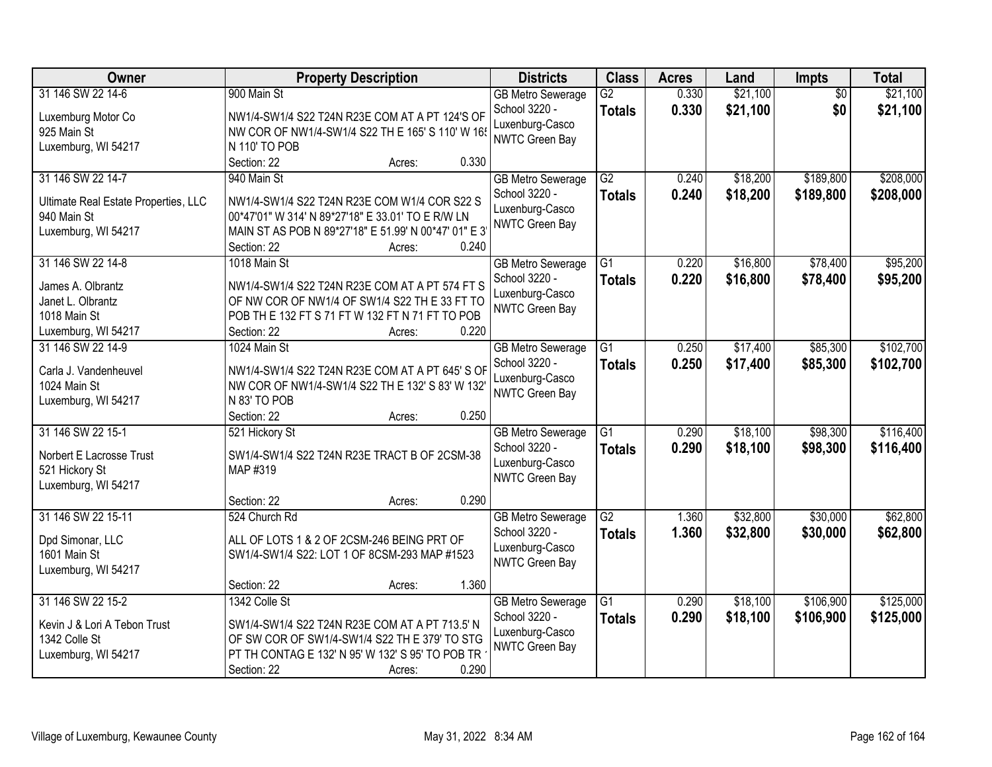| Owner                                                                                              | <b>Property Description</b>                                                                                                                                                                                 | <b>Districts</b>                                                                      | <b>Class</b>                     | <b>Acres</b>   | Land                 | Impts                  | <b>Total</b>           |
|----------------------------------------------------------------------------------------------------|-------------------------------------------------------------------------------------------------------------------------------------------------------------------------------------------------------------|---------------------------------------------------------------------------------------|----------------------------------|----------------|----------------------|------------------------|------------------------|
| 31 146 SW 22 14-6<br>Luxemburg Motor Co<br>925 Main St<br>Luxemburg, WI 54217                      | 900 Main St<br>NW1/4-SW1/4 S22 T24N R23E COM AT A PT 124'S OF<br>NW COR OF NW1/4-SW1/4 S22 TH E 165' S 110' W 16<br>N 110' TO POB                                                                           | <b>GB Metro Sewerage</b><br>School 3220 -<br>Luxenburg-Casco<br><b>NWTC Green Bay</b> | $\overline{G2}$<br><b>Totals</b> | 0.330<br>0.330 | \$21,100<br>\$21,100 | $\overline{50}$<br>\$0 | \$21,100<br>\$21,100   |
|                                                                                                    | 0.330<br>Section: 22<br>Acres:                                                                                                                                                                              |                                                                                       |                                  |                |                      |                        |                        |
| 31 146 SW 22 14-7<br>Ultimate Real Estate Properties, LLC<br>940 Main St<br>Luxemburg, WI 54217    | 940 Main St<br>NW1/4-SW1/4 S22 T24N R23E COM W1/4 COR S22 S<br>00*47'01" W 314' N 89*27'18" E 33.01' TO E R/W LN<br>MAIN ST AS POB N 89*27'18" E 51.99' N 00*47' 01" E 3'<br>0.240<br>Section: 22<br>Acres: | <b>GB Metro Sewerage</b><br>School 3220 -<br>Luxenburg-Casco<br><b>NWTC Green Bay</b> | G2<br><b>Totals</b>              | 0.240<br>0.240 | \$18,200<br>\$18,200 | \$189,800<br>\$189,800 | \$208,000<br>\$208,000 |
| 31 146 SW 22 14-8<br>James A. Olbrantz<br>Janet L. Olbrantz<br>1018 Main St<br>Luxemburg, WI 54217 | 1018 Main St<br>NW1/4-SW1/4 S22 T24N R23E COM AT A PT 574 FT S<br>OF NW COR OF NW1/4 OF SW1/4 S22 TH E 33 FT TO<br>POB TH E 132 FT S 71 FT W 132 FT N 71 FT TO POB<br>Section: 22<br>0.220<br>Acres:        | <b>GB Metro Sewerage</b><br>School 3220 -<br>Luxenburg-Casco<br>NWTC Green Bay        | $\overline{G1}$<br><b>Totals</b> | 0.220<br>0.220 | \$16,800<br>\$16,800 | \$78,400<br>\$78,400   | \$95,200<br>\$95,200   |
| 31 146 SW 22 14-9<br>Carla J. Vandenheuvel<br>1024 Main St<br>Luxemburg, WI 54217                  | 1024 Main St<br>NW1/4-SW1/4 S22 T24N R23E COM AT A PT 645' S OF<br>NW COR OF NW1/4-SW1/4 S22 TH E 132' S 83' W 132'<br>N 83' TO POB<br>0.250<br>Section: 22<br>Acres:                                       | <b>GB Metro Sewerage</b><br>School 3220 -<br>Luxenburg-Casco<br><b>NWTC Green Bay</b> | G1<br><b>Totals</b>              | 0.250<br>0.250 | \$17,400<br>\$17,400 | \$85,300<br>\$85,300   | \$102,700<br>\$102,700 |
| 31 146 SW 22 15-1<br>Norbert E Lacrosse Trust<br>521 Hickory St<br>Luxemburg, WI 54217             | 521 Hickory St<br>SW1/4-SW1/4 S22 T24N R23E TRACT B OF 2CSM-38<br>MAP #319                                                                                                                                  | <b>GB</b> Metro Sewerage<br>School 3220 -<br>Luxenburg-Casco<br>NWTC Green Bay        | $\overline{G1}$<br><b>Totals</b> | 0.290<br>0.290 | \$18,100<br>\$18,100 | \$98,300<br>\$98,300   | \$116,400<br>\$116,400 |
| 31 146 SW 22 15-11<br>Dpd Simonar, LLC<br>1601 Main St<br>Luxemburg, WI 54217                      | 0.290<br>Section: 22<br>Acres:<br>524 Church Rd<br>ALL OF LOTS 1 & 2 OF 2CSM-246 BEING PRT OF<br>SW1/4-SW1/4 S22: LOT 1 OF 8CSM-293 MAP #1523<br>Section: 22<br>1.360<br>Acres:                             | <b>GB Metro Sewerage</b><br>School 3220 -<br>Luxenburg-Casco<br>NWTC Green Bay        | $\overline{G2}$<br><b>Totals</b> | 1.360<br>1.360 | \$32,800<br>\$32,800 | \$30,000<br>\$30,000   | \$62,800<br>\$62,800   |
| 31 146 SW 22 15-2<br>Kevin J & Lori A Tebon Trust<br>1342 Colle St<br>Luxemburg, WI 54217          | 1342 Colle St<br>SW1/4-SW1/4 S22 T24N R23E COM AT A PT 713.5' N<br>OF SW COR OF SW1/4-SW1/4 S22 TH E 379' TO STG<br>PT TH CONTAG E 132' N 95' W 132' S 95' TO POB TR<br>0.290<br>Section: 22<br>Acres:      | <b>GB Metro Sewerage</b><br>School 3220 -<br>Luxenburg-Casco<br><b>NWTC Green Bay</b> | $\overline{G1}$<br><b>Totals</b> | 0.290<br>0.290 | \$18,100<br>\$18,100 | \$106,900<br>\$106,900 | \$125,000<br>\$125,000 |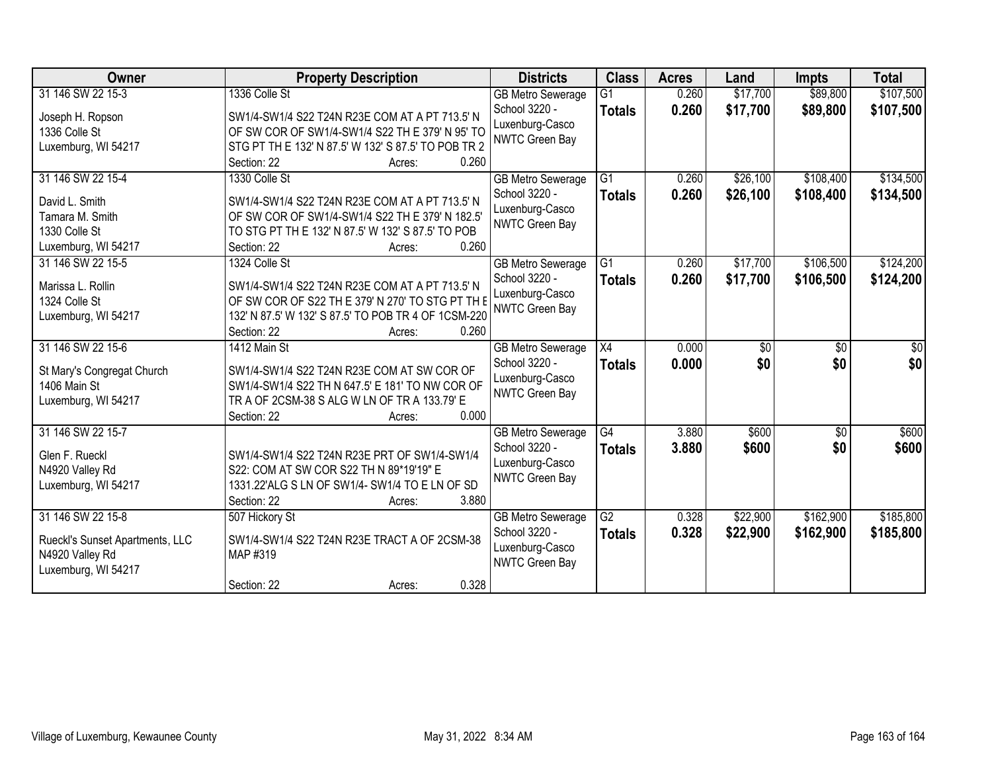| Owner                                                                     | <b>Property Description</b>                                                                            | <b>Districts</b>                                   | <b>Class</b>                     | <b>Acres</b>   | Land                 | <b>Impts</b>         | <b>Total</b>           |
|---------------------------------------------------------------------------|--------------------------------------------------------------------------------------------------------|----------------------------------------------------|----------------------------------|----------------|----------------------|----------------------|------------------------|
| 31 146 SW 22 15-3<br>Joseph H. Ropson                                     | 1336 Colle St<br>SW1/4-SW1/4 S22 T24N R23E COM AT A PT 713.5' N                                        | <b>GB Metro Sewerage</b><br>School 3220 -          | $\overline{G1}$<br><b>Totals</b> | 0.260<br>0.260 | \$17,700<br>\$17,700 | \$89,800<br>\$89,800 | \$107,500<br>\$107,500 |
| 1336 Colle St<br>Luxemburg, WI 54217                                      | OF SW COR OF SW1/4-SW1/4 S22 TH E 379' N 95' TO<br>STG PT TH E 132' N 87.5' W 132' S 87.5' TO POB TR 2 | Luxenburg-Casco<br>NWTC Green Bay                  |                                  |                |                      |                      |                        |
|                                                                           | 0.260<br>Section: 22<br>Acres:                                                                         |                                                    |                                  |                |                      |                      |                        |
| 31 146 SW 22 15-4                                                         | 1330 Colle St                                                                                          | <b>GB Metro Sewerage</b>                           | $\overline{G1}$                  | 0.260          | \$26,100             | \$108,400            | \$134,500              |
| David L. Smith<br>Tamara M. Smith                                         | SW1/4-SW1/4 S22 T24N R23E COM AT A PT 713.5' N<br>OF SW COR OF SW1/4-SW1/4 S22 TH E 379' N 182.5'      | School 3220 -<br>Luxenburg-Casco                   | <b>Totals</b>                    | 0.260          | \$26,100             | \$108,400            | \$134,500              |
| 1330 Colle St                                                             | TO STG PT TH E 132' N 87.5' W 132' S 87.5' TO POB                                                      | <b>NWTC Green Bay</b>                              |                                  |                |                      |                      |                        |
| Luxemburg, WI 54217                                                       | 0.260<br>Section: 22<br>Acres:                                                                         |                                                    |                                  |                |                      |                      |                        |
| 31 146 SW 22 15-5                                                         | 1324 Colle St                                                                                          | <b>GB Metro Sewerage</b>                           | G1                               | 0.260          | \$17,700             | \$106,500            | \$124,200              |
| Marissa L. Rollin                                                         | SW1/4-SW1/4 S22 T24N R23E COM AT A PT 713.5' N                                                         | School 3220 -<br>Luxenburg-Casco                   | <b>Totals</b>                    | 0.260          | \$17,700             | \$106,500            | \$124,200              |
| 1324 Colle St                                                             | OF SW COR OF S22 TH E 379' N 270' TO STG PT TH E                                                       | <b>NWTC Green Bay</b>                              |                                  |                |                      |                      |                        |
| Luxemburg, WI 54217                                                       | 132' N 87.5' W 132' S 87.5' TO POB TR 4 OF 1CSM-220<br>0.260<br>Section: 22<br>Acres:                  |                                                    |                                  |                |                      |                      |                        |
| 31 146 SW 22 15-6                                                         | 1412 Main St                                                                                           | <b>GB Metro Sewerage</b>                           | X4                               | 0.000          | \$0                  | \$0                  | \$0                    |
| St Mary's Congregat Church                                                | SW1/4-SW1/4 S22 T24N R23E COM AT SW COR OF                                                             | School 3220 -                                      | <b>Totals</b>                    | 0.000          | \$0                  | \$0                  | \$0                    |
| 1406 Main St                                                              | SW1/4-SW1/4 S22 TH N 647.5' E 181' TO NW COR OF                                                        | Luxenburg-Casco<br><b>NWTC Green Bay</b>           |                                  |                |                      |                      |                        |
| Luxemburg, WI 54217                                                       | TR A OF 2CSM-38 S ALG W LN OF TR A 133.79' E                                                           |                                                    |                                  |                |                      |                      |                        |
| 31 146 SW 22 15-7                                                         | 0.000<br>Section: 22<br>Acres:                                                                         | <b>GB Metro Sewerage</b>                           | $\overline{G4}$                  | 3.880          | \$600                | \$0                  | \$600                  |
|                                                                           |                                                                                                        | School 3220 -                                      | <b>Totals</b>                    | 3.880          | \$600                | \$0                  | \$600                  |
| Glen F. Rueckl                                                            | SW1/4-SW1/4 S22 T24N R23E PRT OF SW1/4-SW1/4                                                           | Luxenburg-Casco                                    |                                  |                |                      |                      |                        |
| N4920 Valley Rd                                                           | S22: COM AT SW COR S22 TH N 89*19'19" E                                                                | <b>NWTC Green Bay</b>                              |                                  |                |                      |                      |                        |
| Luxemburg, WI 54217                                                       | 1331.22'ALG S LN OF SW1/4- SW1/4 TO E LN OF SD<br>3.880<br>Section: 22<br>Acres:                       |                                                    |                                  |                |                      |                      |                        |
| 31 146 SW 22 15-8                                                         | 507 Hickory St                                                                                         | <b>GB Metro Sewerage</b>                           | G2                               | 0.328          | \$22,900             | \$162,900            | \$185,800              |
| Rueckl's Sunset Apartments, LLC<br>N4920 Valley Rd<br>Luxemburg, WI 54217 | SW1/4-SW1/4 S22 T24N R23E TRACT A OF 2CSM-38<br>MAP #319                                               | School 3220 -<br>Luxenburg-Casco<br>NWTC Green Bay | <b>Totals</b>                    | 0.328          | \$22,900             | \$162,900            | \$185,800              |
|                                                                           | 0.328<br>Section: 22<br>Acres:                                                                         |                                                    |                                  |                |                      |                      |                        |